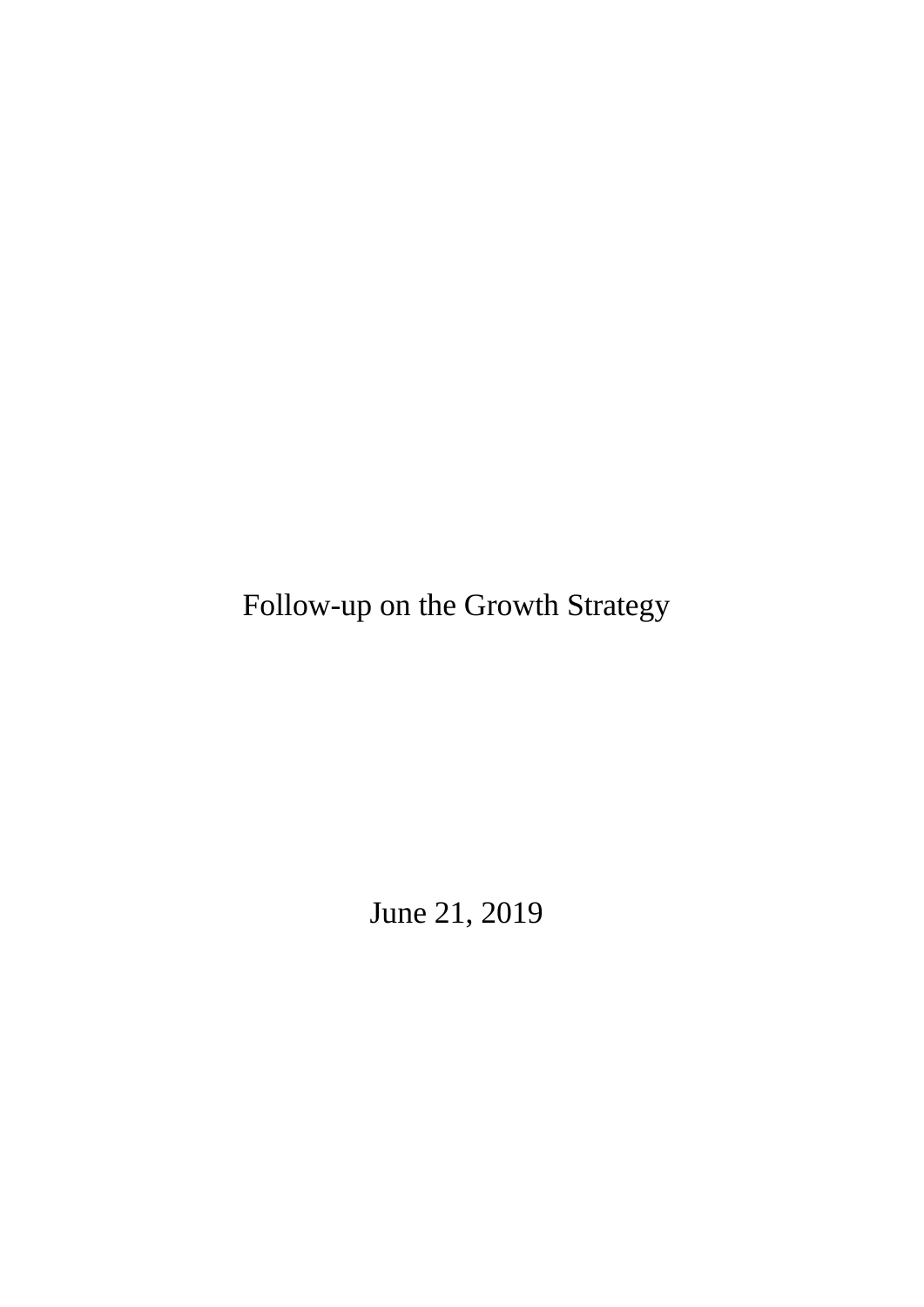Follow-up on the Growth Strategy

June 21, 2019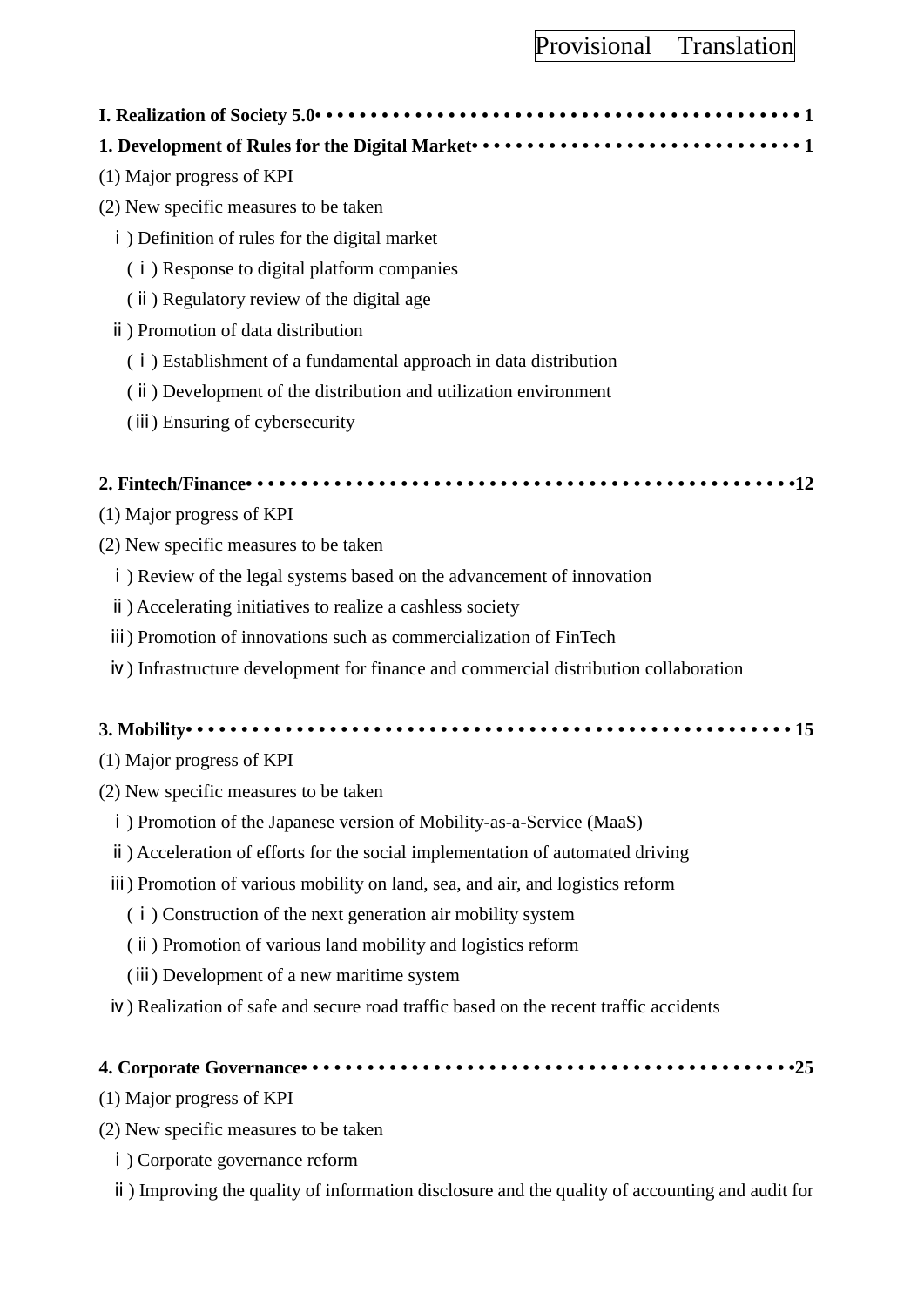**I. Realization of Society 5.0• • • • • • • • • • • • • • • • • • • • • • • • • • • • • • • • • • • • • • • • • • • • 1**

# **1. Development of Rules for the Digital Market• • • • • • • • • • • • • • • • • • • • • • • • • • • • • • 1**

- (1) Major progress of KPI
- (2) New specific measures to be taken
	- ⅰ) Definition of rules for the digital market
		- (ⅰ) Response to digital platform companies
		- (ⅱ) Regulatory review of the digital age
	- ⅱ) Promotion of data distribution
		- (ⅰ) Establishment of a fundamental approach in data distribution
		- (ⅱ) Development of the distribution and utilization environment
		- (ⅲ) Ensuring of cybersecurity

## **2. Fintech/Finance• • • • • • • • • • • • • • • • • • • • • • • • • • • • • • • • • • • • • • • • • • • • • • • • • •12**

- (1) Major progress of KPI
- (2) New specific measures to be taken
	- ⅰ) Review of the legal systems based on the advancement of innovation
	- ⅱ) Accelerating initiatives to realize a cashless society
	- ⅲ) Promotion of innovations such as commercialization of FinTech
	- ⅳ) Infrastructure development for finance and commercial distribution collaboration

## **3. Mobility• • • • • • • • • • • • • • • • • • • • • • • • • • • • • • • • • • • • • • • • • • • • • • • • • • • • • • • 15**

- (1) Major progress of KPI
- (2) New specific measures to be taken
	- ⅰ) Promotion of the Japanese version of Mobility-as-a-Service (MaaS)
	- ⅱ) Acceleration of efforts for the social implementation of automated driving
	- ⅲ) Promotion of various mobility on land, sea, and air, and logistics reform
		- (ⅰ) Construction of the next generation air mobility system
		- (ⅱ) Promotion of various land mobility and logistics reform
		- (ⅲ) Development of a new maritime system
	- ⅳ) Realization of safe and secure road traffic based on the recent traffic accidents

## **4. Corporate Governance• • • • • • • • • • • • • • • • • • • • • • • • • • • • • • • • • • • • • • • • • • • • •25**

- (1) Major progress of KPI
- (2) New specific measures to be taken
	- ⅰ) Corporate governance reform
	- ⅱ) Improving the quality of information disclosure and the quality of accounting and audit for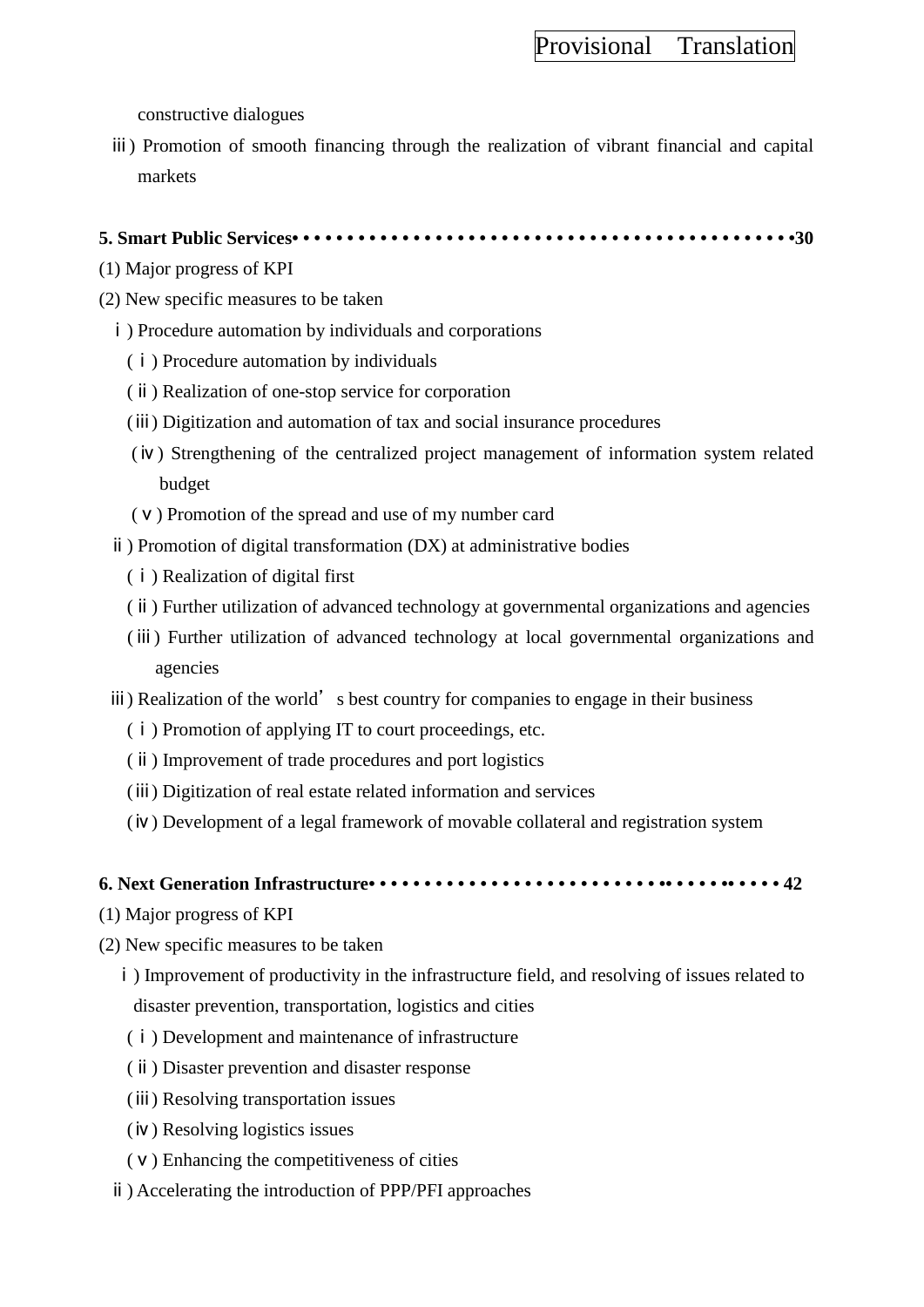constructive dialogues

ⅲ) Promotion of smooth financing through the realization of vibrant financial and capital markets

### **5. Smart Public Services• • • • • • • • • • • • • • • • • • • • • • • • • • • • • • • • • • • • • • • • • • • • • •30**

- (1) Major progress of KPI
- (2) New specific measures to be taken
	- ⅰ) Procedure automation by individuals and corporations
		- (ⅰ) Procedure automation by individuals
		- (ⅱ) Realization of one-stop service for corporation
		- (ⅲ) Digitization and automation of tax and social insurance procedures
		- (ⅳ) Strengthening of the centralized project management of information system related budget
		- (ⅴ) Promotion of the spread and use of my number card
	- ⅱ) Promotion of digital transformation (DX) at administrative bodies
		- (ⅰ) Realization of digital first
		- (ⅱ) Further utilization of advanced technology at governmental organizations and agencies
		- (ⅲ) Further utilization of advanced technology at local governmental organizations and agencies
	- iii) Realization of the world's best country for companies to engage in their business
		- (ⅰ) Promotion of applying IT to court proceedings, etc.
		- (ⅱ) Improvement of trade procedures and port logistics
		- (ⅲ) Digitization of real estate related information and services
		- (ⅳ) Development of a legal framework of movable collateral and registration system

### **6. Next Generation Infrastructure• • • • • • • • • • • • • • • • • • • • • • • • • • •• • • • • •• • • • • 42**

- (1) Major progress of KPI
- (2) New specific measures to be taken
	- ⅰ) Improvement of productivity in the infrastructure field, and resolving of issues related to disaster prevention, transportation, logistics and cities
	- (ⅰ) Development and maintenance of infrastructure
	- (ⅱ) Disaster prevention and disaster response
	- (ⅲ) Resolving transportation issues
	- (ⅳ) Resolving logistics issues
	- (ⅴ) Enhancing the competitiveness of cities
	- ⅱ) Accelerating the introduction of PPP/PFI approaches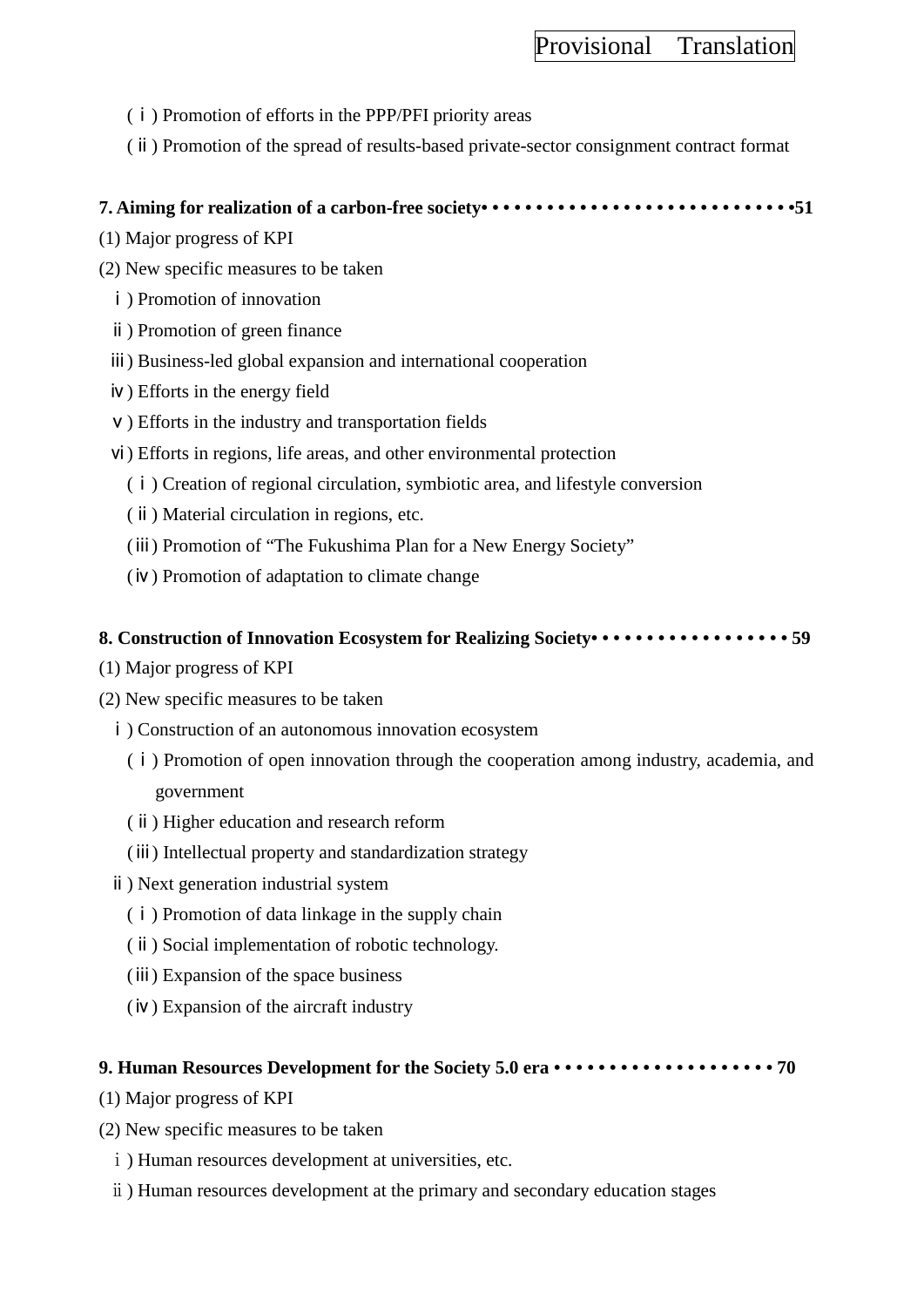- (ⅰ) Promotion of efforts in the PPP/PFI priority areas
- (ⅱ) Promotion of the spread of results-based private-sector consignment contract format

### **7. Aiming for realization of a carbon-free society• • • • • • • • • • • • • • • • • • • • • • • • • • • • •51**

- (1) Major progress of KPI
- (2) New specific measures to be taken
	- ⅰ) Promotion of innovation
	- ⅱ) Promotion of green finance
	- ⅲ) Business-led global expansion and international cooperation
	- ⅳ) Efforts in the energy field
	- v) Efforts in the industry and transportation fields
	- ⅵ) Efforts in regions, life areas, and other environmental protection
		- (ⅰ) Creation of regional circulation, symbiotic area, and lifestyle conversion
		- (ⅱ) Material circulation in regions, etc.
		- (ⅲ) Promotion of "The Fukushima Plan for a New Energy Society"
		- (ⅳ) Promotion of adaptation to climate change

### **8. Construction of Innovation Ecosystem for Realizing Society• • • • • • • • • • • • • • • • • • 59**

- (1) Major progress of KPI
- (2) New specific measures to be taken
	- ⅰ) Construction of an autonomous innovation ecosystem
		- (ⅰ) Promotion of open innovation through the cooperation among industry, academia, and government
		- (ⅱ) Higher education and research reform
		- (ⅲ) Intellectual property and standardization strategy
	- ⅱ) Next generation industrial system
		- (ⅰ) Promotion of data linkage in the supply chain
		- (ⅱ) Social implementation of robotic technology.
		- (ⅲ) Expansion of the space business
		- (ⅳ) Expansion of the aircraft industry

### **9. Human Resources Development for the Society 5.0 era • • • • • • • • • • • • • • • • • • • • 70**

- (1) Major progress of KPI
- (2) New specific measures to be taken
	- ⅰ) Human resources development at universities, etc.
	- ⅱ) Human resources development at the primary and secondary education stages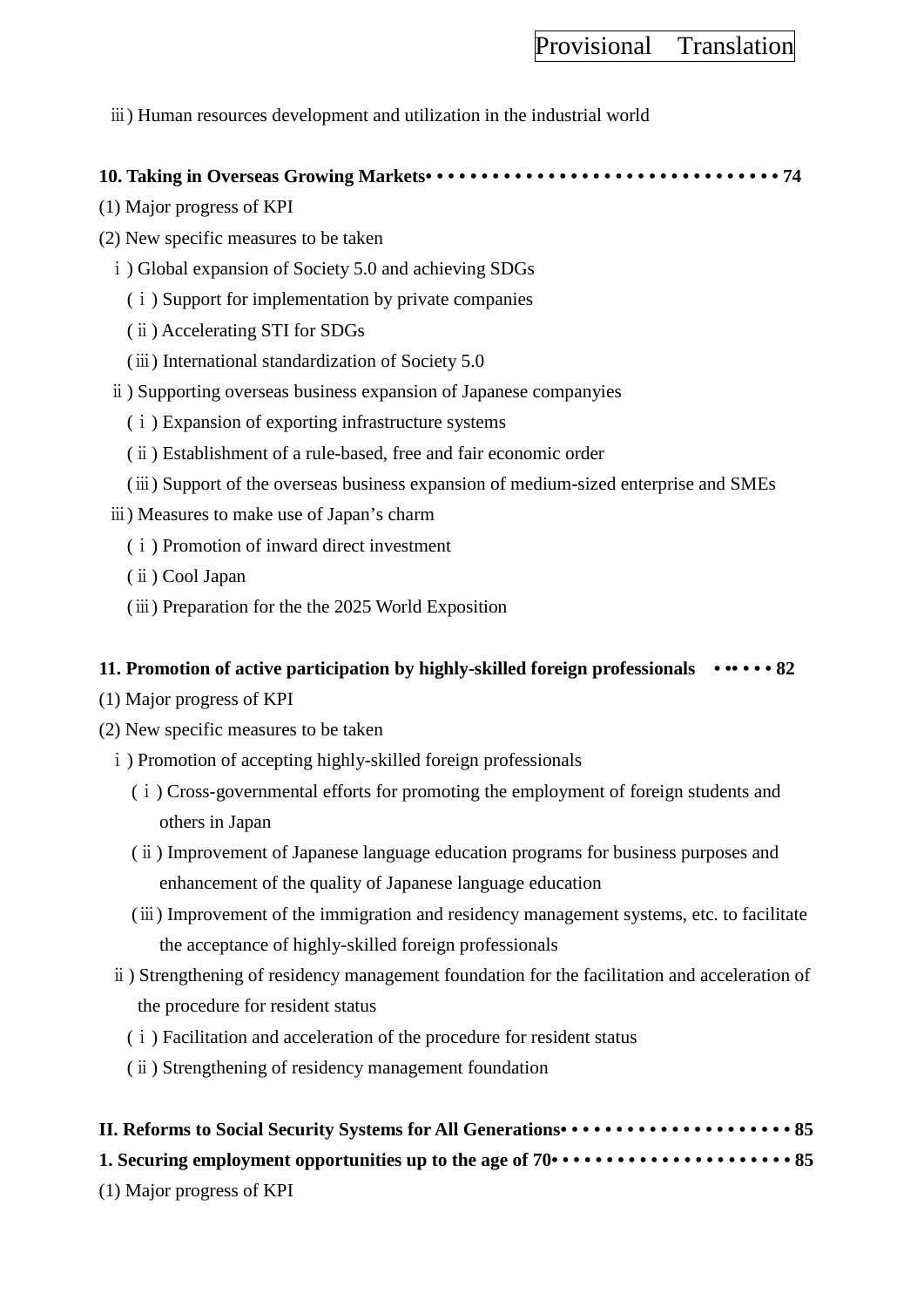ⅲ) Human resources development and utilization in the industrial world

### **10. Taking in Overseas Growing Markets• • • • • • • • • • • • • • • • • • • • • • • • • • • • • • • • 74**

- (1) Major progress of KPI
- (2) New specific measures to be taken
	- ⅰ) Global expansion of Society 5.0 and achieving SDGs
		- (ⅰ) Support for implementation by private companies
		- (ⅱ) Accelerating STI for SDGs
		- (ⅲ) International standardization of Society 5.0
	- ⅱ) Supporting overseas business expansion of Japanese companyies
		- (ⅰ) Expansion of exporting infrastructure systems
		- (ⅱ) Establishment of a rule-based, free and fair economic order
		- (ⅲ) Support of the overseas business expansion of medium-sized enterprise and SMEs
	- ⅲ) Measures to make use of Japan's charm
		- (ⅰ) Promotion of inward direct investment
		- (ⅱ) Cool Japan
		- (ⅲ) Preparation for the the 2025 World Exposition

### **11. Promotion of active participation by highly-skilled foreign professionals • •• • • • 82**

- (1) Major progress of KPI
- (2) New specific measures to be taken
	- i) Promotion of accepting highly-skilled foreign professionals
		- (ⅰ) Cross-governmental efforts for promoting the employment of foreign students and others in Japan
		- (ⅱ) Improvement of Japanese language education programs for business purposes and enhancement of the quality of Japanese language education
		- (ⅲ) Improvement of the immigration and residency management systems, etc. to facilitate the acceptance of highly-skilled foreign professionals
	- ⅱ) Strengthening of residency management foundation for the facilitation and acceleration of the procedure for resident status
		- (ⅰ) Facilitation and acceleration of the procedure for resident status
		- (ⅱ) Strengthening of residency management foundation

# **II. Reforms to Social Security Systems for All Generations• • • • • • • • • • • • • • • • • • • • • 85 1. Securing employment opportunities up to the age of 70• • • • • • • • • • • • • • • • • • • • • • 85**

(1) Major progress of KPI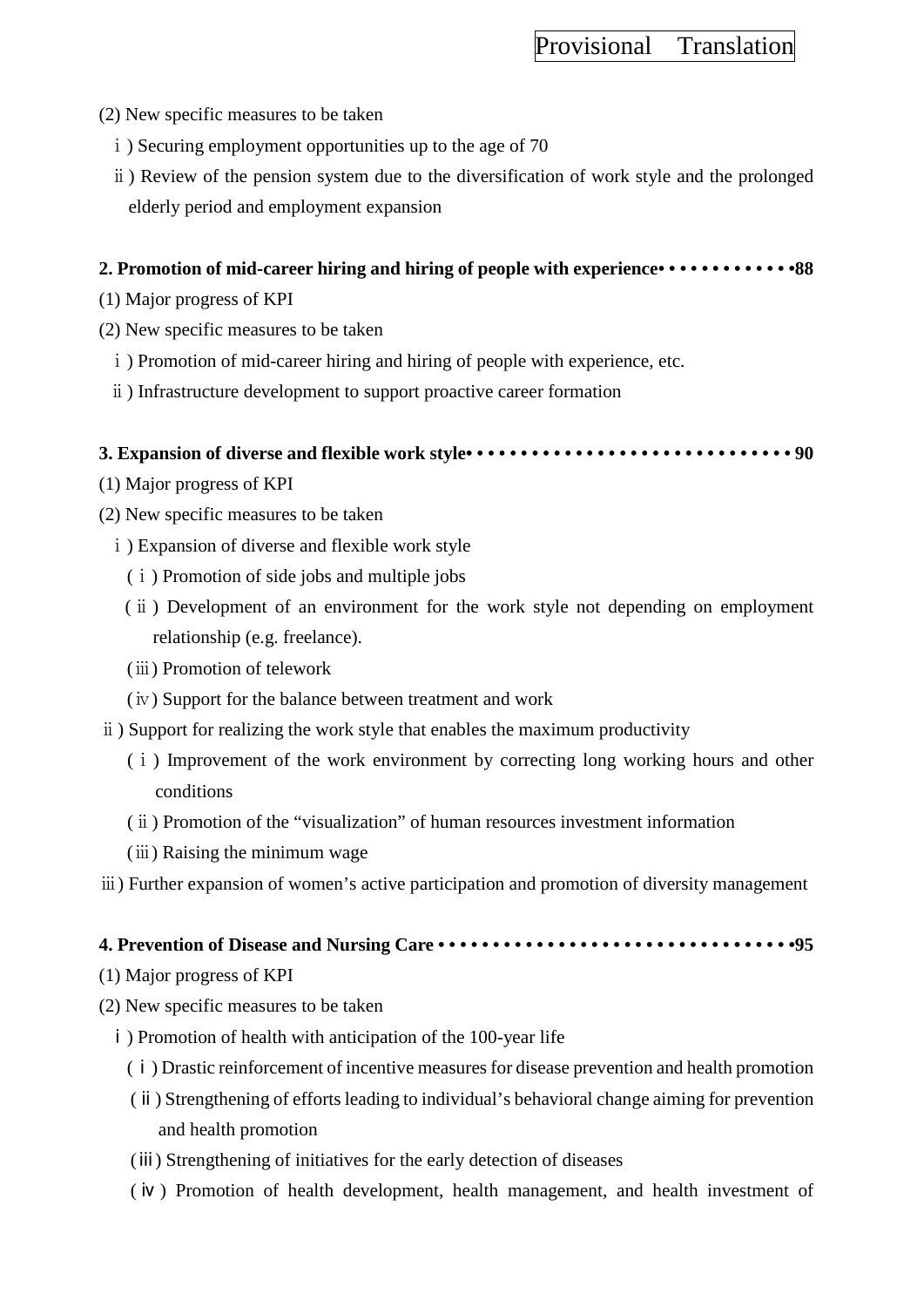- (2) New specific measures to be taken
	- i) Securing employment opportunities up to the age of 70
	- ⅱ) Review of the pension system due to the diversification of work style and the prolonged elderly period and employment expansion

### **2. Promotion of mid-career hiring and hiring of people with experience• • • • • • • • • • • • •88**

- (1) Major progress of KPI
- (2) New specific measures to be taken
	- $\mathbf{i}$ ) Promotion of mid-career hiring and hiring of people with experience, etc.
	- ⅱ) Infrastructure development to support proactive career formation

### **3. Expansion of diverse and flexible work style• • • • • • • • • • • • • • • • • • • • • • • • • • • • • • 90**

- (1) Major progress of KPI
- (2) New specific measures to be taken
	- ⅰ) Expansion of diverse and flexible work style
		- (ⅰ) Promotion of side jobs and multiple jobs
		- (ⅱ) Development of an environment for the work style not depending on employment relationship (e.g. freelance).
		- (ⅲ) Promotion of telework
		- (ⅳ) Support for the balance between treatment and work
- ⅱ) Support for realizing the work style that enables the maximum productivity
	- (ⅰ) Improvement of the work environment by correcting long working hours and other conditions
	- (ⅱ) Promotion of the "visualization" of human resources investment information
	- (ⅲ) Raising the minimum wage
- ⅲ) Further expansion of women's active participation and promotion of diversity management

## **4. Prevention of Disease and Nursing Care • • • • • • • • • • • • • • • • • • • • • • • • • • • • • • • • •95**

- (1) Major progress of KPI
- (2) New specific measures to be taken
	- ⅰ) Promotion of health with anticipation of the 100-year life
		- (ⅰ) Drastic reinforcement of incentive measures for disease prevention and health promotion
		- (ⅱ) Strengthening of efforts leading to individual's behavioral change aiming for prevention and health promotion
		- (ⅲ) Strengthening of initiatives for the early detection of diseases
		- (ⅳ) Promotion of health development, health management, and health investment of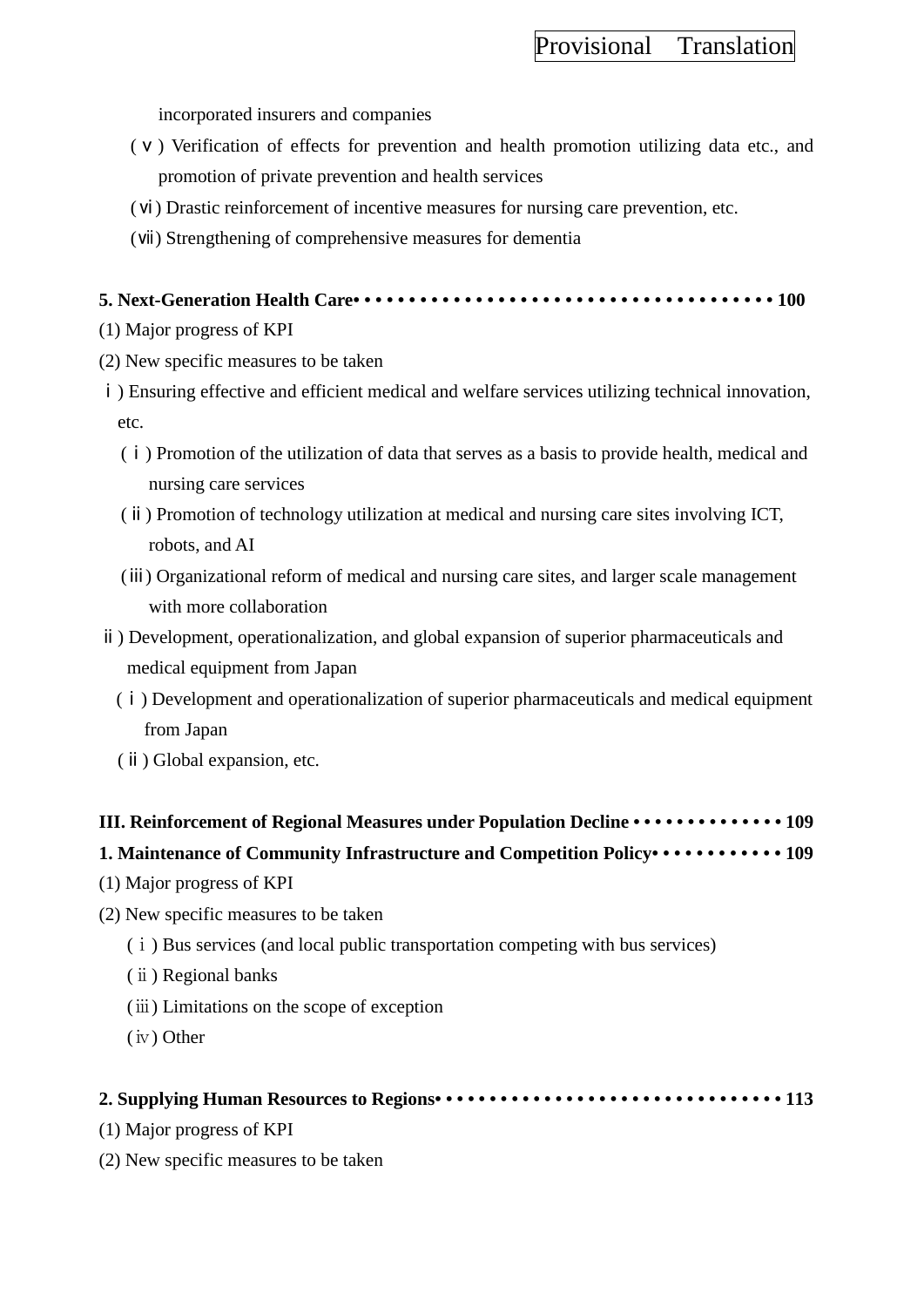incorporated insurers and companies

- (ⅴ) Verification of effects for prevention and health promotion utilizing data etc., and promotion of private prevention and health services
- (ⅵ) Drastic reinforcement of incentive measures for nursing care prevention, etc.
- (ⅶ) Strengthening of comprehensive measures for dementia

### **5. Next-Generation Health Care• • • • • • • • • • • • • • • • • • • • • • • • • • • • • • • • • • • • • • 100**

- (1) Major progress of KPI
- (2) New specific measures to be taken
- ⅰ) Ensuring effective and efficient medical and welfare services utilizing technical innovation, etc.
	- (ⅰ) Promotion of the utilization of data that serves as a basis to provide health, medical and nursing care services
	- (ⅱ) Promotion of technology utilization at medical and nursing care sites involving ICT, robots, and AI
	- (ⅲ) Organizational reform of medical and nursing care sites, and larger scale management with more collaboration
- ⅱ) Development, operationalization, and global expansion of superior pharmaceuticals and medical equipment from Japan
	- (ⅰ) Development and operationalization of superior pharmaceuticals and medical equipment from Japan
	- (ⅱ) Global expansion, etc.

# **III. Reinforcement of Regional Measures under Population Decline • • • • • • • • • • • • • • 109**

# **1. Maintenance of Community Infrastructure and Competition Policy• • • • • • • • • • • • 109**

- (1) Major progress of KPI
- (2) New specific measures to be taken
	- (ⅰ) Bus services (and local public transportation competing with bus services)
	- (ⅱ) Regional banks
	- (ⅲ) Limitations on the scope of exception
	- (ⅳ) Other

### **2. Supplying Human Resources to Regions• • • • • • • • • • • • • • • • • • • • • • • • • • • • • • • • 113**

- (1) Major progress of KPI
- (2) New specific measures to be taken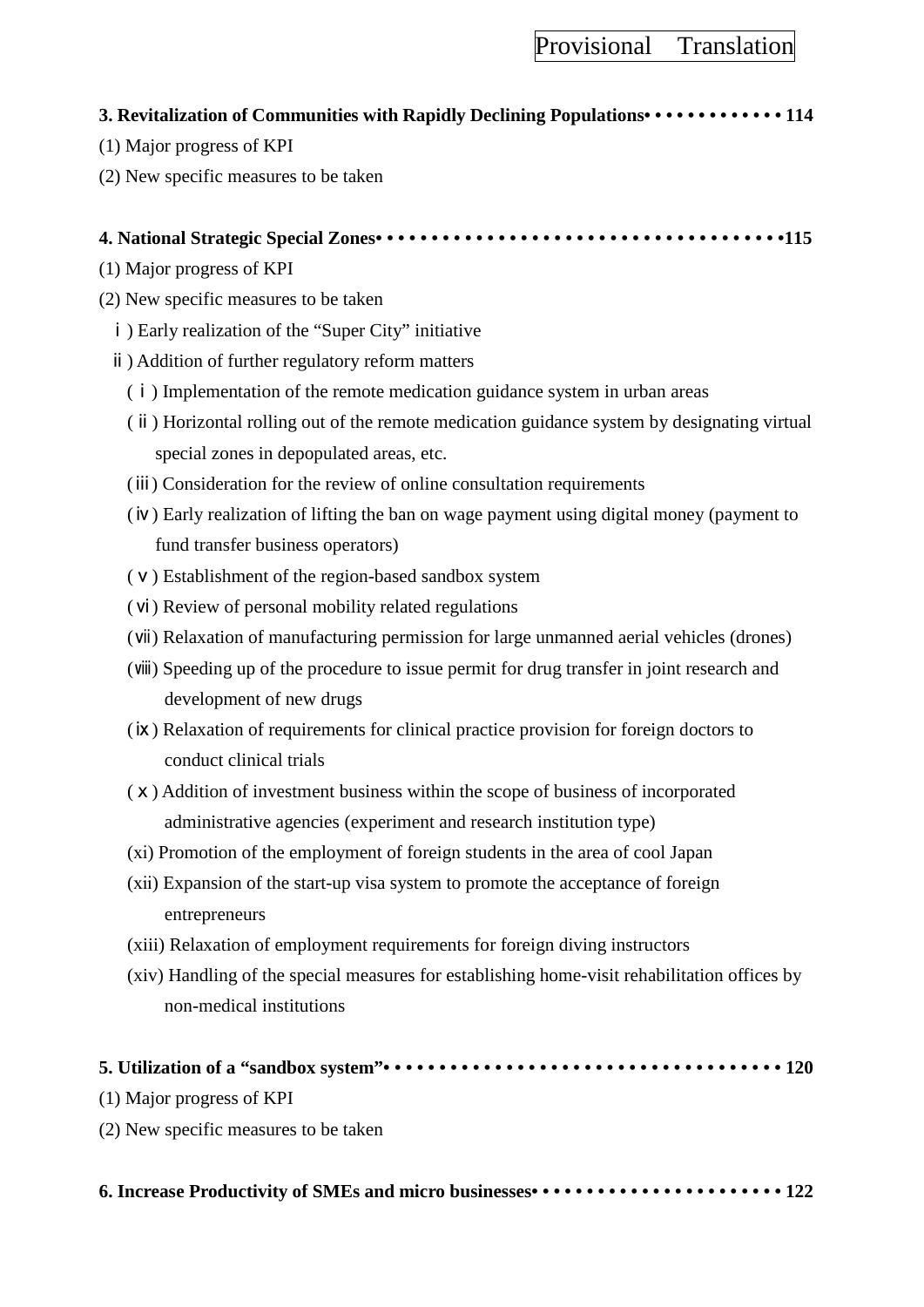### **3. Revitalization of Communities with Rapidly Declining Populations• • • • • • • • • • • • • 114**

- (1) Major progress of KPI
- (2) New specific measures to be taken

### **4. National Strategic Special Zones• • • • • • • • • • • • • • • • • • • • • • • • • • • • • • • • • • • • •115**

- (1) Major progress of KPI
- (2) New specific measures to be taken
	- ⅰ) Early realization of the "Super City" initiative
	- ⅱ) Addition of further regulatory reform matters
		- (ⅰ) Implementation of the remote medication guidance system in urban areas
		- (ⅱ) Horizontal rolling out of the remote medication guidance system by designating virtual special zones in depopulated areas, etc.
		- (ⅲ) Consideration for the review of online consultation requirements
		- (ⅳ) Early realization of lifting the ban on wage payment using digital money (payment to fund transfer business operators)
		- (ⅴ) Establishment of the region-based sandbox system
		- (ⅵ) Review of personal mobility related regulations
		- (ⅶ) Relaxation of manufacturing permission for large unmanned aerial vehicles (drones)
		- (ⅷ) Speeding up of the procedure to issue permit for drug transfer in joint research and development of new drugs
		- (ⅸ) Relaxation of requirements for clinical practice provision for foreign doctors to conduct clinical trials
		- (ⅹ) Addition of investment business within the scope of business of incorporated administrative agencies (experiment and research institution type)
		- (ⅺ) Promotion of the employment of foreign students in the area of cool Japan
		- (ⅻ) Expansion of the start-up visa system to promote the acceptance of foreign entrepreneurs
		- (xiii) Relaxation of employment requirements for foreign diving instructors
		- (xiv) Handling of the special measures for establishing home-visit rehabilitation offices by non-medical institutions

|--|

- (1) Major progress of KPI
- (2) New specific measures to be taken

**6. Increase Productivity of SMEs and micro businesses• • • • • • • • • • • • • • • • • • • • • • • 122**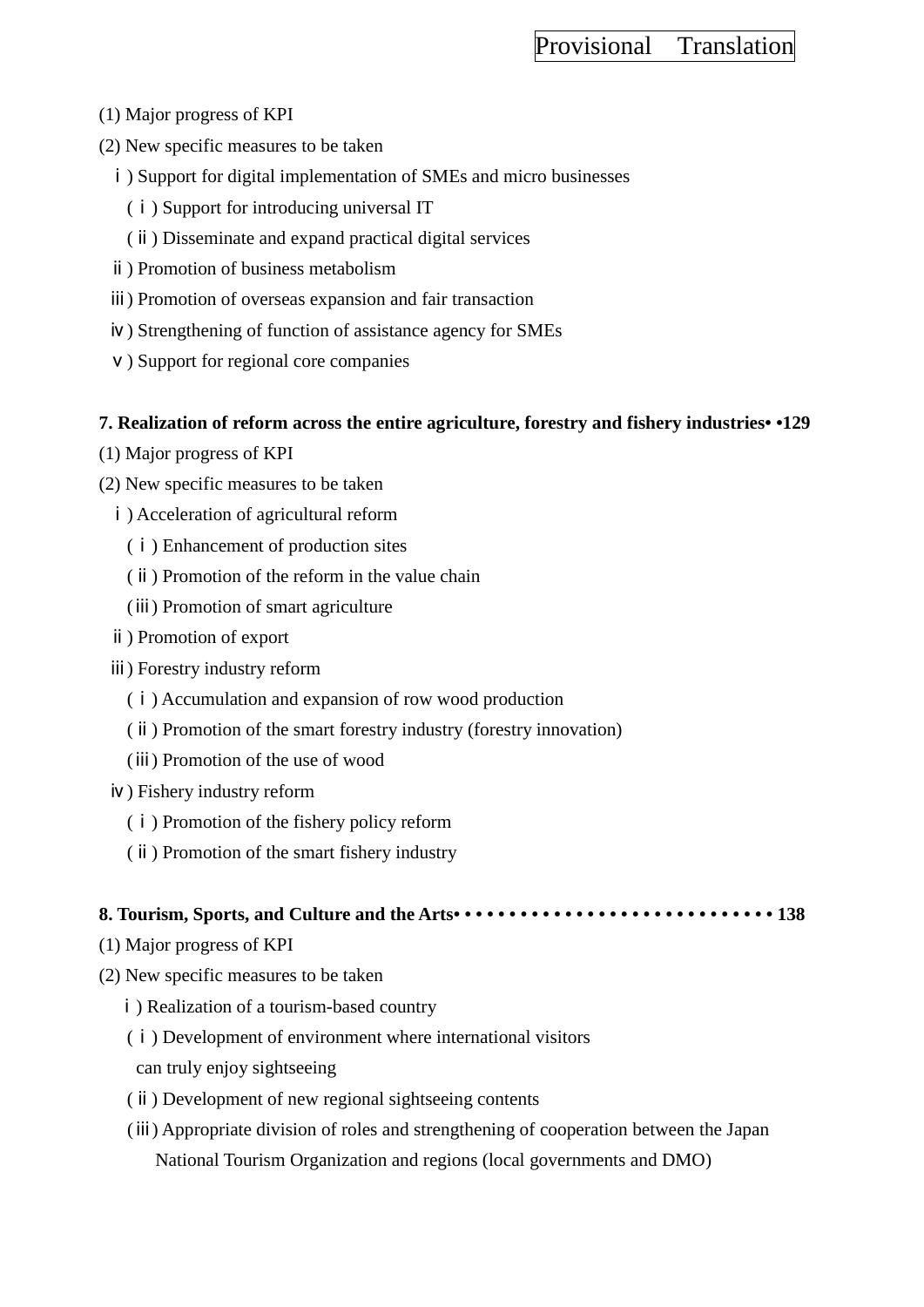- (1) Major progress of KPI
- (2) New specific measures to be taken
	- i) Support for digital implementation of SMEs and micro businesses
		- (ⅰ) Support for introducing universal IT
		- (ⅱ) Disseminate and expand practical digital services
	- ⅱ) Promotion of business metabolism
	- ⅲ) Promotion of overseas expansion and fair transaction
	- ⅳ) Strengthening of function of assistance agency for SMEs
	- ⅴ) Support for regional core companies

### **7. Realization of reform across the entire agriculture, forestry and fishery industries• •129**

- (1) Major progress of KPI
- (2) New specific measures to be taken
	- ⅰ) Acceleration of agricultural reform
		- (ⅰ) Enhancement of production sites
		- (ⅱ) Promotion of the reform in the value chain
		- (ⅲ) Promotion of smart agriculture
	- ⅱ) Promotion of export
	- ⅲ) Forestry industry reform
		- (ⅰ) Accumulation and expansion of row wood production
		- (ⅱ) Promotion of the smart forestry industry (forestry innovation)
		- (ⅲ) Promotion of the use of wood
	- ⅳ) Fishery industry reform
		- (ⅰ) Promotion of the fishery policy reform
		- (ⅱ) Promotion of the smart fishery industry

### **8. Tourism, Sports, and Culture and the Arts• • • • • • • • • • • • • • • • • • • • • • • • • • • • • 138**

- (1) Major progress of KPI
- (2) New specific measures to be taken
	- ⅰ) Realization of a tourism-based country
	- (ⅰ) Development of environment where international visitors can truly enjoy sightseeing
	- (ⅱ) Development of new regional sightseeing contents
	- (ⅲ) Appropriate division of roles and strengthening of cooperation between the Japan National Tourism Organization and regions (local governments and DMO)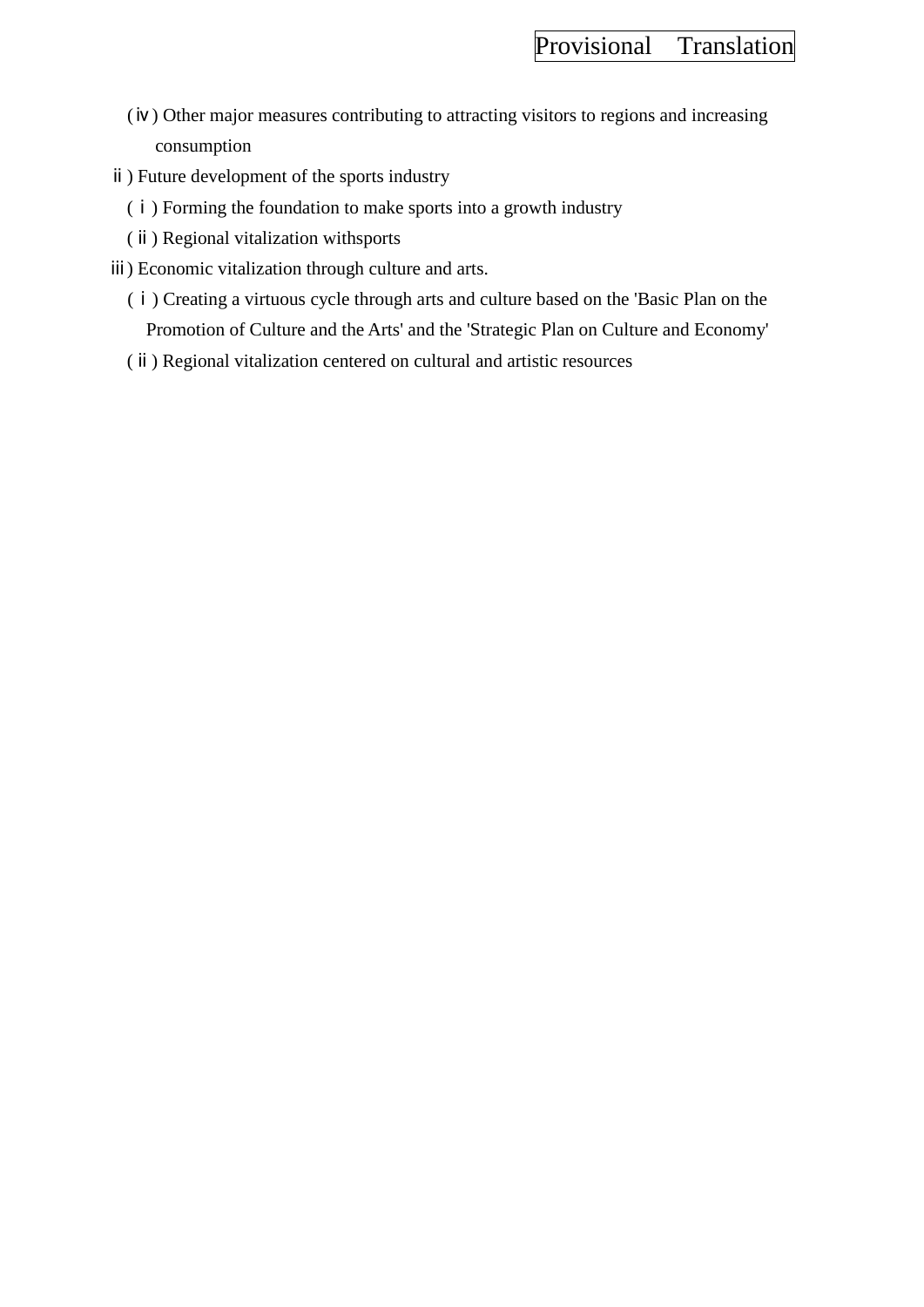- (ⅳ) Other major measures contributing to attracting visitors to regions and increasing consumption
- ⅱ) Future development of the sports industry
	- (ⅰ) Forming the foundation to make sports into a growth industry
	- (ⅱ) Regional vitalization withsports
- ⅲ) Economic vitalization through culture and arts.
	- (ⅰ) Creating a virtuous cycle through arts and culture based on the 'Basic Plan on the Promotion of Culture and the Arts' and the 'Strategic Plan on Culture and Economy'
	- (ⅱ) Regional vitalization centered on cultural and artistic resources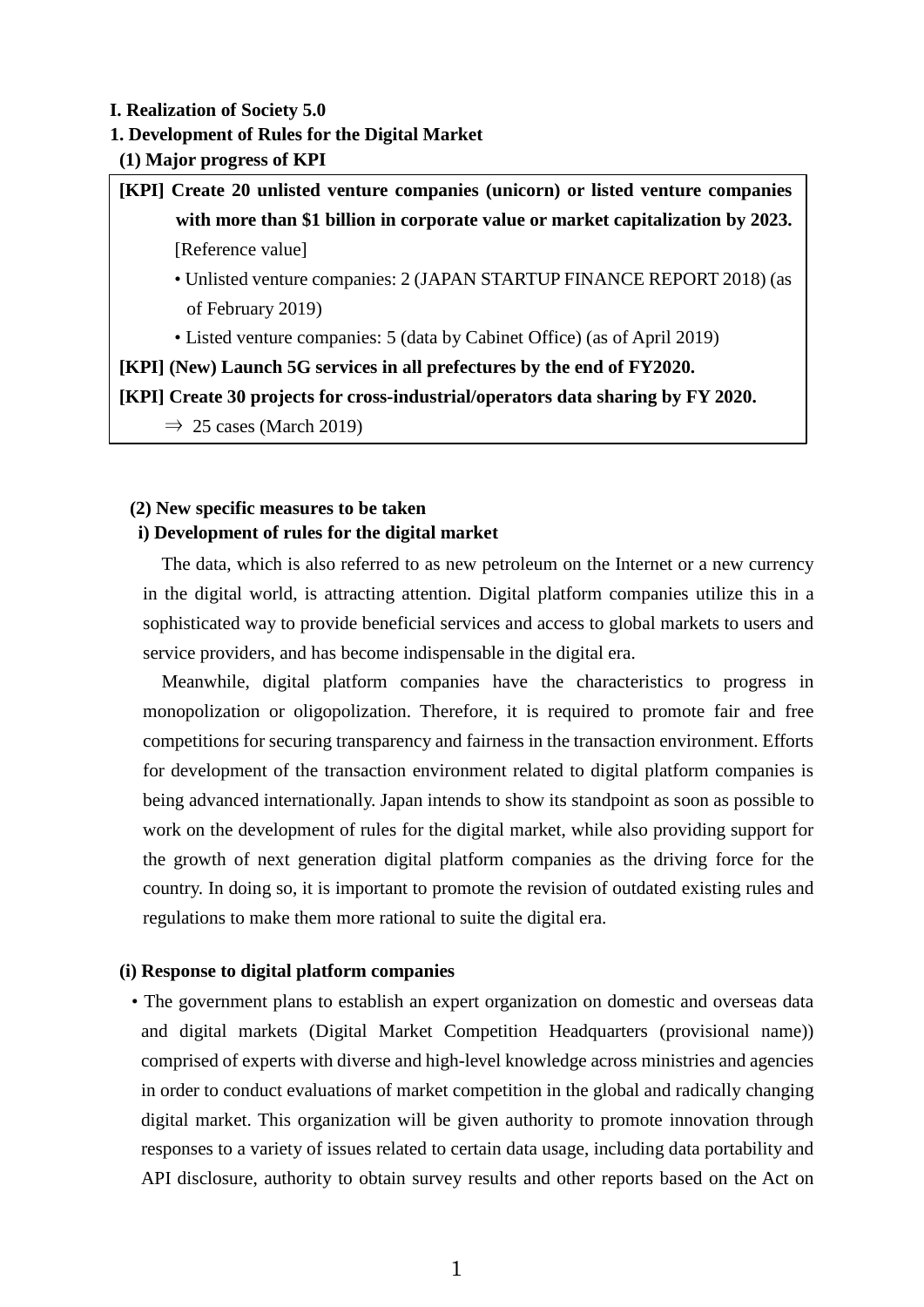#### **I. Realization of Society 5.0**

#### **1. Development of Rules for the Digital Market**

**(1) Major progress of KPI**

**[KPI] Create 20 unlisted venture companies (unicorn) or listed venture companies with more than \$1 billion in corporate value or market capitalization by 2023.** [Reference value]

- Unlisted venture companies: 2 (JAPAN STARTUP FINANCE REPORT 2018) (as of February 2019)
- Listed venture companies: 5 (data by Cabinet Office) (as of April 2019)

**[KPI] (New) Launch 5G services in all prefectures by the end of FY2020.**

**[KPI] Create 30 projects for cross-industrial/operators data sharing by FY 2020.**

 $\Rightarrow$  25 cases (March 2019)

### **(2) New specific measures to be taken**

#### **i) Development of rules for the digital market**

The data, which is also referred to as new petroleum on the Internet or a new currency in the digital world, is attracting attention. Digital platform companies utilize this in a sophisticated way to provide beneficial services and access to global markets to users and service providers, and has become indispensable in the digital era.

Meanwhile, digital platform companies have the characteristics to progress in monopolization or oligopolization. Therefore, it is required to promote fair and free competitions for securing transparency and fairness in the transaction environment. Efforts for development of the transaction environment related to digital platform companies is being advanced internationally. Japan intends to show its standpoint as soon as possible to work on the development of rules for the digital market, while also providing support for the growth of next generation digital platform companies as the driving force for the country. In doing so, it is important to promote the revision of outdated existing rules and regulations to make them more rational to suite the digital era.

### **(i) Response to digital platform companies**

• The government plans to establish an expert organization on domestic and overseas data and digital markets (Digital Market Competition Headquarters (provisional name)) comprised of experts with diverse and high-level knowledge across ministries and agencies in order to conduct evaluations of market competition in the global and radically changing digital market. This organization will be given authority to promote innovation through responses to a variety of issues related to certain data usage, including data portability and API disclosure, authority to obtain survey results and other reports based on the Act on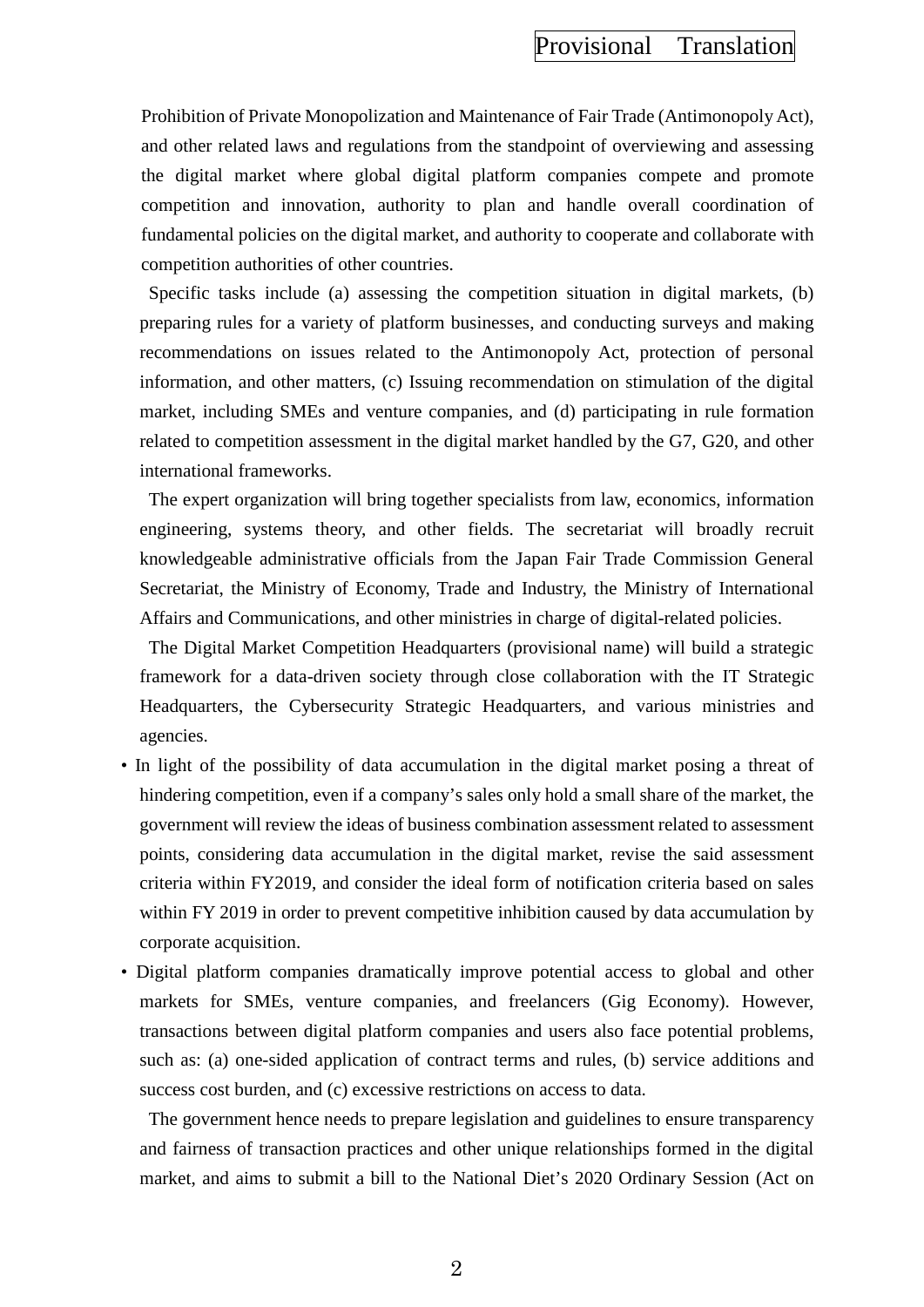Prohibition of Private Monopolization and Maintenance of Fair Trade (Antimonopoly Act), and other related laws and regulations from the standpoint of overviewing and assessing the digital market where global digital platform companies compete and promote competition and innovation, authority to plan and handle overall coordination of fundamental policies on the digital market, and authority to cooperate and collaborate with competition authorities of other countries.

 Specific tasks include (a) assessing the competition situation in digital markets, (b) preparing rules for a variety of platform businesses, and conducting surveys and making recommendations on issues related to the Antimonopoly Act, protection of personal information, and other matters, (c) Issuing recommendation on stimulation of the digital market, including SMEs and venture companies, and (d) participating in rule formation related to competition assessment in the digital market handled by the G7, G20, and other international frameworks.

 The expert organization will bring together specialists from law, economics, information engineering, systems theory, and other fields. The secretariat will broadly recruit knowledgeable administrative officials from the Japan Fair Trade Commission General Secretariat, the Ministry of Economy, Trade and Industry, the Ministry of International Affairs and Communications, and other ministries in charge of digital-related policies.

 The Digital Market Competition Headquarters (provisional name) will build a strategic framework for a data-driven society through close collaboration with the IT Strategic Headquarters, the Cybersecurity Strategic Headquarters, and various ministries and agencies.

- In light of the possibility of data accumulation in the digital market posing a threat of hindering competition, even if a company's sales only hold a small share of the market, the government will review the ideas of business combination assessment related to assessment points, considering data accumulation in the digital market, revise the said assessment criteria within FY2019, and consider the ideal form of notification criteria based on sales within FY 2019 in order to prevent competitive inhibition caused by data accumulation by corporate acquisition.
- Digital platform companies dramatically improve potential access to global and other markets for SMEs, venture companies, and freelancers (Gig Economy). However, transactions between digital platform companies and users also face potential problems, such as: (a) one-sided application of contract terms and rules, (b) service additions and success cost burden, and (c) excessive restrictions on access to data.

 The government hence needs to prepare legislation and guidelines to ensure transparency and fairness of transaction practices and other unique relationships formed in the digital market, and aims to submit a bill to the National Diet's 2020 Ordinary Session (Act on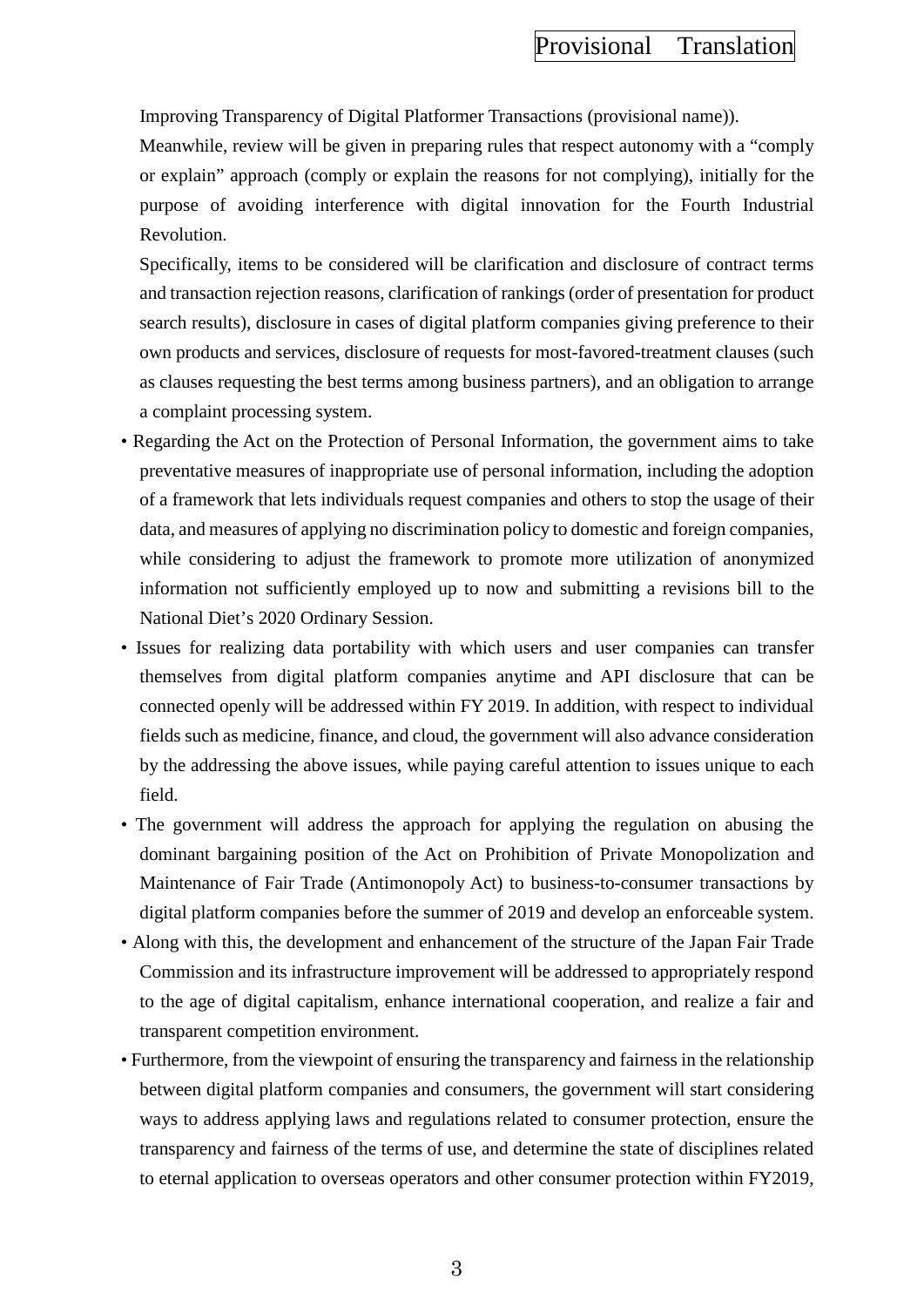Improving Transparency of Digital Platformer Transactions (provisional name)).

 Meanwhile, review will be given in preparing rules that respect autonomy with a "comply or explain" approach (comply or explain the reasons for not complying), initially for the purpose of avoiding interference with digital innovation for the Fourth Industrial Revolution.

 Specifically, items to be considered will be clarification and disclosure of contract terms and transaction rejection reasons, clarification of rankings (order of presentation for product search results), disclosure in cases of digital platform companies giving preference to their own products and services, disclosure of requests for most-favored-treatment clauses (such as clauses requesting the best terms among business partners), and an obligation to arrange a complaint processing system.

- Regarding the Act on the Protection of Personal Information, the government aims to take preventative measures of inappropriate use of personal information, including the adoption of a framework that lets individuals request companies and others to stop the usage of their data, and measures of applying no discrimination policy to domestic and foreign companies, while considering to adjust the framework to promote more utilization of anonymized information not sufficiently employed up to now and submitting a revisions bill to the National Diet's 2020 Ordinary Session.
- Issues for realizing data portability with which users and user companies can transfer themselves from digital platform companies anytime and API disclosure that can be connected openly will be addressed within FY 2019. In addition, with respect to individual fields such as medicine, finance, and cloud, the government will also advance consideration by the addressing the above issues, while paying careful attention to issues unique to each field.
- The government will address the approach for applying the regulation on abusing the dominant bargaining position of the Act on Prohibition of Private Monopolization and Maintenance of Fair Trade (Antimonopoly Act) to business-to-consumer transactions by digital platform companies before the summer of 2019 and develop an enforceable system.
- Along with this, the development and enhancement of the structure of the Japan Fair Trade Commission and its infrastructure improvement will be addressed to appropriately respond to the age of digital capitalism, enhance international cooperation, and realize a fair and transparent competition environment.
- Furthermore, from the viewpoint of ensuring the transparency and fairness in the relationship between digital platform companies and consumers, the government will start considering ways to address applying laws and regulations related to consumer protection, ensure the transparency and fairness of the terms of use, and determine the state of disciplines related to eternal application to overseas operators and other consumer protection within FY2019,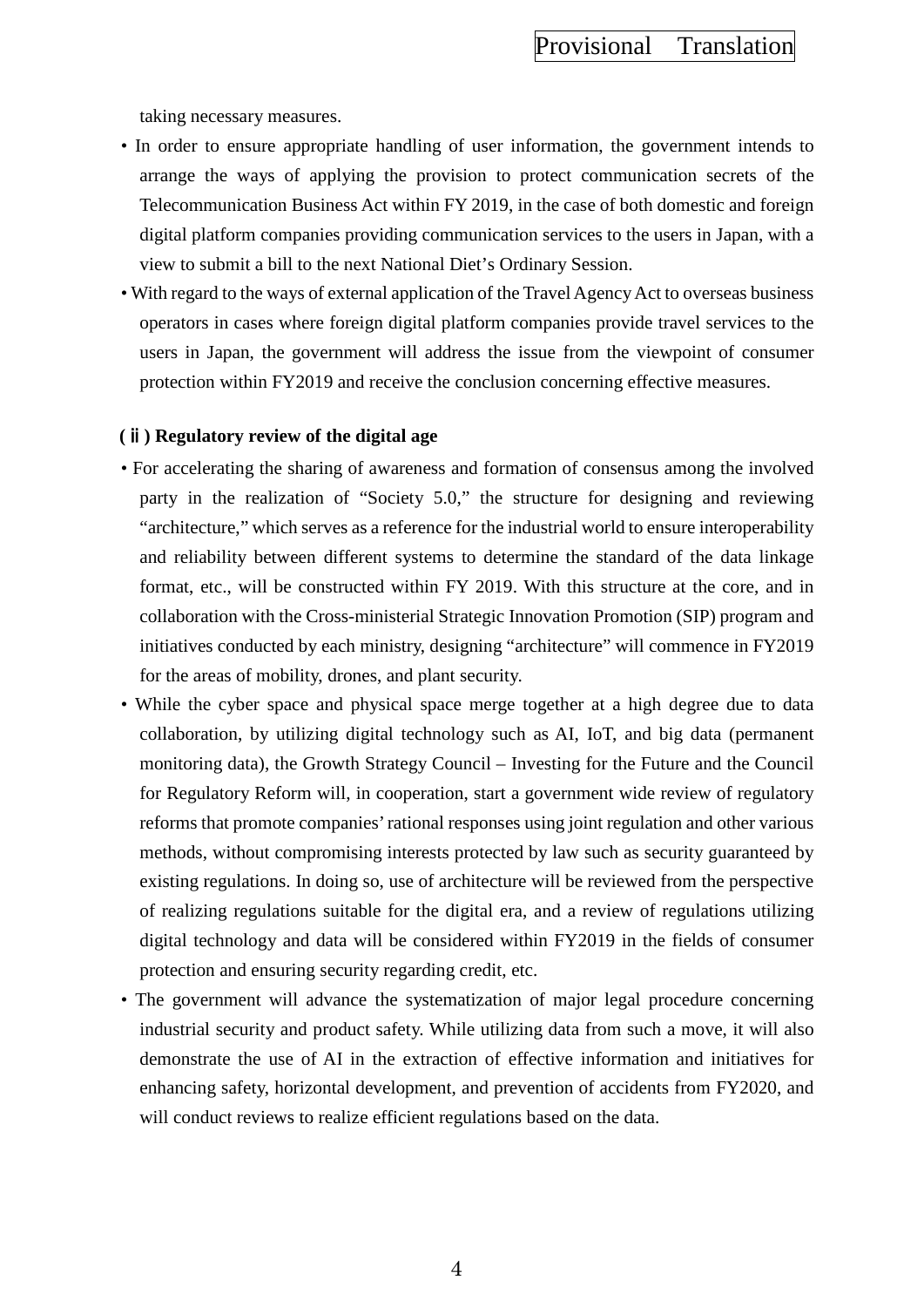taking necessary measures.

- In order to ensure appropriate handling of user information, the government intends to arrange the ways of applying the provision to protect communication secrets of the Telecommunication Business Act within FY 2019, in the case of both domestic and foreign digital platform companies providing communication services to the users in Japan, with a view to submit a bill to the next National Diet's Ordinary Session.
- With regard to the ways of external application of the Travel Agency Act to overseas business operators in cases where foreign digital platform companies provide travel services to the users in Japan, the government will address the issue from the viewpoint of consumer protection within FY2019 and receive the conclusion concerning effective measures.

#### **(**ⅱ**) Regulatory review of the digital age**

- For accelerating the sharing of awareness and formation of consensus among the involved party in the realization of "Society 5.0," the structure for designing and reviewing "architecture," which serves as a reference for the industrial world to ensure interoperability and reliability between different systems to determine the standard of the data linkage format, etc., will be constructed within FY 2019. With this structure at the core, and in collaboration with the Cross-ministerial Strategic Innovation Promotion (SIP) program and initiatives conducted by each ministry, designing "architecture" will commence in FY2019 for the areas of mobility, drones, and plant security.
- While the cyber space and physical space merge together at a high degree due to data collaboration, by utilizing digital technology such as AI, IoT, and big data (permanent monitoring data), the Growth Strategy Council – Investing for the Future and the Council for Regulatory Reform will, in cooperation, start a government wide review of regulatory reforms that promote companies' rational responses using joint regulation and other various methods, without compromising interests protected by law such as security guaranteed by existing regulations. In doing so, use of architecture will be reviewed from the perspective of realizing regulations suitable for the digital era, and a review of regulations utilizing digital technology and data will be considered within FY2019 in the fields of consumer protection and ensuring security regarding credit, etc.
- The government will advance the systematization of major legal procedure concerning industrial security and product safety. While utilizing data from such a move, it will also demonstrate the use of AI in the extraction of effective information and initiatives for enhancing safety, horizontal development, and prevention of accidents from FY2020, and will conduct reviews to realize efficient regulations based on the data.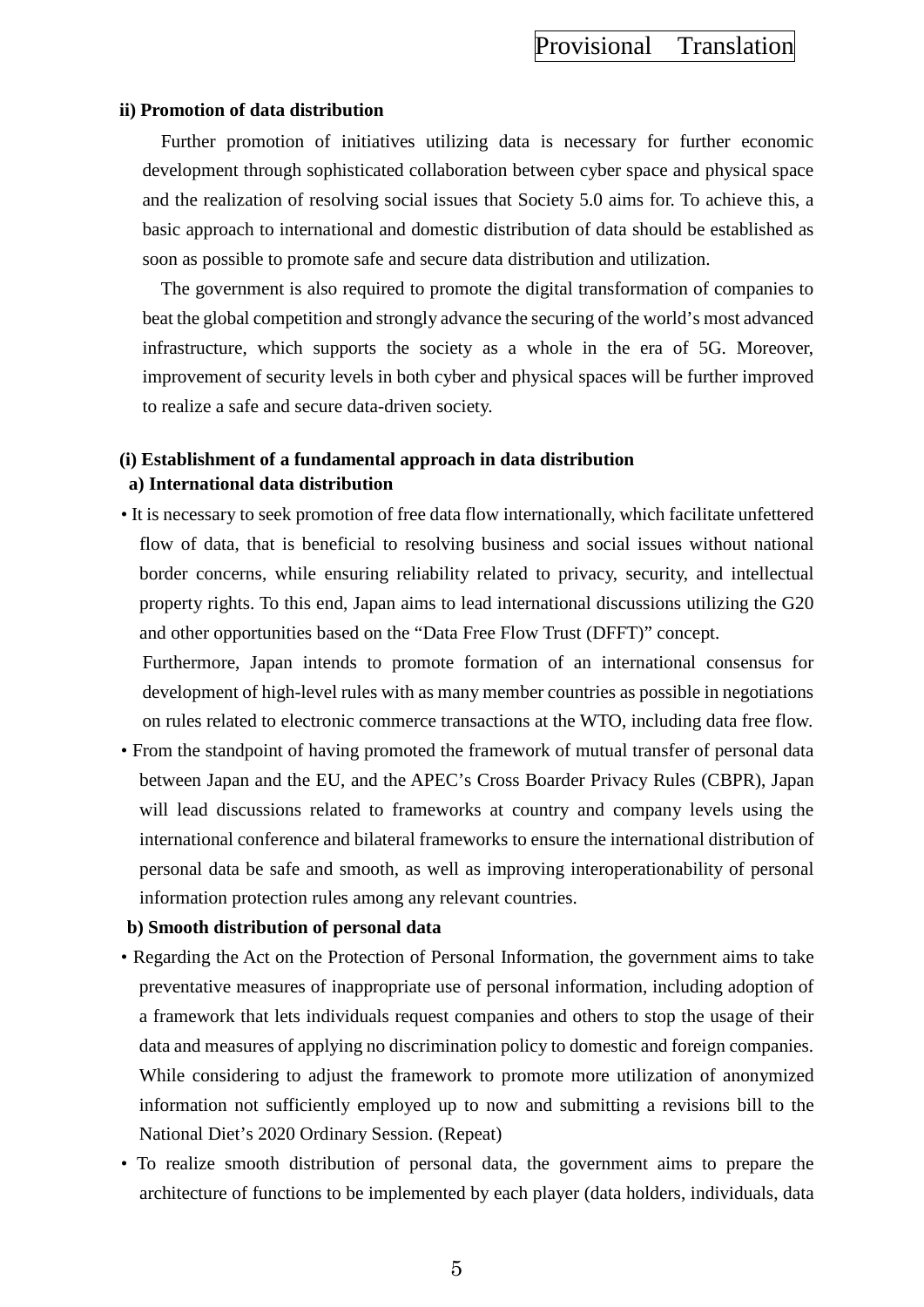#### **ii) Promotion of data distribution**

Further promotion of initiatives utilizing data is necessary for further economic development through sophisticated collaboration between cyber space and physical space and the realization of resolving social issues that Society 5.0 aims for. To achieve this, a basic approach to international and domestic distribution of data should be established as soon as possible to promote safe and secure data distribution and utilization.

The government is also required to promote the digital transformation of companies to beat the global competition and strongly advance the securing of the world's most advanced infrastructure, which supports the society as a whole in the era of 5G. Moreover, improvement of security levels in both cyber and physical spaces will be further improved to realize a safe and secure data-driven society.

### **(i) Establishment of a fundamental approach in data distribution a) International data distribution**

• It is necessary to seek promotion of free data flow internationally, which facilitate unfettered flow of data, that is beneficial to resolving business and social issues without national border concerns, while ensuring reliability related to privacy, security, and intellectual property rights. To this end, Japan aims to lead international discussions utilizing the G20 and other opportunities based on the "Data Free Flow Trust (DFFT)" concept.

Furthermore, Japan intends to promote formation of an international consensus for development of high-level rules with as many member countries as possible in negotiations on rules related to electronic commerce transactions at the WTO, including data free flow.

• From the standpoint of having promoted the framework of mutual transfer of personal data between Japan and the EU, and the APEC's Cross Boarder Privacy Rules (CBPR), Japan will lead discussions related to frameworks at country and company levels using the international conference and bilateral frameworks to ensure the international distribution of personal data be safe and smooth, as well as improving interoperationability of personal information protection rules among any relevant countries.

#### **b) Smooth distribution of personal data**

- Regarding the Act on the Protection of Personal Information, the government aims to take preventative measures of inappropriate use of personal information, including adoption of a framework that lets individuals request companies and others to stop the usage of their data and measures of applying no discrimination policy to domestic and foreign companies. While considering to adjust the framework to promote more utilization of anonymized information not sufficiently employed up to now and submitting a revisions bill to the National Diet's 2020 Ordinary Session. (Repeat)
- To realize smooth distribution of personal data, the government aims to prepare the architecture of functions to be implemented by each player (data holders, individuals, data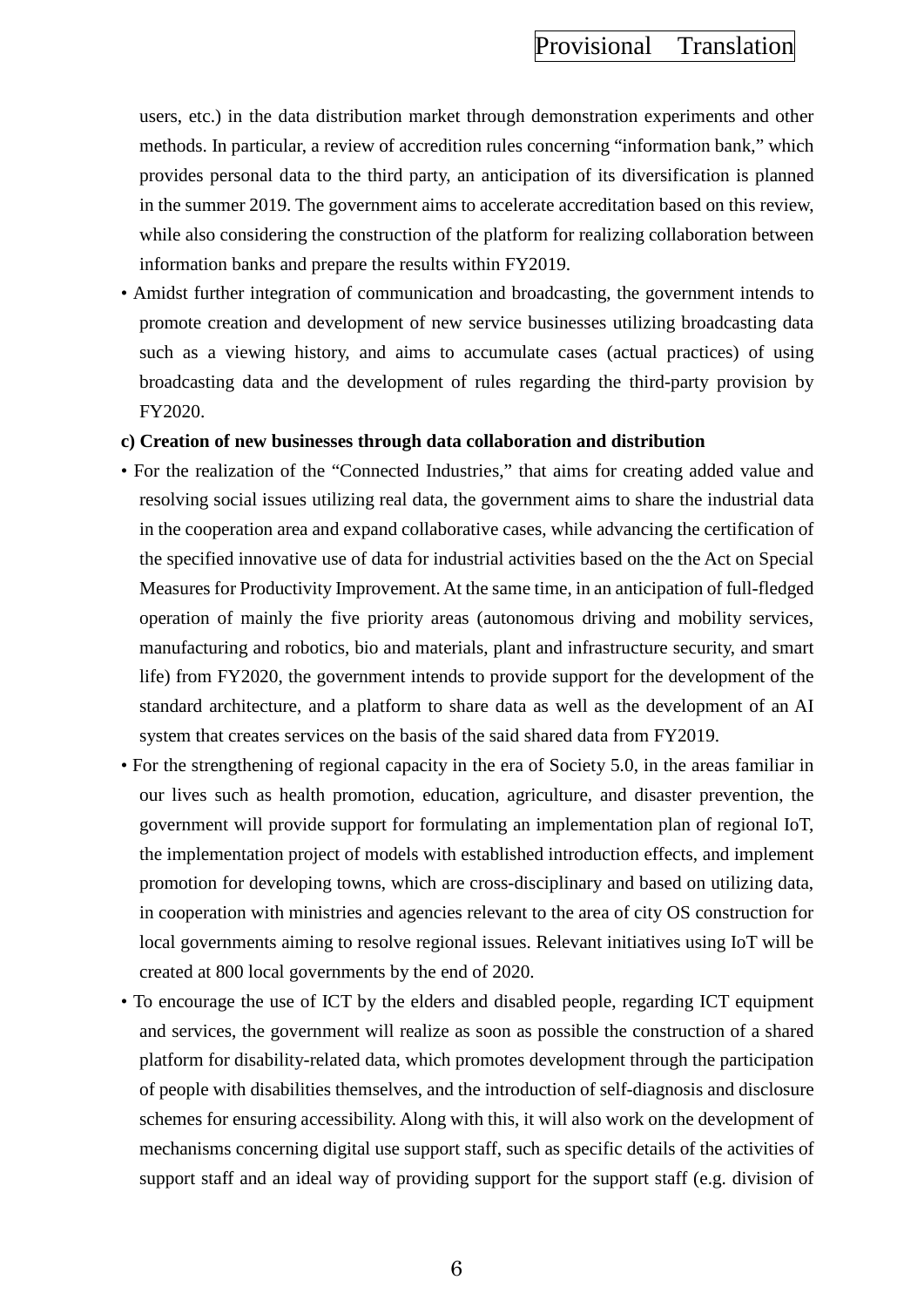users, etc.) in the data distribution market through demonstration experiments and other methods. In particular, a review of accredition rules concerning "information bank," which provides personal data to the third party, an anticipation of its diversification is planned in the summer 2019. The government aims to accelerate accreditation based on this review, while also considering the construction of the platform for realizing collaboration between information banks and prepare the results within FY2019.

• Amidst further integration of communication and broadcasting, the government intends to promote creation and development of new service businesses utilizing broadcasting data such as a viewing history, and aims to accumulate cases (actual practices) of using broadcasting data and the development of rules regarding the third-party provision by FY2020.

#### **c) Creation of new businesses through data collaboration and distribution**

- For the realization of the "Connected Industries," that aims for creating added value and resolving social issues utilizing real data, the government aims to share the industrial data in the cooperation area and expand collaborative cases, while advancing the certification of the specified innovative use of data for industrial activities based on the the Act on Special Measures for Productivity Improvement. At the same time, in an anticipation of full-fledged operation of mainly the five priority areas (autonomous driving and mobility services, manufacturing and robotics, bio and materials, plant and infrastructure security, and smart life) from FY2020, the government intends to provide support for the development of the standard architecture, and a platform to share data as well as the development of an AI system that creates services on the basis of the said shared data from FY2019.
- For the strengthening of regional capacity in the era of Society 5.0, in the areas familiar in our lives such as health promotion, education, agriculture, and disaster prevention, the government will provide support for formulating an implementation plan of regional IoT, the implementation project of models with established introduction effects, and implement promotion for developing towns, which are cross-disciplinary and based on utilizing data, in cooperation with ministries and agencies relevant to the area of city OS construction for local governments aiming to resolve regional issues. Relevant initiatives using IoT will be created at 800 local governments by the end of 2020.
- To encourage the use of ICT by the elders and disabled people, regarding ICT equipment and services, the government will realize as soon as possible the construction of a shared platform for disability-related data, which promotes development through the participation of people with disabilities themselves, and the introduction of self-diagnosis and disclosure schemes for ensuring accessibility. Along with this, it will also work on the development of mechanisms concerning digital use support staff, such as specific details of the activities of support staff and an ideal way of providing support for the support staff (e.g. division of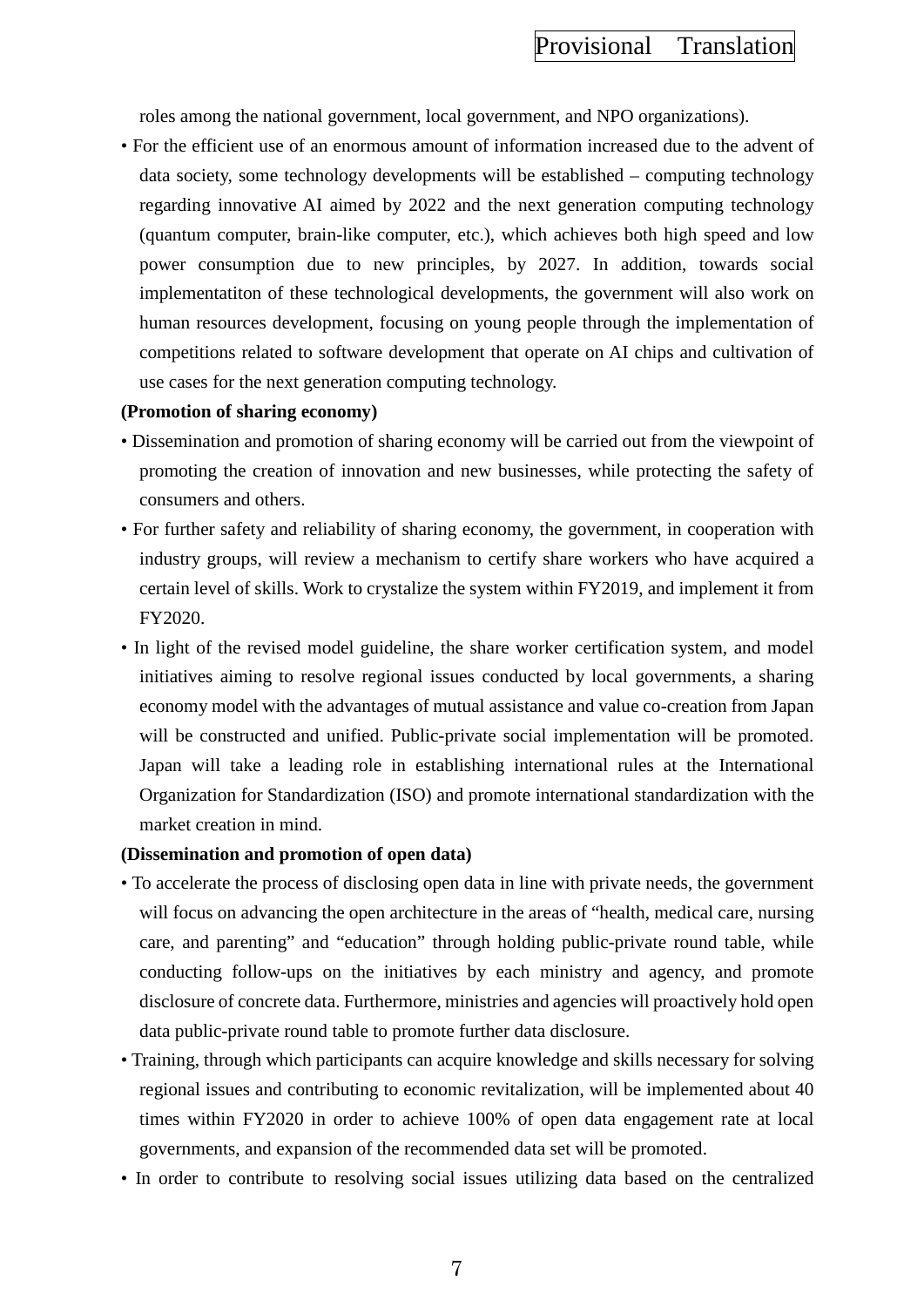roles among the national government, local government, and NPO organizations).

• For the efficient use of an enormous amount of information increased due to the advent of data society, some technology developments will be established – computing technology regarding innovative AI aimed by 2022 and the next generation computing technology (quantum computer, brain-like computer, etc.), which achieves both high speed and low power consumption due to new principles, by 2027. In addition, towards social implementatiton of these technological developments, the government will also work on human resources development, focusing on young people through the implementation of competitions related to software development that operate on AI chips and cultivation of use cases for the next generation computing technology.

#### **(Promotion of sharing economy)**

- Dissemination and promotion of sharing economy will be carried out from the viewpoint of promoting the creation of innovation and new businesses, while protecting the safety of consumers and others.
- For further safety and reliability of sharing economy, the government, in cooperation with industry groups, will review a mechanism to certify share workers who have acquired a certain level of skills. Work to crystalize the system within FY2019, and implement it from FY2020.
- In light of the revised model guideline, the share worker certification system, and model initiatives aiming to resolve regional issues conducted by local governments, a sharing economy model with the advantages of mutual assistance and value co-creation from Japan will be constructed and unified. Public-private social implementation will be promoted. Japan will take a leading role in establishing international rules at the International Organization for Standardization (ISO) and promote international standardization with the market creation in mind.

#### **(Dissemination and promotion of open data)**

- To accelerate the process of disclosing open data in line with private needs, the government will focus on advancing the open architecture in the areas of "health, medical care, nursing care, and parenting" and "education" through holding public-private round table, while conducting follow-ups on the initiatives by each ministry and agency, and promote disclosure of concrete data. Furthermore, ministries and agencies will proactively hold open data public-private round table to promote further data disclosure.
- Training, through which participants can acquire knowledge and skills necessary for solving regional issues and contributing to economic revitalization, will be implemented about 40 times within FY2020 in order to achieve 100% of open data engagement rate at local governments, and expansion of the recommended data set will be promoted.
- In order to contribute to resolving social issues utilizing data based on the centralized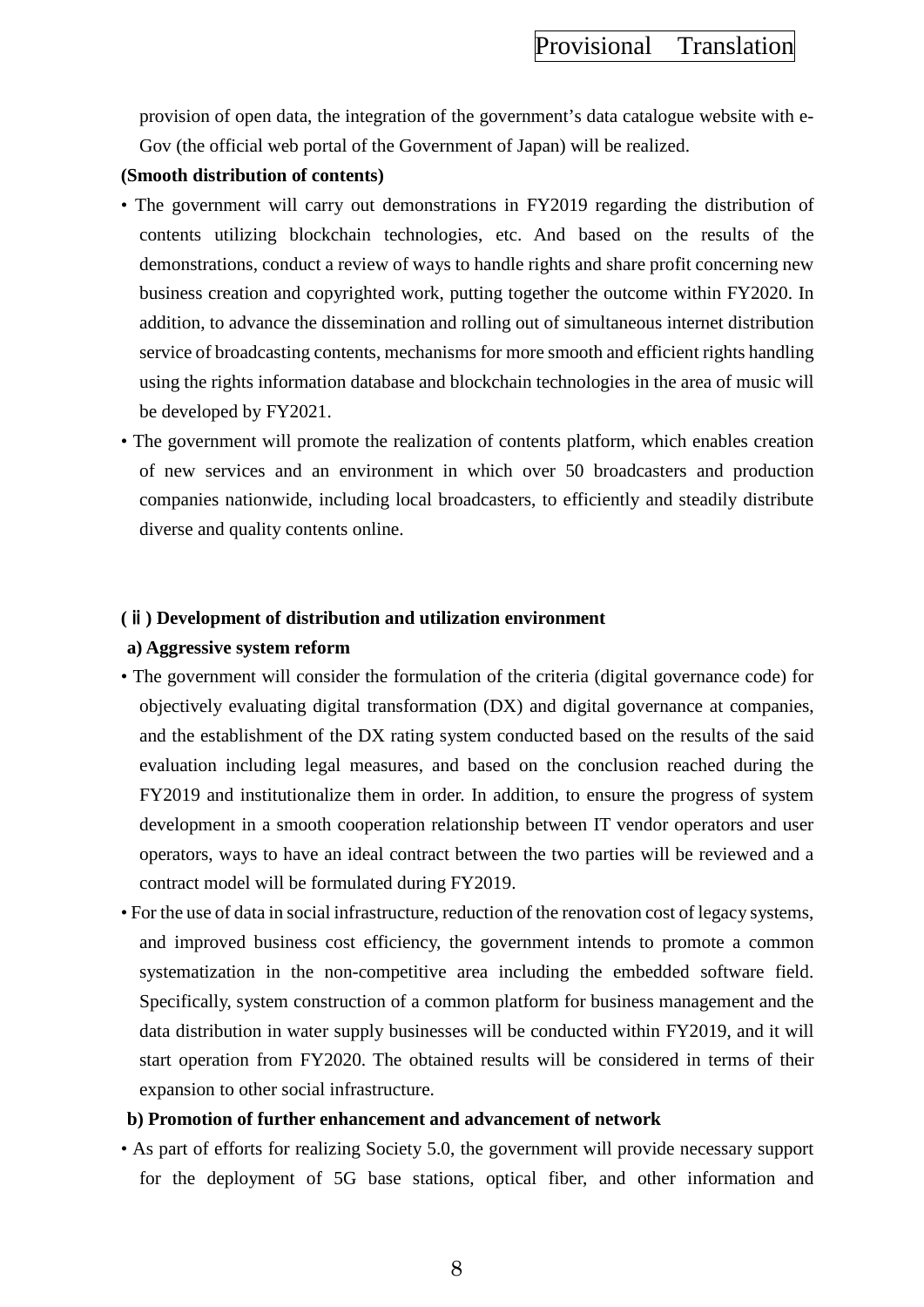provision of open data, the integration of the government's data catalogue website with e-Gov (the official web portal of the Government of Japan) will be realized.

### **(Smooth distribution of contents)**

- The government will carry out demonstrations in FY2019 regarding the distribution of contents utilizing blockchain technologies, etc. And based on the results of the demonstrations, conduct a review of ways to handle rights and share profit concerning new business creation and copyrighted work, putting together the outcome within FY2020. In addition, to advance the dissemination and rolling out of simultaneous internet distribution service of broadcasting contents, mechanisms for more smooth and efficient rights handling using the rights information database and blockchain technologies in the area of music will be developed by FY2021.
- The government will promote the realization of contents platform, which enables creation of new services and an environment in which over 50 broadcasters and production companies nationwide, including local broadcasters, to efficiently and steadily distribute diverse and quality contents online.

### **(**ⅱ**) Development of distribution and utilization environment**

### **a) Aggressive system reform**

- The government will consider the formulation of the criteria (digital governance code) for objectively evaluating digital transformation (DX) and digital governance at companies, and the establishment of the DX rating system conducted based on the results of the said evaluation including legal measures, and based on the conclusion reached during the FY2019 and institutionalize them in order. In addition, to ensure the progress of system development in a smooth cooperation relationship between IT vendor operators and user operators, ways to have an ideal contract between the two parties will be reviewed and a contract model will be formulated during FY2019.
- For the use of data in social infrastructure, reduction of the renovation cost of legacy systems, and improved business cost efficiency, the government intends to promote a common systematization in the non-competitive area including the embedded software field. Specifically, system construction of a common platform for business management and the data distribution in water supply businesses will be conducted within FY2019, and it will start operation from FY2020. The obtained results will be considered in terms of their expansion to other social infrastructure.

### **b) Promotion of further enhancement and advancement of network**

• As part of efforts for realizing Society 5.0, the government will provide necessary support for the deployment of 5G base stations, optical fiber, and other information and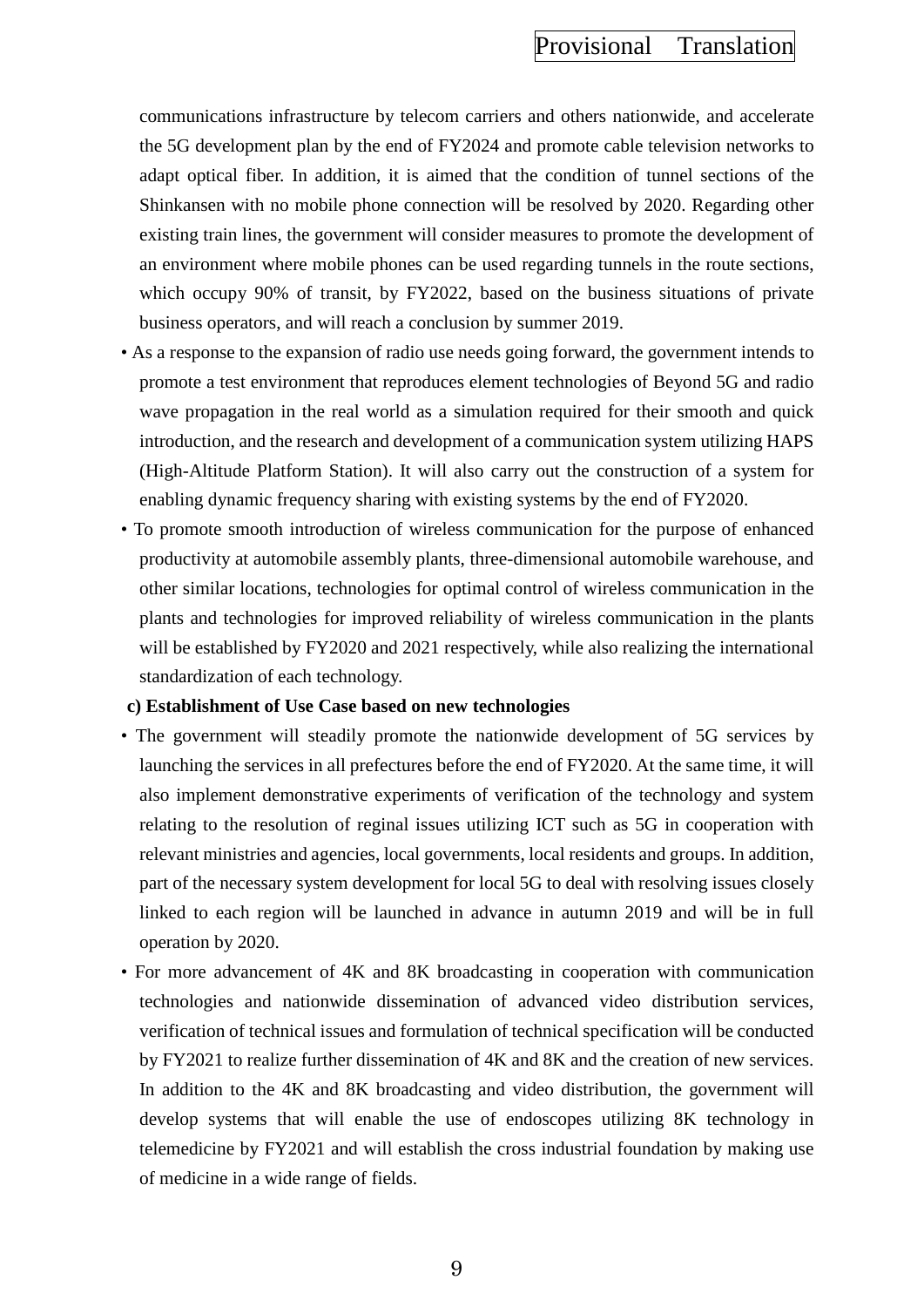communications infrastructure by telecom carriers and others nationwide, and accelerate the 5G development plan by the end of FY2024 and promote cable television networks to adapt optical fiber. In addition, it is aimed that the condition of tunnel sections of the Shinkansen with no mobile phone connection will be resolved by 2020. Regarding other existing train lines, the government will consider measures to promote the development of an environment where mobile phones can be used regarding tunnels in the route sections, which occupy 90% of transit, by FY2022, based on the business situations of private business operators, and will reach a conclusion by summer 2019.

- As a response to the expansion of radio use needs going forward, the government intends to promote a test environment that reproduces element technologies of Beyond 5G and radio wave propagation in the real world as a simulation required for their smooth and quick introduction, and the research and development of a communication system utilizing HAPS (High-Altitude Platform Station). It will also carry out the construction of a system for enabling dynamic frequency sharing with existing systems by the end of FY2020.
- To promote smooth introduction of wireless communication for the purpose of enhanced productivity at automobile assembly plants, three-dimensional automobile warehouse, and other similar locations, technologies for optimal control of wireless communication in the plants and technologies for improved reliability of wireless communication in the plants will be established by FY2020 and 2021 respectively, while also realizing the international standardization of each technology.

#### **c) Establishment of Use Case based on new technologies**

- The government will steadily promote the nationwide development of 5G services by launching the services in all prefectures before the end of FY2020. At the same time, it will also implement demonstrative experiments of verification of the technology and system relating to the resolution of reginal issues utilizing ICT such as 5G in cooperation with relevant ministries and agencies, local governments, local residents and groups. In addition, part of the necessary system development for local 5G to deal with resolving issues closely linked to each region will be launched in advance in autumn 2019 and will be in full operation by 2020.
- For more advancement of 4K and 8K broadcasting in cooperation with communication technologies and nationwide dissemination of advanced video distribution services, verification of technical issues and formulation of technical specification will be conducted by FY2021 to realize further dissemination of 4K and 8K and the creation of new services. In addition to the 4K and 8K broadcasting and video distribution, the government will develop systems that will enable the use of endoscopes utilizing 8K technology in telemedicine by FY2021 and will establish the cross industrial foundation by making use of medicine in a wide range of fields.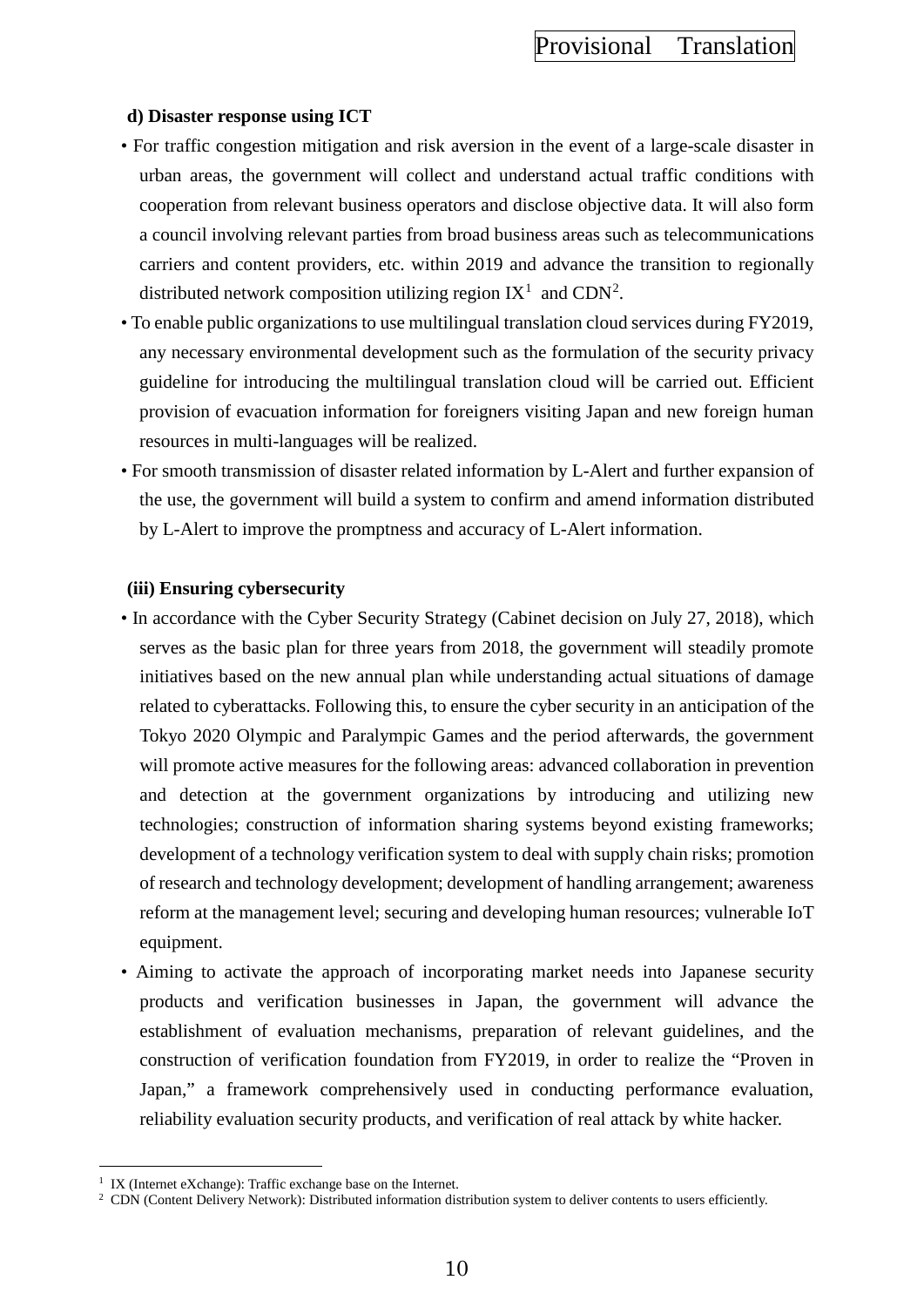### **d) Disaster response using ICT**

- For traffic congestion mitigation and risk aversion in the event of a large-scale disaster in urban areas, the government will collect and understand actual traffic conditions with cooperation from relevant business operators and disclose objective data. It will also form a council involving relevant parties from broad business areas such as telecommunications carriers and content providers, etc. within 2019 and advance the transition to regionally distributed network composition utilizing region  $IX^1$  $IX^1$  and  $CDN^2$  $CDN^2$ .
- To enable public organizations to use multilingual translation cloud services during FY2019, any necessary environmental development such as the formulation of the security privacy guideline for introducing the multilingual translation cloud will be carried out. Efficient provision of evacuation information for foreigners visiting Japan and new foreign human resources in multi-languages will be realized.
- For smooth transmission of disaster related information by L-Alert and further expansion of the use, the government will build a system to confirm and amend information distributed by L-Alert to improve the promptness and accuracy of L-Alert information.

### **(iii) Ensuring cybersecurity**

- In accordance with the Cyber Security Strategy (Cabinet decision on July 27, 2018), which serves as the basic plan for three years from 2018, the government will steadily promote initiatives based on the new annual plan while understanding actual situations of damage related to cyberattacks. Following this, to ensure the cyber security in an anticipation of the Tokyo 2020 Olympic and Paralympic Games and the period afterwards, the government will promote active measures for the following areas: advanced collaboration in prevention and detection at the government organizations by introducing and utilizing new technologies; construction of information sharing systems beyond existing frameworks; development of a technology verification system to deal with supply chain risks; promotion of research and technology development; development of handling arrangement; awareness reform at the management level; securing and developing human resources; vulnerable IoT equipment.
- Aiming to activate the approach of incorporating market needs into Japanese security products and verification businesses in Japan, the government will advance the establishment of evaluation mechanisms, preparation of relevant guidelines, and the construction of verification foundation from FY2019, in order to realize the "Proven in Japan," a framework comprehensively used in conducting performance evaluation, reliability evaluation security products, and verification of real attack by white hacker.

 $\overline{a}$ 

<span id="page-19-0"></span><sup>&</sup>lt;sup>1</sup> IX (Internet eXchange): Traffic exchange base on the Internet.

<span id="page-19-1"></span><sup>2</sup> CDN (Content Delivery Network): Distributed information distribution system to deliver contents to users efficiently.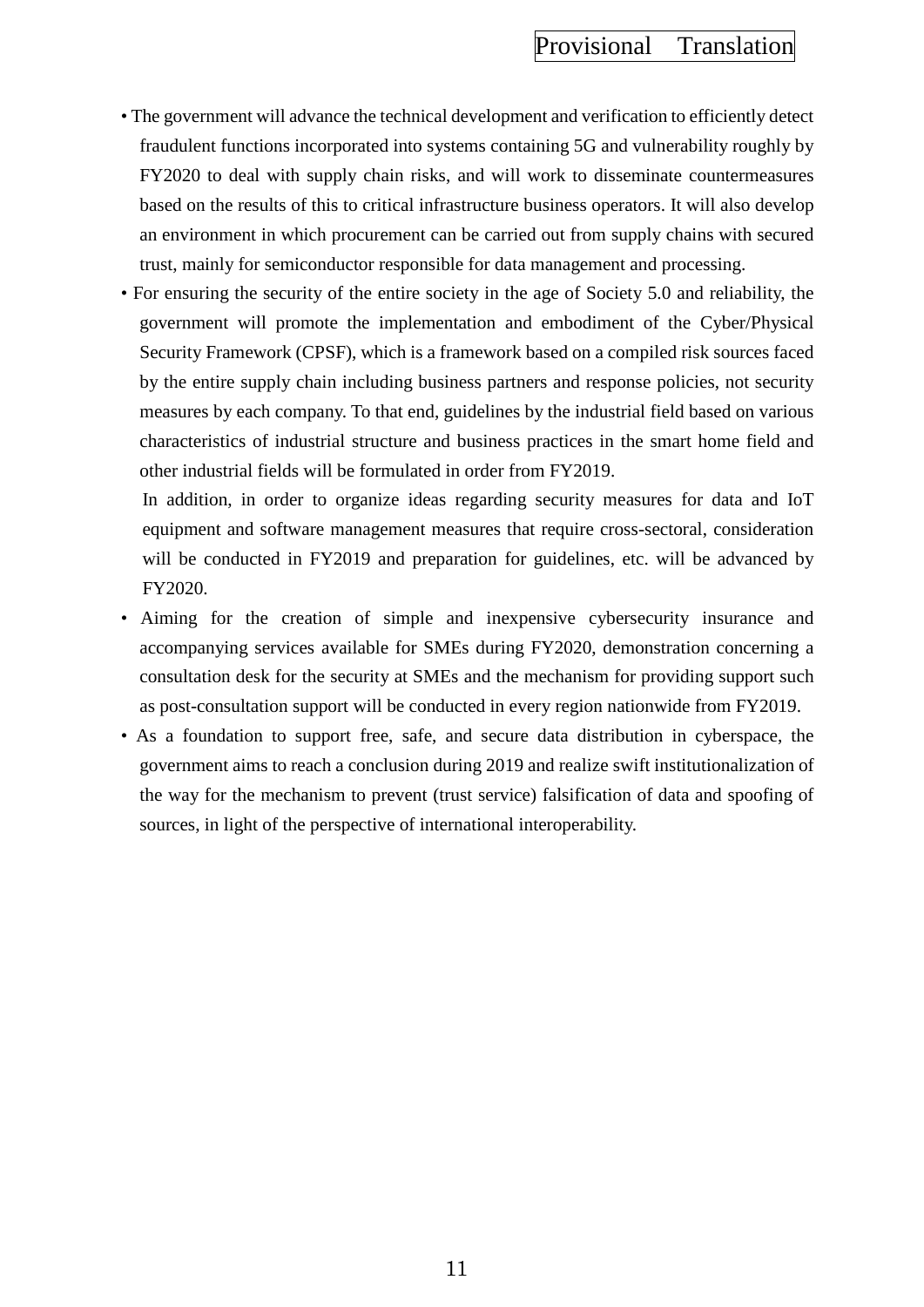- The government will advance the technical development and verification to efficiently detect fraudulent functions incorporated into systems containing 5G and vulnerability roughly by FY2020 to deal with supply chain risks, and will work to disseminate countermeasures based on the results of this to critical infrastructure business operators. It will also develop an environment in which procurement can be carried out from supply chains with secured trust, mainly for semiconductor responsible for data management and processing.
- For ensuring the security of the entire society in the age of Society 5.0 and reliability, the government will promote the implementation and embodiment of the Cyber/Physical Security Framework (CPSF), which is a framework based on a compiled risk sources faced by the entire supply chain including business partners and response policies, not security measures by each company. To that end, guidelines by the industrial field based on various characteristics of industrial structure and business practices in the smart home field and other industrial fields will be formulated in order from FY2019.

In addition, in order to organize ideas regarding security measures for data and IoT equipment and software management measures that require cross-sectoral, consideration will be conducted in FY2019 and preparation for guidelines, etc. will be advanced by FY2020.

- Aiming for the creation of simple and inexpensive cybersecurity insurance and accompanying services available for SMEs during FY2020, demonstration concerning a consultation desk for the security at SMEs and the mechanism for providing support such as post-consultation support will be conducted in every region nationwide from FY2019.
- As a foundation to support free, safe, and secure data distribution in cyberspace, the government aims to reach a conclusion during 2019 and realize swift institutionalization of the way for the mechanism to prevent (trust service) falsification of data and spoofing of sources, in light of the perspective of international interoperability.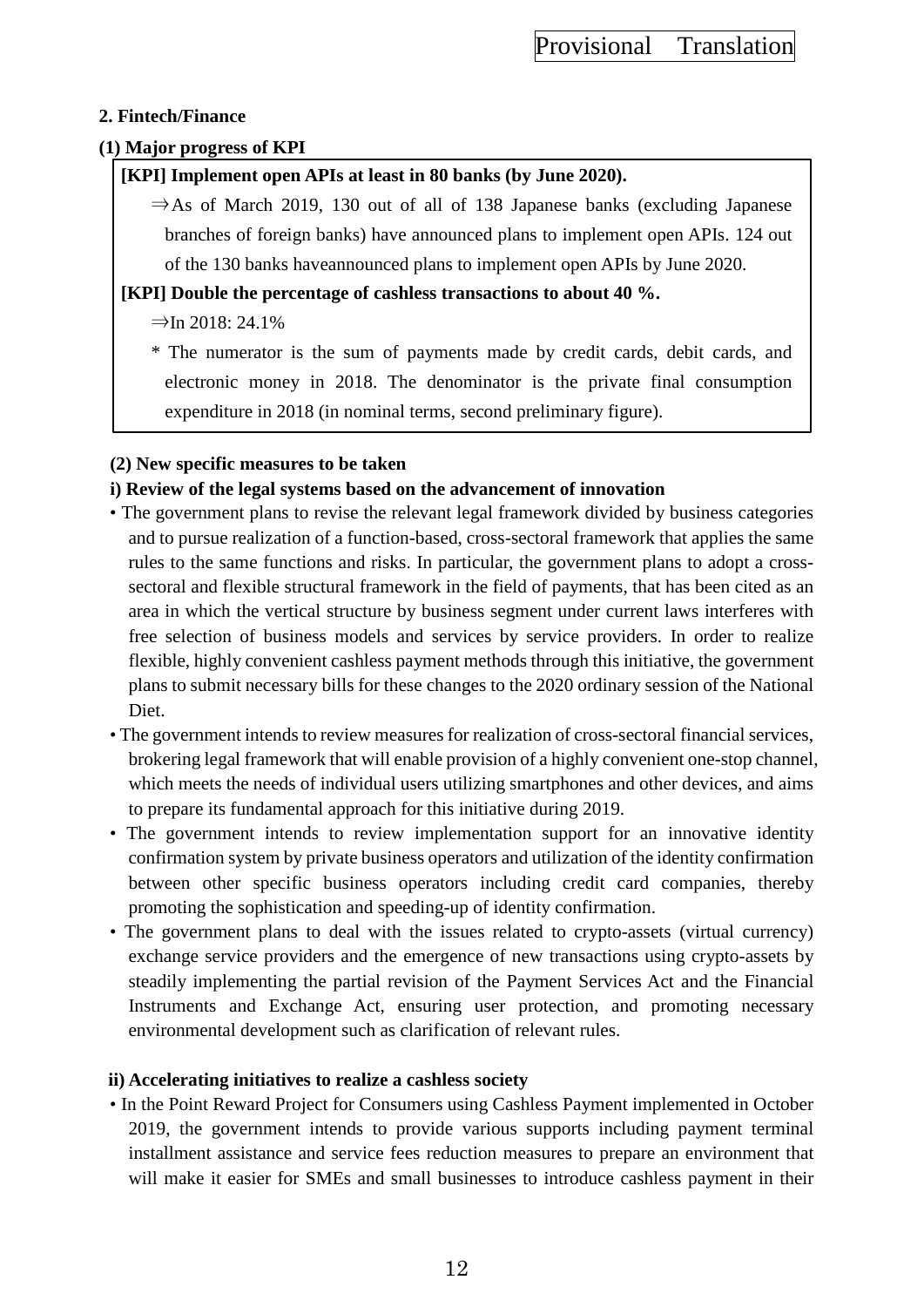## **2. Fintech/Finance**

## **(1) Major progress of KPI**

# **[KPI] Implement open APIs at least in 80 banks (by June 2020).**

 $\Rightarrow$  As of March 2019, 130 out of all of 138 Japanese banks (excluding Japanese branches of foreign banks) have announced plans to implement open APIs. 124 out of the 130 banks haveannounced plans to implement open APIs by June 2020.

# **[KPI] Double the percentage of cashless transactions to about 40 %.**

# $\Rightarrow$  In 2018: 24.1%

\* The numerator is the sum of payments made by credit cards, debit cards, and electronic money in 2018. The denominator is the private final consumption expenditure in 2018 (in nominal terms, second preliminary figure).

# **(2) New specific measures to be taken**

# **i) Review of the legal systems based on the advancement of innovation**

- The government plans to revise the relevant legal framework divided by business categories and to pursue realization of a function-based, cross-sectoral framework that applies the same rules to the same functions and risks. In particular, the government plans to adopt a crosssectoral and flexible structural framework in the field of payments, that has been cited as an area in which the vertical structure by business segment under current laws interferes with free selection of business models and services by service providers. In order to realize flexible, highly convenient cashless payment methods through this initiative, the government plans to submit necessary bills for these changes to the 2020 ordinary session of the National Diet.
- The government intends to review measures for realization of cross-sectoral financial services, brokering legal framework that will enable provision of a highly convenient one-stop channel, which meets the needs of individual users utilizing smartphones and other devices, and aims to prepare its fundamental approach for this initiative during 2019.
- The government intends to review implementation support for an innovative identity confirmation system by private business operators and utilization of the identity confirmation between other specific business operators including credit card companies, thereby promoting the sophistication and speeding-up of identity confirmation.
- The government plans to deal with the issues related to crypto-assets (virtual currency) exchange service providers and the emergence of new transactions using crypto-assets by steadily implementing the partial revision of the Payment Services Act and the Financial Instruments and Exchange Act, ensuring user protection, and promoting necessary environmental development such as clarification of relevant rules.

## **ii) Accelerating initiatives to realize a cashless society**

• In the Point Reward Project for Consumers using Cashless Payment implemented in October 2019, the government intends to provide various supports including payment terminal installment assistance and service fees reduction measures to prepare an environment that will make it easier for SMEs and small businesses to introduce cashless payment in their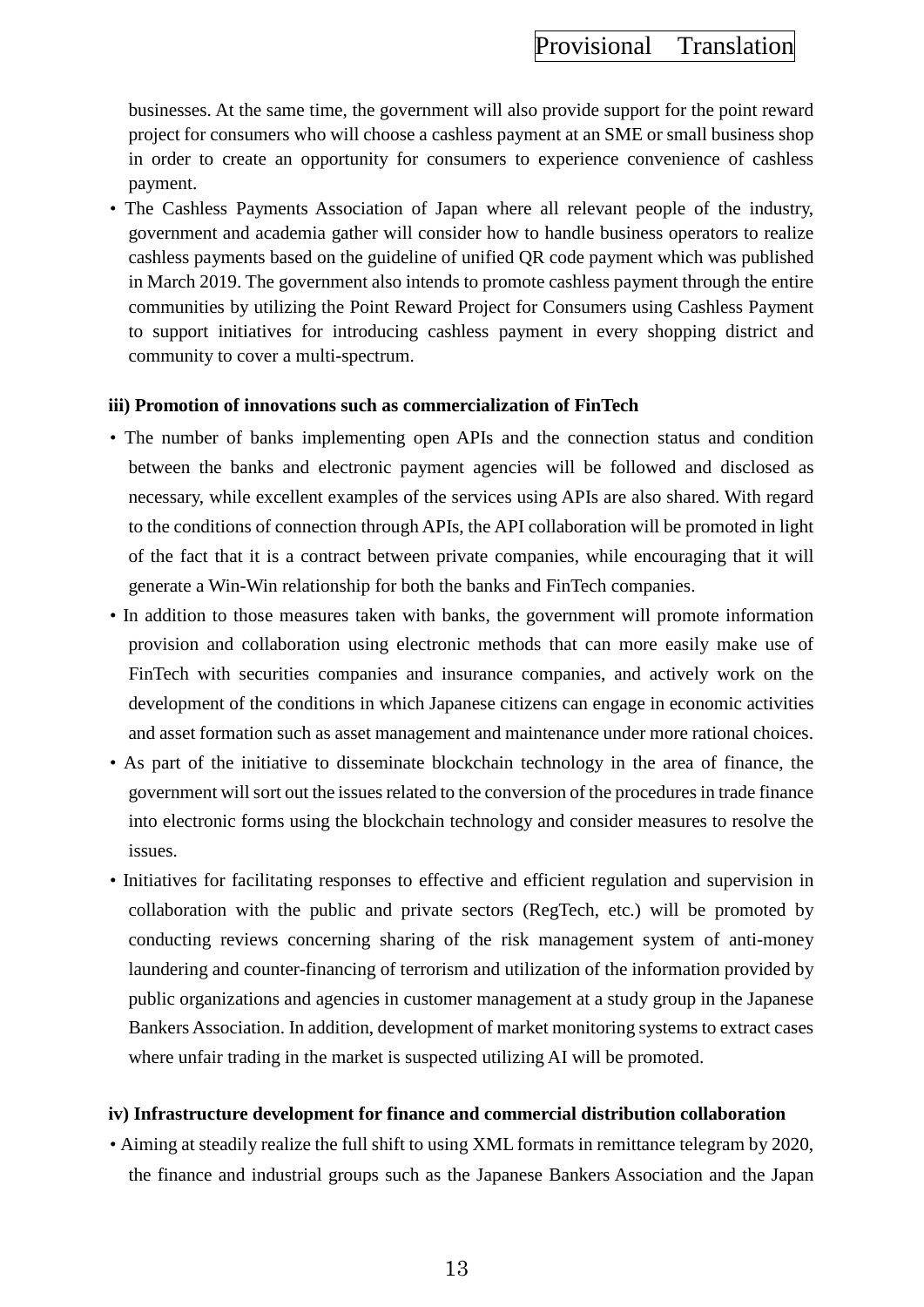businesses. At the same time, the government will also provide support for the point reward project for consumers who will choose a cashless payment at an SME or small business shop in order to create an opportunity for consumers to experience convenience of cashless payment.

• The Cashless Payments Association of Japan where all relevant people of the industry, government and academia gather will consider how to handle business operators to realize cashless payments based on the guideline of unified QR code payment which was published in March 2019. The government also intends to promote cashless payment through the entire communities by utilizing the Point Reward Project for Consumers using Cashless Payment to support initiatives for introducing cashless payment in every shopping district and community to cover a multi-spectrum.

#### **iii) Promotion of innovations such as commercialization of FinTech**

- The number of banks implementing open APIs and the connection status and condition between the banks and electronic payment agencies will be followed and disclosed as necessary, while excellent examples of the services using APIs are also shared. With regard to the conditions of connection through APIs, the API collaboration will be promoted in light of the fact that it is a contract between private companies, while encouraging that it will generate a Win-Win relationship for both the banks and FinTech companies.
- In addition to those measures taken with banks, the government will promote information provision and collaboration using electronic methods that can more easily make use of FinTech with securities companies and insurance companies, and actively work on the development of the conditions in which Japanese citizens can engage in economic activities and asset formation such as asset management and maintenance under more rational choices.
- As part of the initiative to disseminate blockchain technology in the area of finance, the government will sort out the issues related to the conversion of the procedures in trade finance into electronic forms using the blockchain technology and consider measures to resolve the issues.
- Initiatives for facilitating responses to effective and efficient regulation and supervision in collaboration with the public and private sectors (RegTech, etc.) will be promoted by conducting reviews concerning sharing of the risk management system of anti-money laundering and counter-financing of terrorism and utilization of the information provided by public organizations and agencies in customer management at a study group in the Japanese Bankers Association. In addition, development of market monitoring systems to extract cases where unfair trading in the market is suspected utilizing AI will be promoted.

#### **iv) Infrastructure development for finance and commercial distribution collaboration**

• Aiming at steadily realize the full shift to using XML formats in remittance telegram by 2020, the finance and industrial groups such as the Japanese Bankers Association and the Japan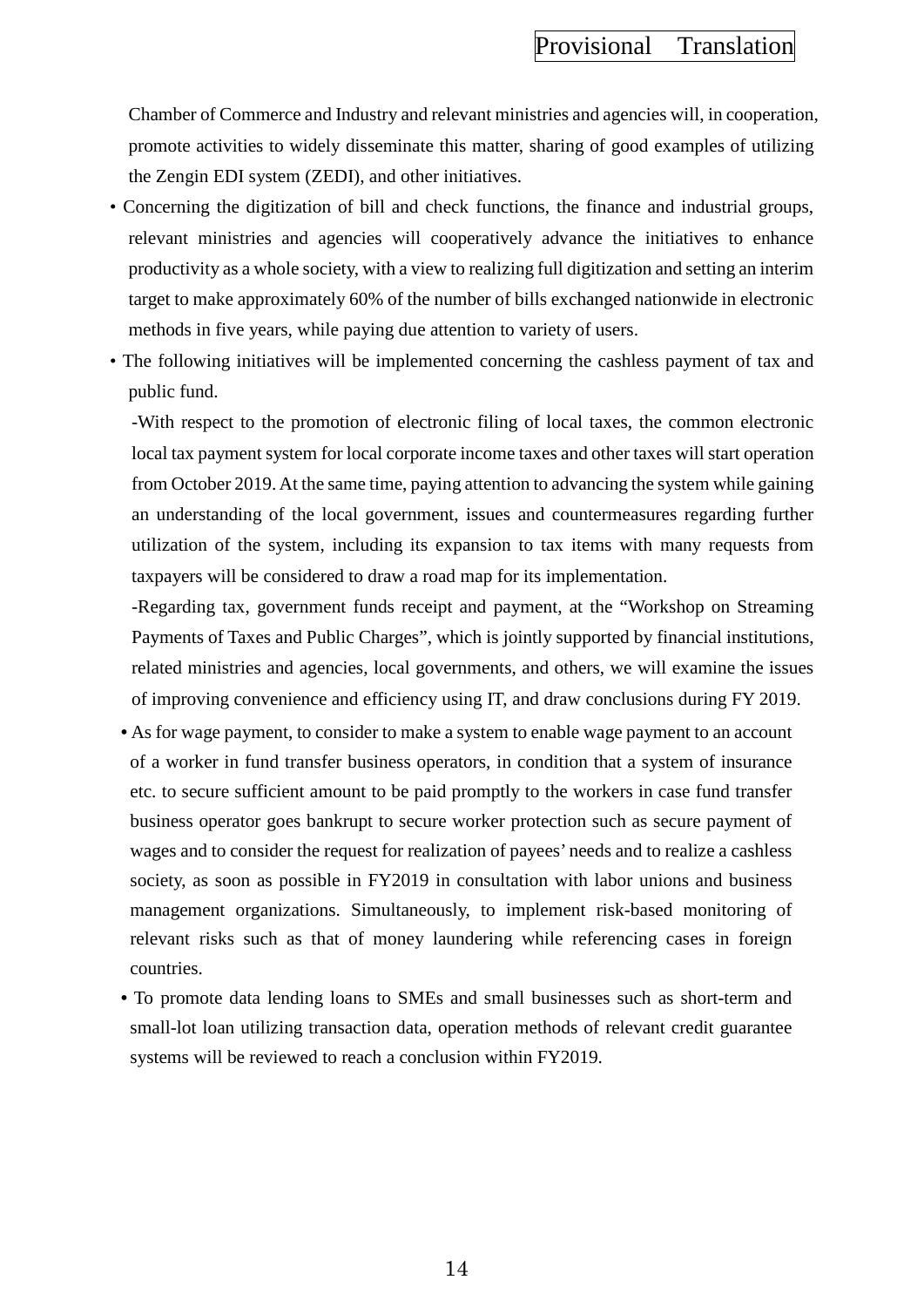Chamber of Commerce and Industry and relevant ministries and agencies will, in cooperation, promote activities to widely disseminate this matter, sharing of good examples of utilizing the Zengin EDI system (ZEDI), and other initiatives.

- Concerning the digitization of bill and check functions, the finance and industrial groups, relevant ministries and agencies will cooperatively advance the initiatives to enhance productivity as a whole society, with a view to realizing full digitization and setting an interim target to make approximately 60% of the number of bills exchanged nationwide in electronic methods in five years, while paying due attention to variety of users.
- The following initiatives will be implemented concerning the cashless payment of tax and public fund.

-With respect to the promotion of electronic filing of local taxes, the common electronic local tax payment system for local corporate income taxes and other taxes will start operation from October 2019. At the same time, paying attention to advancing the system while gaining an understanding of the local government, issues and countermeasures regarding further utilization of the system, including its expansion to tax items with many requests from taxpayers will be considered to draw a road map for its implementation.

-Regarding tax, government funds receipt and payment, at the "Workshop on Streaming Payments of Taxes and Public Charges", which is jointly supported by financial institutions, related ministries and agencies, local governments, and others, we will examine the issues of improving convenience and efficiency using IT, and draw conclusions during FY 2019.

- As for wage payment, to consider to make a system to enable wage payment to an account of a worker in fund transfer business operators, in condition that a system of insurance etc. to secure sufficient amount to be paid promptly to the workers in case fund transfer business operator goes bankrupt to secure worker protection such as secure payment of wages and to consider the request for realization of payees' needs and to realize a cashless society, as soon as possible in FY2019 in consultation with labor unions and business management organizations. Simultaneously, to implement risk-based monitoring of relevant risks such as that of money laundering while referencing cases in foreign countries.
- To promote data lending loans to SMEs and small businesses such as short-term and small-lot loan utilizing transaction data, operation methods of relevant credit guarantee systems will be reviewed to reach a conclusion within FY2019.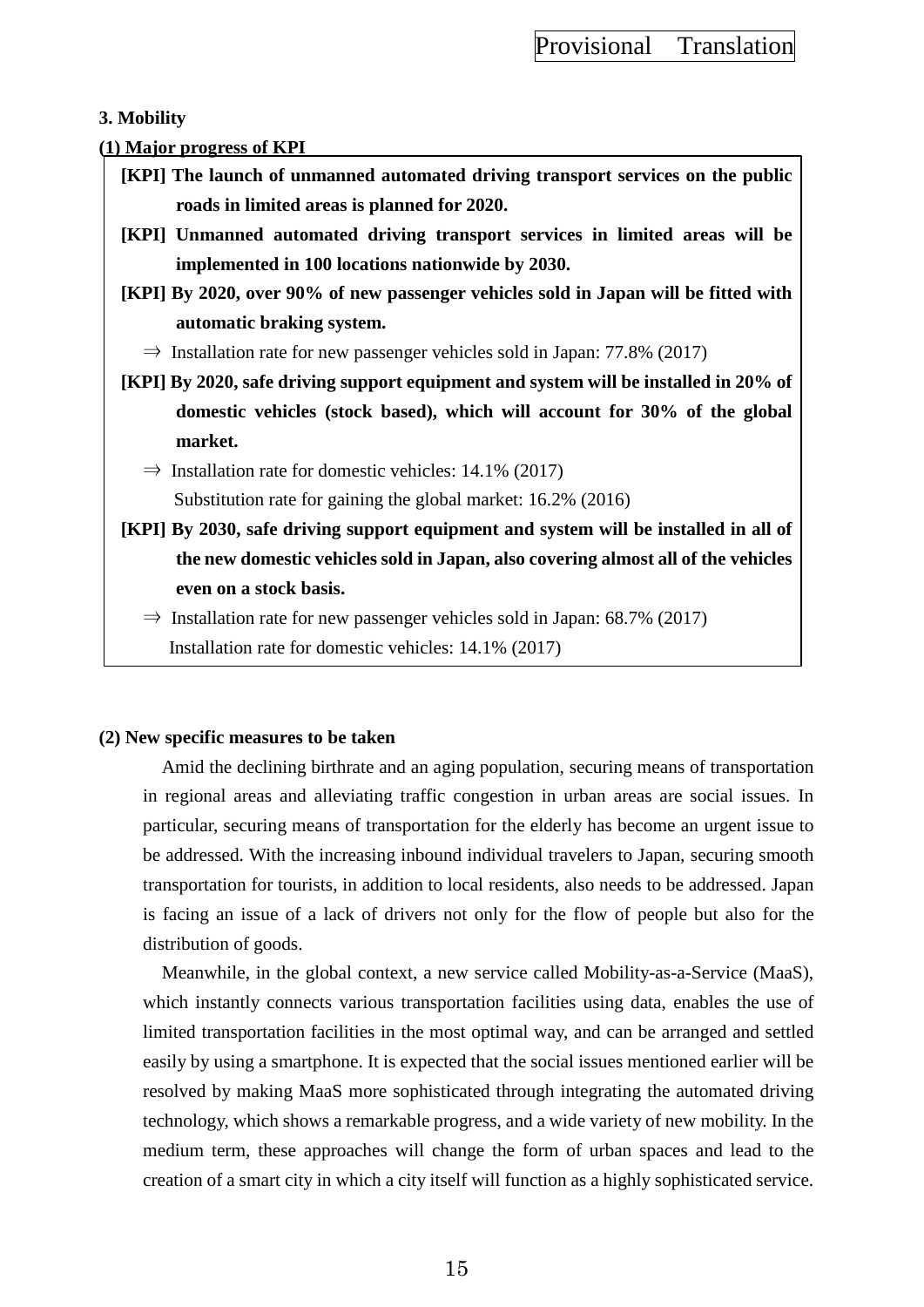### **3. Mobility**

#### **(1) Major progress of KPI**

- **[KPI] The launch of unmanned automated driving transport services on the public roads in limited areas is planned for 2020.**
- **[KPI] Unmanned automated driving transport services in limited areas will be implemented in 100 locations nationwide by 2030.**
- **[KPI] By 2020, over 90% of new passenger vehicles sold in Japan will be fitted with automatic braking system.** 
	- $\Rightarrow$  Installation rate for new passenger vehicles sold in Japan: 77.8% (2017)
- **[KPI] By 2020, safe driving support equipment and system will be installed in 20% of domestic vehicles (stock based), which will account for 30% of the global market.** 
	- $\Rightarrow$  Installation rate for domestic vehicles: 14.1% (2017)

Substitution rate for gaining the global market: 16.2% (2016)

**[KPI] By 2030, safe driving support equipment and system will be installed in all of the new domestic vehicles sold in Japan, also covering almost all of the vehicles even on a stock basis.** 

 $\Rightarrow$  Installation rate for new passenger vehicles sold in Japan: 68.7% (2017) Installation rate for domestic vehicles: 14.1% (2017)

#### **(2) New specific measures to be taken**

Amid the declining birthrate and an aging population, securing means of transportation in regional areas and alleviating traffic congestion in urban areas are social issues. In particular, securing means of transportation for the elderly has become an urgent issue to be addressed. With the increasing inbound individual travelers to Japan, securing smooth transportation for tourists, in addition to local residents, also needs to be addressed. Japan is facing an issue of a lack of drivers not only for the flow of people but also for the distribution of goods.

Meanwhile, in the global context, a new service called Mobility-as-a-Service (MaaS), which instantly connects various transportation facilities using data, enables the use of limited transportation facilities in the most optimal way, and can be arranged and settled easily by using a smartphone. It is expected that the social issues mentioned earlier will be resolved by making MaaS more sophisticated through integrating the automated driving technology, which shows a remarkable progress, and a wide variety of new mobility. In the medium term, these approaches will change the form of urban spaces and lead to the creation of a smart city in which a city itself will function as a highly sophisticated service.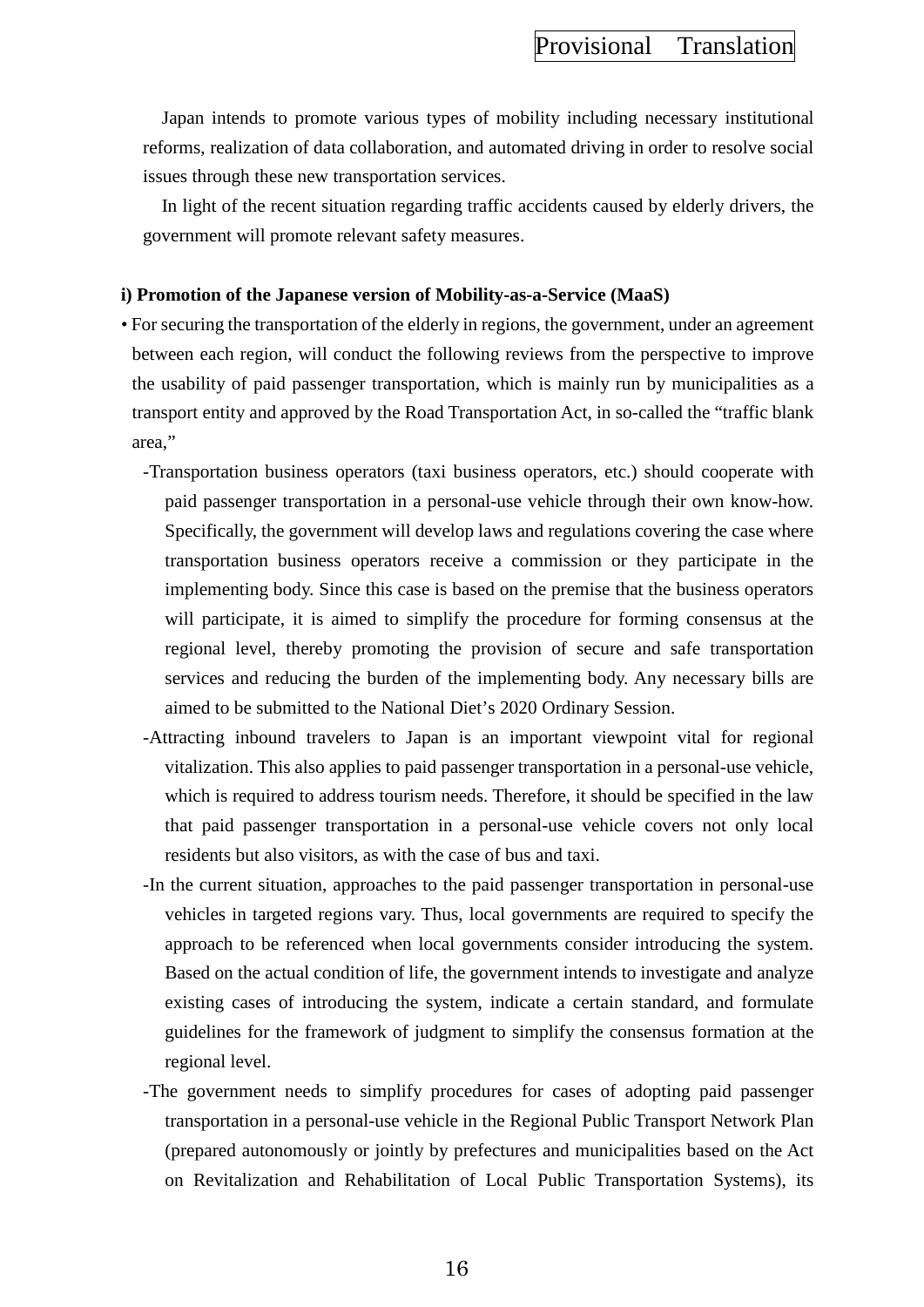Japan intends to promote various types of mobility including necessary institutional reforms, realization of data collaboration, and automated driving in order to resolve social issues through these new transportation services.

In light of the recent situation regarding traffic accidents caused by elderly drivers, the government will promote relevant safety measures.

#### **i) Promotion of the Japanese version of Mobility-as-a-Service (MaaS)**

- For securing the transportation of the elderly in regions, the government, under an agreement between each region, will conduct the following reviews from the perspective to improve the usability of paid passenger transportation, which is mainly run by municipalities as a transport entity and approved by the Road Transportation Act, in so-called the "traffic blank area,"
	- -Transportation business operators (taxi business operators, etc.) should cooperate with paid passenger transportation in a personal-use vehicle through their own know-how. Specifically, the government will develop laws and regulations covering the case where transportation business operators receive a commission or they participate in the implementing body. Since this case is based on the premise that the business operators will participate, it is aimed to simplify the procedure for forming consensus at the regional level, thereby promoting the provision of secure and safe transportation services and reducing the burden of the implementing body. Any necessary bills are aimed to be submitted to the National Diet's 2020 Ordinary Session.
	- -Attracting inbound travelers to Japan is an important viewpoint vital for regional vitalization. This also applies to paid passenger transportation in a personal-use vehicle, which is required to address tourism needs. Therefore, it should be specified in the law that paid passenger transportation in a personal-use vehicle covers not only local residents but also visitors, as with the case of bus and taxi.
	- -In the current situation, approaches to the paid passenger transportation in personal-use vehicles in targeted regions vary. Thus, local governments are required to specify the approach to be referenced when local governments consider introducing the system. Based on the actual condition of life, the government intends to investigate and analyze existing cases of introducing the system, indicate a certain standard, and formulate guidelines for the framework of judgment to simplify the consensus formation at the regional level.
	- -The government needs to simplify procedures for cases of adopting paid passenger transportation in a personal-use vehicle in the Regional Public Transport Network Plan (prepared autonomously or jointly by prefectures and municipalities based on the Act on Revitalization and Rehabilitation of Local Public Transportation Systems), its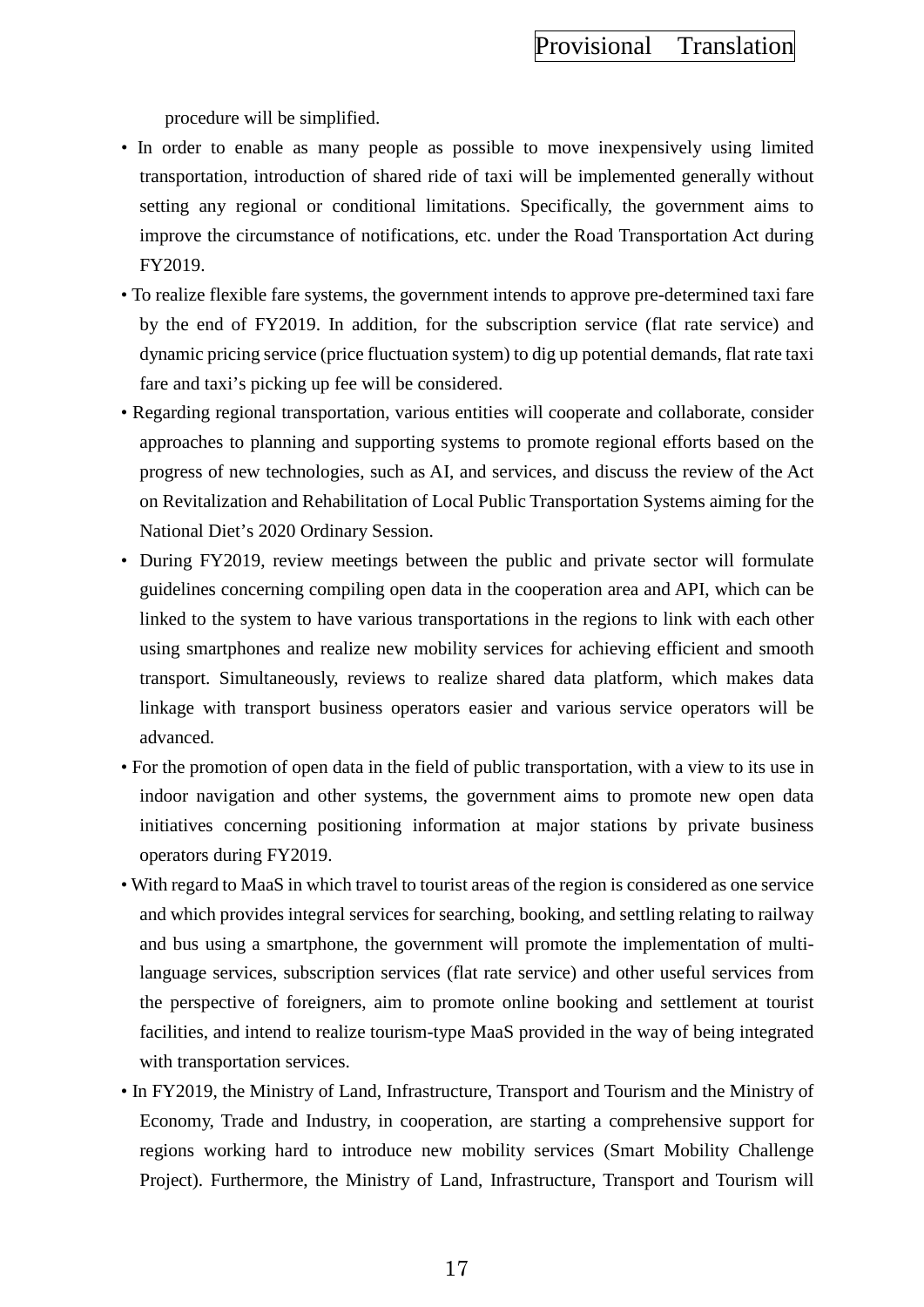procedure will be simplified.

- In order to enable as many people as possible to move inexpensively using limited transportation, introduction of shared ride of taxi will be implemented generally without setting any regional or conditional limitations. Specifically, the government aims to improve the circumstance of notifications, etc. under the Road Transportation Act during FY2019.
- To realize flexible fare systems, the government intends to approve pre-determined taxi fare by the end of FY2019. In addition, for the subscription service (flat rate service) and dynamic pricing service (price fluctuation system) to dig up potential demands, flat rate taxi fare and taxi's picking up fee will be considered.
- Regarding regional transportation, various entities will cooperate and collaborate, consider approaches to planning and supporting systems to promote regional efforts based on the progress of new technologies, such as AI, and services, and discuss the review of the Act on Revitalization and Rehabilitation of Local Public Transportation Systems aiming for the National Diet's 2020 Ordinary Session.
- During FY2019, review meetings between the public and private sector will formulate guidelines concerning compiling open data in the cooperation area and API, which can be linked to the system to have various transportations in the regions to link with each other using smartphones and realize new mobility services for achieving efficient and smooth transport. Simultaneously, reviews to realize shared data platform, which makes data linkage with transport business operators easier and various service operators will be advanced.
- For the promotion of open data in the field of public transportation, with a view to its use in indoor navigation and other systems, the government aims to promote new open data initiatives concerning positioning information at major stations by private business operators during FY2019.
- With regard to MaaS in which travel to tourist areas of the region is considered as one service and which provides integral services for searching, booking, and settling relating to railway and bus using a smartphone, the government will promote the implementation of multilanguage services, subscription services (flat rate service) and other useful services from the perspective of foreigners, aim to promote online booking and settlement at tourist facilities, and intend to realize tourism-type MaaS provided in the way of being integrated with transportation services.
- In FY2019, the Ministry of Land, Infrastructure, Transport and Tourism and the Ministry of Economy, Trade and Industry, in cooperation, are starting a comprehensive support for regions working hard to introduce new mobility services (Smart Mobility Challenge Project). Furthermore, the Ministry of Land, Infrastructure, Transport and Tourism will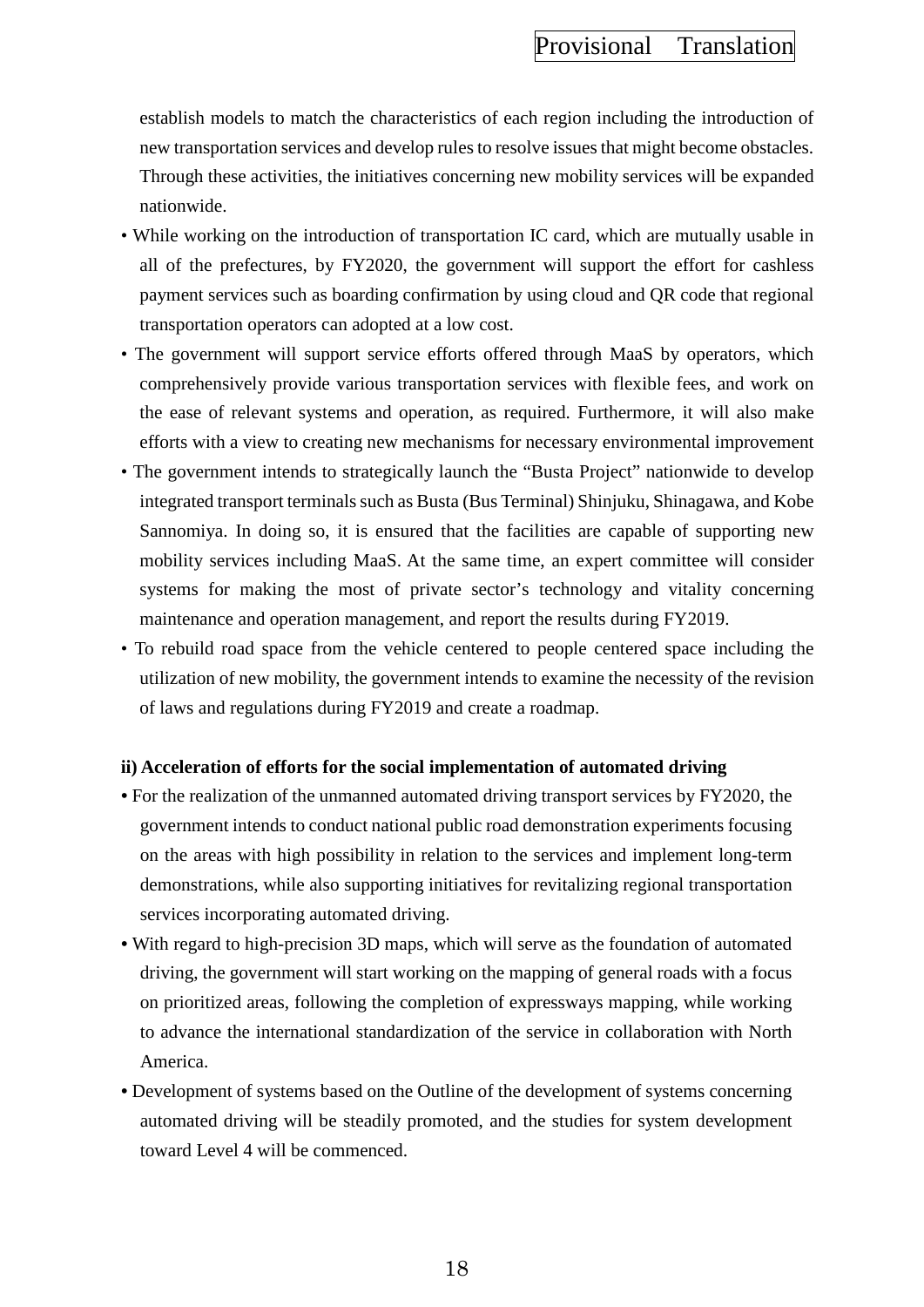establish models to match the characteristics of each region including the introduction of new transportation services and develop rules to resolve issues that might become obstacles. Through these activities, the initiatives concerning new mobility services will be expanded nationwide.

- While working on the introduction of transportation IC card, which are mutually usable in all of the prefectures, by FY2020, the government will support the effort for cashless payment services such as boarding confirmation by using cloud and QR code that regional transportation operators can adopted at a low cost.
- The government will support service efforts offered through MaaS by operators, which comprehensively provide various transportation services with flexible fees, and work on the ease of relevant systems and operation, as required. Furthermore, it will also make efforts with a view to creating new mechanisms for necessary environmental improvement
- The government intends to strategically launch the "Busta Project" nationwide to develop integrated transport terminals such as Busta (Bus Terminal) Shinjuku, Shinagawa, and Kobe Sannomiya. In doing so, it is ensured that the facilities are capable of supporting new mobility services including MaaS. At the same time, an expert committee will consider systems for making the most of private sector's technology and vitality concerning maintenance and operation management, and report the results during FY2019.
- To rebuild road space from the vehicle centered to people centered space including the utilization of new mobility, the government intends to examine the necessity of the revision of laws and regulations during FY2019 and create a roadmap.

#### **ii) Acceleration of efforts for the social implementation of automated driving**

- For the realization of the unmanned automated driving transport services by FY2020, the government intends to conduct national public road demonstration experiments focusing on the areas with high possibility in relation to the services and implement long-term demonstrations, while also supporting initiatives for revitalizing regional transportation services incorporating automated driving.
- With regard to high-precision 3D maps, which will serve as the foundation of automated driving, the government will start working on the mapping of general roads with a focus on prioritized areas, following the completion of expressways mapping, while working to advance the international standardization of the service in collaboration with North America.
- Development of systems based on the Outline of the development of systems concerning automated driving will be steadily promoted, and the studies for system development toward Level 4 will be commenced.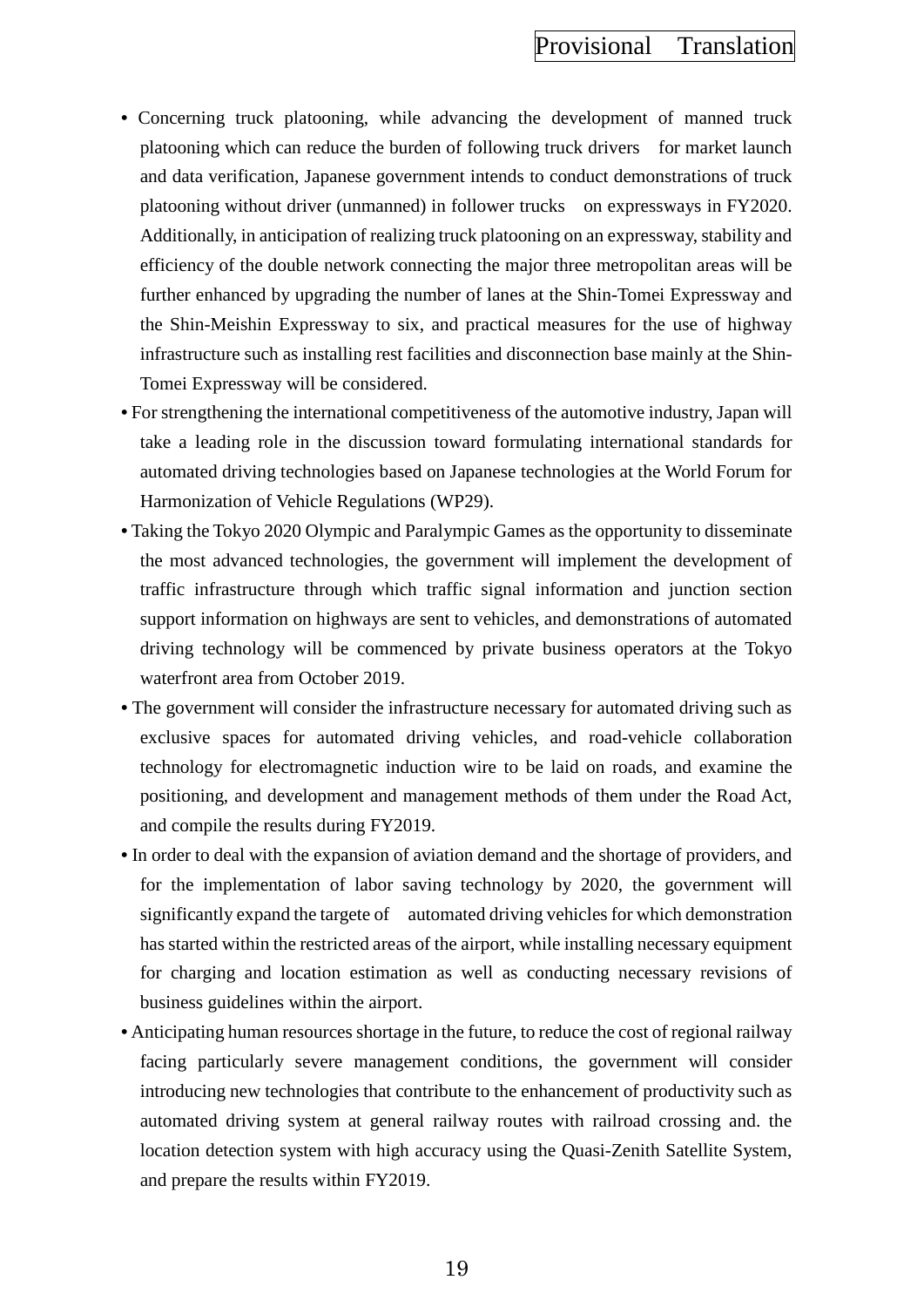- Concerning truck platooning, while advancing the development of manned truck platooning which can reduce the burden of following truck drivers for market launch and data verification, Japanese government intends to conduct demonstrations of truck platooning without driver (unmanned) in follower trucks on expressways in FY2020. Additionally, in anticipation of realizing truck platooning on an expressway, stability and efficiency of the double network connecting the major three metropolitan areas will be further enhanced by upgrading the number of lanes at the Shin-Tomei Expressway and the Shin-Meishin Expressway to six, and practical measures for the use of highway infrastructure such as installing rest facilities and disconnection base mainly at the Shin-Tomei Expressway will be considered.
- For strengthening the international competitiveness of the automotive industry, Japan will take a leading role in the discussion toward formulating international standards for automated driving technologies based on Japanese technologies at the World Forum for Harmonization of Vehicle Regulations (WP29).
- Taking the Tokyo 2020 Olympic and Paralympic Games as the opportunity to disseminate the most advanced technologies, the government will implement the development of traffic infrastructure through which traffic signal information and junction section support information on highways are sent to vehicles, and demonstrations of automated driving technology will be commenced by private business operators at the Tokyo waterfront area from October 2019.
- The government will consider the infrastructure necessary for automated driving such as exclusive spaces for automated driving vehicles, and road-vehicle collaboration technology for electromagnetic induction wire to be laid on roads, and examine the positioning, and development and management methods of them under the Road Act, and compile the results during FY2019.
- In order to deal with the expansion of aviation demand and the shortage of providers, and for the implementation of labor saving technology by 2020, the government will significantly expand the targete of automated driving vehicles for which demonstration has started within the restricted areas of the airport, while installing necessary equipment for charging and location estimation as well as conducting necessary revisions of business guidelines within the airport.
- Anticipating human resources shortage in the future, to reduce the cost of regional railway facing particularly severe management conditions, the government will consider introducing new technologies that contribute to the enhancement of productivity such as automated driving system at general railway routes with railroad crossing and. the location detection system with high accuracy using the Quasi-Zenith Satellite System, and prepare the results within FY2019.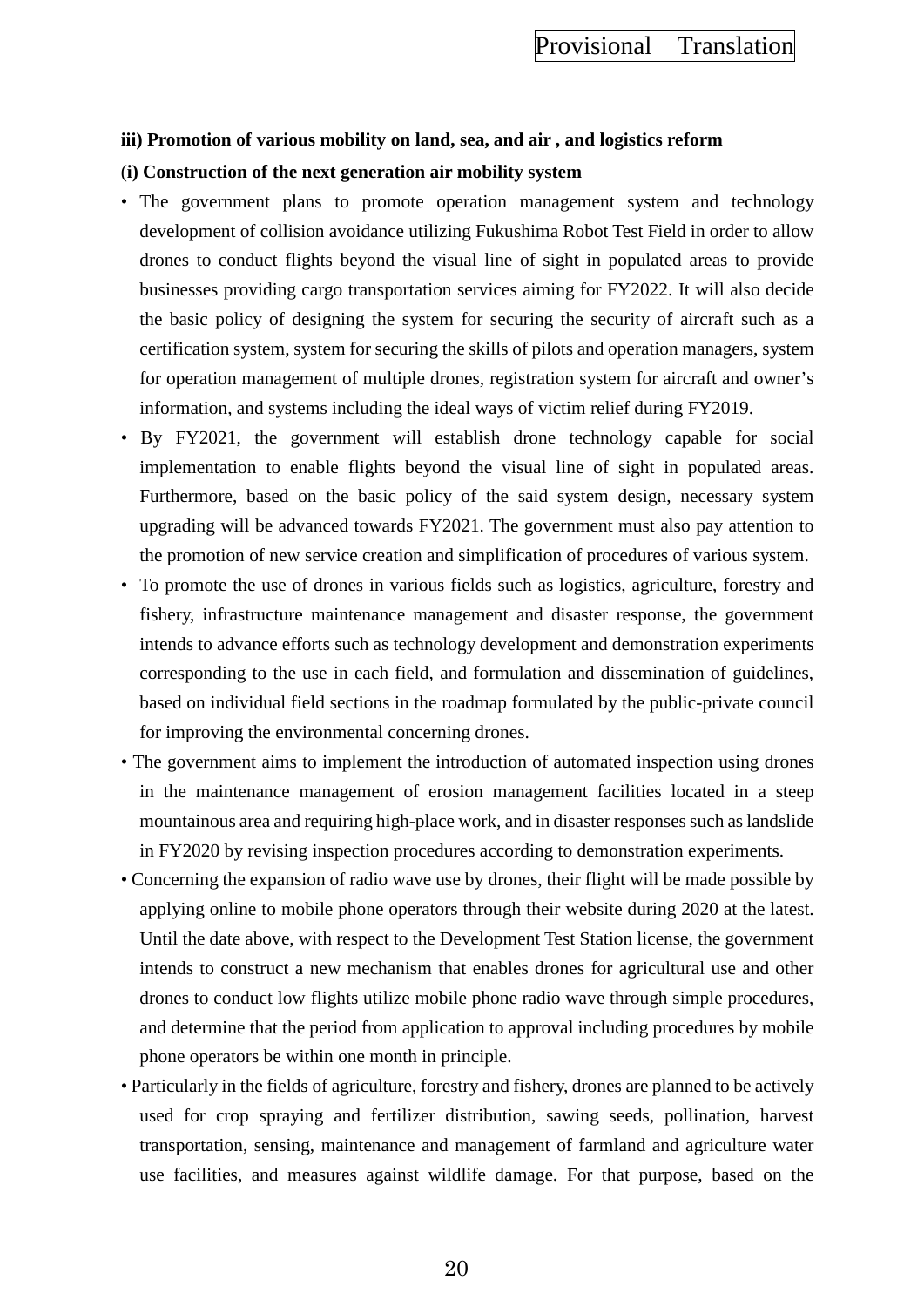#### **iii) Promotion of various mobility on land, sea, and air , and logistics reform**

#### (**i) Construction of the next generation air mobility system**

- The government plans to promote operation management system and technology development of collision avoidance utilizing Fukushima Robot Test Field in order to allow drones to conduct flights beyond the visual line of sight in populated areas to provide businesses providing cargo transportation services aiming for FY2022. It will also decide the basic policy of designing the system for securing the security of aircraft such as a certification system, system for securing the skills of pilots and operation managers, system for operation management of multiple drones, registration system for aircraft and owner's information, and systems including the ideal ways of victim relief during FY2019.
- By FY2021, the government will establish drone technology capable for social implementation to enable flights beyond the visual line of sight in populated areas. Furthermore, based on the basic policy of the said system design, necessary system upgrading will be advanced towards FY2021. The government must also pay attention to the promotion of new service creation and simplification of procedures of various system.
- To promote the use of drones in various fields such as logistics, agriculture, forestry and fishery, infrastructure maintenance management and disaster response, the government intends to advance efforts such as technology development and demonstration experiments corresponding to the use in each field, and formulation and dissemination of guidelines, based on individual field sections in the roadmap formulated by the public-private council for improving the environmental concerning drones.
- The government aims to implement the introduction of automated inspection using drones in the maintenance management of erosion management facilities located in a steep mountainous area and requiring high-place work, and in disaster responses such as landslide in FY2020 by revising inspection procedures according to demonstration experiments.
- Concerning the expansion of radio wave use by drones, their flight will be made possible by applying online to mobile phone operators through their website during 2020 at the latest. Until the date above, with respect to the Development Test Station license, the government intends to construct a new mechanism that enables drones for agricultural use and other drones to conduct low flights utilize mobile phone radio wave through simple procedures, and determine that the period from application to approval including procedures by mobile phone operators be within one month in principle.
- Particularly in the fields of agriculture, forestry and fishery, drones are planned to be actively used for crop spraying and fertilizer distribution, sawing seeds, pollination, harvest transportation, sensing, maintenance and management of farmland and agriculture water use facilities, and measures against wildlife damage. For that purpose, based on the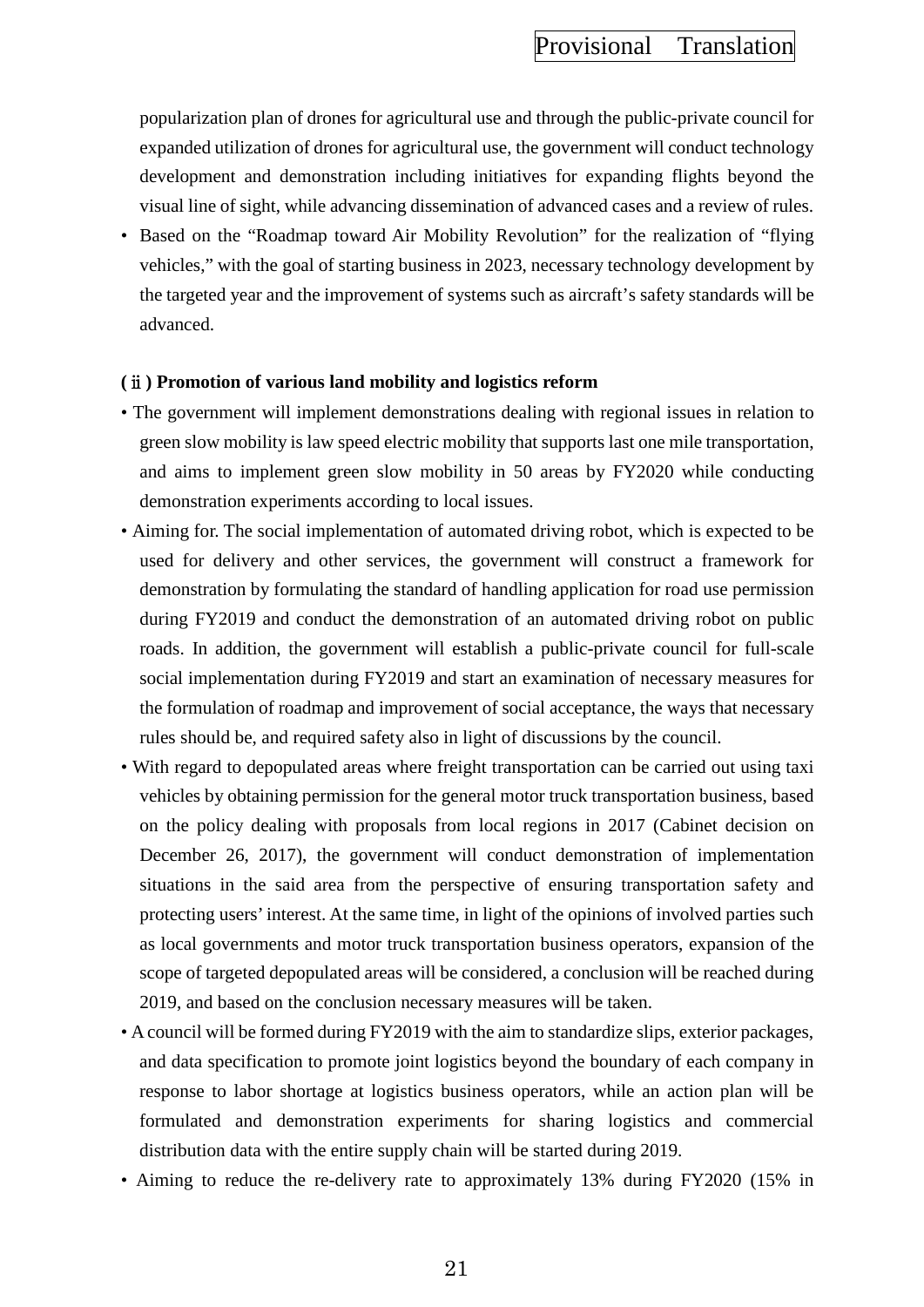popularization plan of drones for agricultural use and through the public-private council for expanded utilization of drones for agricultural use, the government will conduct technology development and demonstration including initiatives for expanding flights beyond the visual line of sight, while advancing dissemination of advanced cases and a review of rules.

• Based on the "Roadmap toward Air Mobility Revolution" for the realization of "flying" vehicles," with the goal of starting business in 2023, necessary technology development by the targeted year and the improvement of systems such as aircraft's safety standards will be advanced.

#### **(**ⅱ**) Promotion of various land mobility and logistics reform**

- The government will implement demonstrations dealing with regional issues in relation to green slow mobility is law speed electric mobility that supports last one mile transportation, and aims to implement green slow mobility in 50 areas by FY2020 while conducting demonstration experiments according to local issues.
- Aiming for. The social implementation of automated driving robot, which is expected to be used for delivery and other services, the government will construct a framework for demonstration by formulating the standard of handling application for road use permission during FY2019 and conduct the demonstration of an automated driving robot on public roads. In addition, the government will establish a public-private council for full-scale social implementation during FY2019 and start an examination of necessary measures for the formulation of roadmap and improvement of social acceptance, the ways that necessary rules should be, and required safety also in light of discussions by the council.
- With regard to depopulated areas where freight transportation can be carried out using taxi vehicles by obtaining permission for the general motor truck transportation business, based on the policy dealing with proposals from local regions in 2017 (Cabinet decision on December 26, 2017), the government will conduct demonstration of implementation situations in the said area from the perspective of ensuring transportation safety and protecting users' interest. At the same time, in light of the opinions of involved parties such as local governments and motor truck transportation business operators, expansion of the scope of targeted depopulated areas will be considered, a conclusion will be reached during 2019, and based on the conclusion necessary measures will be taken.
- A council will be formed during FY2019 with the aim to standardize slips, exterior packages, and data specification to promote joint logistics beyond the boundary of each company in response to labor shortage at logistics business operators, while an action plan will be formulated and demonstration experiments for sharing logistics and commercial distribution data with the entire supply chain will be started during 2019.
- Aiming to reduce the re-delivery rate to approximately 13% during FY2020 (15% in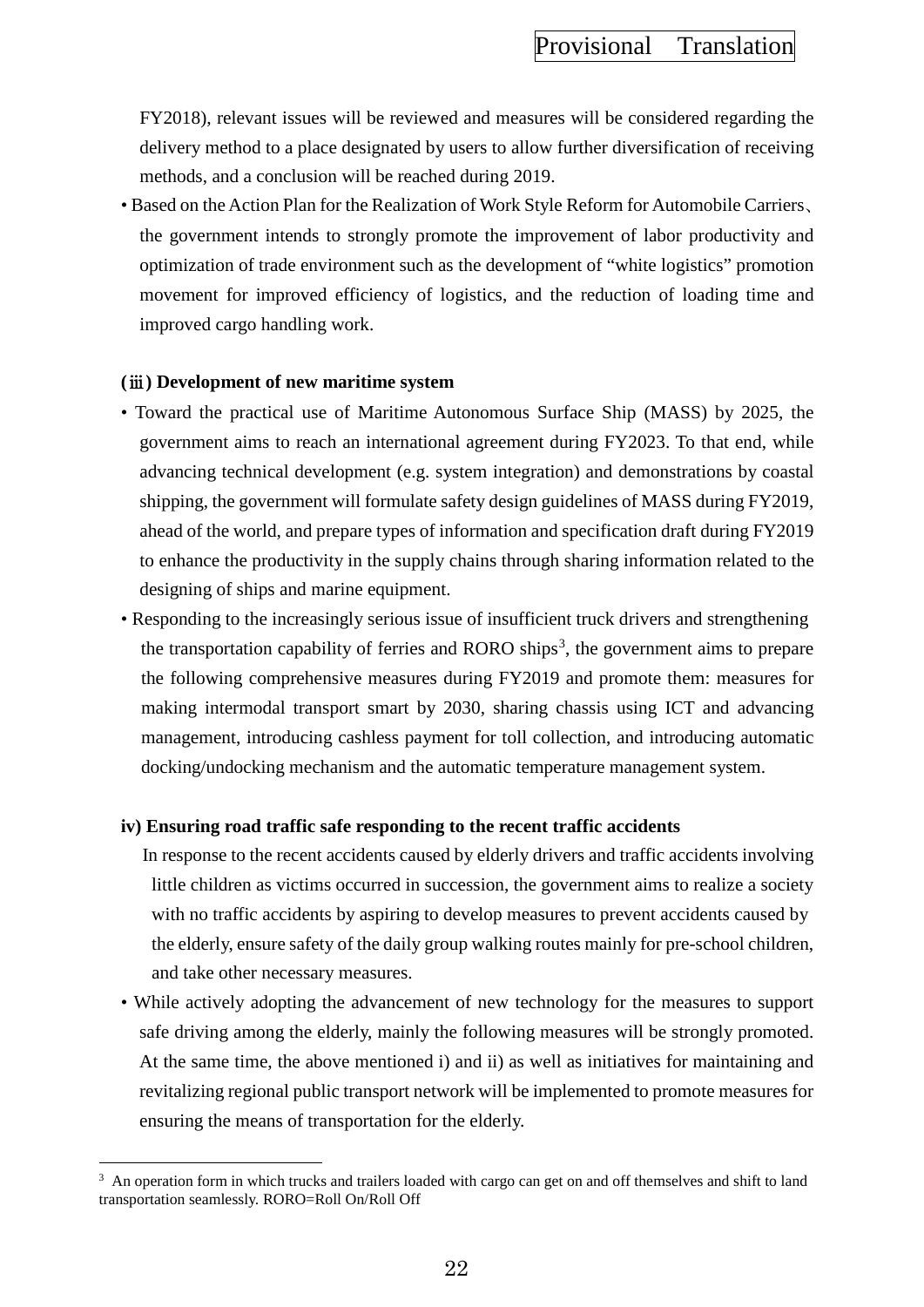FY2018), relevant issues will be reviewed and measures will be considered regarding the delivery method to a place designated by users to allow further diversification of receiving methods, and a conclusion will be reached during 2019.

• Based on the Action Plan for the Realization of Work Style Reform for Automobile Carriers、 the government intends to strongly promote the improvement of labor productivity and optimization of trade environment such as the development of "white logistics" promotion movement for improved efficiency of logistics, and the reduction of loading time and improved cargo handling work.

#### **(**ⅲ**) Development of new maritime system**

 $\overline{a}$ 

- Toward the practical use of Maritime Autonomous Surface Ship (MASS) by 2025, the government aims to reach an international agreement during FY2023. To that end, while advancing technical development (e.g. system integration) and demonstrations by coastal shipping, the government will formulate safety design guidelines of MASS during FY2019, ahead of the world, and prepare types of information and specification draft during FY2019 to enhance the productivity in the supply chains through sharing information related to the designing of ships and marine equipment.
- Responding to the increasingly serious issue of insufficient truck drivers and strengthening the transportation capability of ferries and RORO ships<sup>[3](#page-31-0)</sup>, the government aims to prepare the following comprehensive measures during FY2019 and promote them: measures for making intermodal transport smart by 2030, sharing chassis using ICT and advancing management, introducing cashless payment for toll collection, and introducing automatic docking/undocking mechanism and the automatic temperature management system.

### **iv) Ensuring road traffic safe responding to the recent traffic accidents**

In response to the recent accidents caused by elderly drivers and traffic accidents involving little children as victims occurred in succession, the government aims to realize a society with no traffic accidents by aspiring to develop measures to prevent accidents caused by the elderly, ensure safety of the daily group walking routes mainly for pre-school children, and take other necessary measures.

• While actively adopting the advancement of new technology for the measures to support safe driving among the elderly, mainly the following measures will be strongly promoted. At the same time, the above mentioned i) and ii) as well as initiatives for maintaining and revitalizing regional public transport network will be implemented to promote measures for ensuring the means of transportation for the elderly.

<span id="page-31-0"></span><sup>&</sup>lt;sup>3</sup> An operation form in which trucks and trailers loaded with cargo can get on and off themselves and shift to land transportation seamlessly. RORO=Roll On/Roll Off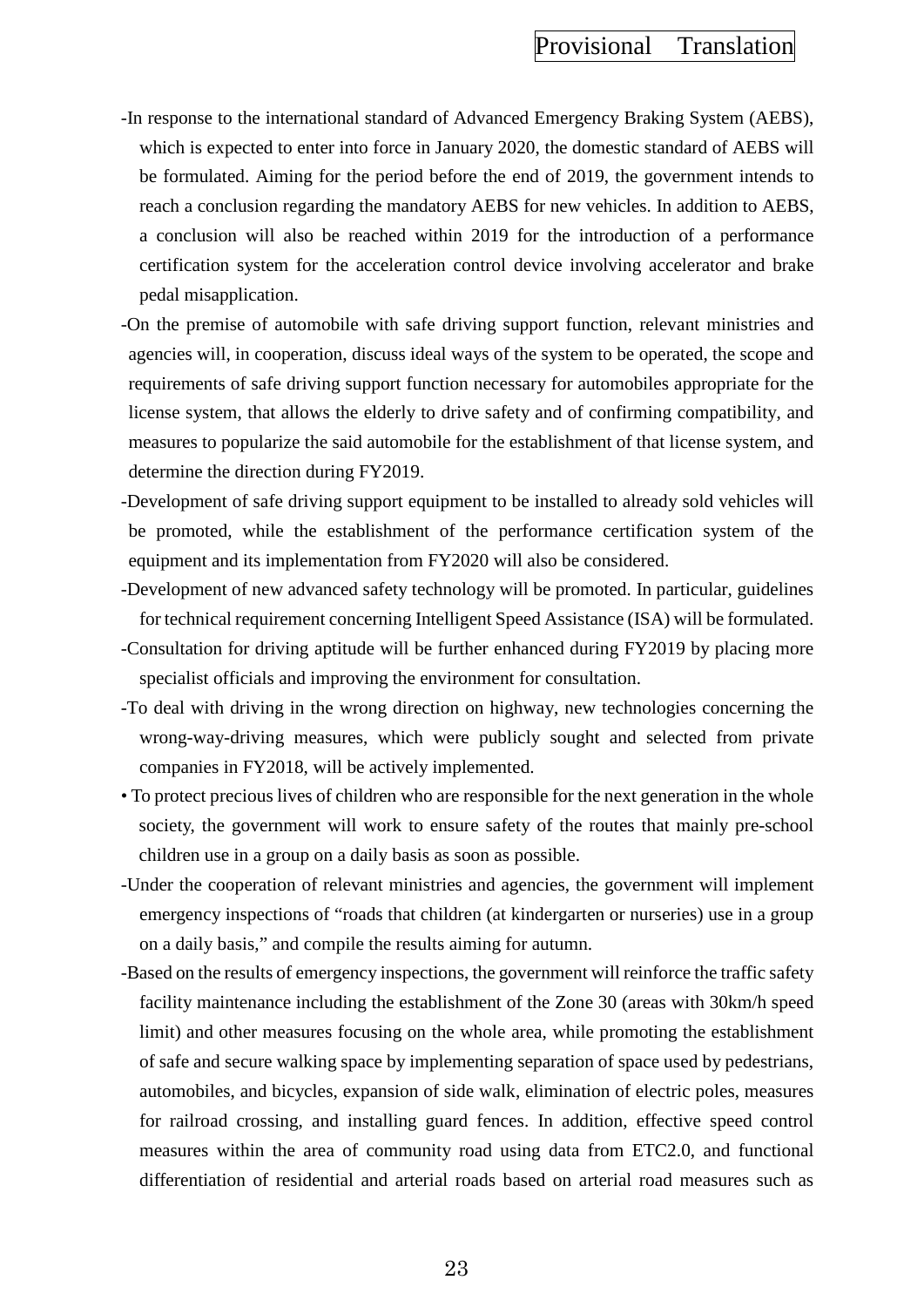- -In response to the international standard of Advanced Emergency Braking System (AEBS), which is expected to enter into force in January 2020, the domestic standard of AEBS will be formulated. Aiming for the period before the end of 2019, the government intends to reach a conclusion regarding the mandatory AEBS for new vehicles. In addition to AEBS, a conclusion will also be reached within 2019 for the introduction of a performance certification system for the acceleration control device involving accelerator and brake pedal misapplication.
- -On the premise of automobile with safe driving support function, relevant ministries and agencies will, in cooperation, discuss ideal ways of the system to be operated, the scope and requirements of safe driving support function necessary for automobiles appropriate for the license system, that allows the elderly to drive safety and of confirming compatibility, and measures to popularize the said automobile for the establishment of that license system, and determine the direction during FY2019.
- -Development of safe driving support equipment to be installed to already sold vehicles will be promoted, while the establishment of the performance certification system of the equipment and its implementation from FY2020 will also be considered.
- -Development of new advanced safety technology will be promoted. In particular, guidelines for technical requirement concerning Intelligent Speed Assistance (ISA) will be formulated.
- -Consultation for driving aptitude will be further enhanced during FY2019 by placing more specialist officials and improving the environment for consultation.
- -To deal with driving in the wrong direction on highway, new technologies concerning the wrong-way-driving measures, which were publicly sought and selected from private companies in FY2018, will be actively implemented.
- To protect precious lives of children who are responsible for the next generation in the whole society, the government will work to ensure safety of the routes that mainly pre-school children use in a group on a daily basis as soon as possible.
- -Under the cooperation of relevant ministries and agencies, the government will implement emergency inspections of "roads that children (at kindergarten or nurseries) use in a group on a daily basis," and compile the results aiming for autumn.
- -Based on the results of emergency inspections, the government will reinforce the traffic safety facility maintenance including the establishment of the Zone 30 (areas with 30km/h speed limit) and other measures focusing on the whole area, while promoting the establishment of safe and secure walking space by implementing separation of space used by pedestrians, automobiles, and bicycles, expansion of side walk, elimination of electric poles, measures for railroad crossing, and installing guard fences. In addition, effective speed control measures within the area of community road using data from ETC2.0, and functional differentiation of residential and arterial roads based on arterial road measures such as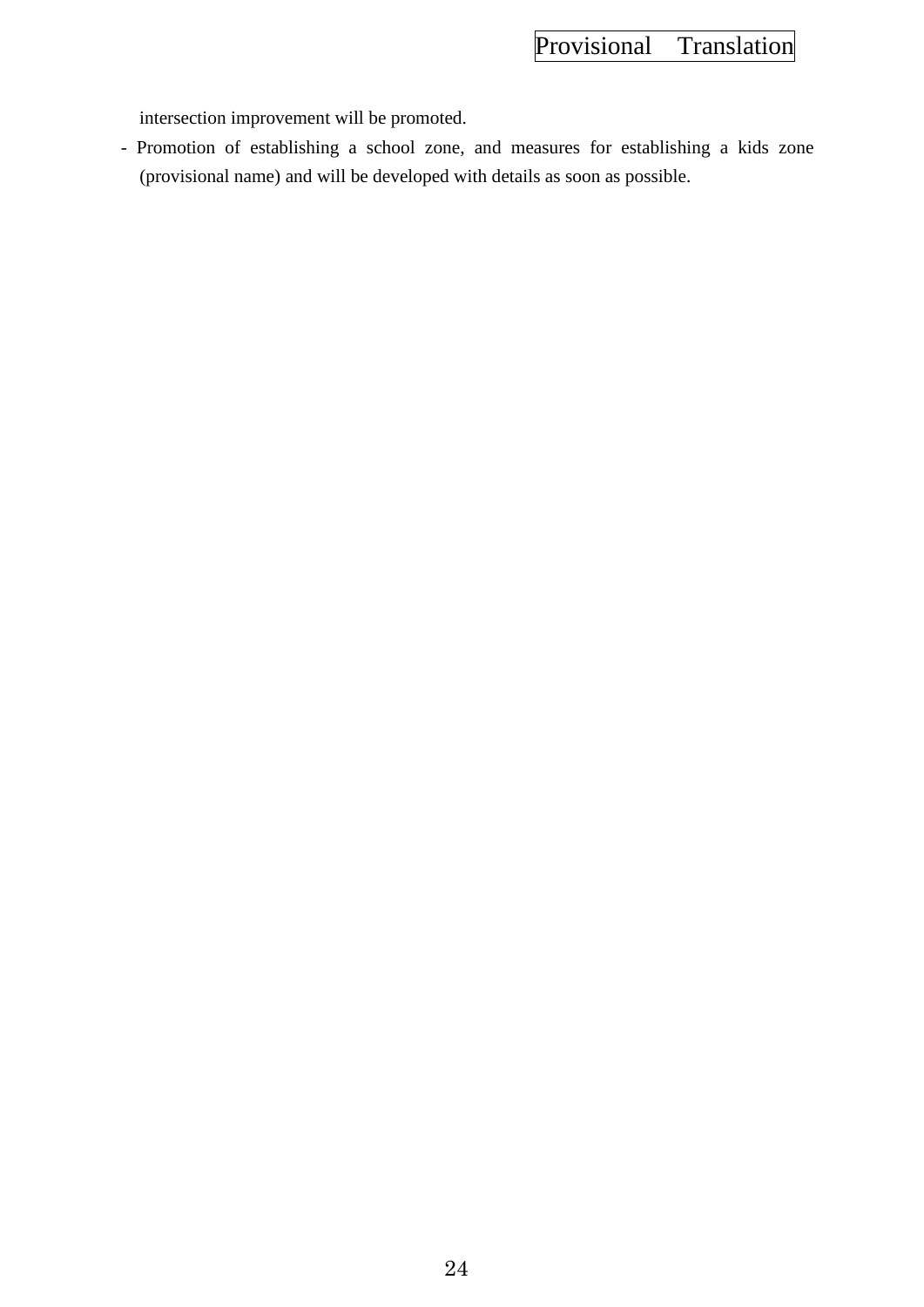intersection improvement will be promoted.

- Promotion of establishing a school zone, and measures for establishing a kids zone (provisional name) and will be developed with details as soon as possible.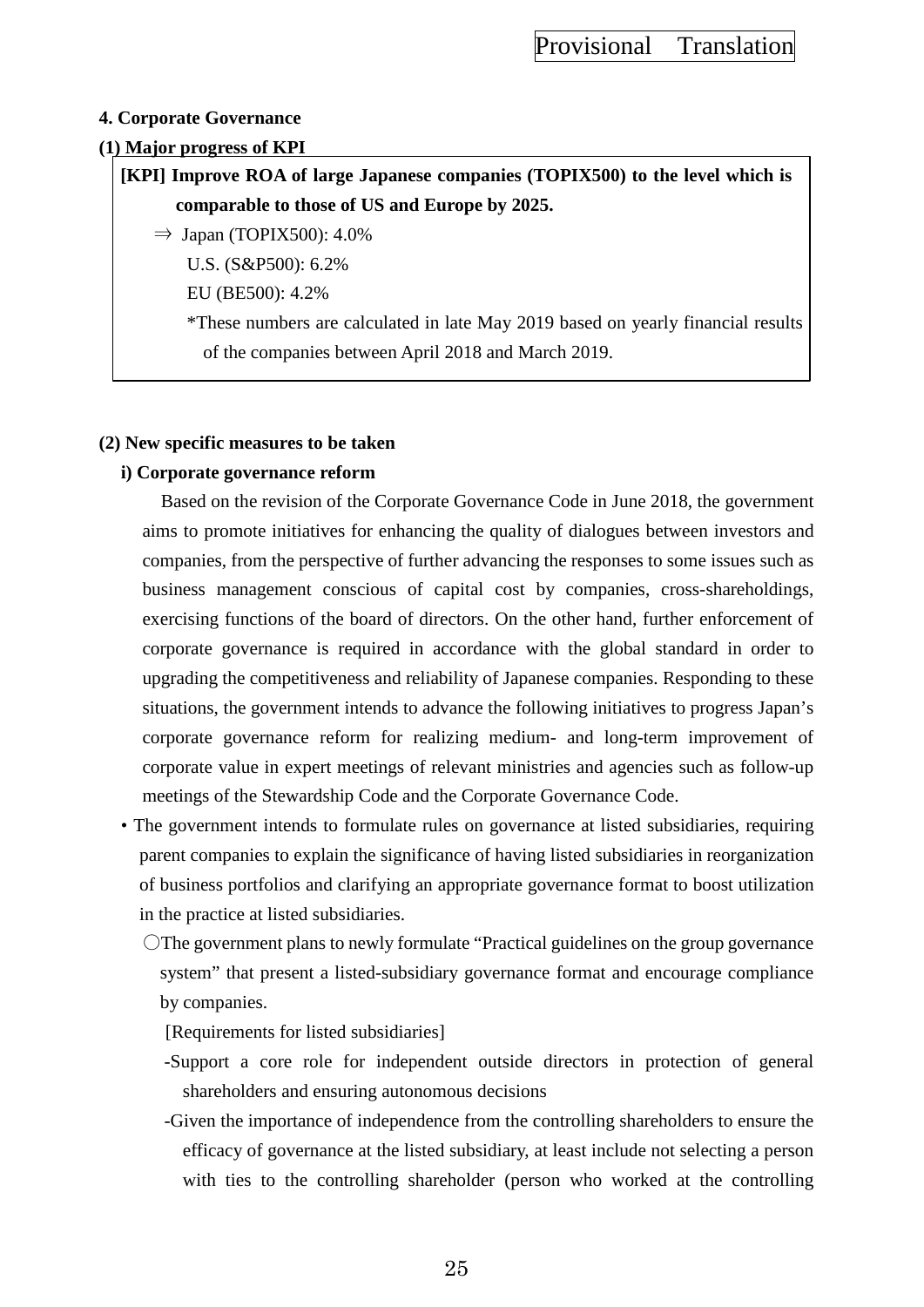### **4. Corporate Governance**

#### **(1) Major progress of KPI**

**[KPI] Improve ROA of large Japanese companies (TOPIX500) to the level which is comparable to those of US and Europe by 2025.** 

 $\Rightarrow$  Japan (TOPIX500): 4.0%

U.S. (S&P500): 6.2%

EU (BE500): 4.2%

\*These numbers are calculated in late May 2019 based on yearly financial results of the companies between April 2018 and March 2019.

#### **(2) New specific measures to be taken**

### **i) Corporate governance reform**

Based on the revision of the Corporate Governance Code in June 2018, the government aims to promote initiatives for enhancing the quality of dialogues between investors and companies, from the perspective of further advancing the responses to some issues such as business management conscious of capital cost by companies, cross-shareholdings, exercising functions of the board of directors. On the other hand, further enforcement of corporate governance is required in accordance with the global standard in order to upgrading the competitiveness and reliability of Japanese companies. Responding to these situations, the government intends to advance the following initiatives to progress Japan's corporate governance reform for realizing medium- and long-term improvement of corporate value in expert meetings of relevant ministries and agencies such as follow-up meetings of the Stewardship Code and the Corporate Governance Code.

- The government intends to formulate rules on governance at listed subsidiaries, requiring parent companies to explain the significance of having listed subsidiaries in reorganization of business portfolios and clarifying an appropriate governance format to boost utilization in the practice at listed subsidiaries.
	- 〇The government plans to newly formulate "Practical guidelines on the group governance system" that present a listed-subsidiary governance format and encourage compliance by companies.
		- [Requirements for listed subsidiaries]
		- -Support a core role for independent outside directors in protection of general shareholders and ensuring autonomous decisions
		- -Given the importance of independence from the controlling shareholders to ensure the efficacy of governance at the listed subsidiary, at least include not selecting a person with ties to the controlling shareholder (person who worked at the controlling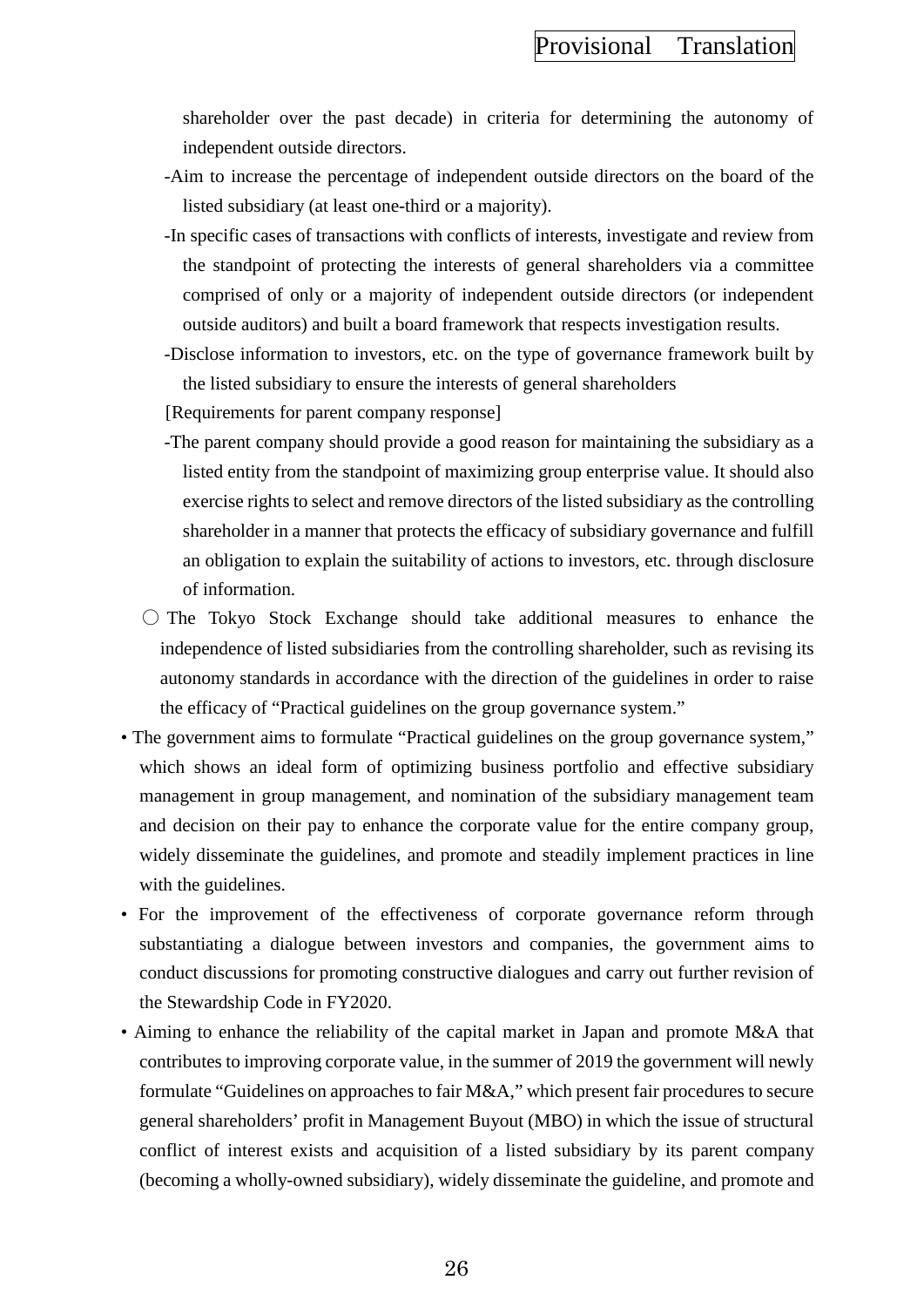shareholder over the past decade) in criteria for determining the autonomy of independent outside directors.

- -Aim to increase the percentage of independent outside directors on the board of the listed subsidiary (at least one-third or a majority).
- -In specific cases of transactions with conflicts of interests, investigate and review from the standpoint of protecting the interests of general shareholders via a committee comprised of only or a majority of independent outside directors (or independent outside auditors) and built a board framework that respects investigation results.
- -Disclose information to investors, etc. on the type of governance framework built by the listed subsidiary to ensure the interests of general shareholders
- [Requirements for parent company response]
- -The parent company should provide a good reason for maintaining the subsidiary as a listed entity from the standpoint of maximizing group enterprise value. It should also exercise rights to select and remove directors of the listed subsidiary as the controlling shareholder in a manner that protects the efficacy of subsidiary governance and fulfill an obligation to explain the suitability of actions to investors, etc. through disclosure of information.
- 〇 The Tokyo Stock Exchange should take additional measures to enhance the independence of listed subsidiaries from the controlling shareholder, such as revising its autonomy standards in accordance with the direction of the guidelines in order to raise the efficacy of "Practical guidelines on the group governance system."
- The government aims to formulate "Practical guidelines on the group governance system," which shows an ideal form of optimizing business portfolio and effective subsidiary management in group management, and nomination of the subsidiary management team and decision on their pay to enhance the corporate value for the entire company group, widely disseminate the guidelines, and promote and steadily implement practices in line with the guidelines.
- For the improvement of the effectiveness of corporate governance reform through substantiating a dialogue between investors and companies, the government aims to conduct discussions for promoting constructive dialogues and carry out further revision of the Stewardship Code in FY2020.
- Aiming to enhance the reliability of the capital market in Japan and promote M&A that contributes to improving corporate value, in the summer of 2019 the government will newly formulate "Guidelines on approaches to fair M&A," which present fair procedures to secure general shareholders' profit in Management Buyout (MBO) in which the issue of structural conflict of interest exists and acquisition of a listed subsidiary by its parent company (becoming a wholly-owned subsidiary), widely disseminate the guideline, and promote and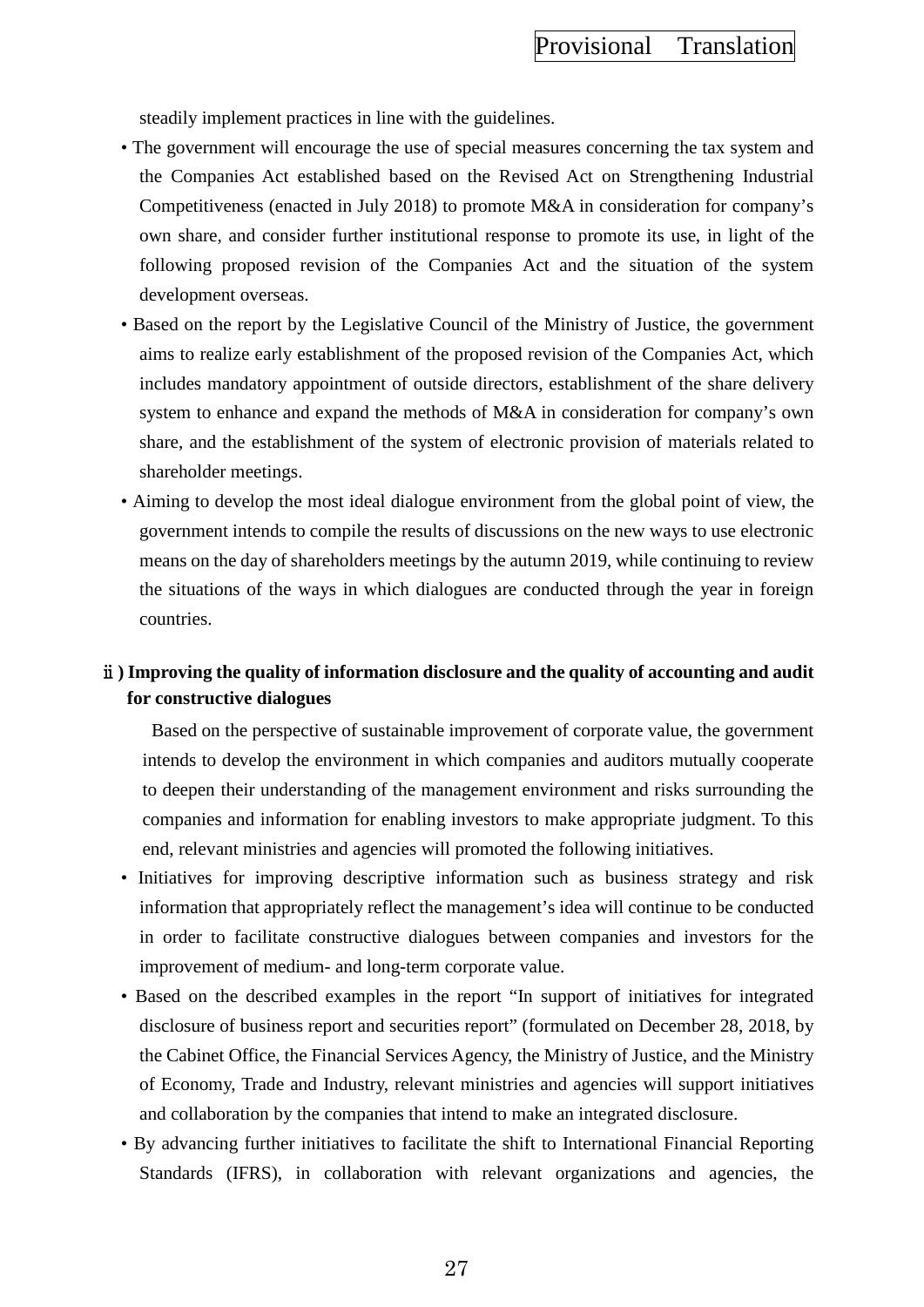steadily implement practices in line with the guidelines.

- The government will encourage the use of special measures concerning the tax system and the Companies Act established based on the Revised Act on Strengthening Industrial Competitiveness (enacted in July 2018) to promote M&A in consideration for company's own share, and consider further institutional response to promote its use, in light of the following proposed revision of the Companies Act and the situation of the system development overseas.
- Based on the report by the Legislative Council of the Ministry of Justice, the government aims to realize early establishment of the proposed revision of the Companies Act, which includes mandatory appointment of outside directors, establishment of the share delivery system to enhance and expand the methods of M&A in consideration for company's own share, and the establishment of the system of electronic provision of materials related to shareholder meetings.
- Aiming to develop the most ideal dialogue environment from the global point of view, the government intends to compile the results of discussions on the new ways to use electronic means on the day of shareholders meetings by the autumn 2019, while continuing to review the situations of the ways in which dialogues are conducted through the year in foreign countries.

# ⅱ**) Improving the quality of information disclosure and the quality of accounting and audit for constructive dialogues**

Based on the perspective of sustainable improvement of corporate value, the government intends to develop the environment in which companies and auditors mutually cooperate to deepen their understanding of the management environment and risks surrounding the companies and information for enabling investors to make appropriate judgment. To this end, relevant ministries and agencies will promoted the following initiatives.

- Initiatives for improving descriptive information such as business strategy and risk information that appropriately reflect the management's idea will continue to be conducted in order to facilitate constructive dialogues between companies and investors for the improvement of medium- and long-term corporate value.
- Based on the described examples in the report "In support of initiatives for integrated disclosure of business report and securities report" (formulated on December 28, 2018, by the Cabinet Office, the Financial Services Agency, the Ministry of Justice, and the Ministry of Economy, Trade and Industry, relevant ministries and agencies will support initiatives and collaboration by the companies that intend to make an integrated disclosure.
- By advancing further initiatives to facilitate the shift to International Financial Reporting Standards (IFRS), in collaboration with relevant organizations and agencies, the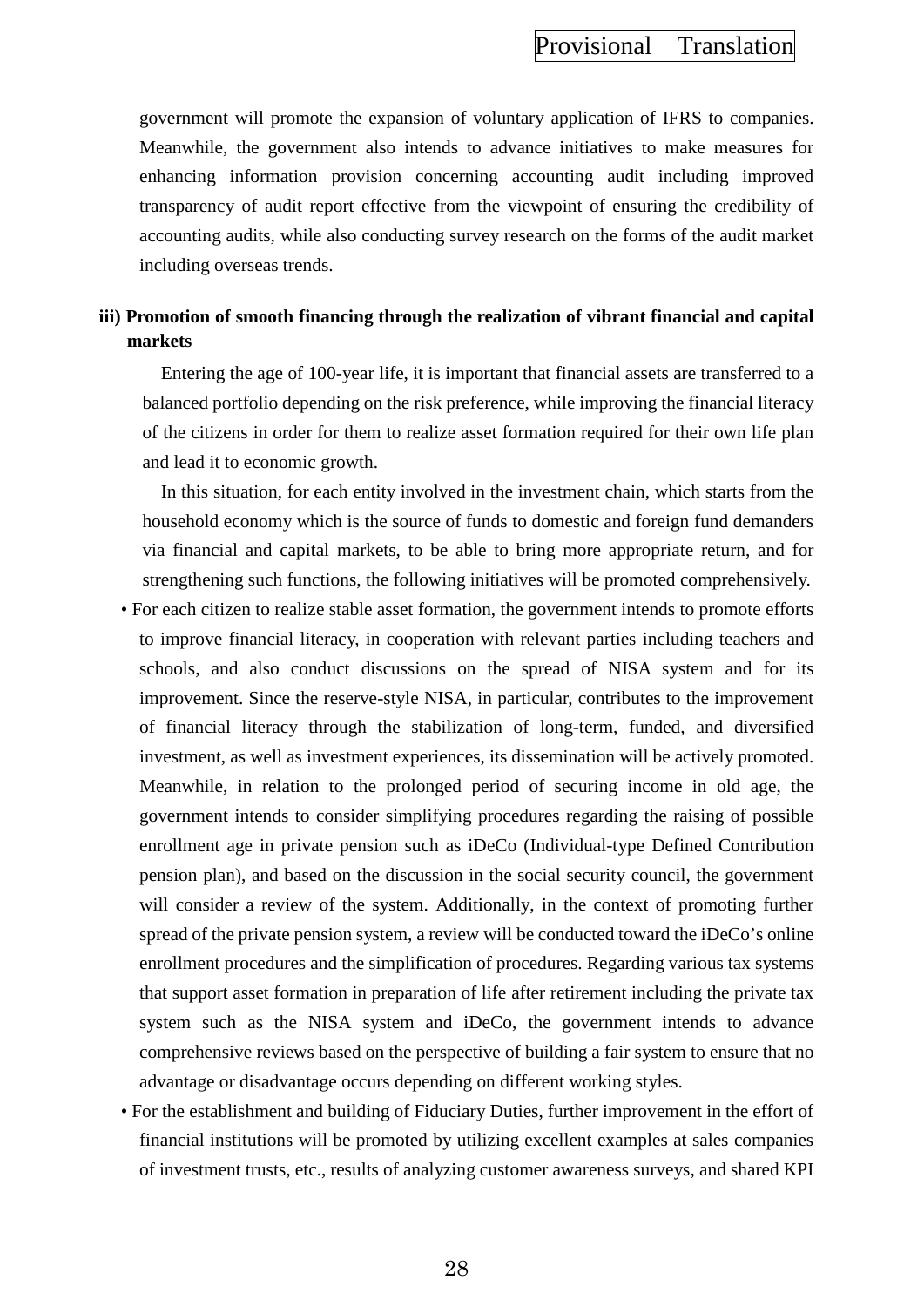government will promote the expansion of voluntary application of IFRS to companies. Meanwhile, the government also intends to advance initiatives to make measures for enhancing information provision concerning accounting audit including improved transparency of audit report effective from the viewpoint of ensuring the credibility of accounting audits, while also conducting survey research on the forms of the audit market including overseas trends.

# **iii) Promotion of smooth financing through the realization of vibrant financial and capital markets**

Entering the age of 100-year life, it is important that financial assets are transferred to a balanced portfolio depending on the risk preference, while improving the financial literacy of the citizens in order for them to realize asset formation required for their own life plan and lead it to economic growth.

In this situation, for each entity involved in the investment chain, which starts from the household economy which is the source of funds to domestic and foreign fund demanders via financial and capital markets, to be able to bring more appropriate return, and for strengthening such functions, the following initiatives will be promoted comprehensively.

- For each citizen to realize stable asset formation, the government intends to promote efforts to improve financial literacy, in cooperation with relevant parties including teachers and schools, and also conduct discussions on the spread of NISA system and for its improvement. Since the reserve-style NISA, in particular, contributes to the improvement of financial literacy through the stabilization of long-term, funded, and diversified investment, as well as investment experiences, its dissemination will be actively promoted. Meanwhile, in relation to the prolonged period of securing income in old age, the government intends to consider simplifying procedures regarding the raising of possible enrollment age in private pension such as iDeCo (Individual-type Defined Contribution pension plan), and based on the discussion in the social security council, the government will consider a review of the system. Additionally, in the context of promoting further spread of the private pension system, a review will be conducted toward the iDeCo's online enrollment procedures and the simplification of procedures. Regarding various tax systems that support asset formation in preparation of life after retirement including the private tax system such as the NISA system and iDeCo, the government intends to advance comprehensive reviews based on the perspective of building a fair system to ensure that no advantage or disadvantage occurs depending on different working styles.
- For the establishment and building of Fiduciary Duties, further improvement in the effort of financial institutions will be promoted by utilizing excellent examples at sales companies of investment trusts, etc., results of analyzing customer awareness surveys, and shared KPI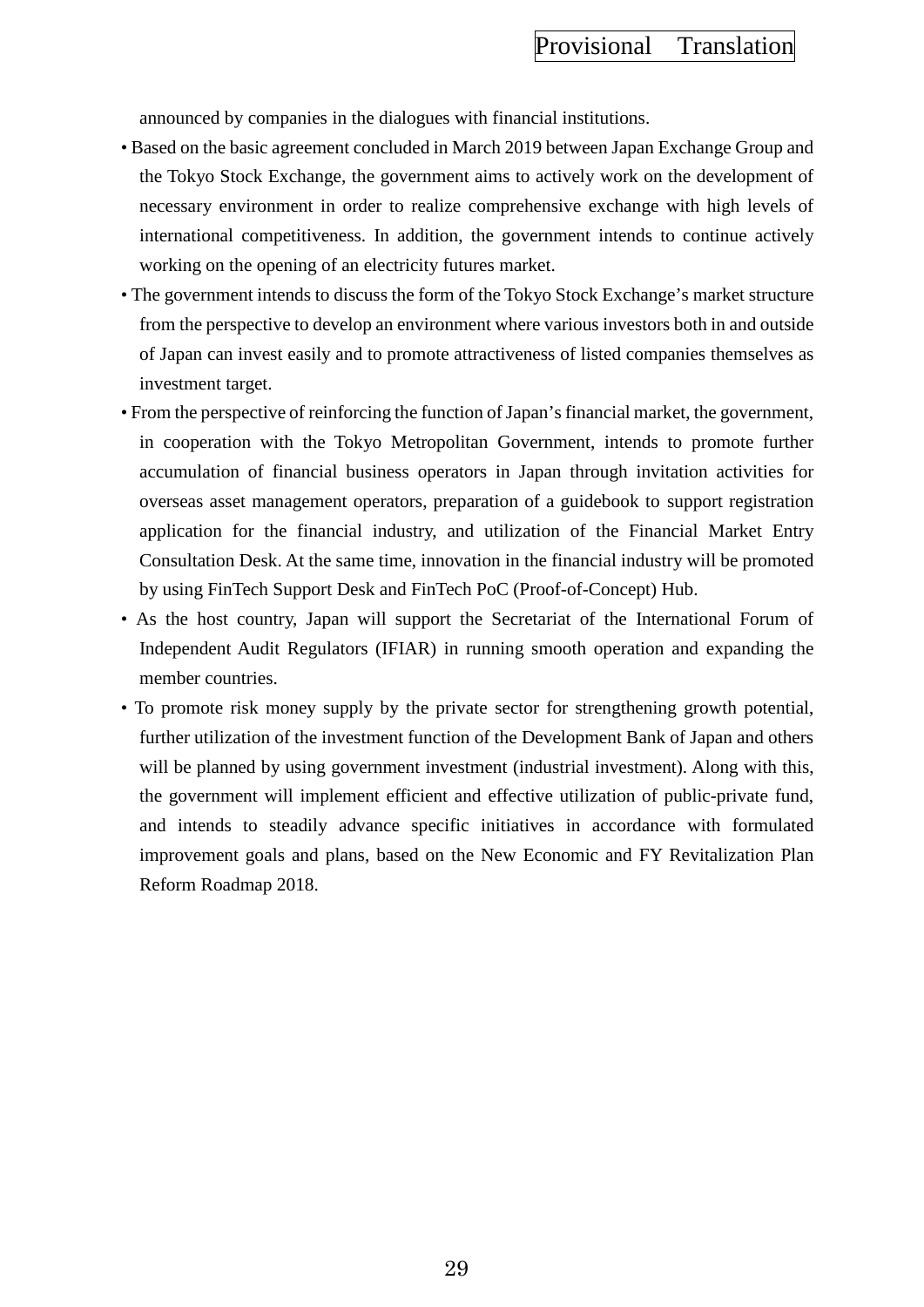announced by companies in the dialogues with financial institutions.

- Based on the basic agreement concluded in March 2019 between Japan Exchange Group and the Tokyo Stock Exchange, the government aims to actively work on the development of necessary environment in order to realize comprehensive exchange with high levels of international competitiveness. In addition, the government intends to continue actively working on the opening of an electricity futures market.
- The government intends to discuss the form of the Tokyo Stock Exchange's market structure from the perspective to develop an environment where various investors both in and outside of Japan can invest easily and to promote attractiveness of listed companies themselves as investment target.
- From the perspective of reinforcing the function of Japan's financial market, the government, in cooperation with the Tokyo Metropolitan Government, intends to promote further accumulation of financial business operators in Japan through invitation activities for overseas asset management operators, preparation of a guidebook to support registration application for the financial industry, and utilization of the Financial Market Entry Consultation Desk. At the same time, innovation in the financial industry will be promoted by using FinTech Support Desk and FinTech PoC (Proof-of-Concept) Hub.
- As the host country, Japan will support the Secretariat of the International Forum of Independent Audit Regulators (IFIAR) in running smooth operation and expanding the member countries.
- To promote risk money supply by the private sector for strengthening growth potential, further utilization of the investment function of the Development Bank of Japan and others will be planned by using government investment (industrial investment). Along with this, the government will implement efficient and effective utilization of public-private fund, and intends to steadily advance specific initiatives in accordance with formulated improvement goals and plans, based on the New Economic and FY Revitalization Plan Reform Roadmap 2018.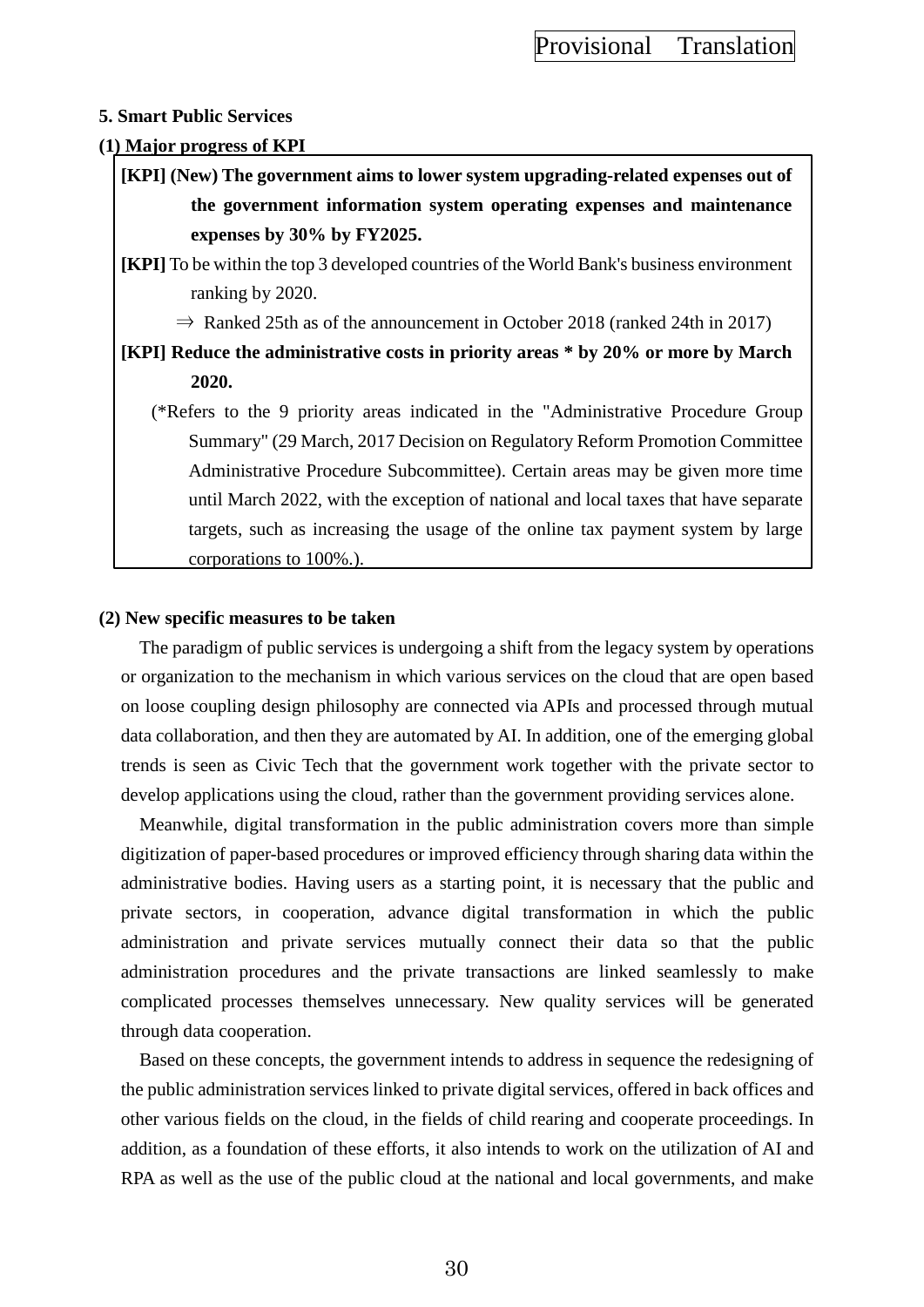### **5. Smart Public Services**

### **(1) Major progress of KPI**

**[KPI] (New) The government aims to lower system upgrading-related expenses out of the government information system operating expenses and maintenance expenses by 30% by FY2025.**

**[KPI]** To be within the top 3 developed countries of the World Bank's business environment ranking by 2020.

 $\Rightarrow$  Ranked 25th as of the announcement in October 2018 (ranked 24th in 2017)

**[KPI] Reduce the administrative costs in priority areas \* by 20% or more by March 2020.**

(\*Refers to the 9 priority areas indicated in the "Administrative Procedure Group Summary" (29 March, 2017 Decision on Regulatory Reform Promotion Committee Administrative Procedure Subcommittee). Certain areas may be given more time until March 2022, with the exception of national and local taxes that have separate targets, such as increasing the usage of the online tax payment system by large corporations to 100%.).

#### **(2) New specific measures to be taken**

The paradigm of public services is undergoing a shift from the legacy system by operations or organization to the mechanism in which various services on the cloud that are open based on loose coupling design philosophy are connected via APIs and processed through mutual data collaboration, and then they are automated by AI. In addition, one of the emerging global trends is seen as Civic Tech that the government work together with the private sector to develop applications using the cloud, rather than the government providing services alone.

Meanwhile, digital transformation in the public administration covers more than simple digitization of paper-based procedures or improved efficiency through sharing data within the administrative bodies. Having users as a starting point, it is necessary that the public and private sectors, in cooperation, advance digital transformation in which the public administration and private services mutually connect their data so that the public administration procedures and the private transactions are linked seamlessly to make complicated processes themselves unnecessary. New quality services will be generated through data cooperation.

Based on these concepts, the government intends to address in sequence the redesigning of the public administration services linked to private digital services, offered in back offices and other various fields on the cloud, in the fields of child rearing and cooperate proceedings. In addition, as a foundation of these efforts, it also intends to work on the utilization of AI and RPA as well as the use of the public cloud at the national and local governments, and make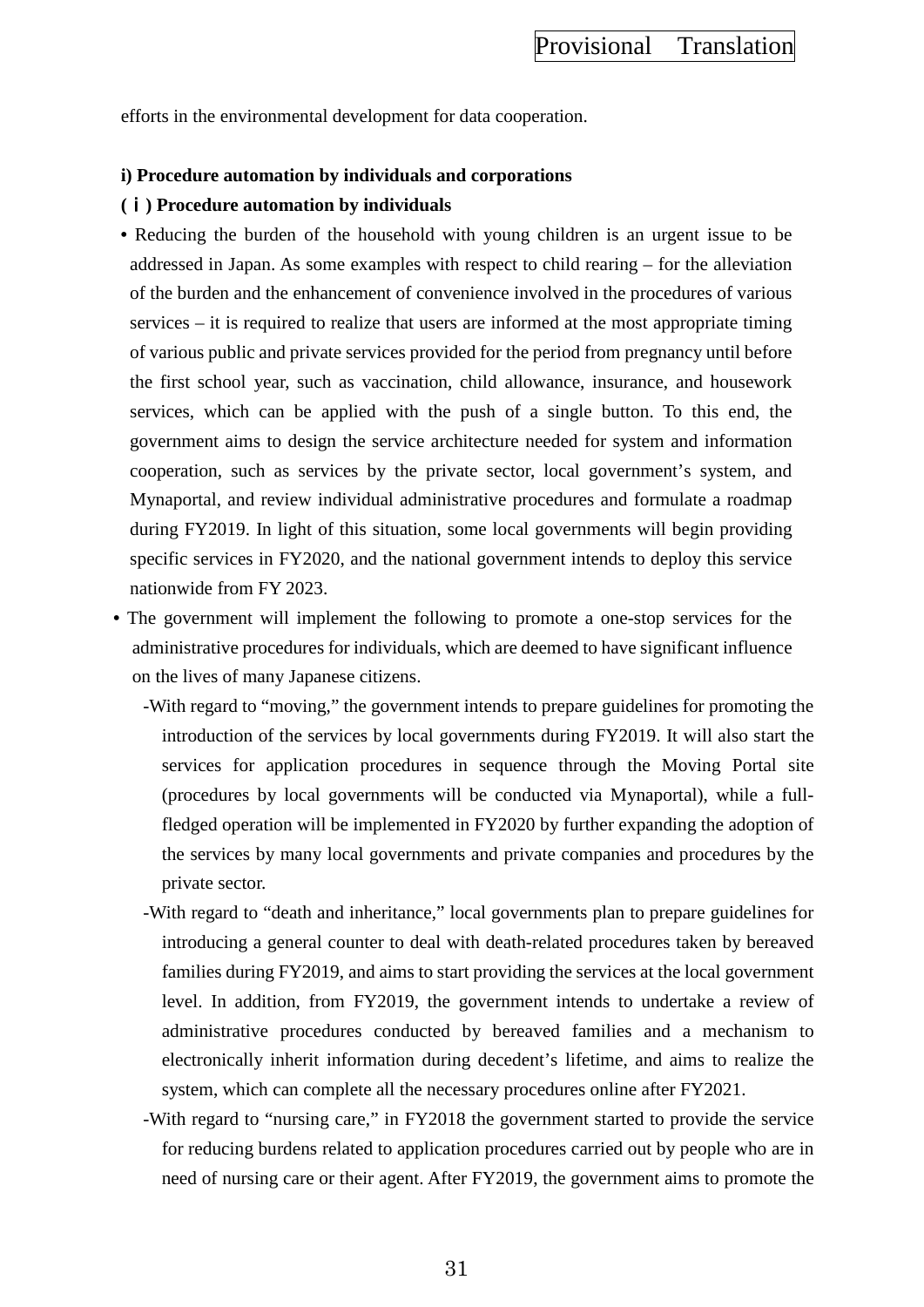efforts in the environmental development for data cooperation.

#### **i) Procedure automation by individuals and corporations**

#### **(**ⅰ**) Procedure automation by individuals**

- Reducing the burden of the household with young children is an urgent issue to be addressed in Japan. As some examples with respect to child rearing – for the alleviation of the burden and the enhancement of convenience involved in the procedures of various services – it is required to realize that users are informed at the most appropriate timing of various public and private services provided for the period from pregnancy until before the first school year, such as vaccination, child allowance, insurance, and housework services, which can be applied with the push of a single button. To this end, the government aims to design the service architecture needed for system and information cooperation, such as services by the private sector, local government's system, and Mynaportal, and review individual administrative procedures and formulate a roadmap during FY2019. In light of this situation, some local governments will begin providing specific services in FY2020, and the national government intends to deploy this service nationwide from FY 2023.
- The government will implement the following to promote a one-stop services for the administrative procedures for individuals, which are deemed to have significant influence on the lives of many Japanese citizens.
	- -With regard to "moving," the government intends to prepare guidelines for promoting the introduction of the services by local governments during FY2019. It will also start the services for application procedures in sequence through the Moving Portal site (procedures by local governments will be conducted via Mynaportal), while a fullfledged operation will be implemented in FY2020 by further expanding the adoption of the services by many local governments and private companies and procedures by the private sector.
	- -With regard to "death and inheritance," local governments plan to prepare guidelines for introducing a general counter to deal with death-related procedures taken by bereaved families during FY2019, and aims to start providing the services at the local government level. In addition, from FY2019, the government intends to undertake a review of administrative procedures conducted by bereaved families and a mechanism to electronically inherit information during decedent's lifetime, and aims to realize the system, which can complete all the necessary procedures online after FY2021.
	- -With regard to "nursing care," in FY2018 the government started to provide the service for reducing burdens related to application procedures carried out by people who are in need of nursing care or their agent. After FY2019, the government aims to promote the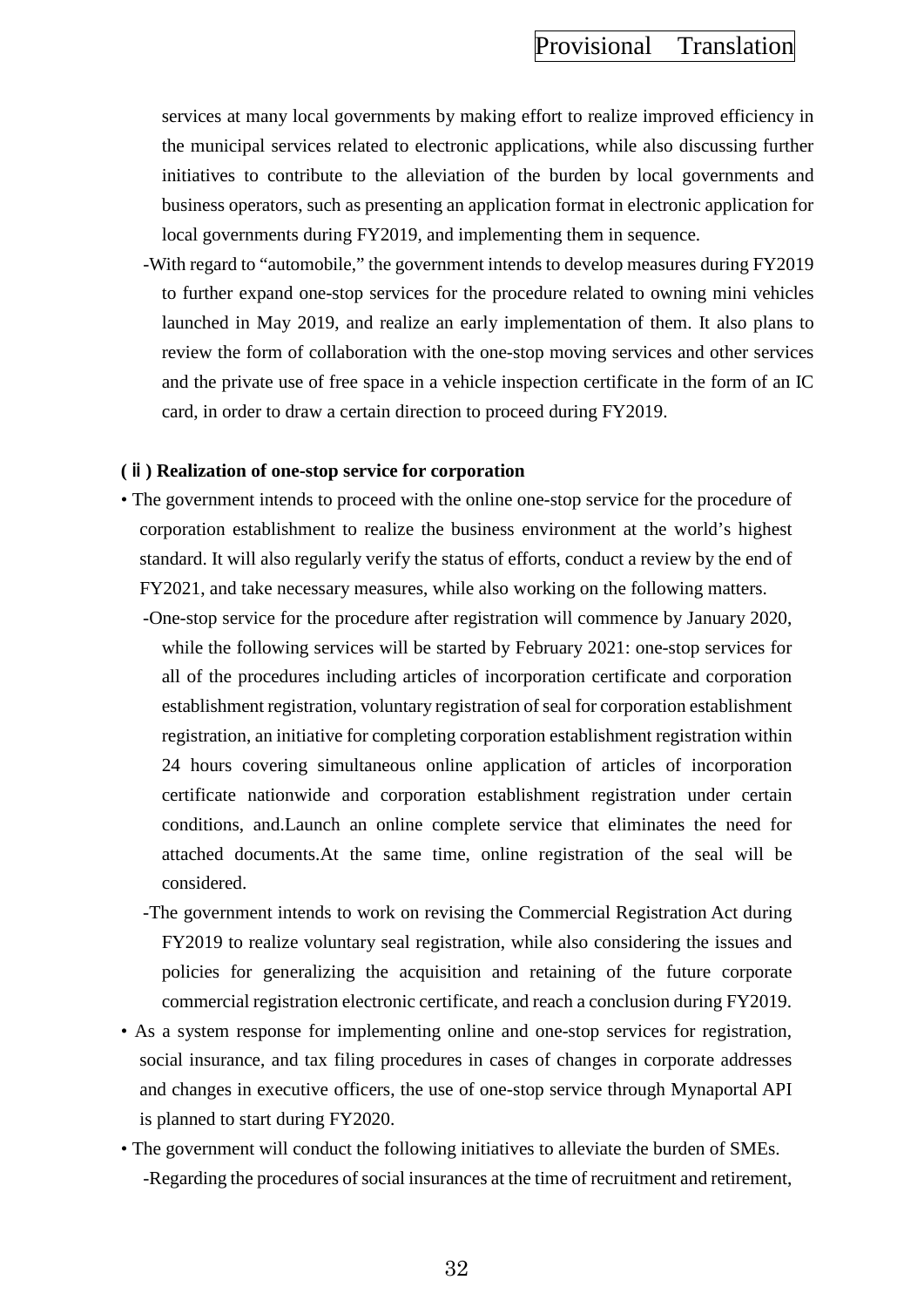services at many local governments by making effort to realize improved efficiency in the municipal services related to electronic applications, while also discussing further initiatives to contribute to the alleviation of the burden by local governments and business operators, such as presenting an application format in electronic application for local governments during FY2019, and implementing them in sequence.

-With regard to "automobile," the government intends to develop measures during FY2019 to further expand one-stop services for the procedure related to owning mini vehicles launched in May 2019, and realize an early implementation of them. It also plans to review the form of collaboration with the one-stop moving services and other services and the private use of free space in a vehicle inspection certificate in the form of an IC card, in order to draw a certain direction to proceed during FY2019.

### **(**ⅱ**) Realization of one-stop service for corporation**

- The government intends to proceed with the online one-stop service for the procedure of corporation establishment to realize the business environment at the world's highest standard. It will also regularly verify the status of efforts, conduct a review by the end of FY2021, and take necessary measures, while also working on the following matters.
	- -One-stop service for the procedure after registration will commence by January 2020, while the following services will be started by February 2021: one-stop services for all of the procedures including articles of incorporation certificate and corporation establishment registration, voluntary registration of seal for corporation establishment registration, an initiative for completing corporation establishment registration within 24 hours covering simultaneous online application of articles of incorporation certificate nationwide and corporation establishment registration under certain conditions, and.Launch an online complete service that eliminates the need for attached documents.At the same time, online registration of the seal will be considered.
	- -The government intends to work on revising the Commercial Registration Act during FY2019 to realize voluntary seal registration, while also considering the issues and policies for generalizing the acquisition and retaining of the future corporate commercial registration electronic certificate, and reach a conclusion during FY2019.
- As a system response for implementing online and one-stop services for registration, social insurance, and tax filing procedures in cases of changes in corporate addresses and changes in executive officers, the use of one-stop service through Mynaportal API is planned to start during FY2020.
- The government will conduct the following initiatives to alleviate the burden of SMEs. -Regarding the procedures of social insurances at the time of recruitment and retirement,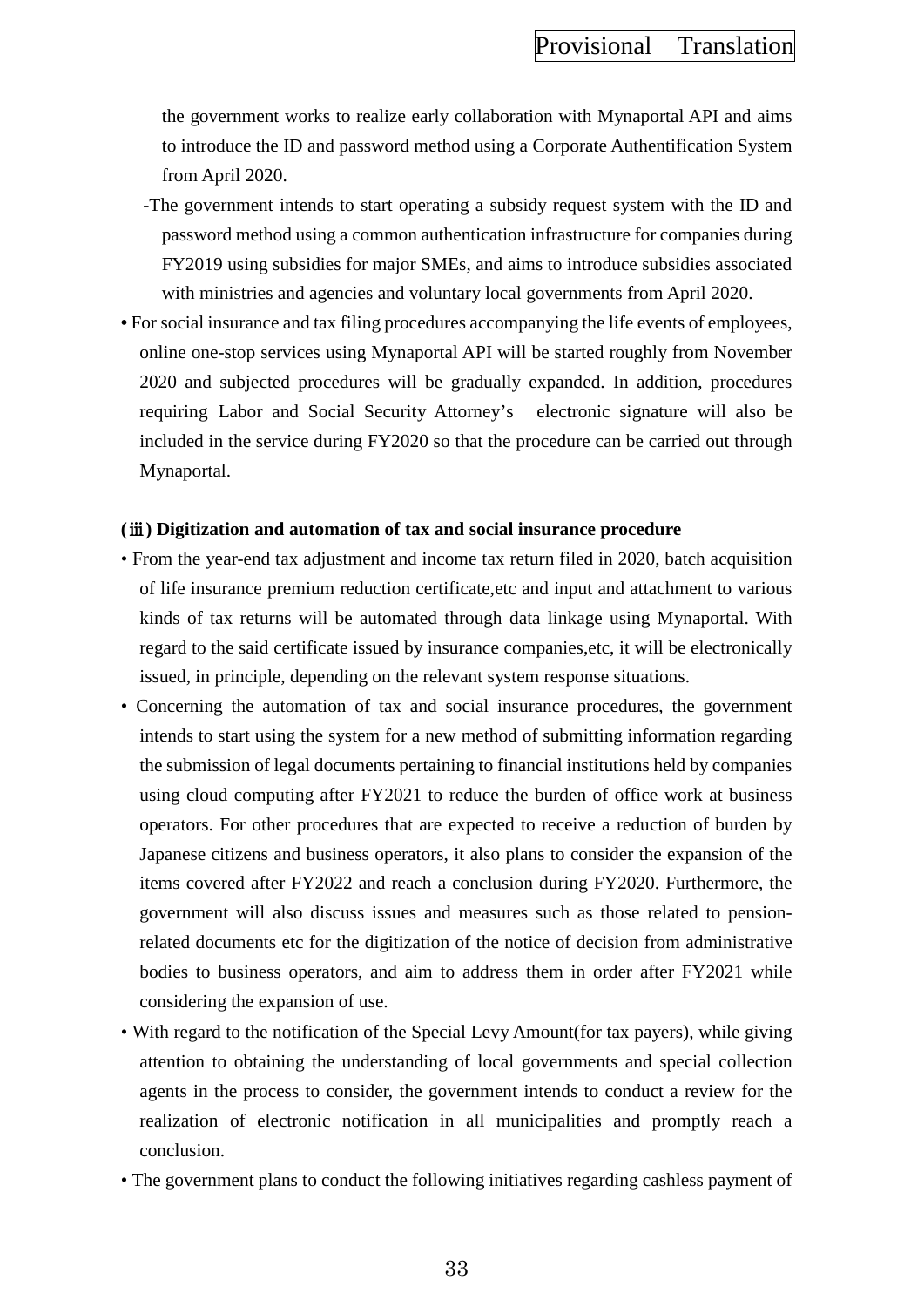the government works to realize early collaboration with Mynaportal API and aims to introduce the ID and password method using a Corporate Authentification System from April 2020.

- -The government intends to start operating a subsidy request system with the ID and password method using a common authentication infrastructure for companies during FY2019 using subsidies for major SMEs, and aims to introduce subsidies associated with ministries and agencies and voluntary local governments from April 2020.
- For social insurance and tax filing procedures accompanying the life events of employees, online one-stop services using Mynaportal API will be started roughly from November 2020 and subjected procedures will be gradually expanded. In addition, procedures requiring Labor and Social Security Attorney's electronic signature will also be included in the service during FY2020 so that the procedure can be carried out through Mynaportal.

### **(**ⅲ**) Digitization and automation of tax and social insurance procedure**

- From the year-end tax adjustment and income tax return filed in 2020, batch acquisition of life insurance premium reduction certificate,etc and input and attachment to various kinds of tax returns will be automated through data linkage using Mynaportal. With regard to the said certificate issued by insurance companies,etc, it will be electronically issued, in principle, depending on the relevant system response situations.
- Concerning the automation of tax and social insurance procedures, the government intends to start using the system for a new method of submitting information regarding the submission of legal documents pertaining to financial institutions held by companies using cloud computing after FY2021 to reduce the burden of office work at business operators. For other procedures that are expected to receive a reduction of burden by Japanese citizens and business operators, it also plans to consider the expansion of the items covered after FY2022 and reach a conclusion during FY2020. Furthermore, the government will also discuss issues and measures such as those related to pensionrelated documents etc for the digitization of the notice of decision from administrative bodies to business operators, and aim to address them in order after FY2021 while considering the expansion of use.
- With regard to the notification of the Special Levy Amount(for tax payers), while giving attention to obtaining the understanding of local governments and special collection agents in the process to consider, the government intends to conduct a review for the realization of electronic notification in all municipalities and promptly reach a conclusion.
- The government plans to conduct the following initiatives regarding cashless payment of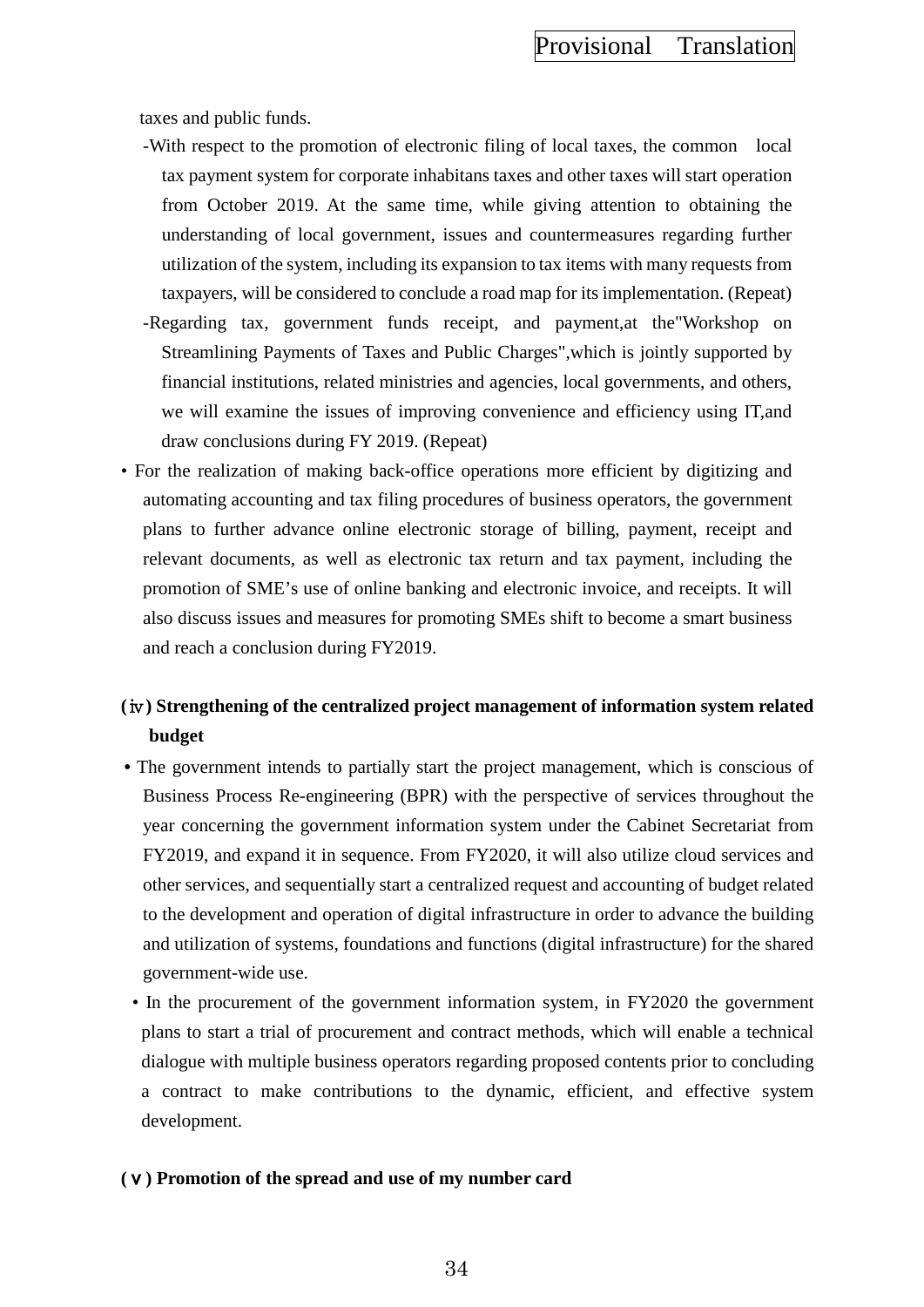taxes and public funds.

- -With respect to the promotion of electronic filing of local taxes, the common local tax payment system for corporate inhabitans taxes and other taxes will start operation from October 2019. At the same time, while giving attention to obtaining the understanding of local government, issues and countermeasures regarding further utilization of the system, including its expansion to tax items with many requests from taxpayers, will be considered to conclude a road map for its implementation. (Repeat)
- -Regarding tax, government funds receipt, and payment,at the"Workshop on Streamlining Payments of Taxes and Public Charges",which is jointly supported by financial institutions, related ministries and agencies, local governments, and others, we will examine the issues of improving convenience and efficiency using IT,and draw conclusions during FY 2019. (Repeat)
- For the realization of making back-office operations more efficient by digitizing and automating accounting and tax filing procedures of business operators, the government plans to further advance online electronic storage of billing, payment, receipt and relevant documents, as well as electronic tax return and tax payment, including the promotion of SME's use of online banking and electronic invoice, and receipts. It will also discuss issues and measures for promoting SMEs shift to become a smart business and reach a conclusion during FY2019.

# **(**ⅳ**) Strengthening of the centralized project management of information system related budget**

- The government intends to partially start the project management, which is conscious of Business Process Re-engineering (BPR) with the perspective of services throughout the year concerning the government information system under the Cabinet Secretariat from FY2019, and expand it in sequence. From FY2020, it will also utilize cloud services and other services, and sequentially start a centralized request and accounting of budget related to the development and operation of digital infrastructure in order to advance the building and utilization of systems, foundations and functions (digital infrastructure) for the shared government-wide use.
- In the procurement of the government information system, in FY2020 the government plans to start a trial of procurement and contract methods, which will enable a technical dialogue with multiple business operators regarding proposed contents prior to concluding a contract to make contributions to the dynamic, efficient, and effective system development.

#### **(**ⅴ**) Promotion of the spread and use of my number card**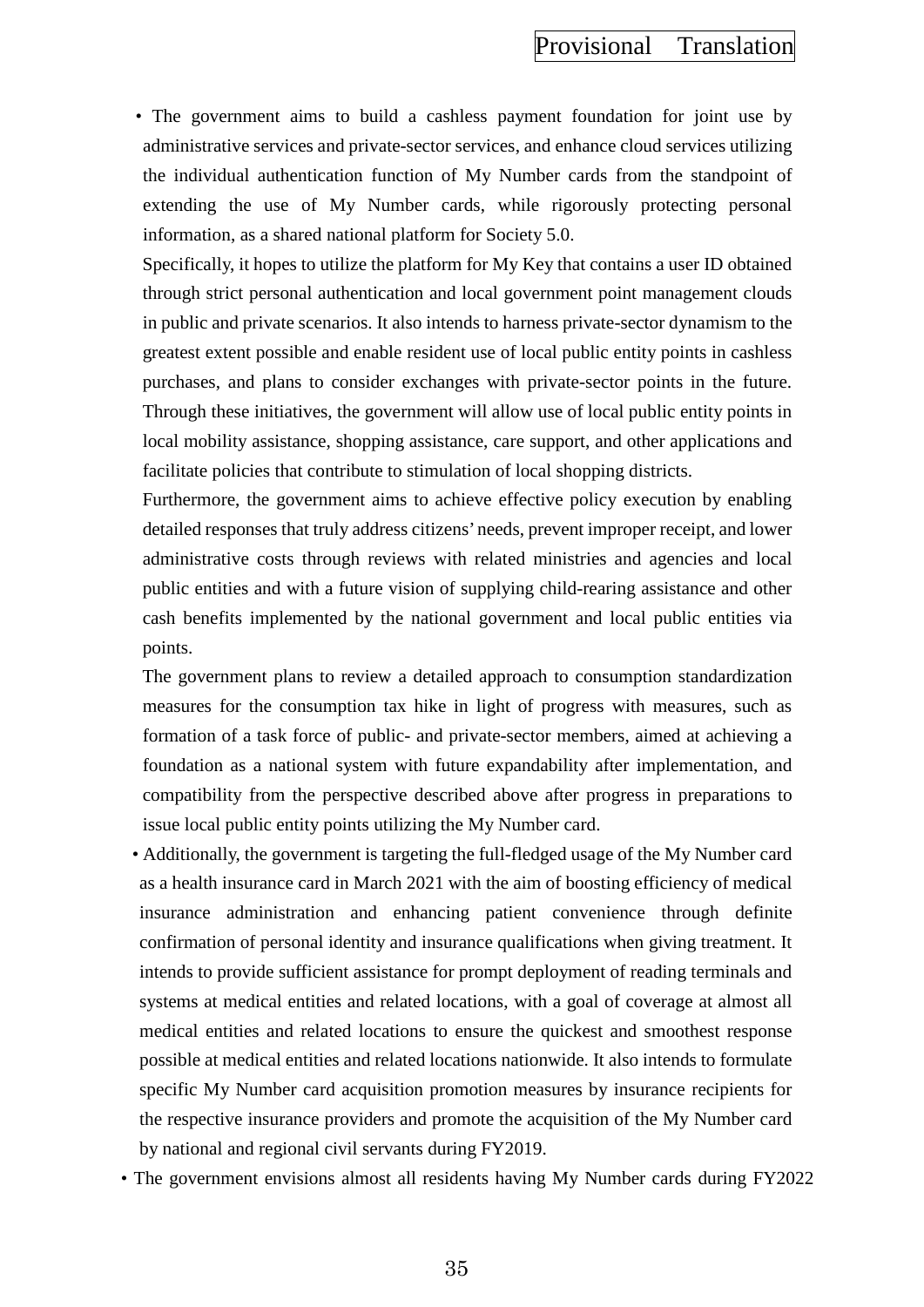• The government aims to build a cashless payment foundation for joint use by administrative services and private-sector services, and enhance cloud services utilizing the individual authentication function of My Number cards from the standpoint of extending the use of My Number cards, while rigorously protecting personal information, as a shared national platform for Society 5.0.

Specifically, it hopes to utilize the platform for My Key that contains a user ID obtained through strict personal authentication and local government point management clouds in public and private scenarios. It also intends to harness private-sector dynamism to the greatest extent possible and enable resident use of local public entity points in cashless purchases, and plans to consider exchanges with private-sector points in the future. Through these initiatives, the government will allow use of local public entity points in local mobility assistance, shopping assistance, care support, and other applications and facilitate policies that contribute to stimulation of local shopping districts.

Furthermore, the government aims to achieve effective policy execution by enabling detailed responses that truly address citizens' needs, prevent improper receipt, and lower administrative costs through reviews with related ministries and agencies and local public entities and with a future vision of supplying child-rearing assistance and other cash benefits implemented by the national government and local public entities via points.

The government plans to review a detailed approach to consumption standardization measures for the consumption tax hike in light of progress with measures, such as formation of a task force of public- and private-sector members, aimed at achieving a foundation as a national system with future expandability after implementation, and compatibility from the perspective described above after progress in preparations to issue local public entity points utilizing the My Number card.

• Additionally, the government is targeting the full-fledged usage of the My Number card as a health insurance card in March 2021 with the aim of boosting efficiency of medical insurance administration and enhancing patient convenience through definite confirmation of personal identity and insurance qualifications when giving treatment. It intends to provide sufficient assistance for prompt deployment of reading terminals and systems at medical entities and related locations, with a goal of coverage at almost all medical entities and related locations to ensure the quickest and smoothest response possible at medical entities and related locations nationwide. It also intends to formulate specific My Number card acquisition promotion measures by insurance recipients for the respective insurance providers and promote the acquisition of the My Number card by national and regional civil servants during FY2019.

• The government envisions almost all residents having My Number cards during FY2022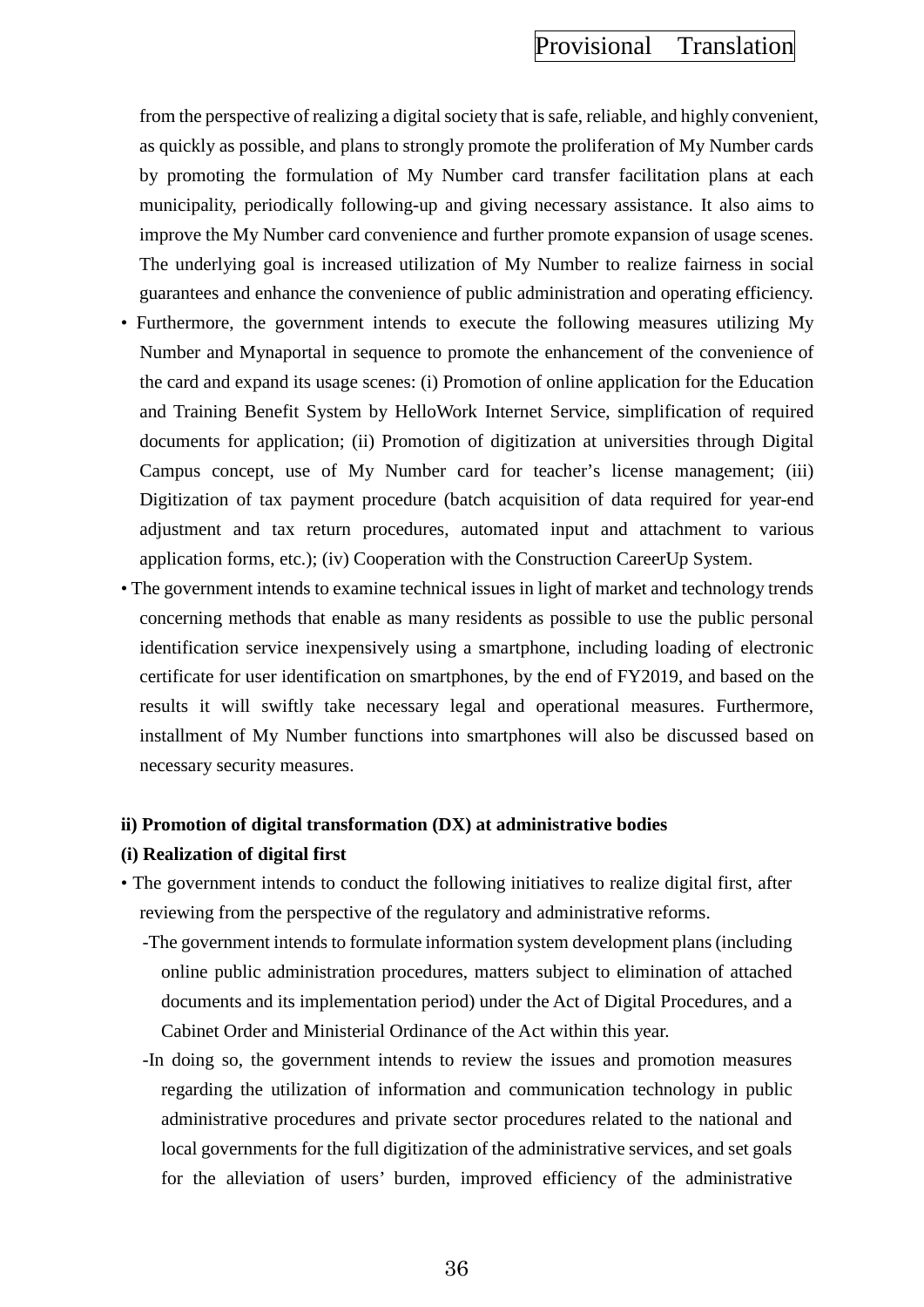from the perspective of realizing a digital society that is safe, reliable, and highly convenient, as quickly as possible, and plans to strongly promote the proliferation of My Number cards by promoting the formulation of My Number card transfer facilitation plans at each municipality, periodically following-up and giving necessary assistance. It also aims to improve the My Number card convenience and further promote expansion of usage scenes. The underlying goal is increased utilization of My Number to realize fairness in social guarantees and enhance the convenience of public administration and operating efficiency.

- Furthermore, the government intends to execute the following measures utilizing My Number and Mynaportal in sequence to promote the enhancement of the convenience of the card and expand its usage scenes: (i) Promotion of online application for the Education and Training Benefit System by HelloWork Internet Service, simplification of required documents for application; (ii) Promotion of digitization at universities through Digital Campus concept, use of My Number card for teacher's license management; (iii) Digitization of tax payment procedure (batch acquisition of data required for year-end adjustment and tax return procedures, automated input and attachment to various application forms, etc.); (iv) Cooperation with the Construction CareerUp System.
- The government intends to examine technical issues in light of market and technology trends concerning methods that enable as many residents as possible to use the public personal identification service inexpensively using a smartphone, including loading of electronic certificate for user identification on smartphones, by the end of FY2019, and based on the results it will swiftly take necessary legal and operational measures. Furthermore, installment of My Number functions into smartphones will also be discussed based on necessary security measures.

### **ii) Promotion of digital transformation (DX) at administrative bodies**

#### **(i) Realization of digital first**

- The government intends to conduct the following initiatives to realize digital first, after reviewing from the perspective of the regulatory and administrative reforms.
	- -The government intends to formulate information system development plans (including online public administration procedures, matters subject to elimination of attached documents and its implementation period) under the Act of Digital Procedures, and a Cabinet Order and Ministerial Ordinance of the Act within this year.
	- -In doing so, the government intends to review the issues and promotion measures regarding the utilization of information and communication technology in public administrative procedures and private sector procedures related to the national and local governments for the full digitization of the administrative services, and set goals for the alleviation of users' burden, improved efficiency of the administrative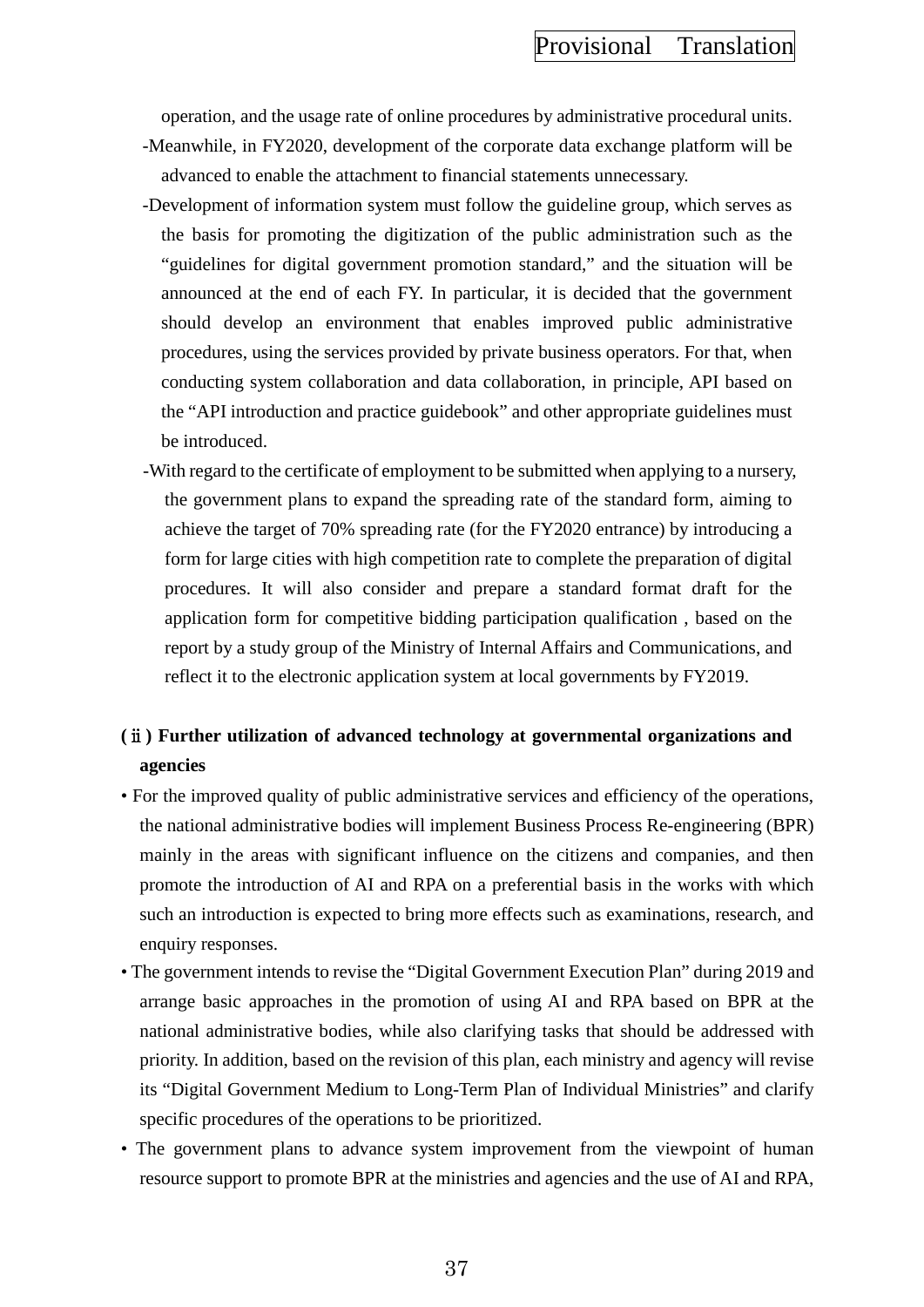operation, and the usage rate of online procedures by administrative procedural units. -Meanwhile, in FY2020, development of the corporate data exchange platform will be advanced to enable the attachment to financial statements unnecessary.

- -Development of information system must follow the guideline group, which serves as the basis for promoting the digitization of the public administration such as the "guidelines for digital government promotion standard," and the situation will be announced at the end of each FY. In particular, it is decided that the government should develop an environment that enables improved public administrative procedures, using the services provided by private business operators. For that, when conducting system collaboration and data collaboration, in principle, API based on the "API introduction and practice guidebook" and other appropriate guidelines must be introduced.
- -With regard to the certificate of employment to be submitted when applying to a nursery, the government plans to expand the spreading rate of the standard form, aiming to achieve the target of 70% spreading rate (for the FY2020 entrance) by introducing a form for large cities with high competition rate to complete the preparation of digital procedures. It will also consider and prepare a standard format draft for the application form for competitive bidding participation qualification , based on the report by a study group of the Ministry of Internal Affairs and Communications, and reflect it to the electronic application system at local governments by FY2019.

# **(**ⅱ**) Further utilization of advanced technology at governmental organizations and agencies**

- For the improved quality of public administrative services and efficiency of the operations, the national administrative bodies will implement Business Process Re-engineering (BPR) mainly in the areas with significant influence on the citizens and companies, and then promote the introduction of AI and RPA on a preferential basis in the works with which such an introduction is expected to bring more effects such as examinations, research, and enquiry responses.
- The government intends to revise the "Digital Government Execution Plan" during 2019 and arrange basic approaches in the promotion of using AI and RPA based on BPR at the national administrative bodies, while also clarifying tasks that should be addressed with priority. In addition, based on the revision of this plan, each ministry and agency will revise its "Digital Government Medium to Long-Term Plan of Individual Ministries" and clarify specific procedures of the operations to be prioritized.
- The government plans to advance system improvement from the viewpoint of human resource support to promote BPR at the ministries and agencies and the use of AI and RPA,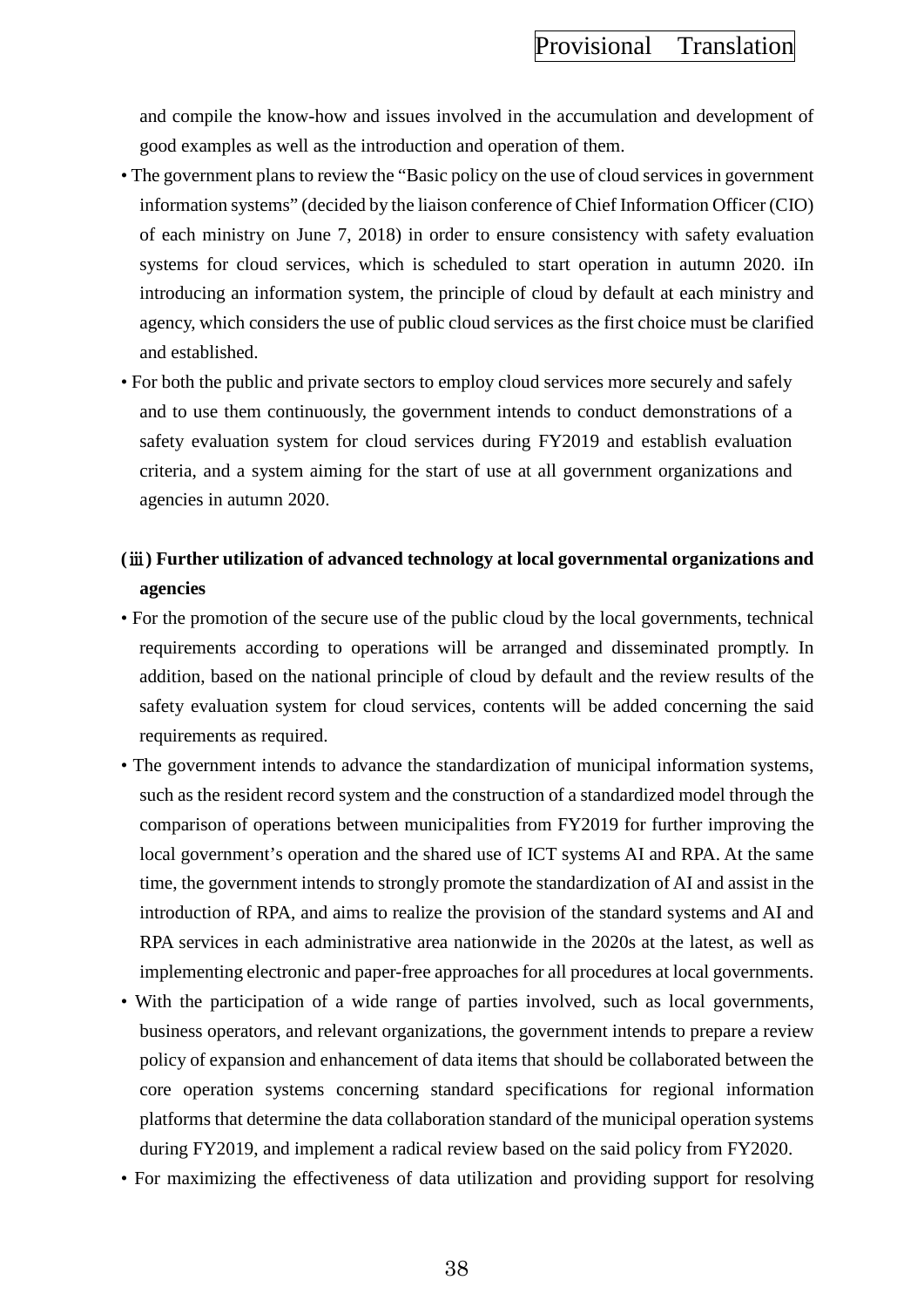and compile the know-how and issues involved in the accumulation and development of good examples as well as the introduction and operation of them.

- The government plans to review the "Basic policy on the use of cloud services in government information systems" (decided by the liaison conference of Chief Information Officer (CIO) of each ministry on June 7, 2018) in order to ensure consistency with safety evaluation systems for cloud services, which is scheduled to start operation in autumn 2020. iIn introducing an information system, the principle of cloud by default at each ministry and agency, which considers the use of public cloud services as the first choice must be clarified and established.
- For both the public and private sectors to employ cloud services more securely and safely and to use them continuously, the government intends to conduct demonstrations of a safety evaluation system for cloud services during FY2019 and establish evaluation criteria, and a system aiming for the start of use at all government organizations and agencies in autumn 2020.

# **(**ⅲ**) Further utilization of advanced technology at local governmental organizations and agencies**

- For the promotion of the secure use of the public cloud by the local governments, technical requirements according to operations will be arranged and disseminated promptly. In addition, based on the national principle of cloud by default and the review results of the safety evaluation system for cloud services, contents will be added concerning the said requirements as required.
- The government intends to advance the standardization of municipal information systems, such as the resident record system and the construction of a standardized model through the comparison of operations between municipalities from FY2019 for further improving the local government's operation and the shared use of ICT systems AI and RPA. At the same time, the government intends to strongly promote the standardization of AI and assist in the introduction of RPA, and aims to realize the provision of the standard systems and AI and RPA services in each administrative area nationwide in the 2020s at the latest, as well as implementing electronic and paper-free approaches for all procedures at local governments.
- With the participation of a wide range of parties involved, such as local governments, business operators, and relevant organizations, the government intends to prepare a review policy of expansion and enhancement of data items that should be collaborated between the core operation systems concerning standard specifications for regional information platforms that determine the data collaboration standard of the municipal operation systems during FY2019, and implement a radical review based on the said policy from FY2020.
- For maximizing the effectiveness of data utilization and providing support for resolving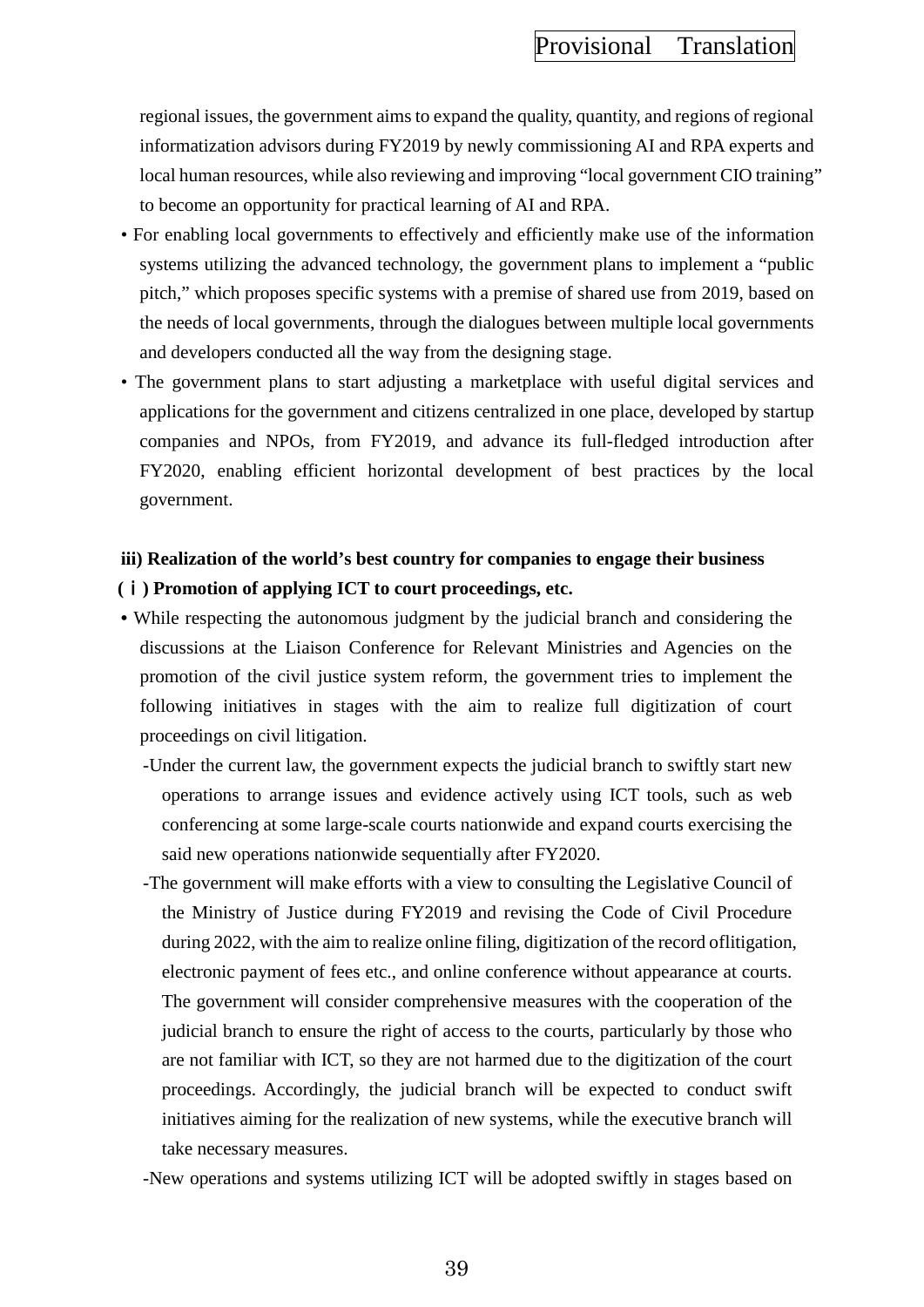regional issues, the government aims to expand the quality, quantity, and regions of regional informatization advisors during FY2019 by newly commissioning AI and RPA experts and local human resources, while also reviewing and improving "local government CIO training" to become an opportunity for practical learning of AI and RPA.

- For enabling local governments to effectively and efficiently make use of the information systems utilizing the advanced technology, the government plans to implement a "public pitch," which proposes specific systems with a premise of shared use from 2019, based on the needs of local governments, through the dialogues between multiple local governments and developers conducted all the way from the designing stage.
- The government plans to start adjusting a marketplace with useful digital services and applications for the government and citizens centralized in one place, developed by startup companies and NPOs, from FY2019, and advance its full-fledged introduction after FY2020, enabling efficient horizontal development of best practices by the local government.

# **iii) Realization of the world's best country for companies to engage their business (**ⅰ**) Promotion of applying ICT to court proceedings, etc.**

- While respecting the autonomous judgment by the judicial branch and considering the discussions at the Liaison Conference for Relevant Ministries and Agencies on the promotion of the civil justice system reform, the government tries to implement the following initiatives in stages with the aim to realize full digitization of court proceedings on civil litigation.
	- -Under the current law, the government expects the judicial branch to swiftly start new operations to arrange issues and evidence actively using ICT tools, such as web conferencing at some large-scale courts nationwide and expand courts exercising the said new operations nationwide sequentially after FY2020.
	- -The government will make efforts with a view to consulting the Legislative Council of the Ministry of Justice during FY2019 and revising the Code of Civil Procedure during 2022, with the aim to realize online filing, digitization of the record oflitigation, electronic payment of fees etc., and online conference without appearance at courts. The government will consider comprehensive measures with the cooperation of the judicial branch to ensure the right of access to the courts, particularly by those who are not familiar with ICT, so they are not harmed due to the digitization of the court proceedings. Accordingly, the judicial branch will be expected to conduct swift initiatives aiming for the realization of new systems, while the executive branch will take necessary measures.
	- -New operations and systems utilizing ICT will be adopted swiftly in stages based on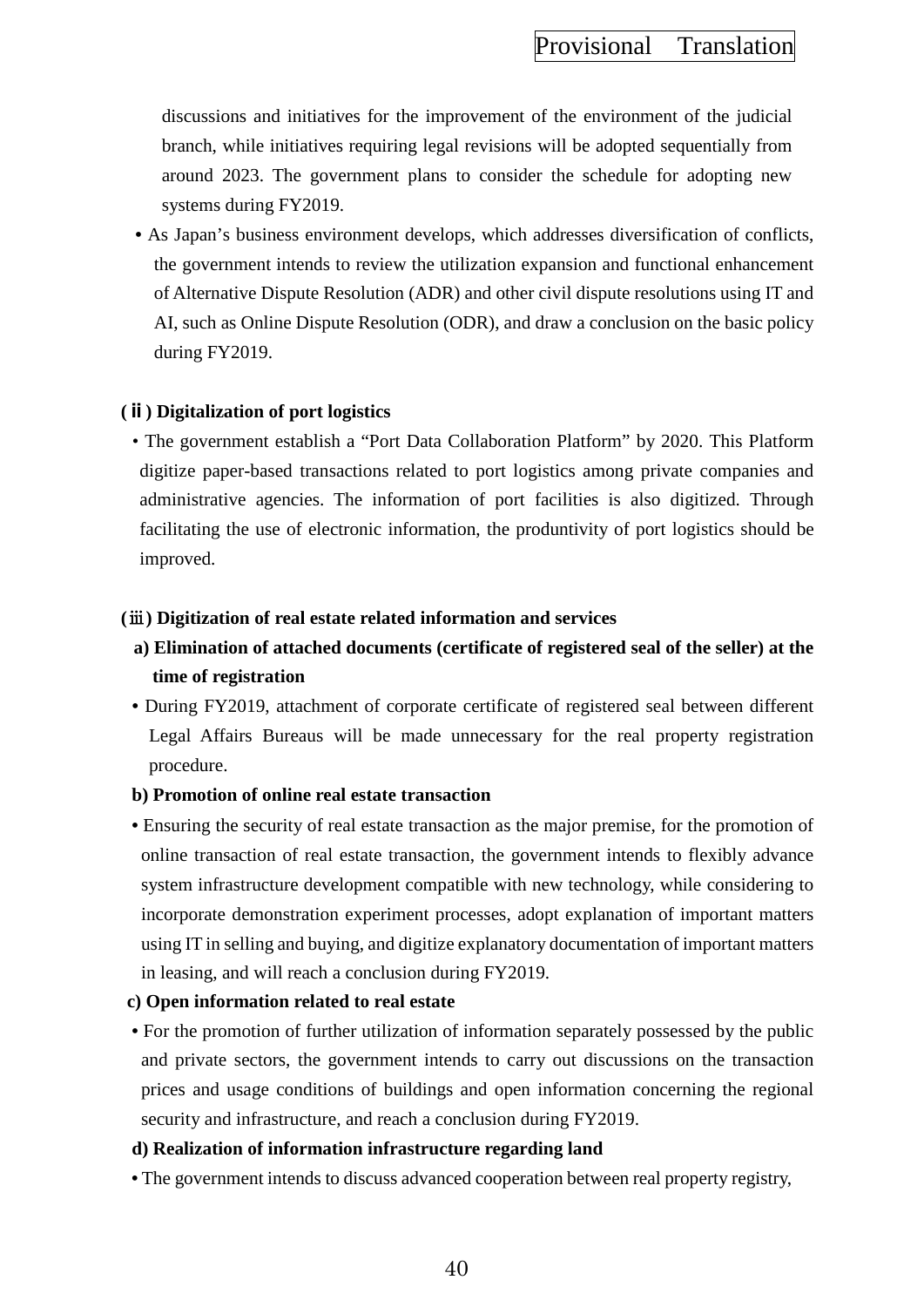discussions and initiatives for the improvement of the environment of the judicial branch, while initiatives requiring legal revisions will be adopted sequentially from around 2023. The government plans to consider the schedule for adopting new systems during FY2019.

**•** As Japan's business environment develops, which addresses diversification of conflicts, the government intends to review the utilization expansion and functional enhancement of Alternative Dispute Resolution (ADR) and other civil dispute resolutions using IT and AI, such as Online Dispute Resolution (ODR), and draw a conclusion on the basic policy during FY2019.

### **(ⅱ) Digitalization of port logistics**

• The government establish a "Port Data Collaboration Platform" by 2020. This Platform digitize paper-based transactions related to port logistics among private companies and administrative agencies. The information of port facilities is also digitized. Through facilitating the use of electronic information, the produntivity of port logistics should be improved.

# **(**ⅲ**) Digitization of real estate related information and services**

- **a) Elimination of attached documents (certificate of registered seal of the seller) at the time of registration**
- During FY2019, attachment of corporate certificate of registered seal between different Legal Affairs Bureaus will be made unnecessary for the real property registration procedure.

### **b) Promotion of online real estate transaction**

**•** Ensuring the security of real estate transaction as the major premise, for the promotion of online transaction of real estate transaction, the government intends to flexibly advance system infrastructure development compatible with new technology, while considering to incorporate demonstration experiment processes, adopt explanation of important matters using IT in selling and buying, and digitize explanatory documentation of important matters in leasing, and will reach a conclusion during FY2019.

### **c) Open information related to real estate**

• For the promotion of further utilization of information separately possessed by the public and private sectors, the government intends to carry out discussions on the transaction prices and usage conditions of buildings and open information concerning the regional security and infrastructure, and reach a conclusion during FY2019.

### **d) Realization of information infrastructure regarding land**

**•** The government intends to discuss advanced cooperation between real property registry,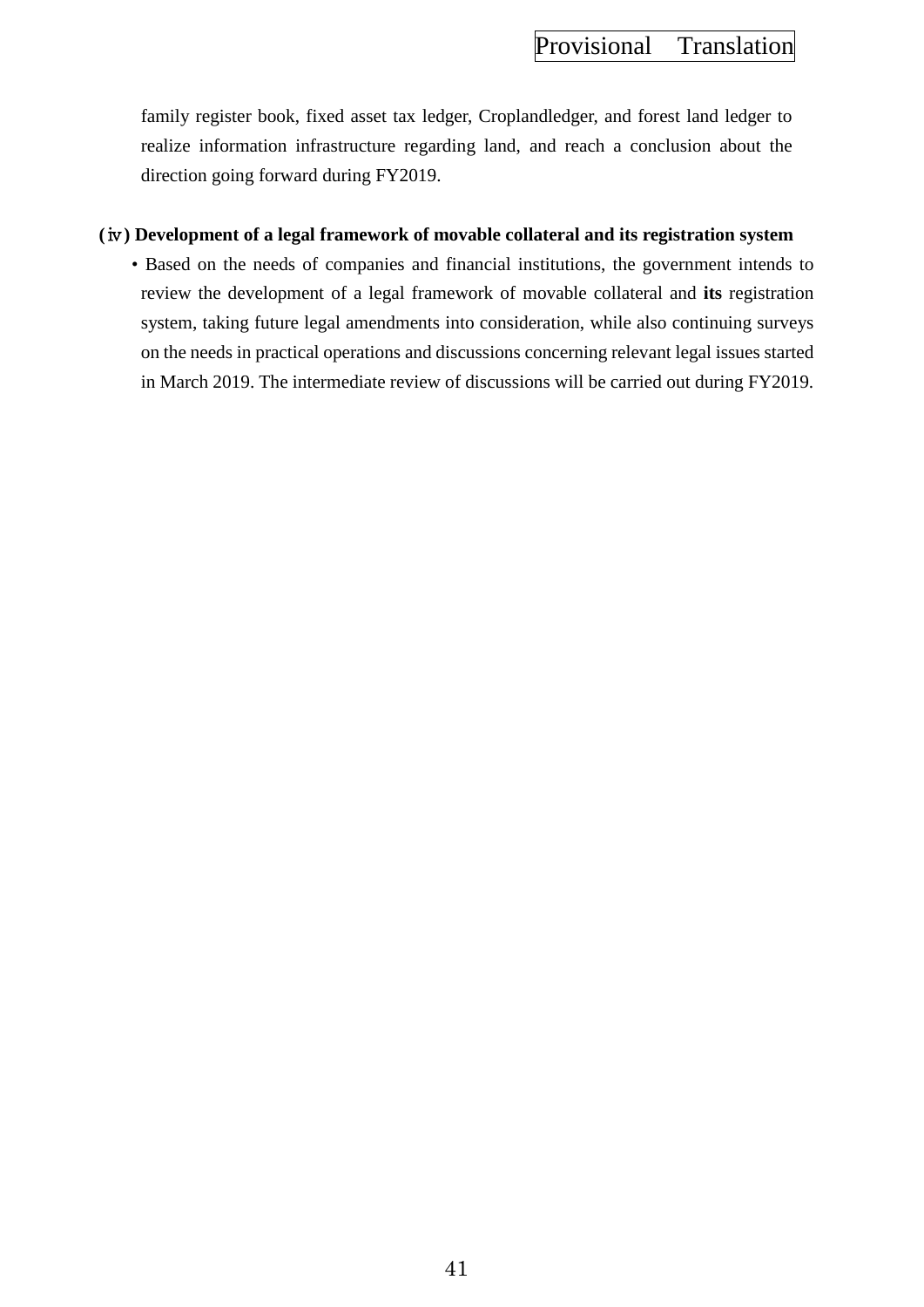family register book, fixed asset tax ledger, Croplandledger, and forest land ledger to realize information infrastructure regarding land, and reach a conclusion about the direction going forward during FY2019.

# **(**ⅳ**) Development of a legal framework of movable collateral and its registration system**

• Based on the needs of companies and financial institutions, the government intends to review the development of a legal framework of movable collateral and **its** registration system, taking future legal amendments into consideration, while also continuing surveys on the needs in practical operations and discussions concerning relevant legal issues started in March 2019. The intermediate review of discussions will be carried out during FY2019.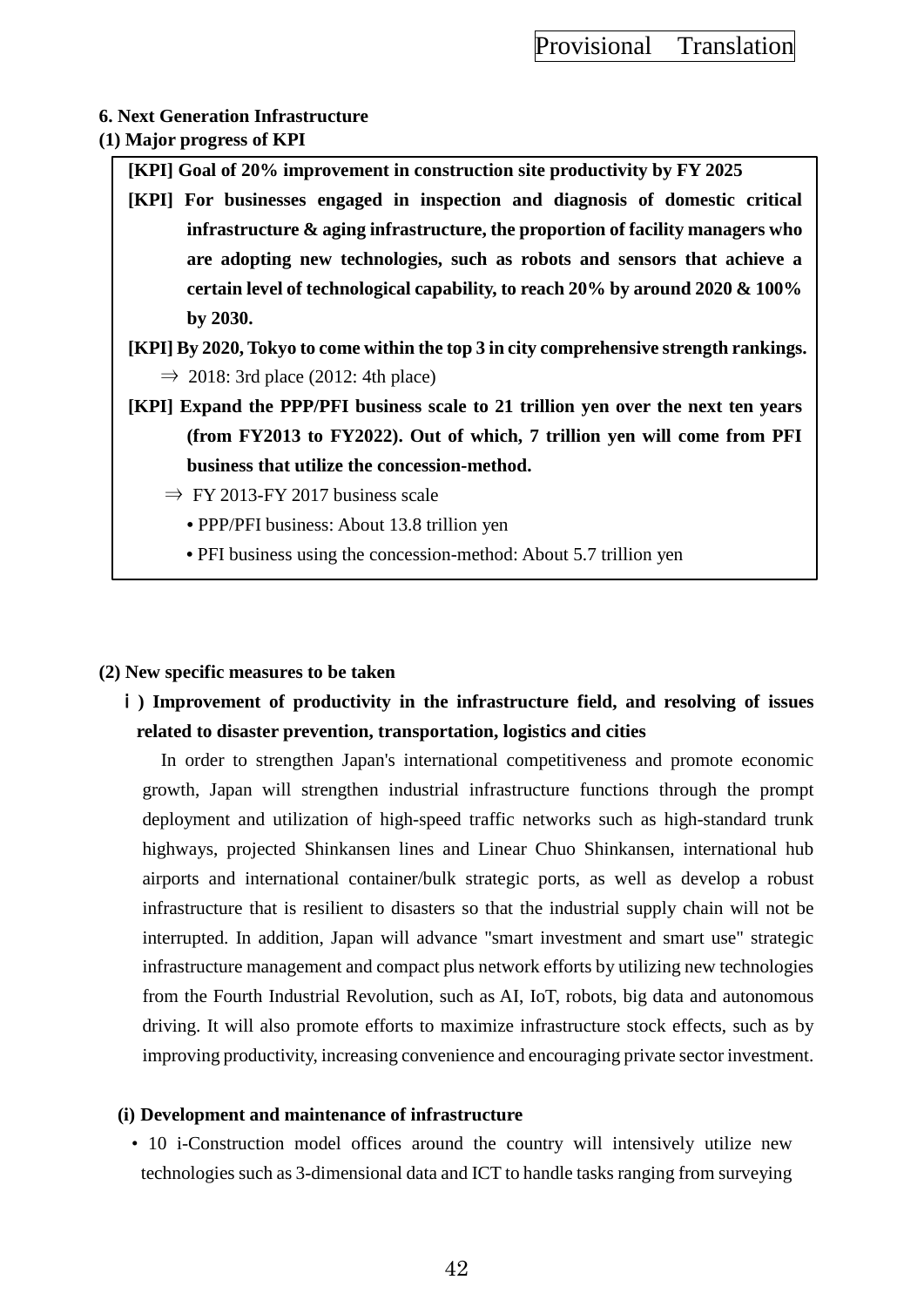# **6. Next Generation Infrastructure (1) Major progress of KPI**

**[KPI] Goal of 20% improvement in construction site productivity by FY 2025**

- **[KPI] For businesses engaged in inspection and diagnosis of domestic critical infrastructure & aging infrastructure, the proportion of facility managers who are adopting new technologies, such as robots and sensors that achieve a certain level of technological capability, to reach 20% by around 2020 & 100% by 2030.**
- **[KPI] By 2020, Tokyo to come within the top 3 in city comprehensive strength rankings.**  $\Rightarrow$  2018: 3rd place (2012: 4th place)
- **[KPI] Expand the PPP/PFI business scale to 21 trillion yen over the next ten years (from FY2013 to FY2022). Out of which, 7 trillion yen will come from PFI business that utilize the concession-method.**
	- $\Rightarrow$  FY 2013-FY 2017 business scale
		- PPP/PFI business: About 13.8 trillion yen
		- PFI business using the concession-method: About 5.7 trillion yen

# **(2) New specific measures to be taken**

 $\mathbf{i}$  ) Improvement of productivity in the infrastructure field, and resolving of issues **related to disaster prevention, transportation, logistics and cities**

In order to strengthen Japan's international competitiveness and promote economic growth, Japan will strengthen industrial infrastructure functions through the prompt deployment and utilization of high-speed traffic networks such as high-standard trunk highways, projected Shinkansen lines and Linear Chuo Shinkansen, international hub airports and international container/bulk strategic ports, as well as develop a robust infrastructure that is resilient to disasters so that the industrial supply chain will not be interrupted. In addition, Japan will advance "smart investment and smart use" strategic infrastructure management and compact plus network efforts by utilizing new technologies from the Fourth Industrial Revolution, such as AI, IoT, robots, big data and autonomous driving. It will also promote efforts to maximize infrastructure stock effects, such as by improving productivity, increasing convenience and encouraging private sector investment.

# **(i) Development and maintenance of infrastructure**

• 10 i-Construction model offices around the country will intensively utilize new technologies such as 3-dimensional data and ICT to handle tasks ranging from surveying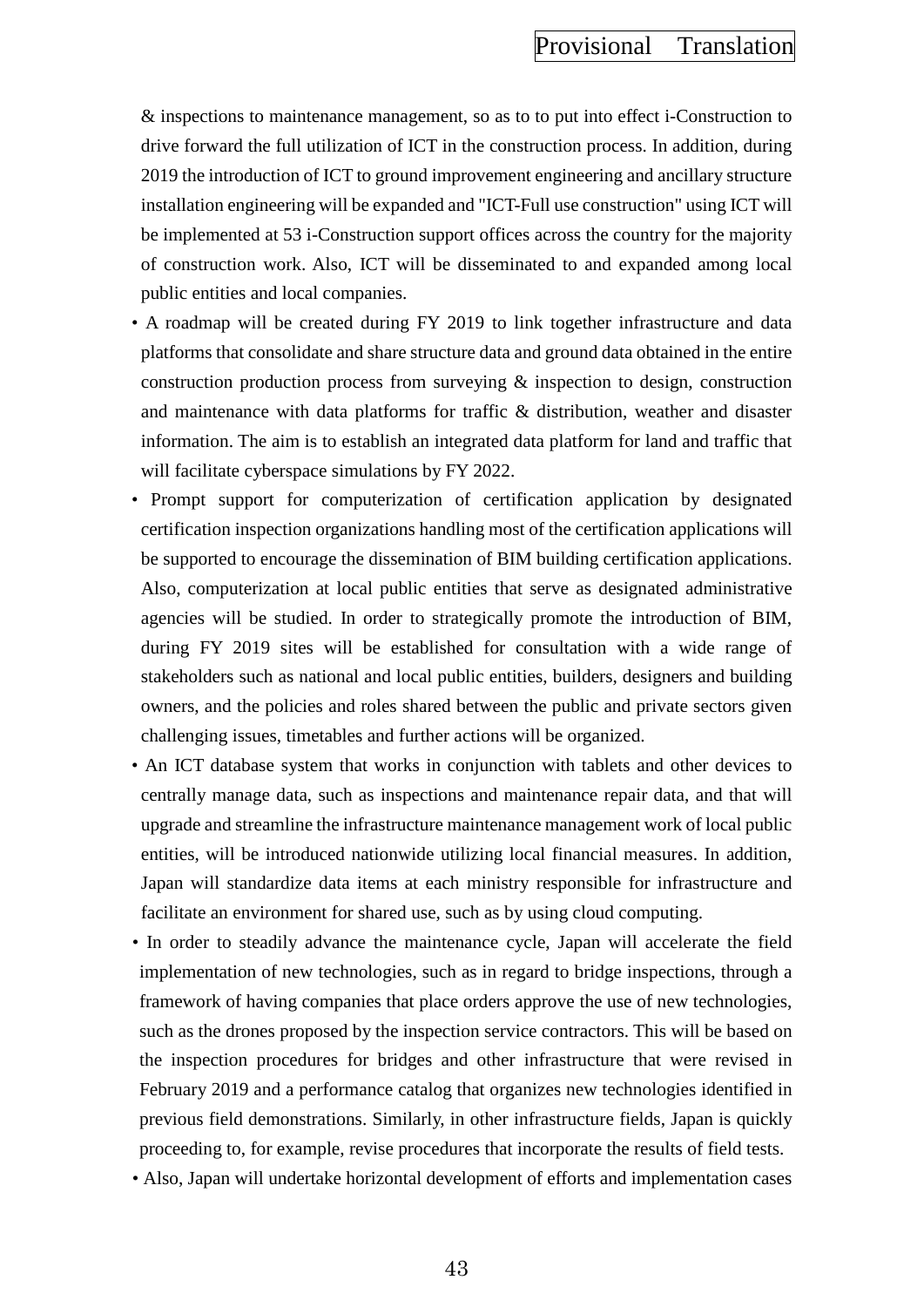& inspections to maintenance management, so as to to put into effect i-Construction to drive forward the full utilization of ICT in the construction process. In addition, during 2019 the introduction of ICT to ground improvement engineering and ancillary structure installation engineering will be expanded and "ICT-Full use construction" using ICT will be implemented at 53 i-Construction support offices across the country for the majority of construction work. Also, ICT will be disseminated to and expanded among local public entities and local companies.

- A roadmap will be created during FY 2019 to link together infrastructure and data platforms that consolidate and share structure data and ground data obtained in the entire construction production process from surveying & inspection to design, construction and maintenance with data platforms for traffic & distribution, weather and disaster information. The aim is to establish an integrated data platform for land and traffic that will facilitate cyberspace simulations by FY 2022.
- Prompt support for computerization of certification application by designated certification inspection organizations handling most of the certification applications will be supported to encourage the dissemination of BIM building certification applications. Also, computerization at local public entities that serve as designated administrative agencies will be studied. In order to strategically promote the introduction of BIM, during FY 2019 sites will be established for consultation with a wide range of stakeholders such as national and local public entities, builders, designers and building owners, and the policies and roles shared between the public and private sectors given challenging issues, timetables and further actions will be organized.
- An ICT database system that works in conjunction with tablets and other devices to centrally manage data, such as inspections and maintenance repair data, and that will upgrade and streamline the infrastructure maintenance management work of local public entities, will be introduced nationwide utilizing local financial measures. In addition, Japan will standardize data items at each ministry responsible for infrastructure and facilitate an environment for shared use, such as by using cloud computing.
- In order to steadily advance the maintenance cycle, Japan will accelerate the field implementation of new technologies, such as in regard to bridge inspections, through a framework of having companies that place orders approve the use of new technologies, such as the drones proposed by the inspection service contractors. This will be based on the inspection procedures for bridges and other infrastructure that were revised in February 2019 and a performance catalog that organizes new technologies identified in previous field demonstrations. Similarly, in other infrastructure fields, Japan is quickly proceeding to, for example, revise procedures that incorporate the results of field tests.
- Also, Japan will undertake horizontal development of efforts and implementation cases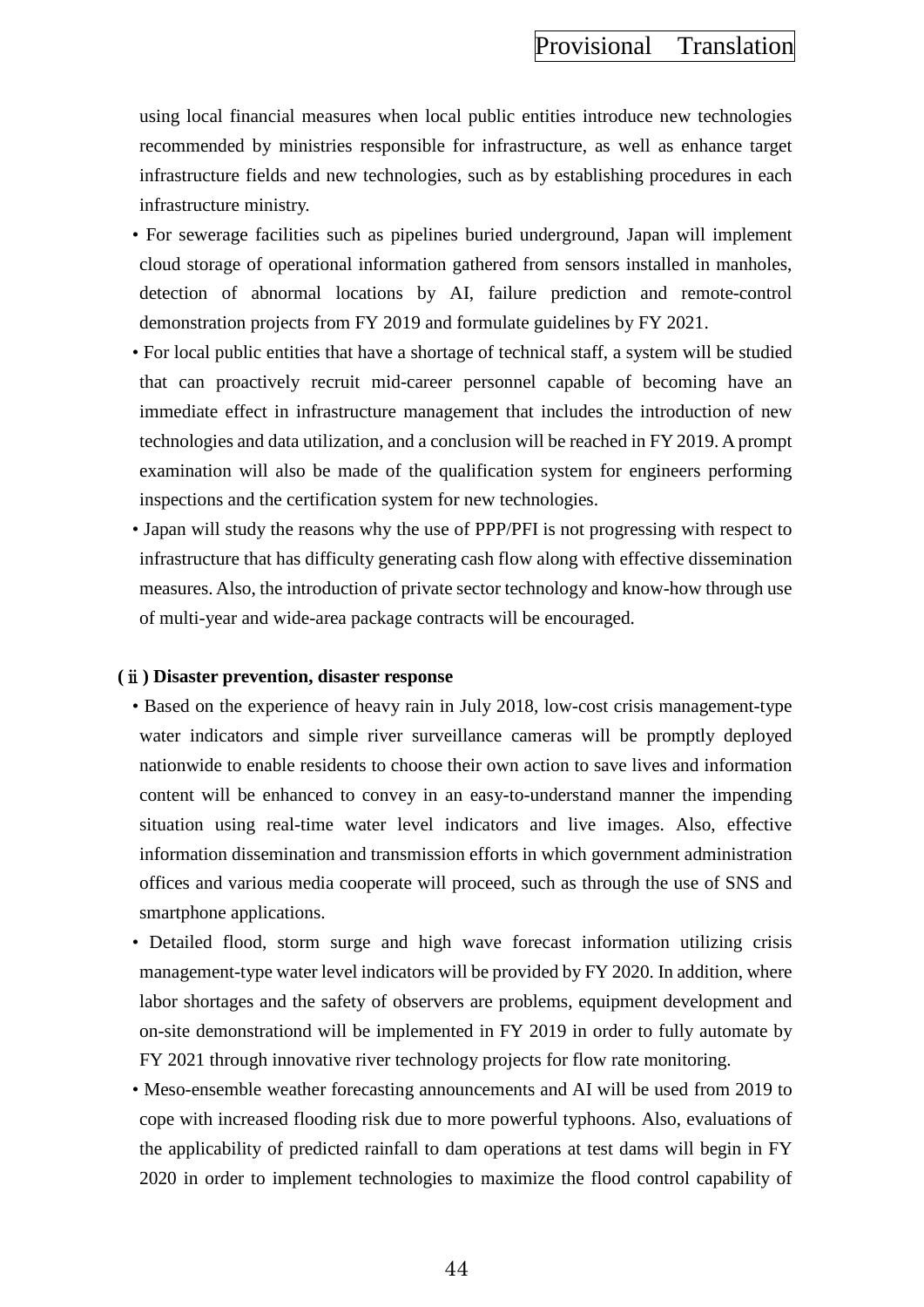using local financial measures when local public entities introduce new technologies recommended by ministries responsible for infrastructure, as well as enhance target infrastructure fields and new technologies, such as by establishing procedures in each infrastructure ministry.

- For sewerage facilities such as pipelines buried underground, Japan will implement cloud storage of operational information gathered from sensors installed in manholes, detection of abnormal locations by AI, failure prediction and remote-control demonstration projects from FY 2019 and formulate guidelines by FY 2021.
- For local public entities that have a shortage of technical staff, a system will be studied that can proactively recruit mid-career personnel capable of becoming have an immediate effect in infrastructure management that includes the introduction of new technologies and data utilization, and a conclusion will be reached in FY 2019. A prompt examination will also be made of the qualification system for engineers performing inspections and the certification system for new technologies.
- Japan will study the reasons why the use of PPP/PFI is not progressing with respect to infrastructure that has difficulty generating cash flow along with effective dissemination measures. Also, the introduction of private sector technology and know-how through use of multi-year and wide-area package contracts will be encouraged.

#### **(**ⅱ**) Disaster prevention, disaster response**

- Based on the experience of heavy rain in July 2018, low-cost crisis management-type water indicators and simple river surveillance cameras will be promptly deployed nationwide to enable residents to choose their own action to save lives and information content will be enhanced to convey in an easy-to-understand manner the impending situation using real-time water level indicators and live images. Also, effective information dissemination and transmission efforts in which government administration offices and various media cooperate will proceed, such as through the use of SNS and smartphone applications.
- Detailed flood, storm surge and high wave forecast information utilizing crisis management-type water level indicators will be provided by FY 2020. In addition, where labor shortages and the safety of observers are problems, equipment development and on-site demonstrationd will be implemented in FY 2019 in order to fully automate by FY 2021 through innovative river technology projects for flow rate monitoring.
- Meso-ensemble weather forecasting announcements and AI will be used from 2019 to cope with increased flooding risk due to more powerful typhoons. Also, evaluations of the applicability of predicted rainfall to dam operations at test dams will begin in FY 2020 in order to implement technologies to maximize the flood control capability of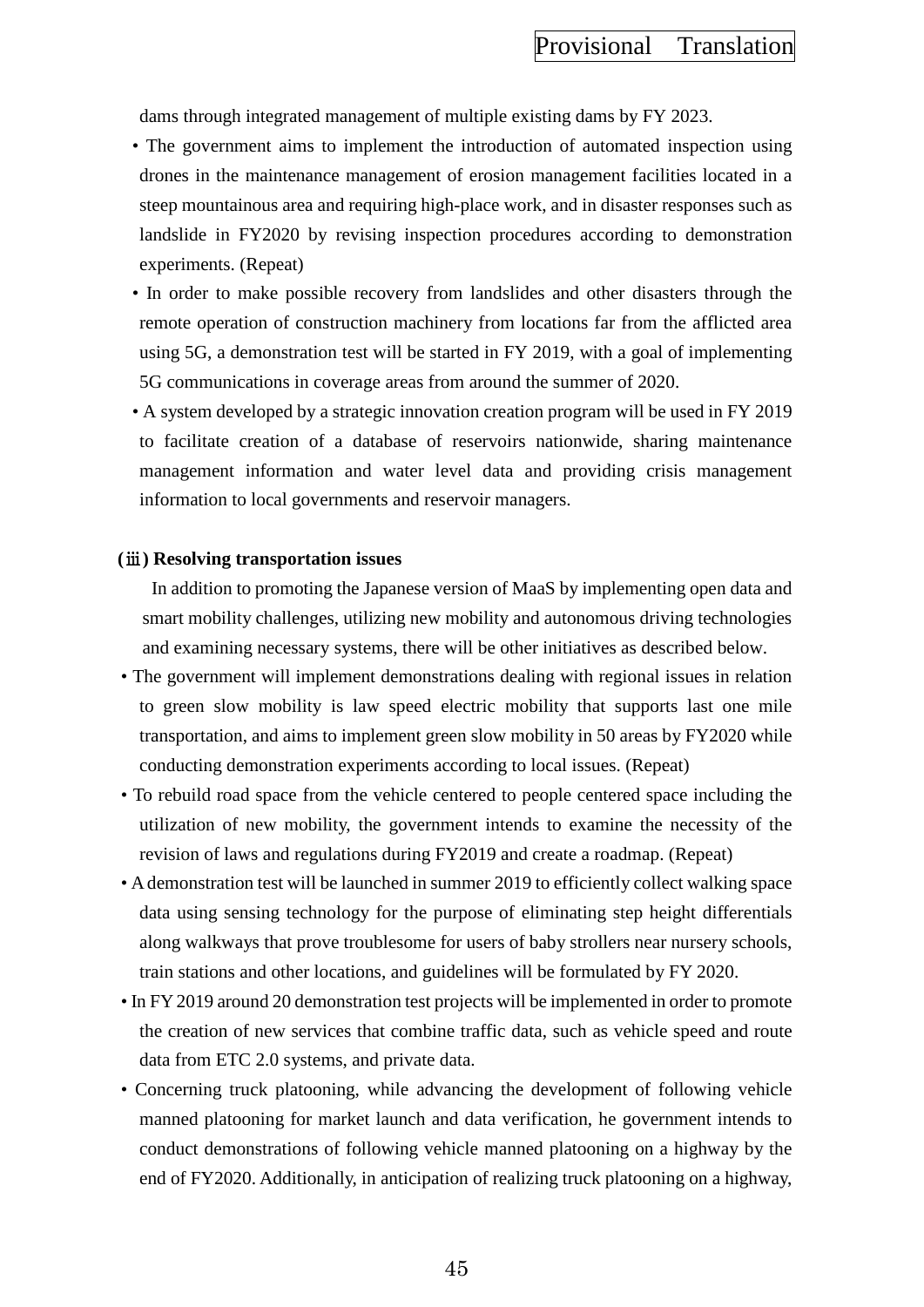dams through integrated management of multiple existing dams by FY 2023.

- The government aims to implement the introduction of automated inspection using drones in the maintenance management of erosion management facilities located in a steep mountainous area and requiring high-place work, and in disaster responses such as landslide in FY2020 by revising inspection procedures according to demonstration experiments. (Repeat)
- In order to make possible recovery from landslides and other disasters through the remote operation of construction machinery from locations far from the afflicted area using 5G, a demonstration test will be started in FY 2019, with a goal of implementing 5G communications in coverage areas from around the summer of 2020.
- A system developed by a strategic innovation creation program will be used in FY 2019 to facilitate creation of a database of reservoirs nationwide, sharing maintenance management information and water level data and providing crisis management information to local governments and reservoir managers.

#### **(**ⅲ**) Resolving transportation issues**

In addition to promoting the Japanese version of MaaS by implementing open data and smart mobility challenges, utilizing new mobility and autonomous driving technologies and examining necessary systems, there will be other initiatives as described below.

- The government will implement demonstrations dealing with regional issues in relation to green slow mobility is law speed electric mobility that supports last one mile transportation, and aims to implement green slow mobility in 50 areas by FY2020 while conducting demonstration experiments according to local issues. (Repeat)
- To rebuild road space from the vehicle centered to people centered space including the utilization of new mobility, the government intends to examine the necessity of the revision of laws and regulations during FY2019 and create a roadmap. (Repeat)
- A demonstration test will be launched in summer 2019 to efficiently collect walking space data using sensing technology for the purpose of eliminating step height differentials along walkways that prove troublesome for users of baby strollers near nursery schools, train stations and other locations, and guidelines will be formulated by FY 2020.
- In FY 2019 around 20 demonstration test projects will be implemented in order to promote the creation of new services that combine traffic data, such as vehicle speed and route data from ETC 2.0 systems, and private data.
- Concerning truck platooning, while advancing the development of following vehicle manned platooning for market launch and data verification, he government intends to conduct demonstrations of following vehicle manned platooning on a highway by the end of FY2020. Additionally, in anticipation of realizing truck platooning on a highway,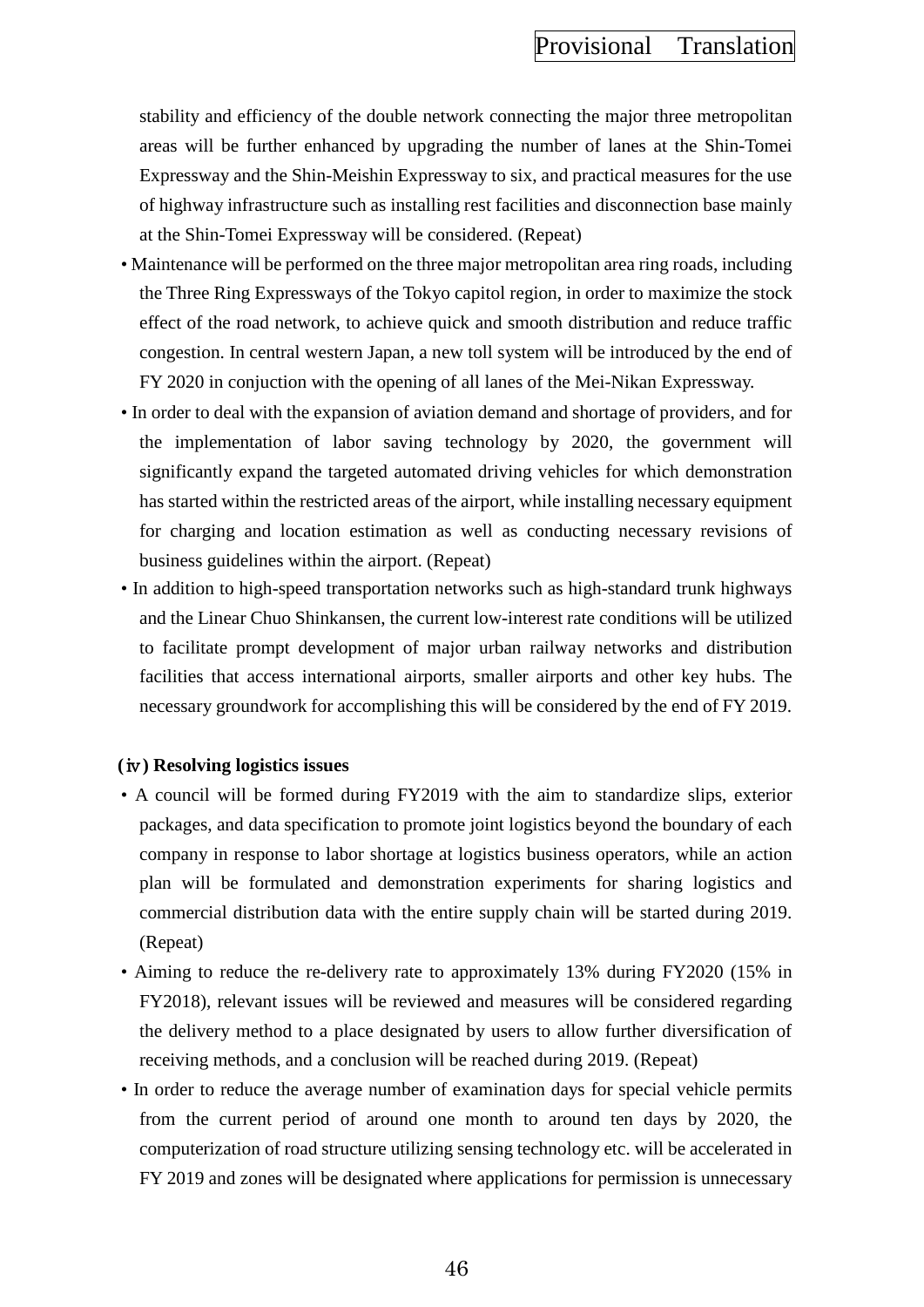stability and efficiency of the double network connecting the major three metropolitan areas will be further enhanced by upgrading the number of lanes at the Shin-Tomei Expressway and the Shin-Meishin Expressway to six, and practical measures for the use of highway infrastructure such as installing rest facilities and disconnection base mainly at the Shin-Tomei Expressway will be considered. (Repeat)

- Maintenance will be performed on the three major metropolitan area ring roads, including the Three Ring Expressways of the Tokyo capitol region, in order to maximize the stock effect of the road network, to achieve quick and smooth distribution and reduce traffic congestion. In central western Japan, a new toll system will be introduced by the end of FY 2020 in conjuction with the opening of all lanes of the Mei-Nikan Expressway.
- In order to deal with the expansion of aviation demand and shortage of providers, and for the implementation of labor saving technology by 2020, the government will significantly expand the targeted automated driving vehicles for which demonstration has started within the restricted areas of the airport, while installing necessary equipment for charging and location estimation as well as conducting necessary revisions of business guidelines within the airport. (Repeat)
- In addition to high-speed transportation networks such as high-standard trunk highways and the Linear Chuo Shinkansen, the current low-interest rate conditions will be utilized to facilitate prompt development of major urban railway networks and distribution facilities that access international airports, smaller airports and other key hubs. The necessary groundwork for accomplishing this will be considered by the end of FY 2019.

### **(**ⅳ**) Resolving logistics issues**

- A council will be formed during FY2019 with the aim to standardize slips, exterior packages, and data specification to promote joint logistics beyond the boundary of each company in response to labor shortage at logistics business operators, while an action plan will be formulated and demonstration experiments for sharing logistics and commercial distribution data with the entire supply chain will be started during 2019. (Repeat)
- Aiming to reduce the re-delivery rate to approximately 13% during FY2020 (15% in FY2018), relevant issues will be reviewed and measures will be considered regarding the delivery method to a place designated by users to allow further diversification of receiving methods, and a conclusion will be reached during 2019. (Repeat)
- In order to reduce the average number of examination days for special vehicle permits from the current period of around one month to around ten days by 2020, the computerization of road structure utilizing sensing technology etc. will be accelerated in FY 2019 and zones will be designated where applications for permission is unnecessary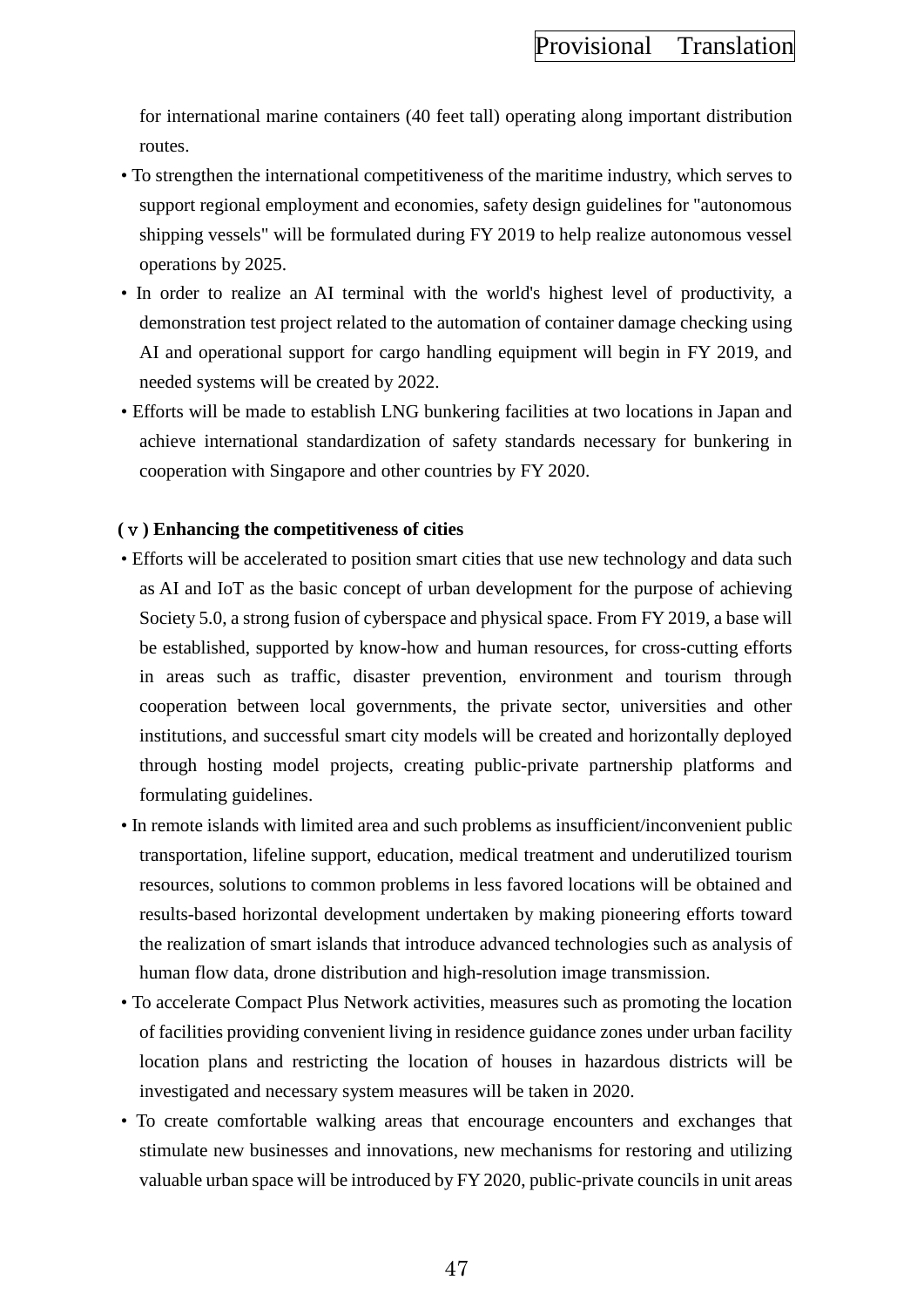for international marine containers (40 feet tall) operating along important distribution routes.

- To strengthen the international competitiveness of the maritime industry, which serves to support regional employment and economies, safety design guidelines for "autonomous shipping vessels" will be formulated during FY 2019 to help realize autonomous vessel operations by 2025.
- In order to realize an AI terminal with the world's highest level of productivity, a demonstration test project related to the automation of container damage checking using AI and operational support for cargo handling equipment will begin in FY 2019, and needed systems will be created by 2022.
- Efforts will be made to establish LNG bunkering facilities at two locations in Japan and achieve international standardization of safety standards necessary for bunkering in cooperation with Singapore and other countries by FY 2020.

### **(**ⅴ**) Enhancing the competitiveness of cities**

- Efforts will be accelerated to position smart cities that use new technology and data such as AI and IoT as the basic concept of urban development for the purpose of achieving Society 5.0, a strong fusion of cyberspace and physical space. From FY 2019, a base will be established, supported by know-how and human resources, for cross-cutting efforts in areas such as traffic, disaster prevention, environment and tourism through cooperation between local governments, the private sector, universities and other institutions, and successful smart city models will be created and horizontally deployed through hosting model projects, creating public-private partnership platforms and formulating guidelines.
- In remote islands with limited area and such problems as insufficient/inconvenient public transportation, lifeline support, education, medical treatment and underutilized tourism resources, solutions to common problems in less favored locations will be obtained and results-based horizontal development undertaken by making pioneering efforts toward the realization of smart islands that introduce advanced technologies such as analysis of human flow data, drone distribution and high-resolution image transmission.
- To accelerate Compact Plus Network activities, measures such as promoting the location of facilities providing convenient living in residence guidance zones under urban facility location plans and restricting the location of houses in hazardous districts will be investigated and necessary system measures will be taken in 2020.
- To create comfortable walking areas that encourage encounters and exchanges that stimulate new businesses and innovations, new mechanisms for restoring and utilizing valuable urban space will be introduced by FY 2020, public-private councils in unit areas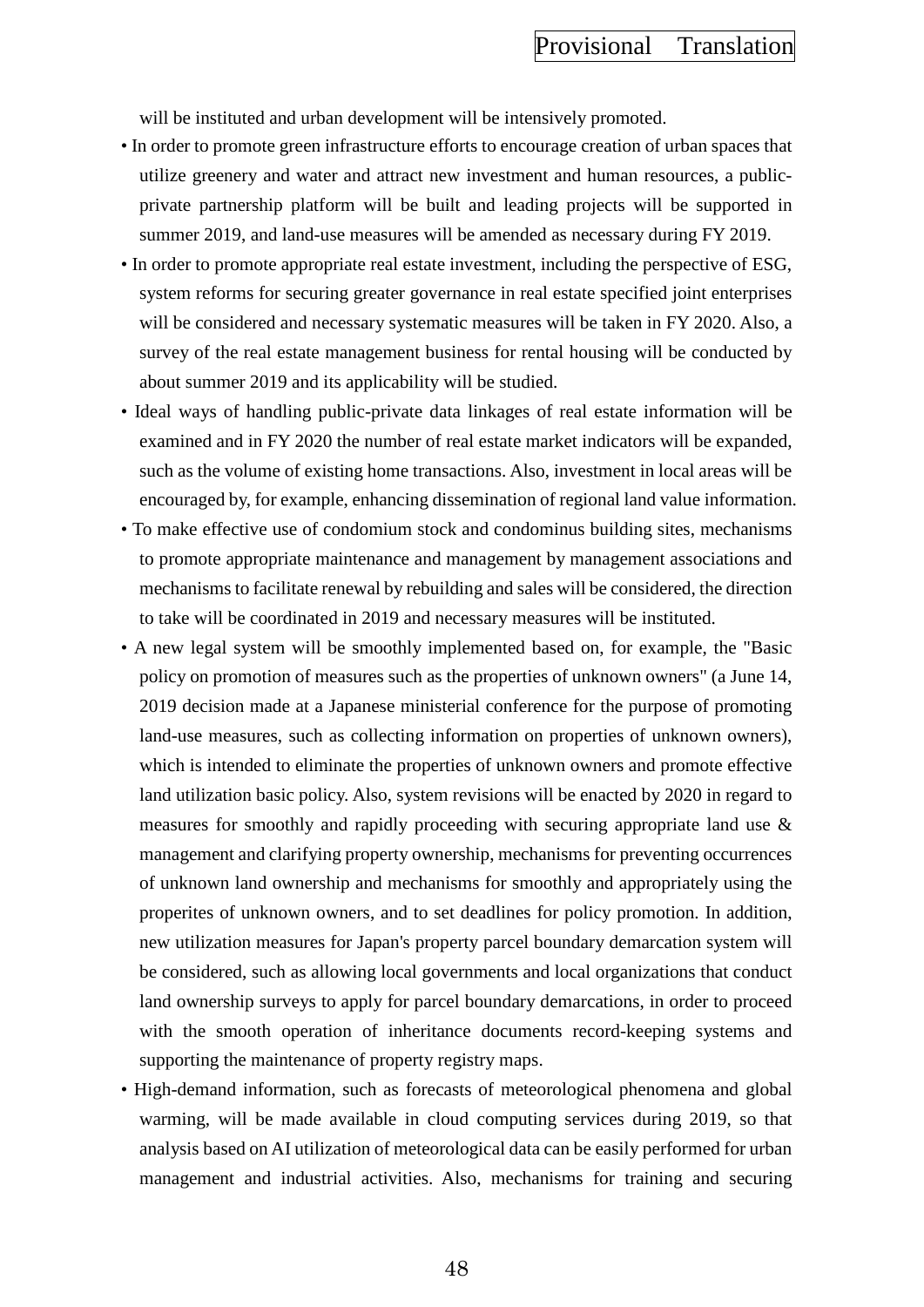will be instituted and urban development will be intensively promoted.

- In order to promote green infrastructure efforts to encourage creation of urban spaces that utilize greenery and water and attract new investment and human resources, a publicprivate partnership platform will be built and leading projects will be supported in summer 2019, and land-use measures will be amended as necessary during FY 2019.
- In order to promote appropriate real estate investment, including the perspective of ESG, system reforms for securing greater governance in real estate specified joint enterprises will be considered and necessary systematic measures will be taken in FY 2020. Also, a survey of the real estate management business for rental housing will be conducted by about summer 2019 and its applicability will be studied.
- Ideal ways of handling public-private data linkages of real estate information will be examined and in FY 2020 the number of real estate market indicators will be expanded, such as the volume of existing home transactions. Also, investment in local areas will be encouraged by, for example, enhancing dissemination of regional land value information.
- To make effective use of condomium stock and condominus building sites, mechanisms to promote appropriate maintenance and management by management associations and mechanisms to facilitate renewal by rebuilding and sales will be considered, the direction to take will be coordinated in 2019 and necessary measures will be instituted.
- A new legal system will be smoothly implemented based on, for example, the "Basic policy on promotion of measures such as the properties of unknown owners" (a June 14, 2019 decision made at a Japanese ministerial conference for the purpose of promoting land-use measures, such as collecting information on properties of unknown owners), which is intended to eliminate the properties of unknown owners and promote effective land utilization basic policy. Also, system revisions will be enacted by 2020 in regard to measures for smoothly and rapidly proceeding with securing appropriate land use & management and clarifying property ownership, mechanisms for preventing occurrences of unknown land ownership and mechanisms for smoothly and appropriately using the properites of unknown owners, and to set deadlines for policy promotion. In addition, new utilization measures for Japan's property parcel boundary demarcation system will be considered, such as allowing local governments and local organizations that conduct land ownership surveys to apply for parcel boundary demarcations, in order to proceed with the smooth operation of inheritance documents record-keeping systems and supporting the maintenance of property registry maps.
- High-demand information, such as forecasts of meteorological phenomena and global warming, will be made available in cloud computing services during 2019, so that analysis based on AI utilization of meteorological data can be easily performed for urban management and industrial activities. Also, mechanisms for training and securing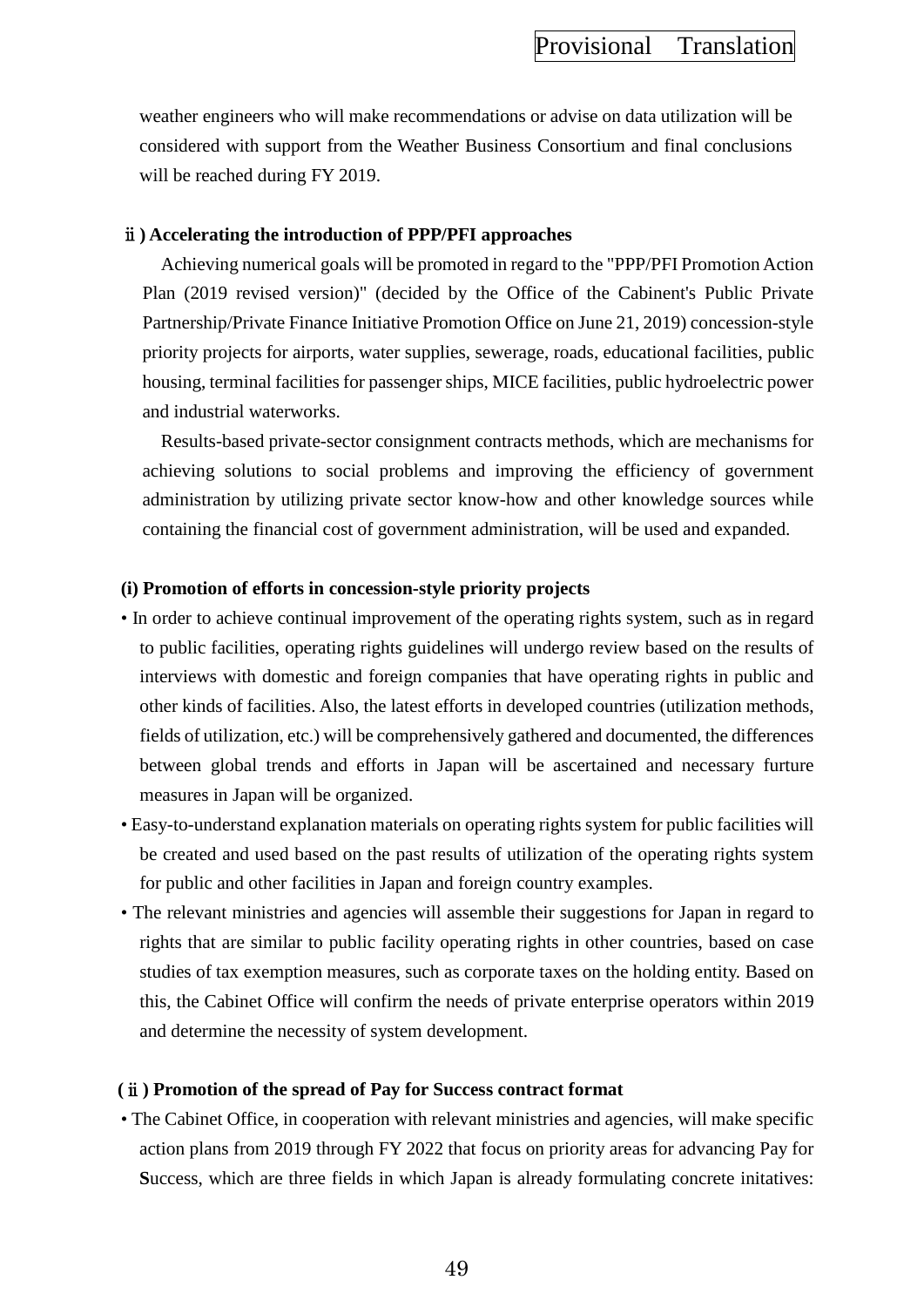weather engineers who will make recommendations or advise on data utilization will be considered with support from the Weather Business Consortium and final conclusions will be reached during FY 2019.

### ⅱ**) Accelerating the introduction of PPP/PFI approaches**

Achieving numerical goals will be promoted in regard to the "PPP/PFI Promotion Action Plan (2019 revised version)" (decided by the Office of the Cabinent's Public Private Partnership/Private Finance Initiative Promotion Office on June 21, 2019) concession-style priority projects for airports, water supplies, sewerage, roads, educational facilities, public housing, terminal facilities for passenger ships, MICE facilities, public hydroelectric power and industrial waterworks.

Results-based private-sector consignment contracts methods, which are mechanisms for achieving solutions to social problems and improving the efficiency of government administration by utilizing private sector know-how and other knowledge sources while containing the financial cost of government administration, will be used and expanded.

#### **(i) Promotion of efforts in concession-style priority projects**

- In order to achieve continual improvement of the operating rights system, such as in regard to public facilities, operating rights guidelines will undergo review based on the results of interviews with domestic and foreign companies that have operating rights in public and other kinds of facilities. Also, the latest efforts in developed countries (utilization methods, fields of utilization, etc.) will be comprehensively gathered and documented, the differences between global trends and efforts in Japan will be ascertained and necessary furture measures in Japan will be organized.
- Easy-to-understand explanation materials on operating rights system for public facilities will be created and used based on the past results of utilization of the operating rights system for public and other facilities in Japan and foreign country examples.
- The relevant ministries and agencies will assemble their suggestions for Japan in regard to rights that are similar to public facility operating rights in other countries, based on case studies of tax exemption measures, such as corporate taxes on the holding entity. Based on this, the Cabinet Office will confirm the needs of private enterprise operators within 2019 and determine the necessity of system development.

#### **(**ⅱ**) Promotion of the spread of Pay for Success contract format**

• The Cabinet Office, in cooperation with relevant ministries and agencies, will make specific action plans from 2019 through FY 2022 that focus on priority areas for advancing Pay for **S**uccess, which are three fields in which Japan is already formulating concrete initatives: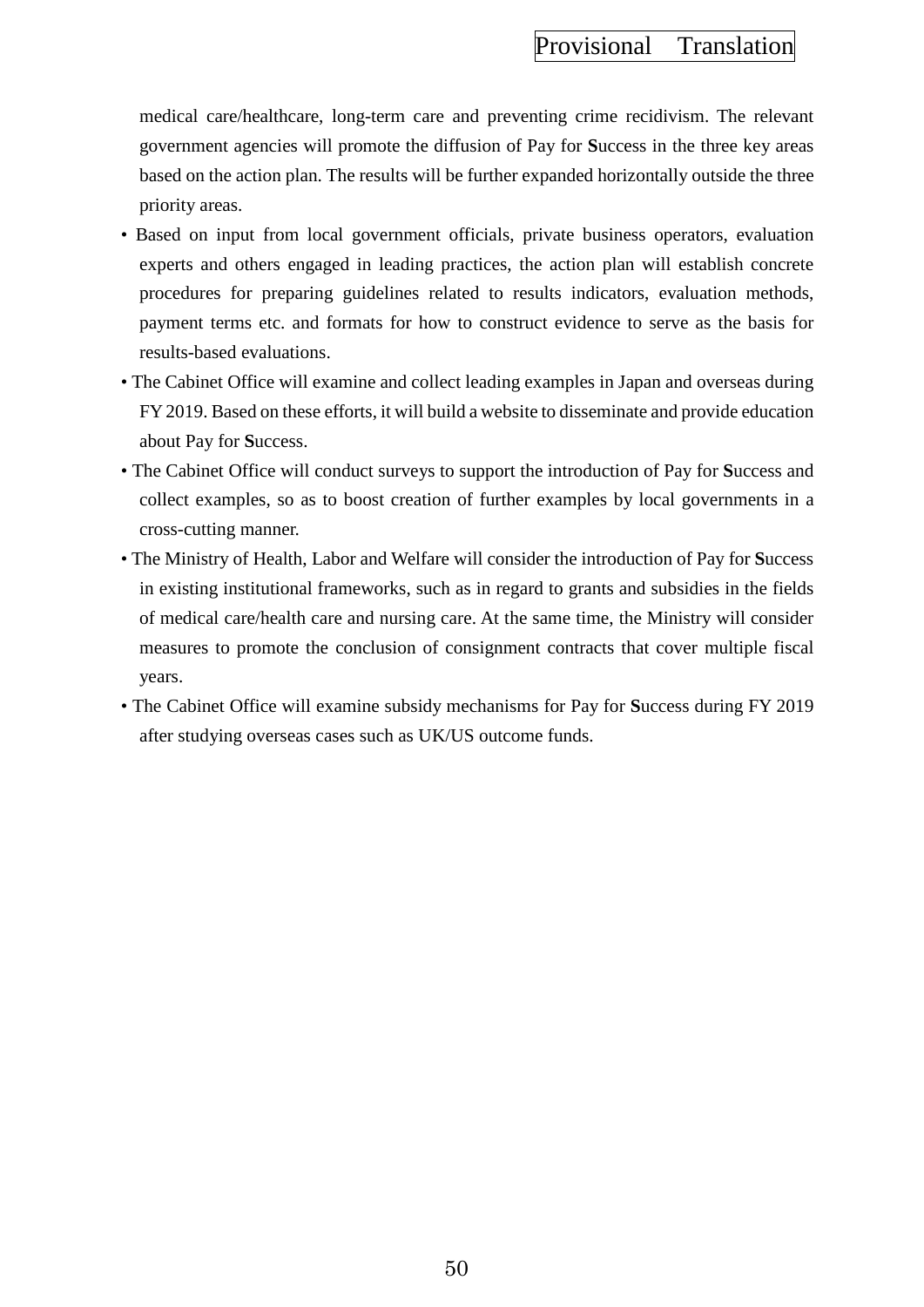medical care/healthcare, long-term care and preventing crime recidivism. The relevant government agencies will promote the diffusion of Pay for **S**uccess in the three key areas based on the action plan. The results will be further expanded horizontally outside the three priority areas.

- Based on input from local government officials, private business operators, evaluation experts and others engaged in leading practices, the action plan will establish concrete procedures for preparing guidelines related to results indicators, evaluation methods, payment terms etc. and formats for how to construct evidence to serve as the basis for results-based evaluations.
- The Cabinet Office will examine and collect leading examples in Japan and overseas during FY 2019. Based on these efforts, it will build a website to disseminate and provide education about Pay for **S**uccess.
- The Cabinet Office will conduct surveys to support the introduction of Pay for **S**uccess and collect examples, so as to boost creation of further examples by local governments in a cross-cutting manner.
- The Ministry of Health, Labor and Welfare will consider the introduction of Pay for **S**uccess in existing institutional frameworks, such as in regard to grants and subsidies in the fields of medical care/health care and nursing care. At the same time, the Ministry will consider measures to promote the conclusion of consignment contracts that cover multiple fiscal years.
- The Cabinet Office will examine subsidy mechanisms for Pay for **S**uccess during FY 2019 after studying overseas cases such as UK/US outcome funds.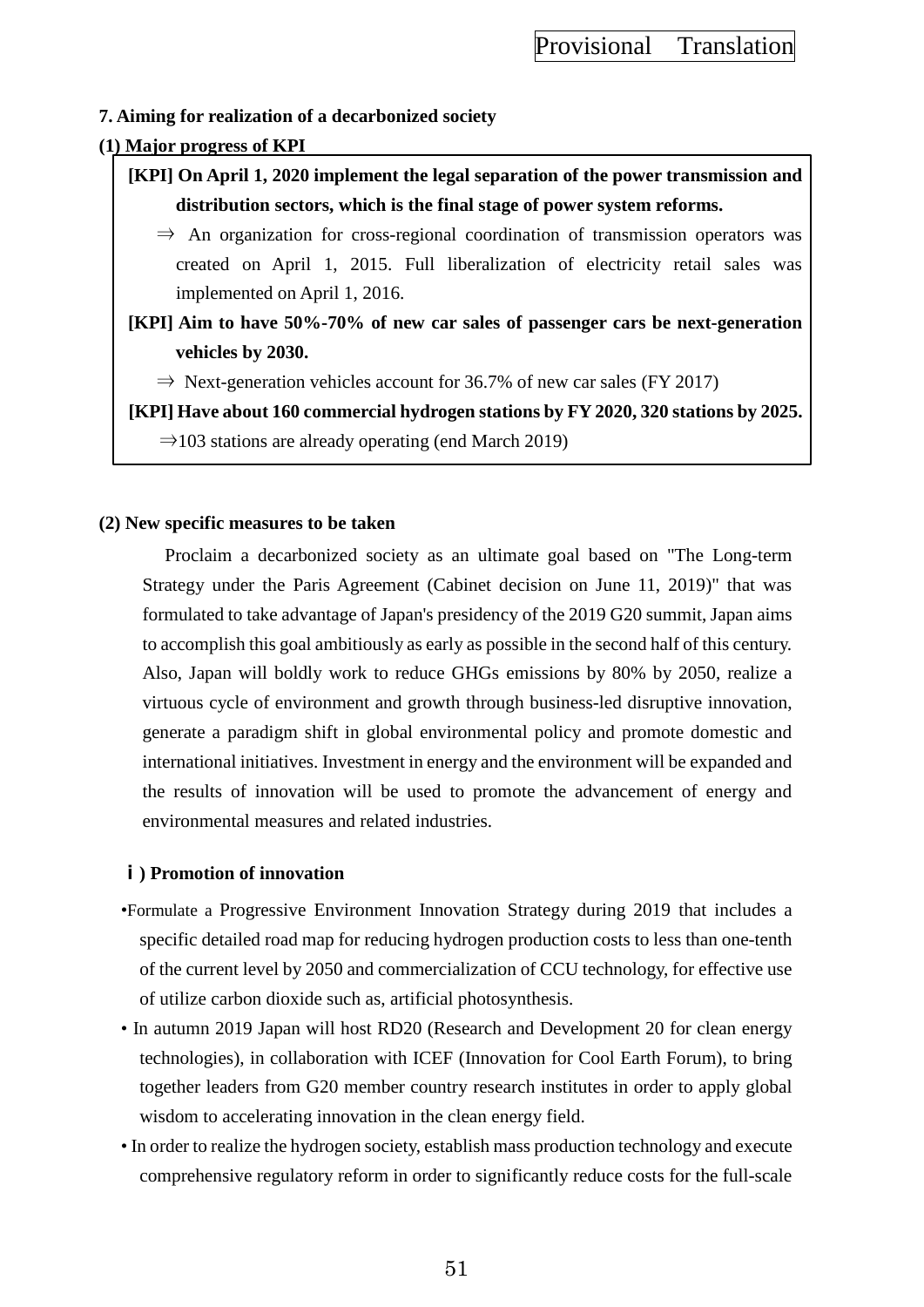## **7. Aiming for realization of a decarbonized society**

# **(1) Major progress of KPI**

- **[KPI] On April 1, 2020 implement the legal separation of the power transmission and distribution sectors, which is the final stage of power system reforms.**
	- $\Rightarrow$  An organization for cross-regional coordination of transmission operators was created on April 1, 2015. Full liberalization of electricity retail sales was implemented on April 1, 2016.
- **[KPI] Aim to have 50%-70% of new car sales of passenger cars be next-generation vehicles by 2030.**
	- $\Rightarrow$  Next-generation vehicles account for 36.7% of new car sales (FY 2017)

**[KPI] Have about 160 commercial hydrogen stations by FY 2020, 320 stations by 2025.**  $\Rightarrow$ 103 stations are already operating (end March 2019)

### **(2) New specific measures to be taken**

Proclaim a decarbonized society as an ultimate goal based on "The Long-term Strategy under the Paris Agreement (Cabinet decision on June 11, 2019)" that was formulated to take advantage of Japan's presidency of the 2019 G20 summit, Japan aims to accomplish this goal ambitiously as early as possible in the second half of this century. Also, Japan will boldly work to reduce GHGs emissions by 80% by 2050, realize a virtuous cycle of environment and growth through business-led disruptive innovation, generate a paradigm shift in global environmental policy and promote domestic and international initiatives. Investment in energy and the environment will be expanded and the results of innovation will be used to promote the advancement of energy and environmental measures and related industries.

### **ⅰ) Promotion of innovation**

- •Formulate a Progressive Environment Innovation Strategy during 2019 that includes a specific detailed road map for reducing hydrogen production costs to less than one-tenth of the current level by 2050 and commercialization of CCU technology, for effective use of utilize carbon dioxide such as, artificial photosynthesis.
- In autumn 2019 Japan will host RD20 (Research and Development 20 for clean energy technologies), in collaboration with ICEF (Innovation for Cool Earth Forum), to bring together leaders from G20 member country research institutes in order to apply global wisdom to accelerating innovation in the clean energy field.
- In order to realize the hydrogen society, establish mass production technology and execute comprehensive regulatory reform in order to significantly reduce costs for the full-scale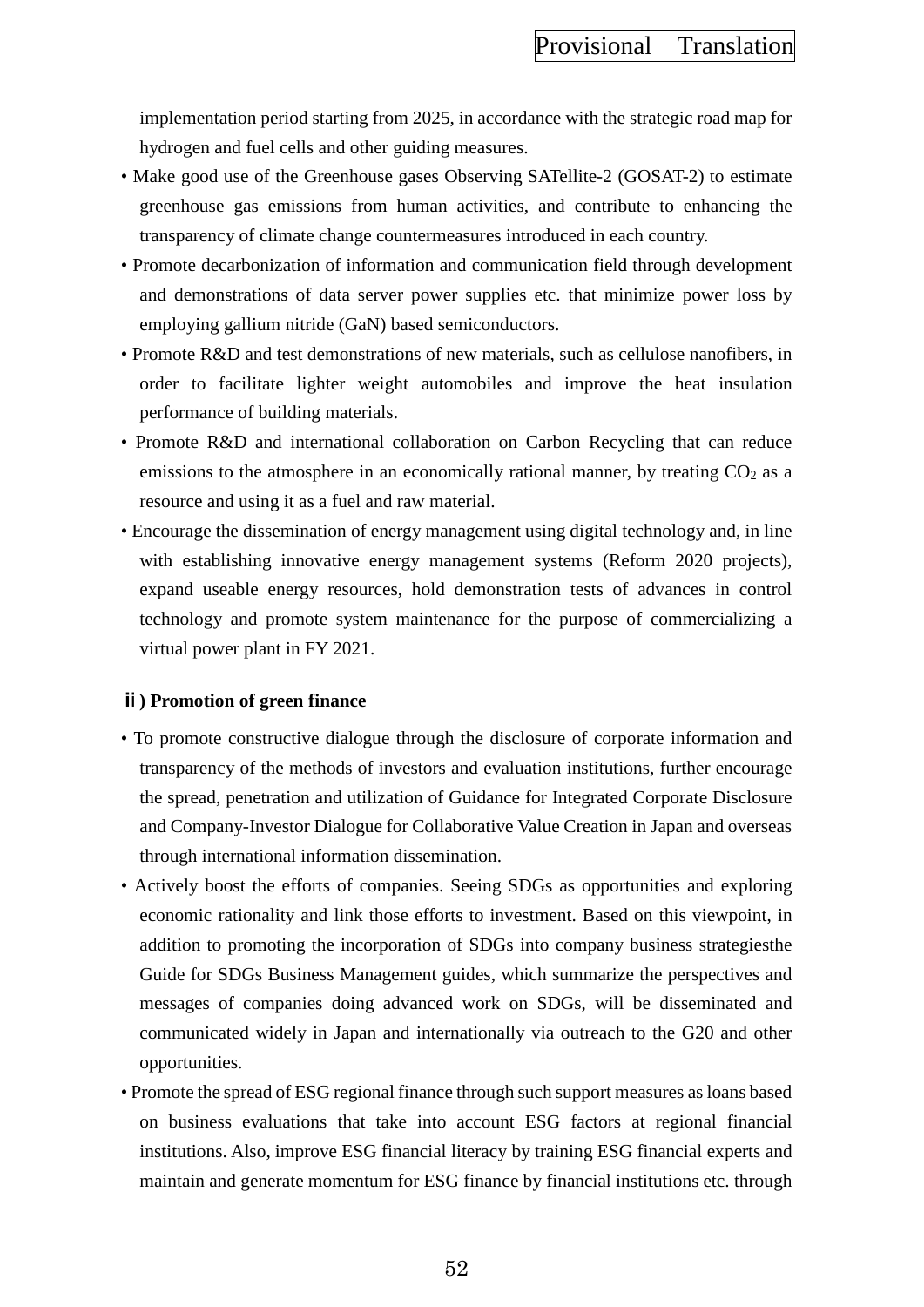implementation period starting from 2025, in accordance with the strategic road map for hydrogen and fuel cells and other guiding measures.

- Make good use of the Greenhouse gases Observing SATellite-2 (GOSAT-2) to estimate greenhouse gas emissions from human activities, and contribute to enhancing the transparency of climate change countermeasures introduced in each country.
- Promote decarbonization of information and communication field through development and demonstrations of data server power supplies etc. that minimize power loss by employing gallium nitride (GaN) based semiconductors.
- Promote R&D and test demonstrations of new materials, such as cellulose nanofibers, in order to facilitate lighter weight automobiles and improve the heat insulation performance of building materials.
- Promote R&D and international collaboration on Carbon Recycling that can reduce emissions to the atmosphere in an economically rational manner, by treating  $CO<sub>2</sub>$  as a resource and using it as a fuel and raw material.
- Encourage the dissemination of energy management using digital technology and, in line with establishing innovative energy management systems (Reform 2020 projects), expand useable energy resources, hold demonstration tests of advances in control technology and promote system maintenance for the purpose of commercializing a virtual power plant in FY 2021.

### **ⅱ) Promotion of green finance**

- To promote constructive dialogue through the disclosure of corporate information and transparency of the methods of investors and evaluation institutions, further encourage the spread, penetration and utilization of Guidance for Integrated Corporate Disclosure and Company-Investor Dialogue for Collaborative Value Creation in Japan and overseas through international information dissemination.
- Actively boost the efforts of companies. Seeing SDGs as opportunities and exploring economic rationality and link those efforts to investment. Based on this viewpoint, in addition to promoting the incorporation of SDGs into company business strategiesthe Guide for SDGs Business Management guides, which summarize the perspectives and messages of companies doing advanced work on SDGs, will be disseminated and communicated widely in Japan and internationally via outreach to the G20 and other opportunities.
- Promote the spread of ESG regional finance through such support measures as loans based on business evaluations that take into account ESG factors at regional financial institutions. Also, improve ESG financial literacy by training ESG financial experts and maintain and generate momentum for ESG finance by financial institutions etc. through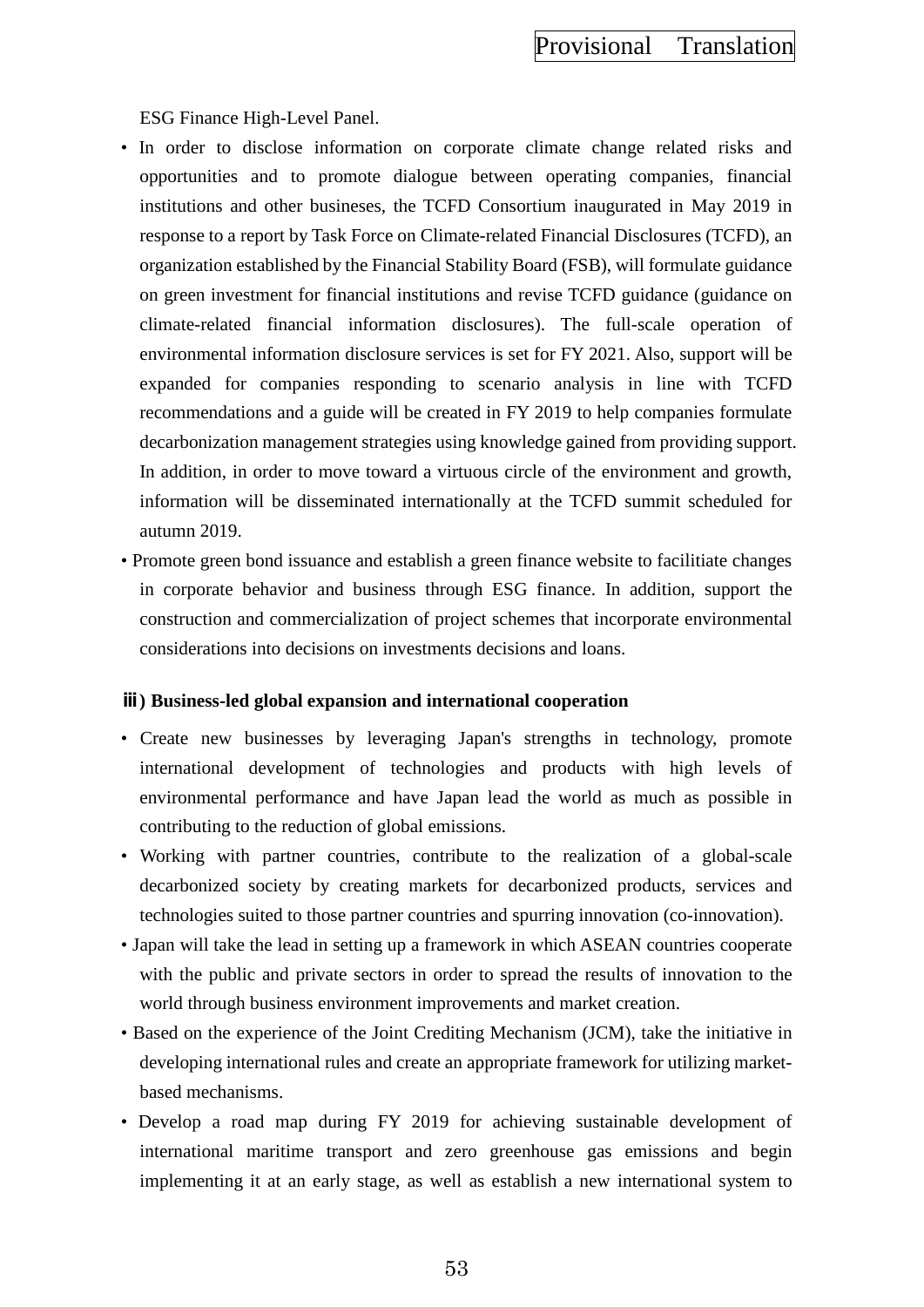ESG Finance High-Level Panel.

- In order to disclose information on corporate climate change related risks and opportunities and to promote dialogue between operating companies, financial institutions and other busineses, the TCFD Consortium inaugurated in May 2019 in response to a report by Task Force on Climate-related Financial Disclosures (TCFD), an organization established by the Financial Stability Board (FSB), will formulate guidance on green investment for financial institutions and revise TCFD guidance (guidance on climate-related financial information disclosures). The full-scale operation of environmental information disclosure services is set for FY 2021. Also, support will be expanded for companies responding to scenario analysis in line with TCFD recommendations and a guide will be created in FY 2019 to help companies formulate decarbonization management strategies using knowledge gained from providing support. In addition, in order to move toward a virtuous circle of the environment and growth, information will be disseminated internationally at the TCFD summit scheduled for autumn 2019.
- Promote green bond issuance and establish a green finance website to facilitiate changes in corporate behavior and business through ESG finance. In addition, support the construction and commercialization of project schemes that incorporate environmental considerations into decisions on investments decisions and loans.

#### **ⅲ) Business-led global expansion and international cooperation**

- Create new businesses by leveraging Japan's strengths in technology, promote international development of technologies and products with high levels of environmental performance and have Japan lead the world as much as possible in contributing to the reduction of global emissions.
- Working with partner countries, contribute to the realization of a global-scale decarbonized society by creating markets for decarbonized products, services and technologies suited to those partner countries and spurring innovation (co-innovation).
- Japan will take the lead in setting up a framework in which ASEAN countries cooperate with the public and private sectors in order to spread the results of innovation to the world through business environment improvements and market creation.
- Based on the experience of the Joint Crediting Mechanism (JCM), take the initiative in developing international rules and create an appropriate framework for utilizing marketbased mechanisms.
- Develop a road map during FY 2019 for achieving sustainable development of international maritime transport and zero greenhouse gas emissions and begin implementing it at an early stage, as well as establish a new international system to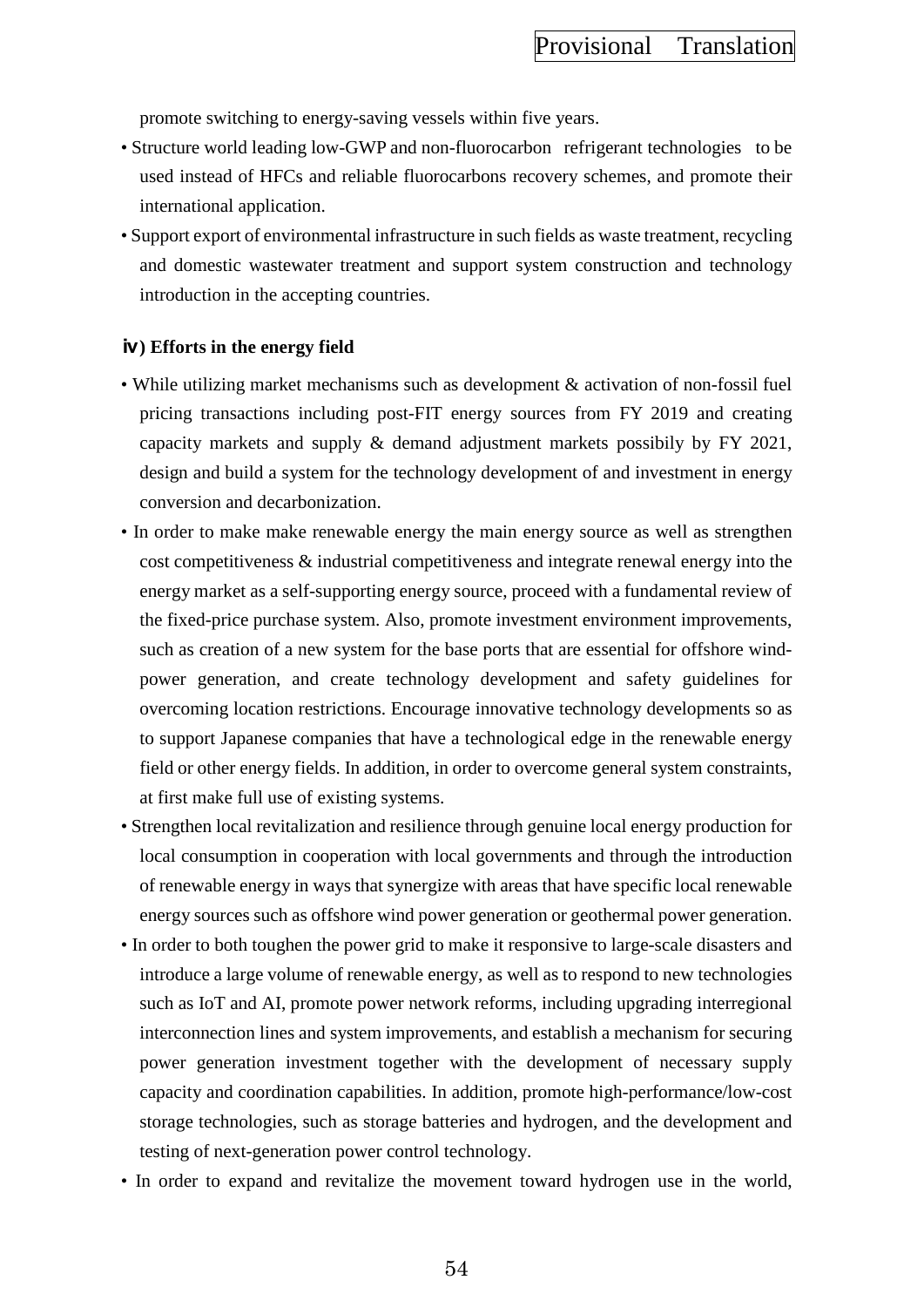promote switching to energy-saving vessels within five years.

- Structure world leading low-GWP and non-fluorocarbon refrigerant technologies to be used instead of HFCs and reliable fluorocarbons recovery schemes, and promote their international application.
- Support export of environmental infrastructure in such fields as waste treatment, recycling and domestic wastewater treatment and support system construction and technology introduction in the accepting countries.

#### **ⅳ) Efforts in the energy field**

- While utilizing market mechanisms such as development & activation of non-fossil fuel pricing transactions including post-FIT energy sources from FY 2019 and creating capacity markets and supply & demand adjustment markets possibily by FY 2021, design and build a system for the technology development of and investment in energy conversion and decarbonization.
- In order to make make renewable energy the main energy source as well as strengthen cost competitiveness & industrial competitiveness and integrate renewal energy into the energy market as a self-supporting energy source, proceed with a fundamental review of the fixed-price purchase system. Also, promote investment environment improvements, such as creation of a new system for the base ports that are essential for offshore windpower generation, and create technology development and safety guidelines for overcoming location restrictions. Encourage innovative technology developments so as to support Japanese companies that have a technological edge in the renewable energy field or other energy fields. In addition, in order to overcome general system constraints, at first make full use of existing systems.
- Strengthen local revitalization and resilience through genuine local energy production for local consumption in cooperation with local governments and through the introduction of renewable energy in ways that synergize with areas that have specific local renewable energy sources such as offshore wind power generation or geothermal power generation.
- In order to both toughen the power grid to make it responsive to large-scale disasters and introduce a large volume of renewable energy, as well as to respond to new technologies such as IoT and AI, promote power network reforms, including upgrading interregional interconnection lines and system improvements, and establish a mechanism for securing power generation investment together with the development of necessary supply capacity and coordination capabilities. In addition, promote high-performance/low-cost storage technologies, such as storage batteries and hydrogen, and the development and testing of next-generation power control technology.
- In order to expand and revitalize the movement toward hydrogen use in the world,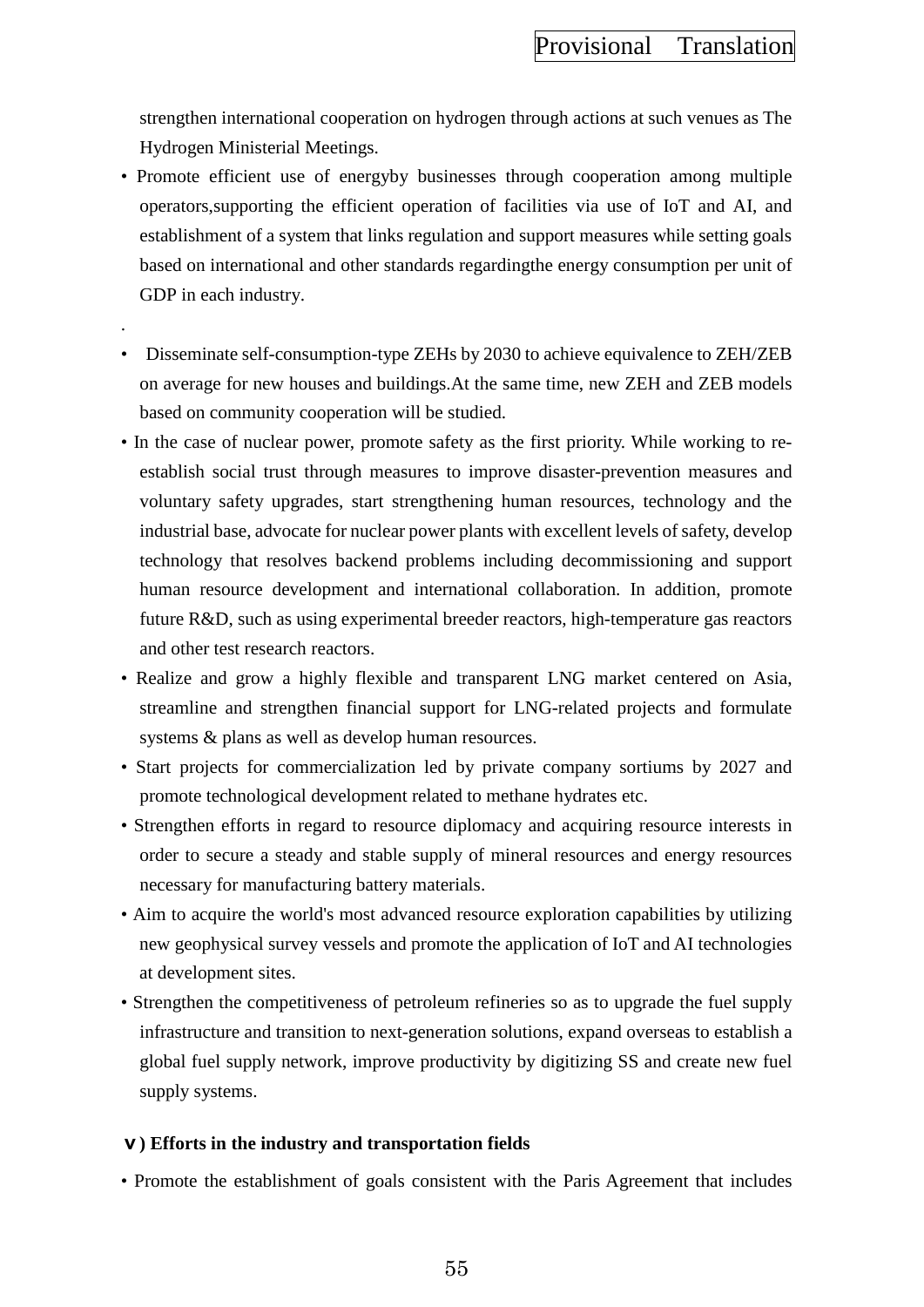strengthen international cooperation on hydrogen through actions at such venues as The Hydrogen Ministerial Meetings.

- Promote efficient use of energyby businesses through cooperation among multiple operators,supporting the efficient operation of facilities via use of IoT and AI, and establishment of a system that links regulation and support measures while setting goals based on international and other standards regardingthe energy consumption per unit of GDP in each industry.
- .
	- Disseminate self-consumption-type ZEHs by 2030 to achieve equivalence to ZEH/ZEB on average for new houses and buildings.At the same time, new ZEH and ZEB models based on community cooperation will be studied.
- In the case of nuclear power, promote safety as the first priority. While working to reestablish social trust through measures to improve disaster-prevention measures and voluntary safety upgrades, start strengthening human resources, technology and the industrial base, advocate for nuclear power plants with excellent levels of safety, develop technology that resolves backend problems including decommissioning and support human resource development and international collaboration. In addition, promote future R&D, such as using experimental breeder reactors, high-temperature gas reactors and other test research reactors.
- Realize and grow a highly flexible and transparent LNG market centered on Asia, streamline and strengthen financial support for LNG-related projects and formulate systems & plans as well as develop human resources.
- Start projects for commercialization led by private company sortiums by 2027 and promote technological development related to methane hydrates etc.
- Strengthen efforts in regard to resource diplomacy and acquiring resource interests in order to secure a steady and stable supply of mineral resources and energy resources necessary for manufacturing battery materials.
- Aim to acquire the world's most advanced resource exploration capabilities by utilizing new geophysical survey vessels and promote the application of IoT and AI technologies at development sites.
- Strengthen the competitiveness of petroleum refineries so as to upgrade the fuel supply infrastructure and transition to next-generation solutions, expand overseas to establish a global fuel supply network, improve productivity by digitizing SS and create new fuel supply systems.

# **ⅴ) Efforts in the industry and transportation fields**

• Promote the establishment of goals consistent with the Paris Agreement that includes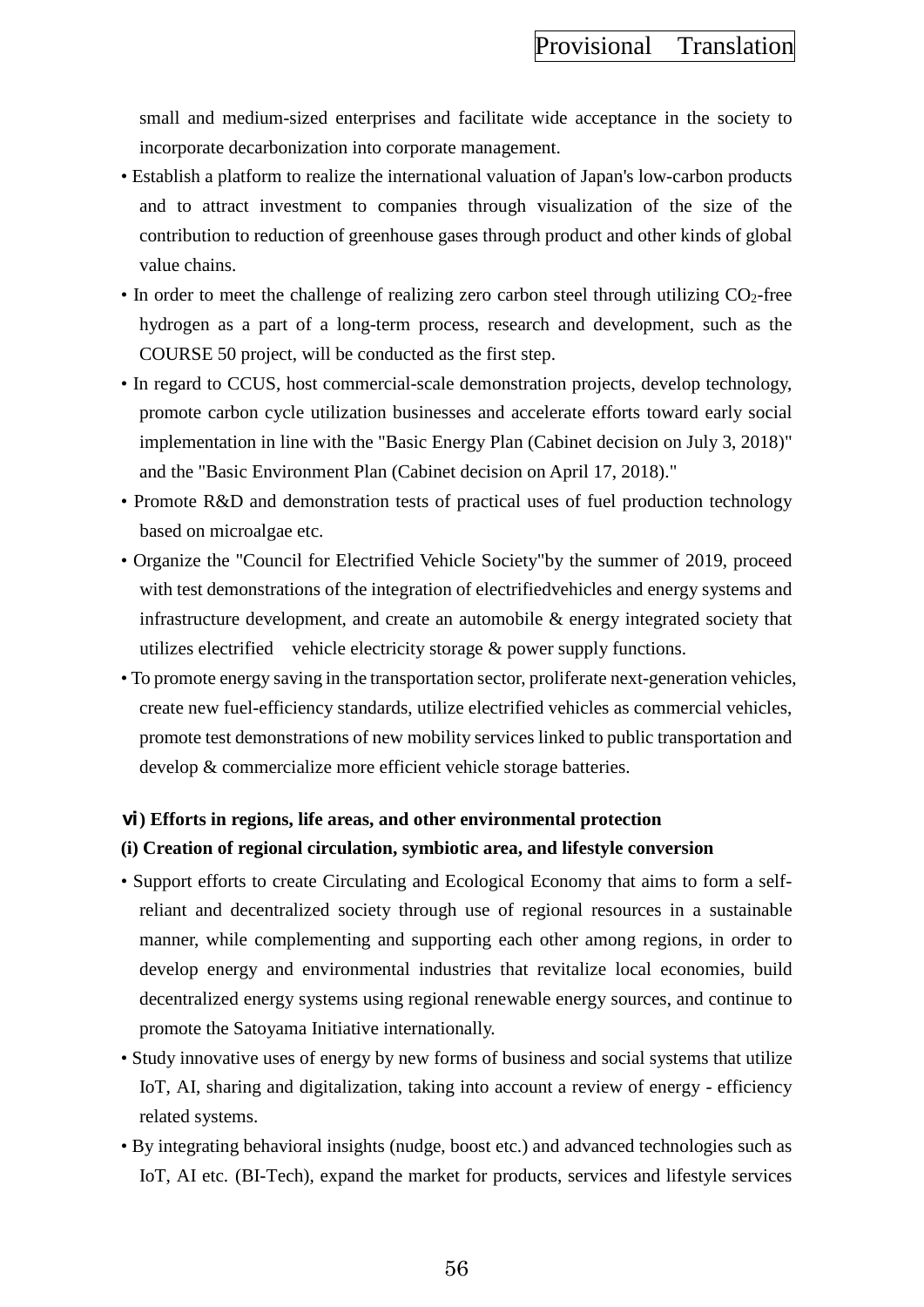small and medium-sized enterprises and facilitate wide acceptance in the society to incorporate decarbonization into corporate management.

- Establish a platform to realize the international valuation of Japan's low-carbon products and to attract investment to companies through visualization of the size of the contribution to reduction of greenhouse gases through product and other kinds of global value chains.
- In order to meet the challenge of realizing zero carbon steel through utilizing  $CO<sub>2</sub>$ -free hydrogen as a part of a long-term process, research and development, such as the COURSE 50 project, will be conducted as the first step.
- In regard to CCUS, host commercial-scale demonstration projects, develop technology, promote carbon cycle utilization businesses and accelerate efforts toward early social implementation in line with the "Basic Energy Plan (Cabinet decision on July 3, 2018)" and the "Basic Environment Plan (Cabinet decision on April 17, 2018)."
- Promote R&D and demonstration tests of practical uses of fuel production technology based on microalgae etc.
- Organize the "Council for Electrified Vehicle Society"by the summer of 2019, proceed with test demonstrations of the integration of electrifiedvehicles and energy systems and infrastructure development, and create an automobile & energy integrated society that utilizes electrified vehicle electricity storage  $\&$  power supply functions.
- To promote energy saving in the transportation sector, proliferate next-generation vehicles, create new fuel-efficiency standards, utilize electrified vehicles as commercial vehicles, promote test demonstrations of new mobility services linked to public transportation and develop & commercialize more efficient vehicle storage batteries.

#### **ⅵ) Efforts in regions, life areas, and other environmental protection**

#### **(i) Creation of regional circulation, symbiotic area, and lifestyle conversion**

- Support efforts to create Circulating and Ecological Economy that aims to form a selfreliant and decentralized society through use of regional resources in a sustainable manner, while complementing and supporting each other among regions, in order to develop energy and environmental industries that revitalize local economies, build decentralized energy systems using regional renewable energy sources, and continue to promote the Satoyama Initiative internationally.
- Study innovative uses of energy by new forms of business and social systems that utilize IoT, AI, sharing and digitalization, taking into account a review of energy - efficiency related systems.
- By integrating behavioral insights (nudge, boost etc.) and advanced technologies such as IoT, AI etc. (BI-Tech), expand the market for products, services and lifestyle services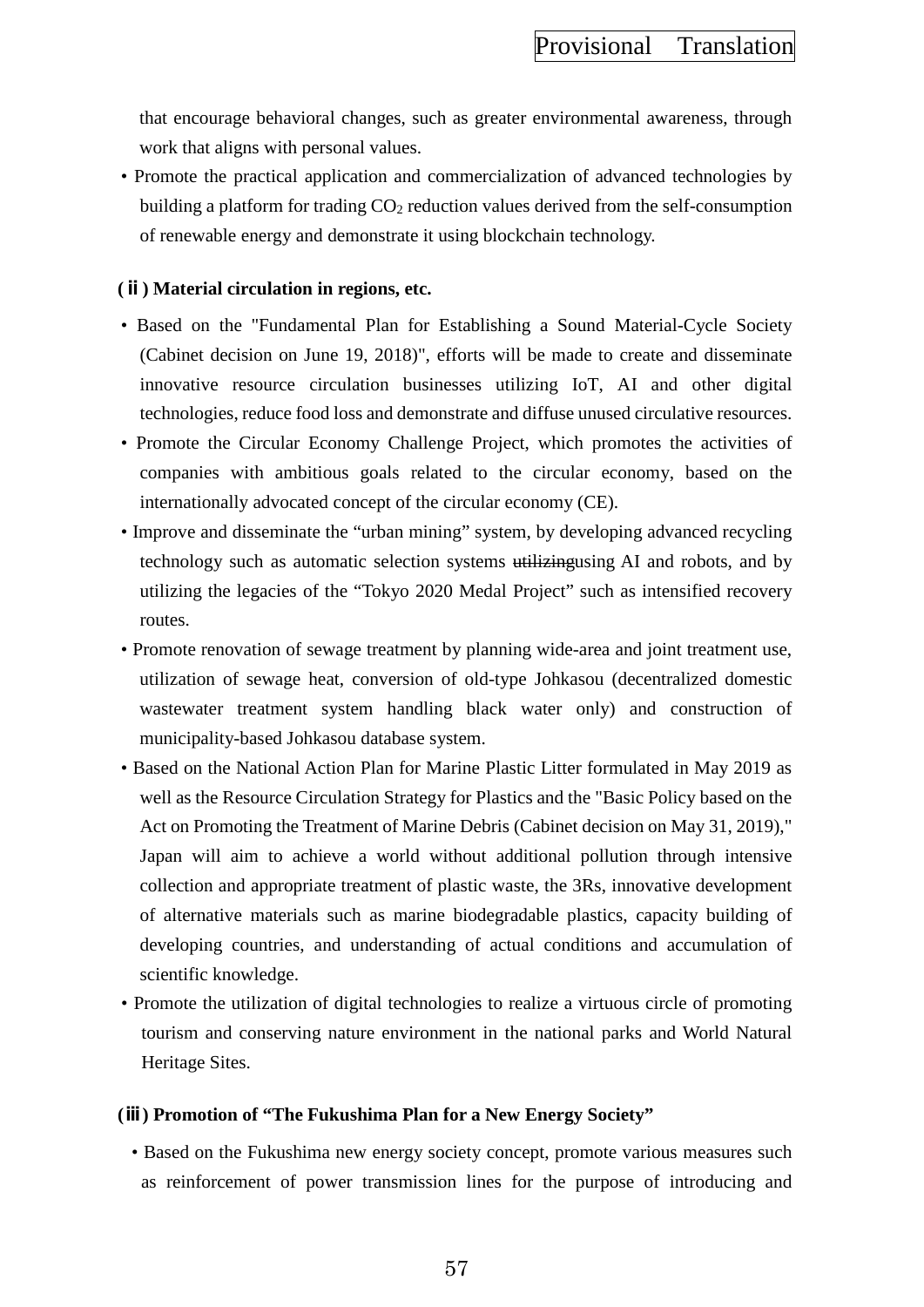that encourage behavioral changes, such as greater environmental awareness, through work that aligns with personal values.

• Promote the practical application and commercialization of advanced technologies by building a platform for trading  $CO<sub>2</sub>$  reduction values derived from the self-consumption of renewable energy and demonstrate it using blockchain technology.

### **(ⅱ) Material circulation in regions, etc.**

- Based on the "Fundamental Plan for Establishing a Sound Material-Cycle Society (Cabinet decision on June 19, 2018)", efforts will be made to create and disseminate innovative resource circulation businesses utilizing IoT, AI and other digital technologies, reduce food loss and demonstrate and diffuse unused circulative resources.
- Promote the Circular Economy Challenge Project, which promotes the activities of companies with ambitious goals related to the circular economy, based on the internationally advocated concept of the circular economy (CE).
- Improve and disseminate the "urban mining" system, by developing advanced recycling technology such as automatic selection systems utilizingusing AI and robots, and by utilizing the legacies of the "Tokyo 2020 Medal Project" such as intensified recovery routes.
- Promote renovation of sewage treatment by planning wide-area and joint treatment use, utilization of sewage heat, conversion of old-type Johkasou (decentralized domestic wastewater treatment system handling black water only) and construction of municipality-based Johkasou database system.
- Based on the National Action Plan for Marine Plastic Litter formulated in May 2019 as well as the Resource Circulation Strategy for Plastics and the "Basic Policy based on the Act on Promoting the Treatment of Marine Debris (Cabinet decision on May 31, 2019)," Japan will aim to achieve a world without additional pollution through intensive collection and appropriate treatment of plastic waste, the 3Rs, innovative development of alternative materials such as marine biodegradable plastics, capacity building of developing countries, and understanding of actual conditions and accumulation of scientific knowledge.
- Promote the utilization of digital technologies to realize a virtuous circle of promoting tourism and conserving nature environment in the national parks and World Natural Heritage Sites.

#### **(ⅲ) Promotion of "The Fukushima Plan for a New Energy Society"**

• Based on the Fukushima new energy society concept, promote various measures such as reinforcement of power transmission lines for the purpose of introducing and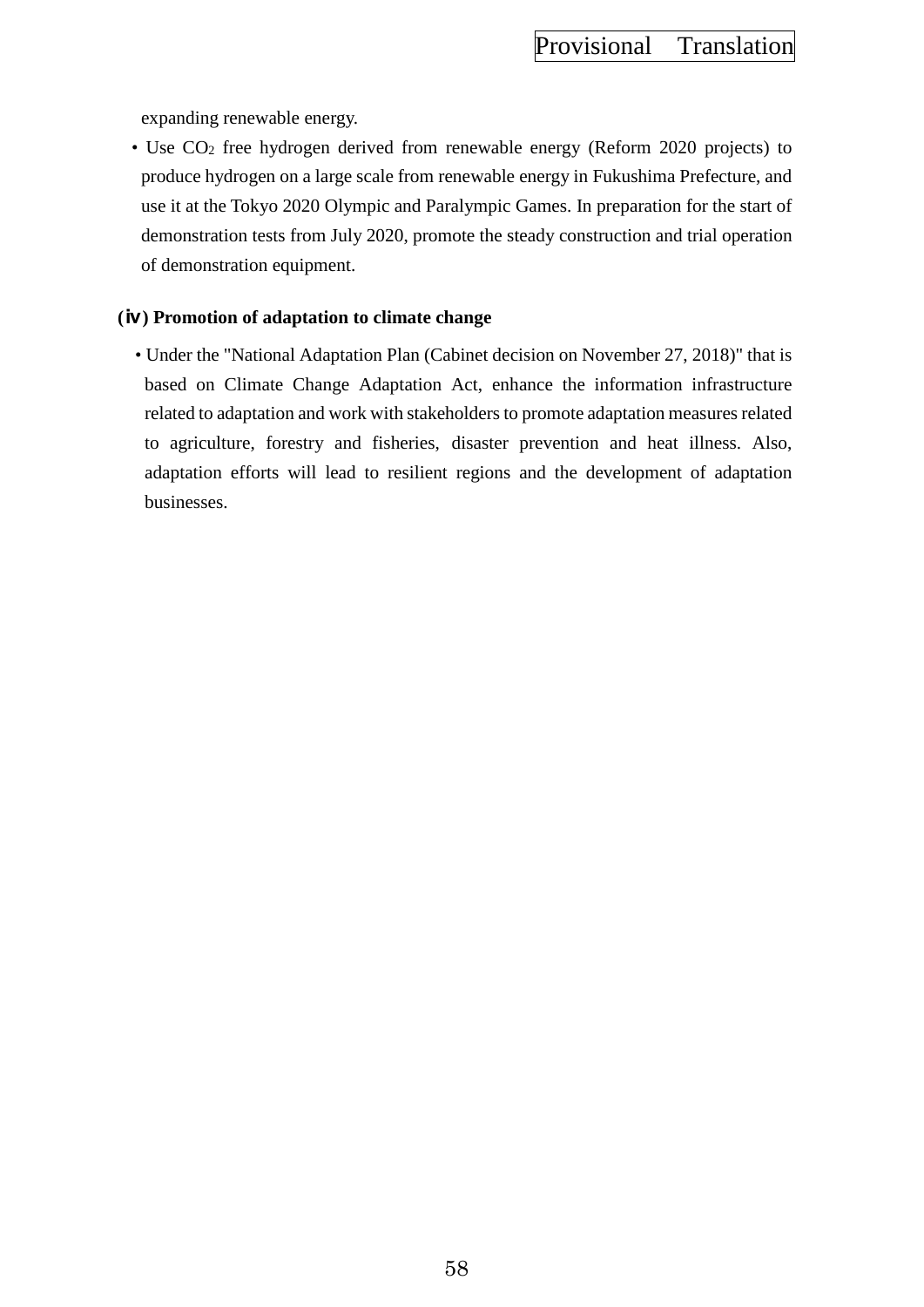expanding renewable energy.

• Use CO2 free hydrogen derived from renewable energy (Reform 2020 projects) to produce hydrogen on a large scale from renewable energy in Fukushima Prefecture, and use it at the Tokyo 2020 Olympic and Paralympic Games. In preparation for the start of demonstration tests from July 2020, promote the steady construction and trial operation of demonstration equipment.

### **(ⅳ) Promotion of adaptation to climate change**

• Under the "National Adaptation Plan (Cabinet decision on November 27, 2018)" that is based on Climate Change Adaptation Act, enhance the information infrastructure related to adaptation and work with stakeholders to promote adaptation measures related to agriculture, forestry and fisheries, disaster prevention and heat illness. Also, adaptation efforts will lead to resilient regions and the development of adaptation businesses.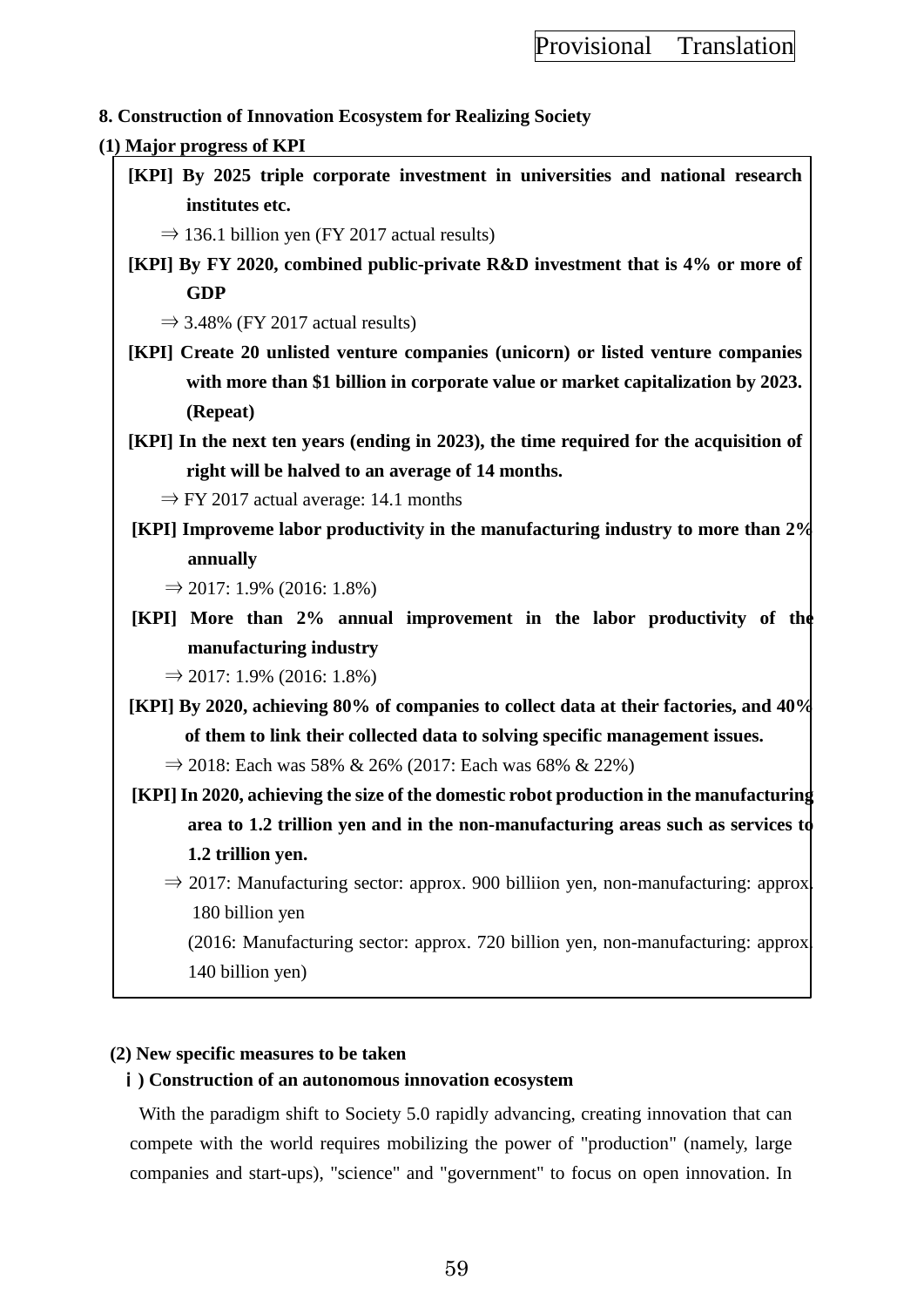## **8. Construction of Innovation Ecosystem for Realizing Society**

### **(1) Major progress of KPI**

**[KPI] By 2025 triple corporate investment in universities and national research institutes etc.**

 $\Rightarrow$  136.1 billion yen (FY 2017 actual results)

**[KPI] By FY 2020, combined public-private R&D investment that is 4% or more of GDP** 

 $\Rightarrow$  3.48% (FY 2017 actual results)

**[KPI] Create 20 unlisted venture companies (unicorn) or listed venture companies with more than \$1 billion in corporate value or market capitalization by 2023. (Repeat)**

**[KPI] In the next ten years (ending in 2023), the time required for the acquisition of right will be halved to an average of 14 months.**

 $\Rightarrow$  FY 2017 actual average: 14.1 months

- **[KPI] Improveme labor productivity in the manufacturing industry to more than 2% annually** 
	- $\Rightarrow$  2017: 1.9% (2016: 1.8%)
- **[KPI] More than 2% annual improvement in the labor productivity of the manufacturing industry**

 $\Rightarrow$  2017: 1.9% (2016: 1.8%)

**[KPI] By 2020, achieving 80% of companies to collect data at their factories, and 40% of them to link their collected data to solving specific management issues.**

⇒ 2018: Each was 58% & 26% (2017: Each was 68% & 22%)

- **[KPI] In 2020, achieving the size of the domestic robot production in the manufacturing area to 1.2 trillion yen and in the non-manufacturing areas such as services to 1.2 trillion yen.**
	- $\Rightarrow$  2017: Manufacturing sector: approx. 900 billiion yen, non-manufacturing: approx. 180 billion yen

(2016: Manufacturing sector: approx. 720 billion yen, non-manufacturing: approx. 140 billion yen)

### **(2) New specific measures to be taken**

### ⅰ**) Construction of an autonomous innovation ecosystem**

With the paradigm shift to Society 5.0 rapidly advancing, creating innovation that can compete with the world requires mobilizing the power of "production" (namely, large companies and start-ups), "science" and "government" to focus on open innovation. In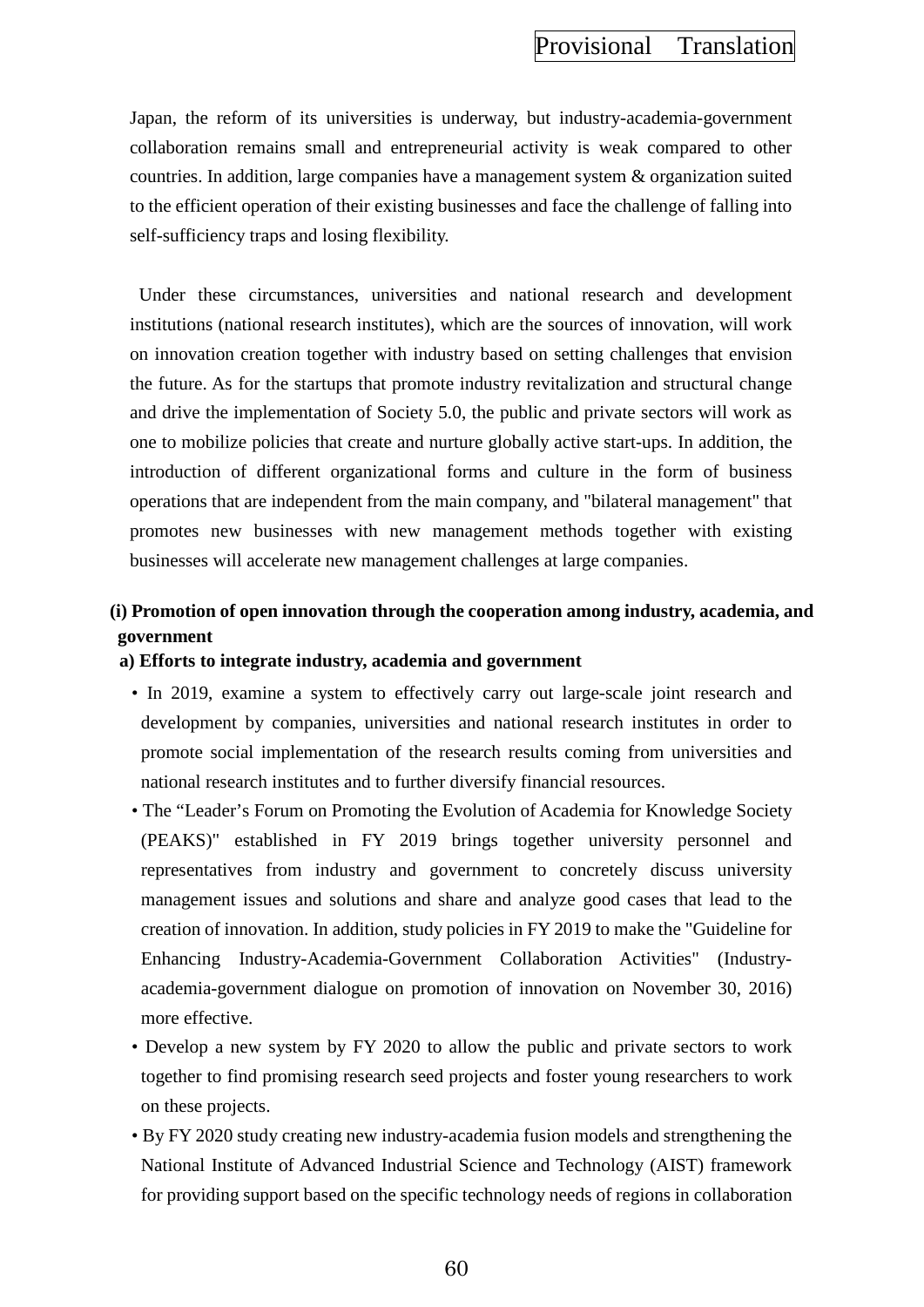Japan, the reform of its universities is underway, but industry-academia-government collaboration remains small and entrepreneurial activity is weak compared to other countries. In addition, large companies have a management system & organization suited to the efficient operation of their existing businesses and face the challenge of falling into self-sufficiency traps and losing flexibility.

Under these circumstances, universities and national research and development institutions (national research institutes), which are the sources of innovation, will work on innovation creation together with industry based on setting challenges that envision the future. As for the startups that promote industry revitalization and structural change and drive the implementation of Society 5.0, the public and private sectors will work as one to mobilize policies that create and nurture globally active start-ups. In addition, the introduction of different organizational forms and culture in the form of business operations that are independent from the main company, and "bilateral management" that promotes new businesses with new management methods together with existing businesses will accelerate new management challenges at large companies.

# **(i) Promotion of open innovation through the cooperation among industry, academia, and government**

### **a) Efforts to integrate industry, academia and government**

- In 2019, examine a system to effectively carry out large-scale joint research and development by companies, universities and national research institutes in order to promote social implementation of the research results coming from universities and national research institutes and to further diversify financial resources.
- The "Leader's Forum on Promoting the Evolution of Academia for Knowledge Society (PEAKS)" established in FY 2019 brings together university personnel and representatives from industry and government to concretely discuss university management issues and solutions and share and analyze good cases that lead to the creation of innovation. In addition, study policies in FY 2019 to make the "Guideline for Enhancing Industry-Academia-Government Collaboration Activities" (Industryacademia-government dialogue on promotion of innovation on November 30, 2016) more effective.
- Develop a new system by FY 2020 to allow the public and private sectors to work together to find promising research seed projects and foster young researchers to work on these projects.
- By FY 2020 study creating new industry-academia fusion models and strengthening the National Institute of Advanced Industrial Science and Technology (AIST) framework for providing support based on the specific technology needs of regions in collaboration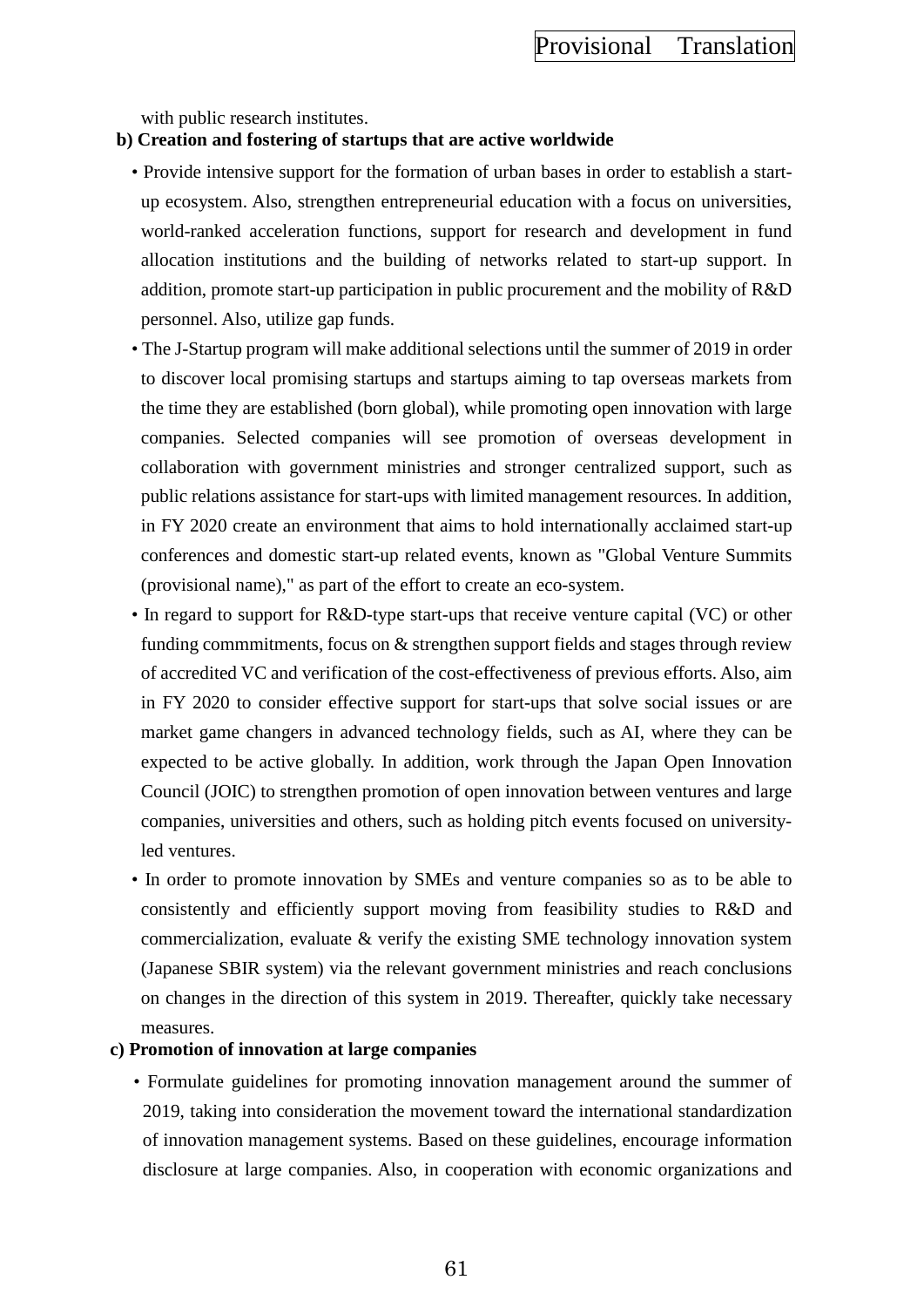with public research institutes.

### **b) Creation and fostering of startups that are active worldwide**

- Provide intensive support for the formation of urban bases in order to establish a startup ecosystem. Also, strengthen entrepreneurial education with a focus on universities, world-ranked acceleration functions, support for research and development in fund allocation institutions and the building of networks related to start-up support. In addition, promote start-up participation in public procurement and the mobility of R&D personnel. Also, utilize gap funds.
- The J-Startup program will make additional selections until the summer of 2019 in order to discover local promising startups and startups aiming to tap overseas markets from the time they are established (born global), while promoting open innovation with large companies. Selected companies will see promotion of overseas development in collaboration with government ministries and stronger centralized support, such as public relations assistance for start-ups with limited management resources. In addition, in FY 2020 create an environment that aims to hold internationally acclaimed start-up conferences and domestic start-up related events, known as "Global Venture Summits (provisional name)," as part of the effort to create an eco-system.
- In regard to support for R&D-type start-ups that receive venture capital (VC) or other funding commmitments, focus on & strengthen support fields and stages through review of accredited VC and verification of the cost-effectiveness of previous efforts. Also, aim in FY 2020 to consider effective support for start-ups that solve social issues or are market game changers in advanced technology fields, such as AI, where they can be expected to be active globally. In addition, work through the Japan Open Innovation Council (JOIC) to strengthen promotion of open innovation between ventures and large companies, universities and others, such as holding pitch events focused on universityled ventures.
- In order to promote innovation by SMEs and venture companies so as to be able to consistently and efficiently support moving from feasibility studies to R&D and commercialization, evaluate & verify the existing SME technology innovation system (Japanese SBIR system) via the relevant government ministries and reach conclusions on changes in the direction of this system in 2019. Thereafter, quickly take necessary measures.

### **c) Promotion of innovation at large companies**

• Formulate guidelines for promoting innovation management around the summer of 2019, taking into consideration the movement toward the international standardization of innovation management systems. Based on these guidelines, encourage information disclosure at large companies. Also, in cooperation with economic organizations and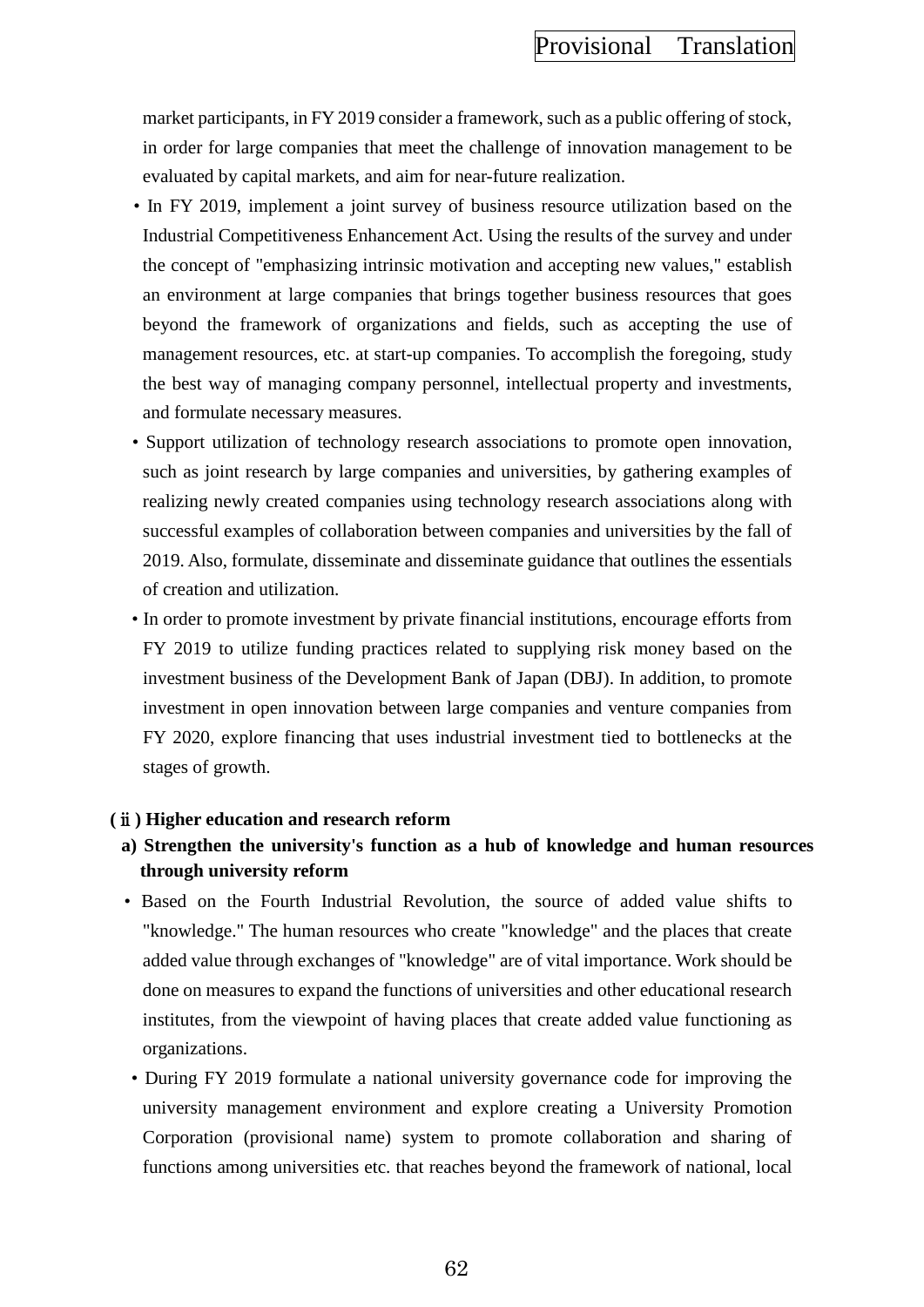market participants, in FY 2019 consider a framework, such as a public offering of stock, in order for large companies that meet the challenge of innovation management to be evaluated by capital markets, and aim for near-future realization.

- In FY 2019, implement a joint survey of business resource utilization based on the Industrial Competitiveness Enhancement Act. Using the results of the survey and under the concept of "emphasizing intrinsic motivation and accepting new values," establish an environment at large companies that brings together business resources that goes beyond the framework of organizations and fields, such as accepting the use of management resources, etc. at start-up companies. To accomplish the foregoing, study the best way of managing company personnel, intellectual property and investments, and formulate necessary measures.
- Support utilization of technology research associations to promote open innovation, such as joint research by large companies and universities, by gathering examples of realizing newly created companies using technology research associations along with successful examples of collaboration between companies and universities by the fall of 2019. Also, formulate, disseminate and disseminate guidance that outlines the essentials of creation and utilization.
- In order to promote investment by private financial institutions, encourage efforts from FY 2019 to utilize funding practices related to supplying risk money based on the investment business of the Development Bank of Japan (DBJ). In addition, to promote investment in open innovation between large companies and venture companies from FY 2020, explore financing that uses industrial investment tied to bottlenecks at the stages of growth.

#### **(**ⅱ**) Higher education and research reform**

- **a) Strengthen the university's function as a hub of knowledge and human resources through university reform**
- Based on the Fourth Industrial Revolution, the source of added value shifts to "knowledge." The human resources who create "knowledge" and the places that create added value through exchanges of "knowledge" are of vital importance. Work should be done on measures to expand the functions of universities and other educational research institutes, from the viewpoint of having places that create added value functioning as organizations.
- During FY 2019 formulate a national university governance code for improving the university management environment and explore creating a University Promotion Corporation (provisional name) system to promote collaboration and sharing of functions among universities etc. that reaches beyond the framework of national, local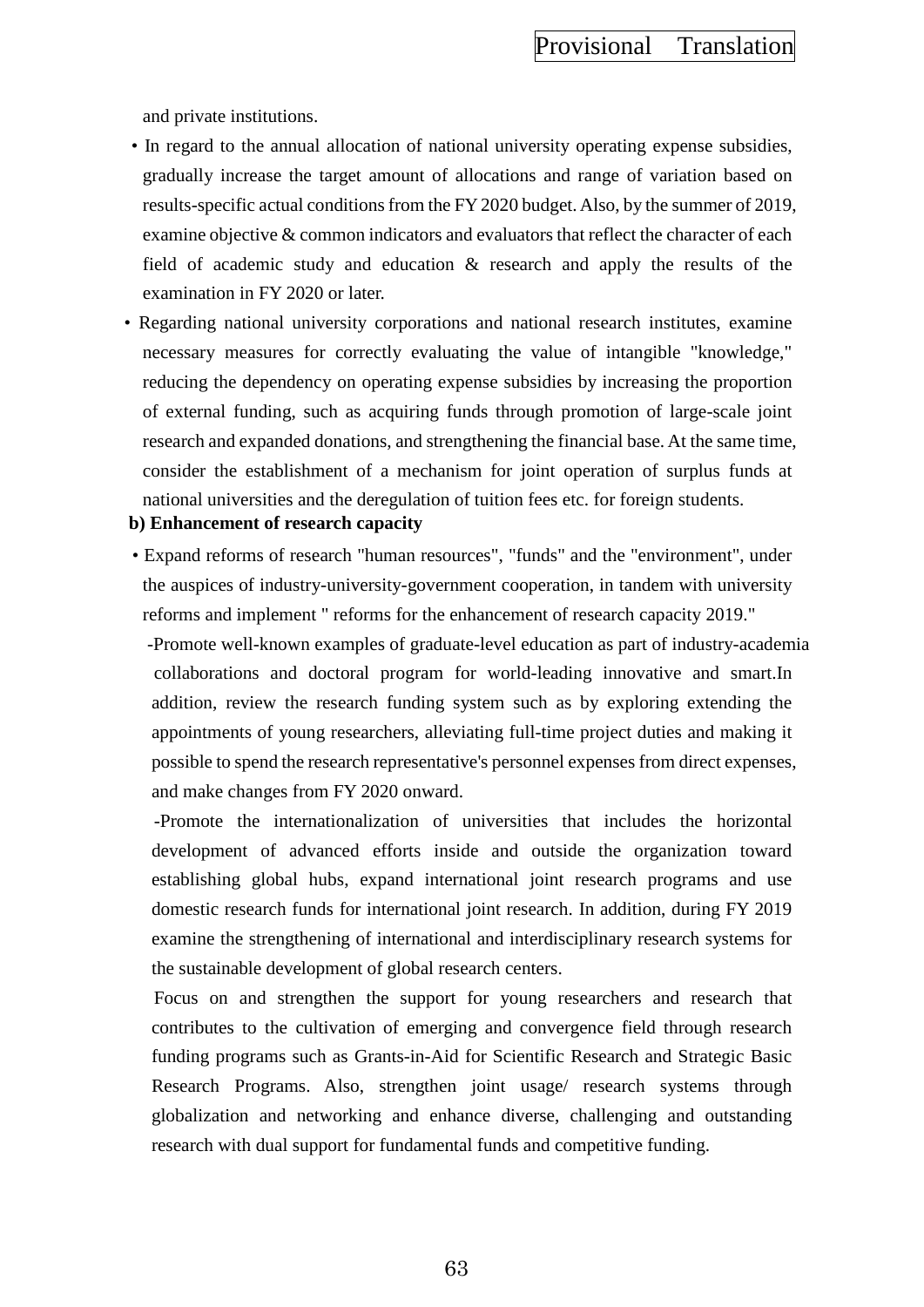and private institutions.

- In regard to the annual allocation of national university operating expense subsidies, gradually increase the target amount of allocations and range of variation based on results-specific actual conditions from the FY 2020 budget. Also, by the summer of 2019, examine objective & common indicators and evaluators that reflect the character of each field of academic study and education & research and apply the results of the examination in FY 2020 or later.
- Regarding national university corporations and national research institutes, examine necessary measures for correctly evaluating the value of intangible "knowledge," reducing the dependency on operating expense subsidies by increasing the proportion of external funding, such as acquiring funds through promotion of large-scale joint research and expanded donations, and strengthening the financial base. At the same time, consider the establishment of a mechanism for joint operation of surplus funds at national universities and the deregulation of tuition fees etc. for foreign students.

## **b) Enhancement of research capacity**

• Expand reforms of research "human resources", "funds" and the "environment", under the auspices of industry-university-government cooperation, in tandem with university reforms and implement " reforms for the enhancement of research capacity 2019."

-Promote well-known examples of graduate-level education as part of industry-academia collaborations and doctoral program for world-leading innovative and smart.In addition, review the research funding system such as by exploring extending the appointments of young researchers, alleviating full-time project duties and making it possible to spend the research representative's personnel expenses from direct expenses, and make changes from FY 2020 onward.

-Promote the internationalization of universities that includes the horizontal development of advanced efforts inside and outside the organization toward establishing global hubs, expand international joint research programs and use domestic research funds for international joint research. In addition, during FY 2019 examine the strengthening of international and interdisciplinary research systems for the sustainable development of global research centers.

Focus on and strengthen the support for young researchers and research that contributes to the cultivation of emerging and convergence field through research funding programs such as Grants-in-Aid for Scientific Research and Strategic Basic Research Programs. Also, strengthen joint usage/ research systems through globalization and networking and enhance diverse, challenging and outstanding research with dual support for fundamental funds and competitive funding.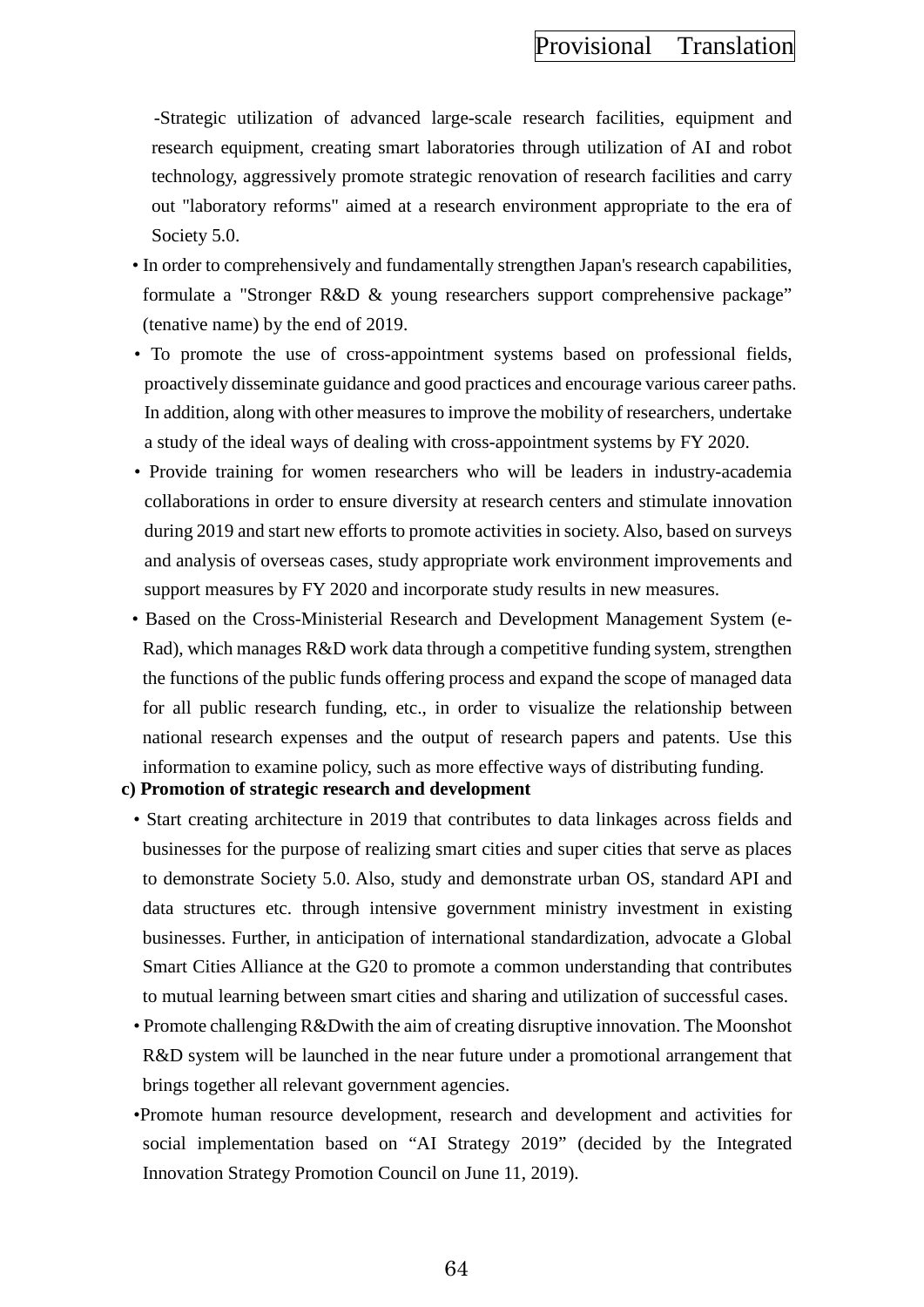-Strategic utilization of advanced large-scale research facilities, equipment and research equipment, creating smart laboratories through utilization of AI and robot technology, aggressively promote strategic renovation of research facilities and carry out "laboratory reforms" aimed at a research environment appropriate to the era of Society 5.0.

- In order to comprehensively and fundamentally strengthen Japan's research capabilities, formulate a "Stronger R&D & young researchers support comprehensive package" (tenative name) by the end of 2019.
- To promote the use of cross-appointment systems based on professional fields, proactively disseminate guidance and good practices and encourage various career paths. In addition, along with other measures to improve the mobility of researchers, undertake a study of the ideal ways of dealing with cross-appointment systems by FY 2020.
- Provide training for women researchers who will be leaders in industry-academia collaborations in order to ensure diversity at research centers and stimulate innovation during 2019 and start new efforts to promote activities in society. Also, based on surveys and analysis of overseas cases, study appropriate work environment improvements and support measures by FY 2020 and incorporate study results in new measures.
- Based on the Cross-Ministerial Research and Development Management System (e-Rad), which manages R&D work data through a competitive funding system, strengthen the functions of the public funds offering process and expand the scope of managed data for all public research funding, etc., in order to visualize the relationship between national research expenses and the output of research papers and patents. Use this information to examine policy, such as more effective ways of distributing funding.
- **c) Promotion of strategic research and development**
	- Start creating architecture in 2019 that contributes to data linkages across fields and businesses for the purpose of realizing smart cities and super cities that serve as places to demonstrate Society 5.0. Also, study and demonstrate urban OS, standard API and data structures etc. through intensive government ministry investment in existing businesses. Further, in anticipation of international standardization, advocate a Global Smart Cities Alliance at the G20 to promote a common understanding that contributes to mutual learning between smart cities and sharing and utilization of successful cases.
	- Promote challenging R&Dwith the aim of creating disruptive innovation. The Moonshot R&D system will be launched in the near future under a promotional arrangement that brings together all relevant government agencies.
	- •Promote human resource development, research and development and activities for social implementation based on "AI Strategy 2019" (decided by the Integrated Innovation Strategy Promotion Council on June 11, 2019).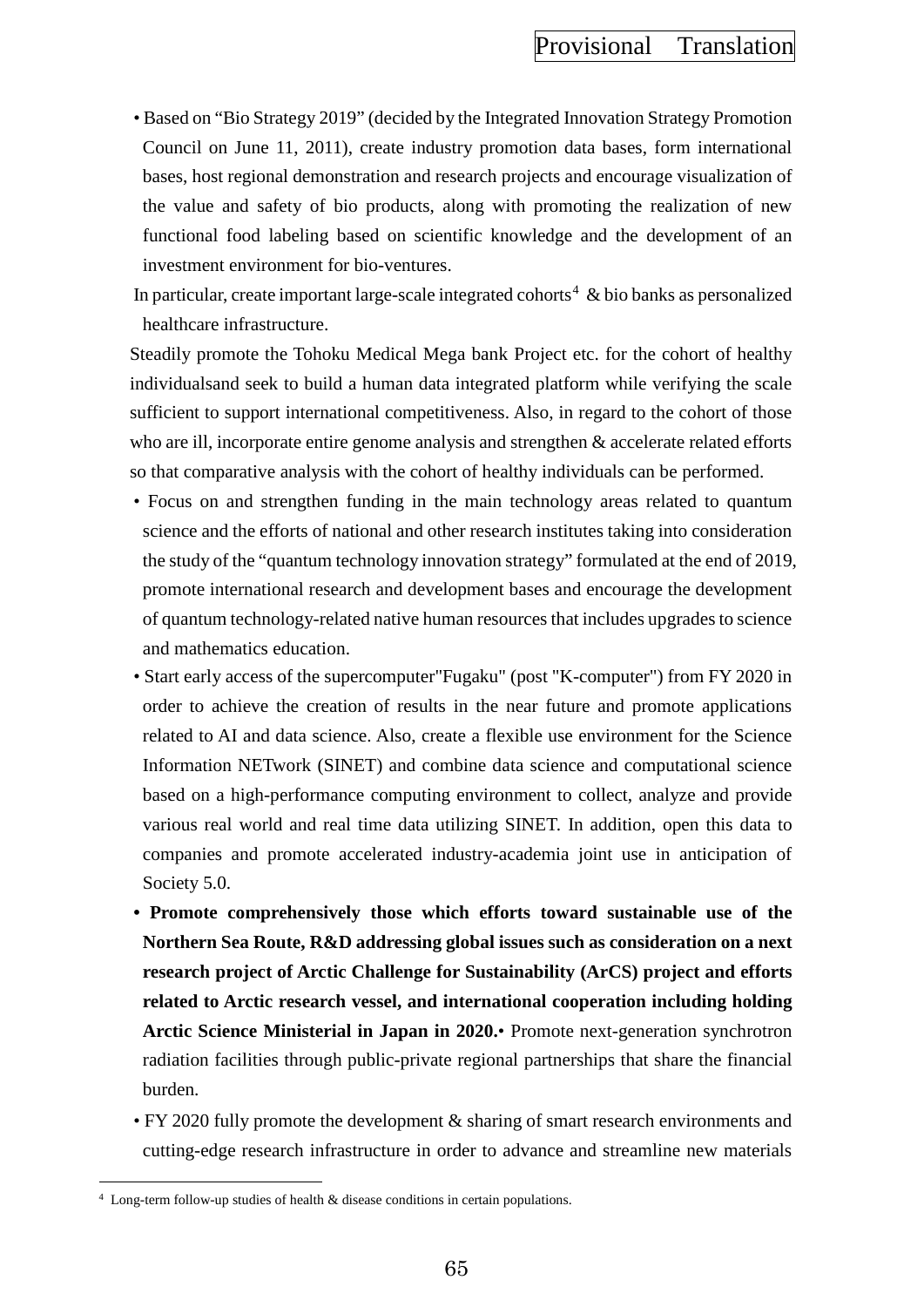• Based on "Bio Strategy 2019" (decided by the Integrated Innovation Strategy Promotion Council on June 11, 2011), create industry promotion data bases, form international bases, host regional demonstration and research projects and encourage visualization of the value and safety of bio products, along with promoting the realization of new functional food labeling based on scientific knowledge and the development of an investment environment for bio-ventures.

In particular, create important large-scale integrated cohorts<sup>[4](#page-74-0)</sup>  $\&$  bio banks as personalized healthcare infrastructure.

Steadily promote the Tohoku Medical Mega bank Project etc. for the cohort of healthy individualsand seek to build a human data integrated platform while verifying the scale sufficient to support international competitiveness. Also, in regard to the cohort of those who are ill, incorporate entire genome analysis and strengthen & accelerate related efforts so that comparative analysis with the cohort of healthy individuals can be performed.

- Focus on and strengthen funding in the main technology areas related to quantum science and the efforts of national and other research institutes taking into consideration the study of the "quantum technology innovation strategy" formulated at the end of 2019, promote international research and development bases and encourage the development of quantum technology-related native human resources that includes upgrades to science and mathematics education.
- Start early access of the supercomputer"Fugaku" (post "K-computer") from FY 2020 in order to achieve the creation of results in the near future and promote applications related to AI and data science. Also, create a flexible use environment for the Science Information NETwork (SINET) and combine data science and computational science based on a high-performance computing environment to collect, analyze and provide various real world and real time data utilizing SINET. In addition, open this data to companies and promote accelerated industry-academia joint use in anticipation of Society 5.0.
- **Promote comprehensively those which efforts toward sustainable use of the Northern Sea Route, R&D addressing global issues such as consideration on a next research project of Arctic Challenge for Sustainability (ArCS) project and efforts related to Arctic research vessel, and international cooperation including holding Arctic Science Ministerial in Japan in 2020.**• Promote next-generation synchrotron radiation facilities through public-private regional partnerships that share the financial burden.
- FY 2020 fully promote the development & sharing of smart research environments and cutting-edge research infrastructure in order to advance and streamline new materials

l

<span id="page-74-0"></span> $4$  Long-term follow-up studies of health  $\&$  disease conditions in certain populations.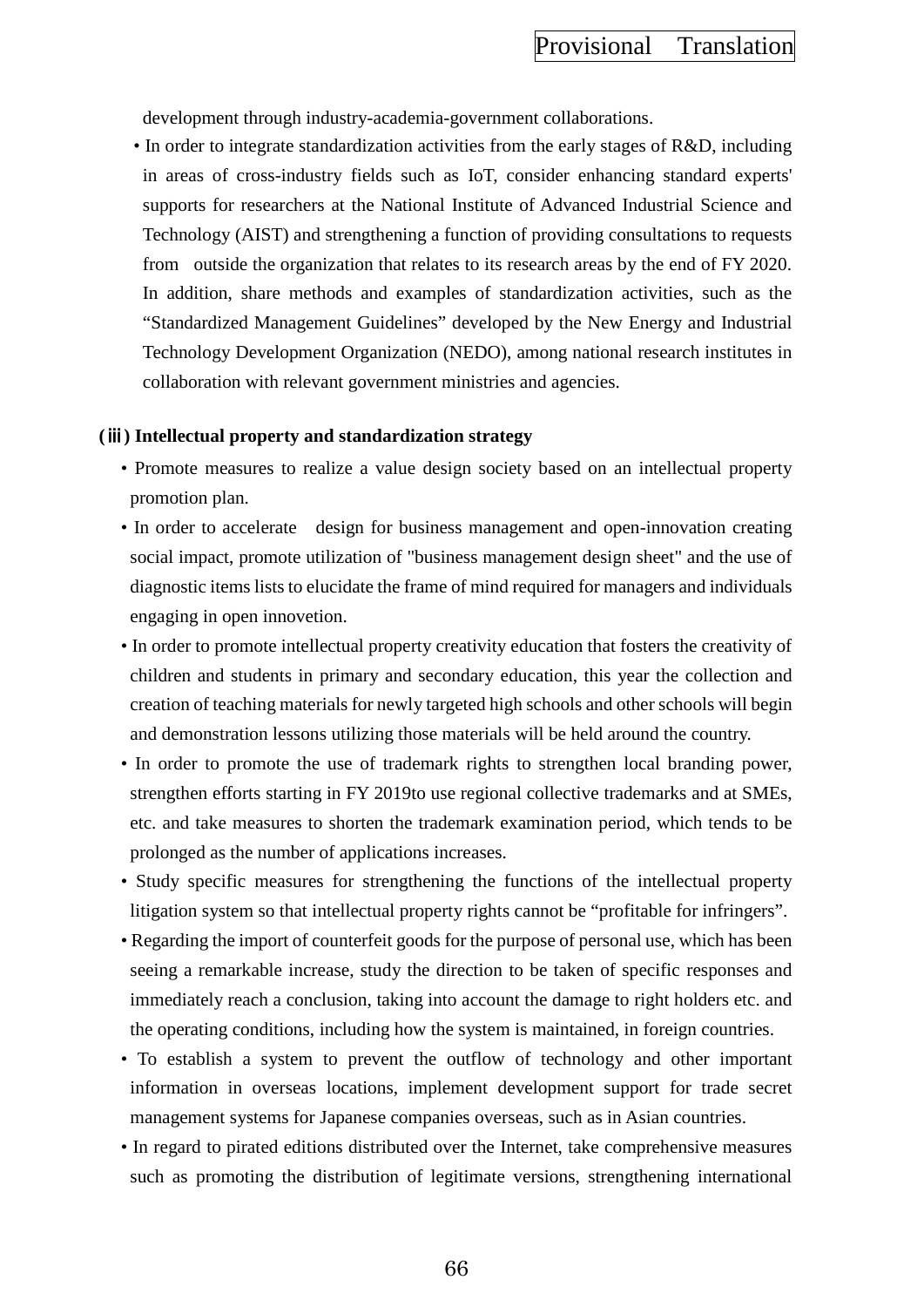development through industry-academia-government collaborations.

• In order to integrate standardization activities from the early stages of R&D, including in areas of cross-industry fields such as IoT, consider enhancing standard experts' supports for researchers at the National Institute of Advanced Industrial Science and Technology (AIST) and strengthening a function of providing consultations to requests from outside the organization that relates to its research areas by the end of FY 2020. In addition, share methods and examples of standardization activities, such as the "Standardized Management Guidelines" developed by the New Energy and Industrial Technology Development Organization (NEDO), among national research institutes in collaboration with relevant government ministries and agencies.

#### **(**ⅲ**) Intellectual property and standardization strategy**

- Promote measures to realize a value design society based on an intellectual property promotion plan.
- In order to accelerate design for business management and open-innovation creating social impact, promote utilization of "business management design sheet" and the use of diagnostic items lists to elucidate the frame of mind required for managers and individuals engaging in open innovetion.
- In order to promote intellectual property creativity education that fosters the creativity of children and students in primary and secondary education, this year the collection and creation of teaching materials for newly targeted high schools and other schools will begin and demonstration lessons utilizing those materials will be held around the country.
- In order to promote the use of trademark rights to strengthen local branding power, strengthen efforts starting in FY 2019to use regional collective trademarks and at SMEs, etc. and take measures to shorten the trademark examination period, which tends to be prolonged as the number of applications increases.
- Study specific measures for strengthening the functions of the intellectual property litigation system so that intellectual property rights cannot be "profitable for infringers".
- Regarding the import of counterfeit goods for the purpose of personal use, which has been seeing a remarkable increase, study the direction to be taken of specific responses and immediately reach a conclusion, taking into account the damage to right holders etc. and the operating conditions, including how the system is maintained, in foreign countries.
- To establish a system to prevent the outflow of technology and other important information in overseas locations, implement development support for trade secret management systems for Japanese companies overseas, such as in Asian countries.
- In regard to pirated editions distributed over the Internet, take comprehensive measures such as promoting the distribution of legitimate versions, strengthening international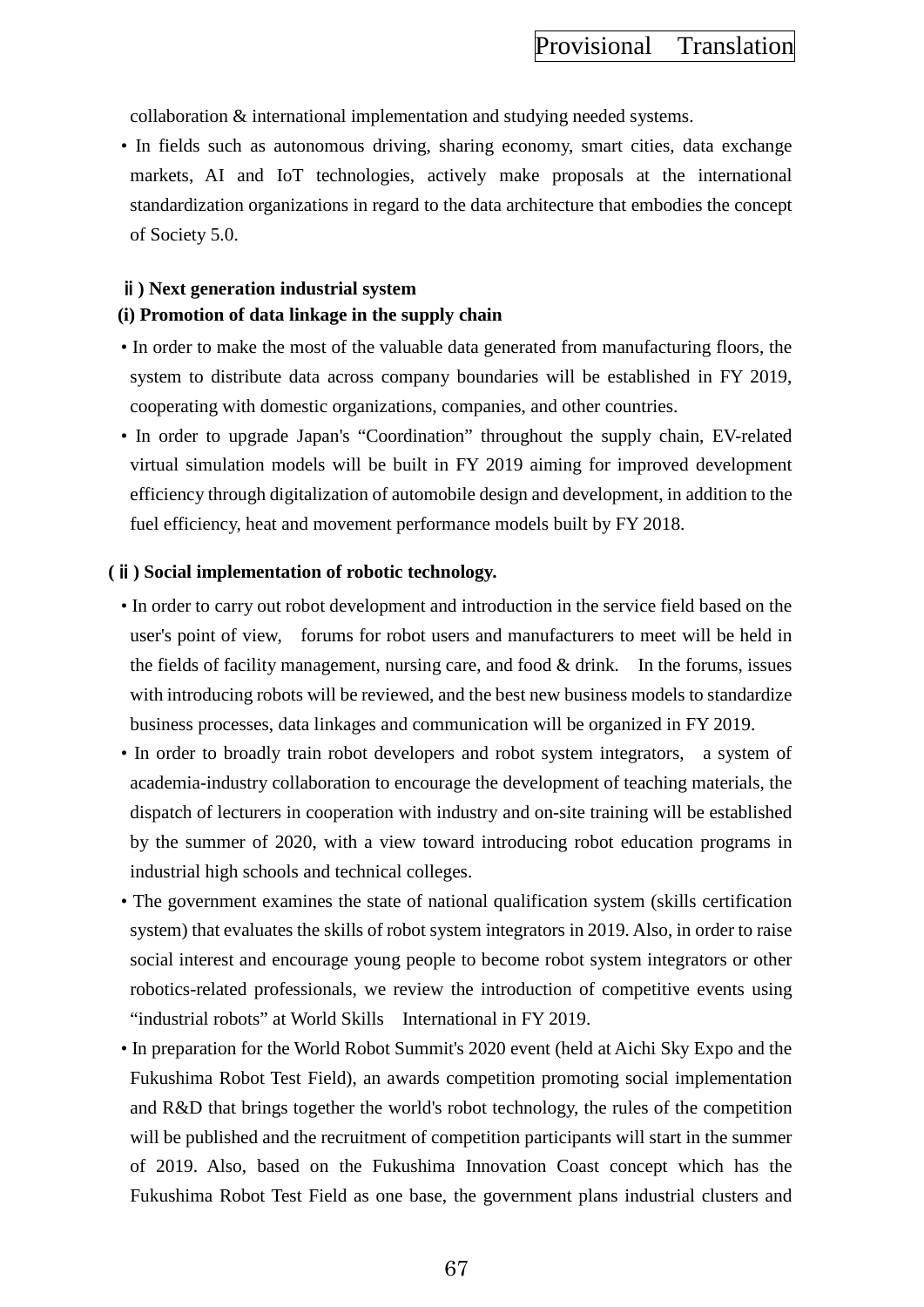collaboration & international implementation and studying needed systems.

• In fields such as autonomous driving, sharing economy, smart cities, data exchange markets, AI and IoT technologies, actively make proposals at the international standardization organizations in regard to the data architecture that embodies the concept of Society 5.0.

#### ⅱ**) Next generation industrial system**

#### **(i) Promotion of data linkage in the supply chain**

- In order to make the most of the valuable data generated from manufacturing floors, the system to distribute data across company boundaries will be established in FY 2019, cooperating with domestic organizations, companies, and other countries.
- In order to upgrade Japan's "Coordination" throughout the supply chain, EV-related virtual simulation models will be built in FY 2019 aiming for improved development efficiency through digitalization of automobile design and development, in addition to the fuel efficiency, heat and movement performance models built by FY 2018.

#### **(**ⅱ**) Social implementation of robotic technology.**

- In order to carry out robot development and introduction in the service field based on the user's point of view, forums for robot users and manufacturers to meet will be held in the fields of facility management, nursing care, and food & drink. In the forums, issues with introducing robots will be reviewed, and the best new business models to standardize business processes, data linkages and communication will be organized in FY 2019.
- In order to broadly train robot developers and robot system integrators, a system of academia-industry collaboration to encourage the development of teaching materials, the dispatch of lecturers in cooperation with industry and on-site training will be established by the summer of 2020, with a view toward introducing robot education programs in industrial high schools and technical colleges.
- The government examines the state of national qualification system (skills certification system) that evaluates the skills of robot system integrators in 2019. Also, in order to raise social interest and encourage young people to become robot system integrators or other robotics-related professionals, we review the introduction of competitive events using "industrial robots" at World Skills International in FY 2019.
- In preparation for the World Robot Summit's 2020 event (held at Aichi Sky Expo and the Fukushima Robot Test Field), an awards competition promoting social implementation and R&D that brings together the world's robot technology, the rules of the competition will be published and the recruitment of competition participants will start in the summer of 2019. Also, based on the Fukushima Innovation Coast concept which has the Fukushima Robot Test Field as one base, the government plans industrial clusters and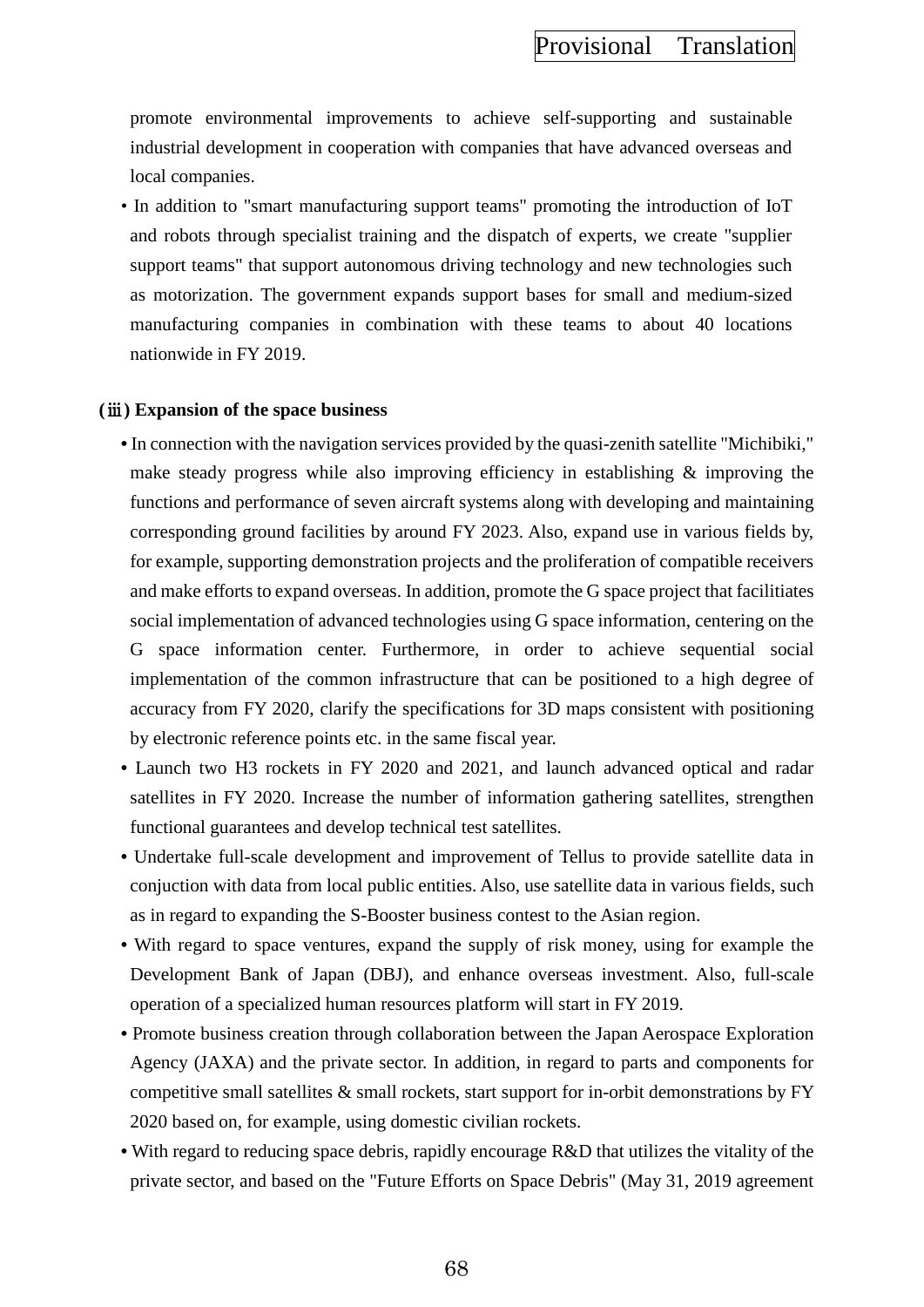promote environmental improvements to achieve self-supporting and sustainable industrial development in cooperation with companies that have advanced overseas and local companies.

• In addition to "smart manufacturing support teams" promoting the introduction of IoT and robots through specialist training and the dispatch of experts, we create "supplier support teams" that support autonomous driving technology and new technologies such as motorization. The government expands support bases for small and medium-sized manufacturing companies in combination with these teams to about 40 locations nationwide in FY 2019.

#### **(**ⅲ**) Expansion of the space business**

- **•** In connection with the navigation services provided by the quasi-zenith satellite "Michibiki," make steady progress while also improving efficiency in establishing & improving the functions and performance of seven aircraft systems along with developing and maintaining corresponding ground facilities by around FY 2023. Also, expand use in various fields by, for example, supporting demonstration projects and the proliferation of compatible receivers and make efforts to expand overseas. In addition, promote the G space project that facilitiates social implementation of advanced technologies using G space information, centering on the G space information center. Furthermore, in order to achieve sequential social implementation of the common infrastructure that can be positioned to a high degree of accuracy from FY 2020, clarify the specifications for 3D maps consistent with positioning by electronic reference points etc. in the same fiscal year.
- **•** Launch two H3 rockets in FY 2020 and 2021, and launch advanced optical and radar satellites in FY 2020. Increase the number of information gathering satellites, strengthen functional guarantees and develop technical test satellites.
- Undertake full-scale development and improvement of Tellus to provide satellite data in conjuction with data from local public entities. Also, use satellite data in various fields, such as in regard to expanding the S-Booster business contest to the Asian region.
- With regard to space ventures, expand the supply of risk money, using for example the Development Bank of Japan (DBJ), and enhance overseas investment. Also, full-scale operation of a specialized human resources platform will start in FY 2019.
- **•** Promote business creation through collaboration between the Japan Aerospace Exploration Agency (JAXA) and the private sector. In addition, in regard to parts and components for competitive small satellites  $\&$  small rockets, start support for in-orbit demonstrations by FY 2020 based on, for example, using domestic civilian rockets.
- With regard to reducing space debris, rapidly encourage R&D that utilizes the vitality of the private sector, and based on the "Future Efforts on Space Debris" (May 31, 2019 agreement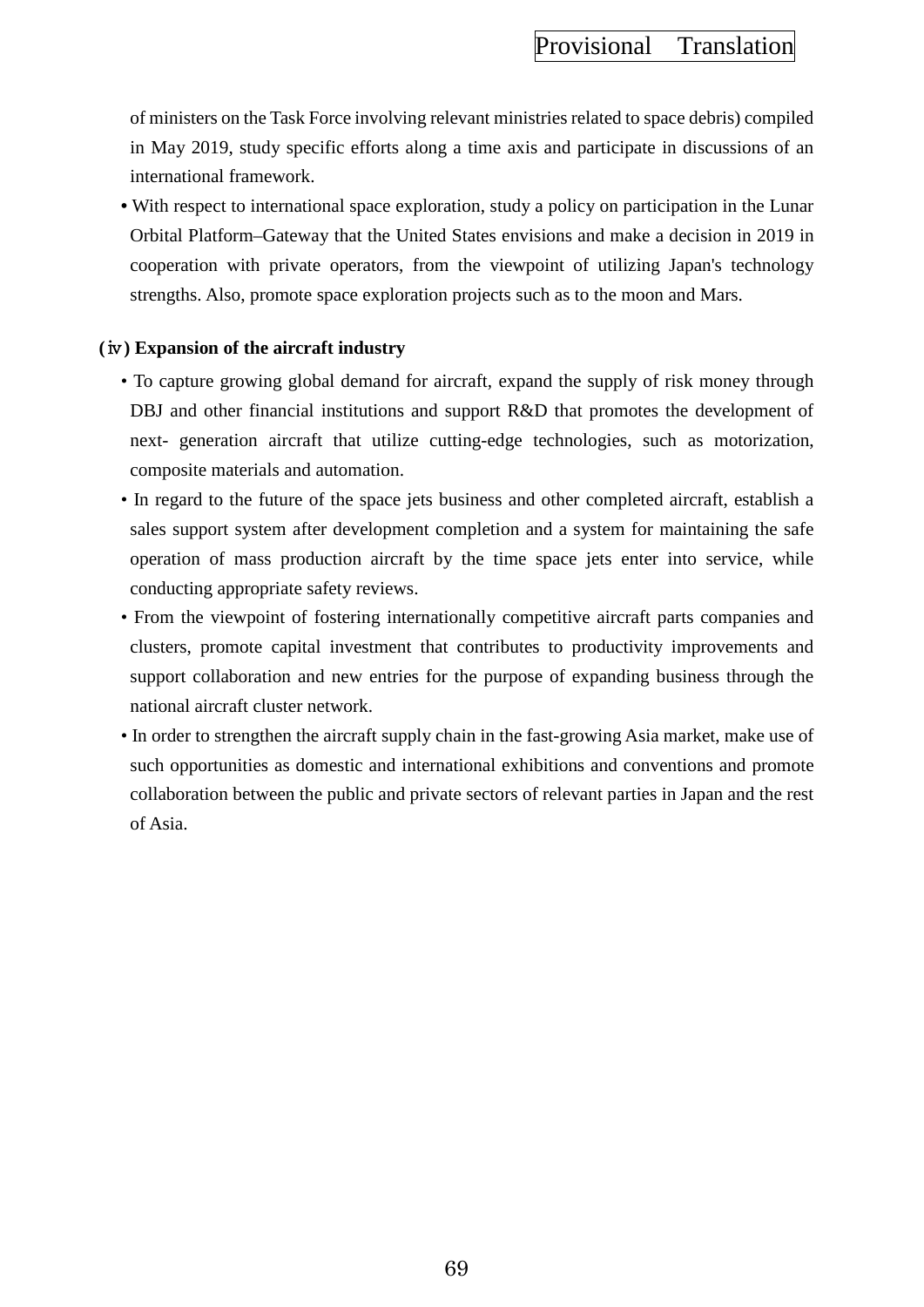of ministers on the Task Force involving relevant ministries related to space debris) compiled in May 2019, study specific efforts along a time axis and participate in discussions of an international framework.

**•** With respect to international space exploration, study a policy on participation in the Lunar Orbital Platform–Gateway that the United States envisions and make a decision in 2019 in cooperation with private operators, from the viewpoint of utilizing Japan's technology strengths. Also, promote space exploration projects such as to the moon and Mars.

## **(**ⅳ**) Expansion of the aircraft industry**

- To capture growing global demand for aircraft, expand the supply of risk money through DBJ and other financial institutions and support R&D that promotes the development of next- generation aircraft that utilize cutting-edge technologies, such as motorization, composite materials and automation.
- In regard to the future of the space jets business and other completed aircraft, establish a sales support system after development completion and a system for maintaining the safe operation of mass production aircraft by the time space jets enter into service, while conducting appropriate safety reviews.
- From the viewpoint of fostering internationally competitive aircraft parts companies and clusters, promote capital investment that contributes to productivity improvements and support collaboration and new entries for the purpose of expanding business through the national aircraft cluster network.
- In order to strengthen the aircraft supply chain in the fast-growing Asia market, make use of such opportunities as domestic and international exhibitions and conventions and promote collaboration between the public and private sectors of relevant parties in Japan and the rest of Asia.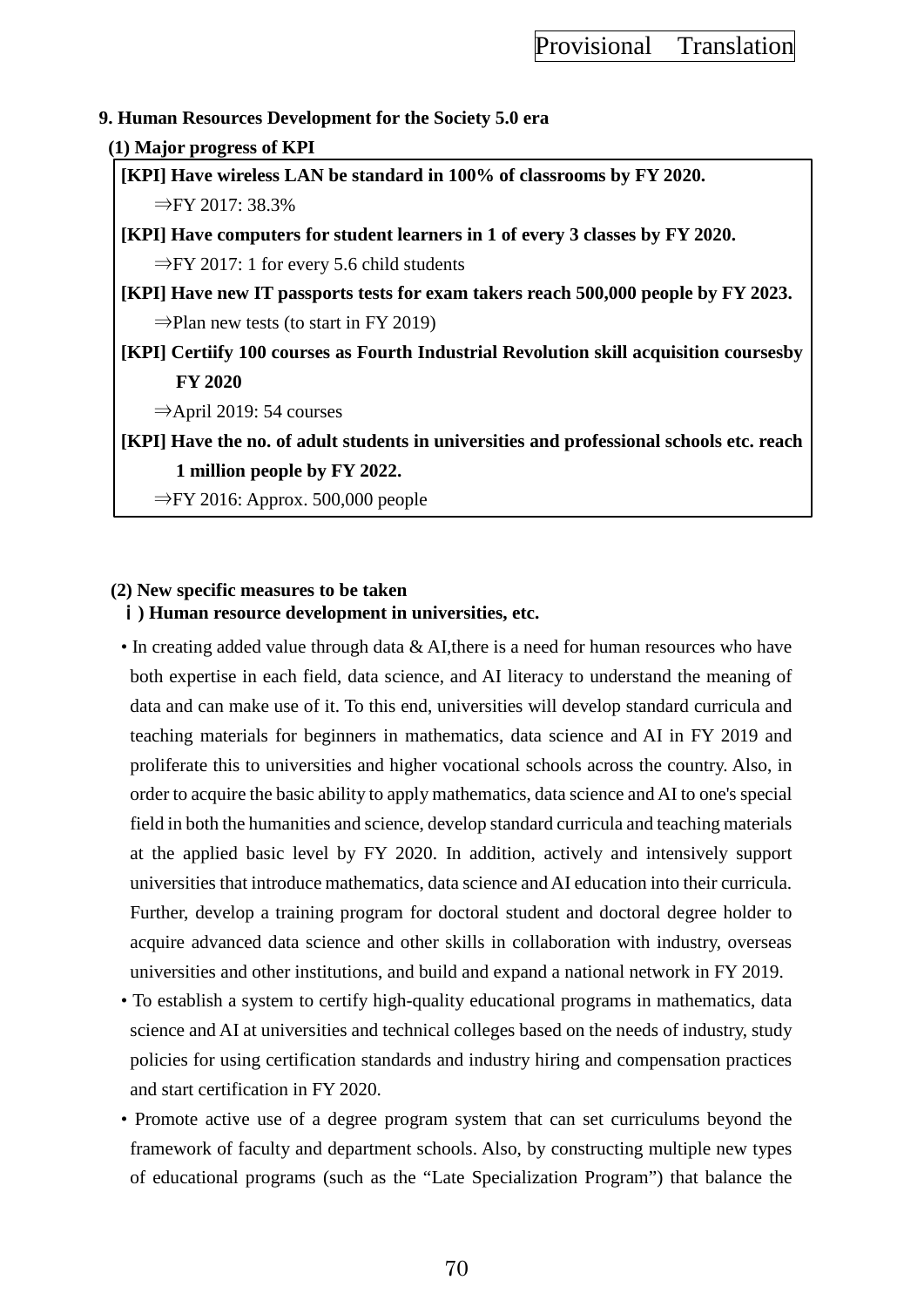### **9. Human Resources Development for the Society 5.0 era**

#### **(1) Major progress of KPI**

**[KPI] Have wireless LAN be standard in 100% of classrooms by FY 2020.** ⇒FY 2017: 38.3%

**[KPI] Have computers for student learners in 1 of every 3 classes by FY 2020.**  $\Rightarrow$ FY 2017: 1 for every 5.6 child students

**[KPI] Have new IT passports tests for exam takers reach 500,000 people by FY 2023.**  $\Rightarrow$ Plan new tests (to start in FY 2019)

**[KPI] Certiify 100 courses as Fourth Industrial Revolution skill acquisition coursesby FY 2020**

⇒April 2019: 54 courses

**[KPI] Have the no. of adult students in universities and professional schools etc. reach 1 million people by FY 2022.**

⇒FY 2016: Approx. 500,000 people

### **(2) New specific measures to be taken**

## ⅰ**) Human resource development in universities, etc.**

• In creating added value through data & AI, there is a need for human resources who have both expertise in each field, data science, and AI literacy to understand the meaning of data and can make use of it. To this end, universities will develop standard curricula and teaching materials for beginners in mathematics, data science and AI in FY 2019 and proliferate this to universities and higher vocational schools across the country. Also, in order to acquire the basic ability to apply mathematics, data science and AI to one's special field in both the humanities and science, develop standard curricula and teaching materials at the applied basic level by FY 2020. In addition, actively and intensively support universities that introduce mathematics, data science and AI education into their curricula. Further, develop a training program for doctoral student and doctoral degree holder to acquire advanced data science and other skills in collaboration with industry, overseas universities and other institutions, and build and expand a national network in FY 2019.

- To establish a system to certify high-quality educational programs in mathematics, data science and AI at universities and technical colleges based on the needs of industry, study policies for using certification standards and industry hiring and compensation practices and start certification in FY 2020.
- Promote active use of a degree program system that can set curriculums beyond the framework of faculty and department schools. Also, by constructing multiple new types of educational programs (such as the "Late Specialization Program") that balance the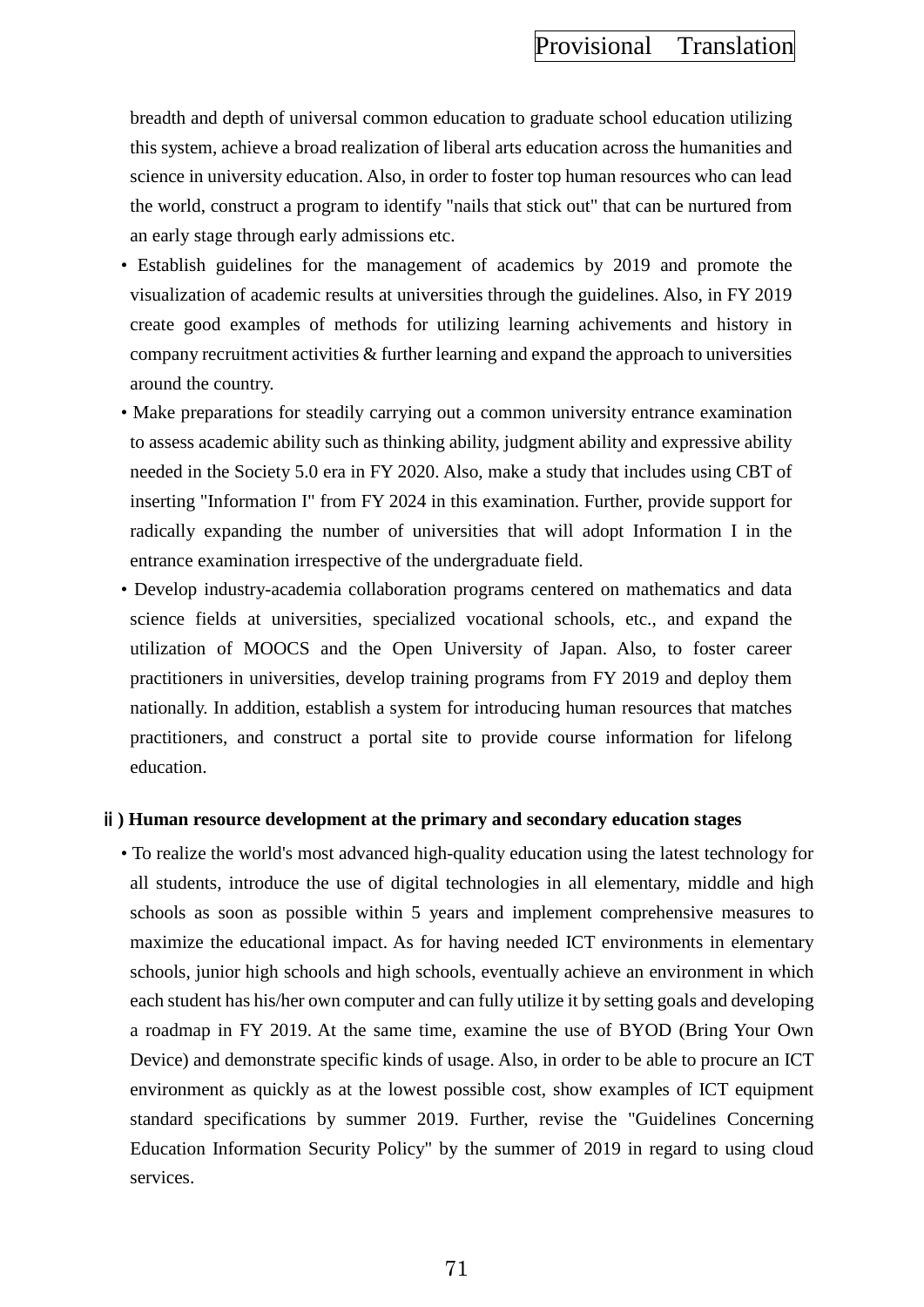breadth and depth of universal common education to graduate school education utilizing this system, achieve a broad realization of liberal arts education across the humanities and science in university education. Also, in order to foster top human resources who can lead the world, construct a program to identify "nails that stick out" that can be nurtured from an early stage through early admissions etc.

- Establish guidelines for the management of academics by 2019 and promote the visualization of academic results at universities through the guidelines. Also, in FY 2019 create good examples of methods for utilizing learning achivements and history in company recruitment activities & further learning and expand the approach to universities around the country.
- Make preparations for steadily carrying out a common university entrance examination to assess academic ability such as thinking ability, judgment ability and expressive ability needed in the Society 5.0 era in FY 2020. Also, make a study that includes using CBT of inserting "Information I" from FY 2024 in this examination. Further, provide support for radically expanding the number of universities that will adopt Information I in the entrance examination irrespective of the undergraduate field.
- Develop industry-academia collaboration programs centered on mathematics and data science fields at universities, specialized vocational schools, etc., and expand the utilization of MOOCS and the Open University of Japan. Also, to foster career practitioners in universities, develop training programs from FY 2019 and deploy them nationally. In addition, establish a system for introducing human resources that matches practitioners, and construct a portal site to provide course information for lifelong education.

#### ⅱ**) Human resource development at the primary and secondary education stages**

• To realize the world's most advanced high-quality education using the latest technology for all students, introduce the use of digital technologies in all elementary, middle and high schools as soon as possible within 5 years and implement comprehensive measures to maximize the educational impact. As for having needed ICT environments in elementary schools, junior high schools and high schools, eventually achieve an environment in which each student has his/her own computer and can fully utilize it by setting goals and developing a roadmap in FY 2019. At the same time, examine the use of BYOD (Bring Your Own Device) and demonstrate specific kinds of usage. Also, in order to be able to procure an ICT environment as quickly as at the lowest possible cost, show examples of ICT equipment standard specifications by summer 2019. Further, revise the "Guidelines Concerning Education Information Security Policy" by the summer of 2019 in regard to using cloud services.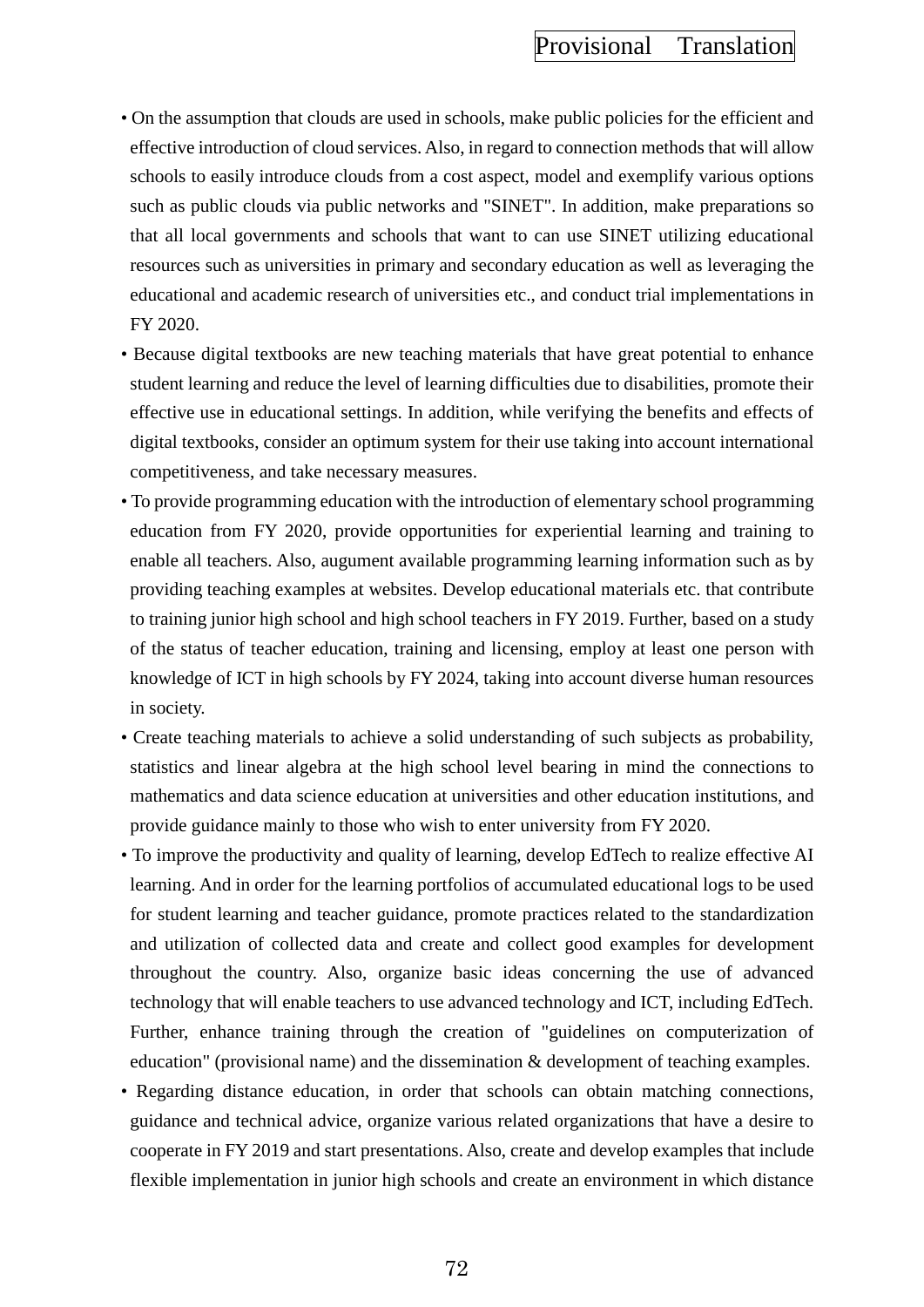- On the assumption that clouds are used in schools, make public policies for the efficient and effective introduction of cloud services. Also, in regard to connection methods that will allow schools to easily introduce clouds from a cost aspect, model and exemplify various options such as public clouds via public networks and "SINET". In addition, make preparations so that all local governments and schools that want to can use SINET utilizing educational resources such as universities in primary and secondary education as well as leveraging the educational and academic research of universities etc., and conduct trial implementations in FY 2020.
- Because digital textbooks are new teaching materials that have great potential to enhance student learning and reduce the level of learning difficulties due to disabilities, promote their effective use in educational settings. In addition, while verifying the benefits and effects of digital textbooks, consider an optimum system for their use taking into account international competitiveness, and take necessary measures.
- To provide programming education with the introduction of elementary school programming education from FY 2020, provide opportunities for experiential learning and training to enable all teachers. Also, augument available programming learning information such as by providing teaching examples at websites. Develop educational materials etc. that contribute to training junior high school and high school teachers in FY 2019. Further, based on a study of the status of teacher education, training and licensing, employ at least one person with knowledge of ICT in high schools by FY 2024, taking into account diverse human resources in society.
- Create teaching materials to achieve a solid understanding of such subjects as probability, statistics and linear algebra at the high school level bearing in mind the connections to mathematics and data science education at universities and other education institutions, and provide guidance mainly to those who wish to enter university from FY 2020.
- To improve the productivity and quality of learning, develop EdTech to realize effective AI learning. And in order for the learning portfolios of accumulated educational logs to be used for student learning and teacher guidance, promote practices related to the standardization and utilization of collected data and create and collect good examples for development throughout the country. Also, organize basic ideas concerning the use of advanced technology that will enable teachers to use advanced technology and ICT, including EdTech. Further, enhance training through the creation of "guidelines on computerization of education" (provisional name) and the dissemination & development of teaching examples.
- Regarding distance education, in order that schools can obtain matching connections, guidance and technical advice, organize various related organizations that have a desire to cooperate in FY 2019 and start presentations. Also, create and develop examples that include flexible implementation in junior high schools and create an environment in which distance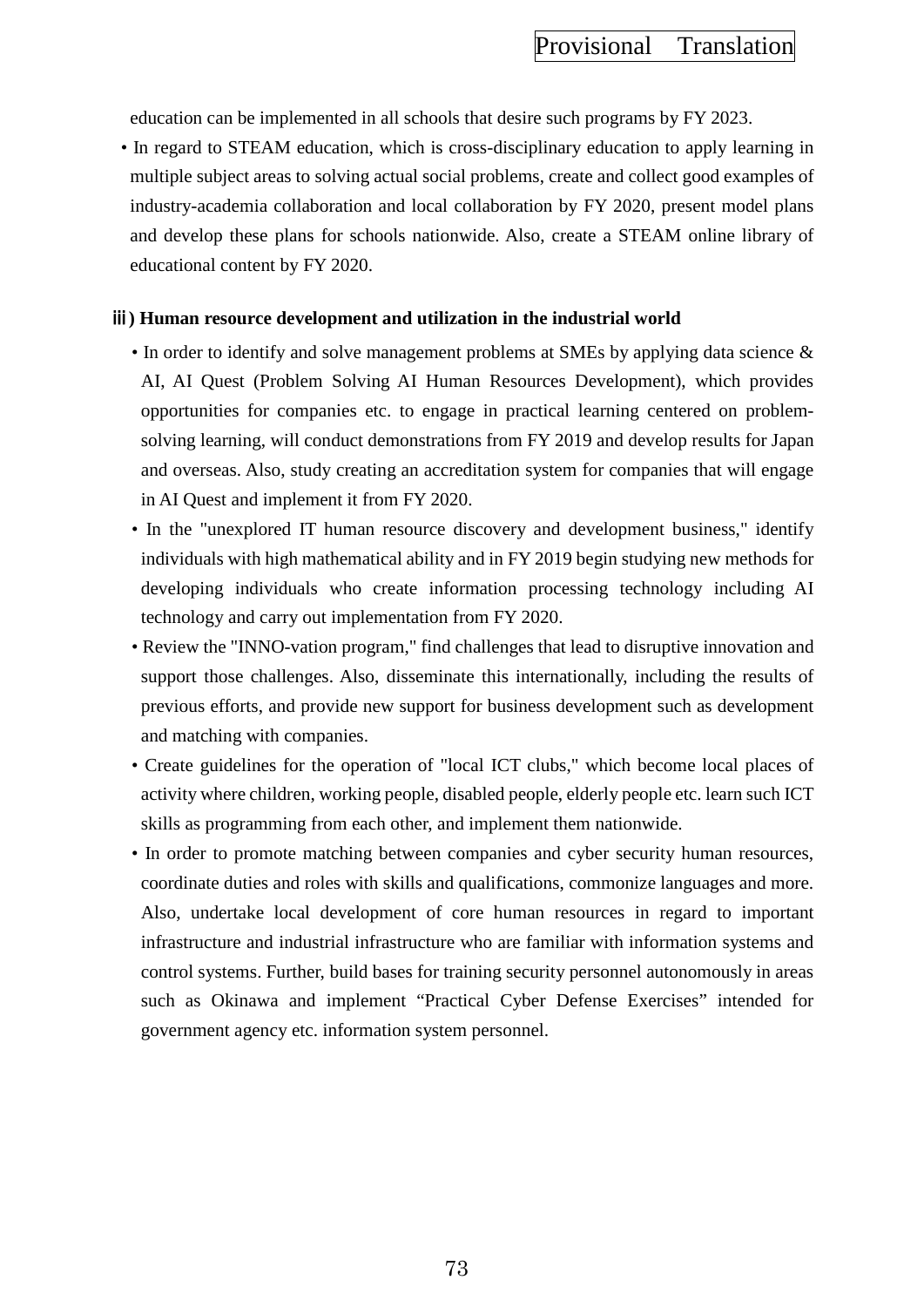education can be implemented in all schools that desire such programs by FY 2023.

• In regard to STEAM education, which is cross-disciplinary education to apply learning in multiple subject areas to solving actual social problems, create and collect good examples of industry-academia collaboration and local collaboration by FY 2020, present model plans and develop these plans for schools nationwide. Also, create a STEAM online library of educational content by FY 2020.

### ⅲ**) Human resource development and utilization in the industrial world**

- In order to identify and solve management problems at SMEs by applying data science  $\&$ AI, AI Quest (Problem Solving AI Human Resources Development), which provides opportunities for companies etc. to engage in practical learning centered on problemsolving learning, will conduct demonstrations from FY 2019 and develop results for Japan and overseas. Also, study creating an accreditation system for companies that will engage in AI Quest and implement it from FY 2020.
- In the "unexplored IT human resource discovery and development business," identify individuals with high mathematical ability and in FY 2019 begin studying new methods for developing individuals who create information processing technology including AI technology and carry out implementation from FY 2020.
- Review the "INNO-vation program," find challenges that lead to disruptive innovation and support those challenges. Also, disseminate this internationally, including the results of previous efforts, and provide new support for business development such as development and matching with companies.
- Create guidelines for the operation of "local ICT clubs," which become local places of activity where children, working people, disabled people, elderly people etc. learn such ICT skills as programming from each other, and implement them nationwide.
- In order to promote matching between companies and cyber security human resources, coordinate duties and roles with skills and qualifications, commonize languages and more. Also, undertake local development of core human resources in regard to important infrastructure and industrial infrastructure who are familiar with information systems and control systems. Further, build bases for training security personnel autonomously in areas such as Okinawa and implement "Practical Cyber Defense Exercises" intended for government agency etc. information system personnel.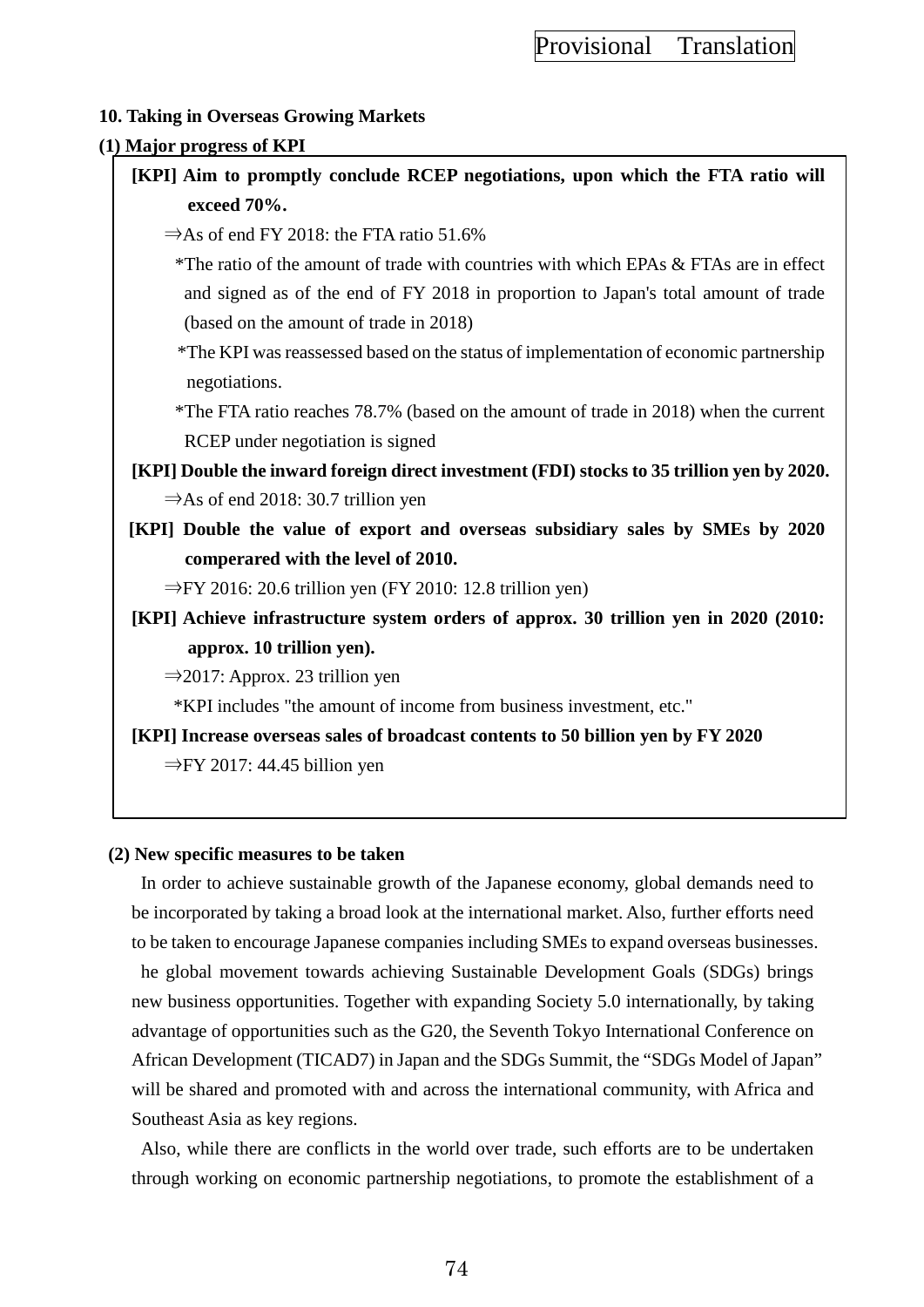### **10. Taking in Overseas Growing Markets**

#### **(1) Major progress of KPI**

- **[KPI] Aim to promptly conclude RCEP negotiations, upon which the FTA ratio will exceed 70%.**
	- $\Rightarrow$  As of end FY 2018: the FTA ratio 51.6%

\*The ratio of the amount of trade with countries with which EPAs & FTAs are in effect and signed as of the end of FY 2018 in proportion to Japan's total amount of trade (based on the amount of trade in 2018)

\*The KPI was reassessed based on the status of implementation of economic partnership negotiations.

\*The FTA ratio reaches 78.7% (based on the amount of trade in 2018) when the current RCEP under negotiation is signed

- **[KPI] Double the inward foreign direct investment (FDI) stocks to 35 trillion yen by 2020.**  $\Rightarrow$ As of end 2018: 30.7 trillion yen
- **[KPI] Double the value of export and overseas subsidiary sales by SMEs by 2020 comperared with the level of 2010.**

 $\Rightarrow$  FY 2016: 20.6 trillion yen (FY 2010: 12.8 trillion yen)

**[KPI] Achieve infrastructure system orders of approx. 30 trillion yen in 2020 (2010: approx. 10 trillion yen).**

 $\Rightarrow$  2017: Approx. 23 trillion yen

\*KPI includes "the amount of income from business investment, etc."

**[KPI] Increase overseas sales of broadcast contents to 50 billion yen by FY 2020** ⇒FY 2017: 44.45 billion yen

#### **(2) New specific measures to be taken**

In order to achieve sustainable growth of the Japanese economy, global demands need to be incorporated by taking a broad look at the international market. Also, further efforts need to be taken to encourage Japanese companies including SMEs to expand overseas businesses. he global movement towards achieving Sustainable Development Goals (SDGs) brings new business opportunities. Together with expanding Society 5.0 internationally, by taking advantage of opportunities such as the G20, the Seventh Tokyo International Conference on African Development (TICAD7) in Japan and the SDGs Summit, the "SDGs Model of Japan" will be shared and promoted with and across the international community, with Africa and Southeast Asia as key regions.

Also, while there are conflicts in the world over trade, such efforts are to be undertaken through working on economic partnership negotiations, to promote the establishment of a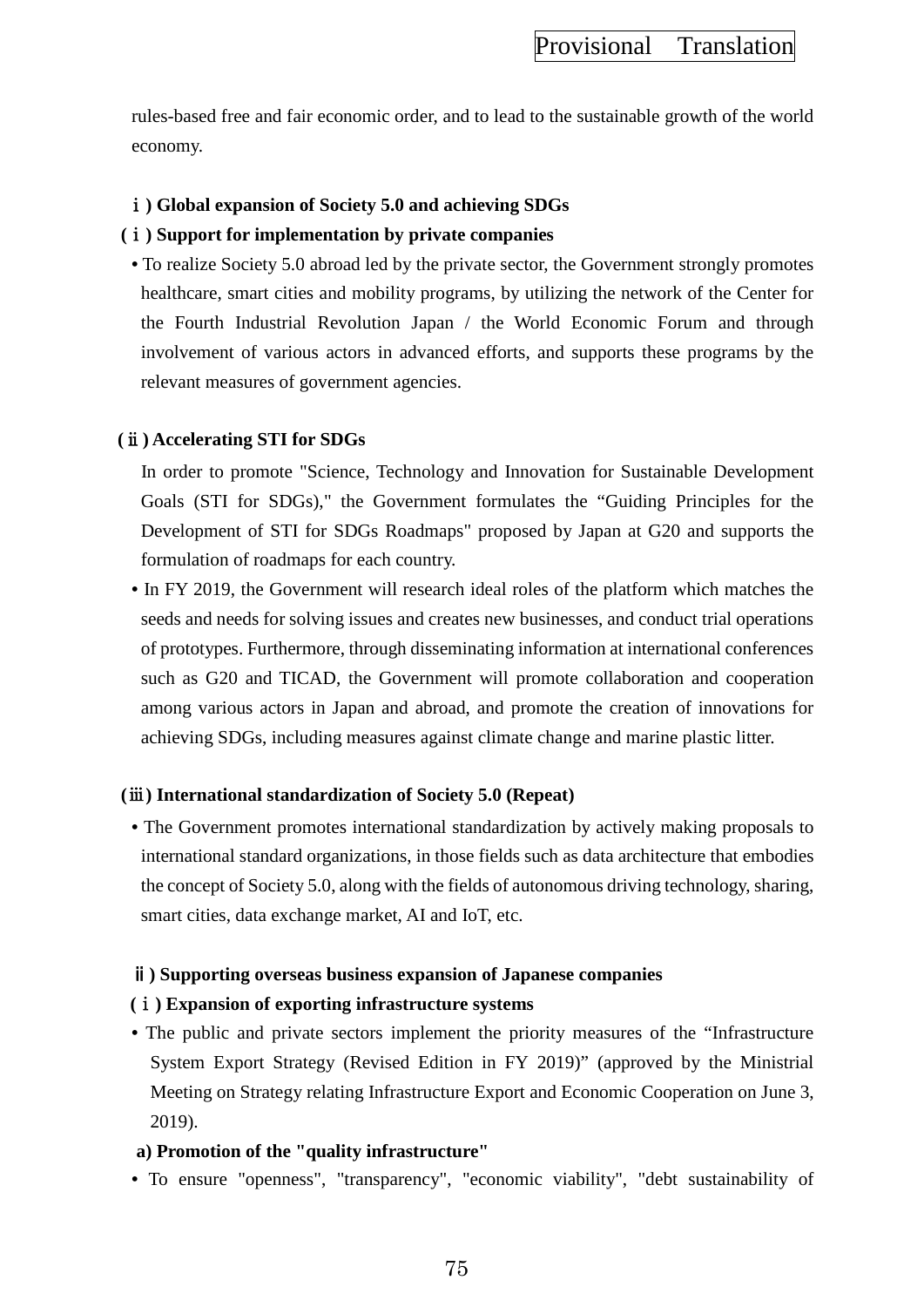rules-based free and fair economic order, and to lead to the sustainable growth of the world economy.

## ⅰ**) Global expansion of Society 5.0 and achieving SDGs**

### **(**ⅰ**) Support for implementation by private companies**

• To realize Society 5.0 abroad led by the private sector, the Government strongly promotes healthcare, smart cities and mobility programs, by utilizing the network of the Center for the Fourth Industrial Revolution Japan / the World Economic Forum and through involvement of various actors in advanced efforts, and supports these programs by the relevant measures of government agencies.

## **(**ⅱ**) Accelerating STI for SDGs**

In order to promote "Science, Technology and Innovation for Sustainable Development Goals (STI for SDGs)," the Government formulates the "Guiding Principles for the Development of STI for SDGs Roadmaps" proposed by Japan at G20 and supports the formulation of roadmaps for each country.

**•** In FY 2019, the Government will research ideal roles of the platform which matches the seeds and needs for solving issues and creates new businesses, and conduct trial operations of prototypes. Furthermore, through disseminating information at international conferences such as G20 and TICAD, the Government will promote collaboration and cooperation among various actors in Japan and abroad, and promote the creation of innovations for achieving SDGs, including measures against climate change and marine plastic litter.

#### **(**ⅲ**) International standardization of Society 5.0 (Repeat)**

**•** The Government promotes international standardization by actively making proposals to international standard organizations, in those fields such as data architecture that embodies the concept of Society 5.0, along with the fields of autonomous driving technology, sharing, smart cities, data exchange market, AI and IoT, etc.

### ⅱ**) Supporting overseas business expansion of Japanese companies**

## **(**ⅰ**) Expansion of exporting infrastructure systems**

• The public and private sectors implement the priority measures of the "Infrastructure" System Export Strategy (Revised Edition in FY 2019)" (approved by the Ministrial Meeting on Strategy relating Infrastructure Export and Economic Cooperation on June 3, 2019).

## **a) Promotion of the "quality infrastructure"**

**•** To ensure "openness", "transparency", "economic viability", "debt sustainability of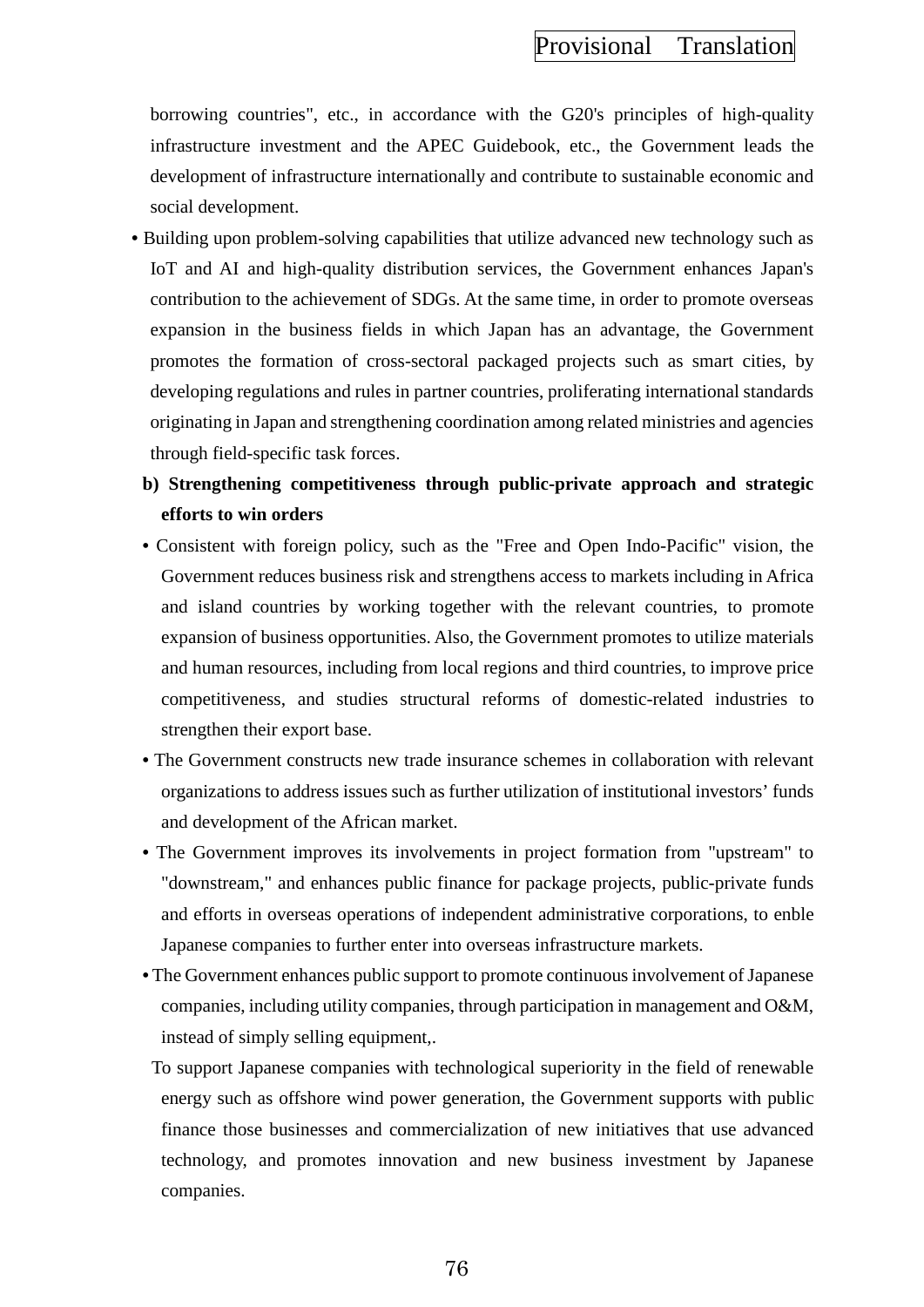borrowing countries", etc., in accordance with the G20's principles of high-quality infrastructure investment and the APEC Guidebook, etc., the Government leads the development of infrastructure internationally and contribute to sustainable economic and social development.

- Building upon problem-solving capabilities that utilize advanced new technology such as IoT and AI and high-quality distribution services, the Government enhances Japan's contribution to the achievement of SDGs. At the same time, in order to promote overseas expansion in the business fields in which Japan has an advantage, the Government promotes the formation of cross-sectoral packaged projects such as smart cities, by developing regulations and rules in partner countries, proliferating international standards originating in Japan and strengthening coordination among related ministries and agencies through field-specific task forces.
	- **b) Strengthening competitiveness through public-private approach and strategic efforts to win orders**
	- Consistent with foreign policy, such as the "Free and Open Indo-Pacific" vision, the Government reduces business risk and strengthens access to markets including in Africa and island countries by working together with the relevant countries, to promote expansion of business opportunities. Also, the Government promotes to utilize materials and human resources, including from local regions and third countries, to improve price competitiveness, and studies structural reforms of domestic-related industries to strengthen their export base.
	- The Government constructs new trade insurance schemes in collaboration with relevant organizations to address issues such as further utilization of institutional investors' funds and development of the African market.
	- The Government improves its involvements in project formation from "upstream" to "downstream," and enhances public finance for package projects, public-private funds and efforts in overseas operations of independent administrative corporations, to enble Japanese companies to further enter into overseas infrastructure markets.
	- The Government enhances public support to promote continuous involvement of Japanese companies, including utility companies, through participation in management and O&M, instead of simply selling equipment,.
	- To support Japanese companies with technological superiority in the field of renewable energy such as offshore wind power generation, the Government supports with public finance those businesses and commercialization of new initiatives that use advanced technology, and promotes innovation and new business investment by Japanese companies.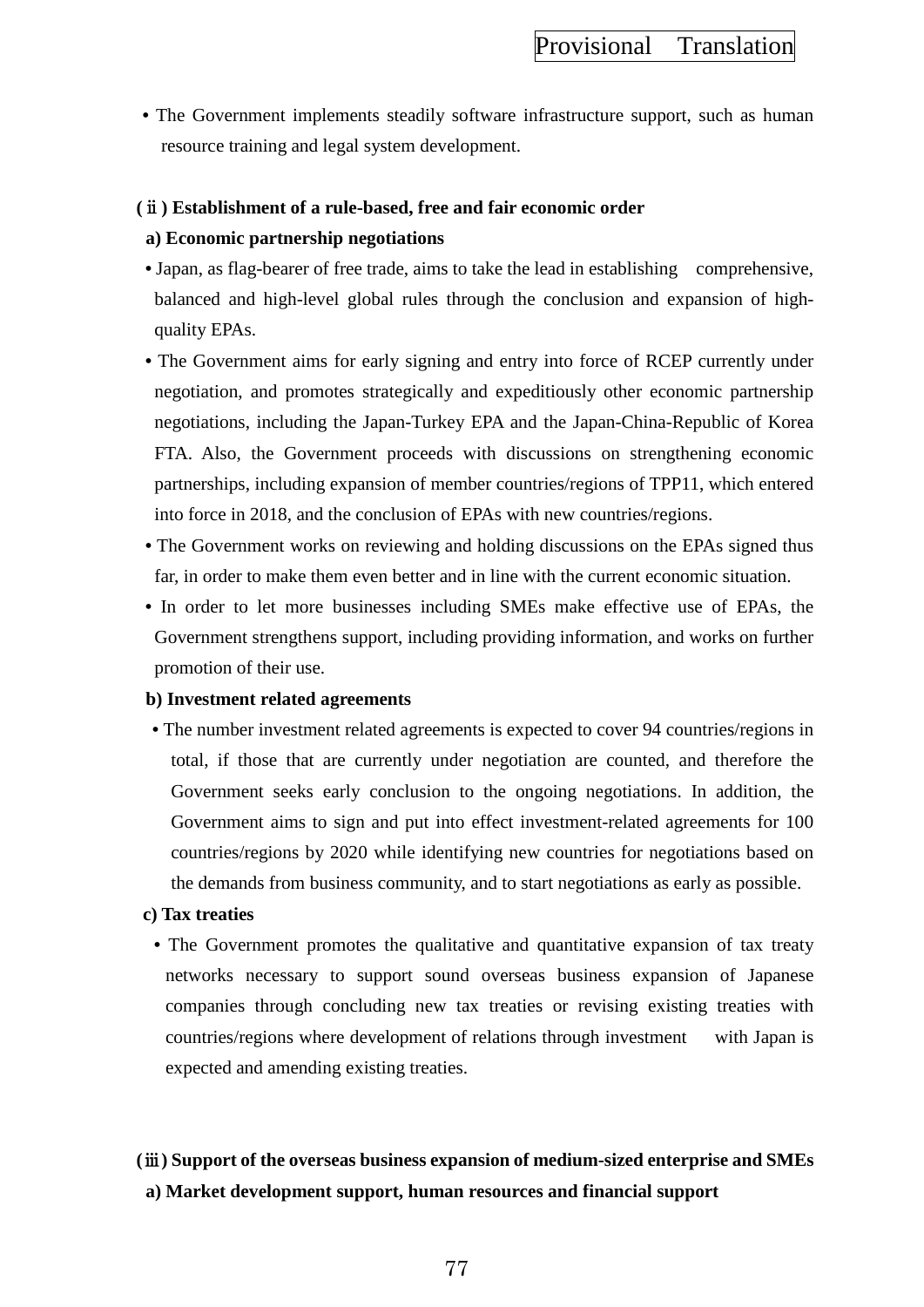**•** The Government implements steadily software infrastructure support, such as human resource training and legal system development.

### **(**ⅱ**) Establishment of a rule-based, free and fair economic order**

### **a) Economic partnership negotiations**

- Japan, as flag-bearer of free trade, aims to take the lead in establishing comprehensive, balanced and high-level global rules through the conclusion and expansion of highquality EPAs.
- The Government aims for early signing and entry into force of RCEP currently under negotiation, and promotes strategically and expeditiously other economic partnership negotiations, including the Japan-Turkey EPA and the Japan-China-Republic of Korea FTA. Also, the Government proceeds with discussions on strengthening economic partnerships, including expansion of member countries/regions of TPP11, which entered into force in 2018, and the conclusion of EPAs with new countries/regions.
- The Government works on reviewing and holding discussions on the EPAs signed thus far, in order to make them even better and in line with the current economic situation.
- In order to let more businesses including SMEs make effective use of EPAs, the Government strengthens support, including providing information, and works on further promotion of their use.

#### **b) Investment related agreements**

• The number investment related agreements is expected to cover 94 countries/regions in total, if those that are currently under negotiation are counted, and therefore the Government seeks early conclusion to the ongoing negotiations. In addition, the Government aims to sign and put into effect investment-related agreements for 100 countries/regions by 2020 while identifying new countries for negotiations based on the demands from business community, and to start negotiations as early as possible.

#### **c) Tax treaties**

• The Government promotes the qualitative and quantitative expansion of tax treaty networks necessary to support sound overseas business expansion of Japanese companies through concluding new tax treaties or revising existing treaties with countries/regions where development of relations through investment with Japan is expected and amending existing treaties.

## **(**ⅲ**) Support of the overseas business expansion of medium-sized enterprise and SMEs a) Market development support, human resources and financial support**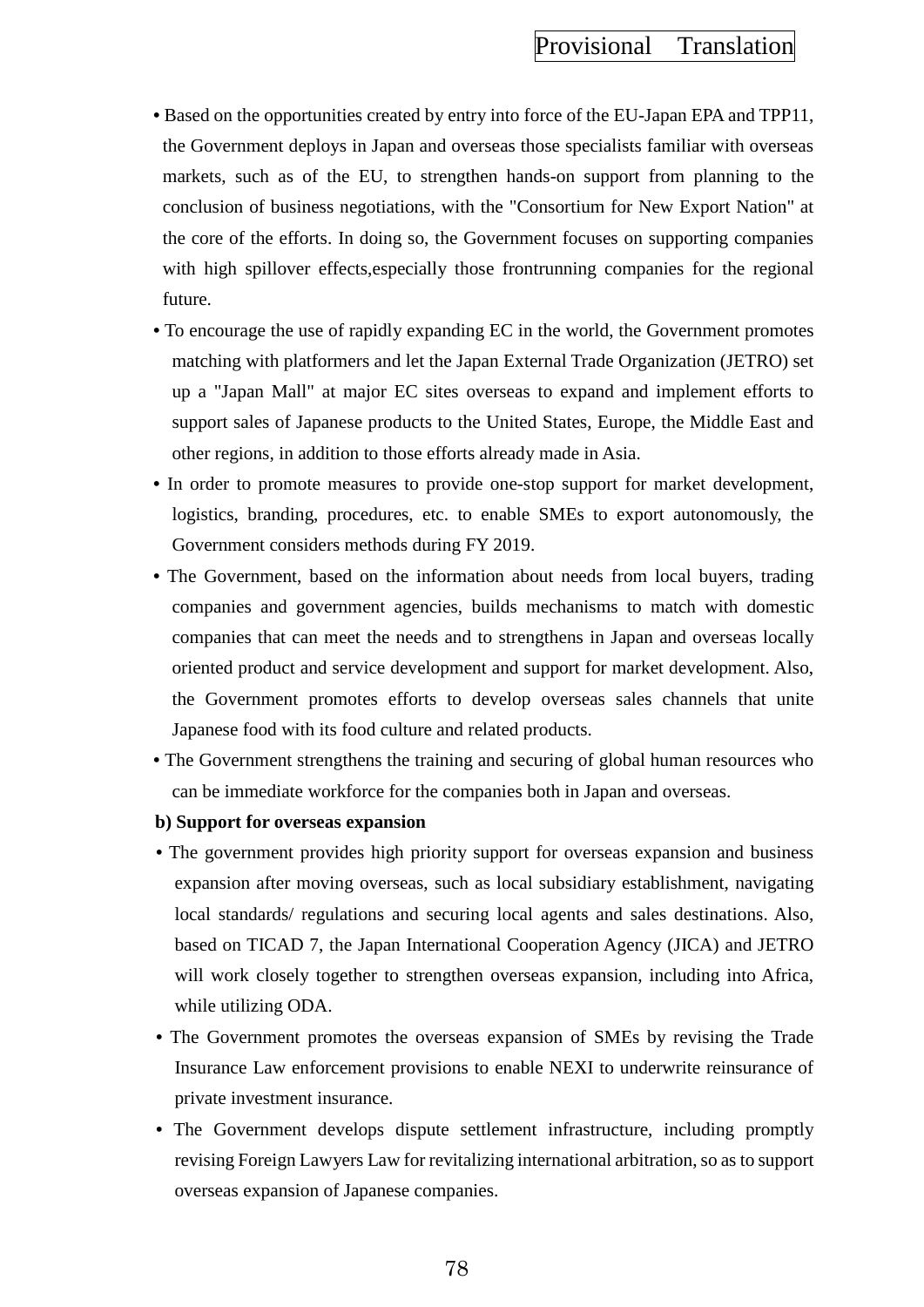- Based on the opportunities created by entry into force of the EU-Japan EPA and TPP11, the Government deploys in Japan and overseas those specialists familiar with overseas markets, such as of the EU, to strengthen hands-on support from planning to the conclusion of business negotiations, with the "Consortium for New Export Nation" at the core of the efforts. In doing so, the Government focuses on supporting companies with high spillover effects, especially those frontrunning companies for the regional future.
- To encourage the use of rapidly expanding EC in the world, the Government promotes matching with platformers and let the Japan External Trade Organization (JETRO) set up a "Japan Mall" at major EC sites overseas to expand and implement efforts to support sales of Japanese products to the United States, Europe, the Middle East and other regions, in addition to those efforts already made in Asia.
- In order to promote measures to provide one-stop support for market development, logistics, branding, procedures, etc. to enable SMEs to export autonomously, the Government considers methods during FY 2019.
- The Government, based on the information about needs from local buyers, trading companies and government agencies, builds mechanisms to match with domestic companies that can meet the needs and to strengthens in Japan and overseas locally oriented product and service development and support for market development. Also, the Government promotes efforts to develop overseas sales channels that unite Japanese food with its food culture and related products.
- The Government strengthens the training and securing of global human resources who can be immediate workforce for the companies both in Japan and overseas.
- **b) Support for overseas expansion**
- The government provides high priority support for overseas expansion and business expansion after moving overseas, such as local subsidiary establishment, navigating local standards/ regulations and securing local agents and sales destinations. Also, based on TICAD 7, the Japan International Cooperation Agency (JICA) and JETRO will work closely together to strengthen overseas expansion, including into Africa, while utilizing ODA.
- The Government promotes the overseas expansion of SMEs by revising the Trade Insurance Law enforcement provisions to enable NEXI to underwrite reinsurance of private investment insurance.
- The Government develops dispute settlement infrastructure, including promptly revising Foreign Lawyers Law for revitalizing international arbitration, so as to support overseas expansion of Japanese companies.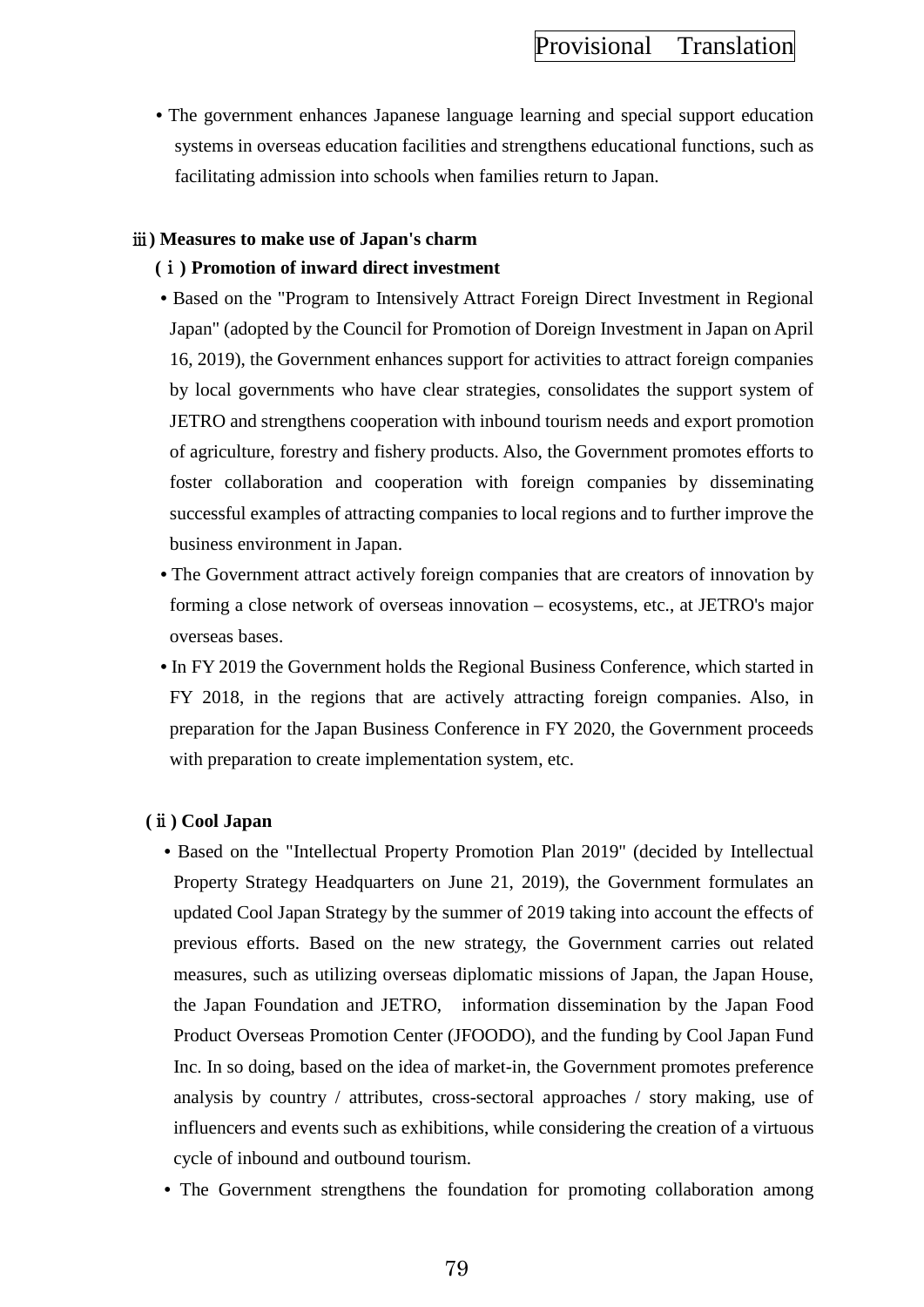**•** The government enhances Japanese language learning and special support education systems in overseas education facilities and strengthens educational functions, such as facilitating admission into schools when families return to Japan.

### ⅲ**) Measures to make use of Japan's charm**

### **(**ⅰ**) Promotion of inward direct investment**

- **•** Based on the "Program to Intensively Attract Foreign Direct Investment in Regional Japan" (adopted by the Council for Promotion of Doreign Investment in Japan on April 16, 2019), the Government enhances support for activities to attract foreign companies by local governments who have clear strategies, consolidates the support system of JETRO and strengthens cooperation with inbound tourism needs and export promotion of agriculture, forestry and fishery products. Also, the Government promotes efforts to foster collaboration and cooperation with foreign companies by disseminating successful examples of attracting companies to local regions and to further improve the business environment in Japan.
- The Government attract actively foreign companies that are creators of innovation by forming a close network of overseas innovation – ecosystems, etc., at JETRO's major overseas bases.
- In FY 2019 the Government holds the Regional Business Conference, which started in FY 2018, in the regions that are actively attracting foreign companies. Also, in preparation for the Japan Business Conference in FY 2020, the Government proceeds with preparation to create implementation system, etc.

## **(**ⅱ**) Cool Japan**

- **•** Based on the "Intellectual Property Promotion Plan 2019" (decided by Intellectual Property Strategy Headquarters on June 21, 2019), the Government formulates an updated Cool Japan Strategy by the summer of 2019 taking into account the effects of previous efforts. Based on the new strategy, the Government carries out related measures, such as utilizing overseas diplomatic missions of Japan, the Japan House, the Japan Foundation and JETRO, information dissemination by the Japan Food Product Overseas Promotion Center (JFOODO), and the funding by Cool Japan Fund Inc. In so doing, based on the idea of market-in, the Government promotes preference analysis by country / attributes, cross-sectoral approaches / story making, use of influencers and events such as exhibitions, while considering the creation of a virtuous cycle of inbound and outbound tourism.
- The Government strengthens the foundation for promoting collaboration among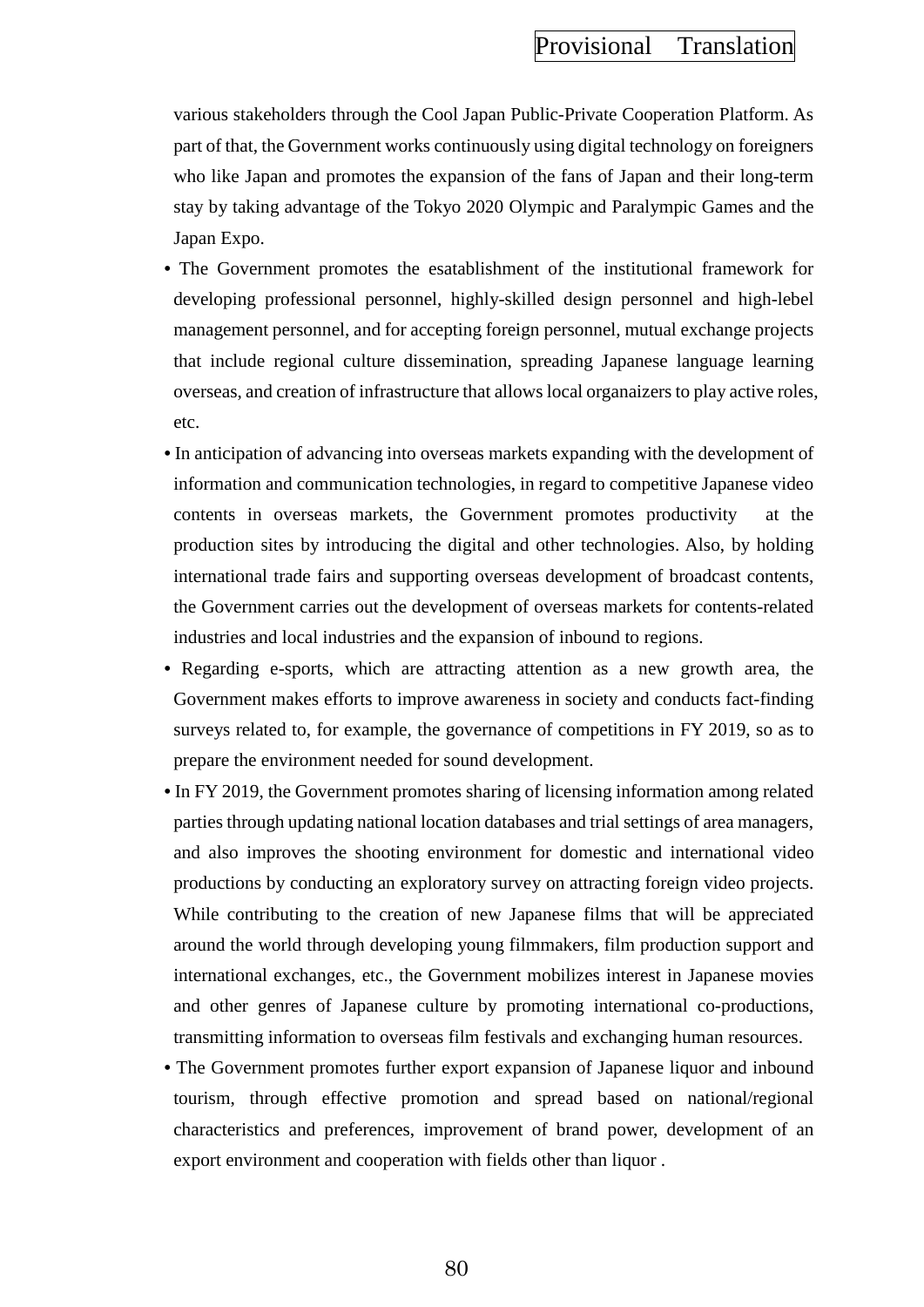various stakeholders through the Cool Japan Public-Private Cooperation Platform. As part of that, the Government works continuously using digital technology on foreigners who like Japan and promotes the expansion of the fans of Japan and their long-term stay by taking advantage of the Tokyo 2020 Olympic and Paralympic Games and the Japan Expo.

- The Government promotes the esatablishment of the institutional framework for developing professional personnel, highly-skilled design personnel and high-lebel management personnel, and for accepting foreign personnel, mutual exchange projects that include regional culture dissemination, spreading Japanese language learning overseas, and creation of infrastructure that allows local organaizers to play active roles, etc.
- **•** In anticipation of advancing into overseas markets expanding with the development of information and communication technologies, in regard to competitive Japanese video contents in overseas markets, the Government promotes productivity at the production sites by introducing the digital and other technologies. Also, by holding international trade fairs and supporting overseas development of broadcast contents, the Government carries out the development of overseas markets for contents-related industries and local industries and the expansion of inbound to regions.
- Regarding e-sports, which are attracting attention as a new growth area, the Government makes efforts to improve awareness in society and conducts fact-finding surveys related to, for example, the governance of competitions in FY 2019, so as to prepare the environment needed for sound development.
- **•** In FY 2019, the Government promotes sharing of licensing information among related parties through updating national location databases and trial settings of area managers, and also improves the shooting environment for domestic and international video productions by conducting an exploratory survey on attracting foreign video projects. While contributing to the creation of new Japanese films that will be appreciated around the world through developing young filmmakers, film production support and international exchanges, etc., the Government mobilizes interest in Japanese movies and other genres of Japanese culture by promoting international co-productions, transmitting information to overseas film festivals and exchanging human resources.
- The Government promotes further export expansion of Japanese liquor and inbound tourism, through effective promotion and spread based on national/regional characteristics and preferences, improvement of brand power, development of an export environment and cooperation with fields other than liquor .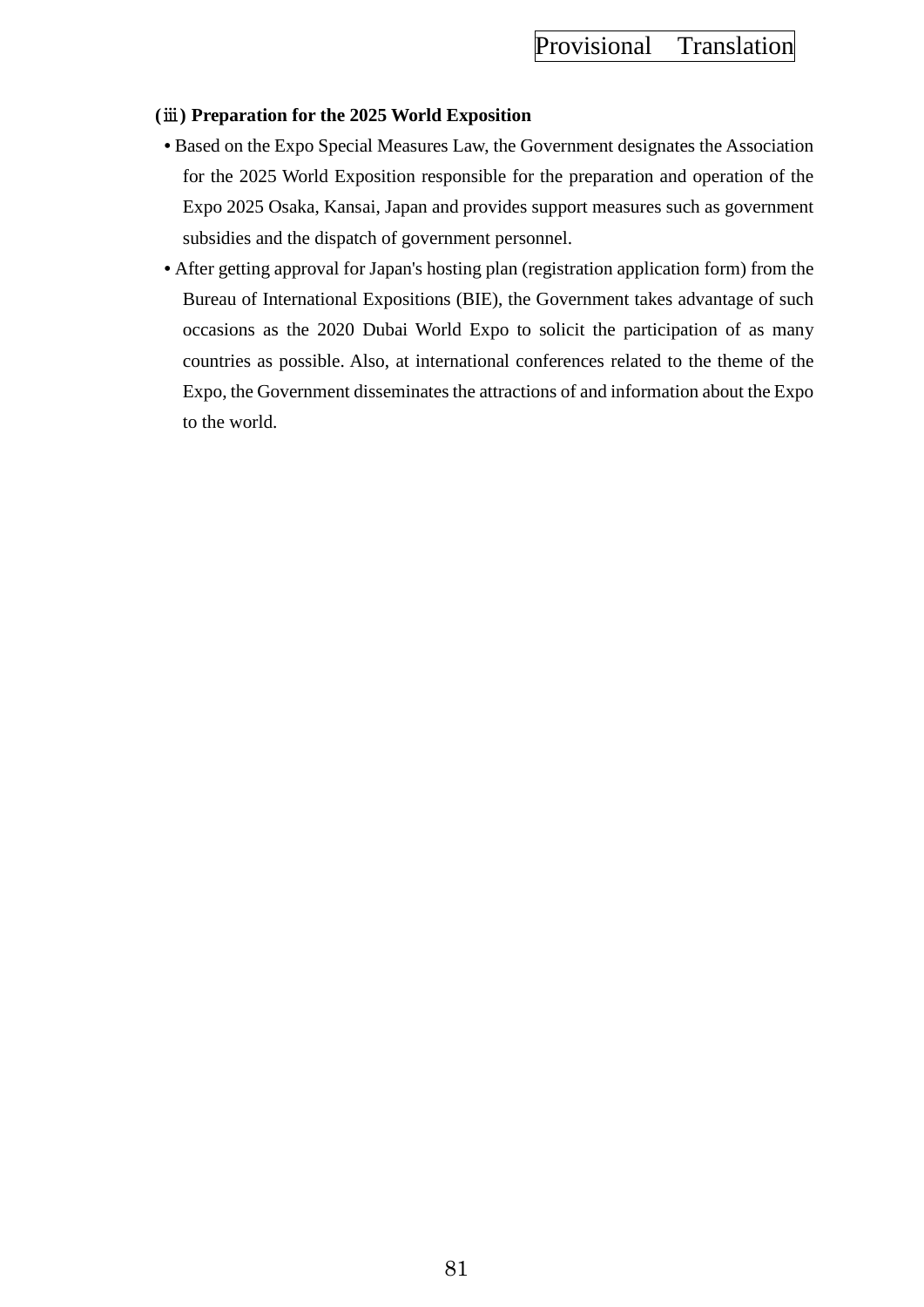## **(**ⅲ**) Preparation for the 2025 World Exposition**

- Based on the Expo Special Measures Law, the Government designates the Association for the 2025 World Exposition responsible for the preparation and operation of the Expo 2025 Osaka, Kansai, Japan and provides support measures such as government subsidies and the dispatch of government personnel.
- After getting approval for Japan's hosting plan (registration application form) from the Bureau of International Expositions (BIE), the Government takes advantage of such occasions as the 2020 Dubai World Expo to solicit the participation of as many countries as possible. Also, at international conferences related to the theme of the Expo, the Government disseminates the attractions of and information about the Expo to the world.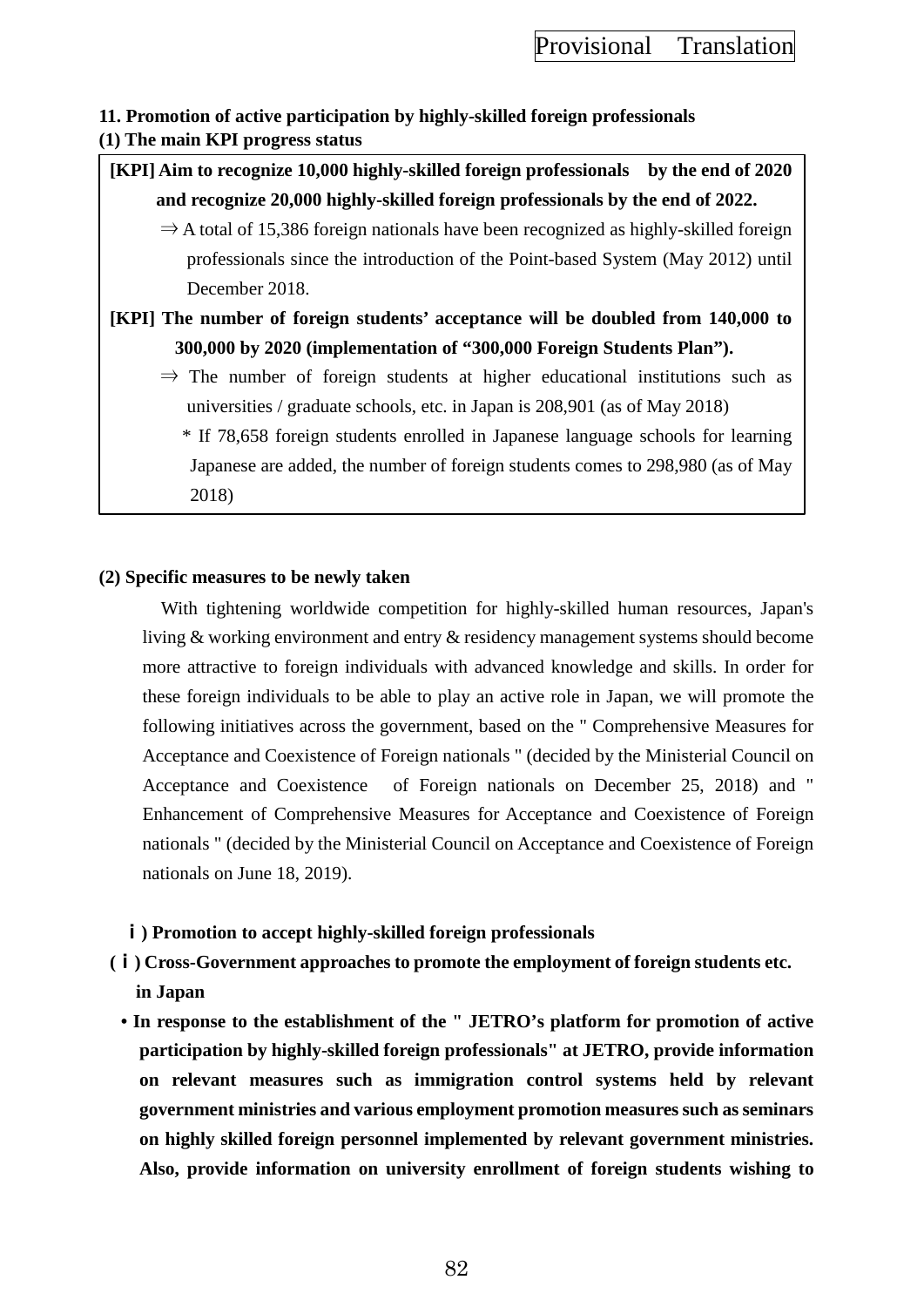## **11. Promotion of active participation by highly-skilled foreign professionals (1) The main KPI progress status**

**[KPI] Aim to recognize 10,000 highly-skilled foreign professionals by the end of 2020 and recognize 20,000 highly-skilled foreign professionals by the end of 2022.**

 $\Rightarrow$  A total of 15,386 foreign nationals have been recognized as highly-skilled foreign professionals since the introduction of the Point-based System (May 2012) until December 2018.

**[KPI] The number of foreign students' acceptance will be doubled from 140,000 to 300,000 by 2020 (implementation of "300,000 Foreign Students Plan").**

 $\Rightarrow$  The number of foreign students at higher educational institutions such as universities / graduate schools, etc. in Japan is 208,901 (as of May 2018)

\* If 78,658 foreign students enrolled in Japanese language schools for learning Japanese are added, the number of foreign students comes to 298,980 (as of May 2018)

## **(2) Specific measures to be newly taken**

With tightening worldwide competition for highly-skilled human resources, Japan's living & working environment and entry & residency management systems should become more attractive to foreign individuals with advanced knowledge and skills. In order for these foreign individuals to be able to play an active role in Japan, we will promote the following initiatives across the government, based on the " Comprehensive Measures for Acceptance and Coexistence of Foreign nationals " (decided by the Ministerial Council on Acceptance and Coexistence of Foreign nationals on December 25, 2018) and " Enhancement of Comprehensive Measures for Acceptance and Coexistence of Foreign nationals " (decided by the Ministerial Council on Acceptance and Coexistence of Foreign nationals on June 18, 2019).

## **ⅰ) Promotion to accept highly-skilled foreign professionals**

- **(ⅰ) Cross-Government approaches to promote the employment of foreign students etc. in Japan**
	- **In response to the establishment of the " JETRO's platform for promotion of active participation by highly-skilled foreign professionals" at JETRO, provide information on relevant measures such as immigration control systems held by relevant government ministries and various employment promotion measures such as seminars on highly skilled foreign personnel implemented by relevant government ministries. Also, provide information on university enrollment of foreign students wishing to**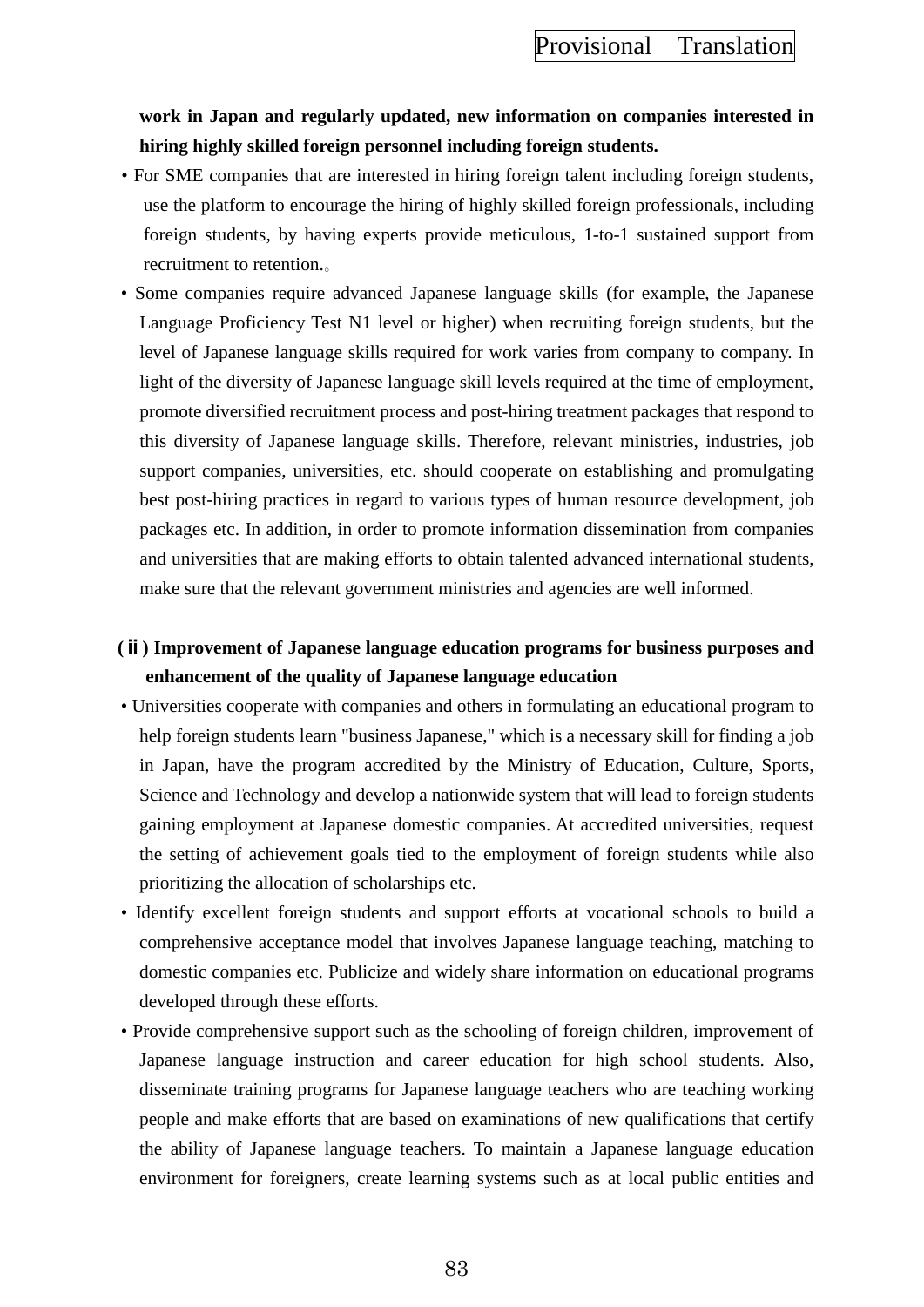## **work in Japan and regularly updated, new information on companies interested in hiring highly skilled foreign personnel including foreign students.**

- For SME companies that are interested in hiring foreign talent including foreign students, use the platform to encourage the hiring of highly skilled foreign professionals, including foreign students, by having experts provide meticulous, 1-to-1 sustained support from recruitment to retention.。
- Some companies require advanced Japanese language skills (for example, the Japanese Language Proficiency Test N1 level or higher) when recruiting foreign students, but the level of Japanese language skills required for work varies from company to company. In light of the diversity of Japanese language skill levels required at the time of employment, promote diversified recruitment process and post-hiring treatment packages that respond to this diversity of Japanese language skills. Therefore, relevant ministries, industries, job support companies, universities, etc. should cooperate on establishing and promulgating best post-hiring practices in regard to various types of human resource development, job packages etc. In addition, in order to promote information dissemination from companies and universities that are making efforts to obtain talented advanced international students, make sure that the relevant government ministries and agencies are well informed.

## **(ⅱ) Improvement of Japanese language education programs for business purposes and enhancement of the quality of Japanese language education**

- Universities cooperate with companies and others in formulating an educational program to help foreign students learn "business Japanese," which is a necessary skill for finding a job in Japan, have the program accredited by the Ministry of Education, Culture, Sports, Science and Technology and develop a nationwide system that will lead to foreign students gaining employment at Japanese domestic companies. At accredited universities, request the setting of achievement goals tied to the employment of foreign students while also prioritizing the allocation of scholarships etc.
- Identify excellent foreign students and support efforts at vocational schools to build a comprehensive acceptance model that involves Japanese language teaching, matching to domestic companies etc. Publicize and widely share information on educational programs developed through these efforts.
- Provide comprehensive support such as the schooling of foreign children, improvement of Japanese language instruction and career education for high school students. Also, disseminate training programs for Japanese language teachers who are teaching working people and make efforts that are based on examinations of new qualifications that certify the ability of Japanese language teachers. To maintain a Japanese language education environment for foreigners, create learning systems such as at local public entities and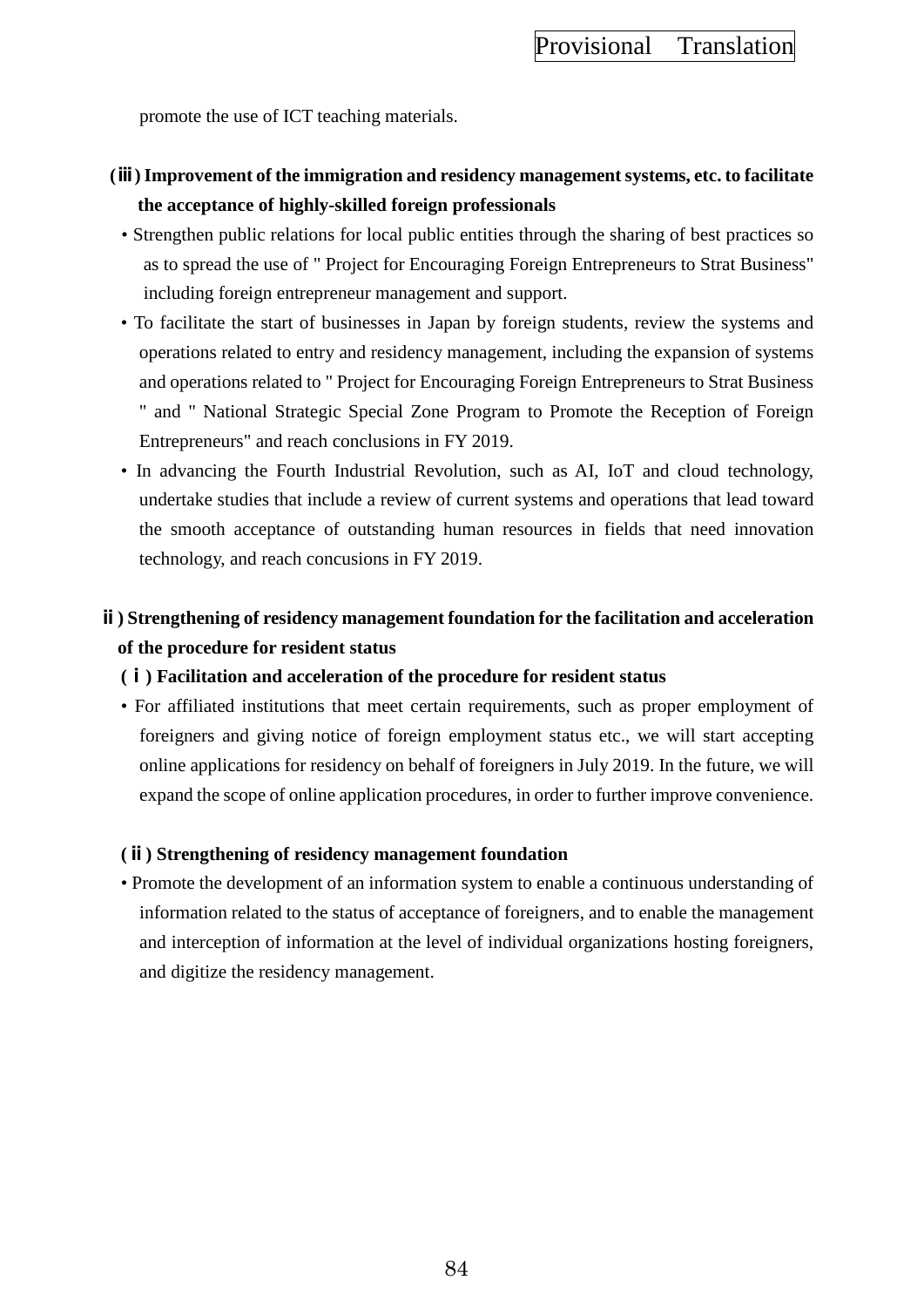promote the use of ICT teaching materials.

## **(ⅲ) Improvement of the immigration and residency management systems, etc. to facilitate the acceptance of highly-skilled foreign professionals**

- Strengthen public relations for local public entities through the sharing of best practices so as to spread the use of " Project for Encouraging Foreign Entrepreneurs to Strat Business" including foreign entrepreneur management and support.
- To facilitate the start of businesses in Japan by foreign students, review the systems and operations related to entry and residency management, including the expansion of systems and operations related to " Project for Encouraging Foreign Entrepreneurs to Strat Business " and " National Strategic Special Zone Program to Promote the Reception of Foreign Entrepreneurs" and reach conclusions in FY 2019.
- In advancing the Fourth Industrial Revolution, such as AI, IoT and cloud technology, undertake studies that include a review of current systems and operations that lead toward the smooth acceptance of outstanding human resources in fields that need innovation technology, and reach concusions in FY 2019.

# **ⅱ) Strengthening of residency management foundation for the facilitation and acceleration of the procedure for resident status**

## **(ⅰ) Facilitation and acceleration of the procedure for resident status**

• For affiliated institutions that meet certain requirements, such as proper employment of foreigners and giving notice of foreign employment status etc., we will start accepting online applications for residency on behalf of foreigners in July 2019. In the future, we will expand the scope of online application procedures, in order to further improve convenience.

## **(ⅱ) Strengthening of residency management foundation**

• Promote the development of an information system to enable a continuous understanding of information related to the status of acceptance of foreigners, and to enable the management and interception of information at the level of individual organizations hosting foreigners, and digitize the residency management.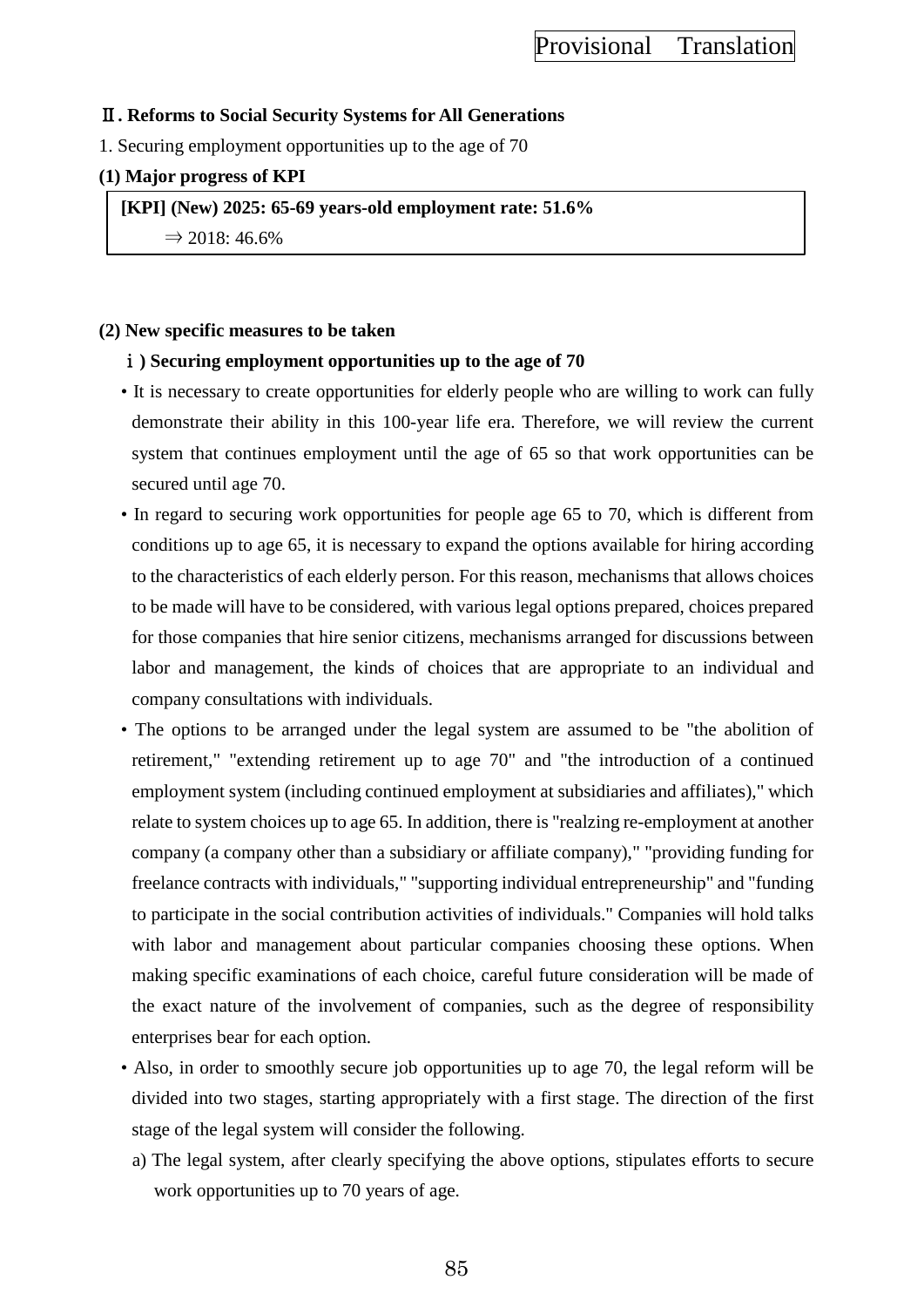## Ⅱ**. Reforms to Social Security Systems for All Generations**

1. Securing employment opportunities up to the age of 70

## **(1) Major progress of KPI**

**[KPI] (New) 2025: 65-69 years-old employment rate: 51.6%**

 $\Rightarrow$  2018: 46.6%

## **(2) New specific measures to be taken**

## ⅰ**) Securing employment opportunities up to the age of 70**

- It is necessary to create opportunities for elderly people who are willing to work can fully demonstrate their ability in this 100-year life era. Therefore, we will review the current system that continues employment until the age of 65 so that work opportunities can be secured until age 70.
- In regard to securing work opportunities for people age 65 to 70, which is different from conditions up to age 65, it is necessary to expand the options available for hiring according to the characteristics of each elderly person. For this reason, mechanisms that allows choices to be made will have to be considered, with various legal options prepared, choices prepared for those companies that hire senior citizens, mechanisms arranged for discussions between labor and management, the kinds of choices that are appropriate to an individual and company consultations with individuals.
- The options to be arranged under the legal system are assumed to be "the abolition of retirement," "extending retirement up to age 70" and "the introduction of a continued employment system (including continued employment at subsidiaries and affiliates)," which relate to system choices up to age 65. In addition, there is "realzing re-employment at another company (a company other than a subsidiary or affiliate company)," "providing funding for freelance contracts with individuals," "supporting individual entrepreneurship" and "funding to participate in the social contribution activities of individuals." Companies will hold talks with labor and management about particular companies choosing these options. When making specific examinations of each choice, careful future consideration will be made of the exact nature of the involvement of companies, such as the degree of responsibility enterprises bear for each option.
- Also, in order to smoothly secure job opportunities up to age 70, the legal reform will be divided into two stages, starting appropriately with a first stage. The direction of the first stage of the legal system will consider the following.
- a) The legal system, after clearly specifying the above options, stipulates efforts to secure work opportunities up to 70 years of age.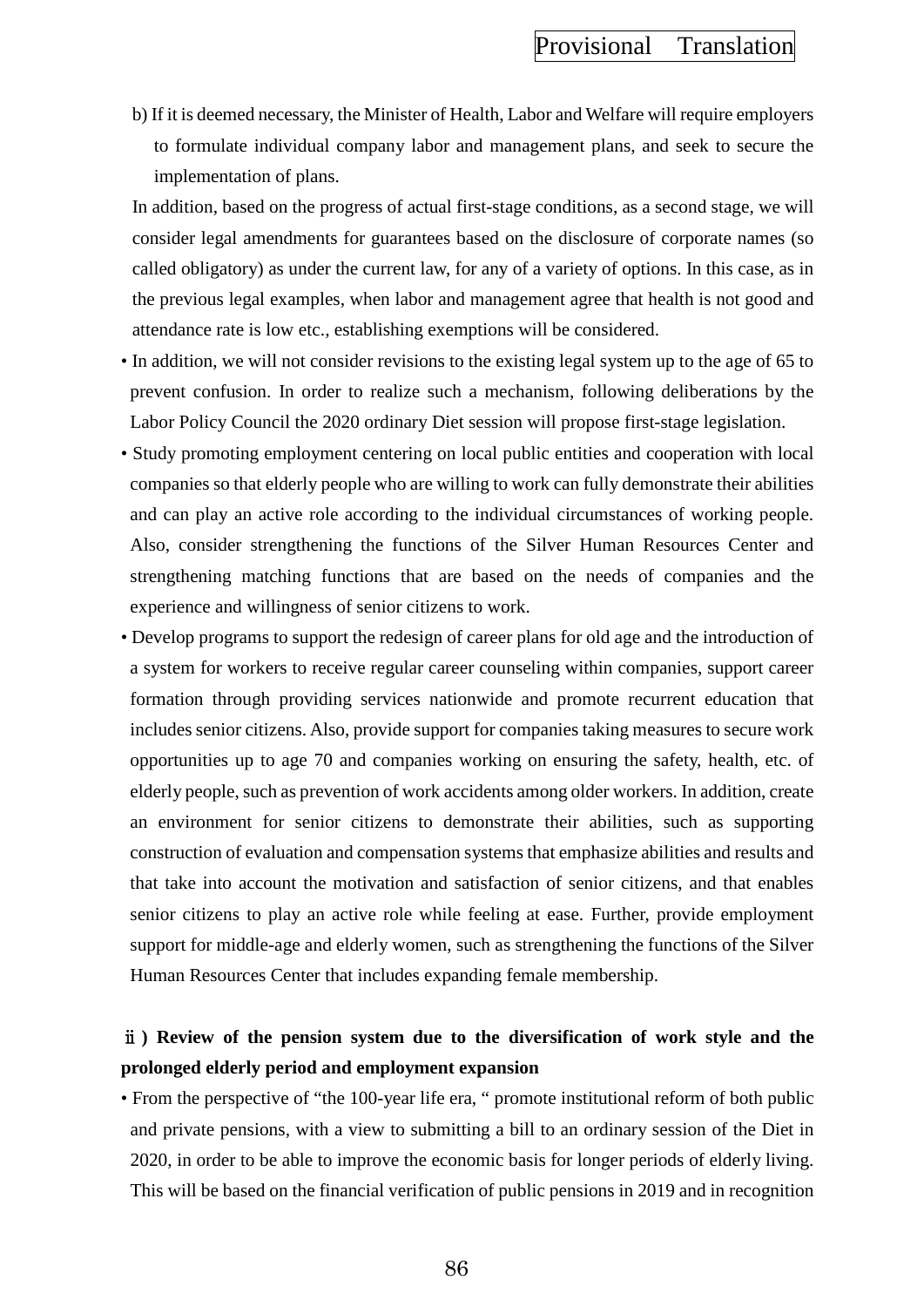b) If it is deemed necessary, the Minister of Health, Labor and Welfare will require employers to formulate individual company labor and management plans, and seek to secure the implementation of plans.

In addition, based on the progress of actual first-stage conditions, as a second stage, we will consider legal amendments for guarantees based on the disclosure of corporate names (so called obligatory) as under the current law, for any of a variety of options. In this case, as in the previous legal examples, when labor and management agree that health is not good and attendance rate is low etc., establishing exemptions will be considered.

- In addition, we will not consider revisions to the existing legal system up to the age of 65 to prevent confusion. In order to realize such a mechanism, following deliberations by the Labor Policy Council the 2020 ordinary Diet session will propose first-stage legislation.
- Study promoting employment centering on local public entities and cooperation with local companies so that elderly people who are willing to work can fully demonstrate their abilities and can play an active role according to the individual circumstances of working people. Also, consider strengthening the functions of the Silver Human Resources Center and strengthening matching functions that are based on the needs of companies and the experience and willingness of senior citizens to work.
- Develop programs to support the redesign of career plans for old age and the introduction of a system for workers to receive regular career counseling within companies, support career formation through providing services nationwide and promote recurrent education that includes senior citizens. Also, provide support for companies taking measures to secure work opportunities up to age 70 and companies working on ensuring the safety, health, etc. of elderly people, such as prevention of work accidents among older workers. In addition, create an environment for senior citizens to demonstrate their abilities, such as supporting construction of evaluation and compensation systems that emphasize abilities and results and that take into account the motivation and satisfaction of senior citizens, and that enables senior citizens to play an active role while feeling at ease. Further, provide employment support for middle-age and elderly women, such as strengthening the functions of the Silver Human Resources Center that includes expanding female membership.

## ⅱ**) Review of the pension system due to the diversification of work style and the prolonged elderly period and employment expansion**

• From the perspective of "the 100-year life era, " promote institutional reform of both public and private pensions, with a view to submitting a bill to an ordinary session of the Diet in 2020, in order to be able to improve the economic basis for longer periods of elderly living. This will be based on the financial verification of public pensions in 2019 and in recognition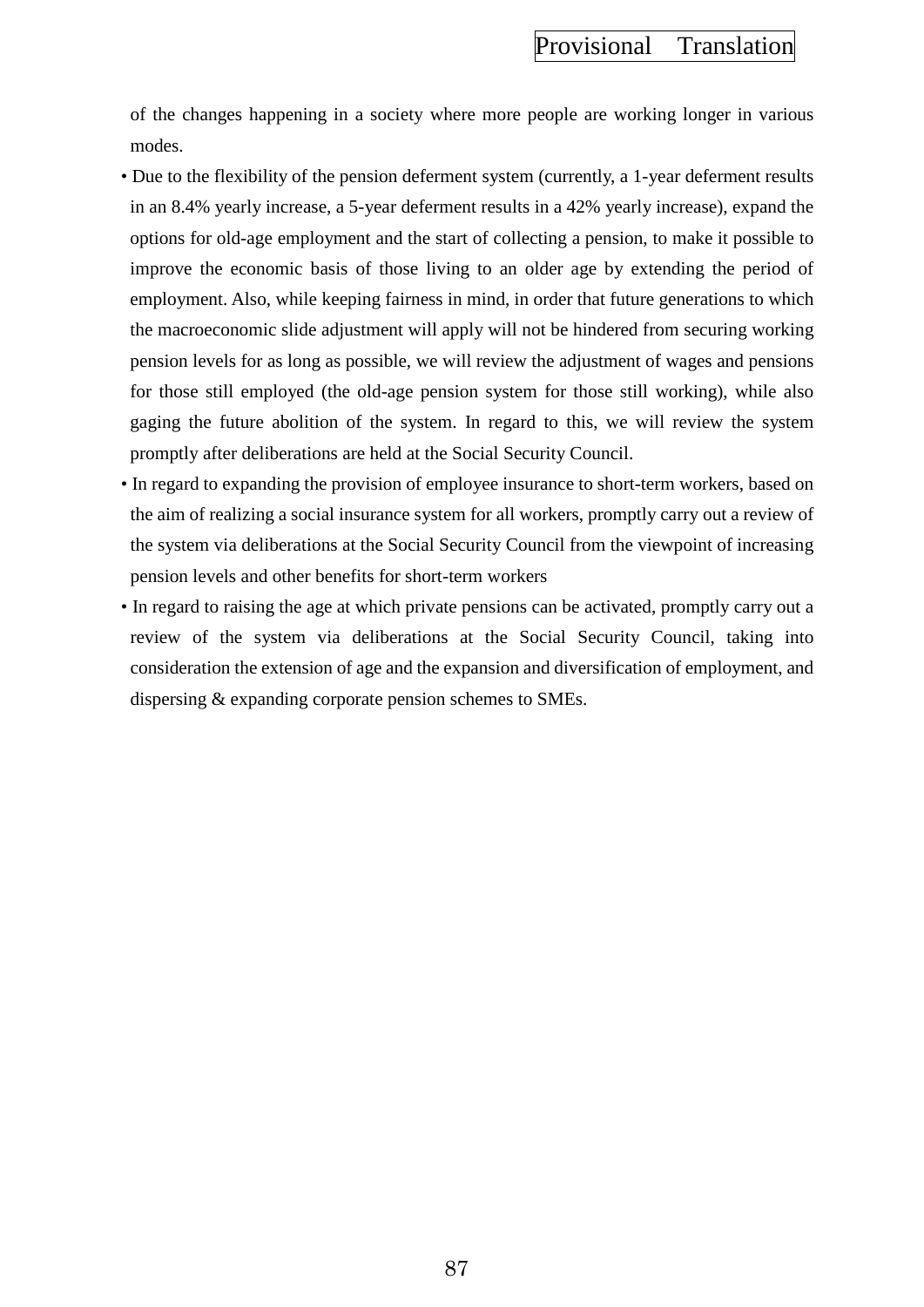of the changes happening in a society where more people are working longer in various modes.

- Due to the flexibility of the pension deferment system (currently, a 1-year deferment results in an 8.4% yearly increase, a 5-year deferment results in a 42% yearly increase), expand the options for old-age employment and the start of collecting a pension, to make it possible to improve the economic basis of those living to an older age by extending the period of employment. Also, while keeping fairness in mind, in order that future generations to which the macroeconomic slide adjustment will apply will not be hindered from securing working pension levels for as long as possible, we will review the adjustment of wages and pensions for those still employed (the old-age pension system for those still working), while also gaging the future abolition of the system. In regard to this, we will review the system promptly after deliberations are held at the Social Security Council.
- In regard to expanding the provision of employee insurance to short-term workers, based on the aim of realizing a social insurance system for all workers, promptly carry out a review of the system via deliberations at the Social Security Council from the viewpoint of increasing pension levels and other benefits for short-term workers
- In regard to raising the age at which private pensions can be activated, promptly carry out a review of the system via deliberations at the Social Security Council, taking into consideration the extension of age and the expansion and diversification of employment, and dispersing & expanding corporate pension schemes to SMEs.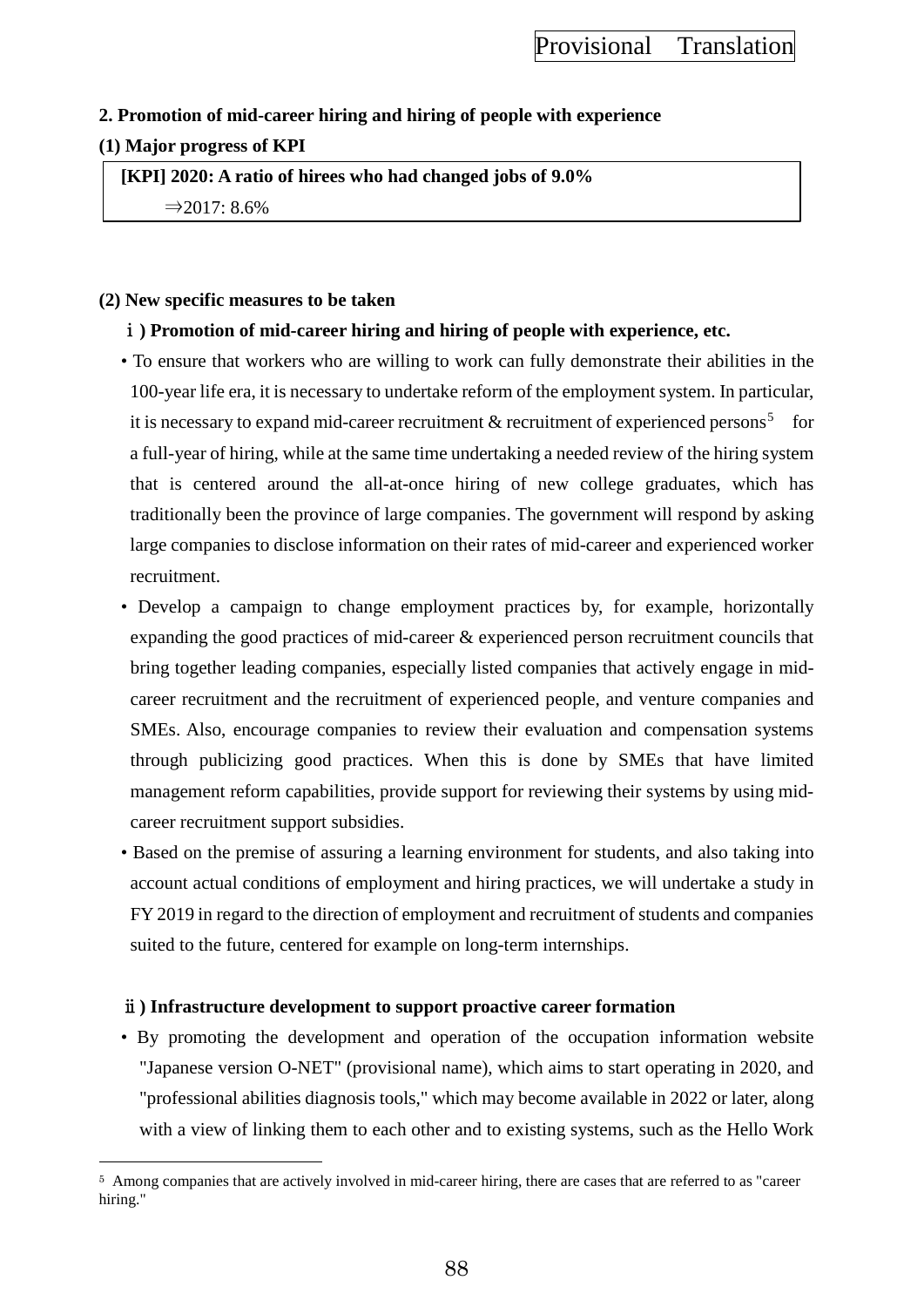## **2. Promotion of mid-career hiring and hiring of people with experience**

## **(1) Major progress of KPI**

 $\overline{a}$ 

**[KPI] 2020: A ratio of hirees who had changed jobs of 9.0%** ⇒2017: 8.6%

## **(2) New specific measures to be taken**

## ⅰ**) Promotion of mid-career hiring and hiring of people with experience, etc.**

- To ensure that workers who are willing to work can fully demonstrate their abilities in the 100-year life era, it is necessary to undertake reform of the employment system. In particular, it is necessary to expand mid-career recruitment  $\&$  recruitment of experienced persons<sup>[5](#page-97-0)</sup> for a full-year of hiring, while at the same time undertaking a needed review of the hiring system that is centered around the all-at-once hiring of new college graduates, which has traditionally been the province of large companies. The government will respond by asking large companies to disclose information on their rates of mid-career and experienced worker recruitment.
- Develop a campaign to change employment practices by, for example, horizontally expanding the good practices of mid-career & experienced person recruitment councils that bring together leading companies, especially listed companies that actively engage in midcareer recruitment and the recruitment of experienced people, and venture companies and SMEs. Also, encourage companies to review their evaluation and compensation systems through publicizing good practices. When this is done by SMEs that have limited management reform capabilities, provide support for reviewing their systems by using midcareer recruitment support subsidies.
- Based on the premise of assuring a learning environment for students, and also taking into account actual conditions of employment and hiring practices, we will undertake a study in FY 2019 in regard to the direction of employment and recruitment of students and companies suited to the future, centered for example on long-term internships.

## ⅱ**) Infrastructure development to support proactive career formation**

• By promoting the development and operation of the occupation information website "Japanese version O-NET" (provisional name), which aims to start operating in 2020, and "professional abilities diagnosis tools," which may become available in 2022 or later, along with a view of linking them to each other and to existing systems, such as the Hello Work

<span id="page-97-0"></span><sup>5</sup> Among companies that are actively involved in mid-career hiring, there are cases that are referred to as "career hiring."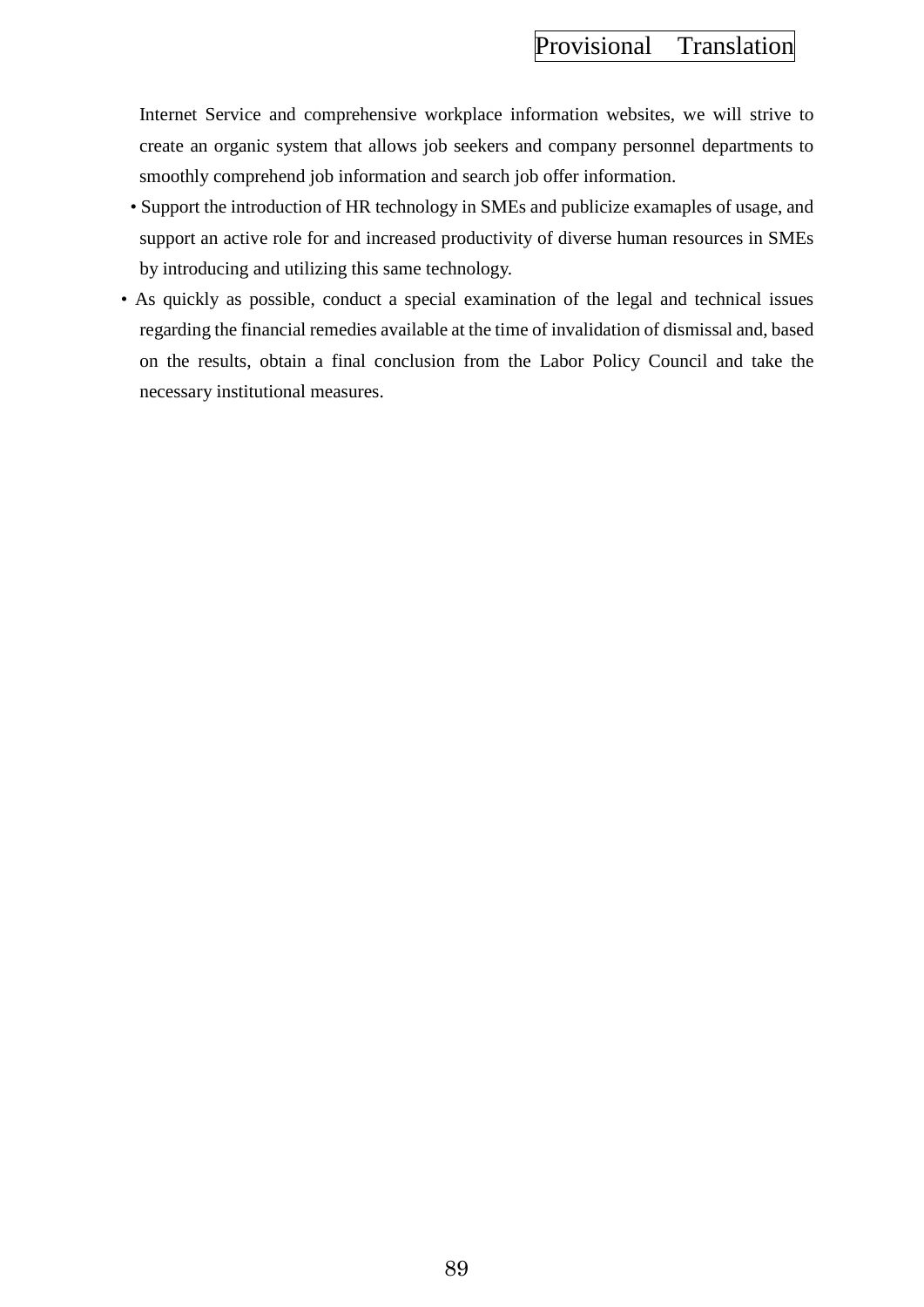Internet Service and comprehensive workplace information websites, we will strive to create an organic system that allows job seekers and company personnel departments to smoothly comprehend job information and search job offer information.

- Support the introduction of HR technology in SMEs and publicize examaples of usage, and support an active role for and increased productivity of diverse human resources in SMEs by introducing and utilizing this same technology.
- As quickly as possible, conduct a special examination of the legal and technical issues regarding the financial remedies available at the time of invalidation of dismissal and, based on the results, obtain a final conclusion from the Labor Policy Council and take the necessary institutional measures.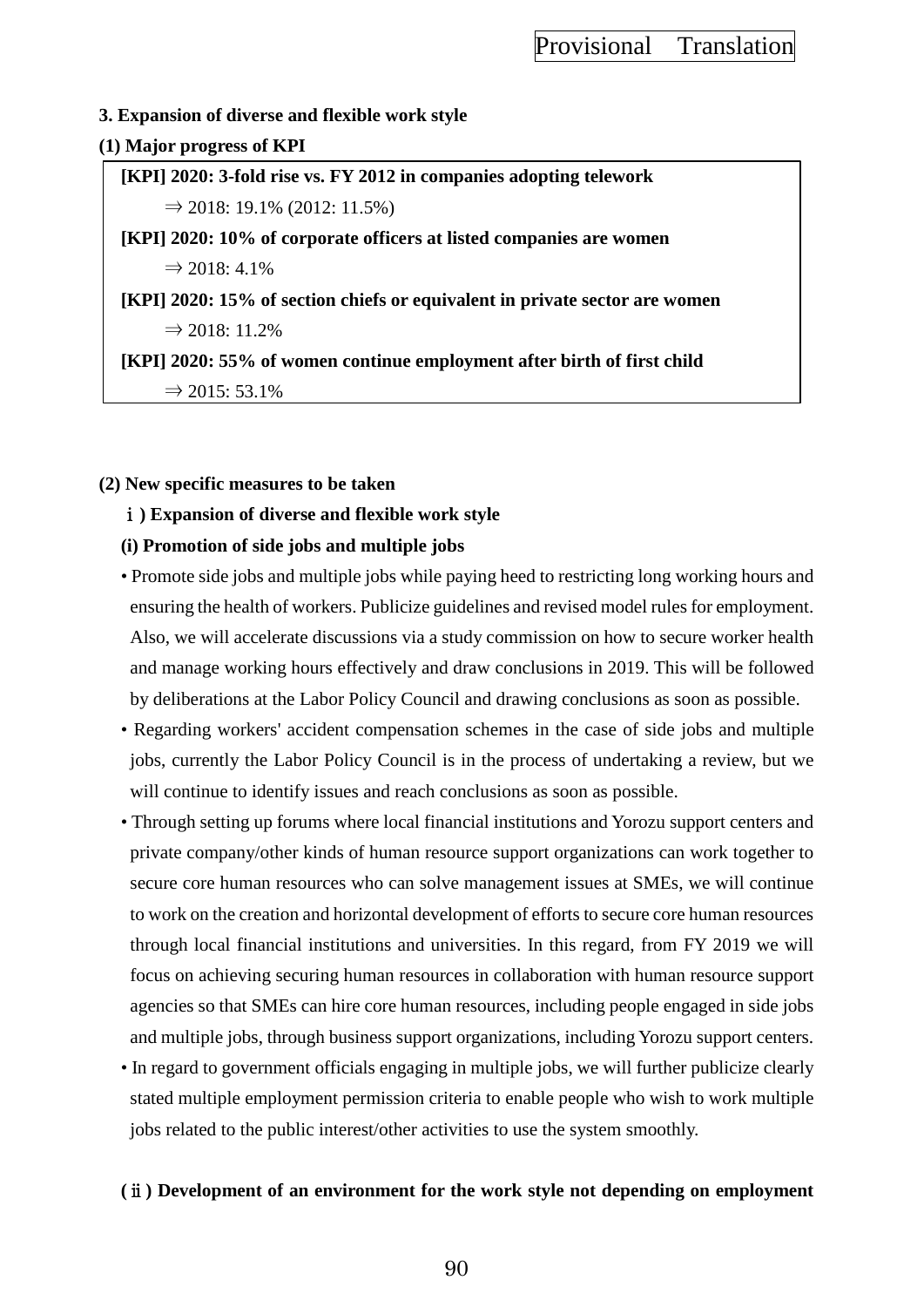## **3. Expansion of diverse and flexible work style**

## **(1) Major progress of KPI**

**[KPI] 2020: 3-fold rise vs. FY 2012 in companies adopting telework**  $\Rightarrow$  2018: 19.1% (2012: 11.5%) **[KPI] 2020: 10% of corporate officers at listed companies are women**  $\Rightarrow$  2018: 4.1% **[KPI] 2020: 15% of section chiefs or equivalent in private sector are women**  $\Rightarrow$  2018: 11.2% **[KPI] 2020: 55% of women continue employment after birth of first child**  $\Rightarrow$  2015: 53.1%

## **(2) New specific measures to be taken**

## ⅰ**) Expansion of diverse and flexible work style**

## **(i) Promotion of side jobs and multiple jobs**

- Promote side jobs and multiple jobs while paying heed to restricting long working hours and ensuring the health of workers. Publicize guidelines and revised model rules for employment. Also, we will accelerate discussions via a study commission on how to secure worker health and manage working hours effectively and draw conclusions in 2019. This will be followed by deliberations at the Labor Policy Council and drawing conclusions as soon as possible.
- Regarding workers' accident compensation schemes in the case of side jobs and multiple jobs, currently the Labor Policy Council is in the process of undertaking a review, but we will continue to identify issues and reach conclusions as soon as possible.
- Through setting up forums where local financial institutions and Yorozu support centers and private company/other kinds of human resource support organizations can work together to secure core human resources who can solve management issues at SMEs, we will continue to work on the creation and horizontal development of efforts to secure core human resources through local financial institutions and universities. In this regard, from FY 2019 we will focus on achieving securing human resources in collaboration with human resource support agencies so that SMEs can hire core human resources, including people engaged in side jobs and multiple jobs, through business support organizations, including Yorozu support centers.
- In regard to government officials engaging in multiple jobs, we will further publicize clearly stated multiple employment permission criteria to enable people who wish to work multiple jobs related to the public interest/other activities to use the system smoothly.

## **(**ⅱ**) Development of an environment for the work style not depending on employment**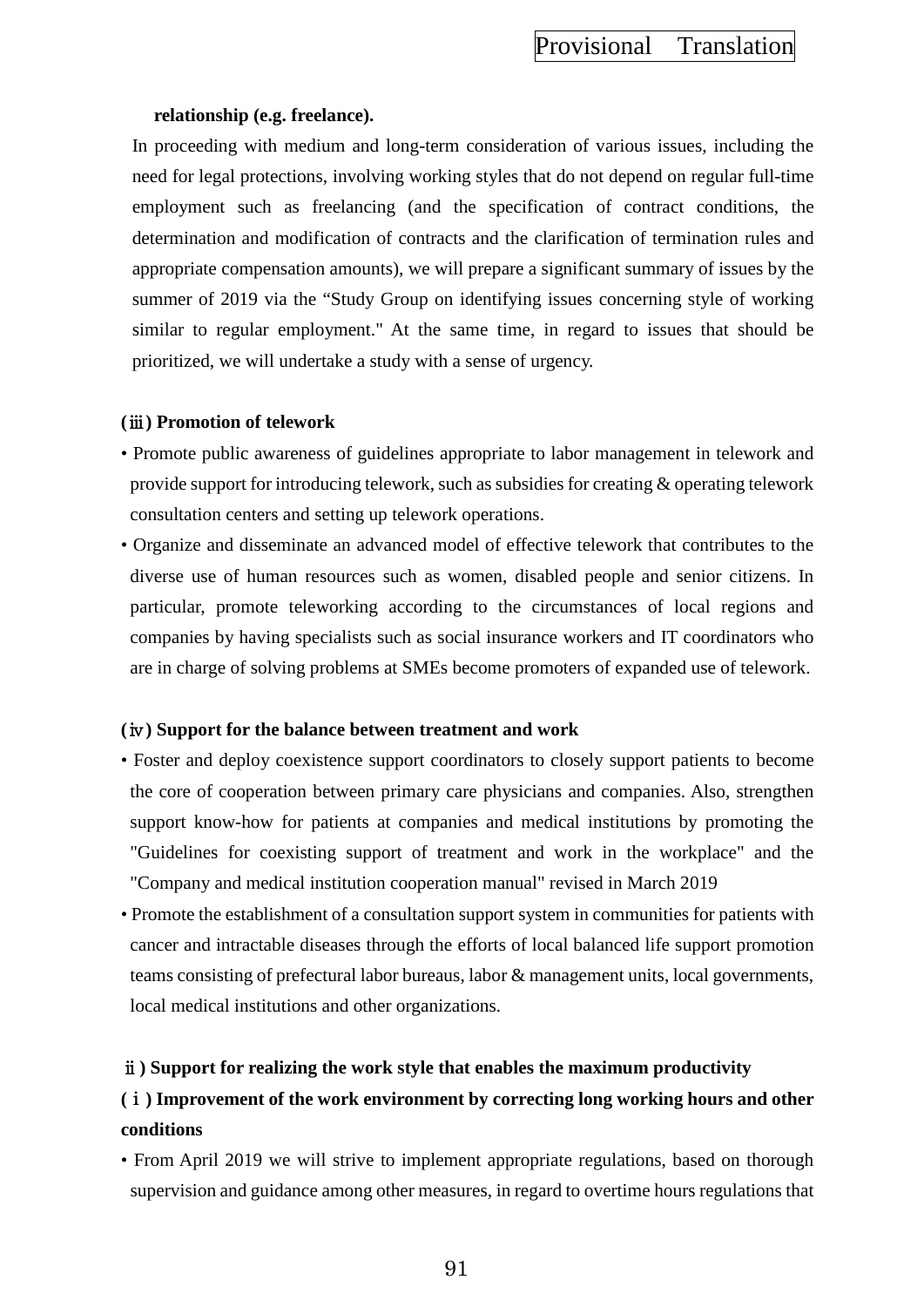#### **relationship (e.g. freelance).**

In proceeding with medium and long-term consideration of various issues, including the need for legal protections, involving working styles that do not depend on regular full-time employment such as freelancing (and the specification of contract conditions, the determination and modification of contracts and the clarification of termination rules and appropriate compensation amounts), we will prepare a significant summary of issues by the summer of 2019 via the "Study Group on identifying issues concerning style of working similar to regular employment." At the same time, in regard to issues that should be prioritized, we will undertake a study with a sense of urgency.

#### **(**ⅲ**) Promotion of telework**

- Promote public awareness of guidelines appropriate to labor management in telework and provide support for introducing telework, such as subsidies for creating & operating telework consultation centers and setting up telework operations.
- Organize and disseminate an advanced model of effective telework that contributes to the diverse use of human resources such as women, disabled people and senior citizens. In particular, promote teleworking according to the circumstances of local regions and companies by having specialists such as social insurance workers and IT coordinators who are in charge of solving problems at SMEs become promoters of expanded use of telework.

#### **(**ⅳ**) Support for the balance between treatment and work**

- Foster and deploy coexistence support coordinators to closely support patients to become the core of cooperation between primary care physicians and companies. Also, strengthen support know-how for patients at companies and medical institutions by promoting the "Guidelines for coexisting support of treatment and work in the workplace" and the "Company and medical institution cooperation manual" revised in March 2019
- Promote the establishment of a consultation support system in communities for patients with cancer and intractable diseases through the efforts of local balanced life support promotion teams consisting of prefectural labor bureaus, labor & management units, local governments, local medical institutions and other organizations.

## ⅱ**) Support for realizing the work style that enables the maximum productivity**

## **(**ⅰ**) Improvement of the work environment by correcting long working hours and other conditions**

• From April 2019 we will strive to implement appropriate regulations, based on thorough supervision and guidance among other measures, in regard to overtime hours regulations that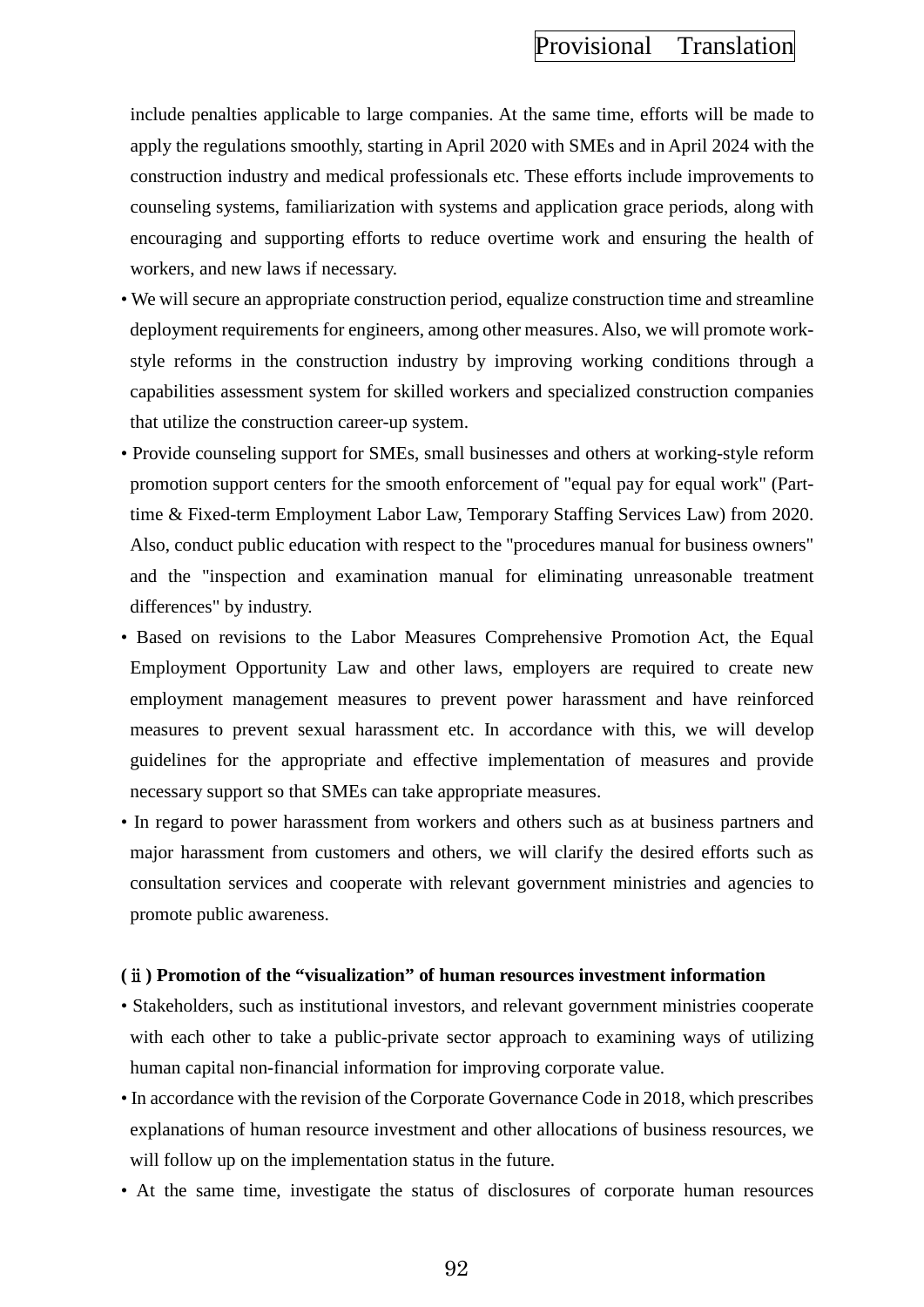include penalties applicable to large companies. At the same time, efforts will be made to apply the regulations smoothly, starting in April 2020 with SMEs and in April 2024 with the construction industry and medical professionals etc. These efforts include improvements to counseling systems, familiarization with systems and application grace periods, along with encouraging and supporting efforts to reduce overtime work and ensuring the health of workers, and new laws if necessary.

- We will secure an appropriate construction period, equalize construction time and streamline deployment requirements for engineers, among other measures. Also, we will promote workstyle reforms in the construction industry by improving working conditions through a capabilities assessment system for skilled workers and specialized construction companies that utilize the construction career-up system.
- Provide counseling support for SMEs, small businesses and others at working-style reform promotion support centers for the smooth enforcement of "equal pay for equal work" (Parttime & Fixed-term Employment Labor Law, Temporary Staffing Services Law) from 2020. Also, conduct public education with respect to the "procedures manual for business owners" and the "inspection and examination manual for eliminating unreasonable treatment differences" by industry.
- Based on revisions to the Labor Measures Comprehensive Promotion Act, the Equal Employment Opportunity Law and other laws, employers are required to create new employment management measures to prevent power harassment and have reinforced measures to prevent sexual harassment etc. In accordance with this, we will develop guidelines for the appropriate and effective implementation of measures and provide necessary support so that SMEs can take appropriate measures.
- In regard to power harassment from workers and others such as at business partners and major harassment from customers and others, we will clarify the desired efforts such as consultation services and cooperate with relevant government ministries and agencies to promote public awareness.

### **(**ⅱ**) Promotion of the "visualization" of human resources investment information**

- Stakeholders, such as institutional investors, and relevant government ministries cooperate with each other to take a public-private sector approach to examining ways of utilizing human capital non-financial information for improving corporate value.
- In accordance with the revision of the Corporate Governance Code in 2018, which prescribes explanations of human resource investment and other allocations of business resources, we will follow up on the implementation status in the future.
- At the same time, investigate the status of disclosures of corporate human resources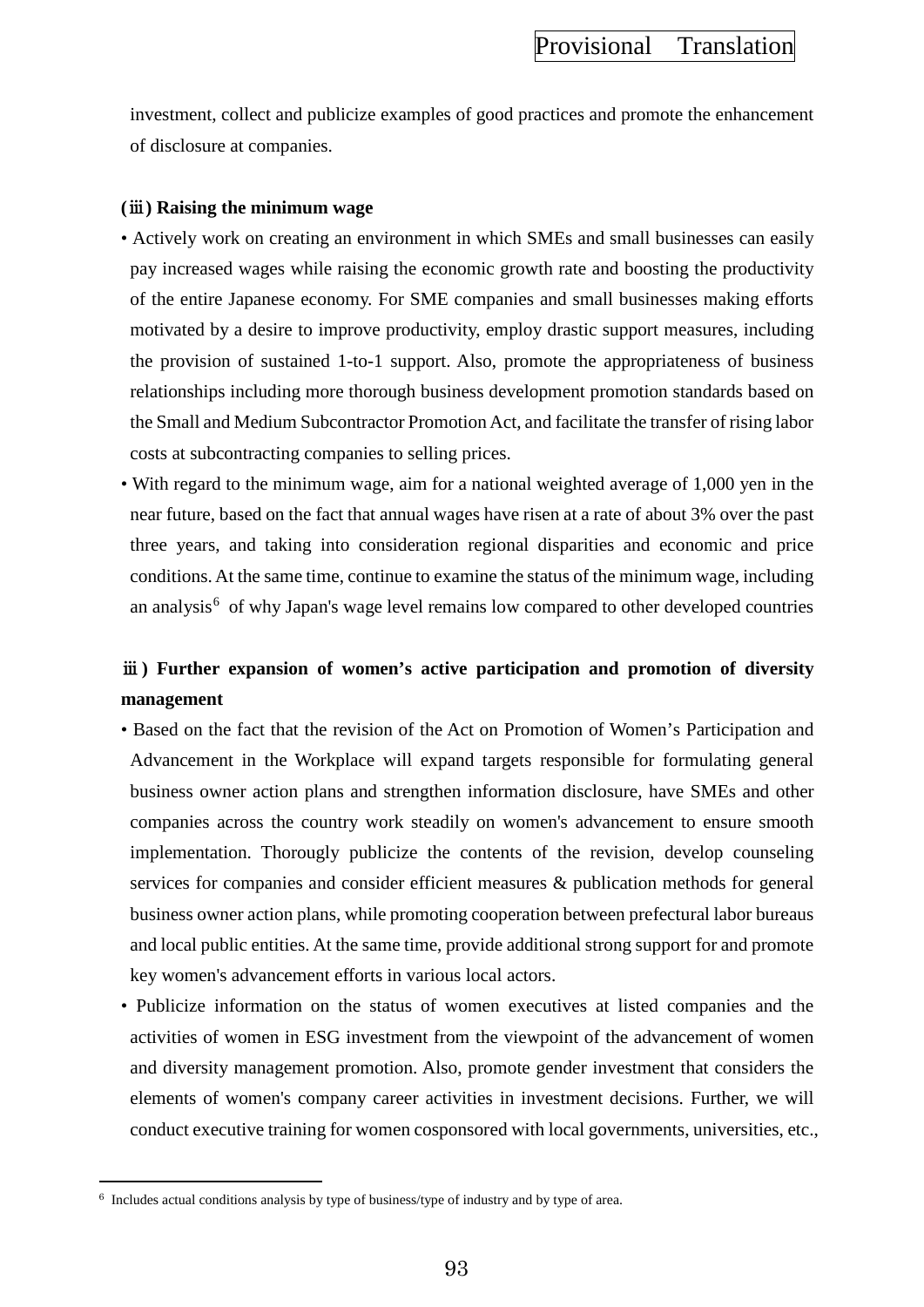investment, collect and publicize examples of good practices and promote the enhancement of disclosure at companies.

#### **(**ⅲ**) Raising the minimum wage**

- Actively work on creating an environment in which SMEs and small businesses can easily pay increased wages while raising the economic growth rate and boosting the productivity of the entire Japanese economy. For SME companies and small businesses making efforts motivated by a desire to improve productivity, employ drastic support measures, including the provision of sustained 1-to-1 support. Also, promote the appropriateness of business relationships including more thorough business development promotion standards based on the Small and Medium Subcontractor Promotion Act, and facilitate the transfer of rising labor costs at subcontracting companies to selling prices.
- With regard to the minimum wage, aim for a national weighted average of 1,000 yen in the near future, based on the fact that annual wages have risen at a rate of about 3% over the past three years, and taking into consideration regional disparities and economic and price conditions. At the same time, continue to examine the status of the minimum wage, including an analysis $<sup>6</sup>$  $<sup>6</sup>$  $<sup>6</sup>$  of why Japan's wage level remains low compared to other developed countries</sup>

## ⅲ**) Further expansion of women's active participation and promotion of diversity management**

- Based on the fact that the revision of the Act on Promotion of Women's Participation and Advancement in the Workplace will expand targets responsible for formulating general business owner action plans and strengthen information disclosure, have SMEs and other companies across the country work steadily on women's advancement to ensure smooth implementation. Thorougly publicize the contents of the revision, develop counseling services for companies and consider efficient measures & publication methods for general business owner action plans, while promoting cooperation between prefectural labor bureaus and local public entities. At the same time, provide additional strong support for and promote key women's advancement efforts in various local actors.
- Publicize information on the status of women executives at listed companies and the activities of women in ESG investment from the viewpoint of the advancement of women and diversity management promotion. Also, promote gender investment that considers the elements of women's company career activities in investment decisions. Further, we will conduct executive training for women cosponsored with local governments, universities, etc.,

 $\overline{a}$ 

<span id="page-102-0"></span><sup>6</sup> Includes actual conditions analysis by type of business/type of industry and by type of area.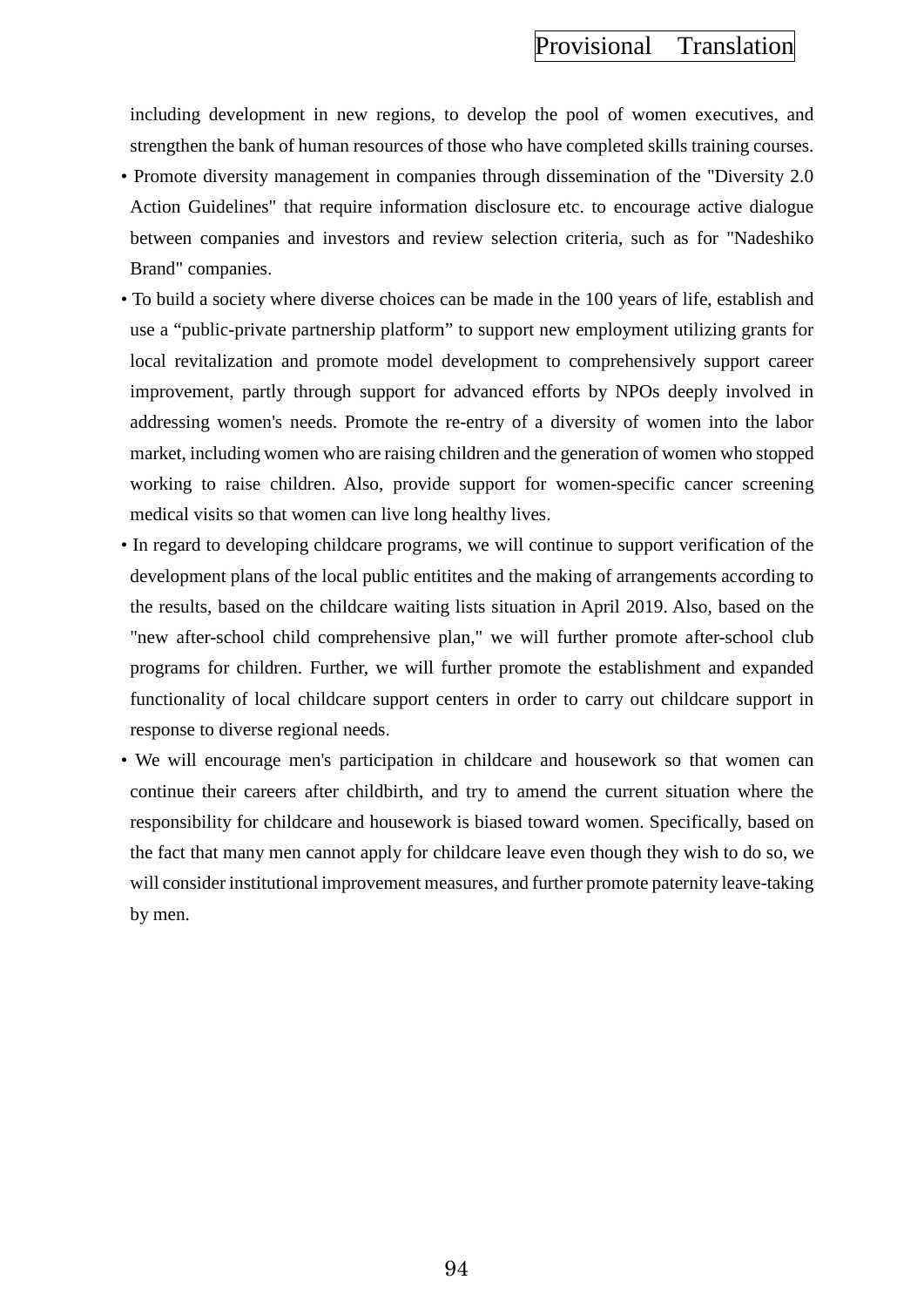including development in new regions, to develop the pool of women executives, and strengthen the bank of human resources of those who have completed skills training courses.

- Promote diversity management in companies through dissemination of the "Diversity 2.0 Action Guidelines" that require information disclosure etc. to encourage active dialogue between companies and investors and review selection criteria, such as for "Nadeshiko Brand" companies.
- To build a society where diverse choices can be made in the 100 years of life, establish and use a "public-private partnership platform" to support new employment utilizing grants for local revitalization and promote model development to comprehensively support career improvement, partly through support for advanced efforts by NPOs deeply involved in addressing women's needs. Promote the re-entry of a diversity of women into the labor market, including women who are raising children and the generation of women who stopped working to raise children. Also, provide support for women-specific cancer screening medical visits so that women can live long healthy lives.
- In regard to developing childcare programs, we will continue to support verification of the development plans of the local public entitites and the making of arrangements according to the results, based on the childcare waiting lists situation in April 2019. Also, based on the "new after-school child comprehensive plan," we will further promote after-school club programs for children. Further, we will further promote the establishment and expanded functionality of local childcare support centers in order to carry out childcare support in response to diverse regional needs.
- We will encourage men's participation in childcare and housework so that women can continue their careers after childbirth, and try to amend the current situation where the responsibility for childcare and housework is biased toward women. Specifically, based on the fact that many men cannot apply for childcare leave even though they wish to do so, we will consider institutional improvement measures, and further promote paternity leave-taking by men.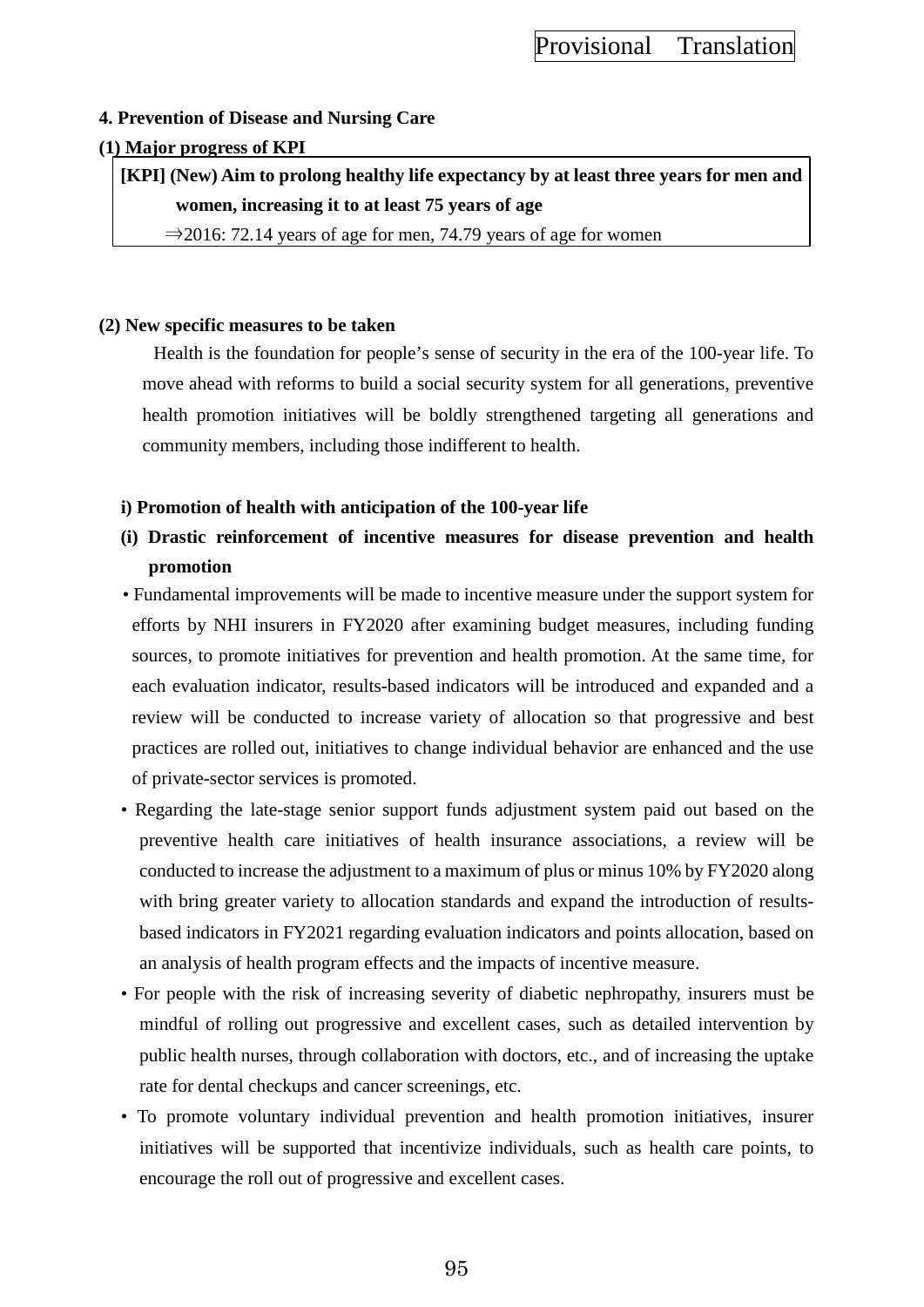## **4. Prevention of Disease and Nursing Care**

### **(1) Major progress of KPI**

**[KPI] (New) Aim to prolong healthy life expectancy by at least three years for men and women, increasing it to at least 75 years of age**

 $\Rightarrow$  2016: 72.14 years of age for men, 74.79 years of age for women

### **(2) New specific measures to be taken**

Health is the foundation for people's sense of security in the era of the 100-year life. To move ahead with reforms to build a social security system for all generations, preventive health promotion initiatives will be boldly strengthened targeting all generations and community members, including those indifferent to health.

## **i) Promotion of health with anticipation of the 100-year life**

- **(i) Drastic reinforcement of incentive measures for disease prevention and health promotion**
- Fundamental improvements will be made to incentive measure under the support system for efforts by NHI insurers in FY2020 after examining budget measures, including funding sources, to promote initiatives for prevention and health promotion. At the same time, for each evaluation indicator, results-based indicators will be introduced and expanded and a review will be conducted to increase variety of allocation so that progressive and best practices are rolled out, initiatives to change individual behavior are enhanced and the use of private-sector services is promoted.
- Regarding the late-stage senior support funds adjustment system paid out based on the preventive health care initiatives of health insurance associations, a review will be conducted to increase the adjustment to a maximum of plus or minus 10% by FY2020 along with bring greater variety to allocation standards and expand the introduction of resultsbased indicators in FY2021 regarding evaluation indicators and points allocation, based on an analysis of health program effects and the impacts of incentive measure.
- For people with the risk of increasing severity of diabetic nephropathy, insurers must be mindful of rolling out progressive and excellent cases, such as detailed intervention by public health nurses, through collaboration with doctors, etc., and of increasing the uptake rate for dental checkups and cancer screenings, etc.
- To promote voluntary individual prevention and health promotion initiatives, insurer initiatives will be supported that incentivize individuals, such as health care points, to encourage the roll out of progressive and excellent cases.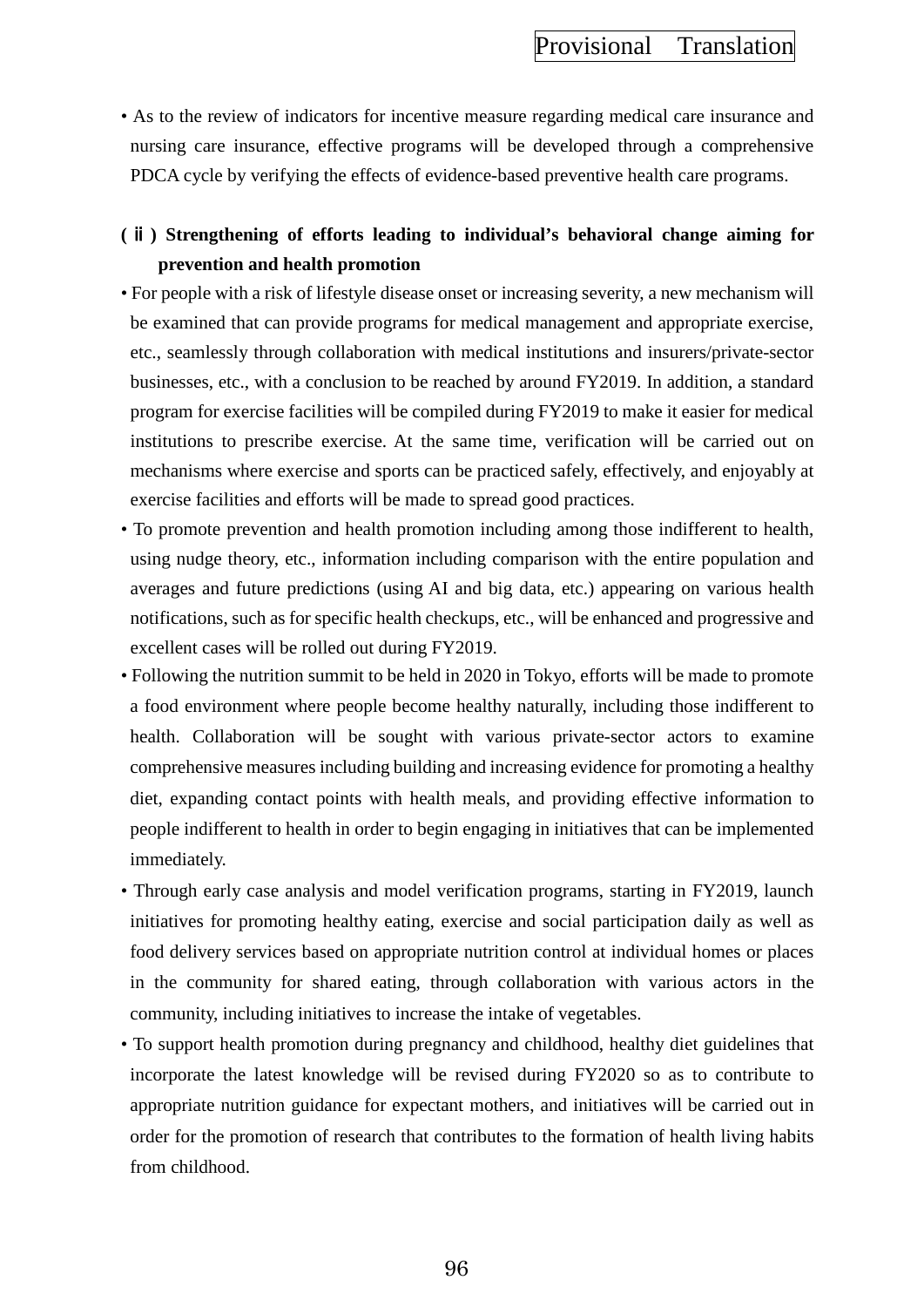• As to the review of indicators for incentive measure regarding medical care insurance and nursing care insurance, effective programs will be developed through a comprehensive PDCA cycle by verifying the effects of evidence-based preventive health care programs.

## **(**ⅱ**) Strengthening of efforts leading to individual's behavioral change aiming for prevention and health promotion**

- For people with a risk of lifestyle disease onset or increasing severity, a new mechanism will be examined that can provide programs for medical management and appropriate exercise, etc., seamlessly through collaboration with medical institutions and insurers/private-sector businesses, etc., with a conclusion to be reached by around FY2019. In addition, a standard program for exercise facilities will be compiled during FY2019 to make it easier for medical institutions to prescribe exercise. At the same time, verification will be carried out on mechanisms where exercise and sports can be practiced safely, effectively, and enjoyably at exercise facilities and efforts will be made to spread good practices.
- To promote prevention and health promotion including among those indifferent to health, using nudge theory, etc., information including comparison with the entire population and averages and future predictions (using AI and big data, etc.) appearing on various health notifications, such as for specific health checkups, etc., will be enhanced and progressive and excellent cases will be rolled out during FY2019.
- Following the nutrition summit to be held in 2020 in Tokyo, efforts will be made to promote a food environment where people become healthy naturally, including those indifferent to health. Collaboration will be sought with various private-sector actors to examine comprehensive measures including building and increasing evidence for promoting a healthy diet, expanding contact points with health meals, and providing effective information to people indifferent to health in order to begin engaging in initiatives that can be implemented immediately.
- Through early case analysis and model verification programs, starting in FY2019, launch initiatives for promoting healthy eating, exercise and social participation daily as well as food delivery services based on appropriate nutrition control at individual homes or places in the community for shared eating, through collaboration with various actors in the community, including initiatives to increase the intake of vegetables.
- To support health promotion during pregnancy and childhood, healthy diet guidelines that incorporate the latest knowledge will be revised during FY2020 so as to contribute to appropriate nutrition guidance for expectant mothers, and initiatives will be carried out in order for the promotion of research that contributes to the formation of health living habits from childhood.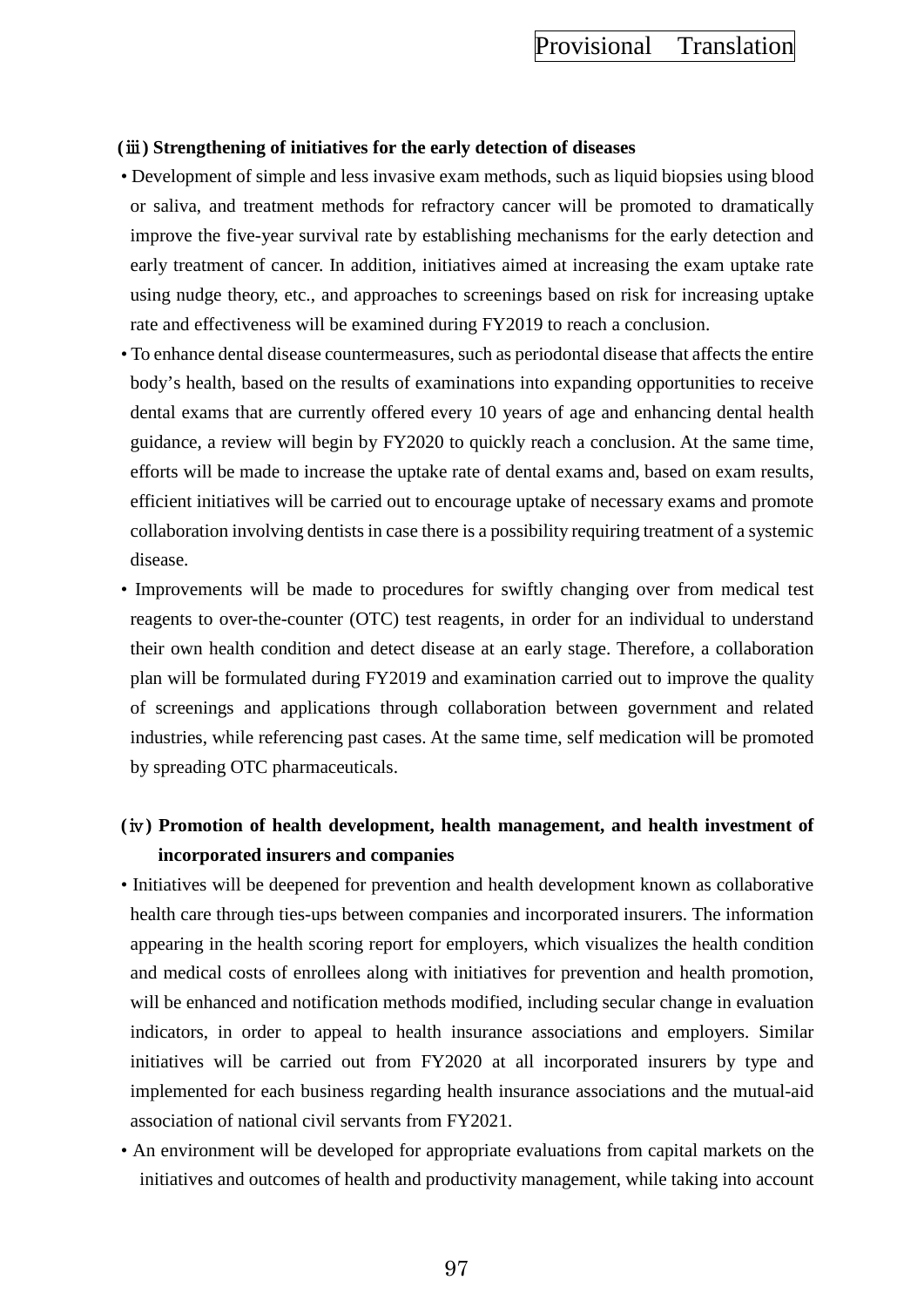#### **(**ⅲ**) Strengthening of initiatives for the early detection of diseases**

- Development of simple and less invasive exam methods, such as liquid biopsies using blood or saliva, and treatment methods for refractory cancer will be promoted to dramatically improve the five-year survival rate by establishing mechanisms for the early detection and early treatment of cancer. In addition, initiatives aimed at increasing the exam uptake rate using nudge theory, etc., and approaches to screenings based on risk for increasing uptake rate and effectiveness will be examined during FY2019 to reach a conclusion.
- To enhance dental disease countermeasures, such as periodontal disease that affects the entire body's health, based on the results of examinations into expanding opportunities to receive dental exams that are currently offered every 10 years of age and enhancing dental health guidance, a review will begin by FY2020 to quickly reach a conclusion. At the same time, efforts will be made to increase the uptake rate of dental exams and, based on exam results, efficient initiatives will be carried out to encourage uptake of necessary exams and promote collaboration involving dentists in case there is a possibility requiring treatment of a systemic disease.
- Improvements will be made to procedures for swiftly changing over from medical test reagents to over-the-counter (OTC) test reagents, in order for an individual to understand their own health condition and detect disease at an early stage. Therefore, a collaboration plan will be formulated during FY2019 and examination carried out to improve the quality of screenings and applications through collaboration between government and related industries, while referencing past cases. At the same time, self medication will be promoted by spreading OTC pharmaceuticals.

## **(**ⅳ**) Promotion of health development, health management, and health investment of incorporated insurers and companies**

- Initiatives will be deepened for prevention and health development known as collaborative health care through ties-ups between companies and incorporated insurers. The information appearing in the health scoring report for employers, which visualizes the health condition and medical costs of enrollees along with initiatives for prevention and health promotion, will be enhanced and notification methods modified, including secular change in evaluation indicators, in order to appeal to health insurance associations and employers. Similar initiatives will be carried out from FY2020 at all incorporated insurers by type and implemented for each business regarding health insurance associations and the mutual-aid association of national civil servants from FY2021.
- An environment will be developed for appropriate evaluations from capital markets on the initiatives and outcomes of health and productivity management, while taking into account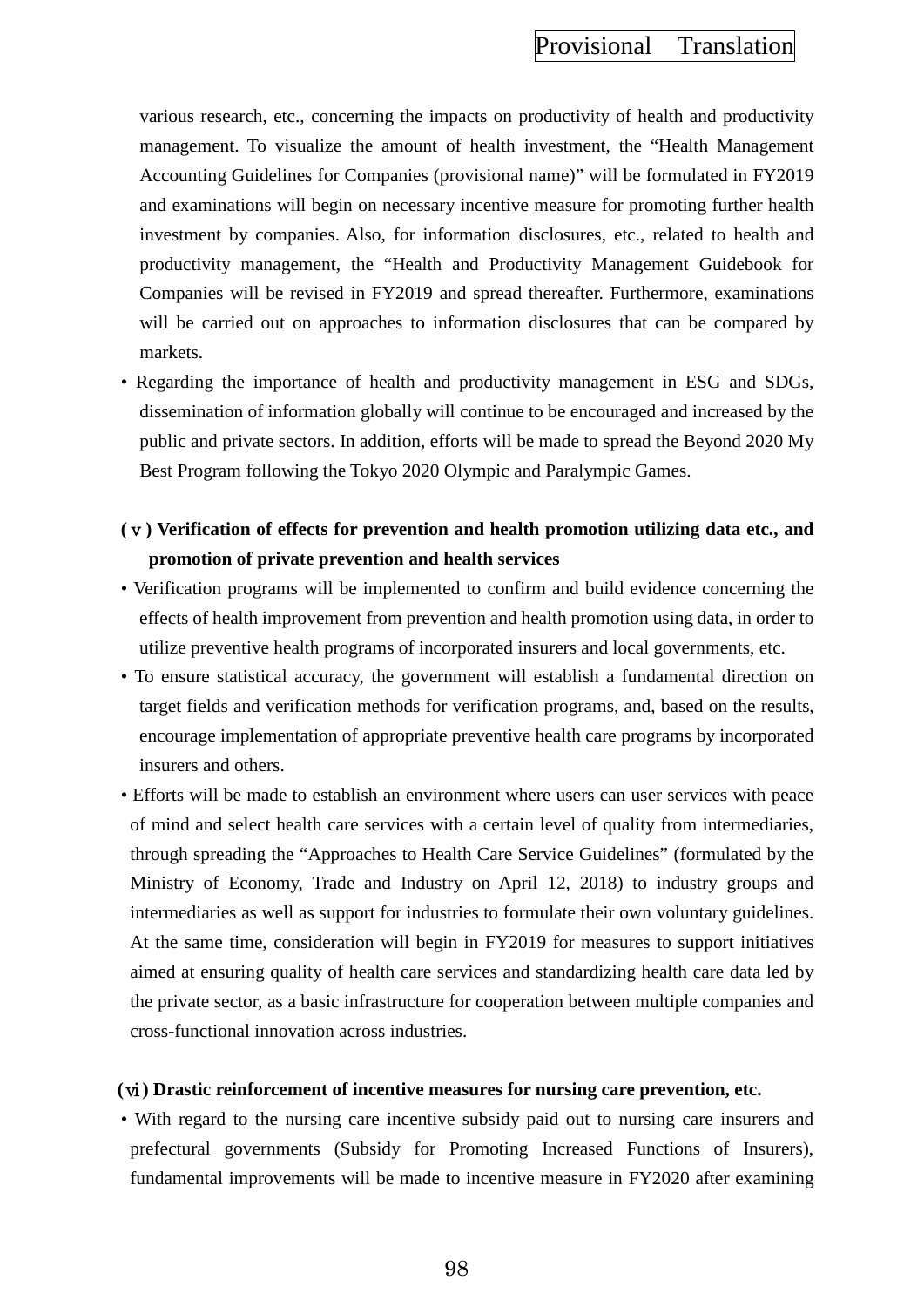various research, etc., concerning the impacts on productivity of health and productivity management. To visualize the amount of health investment, the "Health Management Accounting Guidelines for Companies (provisional name)" will be formulated in FY2019 and examinations will begin on necessary incentive measure for promoting further health investment by companies. Also, for information disclosures, etc., related to health and productivity management, the "Health and Productivity Management Guidebook for Companies will be revised in FY2019 and spread thereafter. Furthermore, examinations will be carried out on approaches to information disclosures that can be compared by markets.

• Regarding the importance of health and productivity management in ESG and SDGs, dissemination of information globally will continue to be encouraged and increased by the public and private sectors. In addition, efforts will be made to spread the Beyond 2020 My Best Program following the Tokyo 2020 Olympic and Paralympic Games.

## **(**ⅴ**) Verification of effects for prevention and health promotion utilizing data etc., and promotion of private prevention and health services**

- Verification programs will be implemented to confirm and build evidence concerning the effects of health improvement from prevention and health promotion using data, in order to utilize preventive health programs of incorporated insurers and local governments, etc.
- To ensure statistical accuracy, the government will establish a fundamental direction on target fields and verification methods for verification programs, and, based on the results, encourage implementation of appropriate preventive health care programs by incorporated insurers and others.
- Efforts will be made to establish an environment where users can user services with peace of mind and select health care services with a certain level of quality from intermediaries, through spreading the "Approaches to Health Care Service Guidelines" (formulated by the Ministry of Economy, Trade and Industry on April 12, 2018) to industry groups and intermediaries as well as support for industries to formulate their own voluntary guidelines. At the same time, consideration will begin in FY2019 for measures to support initiatives aimed at ensuring quality of health care services and standardizing health care data led by the private sector, as a basic infrastructure for cooperation between multiple companies and cross-functional innovation across industries.

#### **(**ⅵ**) Drastic reinforcement of incentive measures for nursing care prevention, etc.**

• With regard to the nursing care incentive subsidy paid out to nursing care insurers and prefectural governments (Subsidy for Promoting Increased Functions of Insurers), fundamental improvements will be made to incentive measure in FY2020 after examining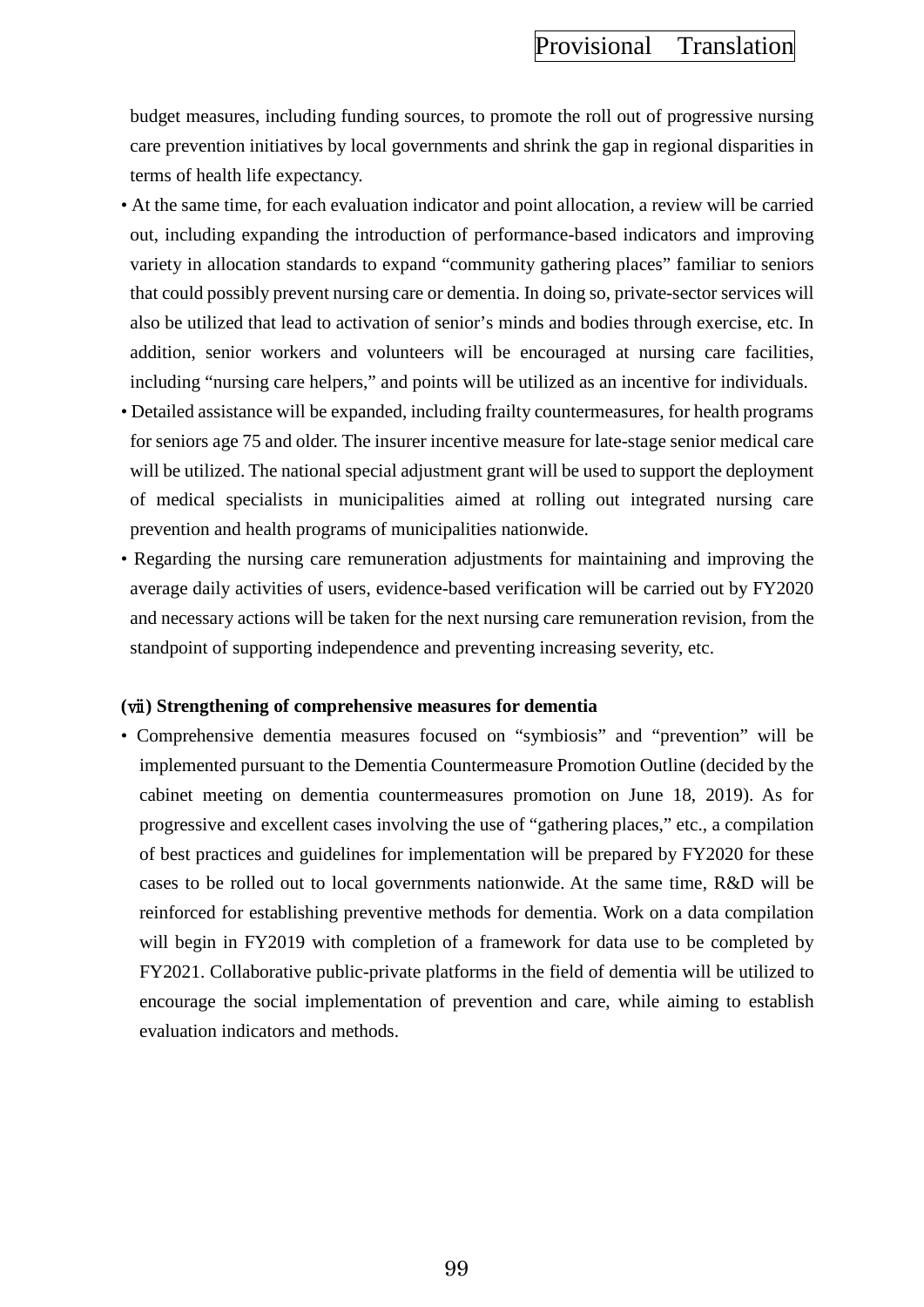budget measures, including funding sources, to promote the roll out of progressive nursing care prevention initiatives by local governments and shrink the gap in regional disparities in terms of health life expectancy.

- At the same time, for each evaluation indicator and point allocation, a review will be carried out, including expanding the introduction of performance-based indicators and improving variety in allocation standards to expand "community gathering places" familiar to seniors that could possibly prevent nursing care or dementia. In doing so, private-sector services will also be utilized that lead to activation of senior's minds and bodies through exercise, etc. In addition, senior workers and volunteers will be encouraged at nursing care facilities, including "nursing care helpers," and points will be utilized as an incentive for individuals.
- Detailed assistance will be expanded, including frailty countermeasures, for health programs for seniors age 75 and older. The insurer incentive measure for late-stage senior medical care will be utilized. The national special adjustment grant will be used to support the deployment of medical specialists in municipalities aimed at rolling out integrated nursing care prevention and health programs of municipalities nationwide.
- Regarding the nursing care remuneration adjustments for maintaining and improving the average daily activities of users, evidence-based verification will be carried out by FY2020 and necessary actions will be taken for the next nursing care remuneration revision, from the standpoint of supporting independence and preventing increasing severity, etc.

#### **(**ⅶ**) Strengthening of comprehensive measures for dementia**

• Comprehensive dementia measures focused on "symbiosis" and "prevention" will be implemented pursuant to the Dementia Countermeasure Promotion Outline (decided by the cabinet meeting on dementia countermeasures promotion on June 18, 2019). As for progressive and excellent cases involving the use of "gathering places," etc., a compilation of best practices and guidelines for implementation will be prepared by FY2020 for these cases to be rolled out to local governments nationwide. At the same time, R&D will be reinforced for establishing preventive methods for dementia. Work on a data compilation will begin in FY2019 with completion of a framework for data use to be completed by FY2021. Collaborative public-private platforms in the field of dementia will be utilized to encourage the social implementation of prevention and care, while aiming to establish evaluation indicators and methods.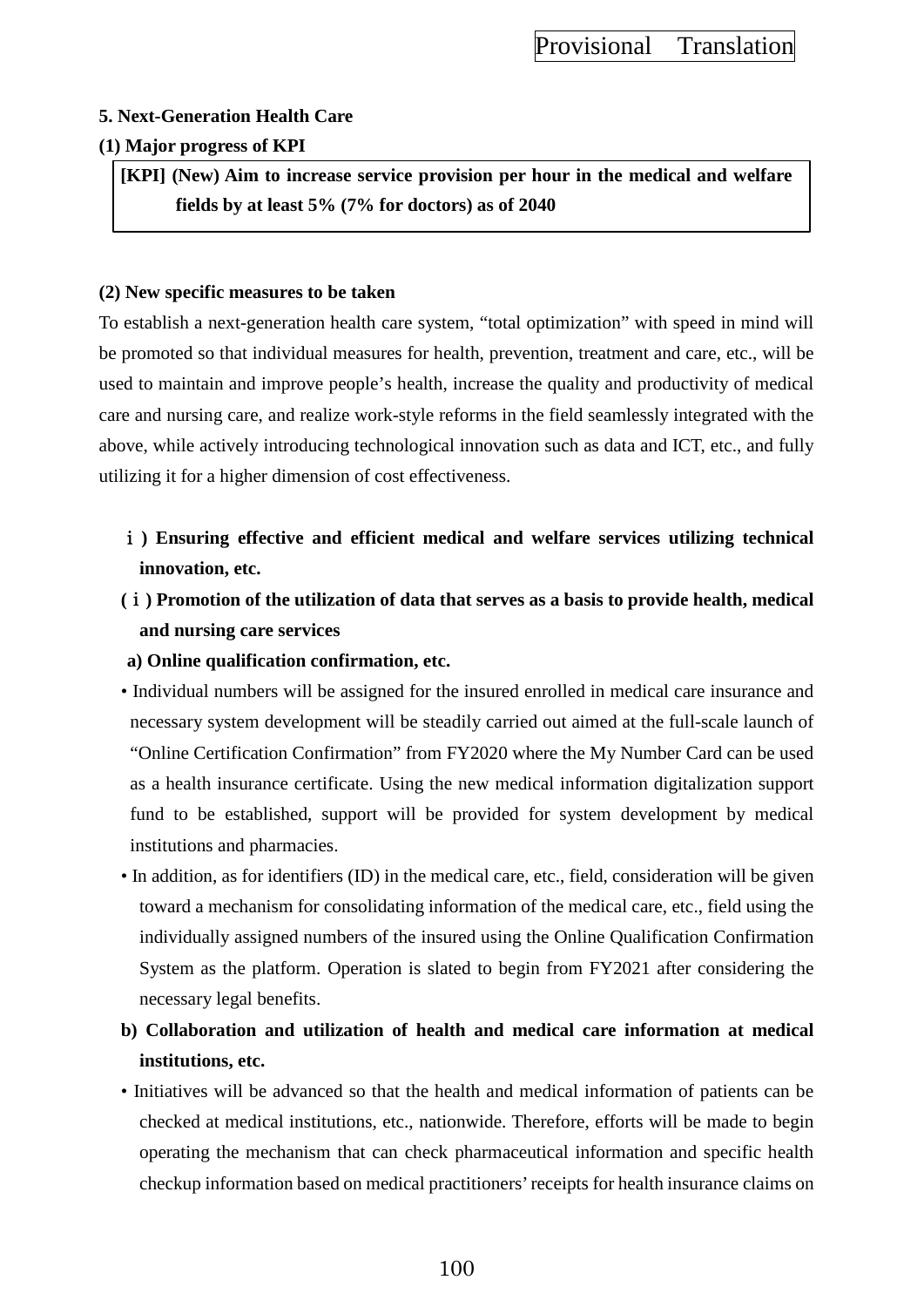### **5. Next-Generation Health Care**

### **(1) Major progress of KPI**

**[KPI] (New) Aim to increase service provision per hour in the medical and welfare fields by at least 5% (7% for doctors) as of 2040**

### **(2) New specific measures to be taken**

To establish a next-generation health care system, "total optimization" with speed in mind will be promoted so that individual measures for health, prevention, treatment and care, etc., will be used to maintain and improve people's health, increase the quality and productivity of medical care and nursing care, and realize work-style reforms in the field seamlessly integrated with the above, while actively introducing technological innovation such as data and ICT, etc., and fully utilizing it for a higher dimension of cost effectiveness.

- ⅰ**) Ensuring effective and efficient medical and welfare services utilizing technical innovation, etc.**
- **(**ⅰ**) Promotion of the utilization of data that serves as a basis to provide health, medical and nursing care services**
- **a) Online qualification confirmation, etc.**
- Individual numbers will be assigned for the insured enrolled in medical care insurance and necessary system development will be steadily carried out aimed at the full-scale launch of "Online Certification Confirmation" from FY2020 where the My Number Card can be used as a health insurance certificate. Using the new medical information digitalization support fund to be established, support will be provided for system development by medical institutions and pharmacies.
- In addition, as for identifiers (ID) in the medical care, etc., field, consideration will be given toward a mechanism for consolidating information of the medical care, etc., field using the individually assigned numbers of the insured using the Online Qualification Confirmation System as the platform. Operation is slated to begin from FY2021 after considering the necessary legal benefits.
- **b) Collaboration and utilization of health and medical care information at medical institutions, etc.**
- Initiatives will be advanced so that the health and medical information of patients can be checked at medical institutions, etc., nationwide. Therefore, efforts will be made to begin operating the mechanism that can check pharmaceutical information and specific health checkup information based on medical practitioners' receipts for health insurance claims on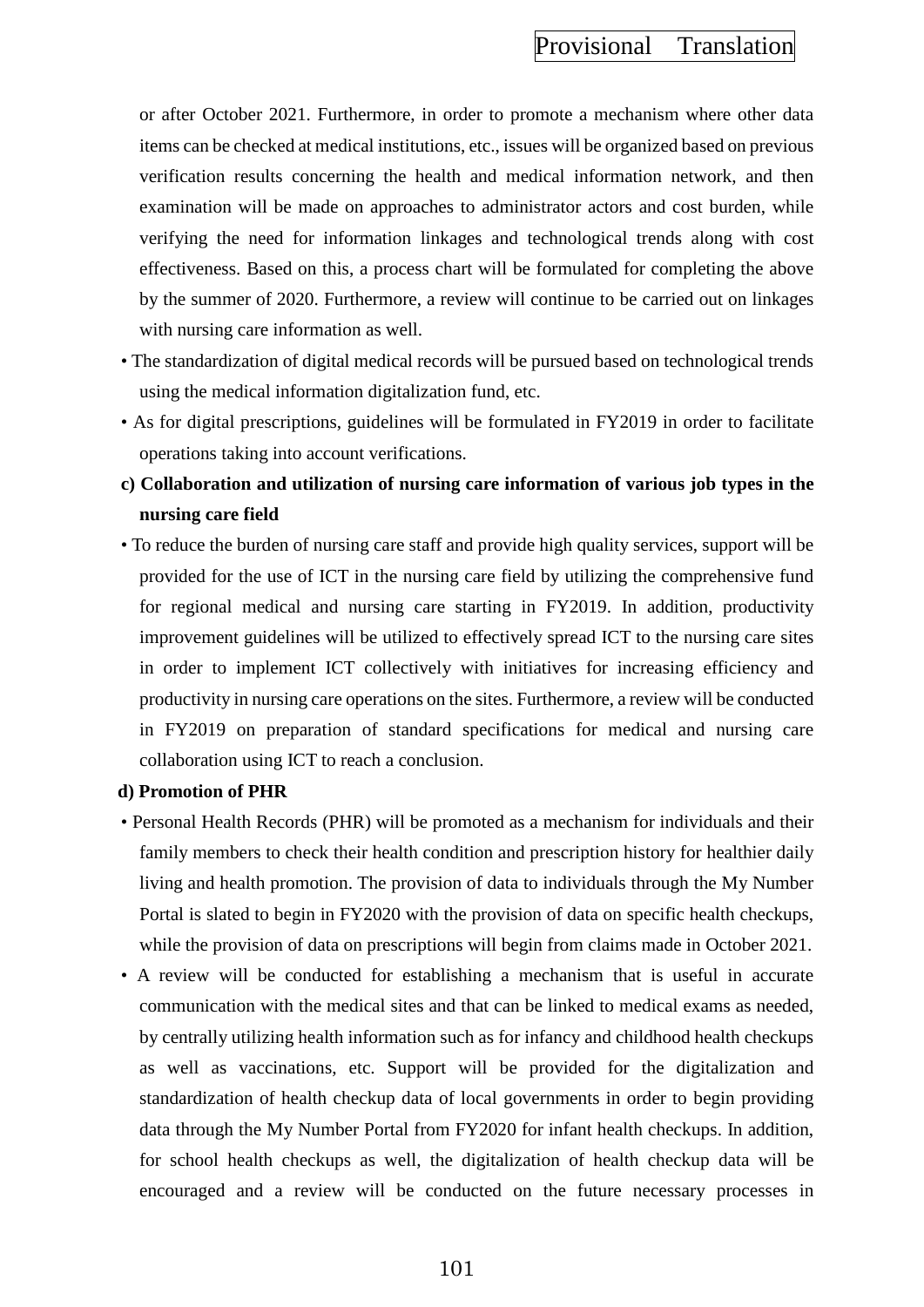or after October 2021. Furthermore, in order to promote a mechanism where other data items can be checked at medical institutions, etc., issues will be organized based on previous verification results concerning the health and medical information network, and then examination will be made on approaches to administrator actors and cost burden, while verifying the need for information linkages and technological trends along with cost effectiveness. Based on this, a process chart will be formulated for completing the above by the summer of 2020. Furthermore, a review will continue to be carried out on linkages with nursing care information as well.

- The standardization of digital medical records will be pursued based on technological trends using the medical information digitalization fund, etc.
- As for digital prescriptions, guidelines will be formulated in FY2019 in order to facilitate operations taking into account verifications.
- **c) Collaboration and utilization of nursing care information of various job types in the nursing care field**
- To reduce the burden of nursing care staff and provide high quality services, support will be provided for the use of ICT in the nursing care field by utilizing the comprehensive fund for regional medical and nursing care starting in FY2019. In addition, productivity improvement guidelines will be utilized to effectively spread ICT to the nursing care sites in order to implement ICT collectively with initiatives for increasing efficiency and productivity in nursing care operations on the sites. Furthermore, a review will be conducted in FY2019 on preparation of standard specifications for medical and nursing care collaboration using ICT to reach a conclusion.

### **d) Promotion of PHR**

- Personal Health Records (PHR) will be promoted as a mechanism for individuals and their family members to check their health condition and prescription history for healthier daily living and health promotion. The provision of data to individuals through the My Number Portal is slated to begin in FY2020 with the provision of data on specific health checkups, while the provision of data on prescriptions will begin from claims made in October 2021.
- A review will be conducted for establishing a mechanism that is useful in accurate communication with the medical sites and that can be linked to medical exams as needed, by centrally utilizing health information such as for infancy and childhood health checkups as well as vaccinations, etc. Support will be provided for the digitalization and standardization of health checkup data of local governments in order to begin providing data through the My Number Portal from FY2020 for infant health checkups. In addition, for school health checkups as well, the digitalization of health checkup data will be encouraged and a review will be conducted on the future necessary processes in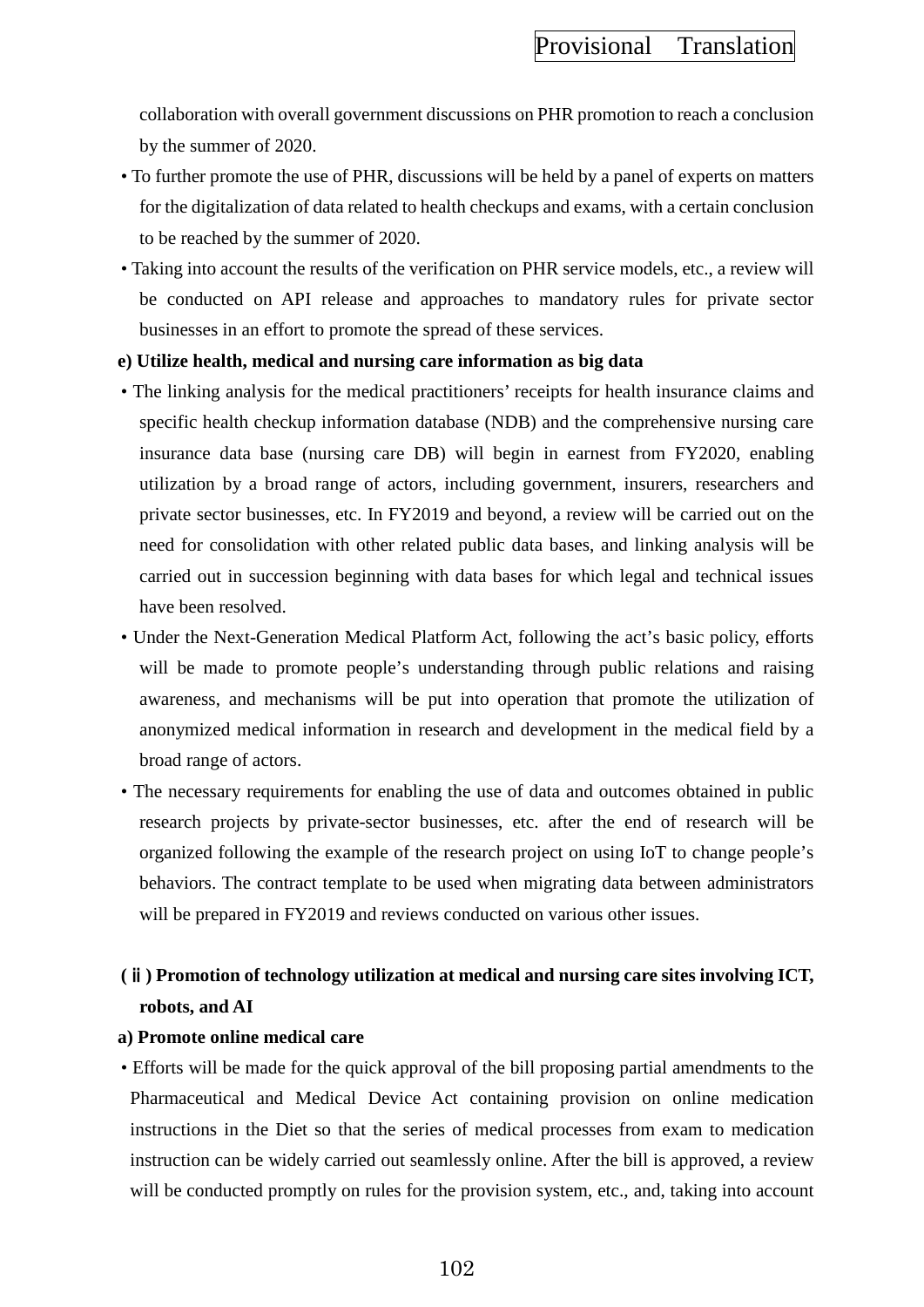collaboration with overall government discussions on PHR promotion to reach a conclusion by the summer of 2020.

- To further promote the use of PHR, discussions will be held by a panel of experts on matters for the digitalization of data related to health checkups and exams, with a certain conclusion to be reached by the summer of 2020.
- Taking into account the results of the verification on PHR service models, etc., a review will be conducted on API release and approaches to mandatory rules for private sector businesses in an effort to promote the spread of these services.
- **e) Utilize health, medical and nursing care information as big data**
- The linking analysis for the medical practitioners' receipts for health insurance claims and specific health checkup information database (NDB) and the comprehensive nursing care insurance data base (nursing care DB) will begin in earnest from FY2020, enabling utilization by a broad range of actors, including government, insurers, researchers and private sector businesses, etc. In FY2019 and beyond, a review will be carried out on the need for consolidation with other related public data bases, and linking analysis will be carried out in succession beginning with data bases for which legal and technical issues have been resolved.
- Under the Next-Generation Medical Platform Act, following the act's basic policy, efforts will be made to promote people's understanding through public relations and raising awareness, and mechanisms will be put into operation that promote the utilization of anonymized medical information in research and development in the medical field by a broad range of actors.
- The necessary requirements for enabling the use of data and outcomes obtained in public research projects by private-sector businesses, etc. after the end of research will be organized following the example of the research project on using IoT to change people's behaviors. The contract template to be used when migrating data between administrators will be prepared in FY2019 and reviews conducted on various other issues.

# **(**ⅱ**) Promotion of technology utilization at medical and nursing care sites involving ICT, robots, and AI**

### **a) Promote online medical care**

• Efforts will be made for the quick approval of the bill proposing partial amendments to the Pharmaceutical and Medical Device Act containing provision on online medication instructions in the Diet so that the series of medical processes from exam to medication instruction can be widely carried out seamlessly online. After the bill is approved, a review will be conducted promptly on rules for the provision system, etc., and, taking into account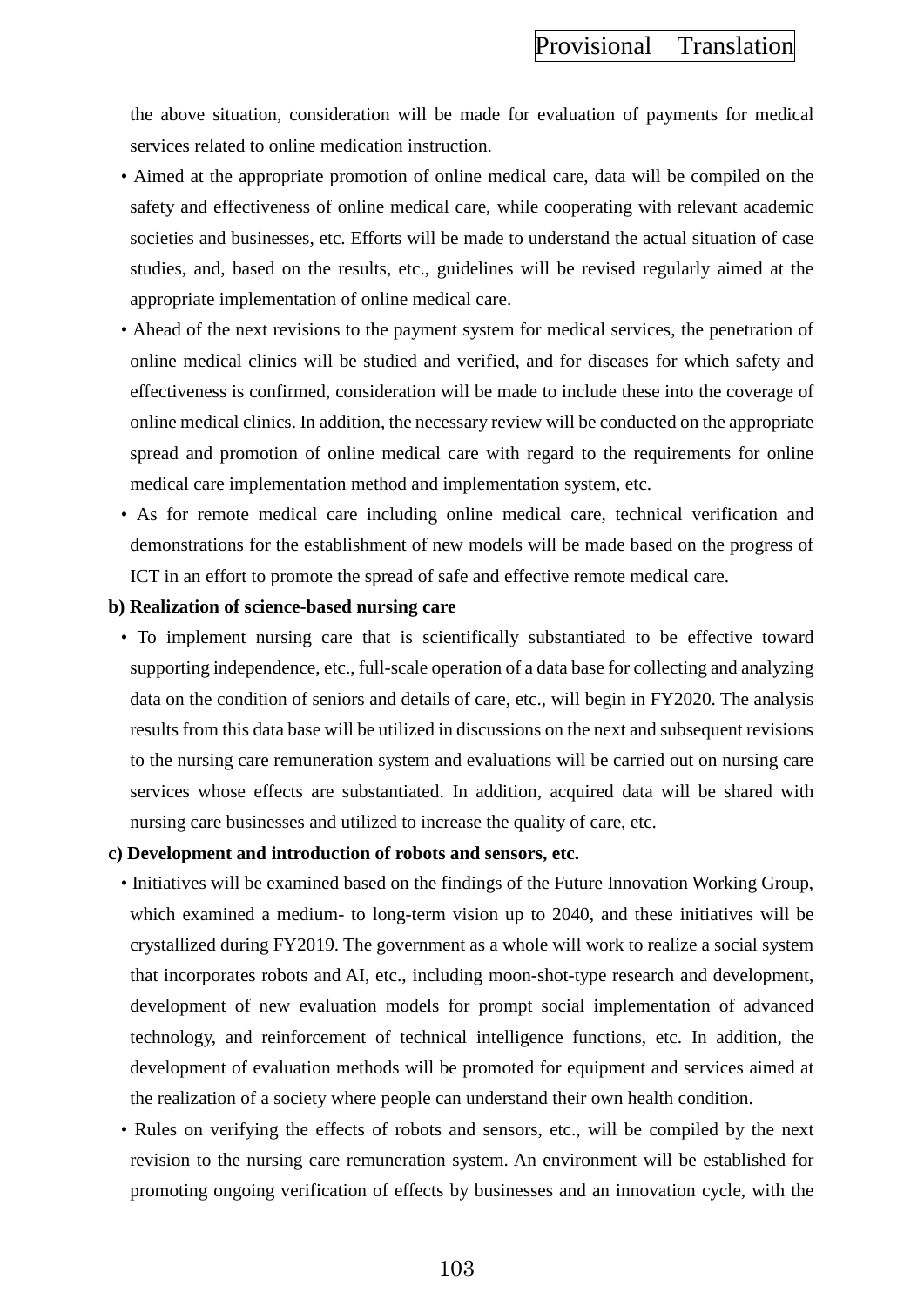the above situation, consideration will be made for evaluation of payments for medical services related to online medication instruction.

- Aimed at the appropriate promotion of online medical care, data will be compiled on the safety and effectiveness of online medical care, while cooperating with relevant academic societies and businesses, etc. Efforts will be made to understand the actual situation of case studies, and, based on the results, etc., guidelines will be revised regularly aimed at the appropriate implementation of online medical care.
- Ahead of the next revisions to the payment system for medical services, the penetration of online medical clinics will be studied and verified, and for diseases for which safety and effectiveness is confirmed, consideration will be made to include these into the coverage of online medical clinics. In addition, the necessary review will be conducted on the appropriate spread and promotion of online medical care with regard to the requirements for online medical care implementation method and implementation system, etc.
- As for remote medical care including online medical care, technical verification and demonstrations for the establishment of new models will be made based on the progress of ICT in an effort to promote the spread of safe and effective remote medical care.

#### **b) Realization of science-based nursing care**

• To implement nursing care that is scientifically substantiated to be effective toward supporting independence, etc., full-scale operation of a data base for collecting and analyzing data on the condition of seniors and details of care, etc., will begin in FY2020. The analysis results from this data base will be utilized in discussions on the next and subsequent revisions to the nursing care remuneration system and evaluations will be carried out on nursing care services whose effects are substantiated. In addition, acquired data will be shared with nursing care businesses and utilized to increase the quality of care, etc.

#### **c) Development and introduction of robots and sensors, etc.**

- Initiatives will be examined based on the findings of the Future Innovation Working Group, which examined a medium- to long-term vision up to 2040, and these initiatives will be crystallized during FY2019. The government as a whole will work to realize a social system that incorporates robots and AI, etc., including moon-shot-type research and development, development of new evaluation models for prompt social implementation of advanced technology, and reinforcement of technical intelligence functions, etc. In addition, the development of evaluation methods will be promoted for equipment and services aimed at the realization of a society where people can understand their own health condition.
- Rules on verifying the effects of robots and sensors, etc., will be compiled by the next revision to the nursing care remuneration system. An environment will be established for promoting ongoing verification of effects by businesses and an innovation cycle, with the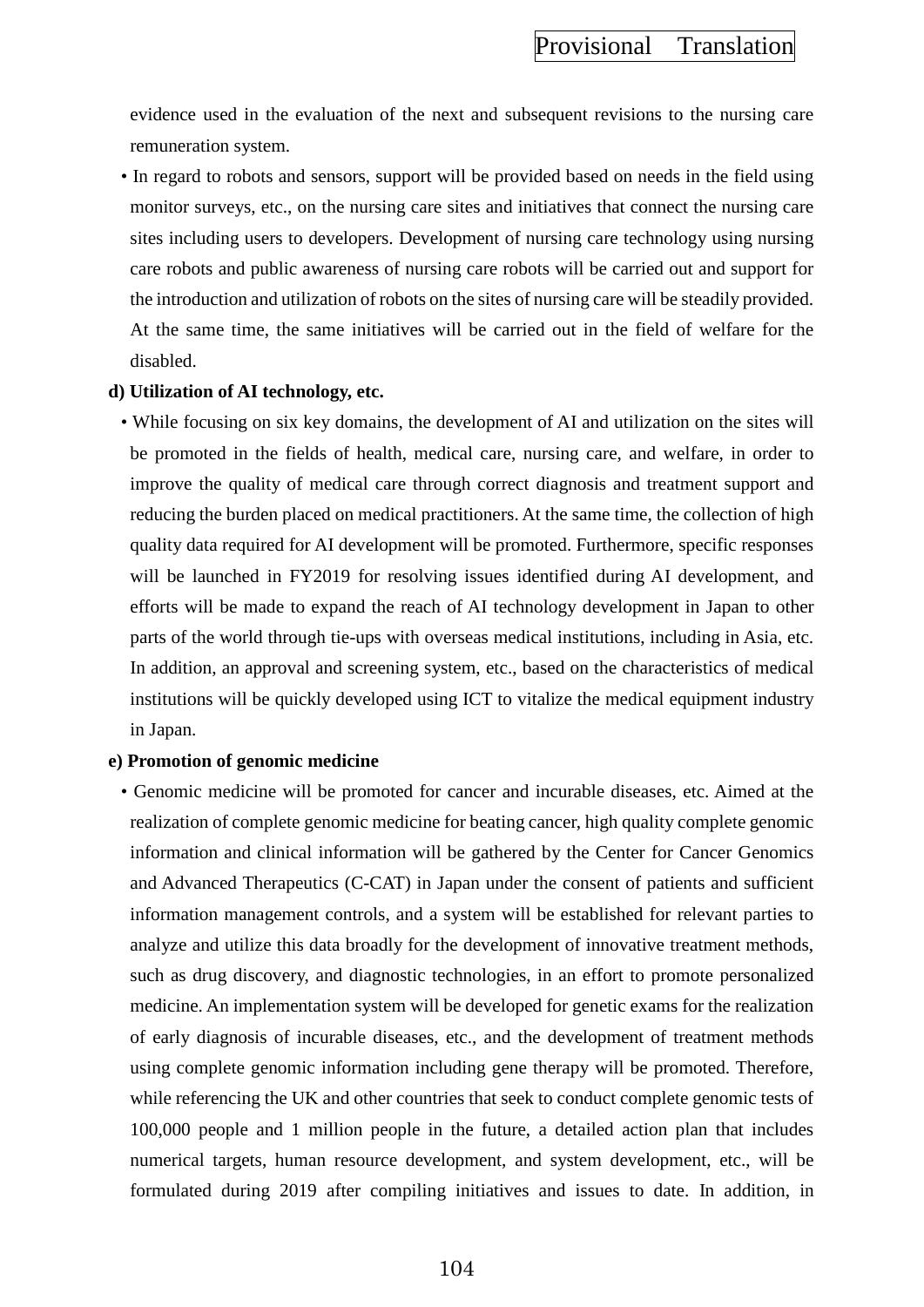evidence used in the evaluation of the next and subsequent revisions to the nursing care remuneration system.

• In regard to robots and sensors, support will be provided based on needs in the field using monitor surveys, etc., on the nursing care sites and initiatives that connect the nursing care sites including users to developers. Development of nursing care technology using nursing care robots and public awareness of nursing care robots will be carried out and support for the introduction and utilization of robots on the sites of nursing care will be steadily provided. At the same time, the same initiatives will be carried out in the field of welfare for the disabled.

### **d) Utilization of AI technology, etc.**

• While focusing on six key domains, the development of AI and utilization on the sites will be promoted in the fields of health, medical care, nursing care, and welfare, in order to improve the quality of medical care through correct diagnosis and treatment support and reducing the burden placed on medical practitioners. At the same time, the collection of high quality data required for AI development will be promoted. Furthermore, specific responses will be launched in FY2019 for resolving issues identified during AI development, and efforts will be made to expand the reach of AI technology development in Japan to other parts of the world through tie-ups with overseas medical institutions, including in Asia, etc. In addition, an approval and screening system, etc., based on the characteristics of medical institutions will be quickly developed using ICT to vitalize the medical equipment industry in Japan.

### **e) Promotion of genomic medicine**

• Genomic medicine will be promoted for cancer and incurable diseases, etc. Aimed at the realization of complete genomic medicine for beating cancer, high quality complete genomic information and clinical information will be gathered by the Center for Cancer Genomics and Advanced Therapeutics (C-CAT) in Japan under the consent of patients and sufficient information management controls, and a system will be established for relevant parties to analyze and utilize this data broadly for the development of innovative treatment methods, such as drug discovery, and diagnostic technologies, in an effort to promote personalized medicine. An implementation system will be developed for genetic exams for the realization of early diagnosis of incurable diseases, etc., and the development of treatment methods using complete genomic information including gene therapy will be promoted. Therefore, while referencing the UK and other countries that seek to conduct complete genomic tests of 100,000 people and 1 million people in the future, a detailed action plan that includes numerical targets, human resource development, and system development, etc., will be formulated during 2019 after compiling initiatives and issues to date. In addition, in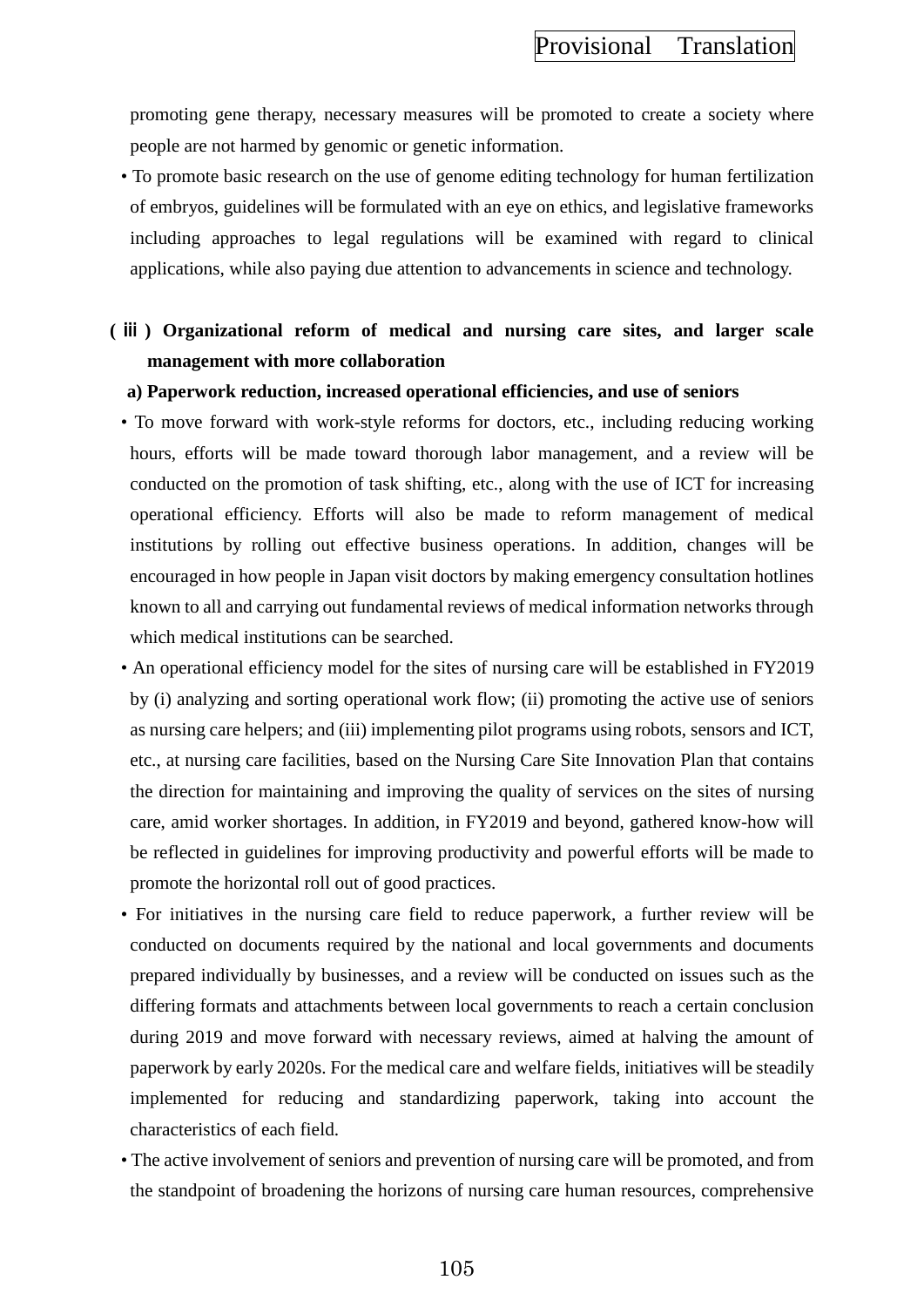promoting gene therapy, necessary measures will be promoted to create a society where people are not harmed by genomic or genetic information.

• To promote basic research on the use of genome editing technology for human fertilization of embryos, guidelines will be formulated with an eye on ethics, and legislative frameworks including approaches to legal regulations will be examined with regard to clinical applications, while also paying due attention to advancements in science and technology.

# **(** ⅲ **) Organizational reform of medical and nursing care sites, and larger scale management with more collaboration**

#### **a) Paperwork reduction, increased operational efficiencies, and use of seniors**

- To move forward with work-style reforms for doctors, etc., including reducing working hours, efforts will be made toward thorough labor management, and a review will be conducted on the promotion of task shifting, etc., along with the use of ICT for increasing operational efficiency. Efforts will also be made to reform management of medical institutions by rolling out effective business operations. In addition, changes will be encouraged in how people in Japan visit doctors by making emergency consultation hotlines known to all and carrying out fundamental reviews of medical information networks through which medical institutions can be searched.
- An operational efficiency model for the sites of nursing care will be established in FY2019 by (i) analyzing and sorting operational work flow; (ii) promoting the active use of seniors as nursing care helpers; and (iii) implementing pilot programs using robots, sensors and ICT, etc., at nursing care facilities, based on the Nursing Care Site Innovation Plan that contains the direction for maintaining and improving the quality of services on the sites of nursing care, amid worker shortages. In addition, in FY2019 and beyond, gathered know-how will be reflected in guidelines for improving productivity and powerful efforts will be made to promote the horizontal roll out of good practices.
- For initiatives in the nursing care field to reduce paperwork, a further review will be conducted on documents required by the national and local governments and documents prepared individually by businesses, and a review will be conducted on issues such as the differing formats and attachments between local governments to reach a certain conclusion during 2019 and move forward with necessary reviews, aimed at halving the amount of paperwork by early 2020s. For the medical care and welfare fields, initiatives will be steadily implemented for reducing and standardizing paperwork, taking into account the characteristics of each field.
- The active involvement of seniors and prevention of nursing care will be promoted, and from the standpoint of broadening the horizons of nursing care human resources, comprehensive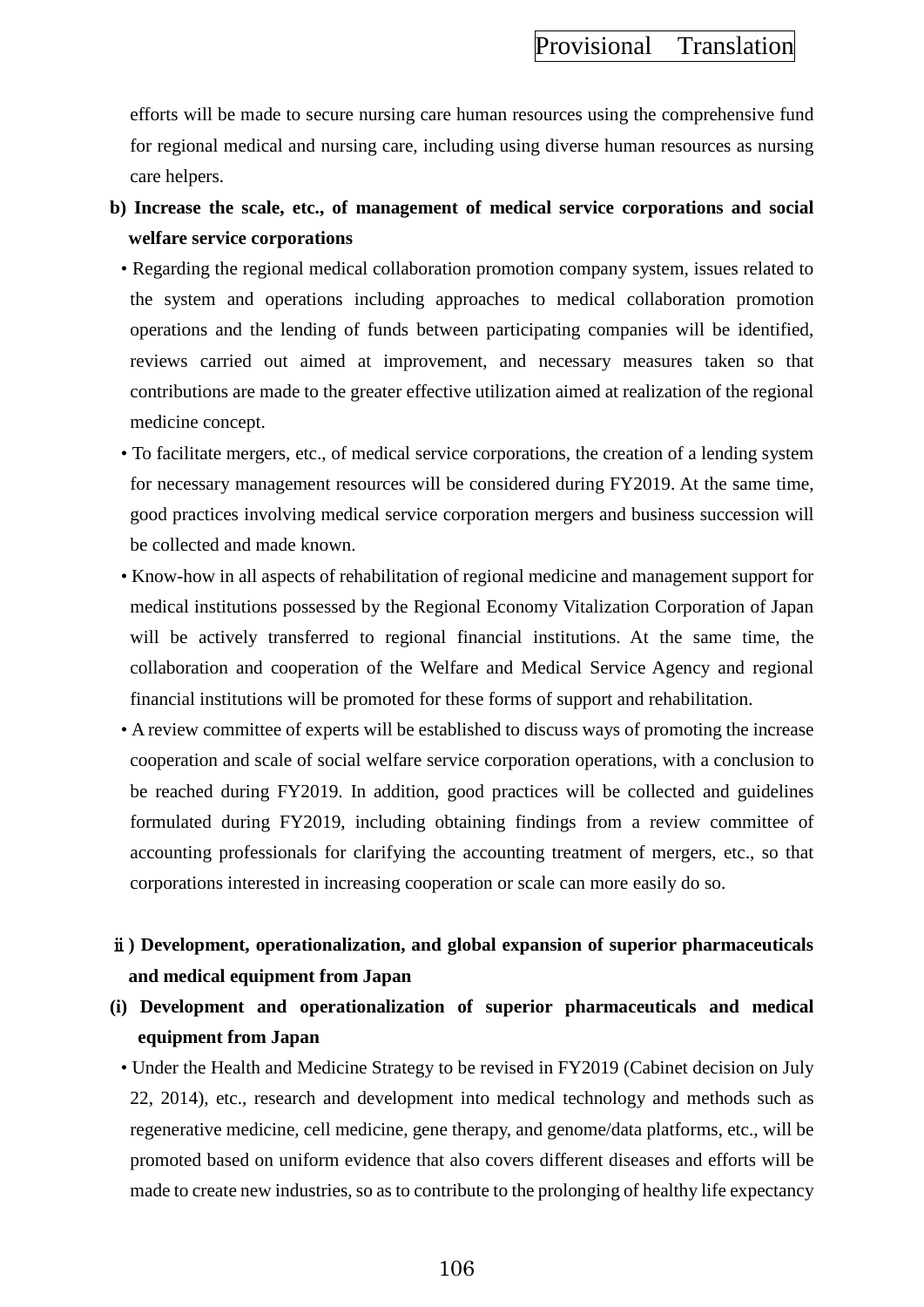efforts will be made to secure nursing care human resources using the comprehensive fund for regional medical and nursing care, including using diverse human resources as nursing care helpers.

- **b) Increase the scale, etc., of management of medical service corporations and social welfare service corporations**
	- Regarding the regional medical collaboration promotion company system, issues related to the system and operations including approaches to medical collaboration promotion operations and the lending of funds between participating companies will be identified, reviews carried out aimed at improvement, and necessary measures taken so that contributions are made to the greater effective utilization aimed at realization of the regional medicine concept.
	- To facilitate mergers, etc., of medical service corporations, the creation of a lending system for necessary management resources will be considered during FY2019. At the same time, good practices involving medical service corporation mergers and business succession will be collected and made known.
	- Know-how in all aspects of rehabilitation of regional medicine and management support for medical institutions possessed by the Regional Economy Vitalization Corporation of Japan will be actively transferred to regional financial institutions. At the same time, the collaboration and cooperation of the Welfare and Medical Service Agency and regional financial institutions will be promoted for these forms of support and rehabilitation.
	- A review committee of experts will be established to discuss ways of promoting the increase cooperation and scale of social welfare service corporation operations, with a conclusion to be reached during FY2019. In addition, good practices will be collected and guidelines formulated during FY2019, including obtaining findings from a review committee of accounting professionals for clarifying the accounting treatment of mergers, etc., so that corporations interested in increasing cooperation or scale can more easily do so.

# ⅱ**) Development, operationalization, and global expansion of superior pharmaceuticals and medical equipment from Japan**

- **(i) Development and operationalization of superior pharmaceuticals and medical equipment from Japan**
	- Under the Health and Medicine Strategy to be revised in FY2019 (Cabinet decision on July 22, 2014), etc., research and development into medical technology and methods such as regenerative medicine, cell medicine, gene therapy, and genome/data platforms, etc., will be promoted based on uniform evidence that also covers different diseases and efforts will be made to create new industries, so as to contribute to the prolonging of healthy life expectancy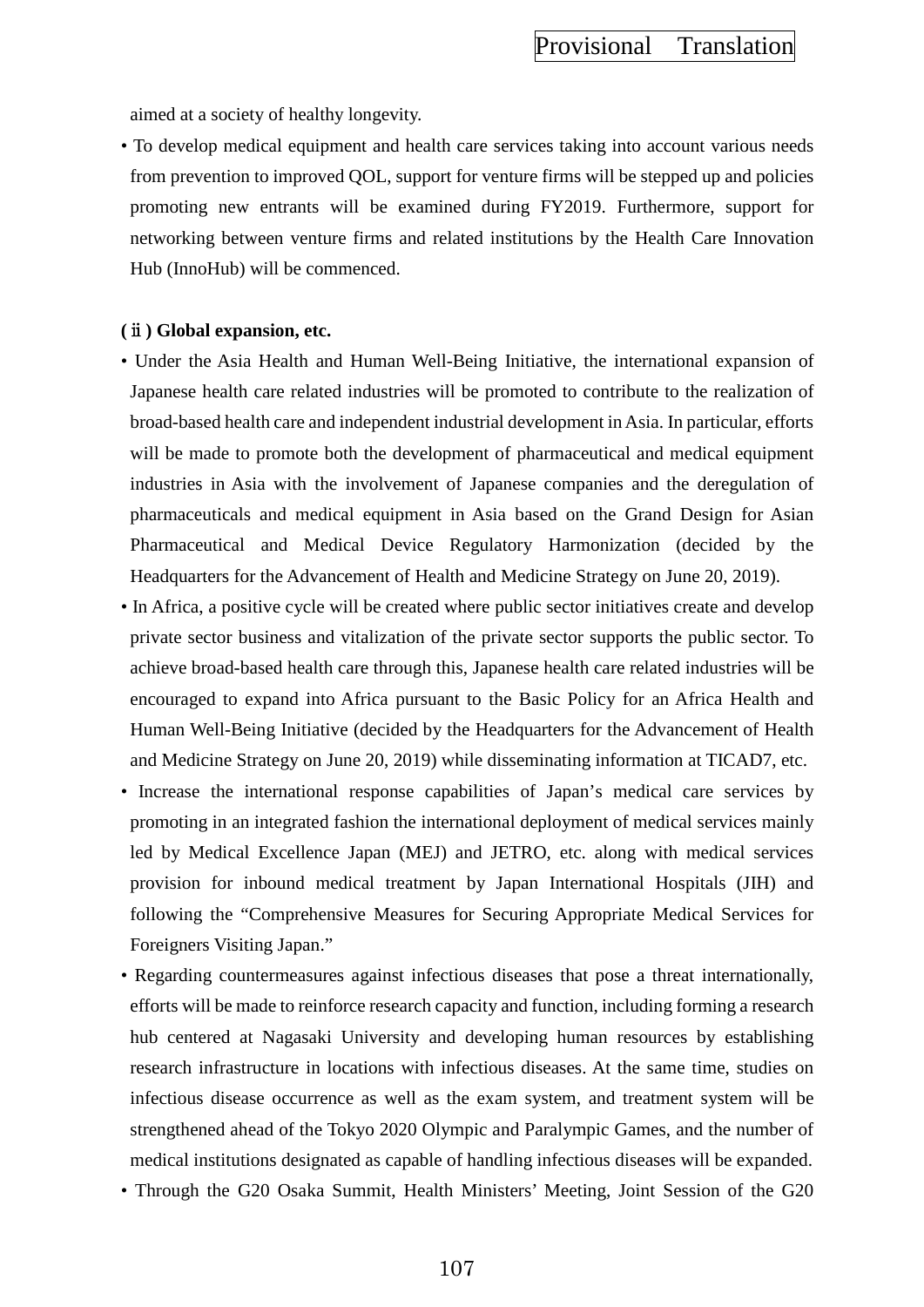aimed at a society of healthy longevity.

• To develop medical equipment and health care services taking into account various needs from prevention to improved QOL, support for venture firms will be stepped up and policies promoting new entrants will be examined during FY2019. Furthermore, support for networking between venture firms and related institutions by the Health Care Innovation Hub (InnoHub) will be commenced.

### **(**ⅱ**) Global expansion, etc.**

- Under the Asia Health and Human Well-Being Initiative, the international expansion of Japanese health care related industries will be promoted to contribute to the realization of broad-based health care and independent industrial development in Asia. In particular, efforts will be made to promote both the development of pharmaceutical and medical equipment industries in Asia with the involvement of Japanese companies and the deregulation of pharmaceuticals and medical equipment in Asia based on the Grand Design for Asian Pharmaceutical and Medical Device Regulatory Harmonization (decided by the Headquarters for the Advancement of Health and Medicine Strategy on June 20, 2019).
- In Africa, a positive cycle will be created where public sector initiatives create and develop private sector business and vitalization of the private sector supports the public sector. To achieve broad-based health care through this, Japanese health care related industries will be encouraged to expand into Africa pursuant to the Basic Policy for an Africa Health and Human Well-Being Initiative (decided by the Headquarters for the Advancement of Health and Medicine Strategy on June 20, 2019) while disseminating information at TICAD7, etc.
- Increase the international response capabilities of Japan's medical care services by promoting in an integrated fashion the international deployment of medical services mainly led by Medical Excellence Japan (MEJ) and JETRO, etc. along with medical services provision for inbound medical treatment by Japan International Hospitals (JIH) and following the "Comprehensive Measures for Securing Appropriate Medical Services for Foreigners Visiting Japan."
- Regarding countermeasures against infectious diseases that pose a threat internationally, efforts will be made to reinforce research capacity and function, including forming a research hub centered at Nagasaki University and developing human resources by establishing research infrastructure in locations with infectious diseases. At the same time, studies on infectious disease occurrence as well as the exam system, and treatment system will be strengthened ahead of the Tokyo 2020 Olympic and Paralympic Games, and the number of medical institutions designated as capable of handling infectious diseases will be expanded.
- Through the G20 Osaka Summit, Health Ministers' Meeting, Joint Session of the G20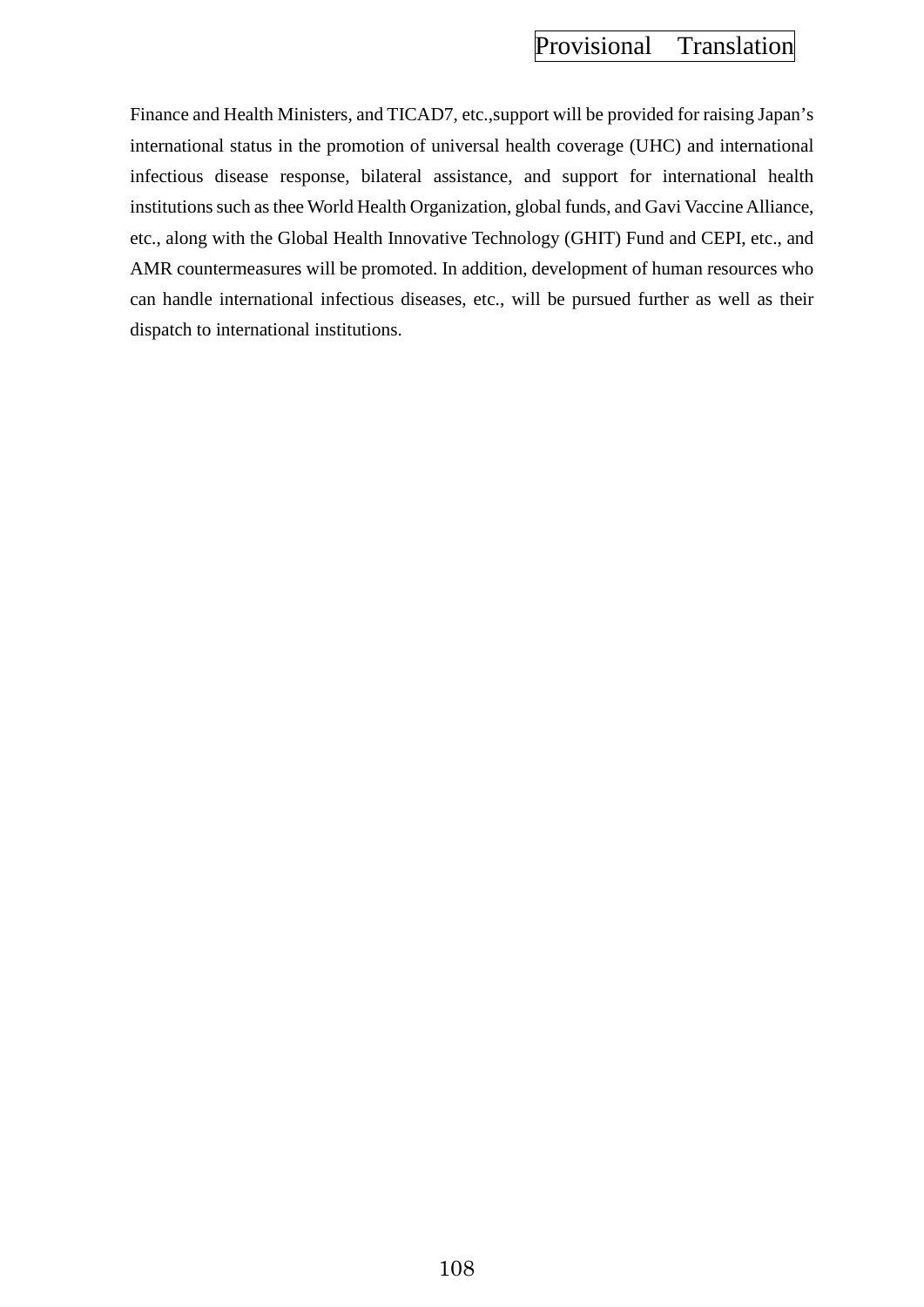Finance and Health Ministers, and TICAD7, etc.,support will be provided for raising Japan's international status in the promotion of universal health coverage (UHC) and international infectious disease response, bilateral assistance, and support for international health institutions such as thee World Health Organization, global funds, and Gavi Vaccine Alliance, etc., along with the Global Health Innovative Technology (GHIT) Fund and CEPI, etc., and AMR countermeasures will be promoted. In addition, development of human resources who can handle international infectious diseases, etc., will be pursued further as well as their dispatch to international institutions.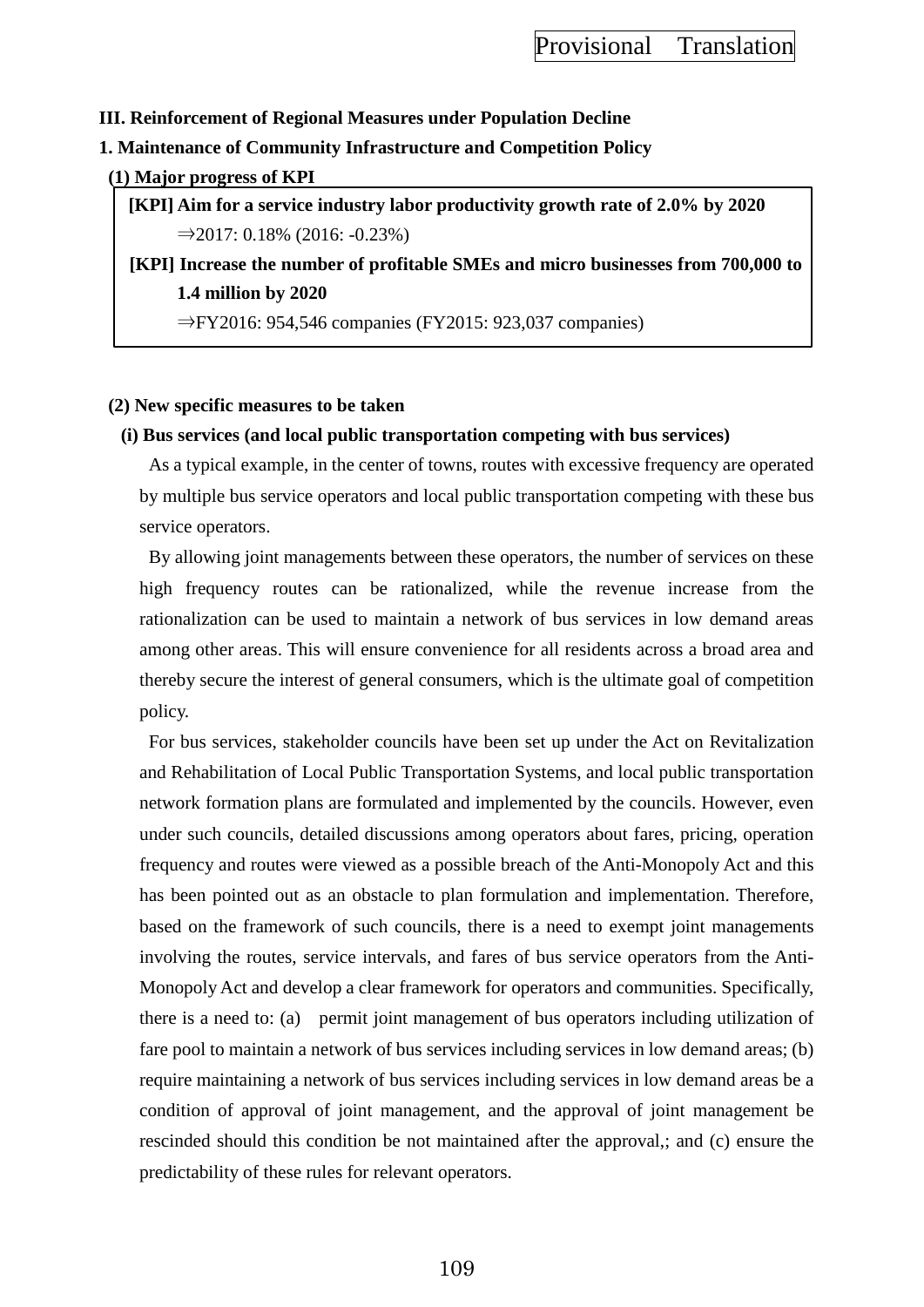### **III. Reinforcement of Regional Measures under Population Decline**

#### **1. Maintenance of Community Infrastructure and Competition Policy**

#### **(1) Major progress of KPI**

**[KPI] Aim for a service industry labor productivity growth rate of 2.0% by 2020**  $\Rightarrow$  2017: 0.18% (2016: −0.23%)

**[KPI] Increase the number of profitable SMEs and micro businesses from 700,000 to 1.4 million by 2020**

⇒FY2016: 954,546 companies (FY2015: 923,037 companies)

### **(2) New specific measures to be taken**

### **(i) Bus services (and local public transportation competing with bus services)**

As a typical example, in the center of towns, routes with excessive frequency are operated by multiple bus service operators and local public transportation competing with these bus service operators.

By allowing joint managements between these operators, the number of services on these high frequency routes can be rationalized, while the revenue increase from the rationalization can be used to maintain a network of bus services in low demand areas among other areas. This will ensure convenience for all residents across a broad area and thereby secure the interest of general consumers, which is the ultimate goal of competition policy.

For bus services, stakeholder councils have been set up under the Act on Revitalization and Rehabilitation of Local Public Transportation Systems, and local public transportation network formation plans are formulated and implemented by the councils. However, even under such councils, detailed discussions among operators about fares, pricing, operation frequency and routes were viewed as a possible breach of the Anti-Monopoly Act and this has been pointed out as an obstacle to plan formulation and implementation. Therefore, based on the framework of such councils, there is a need to exempt joint managements involving the routes, service intervals, and fares of bus service operators from the Anti-Monopoly Act and develop a clear framework for operators and communities. Specifically, there is a need to: (a) permit joint management of bus operators including utilization of fare pool to maintain a network of bus services including services in low demand areas; (b) require maintaining a network of bus services including services in low demand areas be a condition of approval of joint management, and the approval of joint management be rescinded should this condition be not maintained after the approval,; and (c) ensure the predictability of these rules for relevant operators.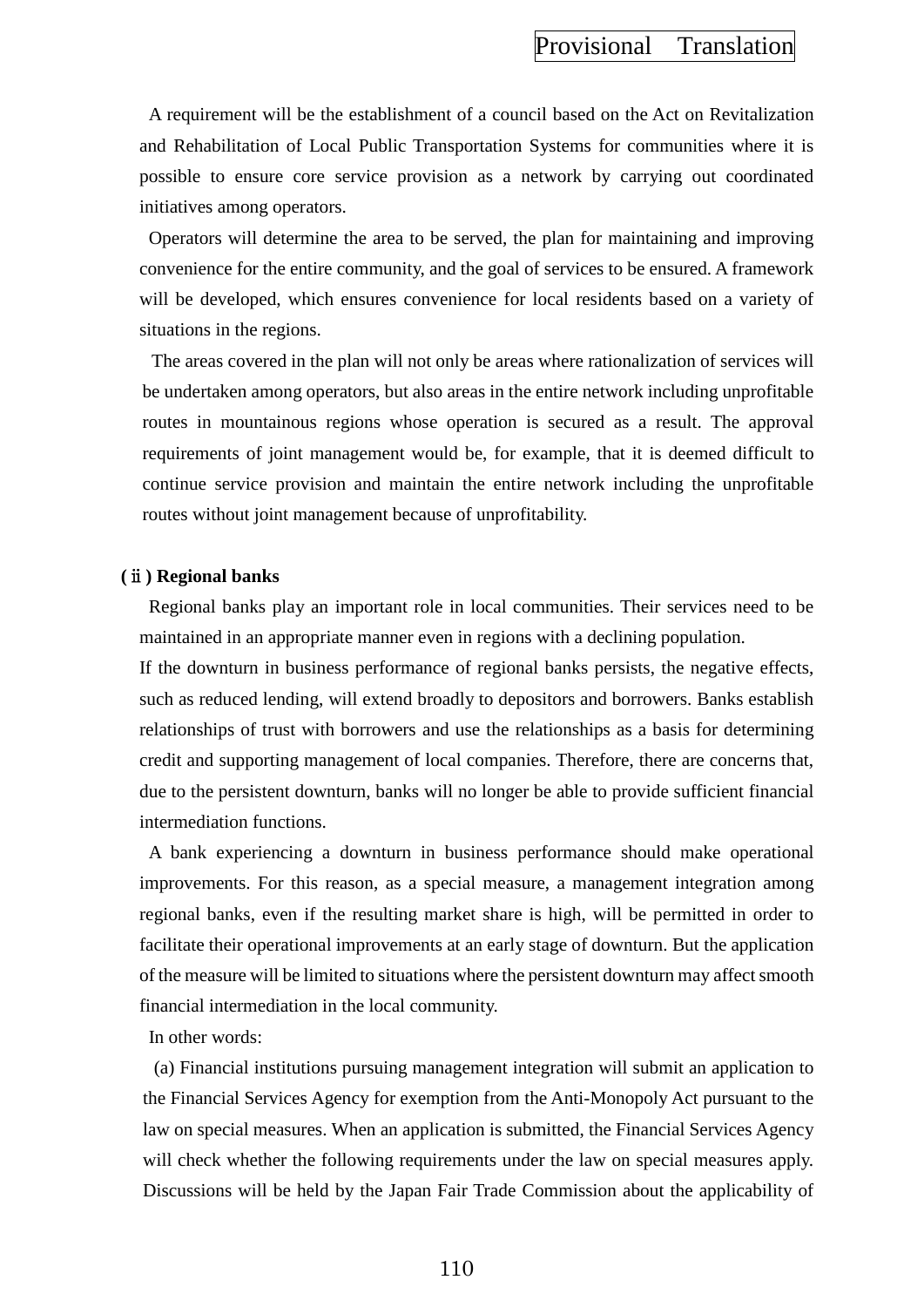A requirement will be the establishment of a council based on the Act on Revitalization and Rehabilitation of Local Public Transportation Systems for communities where it is possible to ensure core service provision as a network by carrying out coordinated initiatives among operators.

Operators will determine the area to be served, the plan for maintaining and improving convenience for the entire community, and the goal of services to be ensured. A framework will be developed, which ensures convenience for local residents based on a variety of situations in the regions.

The areas covered in the plan will not only be areas where rationalization of services will be undertaken among operators, but also areas in the entire network including unprofitable routes in mountainous regions whose operation is secured as a result. The approval requirements of joint management would be, for example, that it is deemed difficult to continue service provision and maintain the entire network including the unprofitable routes without joint management because of unprofitability.

#### **(**ⅱ**) Regional banks**

Regional banks play an important role in local communities. Their services need to be maintained in an appropriate manner even in regions with a declining population.

If the downturn in business performance of regional banks persists, the negative effects, such as reduced lending, will extend broadly to depositors and borrowers. Banks establish relationships of trust with borrowers and use the relationships as a basis for determining credit and supporting management of local companies. Therefore, there are concerns that, due to the persistent downturn, banks will no longer be able to provide sufficient financial intermediation functions.

A bank experiencing a downturn in business performance should make operational improvements. For this reason, as a special measure, a management integration among regional banks, even if the resulting market share is high, will be permitted in order to facilitate their operational improvements at an early stage of downturn. But the application of the measure will be limited to situations where the persistent downturn may affect smooth financial intermediation in the local community.

In other words:

(a) Financial institutions pursuing management integration will submit an application to the Financial Services Agency for exemption from the Anti-Monopoly Act pursuant to the law on special measures. When an application is submitted, the Financial Services Agency will check whether the following requirements under the law on special measures apply. Discussions will be held by the Japan Fair Trade Commission about the applicability of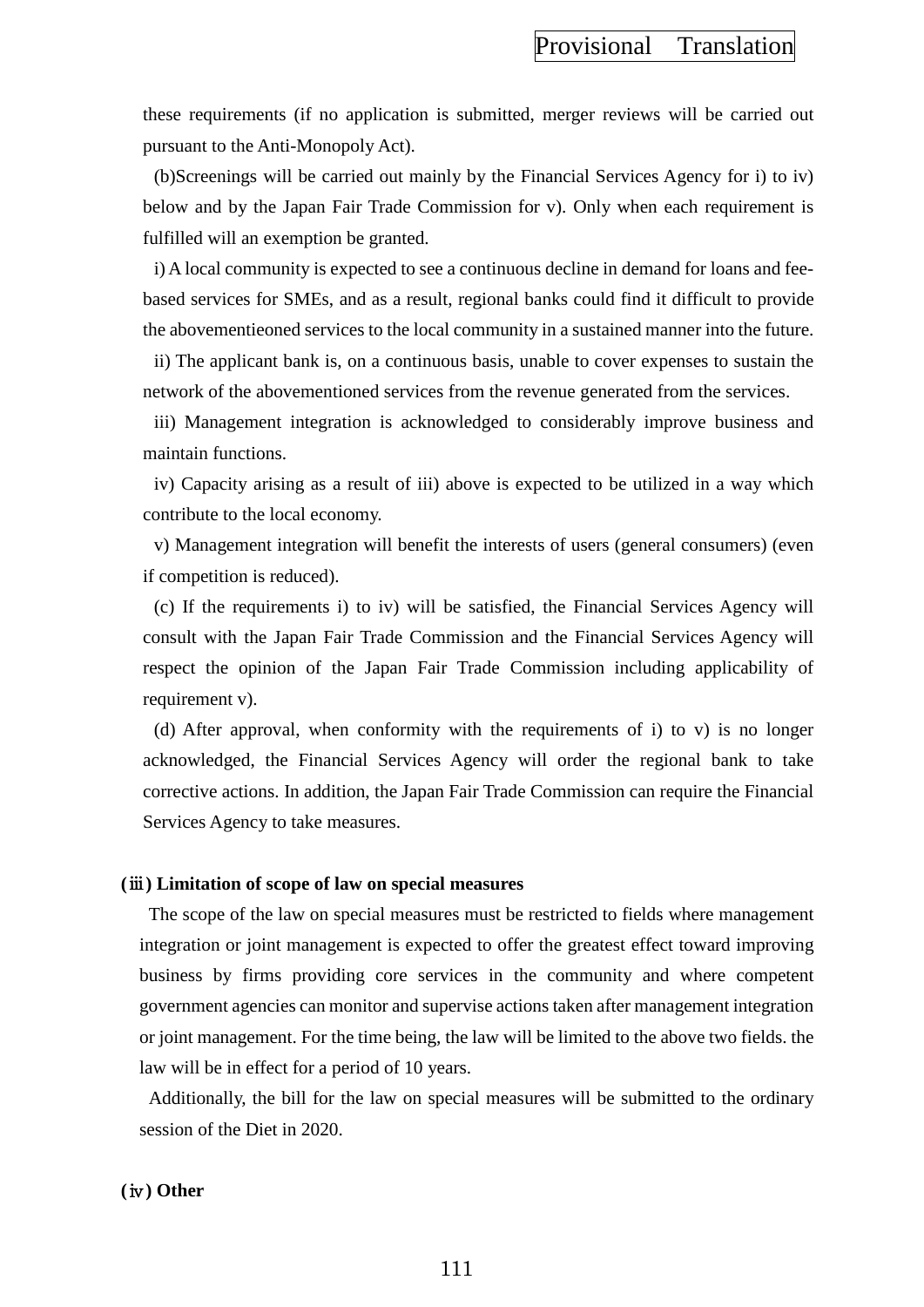these requirements (if no application is submitted, merger reviews will be carried out pursuant to the Anti-Monopoly Act).

(b)Screenings will be carried out mainly by the Financial Services Agency for i) to iv) below and by the Japan Fair Trade Commission for v). Only when each requirement is fulfilled will an exemption be granted.

i) A local community is expected to see a continuous decline in demand for loans and feebased services for SMEs, and as a result, regional banks could find it difficult to provide the abovementieoned services to the local community in a sustained manner into the future.

ii) The applicant bank is, on a continuous basis, unable to cover expenses to sustain the network of the abovementioned services from the revenue generated from the services.

iii) Management integration is acknowledged to considerably improve business and maintain functions.

iv) Capacity arising as a result of iii) above is expected to be utilized in a way which contribute to the local economy.

v) Management integration will benefit the interests of users (general consumers) (even if competition is reduced).

(c) If the requirements i) to iv) will be satisfied, the Financial Services Agency will consult with the Japan Fair Trade Commission and the Financial Services Agency will respect the opinion of the Japan Fair Trade Commission including applicability of requirement v).

(d) After approval, when conformity with the requirements of i) to v) is no longer acknowledged, the Financial Services Agency will order the regional bank to take corrective actions. In addition, the Japan Fair Trade Commission can require the Financial Services Agency to take measures.

#### **(**ⅲ**) Limitation of scope of law on special measures**

The scope of the law on special measures must be restricted to fields where management integration or joint management is expected to offer the greatest effect toward improving business by firms providing core services in the community and where competent government agencies can monitor and supervise actions taken after management integration or joint management. For the time being, the law will be limited to the above two fields. the law will be in effect for a period of 10 years.

Additionally, the bill for the law on special measures will be submitted to the ordinary session of the Diet in 2020.

#### **(**ⅳ**) Other**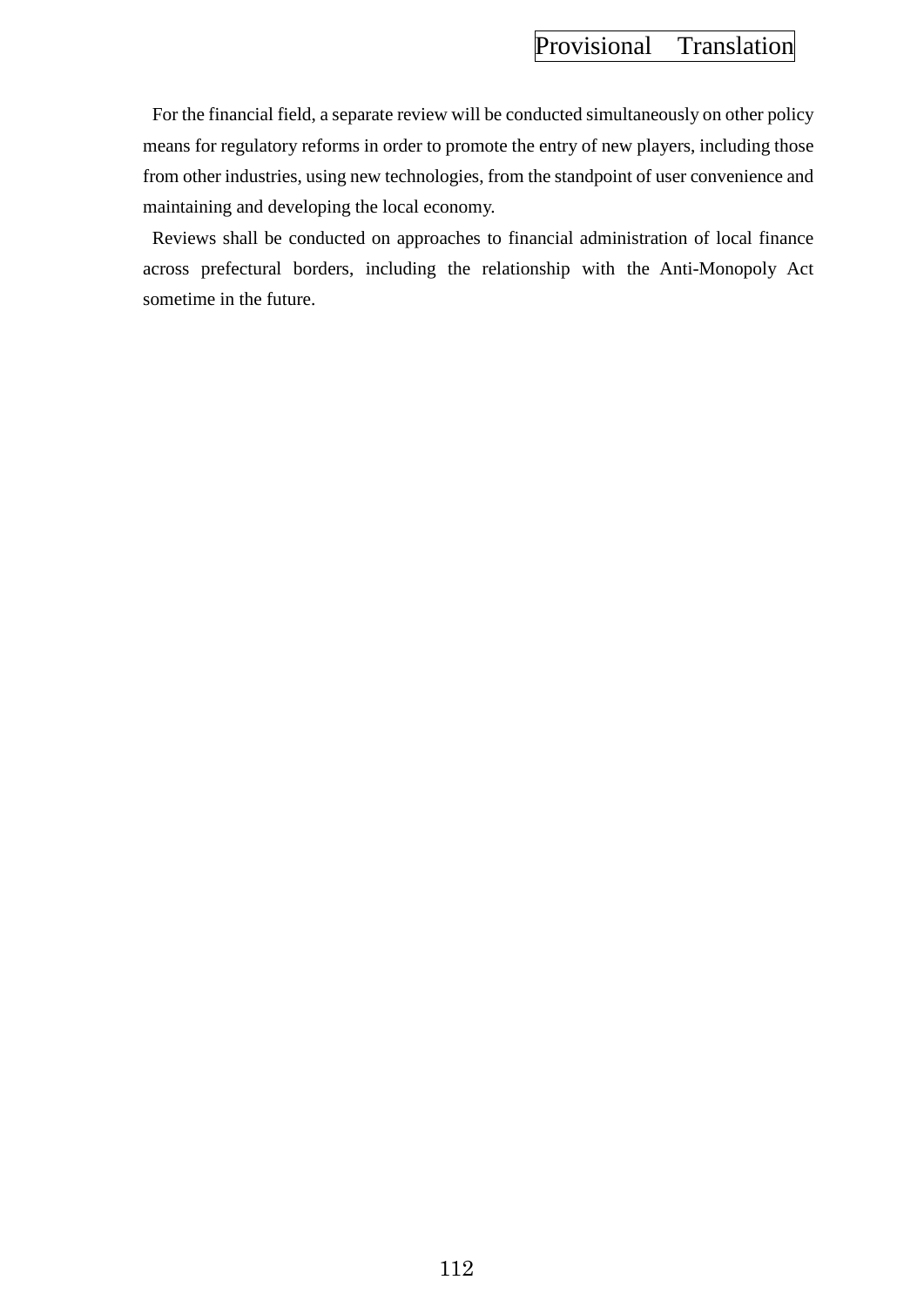For the financial field, a separate review will be conducted simultaneously on other policy means for regulatory reforms in order to promote the entry of new players, including those from other industries, using new technologies, from the standpoint of user convenience and maintaining and developing the local economy.

Reviews shall be conducted on approaches to financial administration of local finance across prefectural borders, including the relationship with the Anti-Monopoly Act sometime in the future.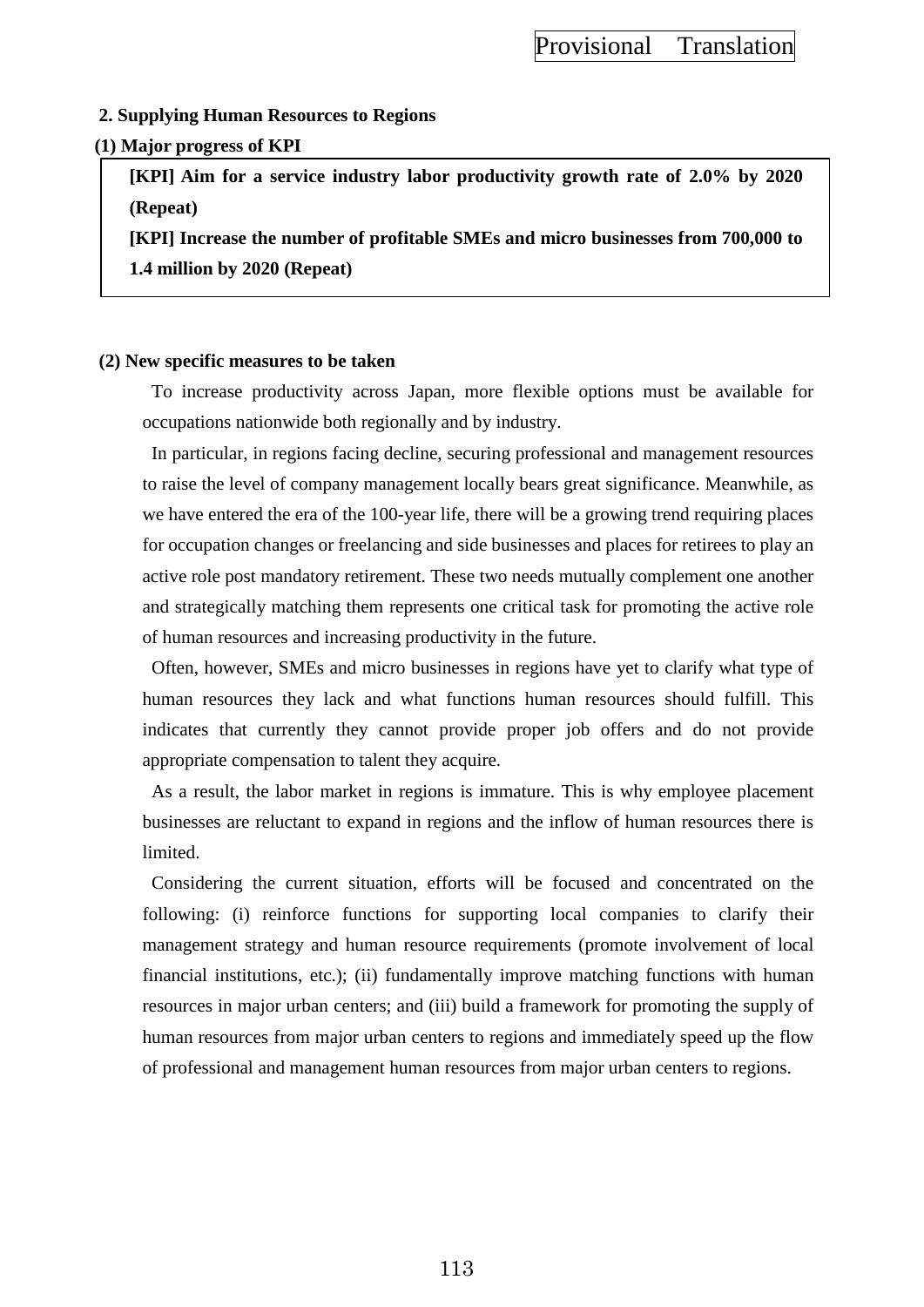### **2. Supplying Human Resources to Regions**

### **(1) Major progress of KPI**

**[KPI] Aim for a service industry labor productivity growth rate of 2.0% by 2020 (Repeat)**

**[KPI] Increase the number of profitable SMEs and micro businesses from 700,000 to 1.4 million by 2020 (Repeat)**

### **(2) New specific measures to be taken**

To increase productivity across Japan, more flexible options must be available for occupations nationwide both regionally and by industry.

In particular, in regions facing decline, securing professional and management resources to raise the level of company management locally bears great significance. Meanwhile, as we have entered the era of the 100-year life, there will be a growing trend requiring places for occupation changes or freelancing and side businesses and places for retirees to play an active role post mandatory retirement. These two needs mutually complement one another and strategically matching them represents one critical task for promoting the active role of human resources and increasing productivity in the future.

Often, however, SMEs and micro businesses in regions have yet to clarify what type of human resources they lack and what functions human resources should fulfill. This indicates that currently they cannot provide proper job offers and do not provide appropriate compensation to talent they acquire.

As a result, the labor market in regions is immature. This is why employee placement businesses are reluctant to expand in regions and the inflow of human resources there is limited.

Considering the current situation, efforts will be focused and concentrated on the following: (i) reinforce functions for supporting local companies to clarify their management strategy and human resource requirements (promote involvement of local financial institutions, etc.); (ii) fundamentally improve matching functions with human resources in major urban centers; and (iii) build a framework for promoting the supply of human resources from major urban centers to regions and immediately speed up the flow of professional and management human resources from major urban centers to regions.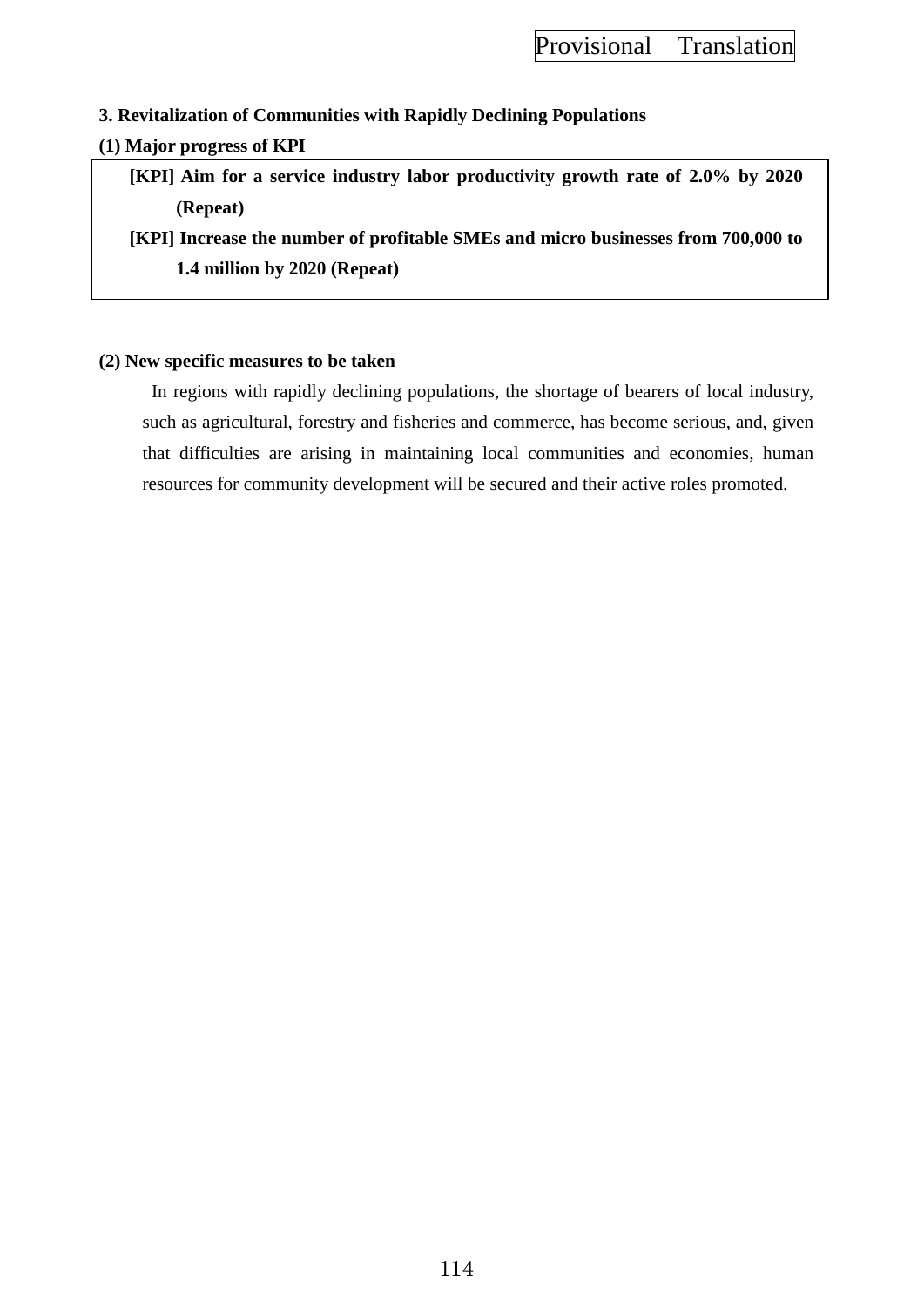# **3. Revitalization of Communities with Rapidly Declining Populations**

### **(1) Major progress of KPI**

**[KPI] Aim for a service industry labor productivity growth rate of 2.0% by 2020 (Repeat)**

**[KPI] Increase the number of profitable SMEs and micro businesses from 700,000 to 1.4 million by 2020 (Repeat)**

### **(2) New specific measures to be taken**

In regions with rapidly declining populations, the shortage of bearers of local industry, such as agricultural, forestry and fisheries and commerce, has become serious, and, given that difficulties are arising in maintaining local communities and economies, human resources for community development will be secured and their active roles promoted.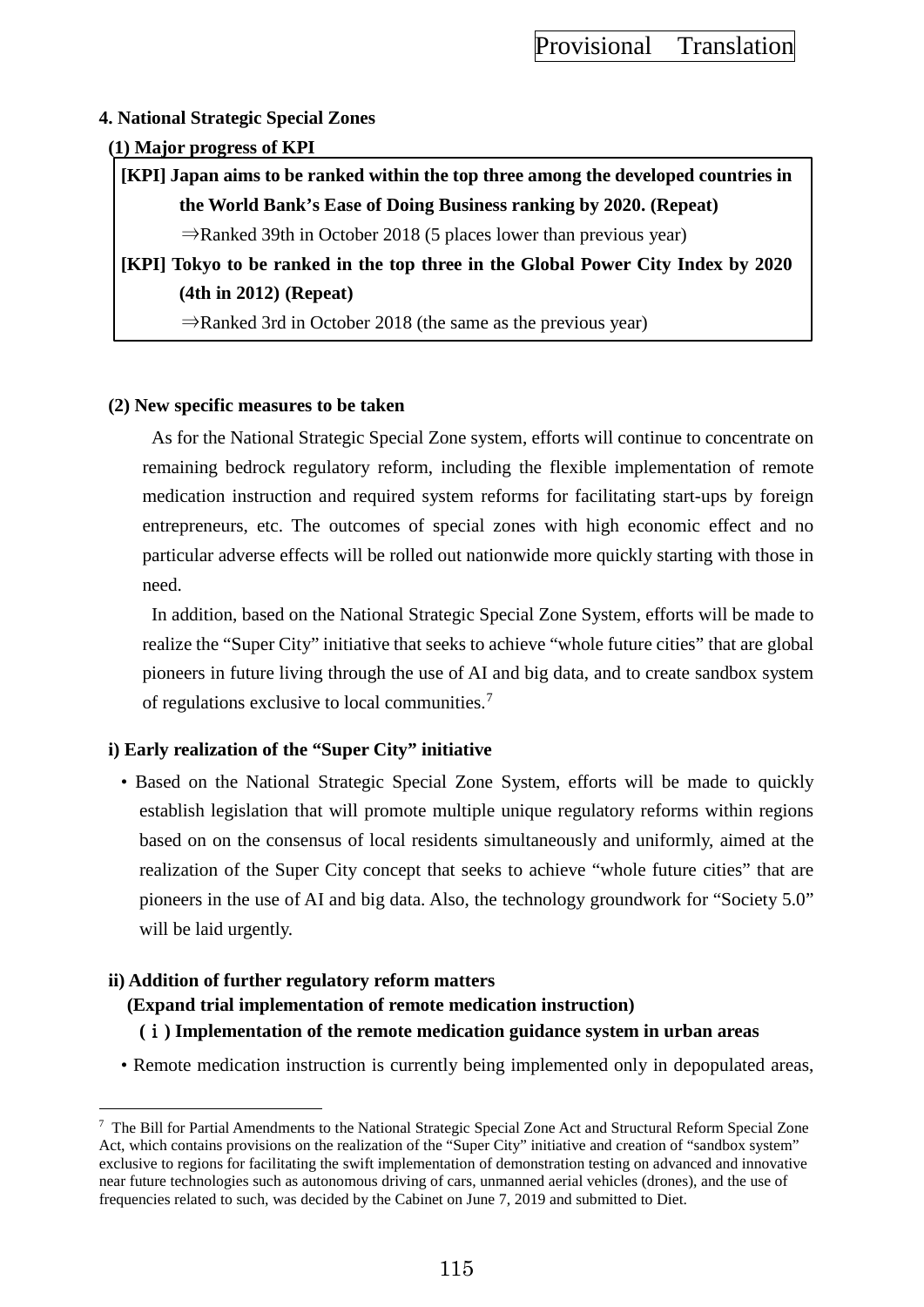### **4. National Strategic Special Zones**

### **(1) Major progress of KPI**

**[KPI] Japan aims to be ranked within the top three among the developed countries in the World Bank's Ease of Doing Business ranking by 2020. (Repeat)**

 $\Rightarrow$ Ranked 39th in October 2018 (5 places lower than previous year)

**[KPI] Tokyo to be ranked in the top three in the Global Power City Index by 2020 (4th in 2012) (Repeat)**

⇒Ranked 3rd in October 2018 (the same as the previous year)

### **(2) New specific measures to be taken**

As for the National Strategic Special Zone system, efforts will continue to concentrate on remaining bedrock regulatory reform, including the flexible implementation of remote medication instruction and required system reforms for facilitating start-ups by foreign entrepreneurs, etc. The outcomes of special zones with high economic effect and no particular adverse effects will be rolled out nationwide more quickly starting with those in need.

In addition, based on the National Strategic Special Zone System, efforts will be made to realize the "Super City" initiative that seeks to achieve "whole future cities" that are global pioneers in future living through the use of AI and big data, and to create sandbox system of regulations exclusive to local communities.[7](#page-124-0)

# **i) Early realization of the "Super City" initiative**

• Based on the National Strategic Special Zone System, efforts will be made to quickly establish legislation that will promote multiple unique regulatory reforms within regions based on on the consensus of local residents simultaneously and uniformly, aimed at the realization of the Super City concept that seeks to achieve "whole future cities" that are pioneers in the use of AI and big data. Also, the technology groundwork for "Society 5.0" will be laid urgently.

# **ii) Addition of further regulatory reform matters**

 $\overline{a}$ 

**(Expand trial implementation of remote medication instruction)**

**(**ⅰ**) Implementation of the remote medication guidance system in urban areas**

• Remote medication instruction is currently being implemented only in depopulated areas,

<span id="page-124-0"></span> $7$  The Bill for Partial Amendments to the National Strategic Special Zone Act and Structural Reform Special Zone Act, which contains provisions on the realization of the "Super City" initiative and creation of "sandbox system" exclusive to regions for facilitating the swift implementation of demonstration testing on advanced and innovative near future technologies such as autonomous driving of cars, unmanned aerial vehicles (drones), and the use of frequencies related to such, was decided by the Cabinet on June 7, 2019 and submitted to Diet.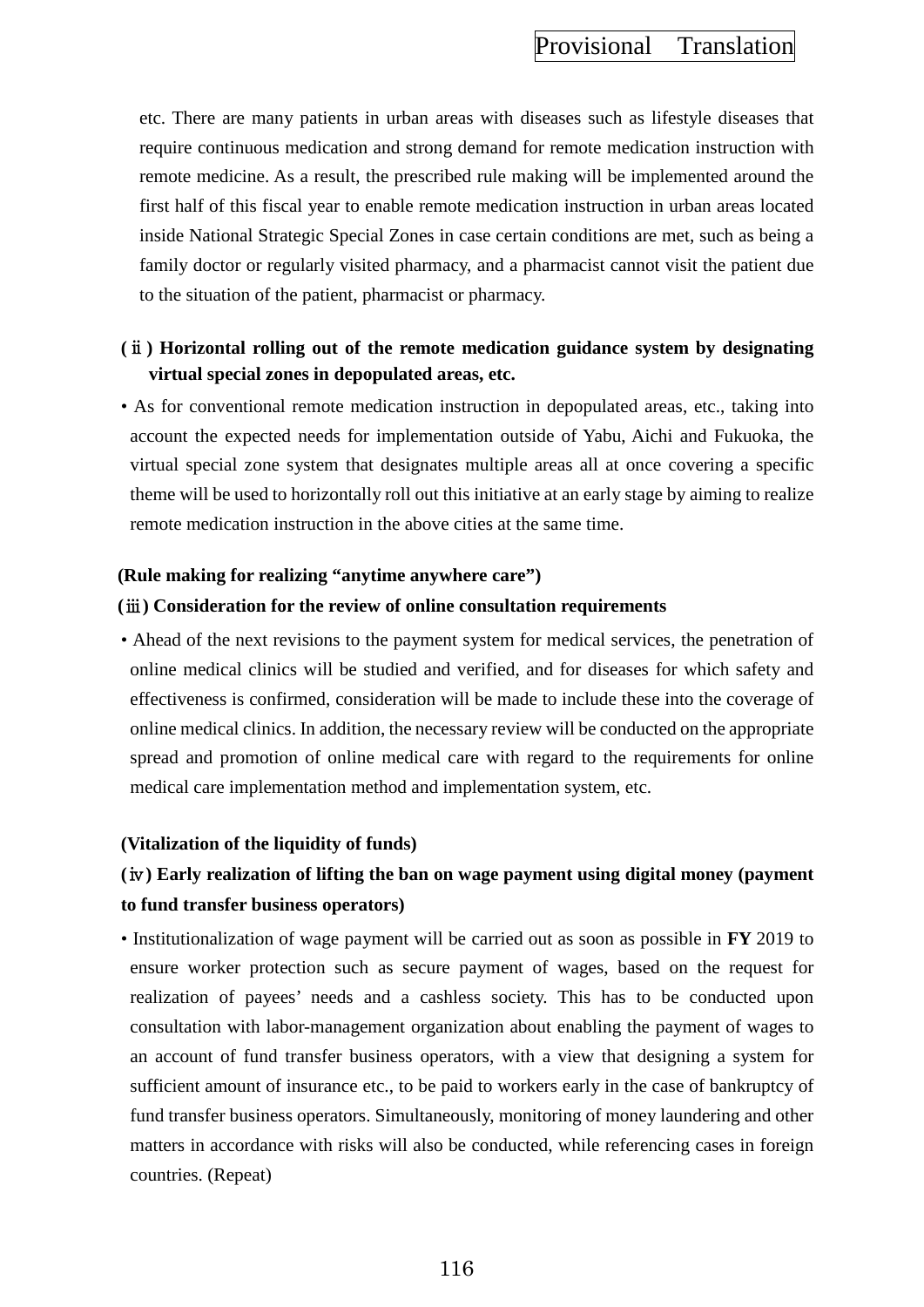etc. There are many patients in urban areas with diseases such as lifestyle diseases that require continuous medication and strong demand for remote medication instruction with remote medicine. As a result, the prescribed rule making will be implemented around the first half of this fiscal year to enable remote medication instruction in urban areas located inside National Strategic Special Zones in case certain conditions are met, such as being a family doctor or regularly visited pharmacy, and a pharmacist cannot visit the patient due to the situation of the patient, pharmacist or pharmacy.

# **(**ⅱ**) Horizontal rolling out of the remote medication guidance system by designating virtual special zones in depopulated areas, etc.**

• As for conventional remote medication instruction in depopulated areas, etc., taking into account the expected needs for implementation outside of Yabu, Aichi and Fukuoka, the virtual special zone system that designates multiple areas all at once covering a specific theme will be used to horizontally roll out this initiative at an early stage by aiming to realize remote medication instruction in the above cities at the same time.

### **(Rule making for realizing "anytime anywhere care")**

### **(**ⅲ**) Consideration for the review of online consultation requirements**

• Ahead of the next revisions to the payment system for medical services, the penetration of online medical clinics will be studied and verified, and for diseases for which safety and effectiveness is confirmed, consideration will be made to include these into the coverage of online medical clinics. In addition, the necessary review will be conducted on the appropriate spread and promotion of online medical care with regard to the requirements for online medical care implementation method and implementation system, etc.

### **(Vitalization of the liquidity of funds)**

# **(**ⅳ**) Early realization of lifting the ban on wage payment using digital money (payment to fund transfer business operators)**

• Institutionalization of wage payment will be carried out as soon as possible in **FY** 2019 to ensure worker protection such as secure payment of wages, based on the request for realization of payees' needs and a cashless society. This has to be conducted upon consultation with labor-management organization about enabling the payment of wages to an account of fund transfer business operators, with a view that designing a system for sufficient amount of insurance etc., to be paid to workers early in the case of bankruptcy of fund transfer business operators. Simultaneously, monitoring of money laundering and other matters in accordance with risks will also be conducted, while referencing cases in foreign countries. (Repeat)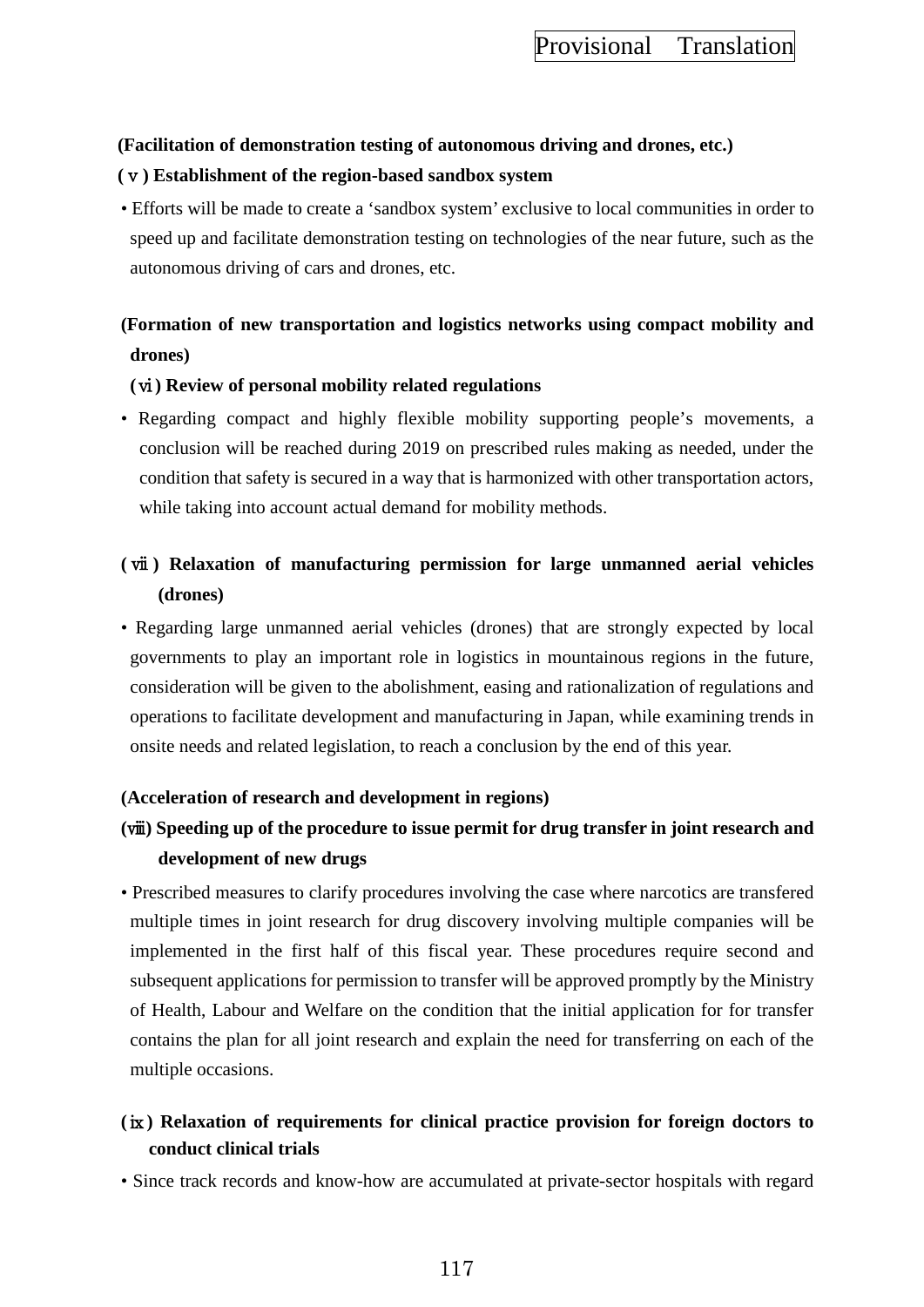### **(Facilitation of demonstration testing of autonomous driving and drones, etc.)**

### **(**ⅴ**) Establishment of the region-based sandbox system**

• Efforts will be made to create a 'sandbox system' exclusive to local communities in order to speed up and facilitate demonstration testing on technologies of the near future, such as the autonomous driving of cars and drones, etc.

# **(Formation of new transportation and logistics networks using compact mobility and drones)**

### **(**ⅵ**) Review of personal mobility related regulations**

• Regarding compact and highly flexible mobility supporting people's movements, a conclusion will be reached during 2019 on prescribed rules making as needed, under the condition that safety is secured in a way that is harmonized with other transportation actors, while taking into account actual demand for mobility methods.

# **(** ⅶ **) Relaxation of manufacturing permission for large unmanned aerial vehicles (drones)**

• Regarding large unmanned aerial vehicles (drones) that are strongly expected by local governments to play an important role in logistics in mountainous regions in the future, consideration will be given to the abolishment, easing and rationalization of regulations and operations to facilitate development and manufacturing in Japan, while examining trends in onsite needs and related legislation, to reach a conclusion by the end of this year.

# **(Acceleration of research and development in regions)**

# **(**ⅷ**) Speeding up of the procedure to issue permit for drug transfer in joint research and development of new drugs**

• Prescribed measures to clarify procedures involving the case where narcotics are transfered multiple times in joint research for drug discovery involving multiple companies will be implemented in the first half of this fiscal year. These procedures require second and subsequent applications for permission to transfer will be approved promptly by the Ministry of Health, Labour and Welfare on the condition that the initial application for for transfer contains the plan for all joint research and explain the need for transferring on each of the multiple occasions.

# **(**ⅸ**) Relaxation of requirements for clinical practice provision for foreign doctors to conduct clinical trials**

• Since track records and know-how are accumulated at private-sector hospitals with regard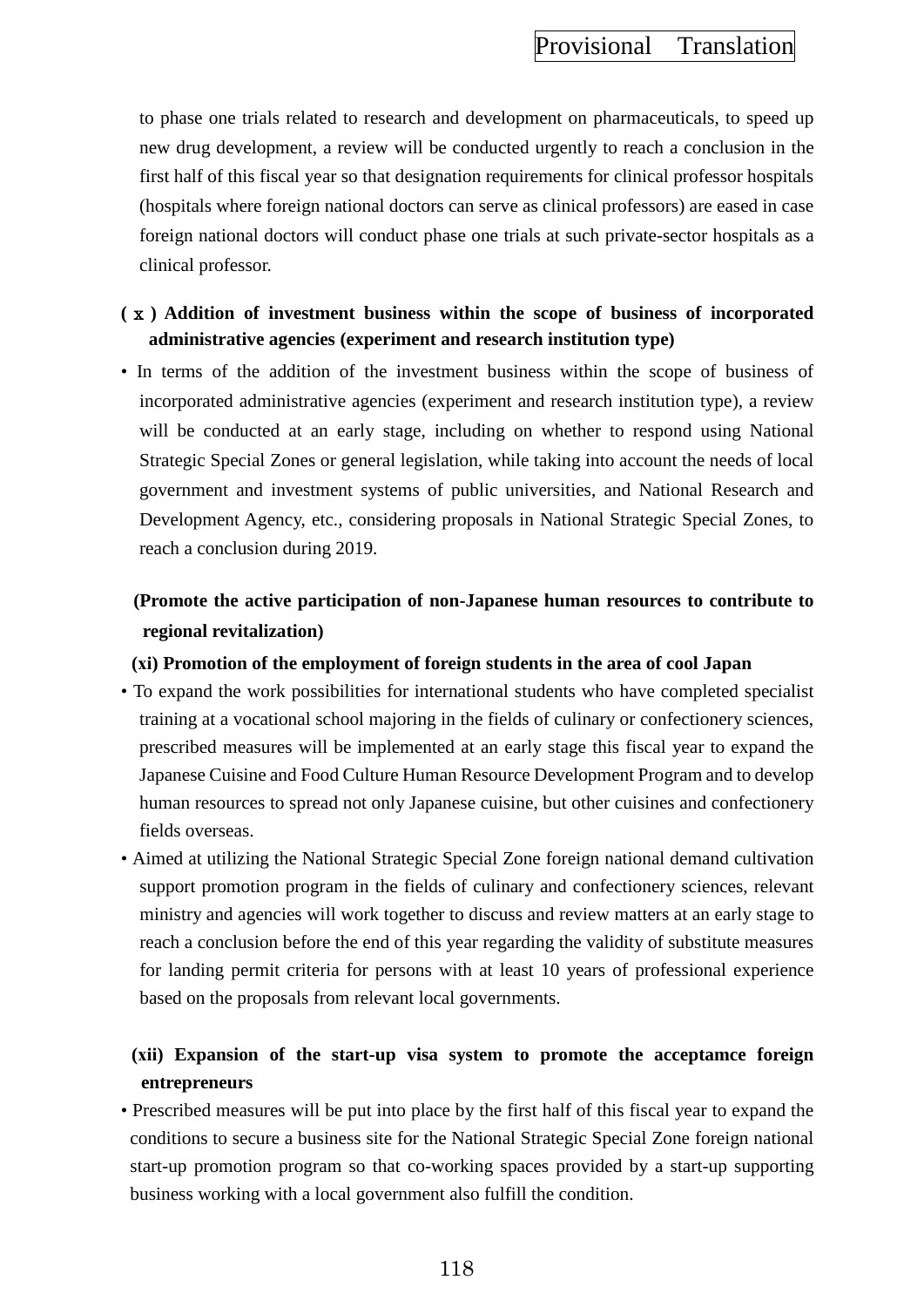to phase one trials related to research and development on pharmaceuticals, to speed up new drug development, a review will be conducted urgently to reach a conclusion in the first half of this fiscal year so that designation requirements for clinical professor hospitals (hospitals where foreign national doctors can serve as clinical professors) are eased in case foreign national doctors will conduct phase one trials at such private-sector hospitals as a clinical professor.

# **(**ⅹ**) Addition of investment business within the scope of business of incorporated administrative agencies (experiment and research institution type)**

• In terms of the addition of the investment business within the scope of business of incorporated administrative agencies (experiment and research institution type), a review will be conducted at an early stage, including on whether to respond using National Strategic Special Zones or general legislation, while taking into account the needs of local government and investment systems of public universities, and National Research and Development Agency, etc., considering proposals in National Strategic Special Zones, to reach a conclusion during 2019.

# **(Promote the active participation of non-Japanese human resources to contribute to regional revitalization)**

### **(ⅺ) Promotion of the employment of foreign students in the area of cool Japan**

- To expand the work possibilities for international students who have completed specialist training at a vocational school majoring in the fields of culinary or confectionery sciences, prescribed measures will be implemented at an early stage this fiscal year to expand the Japanese Cuisine and Food Culture Human Resource Development Program and to develop human resources to spread not only Japanese cuisine, but other cuisines and confectionery fields overseas.
- Aimed at utilizing the National Strategic Special Zone foreign national demand cultivation support promotion program in the fields of culinary and confectionery sciences, relevant ministry and agencies will work together to discuss and review matters at an early stage to reach a conclusion before the end of this year regarding the validity of substitute measures for landing permit criteria for persons with at least 10 years of professional experience based on the proposals from relevant local governments.

# **(ⅻ) Expansion of the start-up visa system to promote the acceptamce foreign entrepreneurs**

• Prescribed measures will be put into place by the first half of this fiscal year to expand the conditions to secure a business site for the National Strategic Special Zone foreign national start-up promotion program so that co-working spaces provided by a start-up supporting business working with a local government also fulfill the condition.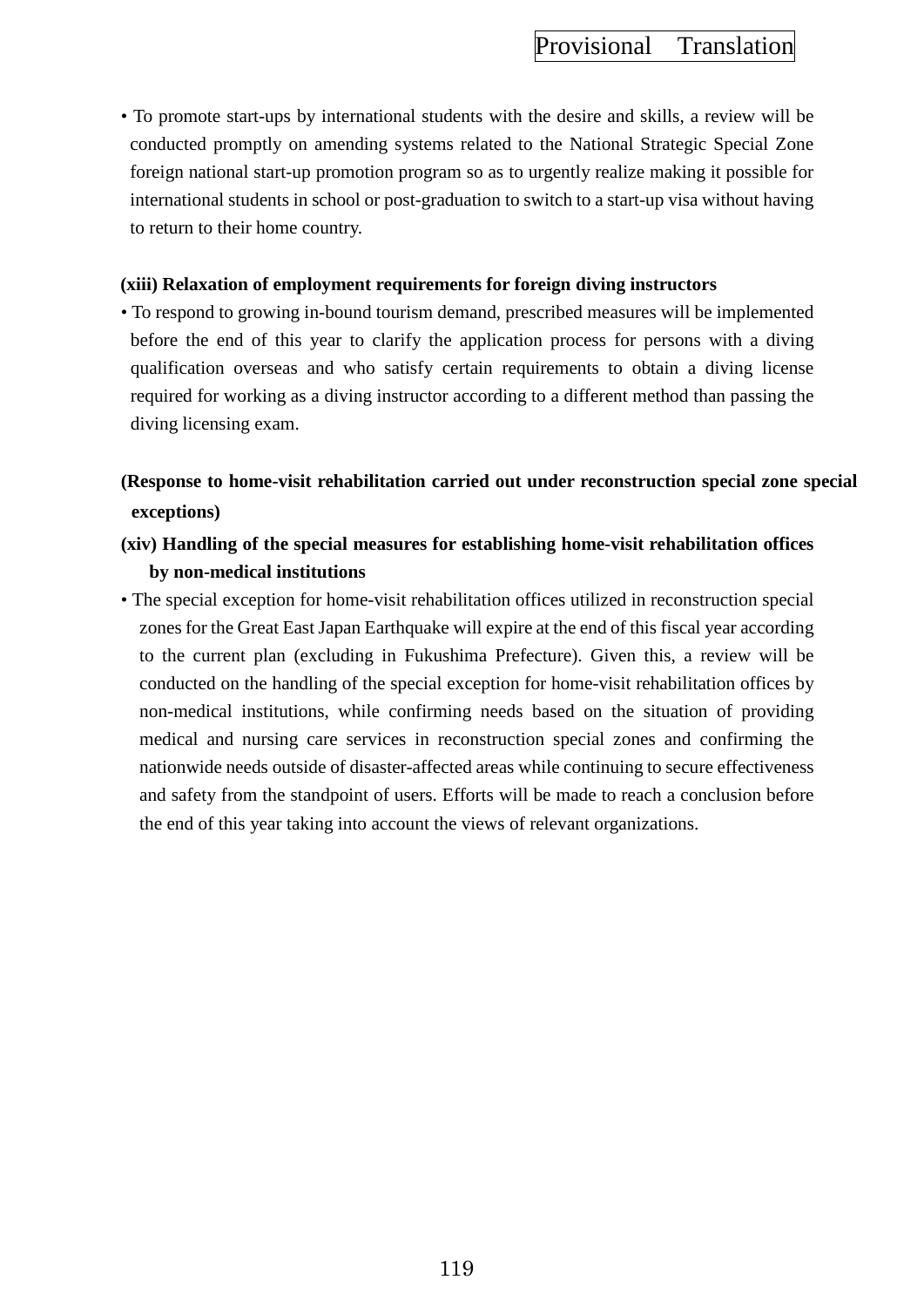• To promote start-ups by international students with the desire and skills, a review will be conducted promptly on amending systems related to the National Strategic Special Zone foreign national start-up promotion program so as to urgently realize making it possible for international students in school or post-graduation to switch to a start-up visa without having to return to their home country.

### **(xiii) Relaxation of employment requirements for foreign diving instructors**

• To respond to growing in-bound tourism demand, prescribed measures will be implemented before the end of this year to clarify the application process for persons with a diving qualification overseas and who satisfy certain requirements to obtain a diving license required for working as a diving instructor according to a different method than passing the diving licensing exam.

# **(Response to home-visit rehabilitation carried out under reconstruction special zone special exceptions)**

- **(xiv) Handling of the special measures for establishing home-visit rehabilitation offices by non-medical institutions**
- The special exception for home-visit rehabilitation offices utilized in reconstruction special zones for the Great East Japan Earthquake will expire at the end of this fiscal year according to the current plan (excluding in Fukushima Prefecture). Given this, a review will be conducted on the handling of the special exception for home-visit rehabilitation offices by non-medical institutions, while confirming needs based on the situation of providing medical and nursing care services in reconstruction special zones and confirming the nationwide needs outside of disaster-affected areas while continuing to secure effectiveness and safety from the standpoint of users. Efforts will be made to reach a conclusion before the end of this year taking into account the views of relevant organizations.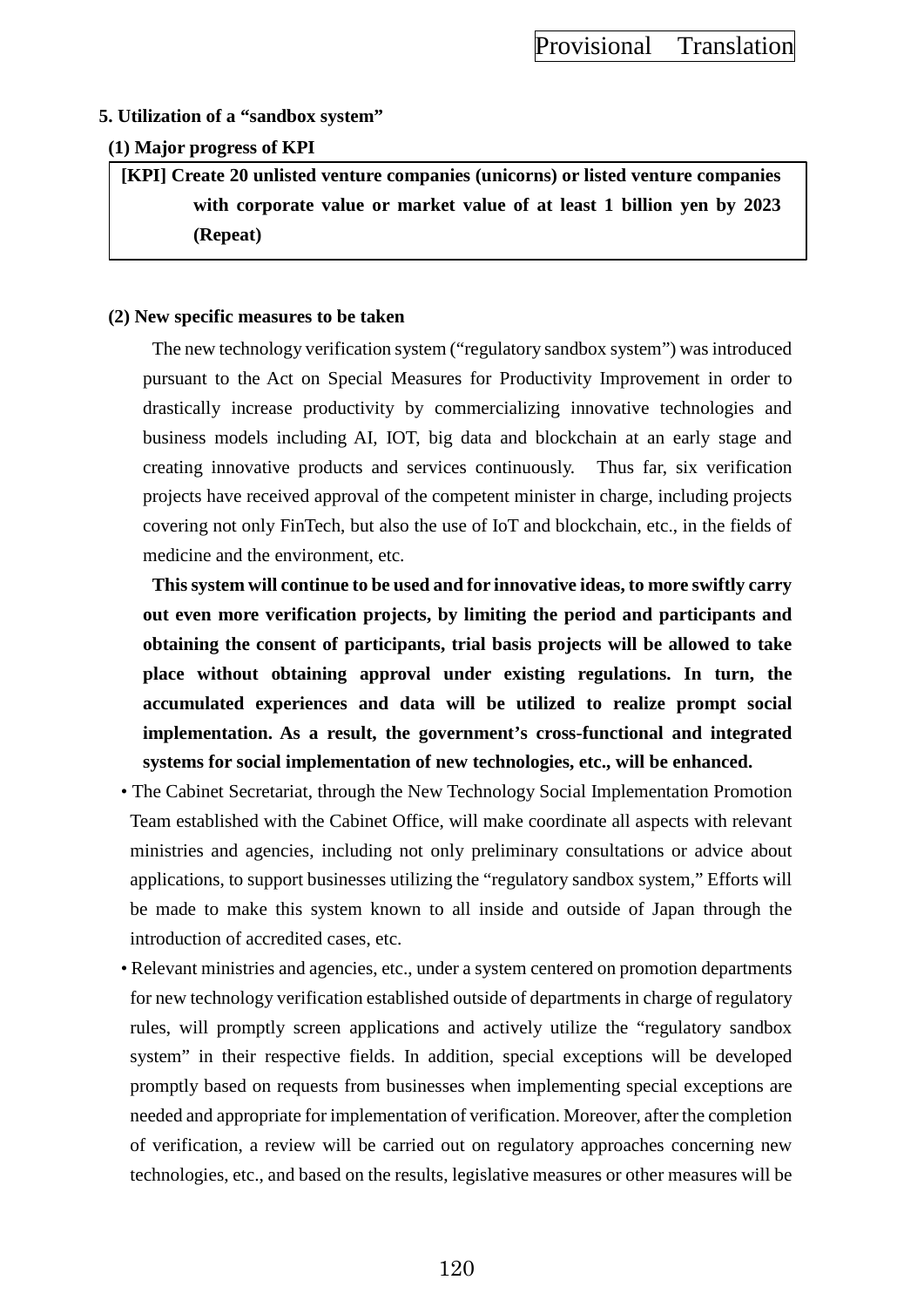### **5. Utilization of a "sandbox system"**

### **(1) Major progress of KPI**

**[KPI] Create 20 unlisted venture companies (unicorns) or listed venture companies with corporate value or market value of at least 1 billion yen by 2023 (Repeat)**

### **(2) New specific measures to be taken**

The new technology verification system ("regulatory sandbox system") was introduced pursuant to the Act on Special Measures for Productivity Improvement in order to drastically increase productivity by commercializing innovative technologies and business models including AI, IOT, big data and blockchain at an early stage and creating innovative products and services continuously. Thus far, six verification projects have received approval of the competent minister in charge, including projects covering not only FinTech, but also the use of IoT and blockchain, etc., in the fields of medicine and the environment, etc.

**This system will continue to be used and for innovative ideas, to more swiftly carry out even more verification projects, by limiting the period and participants and obtaining the consent of participants, trial basis projects will be allowed to take place without obtaining approval under existing regulations. In turn, the accumulated experiences and data will be utilized to realize prompt social implementation. As a result, the government's cross-functional and integrated systems for social implementation of new technologies, etc., will be enhanced.**

- The Cabinet Secretariat, through the New Technology Social Implementation Promotion Team established with the Cabinet Office, will make coordinate all aspects with relevant ministries and agencies, including not only preliminary consultations or advice about applications, to support businesses utilizing the "regulatory sandbox system," Efforts will be made to make this system known to all inside and outside of Japan through the introduction of accredited cases, etc.
- Relevant ministries and agencies, etc., under a system centered on promotion departments for new technology verification established outside of departments in charge of regulatory rules, will promptly screen applications and actively utilize the "regulatory sandbox system" in their respective fields. In addition, special exceptions will be developed promptly based on requests from businesses when implementing special exceptions are needed and appropriate for implementation of verification. Moreover, after the completion of verification, a review will be carried out on regulatory approaches concerning new technologies, etc., and based on the results, legislative measures or other measures will be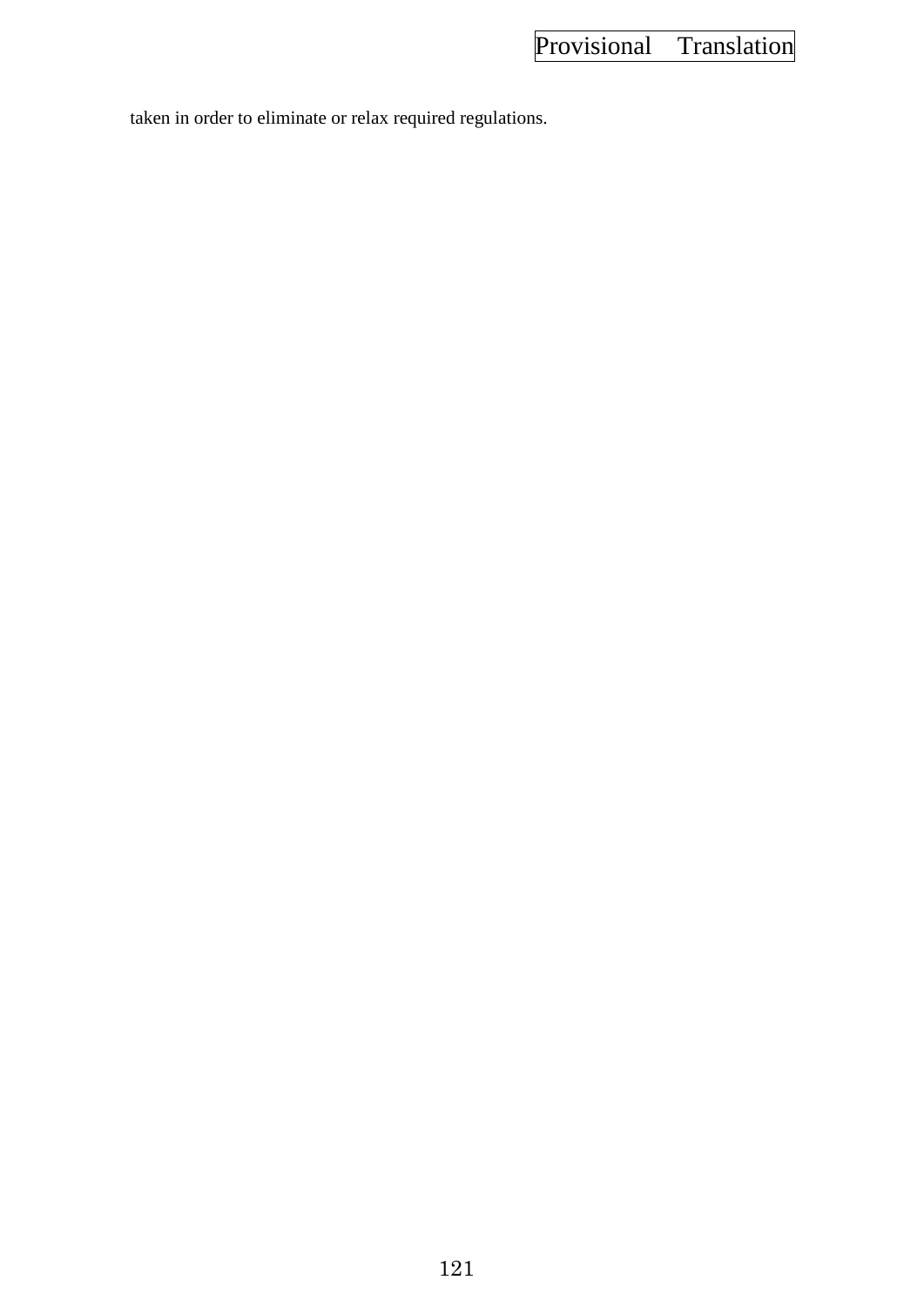taken in order to eliminate or relax required regulations.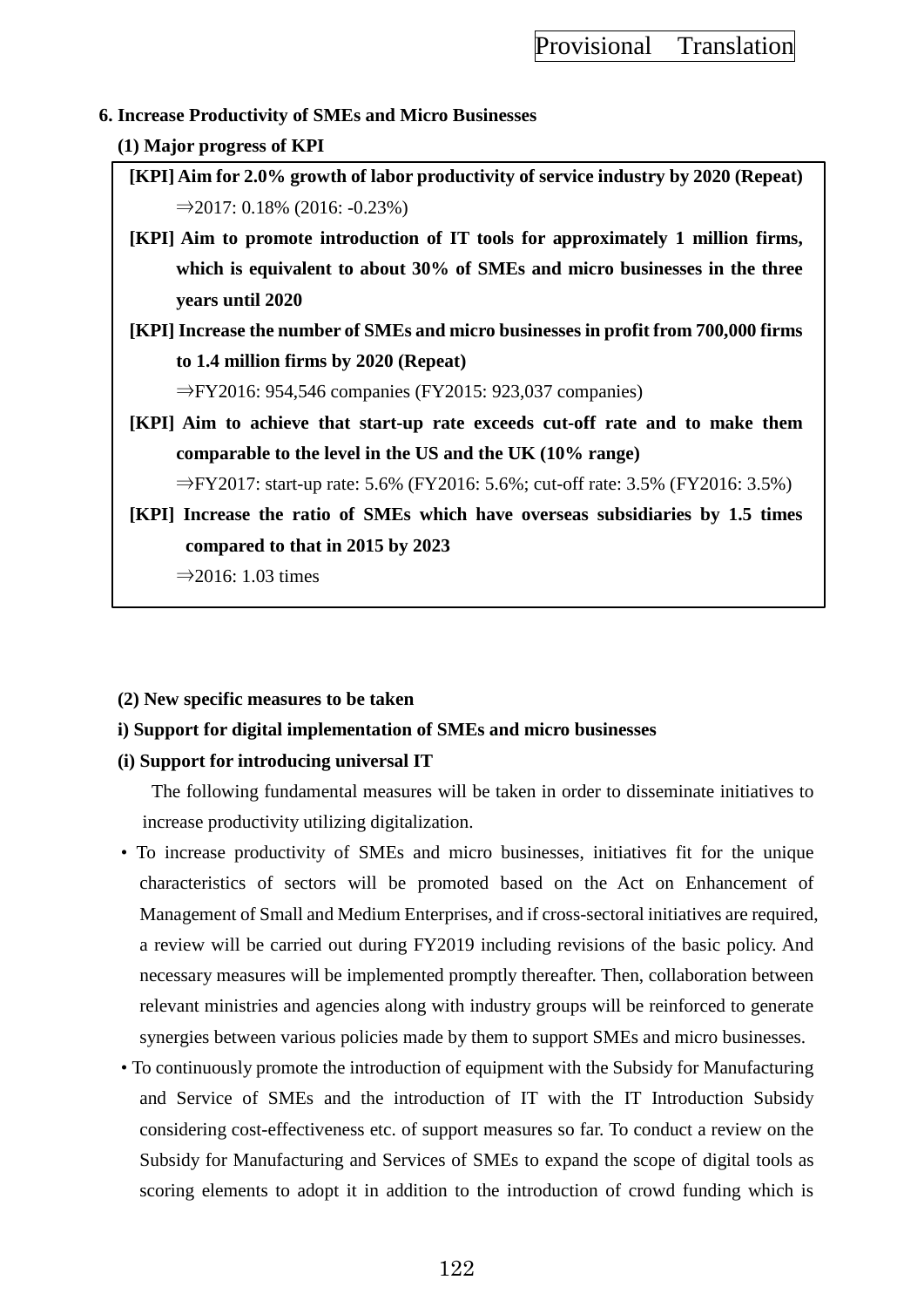### **6. Increase Productivity of SMEs and Micro Businesses**

### **(1) Major progress of KPI**

- **[KPI] Aim for 2.0% growth of labor productivity of service industry by 2020 (Repeat)**  $\Rightarrow$  2017: 0.18% (2016: −0.23%)
- **[KPI] Aim to promote introduction of IT tools for approximately 1 million firms, which is equivalent to about 30% of SMEs and micro businesses in the three years until 2020**
- **[KPI] Increase the number of SMEs and micro businesses in profit from 700,000 firms to 1.4 million firms by 2020 (Repeat)**

⇒FY2016: 954,546 companies (FY2015: 923,037 companies)

**[KPI] Aim to achieve that start-up rate exceeds cut-off rate and to make them comparable to the level in the US and the UK (10% range)**

⇒FY2017: start-up rate: 5.6% (FY2016: 5.6%; cut-off rate: 3.5% (FY2016: 3.5%)

**[KPI] Increase the ratio of SMEs which have overseas subsidiaries by 1.5 times compared to that in 2015 by 2023**

 $\Rightarrow$  2016: 1.03 times

### **(2) New specific measures to be taken**

# **i) Support for digital implementation of SMEs and micro businesses**

# **(i) Support for introducing universal IT**

The following fundamental measures will be taken in order to disseminate initiatives to increase productivity utilizing digitalization.

- To increase productivity of SMEs and micro businesses, initiatives fit for the unique characteristics of sectors will be promoted based on the Act on Enhancement of Management of Small and Medium Enterprises, and if cross-sectoral initiatives are required, a review will be carried out during FY2019 including revisions of the basic policy. And necessary measures will be implemented promptly thereafter. Then, collaboration between relevant ministries and agencies along with industry groups will be reinforced to generate synergies between various policies made by them to support SMEs and micro businesses.
- To continuously promote the introduction of equipment with the Subsidy for Manufacturing and Service of SMEs and the introduction of IT with the IT Introduction Subsidy considering cost-effectiveness etc. of support measures so far. To conduct a review on the Subsidy for Manufacturing and Services of SMEs to expand the scope of digital tools as scoring elements to adopt it in addition to the introduction of crowd funding which is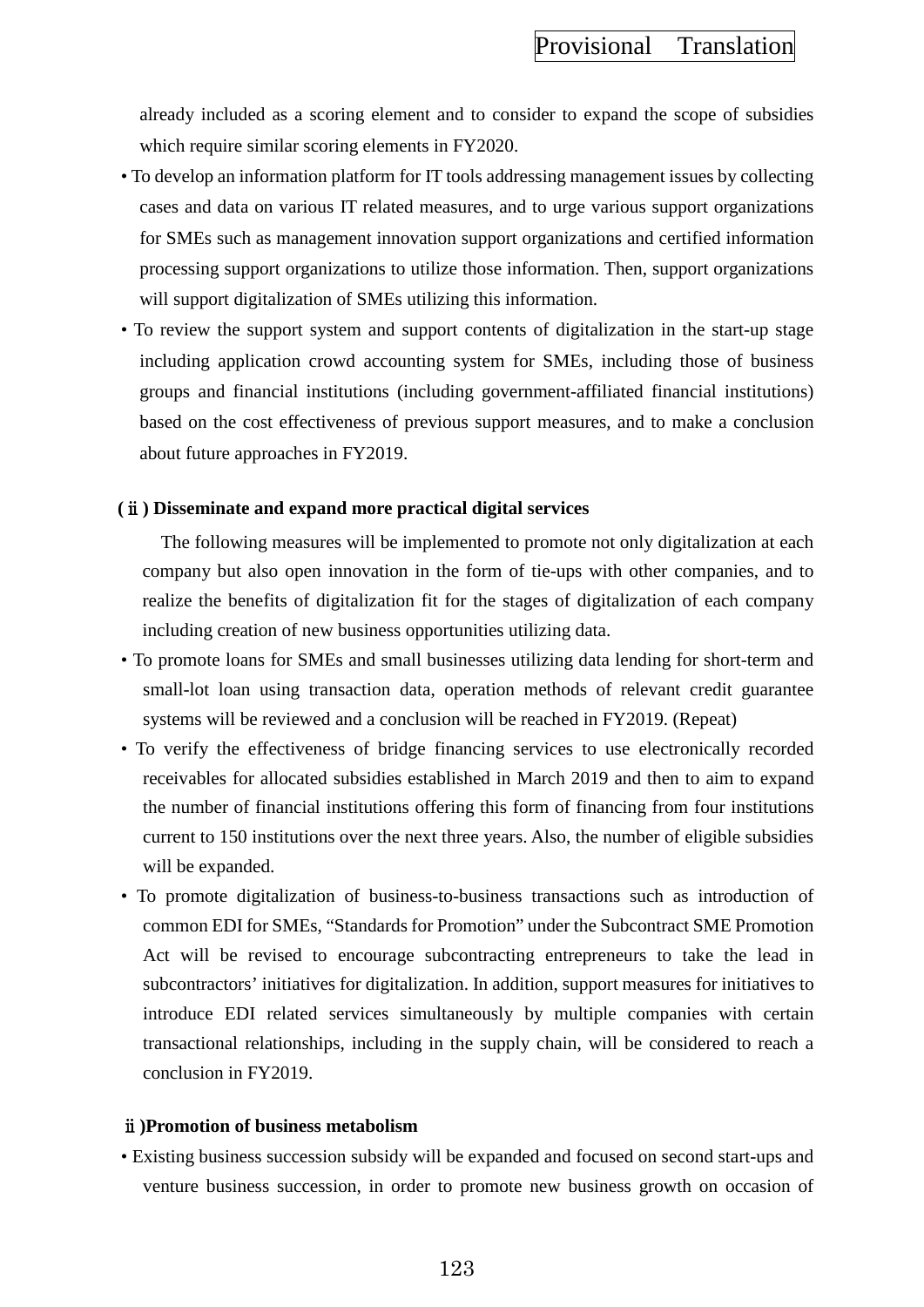already included as a scoring element and to consider to expand the scope of subsidies which require similar scoring elements in FY2020.

- To develop an information platform for IT tools addressing management issues by collecting cases and data on various IT related measures, and to urge various support organizations for SMEs such as management innovation support organizations and certified information processing support organizations to utilize those information. Then, support organizations will support digitalization of SMEs utilizing this information.
- To review the support system and support contents of digitalization in the start-up stage including application crowd accounting system for SMEs, including those of business groups and financial institutions (including government-affiliated financial institutions) based on the cost effectiveness of previous support measures, and to make a conclusion about future approaches in FY2019.

### **(**ⅱ**) Disseminate and expand more practical digital services**

The following measures will be implemented to promote not only digitalization at each company but also open innovation in the form of tie-ups with other companies, and to realize the benefits of digitalization fit for the stages of digitalization of each company including creation of new business opportunities utilizing data.

- To promote loans for SMEs and small businesses utilizing data lending for short-term and small-lot loan using transaction data, operation methods of relevant credit guarantee systems will be reviewed and a conclusion will be reached in FY2019. (Repeat)
- To verify the effectiveness of bridge financing services to use electronically recorded receivables for allocated subsidies established in March 2019 and then to aim to expand the number of financial institutions offering this form of financing from four institutions current to 150 institutions over the next three years. Also, the number of eligible subsidies will be expanded.
- To promote digitalization of business-to-business transactions such as introduction of common EDI for SMEs, "Standards for Promotion" under the Subcontract SME Promotion Act will be revised to encourage subcontracting entrepreneurs to take the lead in subcontractors' initiatives for digitalization. In addition, support measures for initiatives to introduce EDI related services simultaneously by multiple companies with certain transactional relationships, including in the supply chain, will be considered to reach a conclusion in FY2019.

#### ⅱ**)Promotion of business metabolism**

• Existing business succession subsidy will be expanded and focused on second start-ups and venture business succession, in order to promote new business growth on occasion of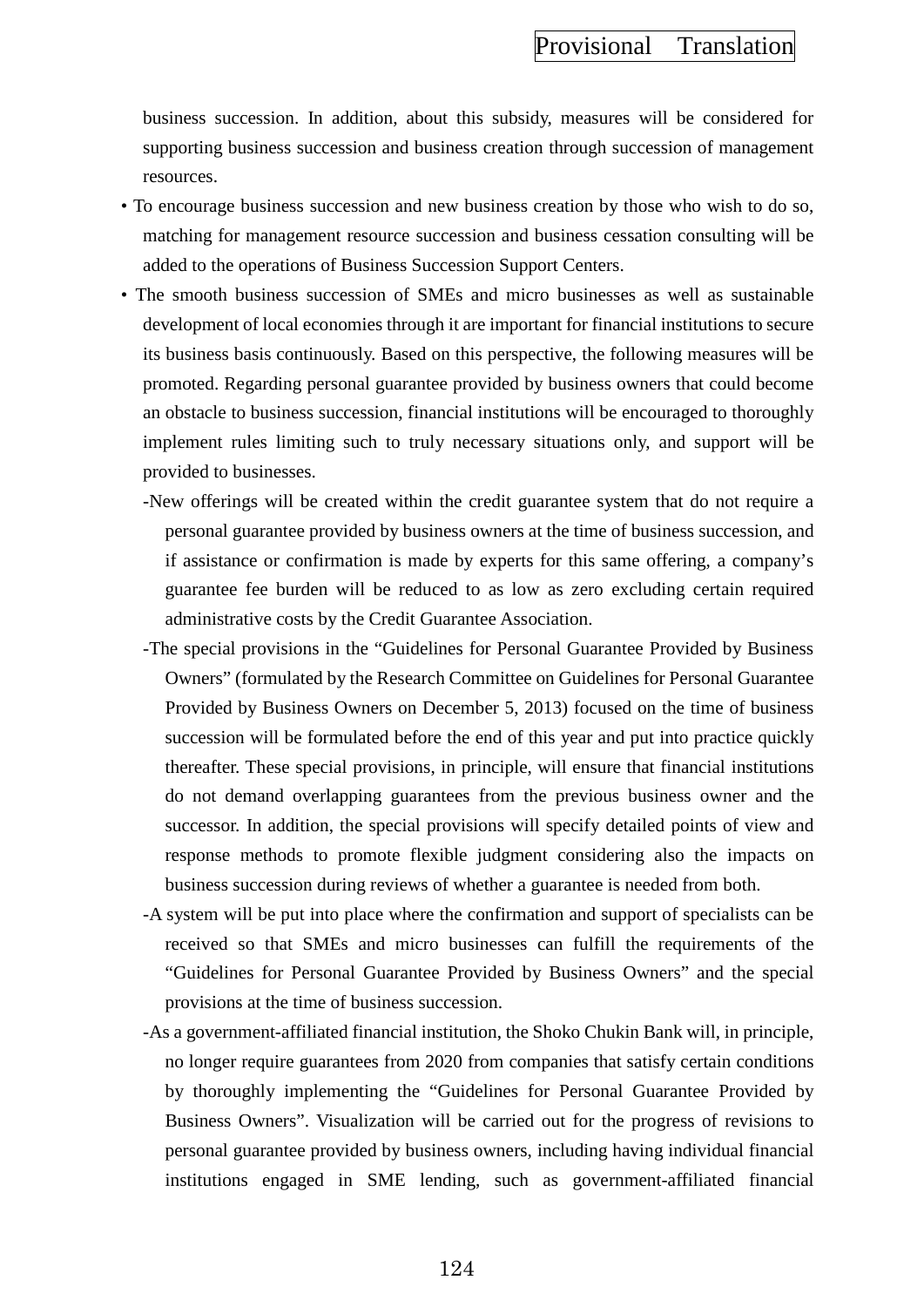business succession. In addition, about this subsidy, measures will be considered for supporting business succession and business creation through succession of management resources.

- To encourage business succession and new business creation by those who wish to do so, matching for management resource succession and business cessation consulting will be added to the operations of Business Succession Support Centers.
- The smooth business succession of SMEs and micro businesses as well as sustainable development of local economies through it are important for financial institutions to secure its business basis continuously. Based on this perspective, the following measures will be promoted. Regarding personal guarantee provided by business owners that could become an obstacle to business succession, financial institutions will be encouraged to thoroughly implement rules limiting such to truly necessary situations only, and support will be provided to businesses.
	- -New offerings will be created within the credit guarantee system that do not require a personal guarantee provided by business owners at the time of business succession, and if assistance or confirmation is made by experts for this same offering, a company's guarantee fee burden will be reduced to as low as zero excluding certain required administrative costs by the Credit Guarantee Association.
	- -The special provisions in the "Guidelines for Personal Guarantee Provided by Business Owners" (formulated by the Research Committee on Guidelines for Personal Guarantee Provided by Business Owners on December 5, 2013) focused on the time of business succession will be formulated before the end of this year and put into practice quickly thereafter. These special provisions, in principle, will ensure that financial institutions do not demand overlapping guarantees from the previous business owner and the successor. In addition, the special provisions will specify detailed points of view and response methods to promote flexible judgment considering also the impacts on business succession during reviews of whether a guarantee is needed from both.
	- -A system will be put into place where the confirmation and support of specialists can be received so that SMEs and micro businesses can fulfill the requirements of the "Guidelines for Personal Guarantee Provided by Business Owners" and the special provisions at the time of business succession.
	- -As a government-affiliated financial institution, the Shoko Chukin Bank will, in principle, no longer require guarantees from 2020 from companies that satisfy certain conditions by thoroughly implementing the "Guidelines for Personal Guarantee Provided by Business Owners". Visualization will be carried out for the progress of revisions to personal guarantee provided by business owners, including having individual financial institutions engaged in SME lending, such as government-affiliated financial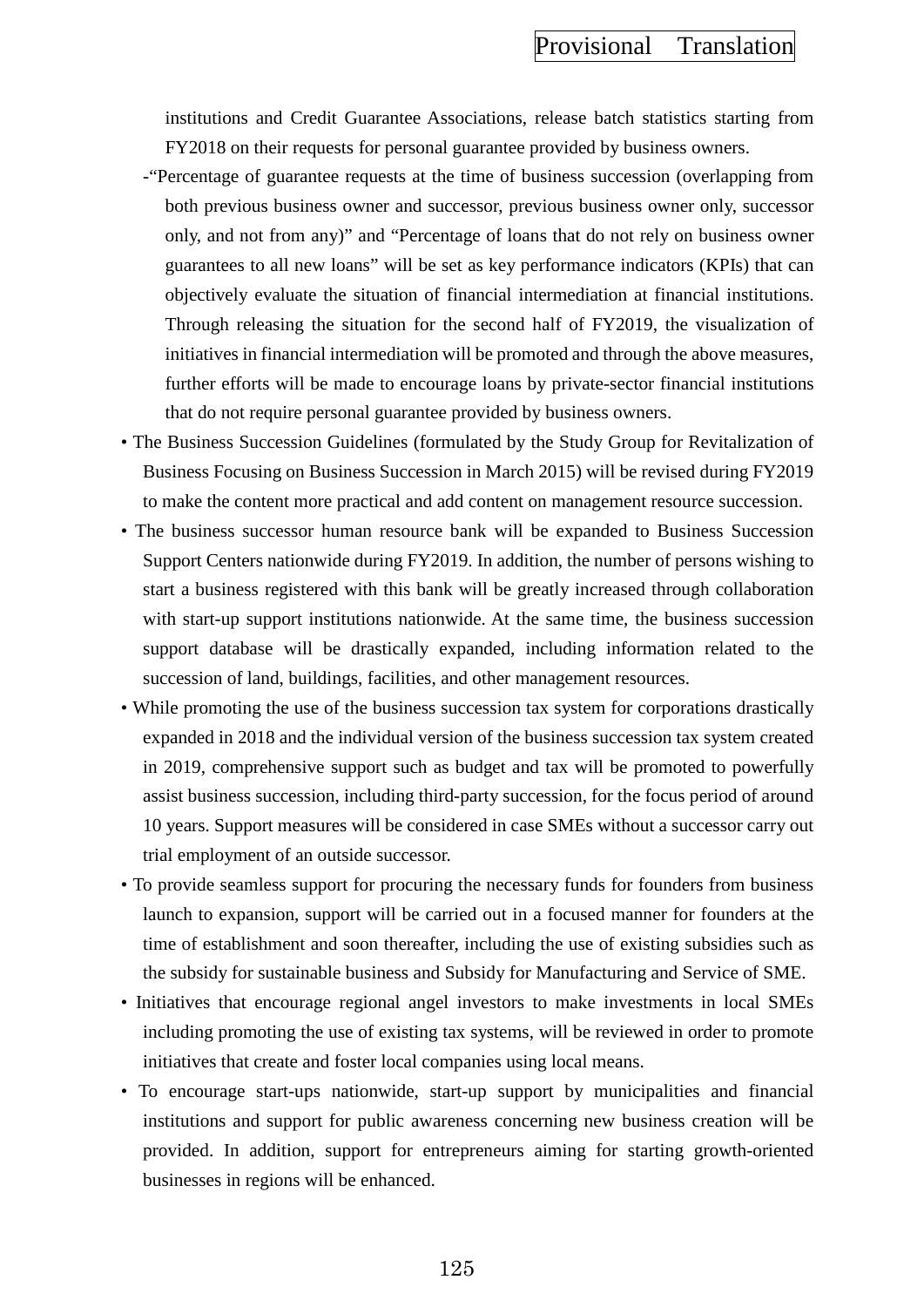institutions and Credit Guarantee Associations, release batch statistics starting from FY2018 on their requests for personal guarantee provided by business owners.

- -"Percentage of guarantee requests at the time of business succession (overlapping from both previous business owner and successor, previous business owner only, successor only, and not from any)" and "Percentage of loans that do not rely on business owner guarantees to all new loans" will be set as key performance indicators (KPIs) that can objectively evaluate the situation of financial intermediation at financial institutions. Through releasing the situation for the second half of FY2019, the visualization of initiatives in financial intermediation will be promoted and through the above measures, further efforts will be made to encourage loans by private-sector financial institutions that do not require personal guarantee provided by business owners.
- The Business Succession Guidelines (formulated by the Study Group for Revitalization of Business Focusing on Business Succession in March 2015) will be revised during FY2019 to make the content more practical and add content on management resource succession.
- The business successor human resource bank will be expanded to Business Succession Support Centers nationwide during FY2019. In addition, the number of persons wishing to start a business registered with this bank will be greatly increased through collaboration with start-up support institutions nationwide. At the same time, the business succession support database will be drastically expanded, including information related to the succession of land, buildings, facilities, and other management resources.
- While promoting the use of the business succession tax system for corporations drastically expanded in 2018 and the individual version of the business succession tax system created in 2019, comprehensive support such as budget and tax will be promoted to powerfully assist business succession, including third-party succession, for the focus period of around 10 years. Support measures will be considered in case SMEs without a successor carry out trial employment of an outside successor.
- To provide seamless support for procuring the necessary funds for founders from business launch to expansion, support will be carried out in a focused manner for founders at the time of establishment and soon thereafter, including the use of existing subsidies such as the subsidy for sustainable business and Subsidy for Manufacturing and Service of SME.
- Initiatives that encourage regional angel investors to make investments in local SMEs including promoting the use of existing tax systems, will be reviewed in order to promote initiatives that create and foster local companies using local means.
- To encourage start-ups nationwide, start-up support by municipalities and financial institutions and support for public awareness concerning new business creation will be provided. In addition, support for entrepreneurs aiming for starting growth-oriented businesses in regions will be enhanced.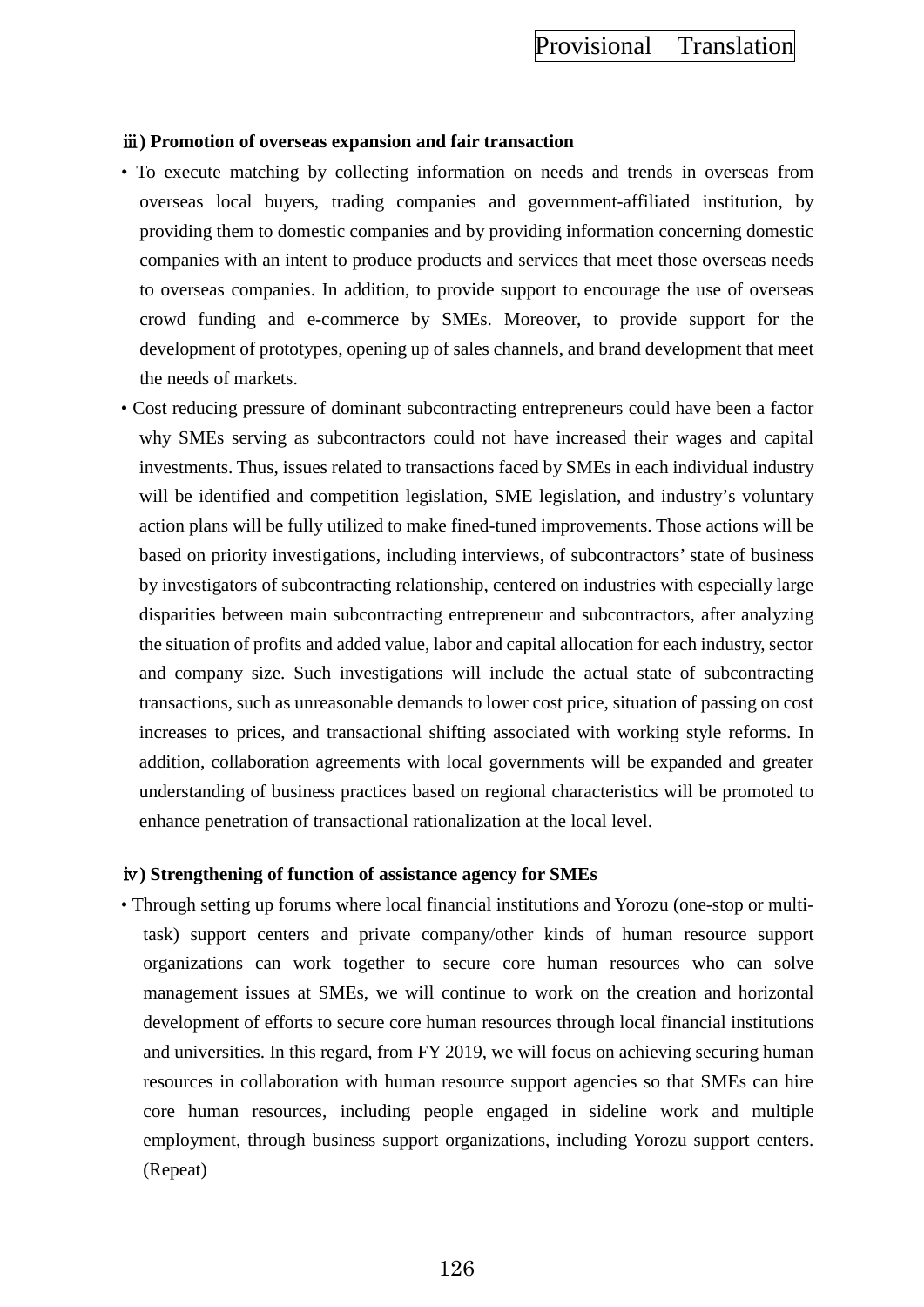### ⅲ**) Promotion of overseas expansion and fair transaction**

- To execute matching by collecting information on needs and trends in overseas from overseas local buyers, trading companies and government-affiliated institution, by providing them to domestic companies and by providing information concerning domestic companies with an intent to produce products and services that meet those overseas needs to overseas companies. In addition, to provide support to encourage the use of overseas crowd funding and e-commerce by SMEs. Moreover, to provide support for the development of prototypes, opening up of sales channels, and brand development that meet the needs of markets.
- Cost reducing pressure of dominant subcontracting entrepreneurs could have been a factor why SMEs serving as subcontractors could not have increased their wages and capital investments. Thus, issues related to transactions faced by SMEs in each individual industry will be identified and competition legislation, SME legislation, and industry's voluntary action plans will be fully utilized to make fined-tuned improvements. Those actions will be based on priority investigations, including interviews, of subcontractors' state of business by investigators of subcontracting relationship, centered on industries with especially large disparities between main subcontracting entrepreneur and subcontractors, after analyzing the situation of profits and added value, labor and capital allocation for each industry, sector and company size. Such investigations will include the actual state of subcontracting transactions, such as unreasonable demands to lower cost price, situation of passing on cost increases to prices, and transactional shifting associated with working style reforms. In addition, collaboration agreements with local governments will be expanded and greater understanding of business practices based on regional characteristics will be promoted to enhance penetration of transactional rationalization at the local level.

#### ⅳ**) Strengthening of function of assistance agency for SMEs**

• Through setting up forums where local financial institutions and Yorozu (one-stop or multitask) support centers and private company/other kinds of human resource support organizations can work together to secure core human resources who can solve management issues at SMEs, we will continue to work on the creation and horizontal development of efforts to secure core human resources through local financial institutions and universities. In this regard, from FY 2019, we will focus on achieving securing human resources in collaboration with human resource support agencies so that SMEs can hire core human resources, including people engaged in sideline work and multiple employment, through business support organizations, including Yorozu support centers. (Repeat)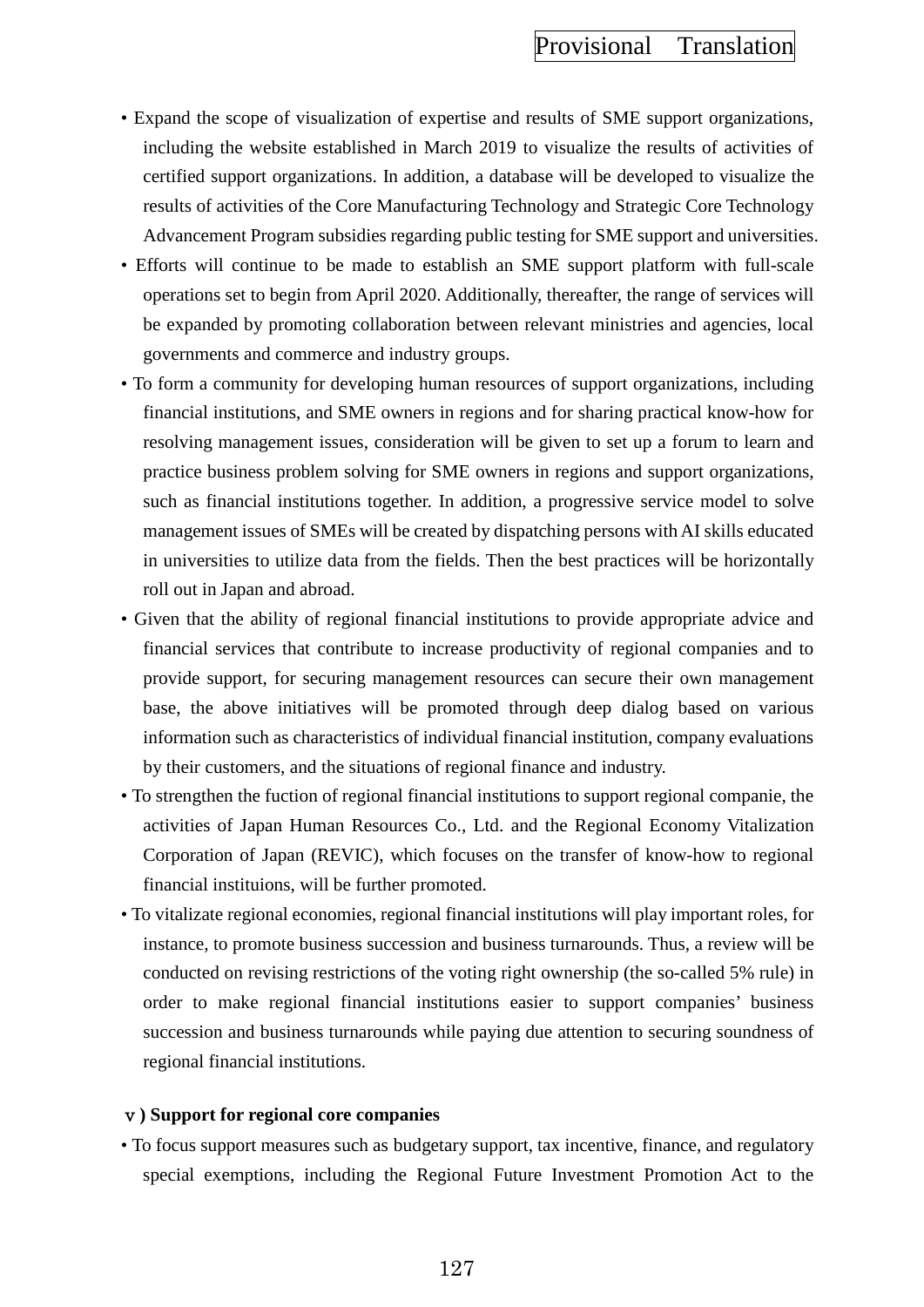- Expand the scope of visualization of expertise and results of SME support organizations, including the website established in March 2019 to visualize the results of activities of certified support organizations. In addition, a database will be developed to visualize the results of activities of the Core Manufacturing Technology and Strategic Core Technology Advancement Program subsidies regarding public testing for SME support and universities.
- Efforts will continue to be made to establish an SME support platform with full-scale operations set to begin from April 2020. Additionally, thereafter, the range of services will be expanded by promoting collaboration between relevant ministries and agencies, local governments and commerce and industry groups.
- To form a community for developing human resources of support organizations, including financial institutions, and SME owners in regions and for sharing practical know-how for resolving management issues, consideration will be given to set up a forum to learn and practice business problem solving for SME owners in regions and support organizations, such as financial institutions together. In addition, a progressive service model to solve management issues of SMEs will be created by dispatching persons with AI skills educated in universities to utilize data from the fields. Then the best practices will be horizontally roll out in Japan and abroad.
- Given that the ability of regional financial institutions to provide appropriate advice and financial services that contribute to increase productivity of regional companies and to provide support, for securing management resources can secure their own management base, the above initiatives will be promoted through deep dialog based on various information such as characteristics of individual financial institution, company evaluations by their customers, and the situations of regional finance and industry.
- To strengthen the fuction of regional financial institutions to support regional companie, the activities of Japan Human Resources Co., Ltd. and the Regional Economy Vitalization Corporation of Japan (REVIC), which focuses on the transfer of know-how to regional financial instituions, will be further promoted.
- To vitalizate regional economies, regional financial institutions will play important roles, for instance, to promote business succession and business turnarounds. Thus, a review will be conducted on revising restrictions of the voting right ownership (the so-called 5% rule) in order to make regional financial institutions easier to support companies' business succession and business turnarounds while paying due attention to securing soundness of regional financial institutions.

### ⅴ**) Support for regional core companies**

• To focus support measures such as budgetary support, tax incentive, finance, and regulatory special exemptions, including the Regional Future Investment Promotion Act to the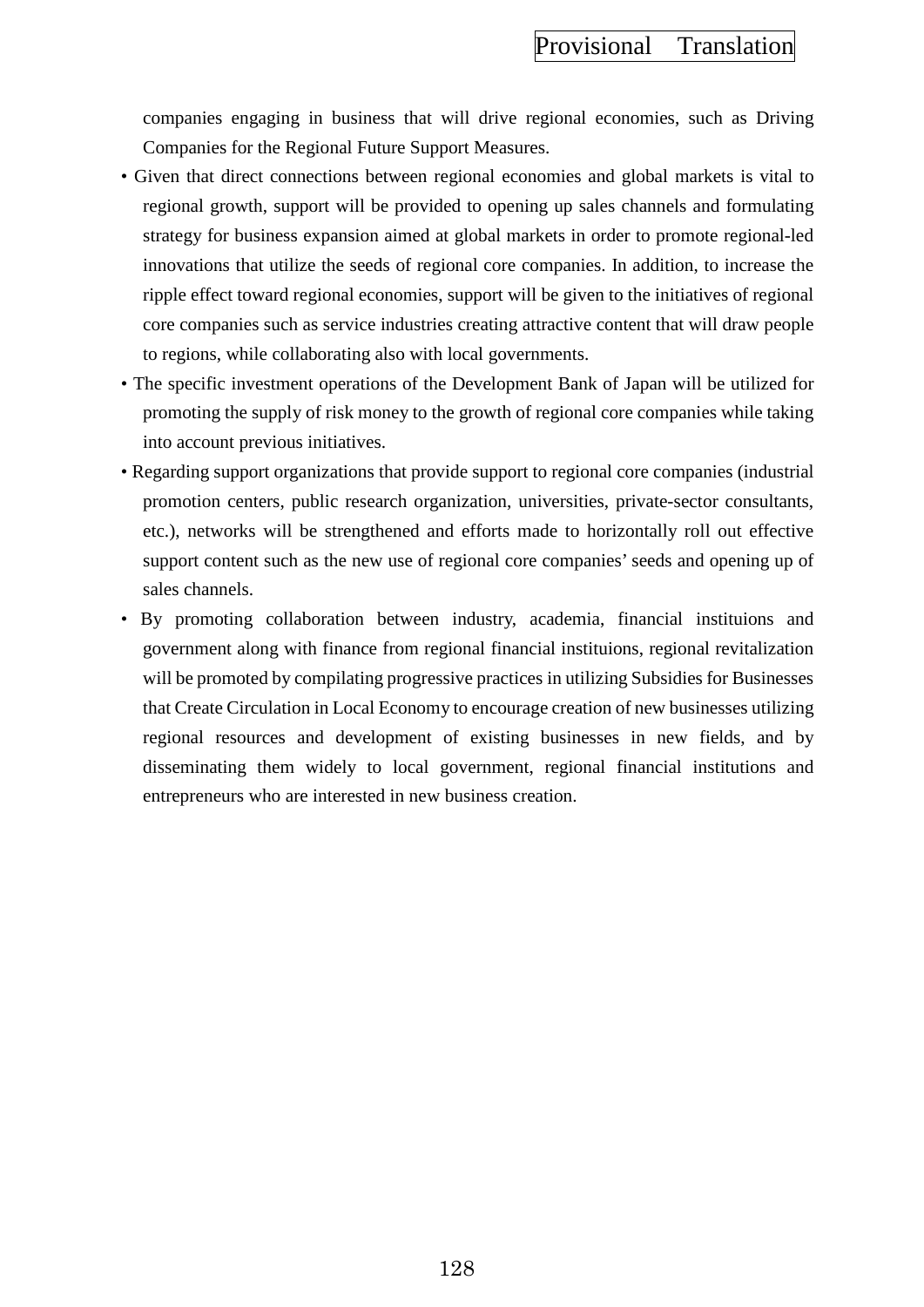companies engaging in business that will drive regional economies, such as Driving Companies for the Regional Future Support Measures.

- Given that direct connections between regional economies and global markets is vital to regional growth, support will be provided to opening up sales channels and formulating strategy for business expansion aimed at global markets in order to promote regional-led innovations that utilize the seeds of regional core companies. In addition, to increase the ripple effect toward regional economies, support will be given to the initiatives of regional core companies such as service industries creating attractive content that will draw people to regions, while collaborating also with local governments.
- The specific investment operations of the Development Bank of Japan will be utilized for promoting the supply of risk money to the growth of regional core companies while taking into account previous initiatives.
- Regarding support organizations that provide support to regional core companies (industrial promotion centers, public research organization, universities, private-sector consultants, etc.), networks will be strengthened and efforts made to horizontally roll out effective support content such as the new use of regional core companies' seeds and opening up of sales channels.
- By promoting collaboration between industry, academia, financial instituions and government along with finance from regional financial instituions, regional revitalization will be promoted by compilating progressive practices in utilizing Subsidies for Businesses that Create Circulation in Local Economy to encourage creation of new businesses utilizing regional resources and development of existing businesses in new fields, and by disseminating them widely to local government, regional financial institutions and entrepreneurs who are interested in new business creation.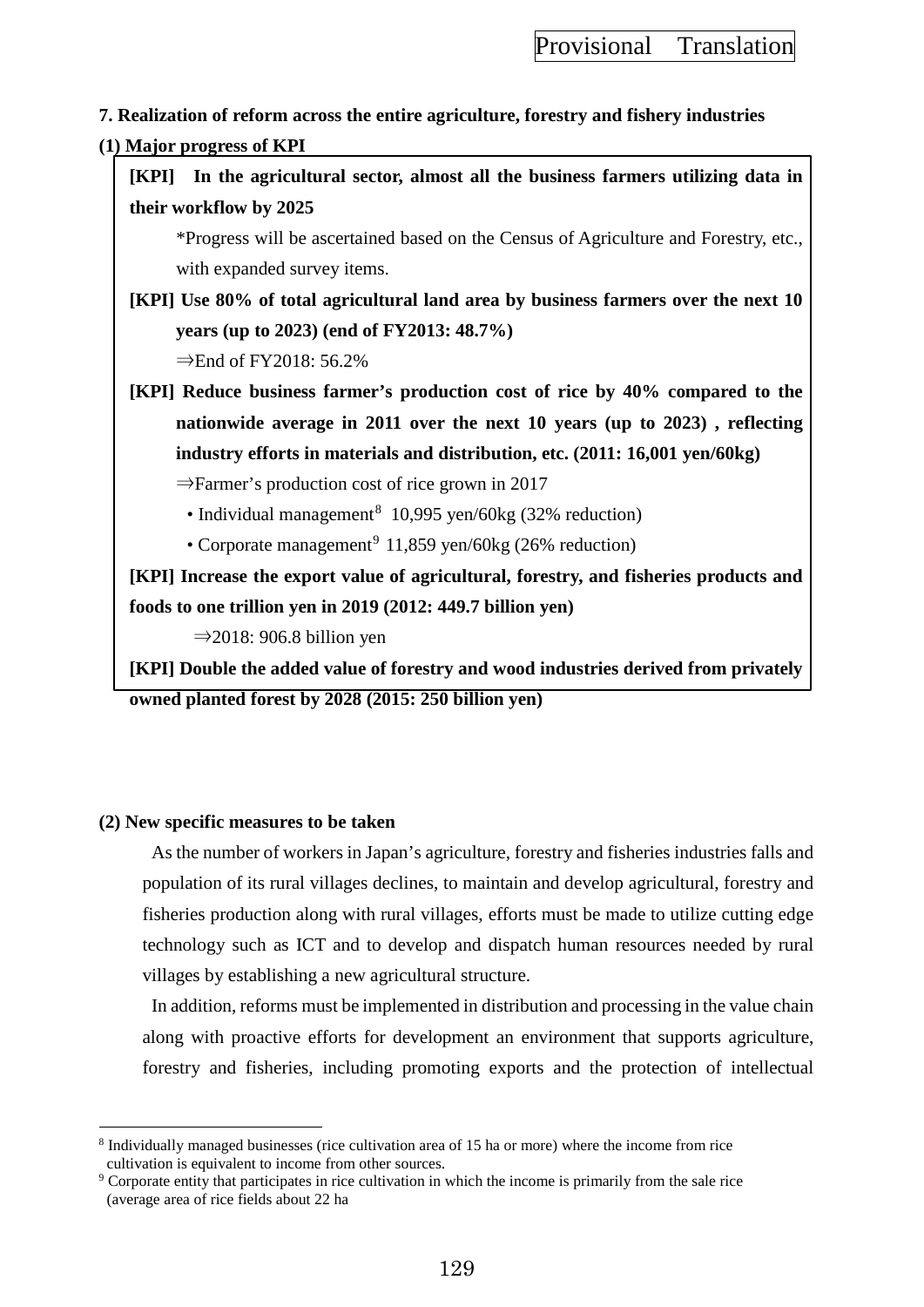# **7. Realization of reform across the entire agriculture, forestry and fishery industries**

### **(1) Major progress of KPI**

|                                                                                    | [KPI] In the agricultural sector, almost all the business farmers utilizing data in  |
|------------------------------------------------------------------------------------|--------------------------------------------------------------------------------------|
| their workflow by 2025                                                             |                                                                                      |
|                                                                                    | *Progress will be ascertained based on the Census of Agriculture and Forestry, etc., |
|                                                                                    | with expanded survey items.                                                          |
| [KPI] Use 80% of total agricultural land area by business farmers over the next 10 |                                                                                      |

**years (up to 2023) (end of FY2013: 48.7%)** 

 $\Rightarrow$ End of FY2018: 56.2%

**[KPI] Reduce business farmer's production cost of rice by 40% compared to the nationwide average in 2011 over the next 10 years (up to 2023) , reflecting industry efforts in materials and distribution, etc. (2011: 16,001 yen/60kg)**

⇒Farmer's production cost of rice grown in 2017

- Individual management<sup>[8](#page-138-0)</sup> 10,995 yen/60kg (32% reduction)
- Corporate management<sup>[9](#page-138-1)</sup> 11,859 yen/60kg (26% reduction)

**[KPI] Increase the export value of agricultural, forestry, and fisheries products and foods to one trillion yen in 2019 (2012: 449.7 billion yen)**

 $\Rightarrow$  2018: 906.8 billion yen

**[KPI] Double the added value of forestry and wood industries derived from privately owned planted forest by 2028 (2015: 250 billion yen)**

# **(2) New specific measures to be taken**

As the number of workers in Japan's agriculture, forestry and fisheries industries falls and population of its rural villages declines, to maintain and develop agricultural, forestry and fisheries production along with rural villages, efforts must be made to utilize cutting edge technology such as ICT and to develop and dispatch human resources needed by rural villages by establishing a new agricultural structure.

In addition, reforms must be implemented in distribution and processing in the value chain along with proactive efforts for development an environment that supports agriculture, forestry and fisheries, including promoting exports and the protection of intellectual

<span id="page-138-0"></span> $\overline{a}$ <sup>8</sup> Individually managed businesses (rice cultivation area of 15 ha or more) where the income from rice cultivation is equivalent to income from other sources.

<span id="page-138-1"></span><sup>9</sup> Corporate entity that participates in rice cultivation in which the income is primarily from the sale rice (average area of rice fields about 22 ha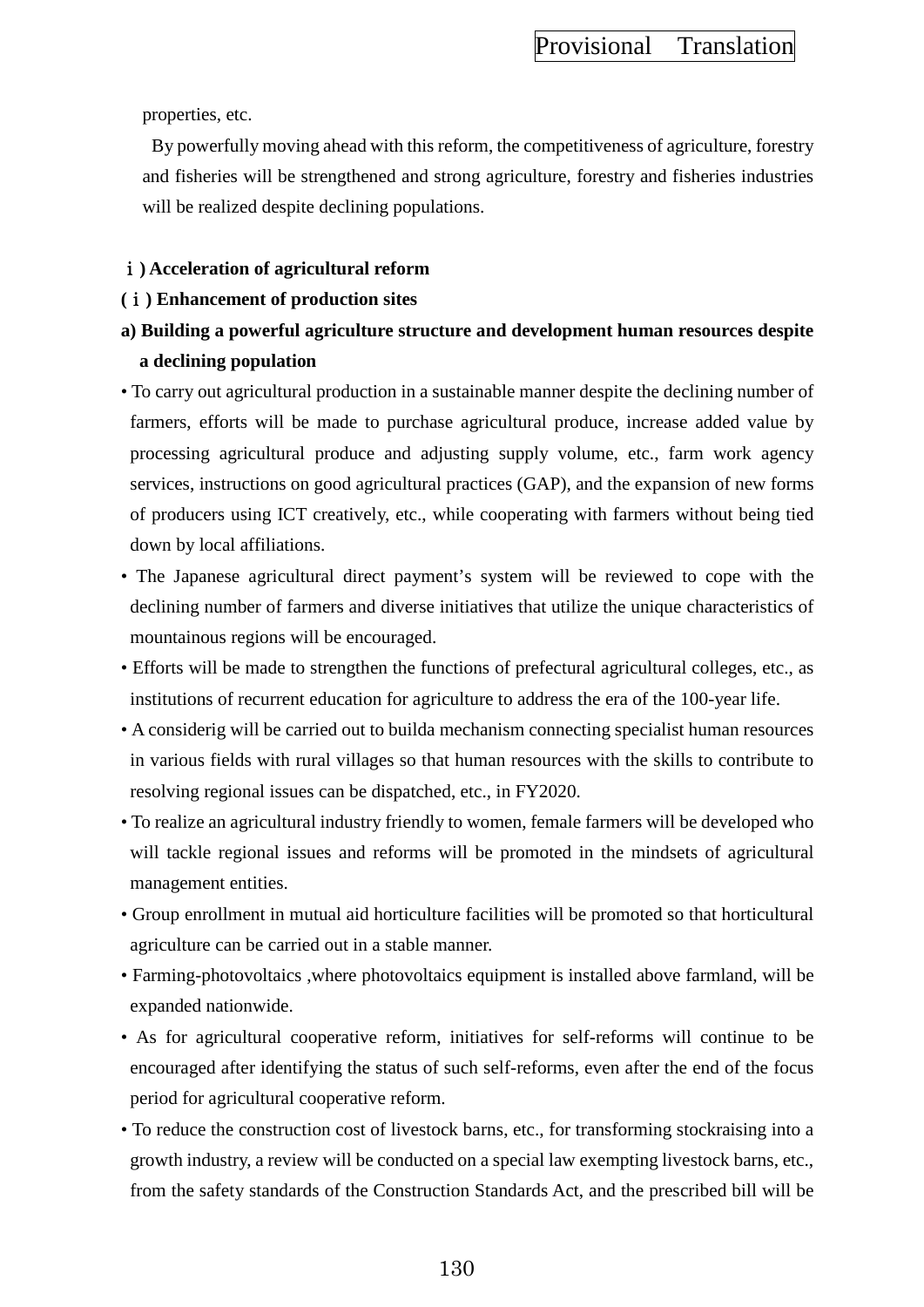properties, etc.

By powerfully moving ahead with this reform, the competitiveness of agriculture, forestry and fisheries will be strengthened and strong agriculture, forestry and fisheries industries will be realized despite declining populations.

### ⅰ**) Acceleration of agricultural reform**

### **(**ⅰ**) Enhancement of production sites**

- **a) Building a powerful agriculture structure and development human resources despite a declining population**
- To carry out agricultural production in a sustainable manner despite the declining number of farmers, efforts will be made to purchase agricultural produce, increase added value by processing agricultural produce and adjusting supply volume, etc., farm work agency services, instructions on good agricultural practices (GAP), and the expansion of new forms of producers using ICT creatively, etc., while cooperating with farmers without being tied down by local affiliations.
- The Japanese agricultural direct payment's system will be reviewed to cope with the declining number of farmers and diverse initiatives that utilize the unique characteristics of mountainous regions will be encouraged.
- Efforts will be made to strengthen the functions of prefectural agricultural colleges, etc., as institutions of recurrent education for agriculture to address the era of the 100-year life.
- A considerig will be carried out to builda mechanism connecting specialist human resources in various fields with rural villages so that human resources with the skills to contribute to resolving regional issues can be dispatched, etc., in FY2020.
- To realize an agricultural industry friendly to women, female farmers will be developed who will tackle regional issues and reforms will be promoted in the mindsets of agricultural management entities.
- Group enrollment in mutual aid horticulture facilities will be promoted so that horticultural agriculture can be carried out in a stable manner.
- Farming-photovoltaics ,where photovoltaics equipment is installed above farmland, will be expanded nationwide.
- As for agricultural cooperative reform, initiatives for self-reforms will continue to be encouraged after identifying the status of such self-reforms, even after the end of the focus period for agricultural cooperative reform.
- To reduce the construction cost of livestock barns, etc., for transforming stockraising into a growth industry, a review will be conducted on a special law exempting livestock barns, etc., from the safety standards of the Construction Standards Act, and the prescribed bill will be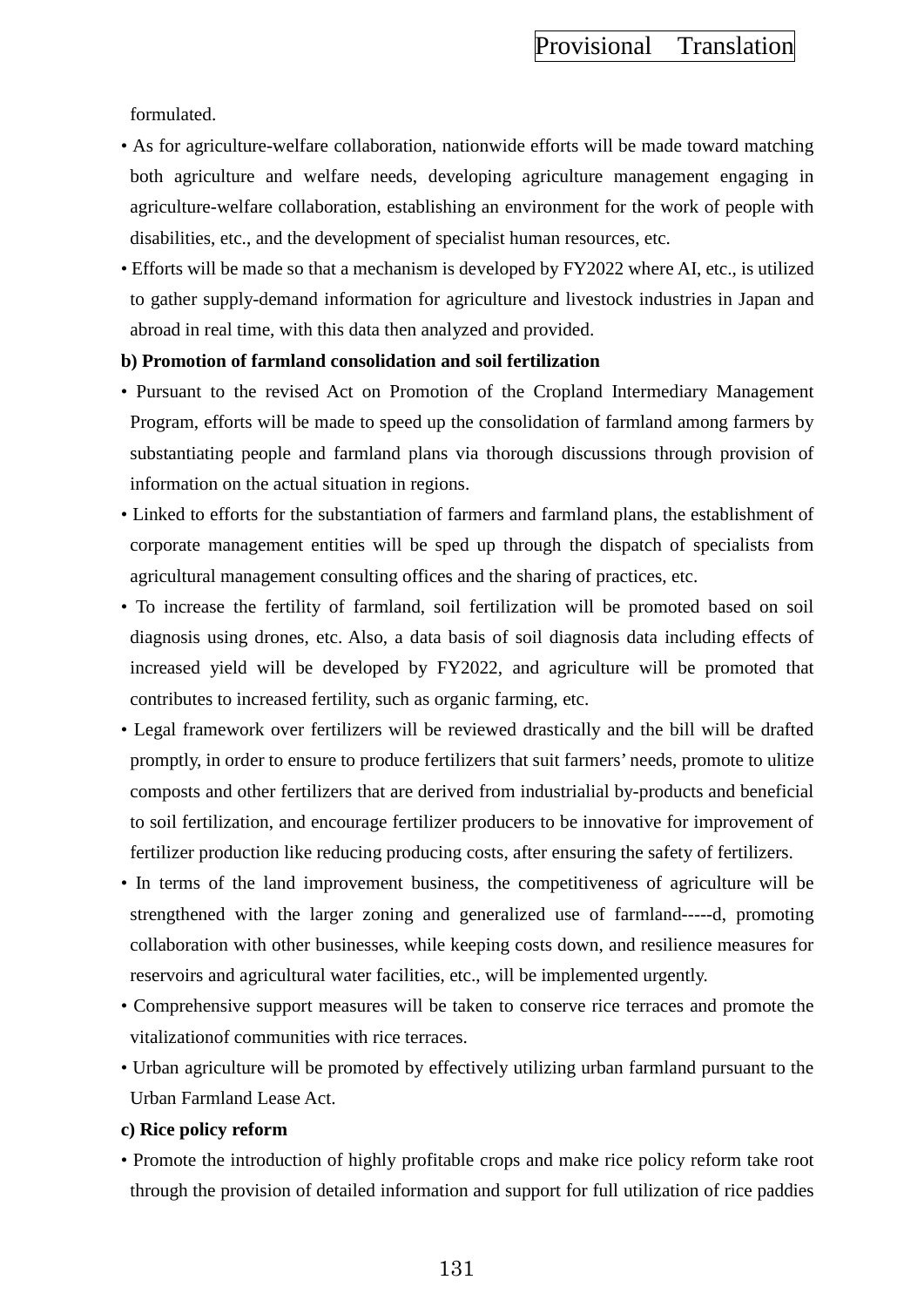formulated.

- As for agriculture-welfare collaboration, nationwide efforts will be made toward matching both agriculture and welfare needs, developing agriculture management engaging in agriculture-welfare collaboration, establishing an environment for the work of people with disabilities, etc., and the development of specialist human resources, etc.
- Efforts will be made so that a mechanism is developed by FY2022 where AI, etc., is utilized to gather supply-demand information for agriculture and livestock industries in Japan and abroad in real time, with this data then analyzed and provided.

### **b) Promotion of farmland consolidation and soil fertilization**

- Pursuant to the revised Act on Promotion of the Cropland Intermediary Management Program, efforts will be made to speed up the consolidation of farmland among farmers by substantiating people and farmland plans via thorough discussions through provision of information on the actual situation in regions.
- Linked to efforts for the substantiation of farmers and farmland plans, the establishment of corporate management entities will be sped up through the dispatch of specialists from agricultural management consulting offices and the sharing of practices, etc.
- To increase the fertility of farmland, soil fertilization will be promoted based on soil diagnosis using drones, etc. Also, a data basis of soil diagnosis data including effects of increased yield will be developed by FY2022, and agriculture will be promoted that contributes to increased fertility, such as organic farming, etc.
- Legal framework over fertilizers will be reviewed drastically and the bill will be drafted promptly, in order to ensure to produce fertilizers that suit farmers' needs, promote to ulitize composts and other fertilizers that are derived from industrialial by-products and beneficial to soil fertilization, and encourage fertilizer producers to be innovative for improvement of fertilizer production like reducing producing costs, after ensuring the safety of fertilizers.
- In terms of the land improvement business, the competitiveness of agriculture will be strengthened with the larger zoning and generalized use of farmland-----d, promoting collaboration with other businesses, while keeping costs down, and resilience measures for reservoirs and agricultural water facilities, etc., will be implemented urgently.
- Comprehensive support measures will be taken to conserve rice terraces and promote the vitalizationof communities with rice terraces.
- Urban agriculture will be promoted by effectively utilizing urban farmland pursuant to the Urban Farmland Lease Act.

### **c) Rice policy reform**

• Promote the introduction of highly profitable crops and make rice policy reform take root through the provision of detailed information and support for full utilization of rice paddies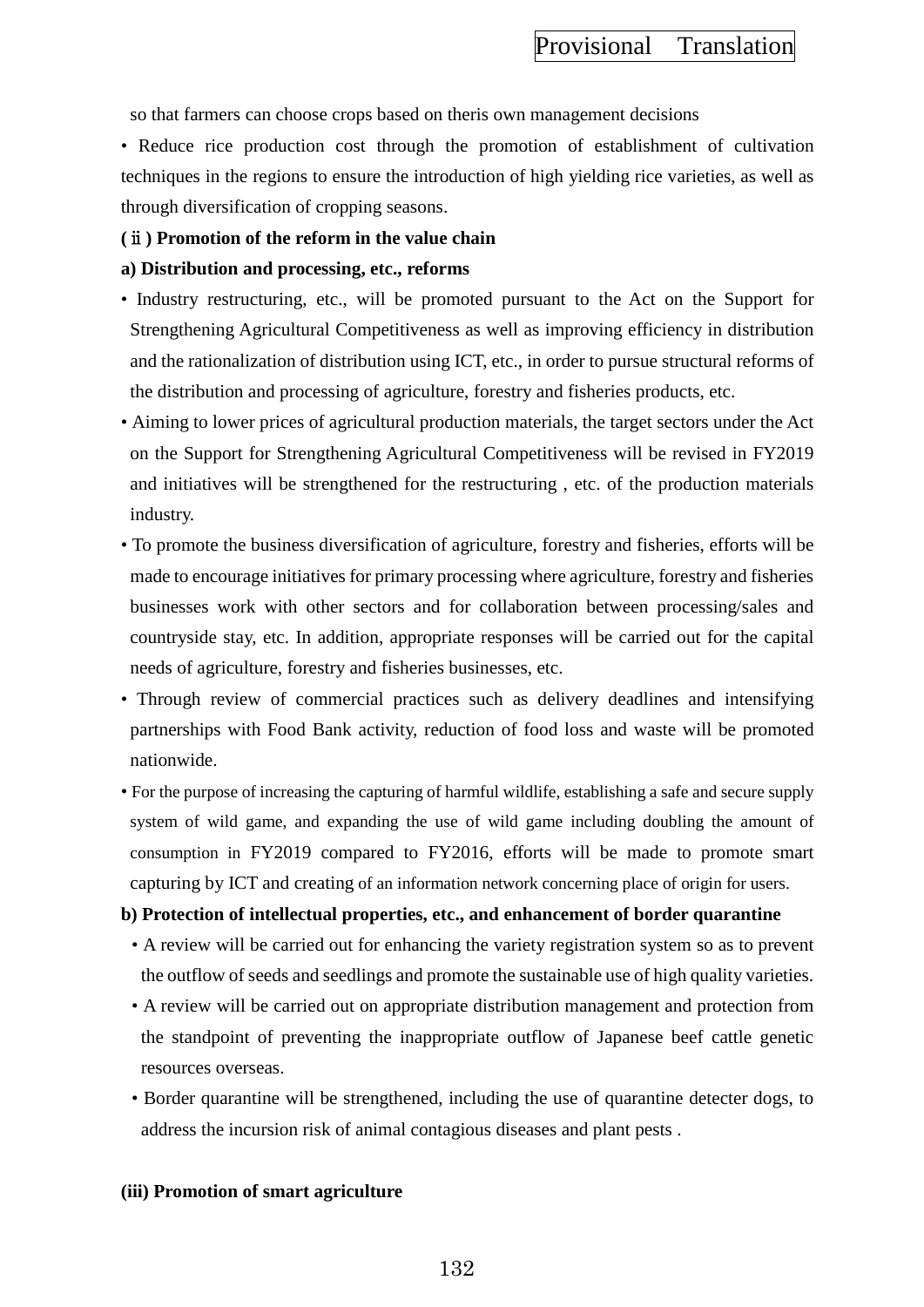so that farmers can choose crops based on theris own management decisions

• Reduce rice production cost through the promotion of establishment of cultivation techniques in the regions to ensure the introduction of high yielding rice varieties, as well as through diversification of cropping seasons.

### **(**ⅱ**) Promotion of the reform in the value chain**

### **a) Distribution and processing, etc., reforms**

- Industry restructuring, etc., will be promoted pursuant to the Act on the Support for Strengthening Agricultural Competitiveness as well as improving efficiency in distribution and the rationalization of distribution using ICT, etc., in order to pursue structural reforms of the distribution and processing of agriculture, forestry and fisheries products, etc.
- Aiming to lower prices of agricultural production materials, the target sectors under the Act on the Support for Strengthening Agricultural Competitiveness will be revised in FY2019 and initiatives will be strengthened for the restructuring , etc. of the production materials industry.
- To promote the business diversification of agriculture, forestry and fisheries, efforts will be made to encourage initiatives for primary processing where agriculture, forestry and fisheries businesses work with other sectors and for collaboration between processing/sales and countryside stay, etc. In addition, appropriate responses will be carried out for the capital needs of agriculture, forestry and fisheries businesses, etc.
- Through review of commercial practices such as delivery deadlines and intensifying partnerships with Food Bank activity, reduction of food loss and waste will be promoted nationwide.
- For the purpose of increasing the capturing of harmful wildlife, establishing a safe and secure supply system of wild game, and expanding the use of wild game including doubling the amount of consumption in FY2019 compared to FY2016, efforts will be made to promote smart capturing by ICT and creating of an information network concerning place of origin for users.

### **b) Protection of intellectual properties, etc., and enhancement of border quarantine**

- A review will be carried out for enhancing the variety registration system so as to prevent the outflow of seeds and seedlings and promote the sustainable use of high quality varieties.
- A review will be carried out on appropriate distribution management and protection from the standpoint of preventing the inappropriate outflow of Japanese beef cattle genetic resources overseas.
- Border quarantine will be strengthened, including the use of quarantine detecter dogs, to address the incursion risk of animal contagious diseases and plant pests .

### **(iii) Promotion of smart agriculture**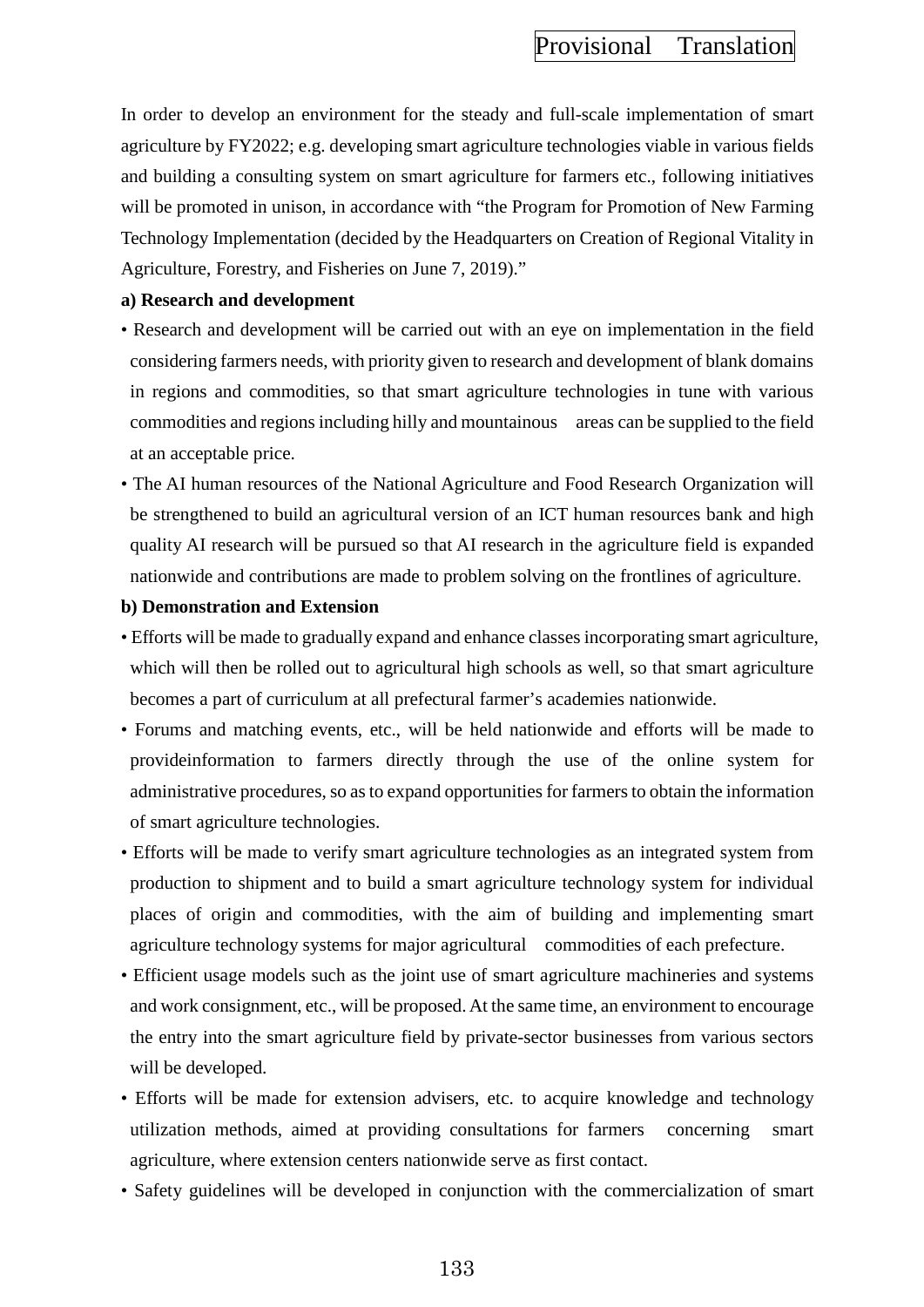In order to develop an environment for the steady and full-scale implementation of smart agriculture by FY2022; e.g. developing smart agriculture technologies viable in various fields and building a consulting system on smart agriculture for farmers etc., following initiatives will be promoted in unison, in accordance with "the Program for Promotion of New Farming" Technology Implementation (decided by the Headquarters on Creation of Regional Vitality in Agriculture, Forestry, and Fisheries on June 7, 2019)."

### **a) Research and development**

- Research and development will be carried out with an eye on implementation in the field considering farmers needs, with priority given to research and development of blank domains in regions and commodities, so that smart agriculture technologies in tune with various commodities and regions including hilly and mountainous areas can be supplied to the field at an acceptable price.
- The AI human resources of the National Agriculture and Food Research Organization will be strengthened to build an agricultural version of an ICT human resources bank and high quality AI research will be pursued so that AI research in the agriculture field is expanded nationwide and contributions are made to problem solving on the frontlines of agriculture.

### **b) Demonstration and Extension**

- Efforts will be made to gradually expand and enhance classes incorporating smart agriculture, which will then be rolled out to agricultural high schools as well, so that smart agriculture becomes a part of curriculum at all prefectural farmer's academies nationwide.
- Forums and matching events, etc., will be held nationwide and efforts will be made to provideinformation to farmers directly through the use of the online system for administrative procedures, so as to expand opportunities for farmers to obtain the information of smart agriculture technologies.
- Efforts will be made to verify smart agriculture technologies as an integrated system from production to shipment and to build a smart agriculture technology system for individual places of origin and commodities, with the aim of building and implementing smart agriculture technology systems for major agricultural commodities of each prefecture.
- Efficient usage models such as the joint use of smart agriculture machineries and systems and work consignment, etc., will be proposed. At the same time, an environment to encourage the entry into the smart agriculture field by private-sector businesses from various sectors will be developed.
- Efforts will be made for extension advisers, etc. to acquire knowledge and technology utilization methods, aimed at providing consultations for farmers concerning smart agriculture, where extension centers nationwide serve as first contact.
- Safety guidelines will be developed in conjunction with the commercialization of smart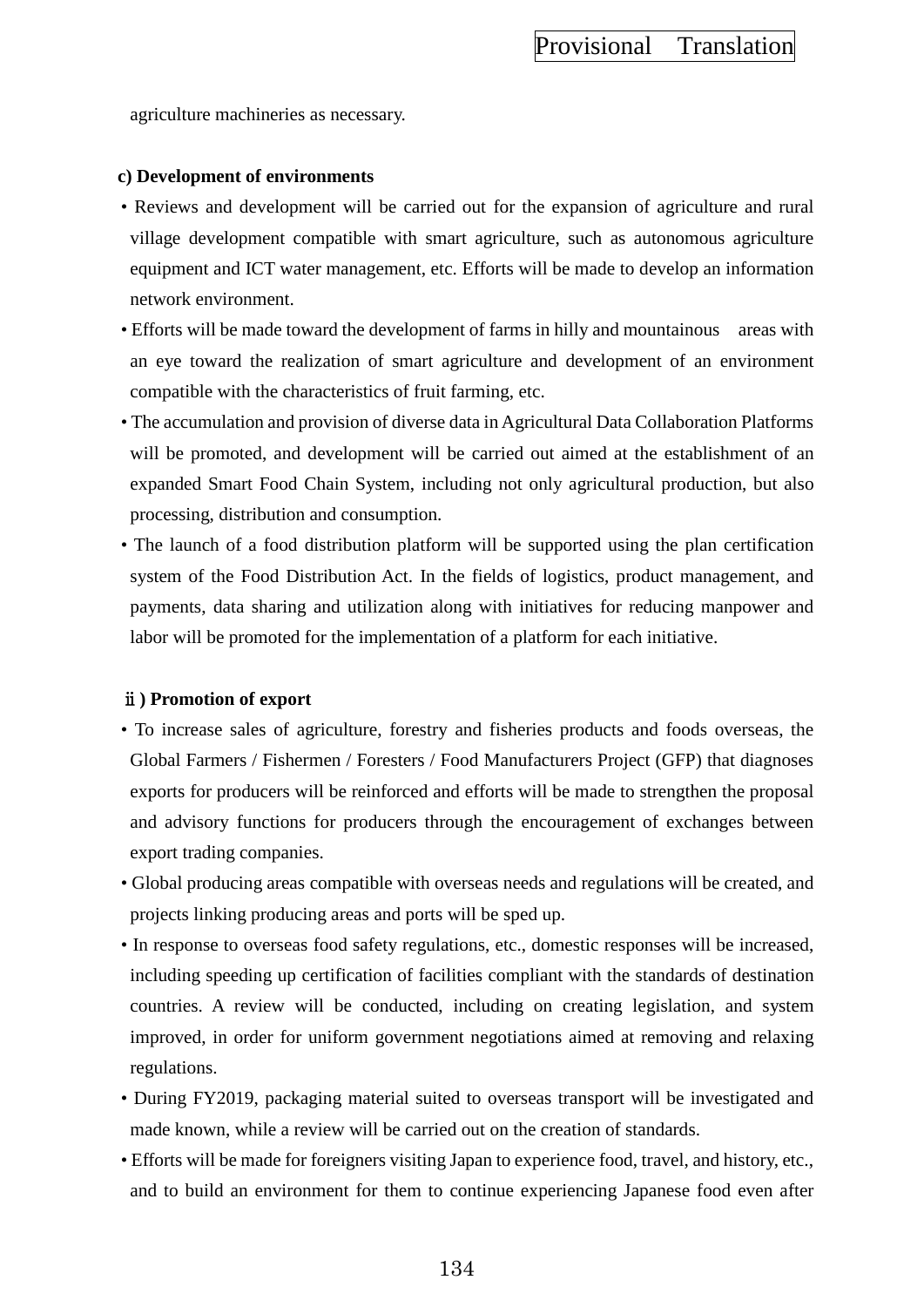agriculture machineries as necessary.

### **c) Development of environments**

- Reviews and development will be carried out for the expansion of agriculture and rural village development compatible with smart agriculture, such as autonomous agriculture equipment and ICT water management, etc. Efforts will be made to develop an information network environment.
- Efforts will be made toward the development of farms in hilly and mountainous areas with an eye toward the realization of smart agriculture and development of an environment compatible with the characteristics of fruit farming, etc.
- The accumulation and provision of diverse data in Agricultural Data Collaboration Platforms will be promoted, and development will be carried out aimed at the establishment of an expanded Smart Food Chain System, including not only agricultural production, but also processing, distribution and consumption.
- The launch of a food distribution platform will be supported using the plan certification system of the Food Distribution Act. In the fields of logistics, product management, and payments, data sharing and utilization along with initiatives for reducing manpower and labor will be promoted for the implementation of a platform for each initiative.

### ⅱ**) Promotion of export**

- To increase sales of agriculture, forestry and fisheries products and foods overseas, the Global Farmers / Fishermen / Foresters / Food Manufacturers Project (GFP) that diagnoses exports for producers will be reinforced and efforts will be made to strengthen the proposal and advisory functions for producers through the encouragement of exchanges between export trading companies.
- Global producing areas compatible with overseas needs and regulations will be created, and projects linking producing areas and ports will be sped up.
- In response to overseas food safety regulations, etc., domestic responses will be increased, including speeding up certification of facilities compliant with the standards of destination countries. A review will be conducted, including on creating legislation, and system improved, in order for uniform government negotiations aimed at removing and relaxing regulations.
- During FY2019, packaging material suited to overseas transport will be investigated and made known, while a review will be carried out on the creation of standards.
- Efforts will be made for foreigners visiting Japan to experience food, travel, and history, etc., and to build an environment for them to continue experiencing Japanese food even after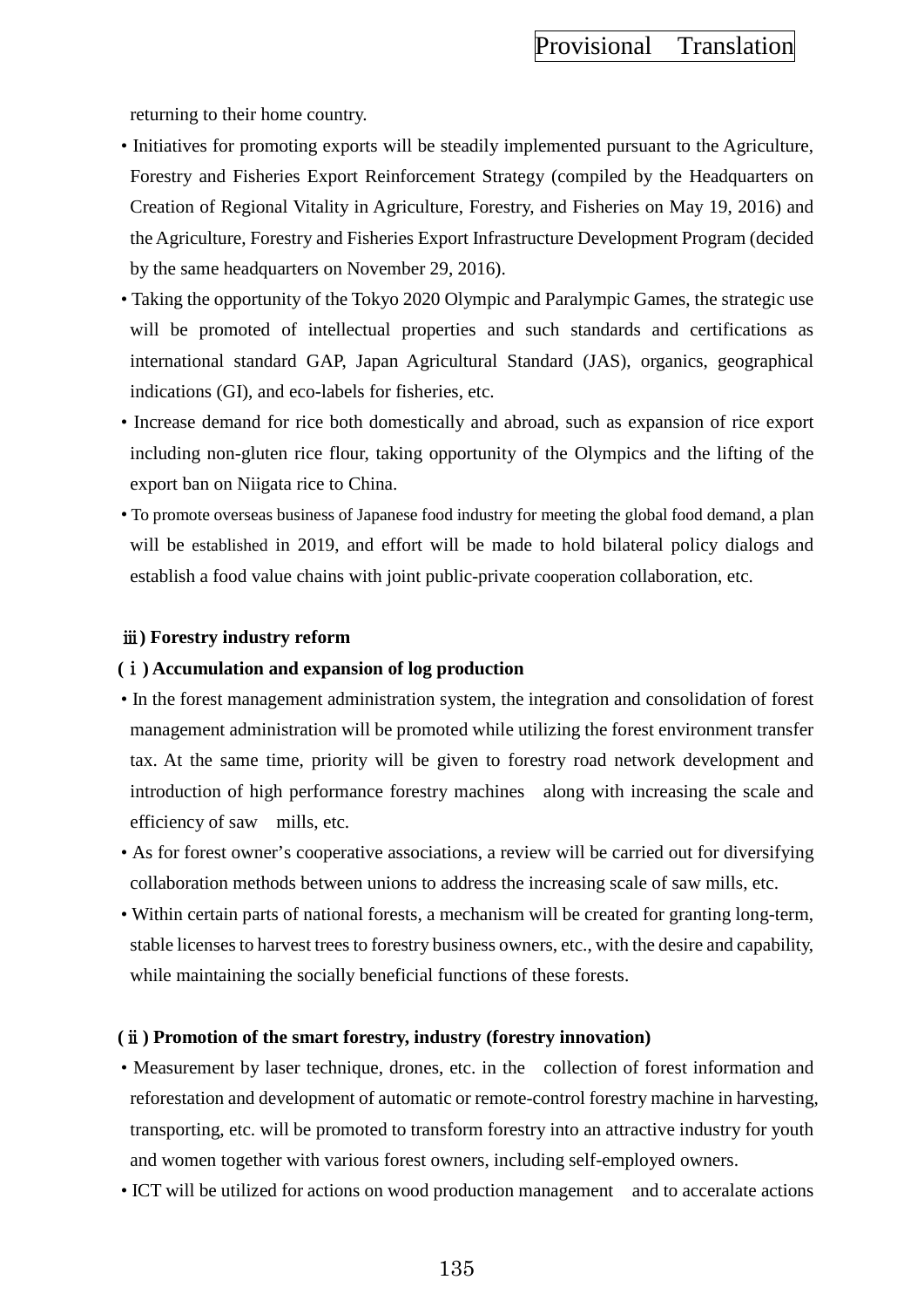returning to their home country.

- Initiatives for promoting exports will be steadily implemented pursuant to the Agriculture, Forestry and Fisheries Export Reinforcement Strategy (compiled by the Headquarters on Creation of Regional Vitality in Agriculture, Forestry, and Fisheries on May 19, 2016) and the Agriculture, Forestry and Fisheries Export Infrastructure Development Program (decided by the same headquarters on November 29, 2016).
- Taking the opportunity of the Tokyo 2020 Olympic and Paralympic Games, the strategic use will be promoted of intellectual properties and such standards and certifications as international standard GAP, Japan Agricultural Standard (JAS), organics, geographical indications (GI), and eco-labels for fisheries, etc.
- Increase demand for rice both domestically and abroad, such as expansion of rice export including non-gluten rice flour, taking opportunity of the Olympics and the lifting of the export ban on Niigata rice to China.
- To promote overseas business of Japanese food industry for meeting the global food demand, a plan will be established in 2019, and effort will be made to hold bilateral policy dialogs and establish a food value chains with joint public-private cooperation collaboration, etc.

### ⅲ**) Forestry industry reform**

#### **(**ⅰ**) Accumulation and expansion of log production**

- In the forest management administration system, the integration and consolidation of forest management administration will be promoted while utilizing the forest environment transfer tax. At the same time, priority will be given to forestry road network development and introduction of high performance forestry machines along with increasing the scale and efficiency of saw mills, etc.
- As for forest owner's cooperative associations, a review will be carried out for diversifying collaboration methods between unions to address the increasing scale of saw mills, etc.
- Within certain parts of national forests, a mechanism will be created for granting long-term, stable licenses to harvest trees to forestry business owners, etc., with the desire and capability, while maintaining the socially beneficial functions of these forests.

#### **(**ⅱ**) Promotion of the smart forestry, industry (forestry innovation)**

- Measurement by laser technique, drones, etc. in the collection of forest information and reforestation and development of automatic or remote-control forestry machine in harvesting, transporting, etc. will be promoted to transform forestry into an attractive industry for youth and women together with various forest owners, including self-employed owners.
- ICT will be utilized for actions on wood production management and to acceralate actions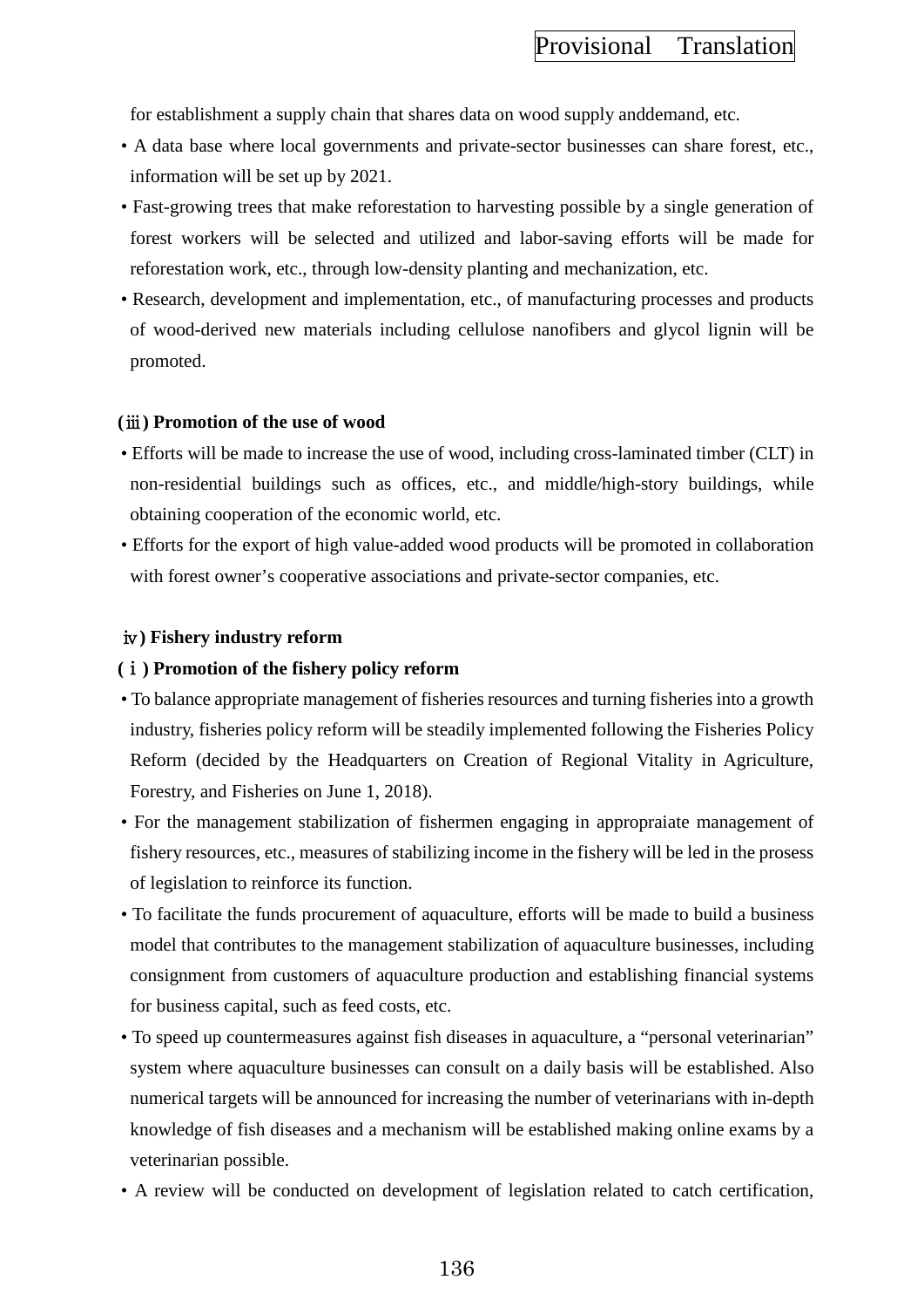for establishment a supply chain that shares data on wood supply anddemand, etc.

- A data base where local governments and private-sector businesses can share forest, etc., information will be set up by 2021.
- Fast-growing trees that make reforestation to harvesting possible by a single generation of forest workers will be selected and utilized and labor-saving efforts will be made for reforestation work, etc., through low-density planting and mechanization, etc.
- Research, development and implementation, etc., of manufacturing processes and products of wood-derived new materials including cellulose nanofibers and glycol lignin will be promoted.

#### **(**ⅲ**) Promotion of the use of wood**

- Efforts will be made to increase the use of wood, including cross-laminated timber (CLT) in non-residential buildings such as offices, etc., and middle/high-story buildings, while obtaining cooperation of the economic world, etc.
- Efforts for the export of high value-added wood products will be promoted in collaboration with forest owner's cooperative associations and private-sector companies, etc.

#### ⅳ**) Fishery industry reform**

#### **(**ⅰ**) Promotion of the fishery policy reform**

- To balance appropriate management of fisheries resources and turning fisheries into a growth industry, fisheries policy reform will be steadily implemented following the Fisheries Policy Reform (decided by the Headquarters on Creation of Regional Vitality in Agriculture, Forestry, and Fisheries on June 1, 2018).
- For the management stabilization of fishermen engaging in appropraiate management of fishery resources, etc., measures of stabilizing income in the fishery will be led in the prosess of legislation to reinforce its function.
- To facilitate the funds procurement of aquaculture, efforts will be made to build a business model that contributes to the management stabilization of aquaculture businesses, including consignment from customers of aquaculture production and establishing financial systems for business capital, such as feed costs, etc.
- To speed up countermeasures against fish diseases in aquaculture, a "personal veterinarian" system where aquaculture businesses can consult on a daily basis will be established. Also numerical targets will be announced for increasing the number of veterinarians with in-depth knowledge of fish diseases and a mechanism will be established making online exams by a veterinarian possible.
- A review will be conducted on development of legislation related to catch certification,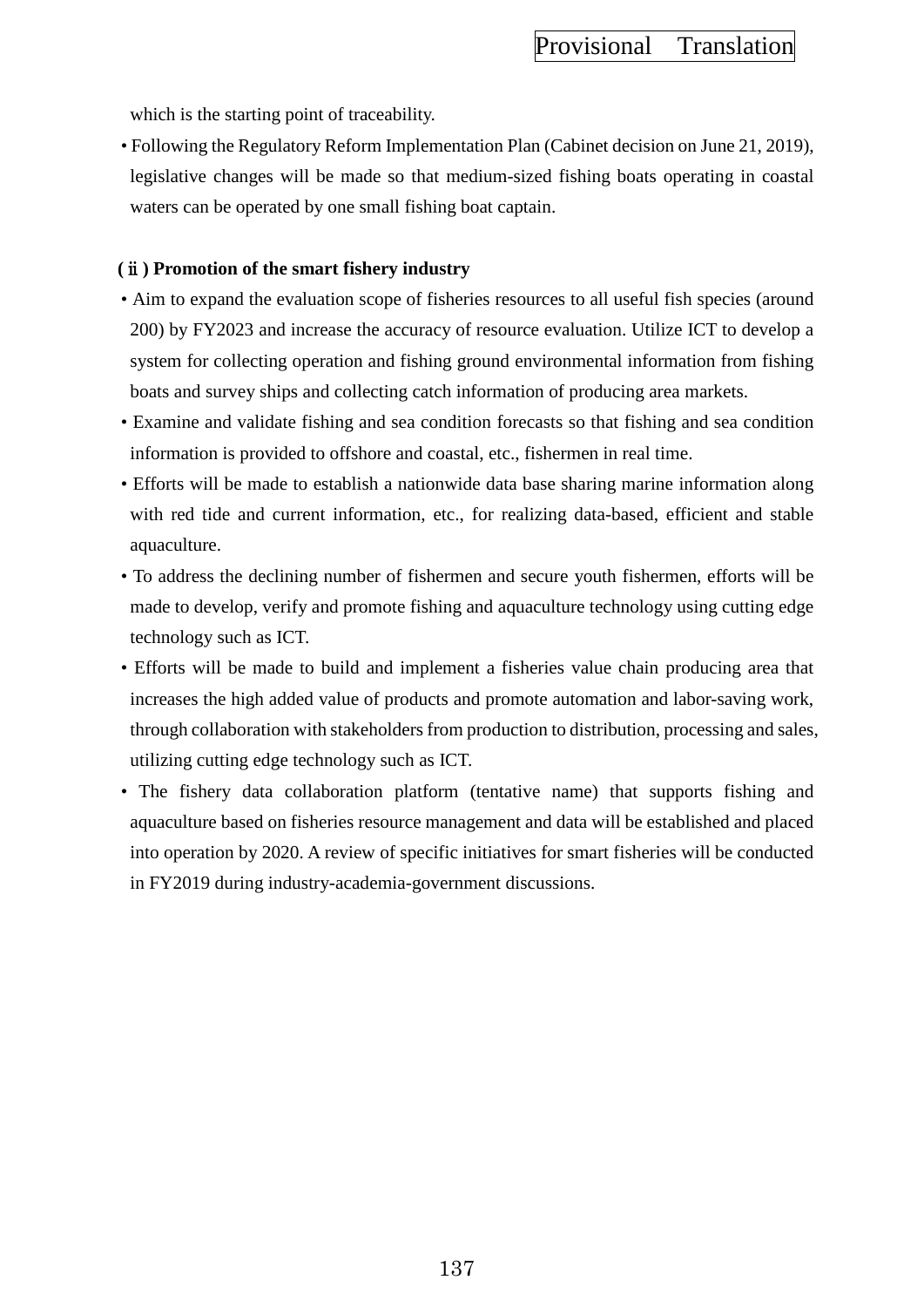which is the starting point of traceability.

• Following the Regulatory Reform Implementation Plan (Cabinet decision on June 21, 2019), legislative changes will be made so that medium-sized fishing boats operating in coastal waters can be operated by one small fishing boat captain.

### **(**ⅱ**) Promotion of the smart fishery industry**

- Aim to expand the evaluation scope of fisheries resources to all useful fish species (around 200) by FY2023 and increase the accuracy of resource evaluation. Utilize ICT to develop a system for collecting operation and fishing ground environmental information from fishing boats and survey ships and collecting catch information of producing area markets.
- Examine and validate fishing and sea condition forecasts so that fishing and sea condition information is provided to offshore and coastal, etc., fishermen in real time.
- Efforts will be made to establish a nationwide data base sharing marine information along with red tide and current information, etc., for realizing data-based, efficient and stable aquaculture.
- To address the declining number of fishermen and secure youth fishermen, efforts will be made to develop, verify and promote fishing and aquaculture technology using cutting edge technology such as ICT.
- Efforts will be made to build and implement a fisheries value chain producing area that increases the high added value of products and promote automation and labor-saving work, through collaboration with stakeholders from production to distribution, processing and sales, utilizing cutting edge technology such as ICT.
- The fishery data collaboration platform (tentative name) that supports fishing and aquaculture based on fisheries resource management and data will be established and placed into operation by 2020. A review of specific initiatives for smart fisheries will be conducted in FY2019 during industry-academia-government discussions.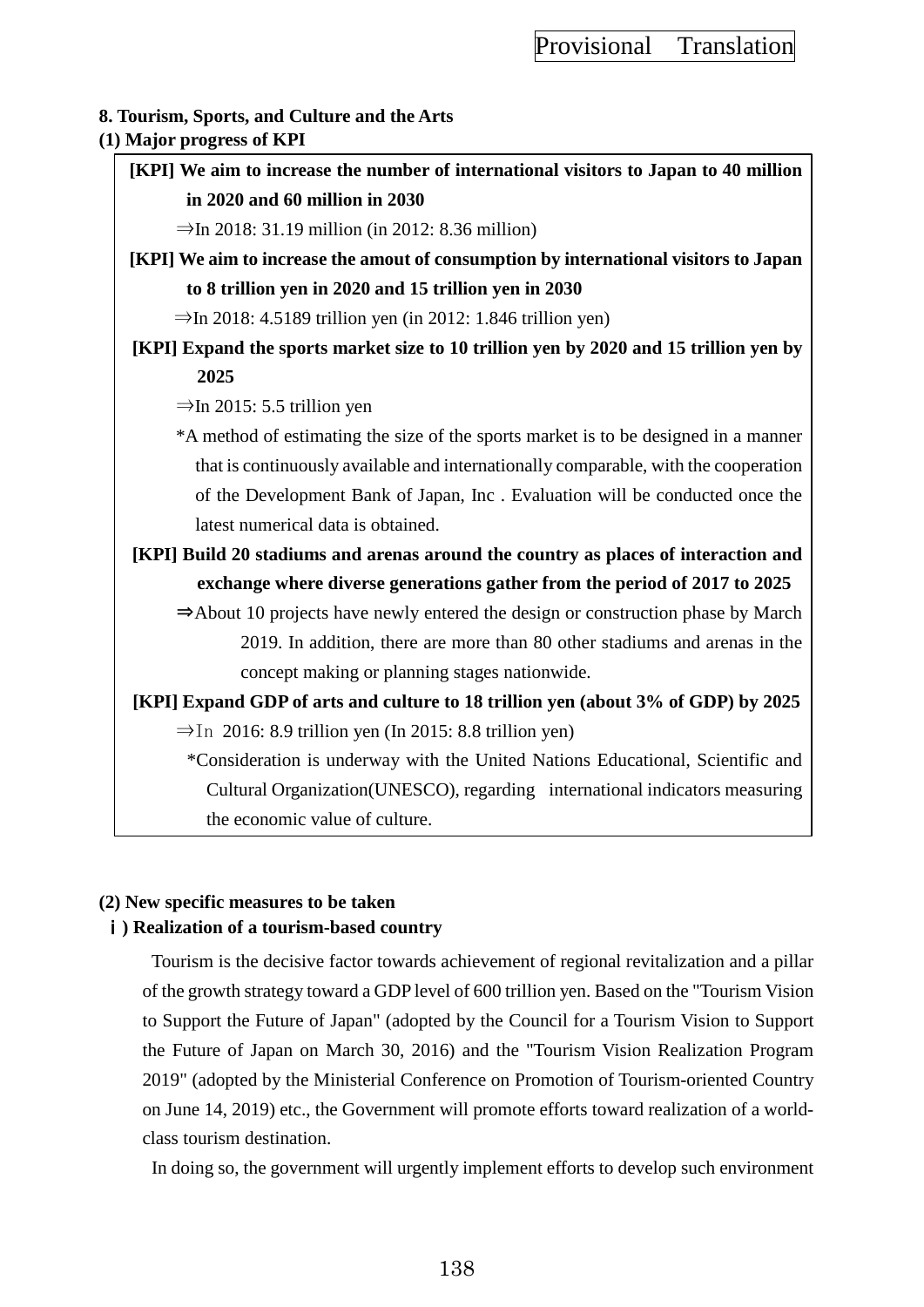## **8. Tourism, Sports, and Culture and the Arts**

**(1) Major progress of KPI**

**[KPI] We aim to increase the number of international visitors to Japan to 40 million in 2020 and 60 million in 2030**

 $\Rightarrow$ In 2018: 31.19 million (in 2012: 8.36 million)

**[KPI] We aim to increase the amout of consumption by international visitors to Japan to 8 trillion yen in 2020 and 15 trillion yen in 2030**

 $\Rightarrow$ In 2018: 4.5189 trillion yen (in 2012: 1.846 trillion yen)

**[KPI] Expand the sports market size to 10 trillion yen by 2020 and 15 trillion yen by 2025**

 $\Rightarrow$ In 2015: 5.5 trillion yen

\*A method of estimating the size of the sports market is to be designed in a manner that is continuously available and internationally comparable, with the cooperation of the Development Bank of Japan, Inc . Evaluation will be conducted once the latest numerical data is obtained.

**[KPI] Build 20 stadiums and arenas around the country as places of interaction and exchange where diverse generations gather from the period of 2017 to 2025**

⇒About 10 projects have newly entered the design or construction phase by March 2019. In addition, there are more than 80 other stadiums and arenas in the concept making or planning stages nationwide.

**[KPI] Expand GDP of arts and culture to 18 trillion yen (about 3% of GDP) by 2025**

 $\Rightarrow$ In 2016: 8.9 trillion yen (In 2015: 8.8 trillion yen)

\*Consideration is underway with the United Nations Educational, Scientific and Cultural Organization(UNESCO), regarding international indicators measuring the economic value of culture.

### **(2) New specific measures to be taken**

### ⅰ**) Realization of a tourism-based country**

Tourism is the decisive factor towards achievement of regional revitalization and a pillar of the growth strategy toward a GDP level of 600 trillion yen. Based on the "Tourism Vision to Support the Future of Japan" (adopted by the Council for a Tourism Vision to Support the Future of Japan on March 30, 2016) and the "Tourism Vision Realization Program 2019" (adopted by the Ministerial Conference on Promotion of Tourism-oriented Country on June 14, 2019) etc., the Government will promote efforts toward realization of a worldclass tourism destination.

In doing so, the government will urgently implement efforts to develop such environment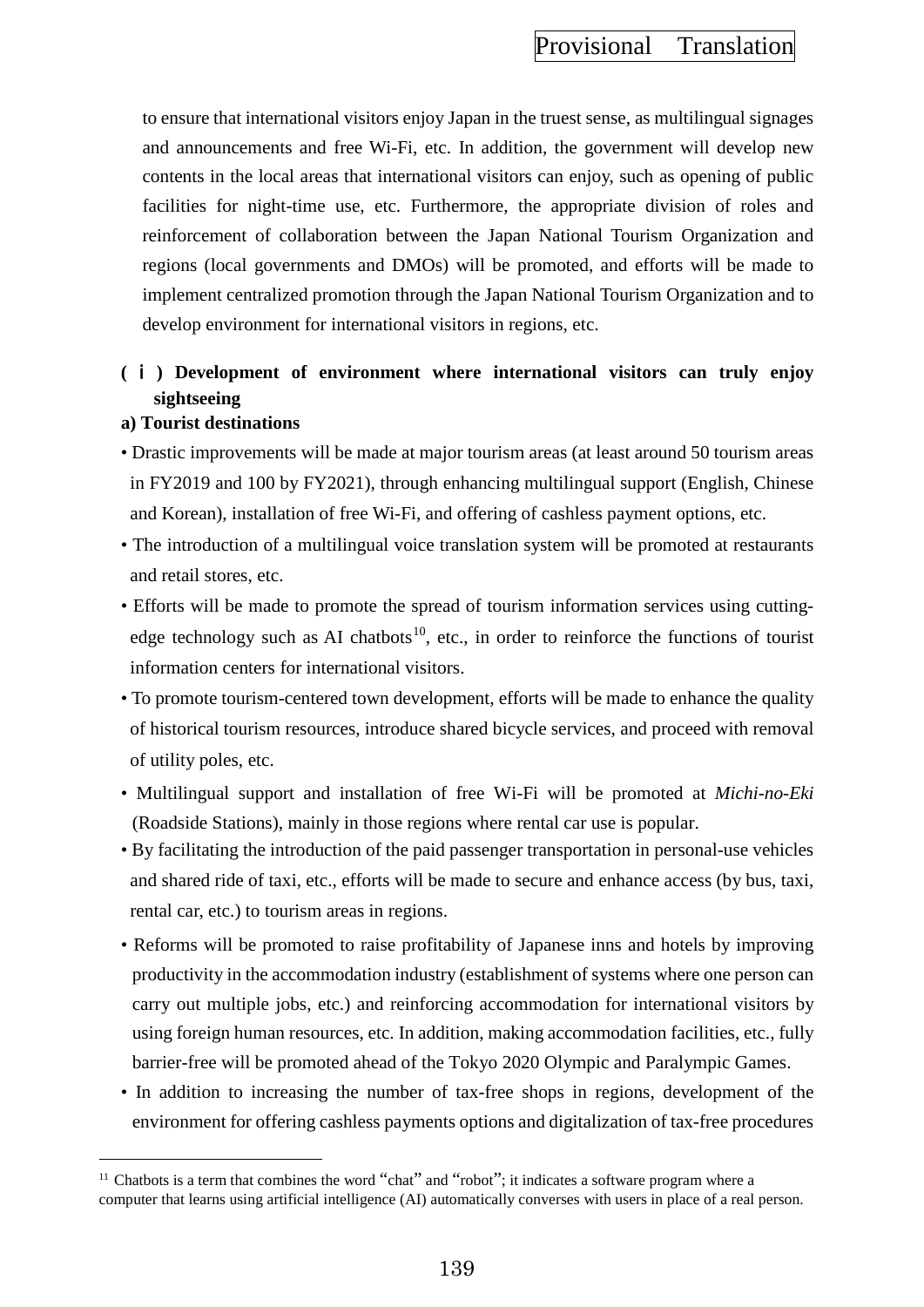to ensure that international visitors enjoy Japan in the truest sense, as multilingual signages and announcements and free Wi-Fi, etc. In addition, the government will develop new contents in the local areas that international visitors can enjoy, such as opening of public facilities for night-time use, etc. Furthermore, the appropriate division of roles and reinforcement of collaboration between the Japan National Tourism Organization and regions (local governments and DMOs) will be promoted, and efforts will be made to implement centralized promotion through the Japan National Tourism Organization and to develop environment for international visitors in regions, etc.

# **(** ⅰ **) Development of environment where international visitors can truly enjoy sightseeing**

#### **a) Tourist destinations**

 $\overline{a}$ 

- Drastic improvements will be made at major tourism areas (at least around 50 tourism areas in FY2019 and 100 by FY2021), through enhancing multilingual support (English, Chinese and Korean), installation of free Wi-Fi, and offering of cashless payment options, etc.
- The introduction of a multilingual voice translation system will be promoted at restaurants and retail stores, etc.
- Efforts will be made to promote the spread of tourism information services using cutting-edge technology such as AI chatbots<sup>[10](#page-148-0)</sup>, etc., in order to reinforce the functions of tourist information centers for international visitors.
- To promote tourism-centered town development, efforts will be made to enhance the quality of historical tourism resources, introduce shared bicycle services, and proceed with removal of utility poles, etc.
- Multilingual support and installation of free Wi-Fi will be promoted at *Michi-no-Eki*  (Roadside Stations), mainly in those regions where rental car use is popular.
- By facilitating the introduction of the paid passenger transportation in personal-use vehicles and shared ride of taxi, etc., efforts will be made to secure and enhance access (by bus, taxi, rental car, etc.) to tourism areas in regions.
- Reforms will be promoted to raise profitability of Japanese inns and hotels by improving productivity in the accommodation industry (establishment of systems where one person can carry out multiple jobs, etc.) and reinforcing accommodation for international visitors by using foreign human resources, etc. In addition, making accommodation facilities, etc., fully barrier-free will be promoted ahead of the Tokyo 2020 Olympic and Paralympic Games.
- In addition to increasing the number of tax-free shops in regions, development of the environment for offering cashless payments options and digitalization of tax-free procedures

<span id="page-148-0"></span> $11$  Chatbots is a term that combines the word "chat" and "robot"; it indicates a software program where a computer that learns using artificial intelligence (AI) automatically converses with users in place of a real person.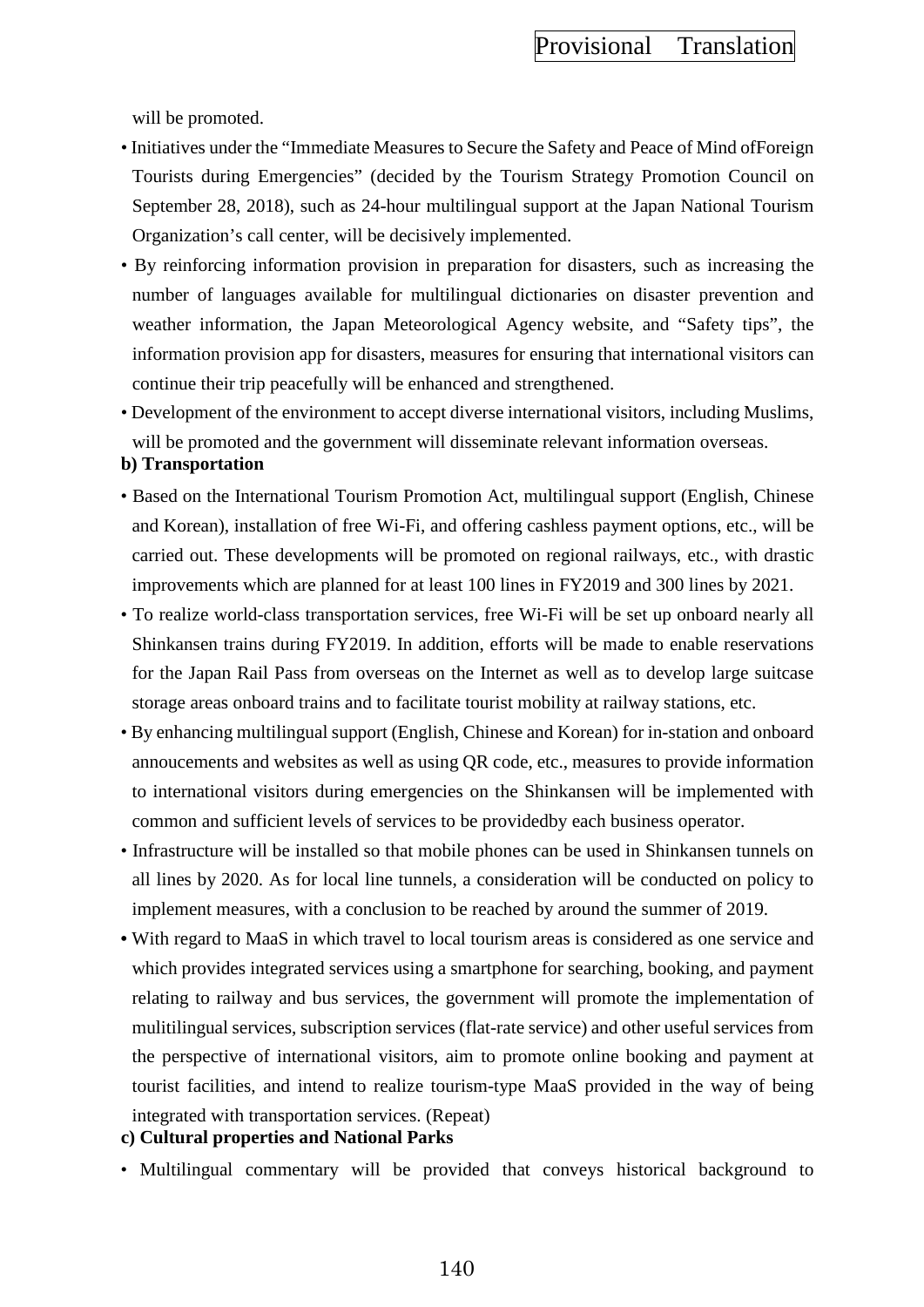will be promoted.

- Initiatives under the "Immediate Measures to Secure the Safety and Peace of Mind ofForeign Tourists during Emergencies" (decided by the Tourism Strategy Promotion Council on September 28, 2018), such as 24-hour multilingual support at the Japan National Tourism Organization's call center, will be decisively implemented.
- By reinforcing information provision in preparation for disasters, such as increasing the number of languages available for multilingual dictionaries on disaster prevention and weather information, the Japan Meteorological Agency website, and "Safety tips", the information provision app for disasters, measures for ensuring that international visitors can continue their trip peacefully will be enhanced and strengthened.
- Development of the environment to accept diverse international visitors, including Muslims, will be promoted and the government will disseminate relevant information overseas.

#### **b) Transportation**

- Based on the International Tourism Promotion Act, multilingual support (English, Chinese and Korean), installation of free Wi-Fi, and offering cashless payment options, etc., will be carried out. These developments will be promoted on regional railways, etc., with drastic improvements which are planned for at least 100 lines in FY2019 and 300 lines by 2021.
- To realize world-class transportation services, free Wi-Fi will be set up onboard nearly all Shinkansen trains during FY2019. In addition, efforts will be made to enable reservations for the Japan Rail Pass from overseas on the Internet as well as to develop large suitcase storage areas onboard trains and to facilitate tourist mobility at railway stations, etc.
- By enhancing multilingual support (English, Chinese and Korean) for in-station and onboard annoucements and websites as well as using QR code, etc., measures to provide information to international visitors during emergencies on the Shinkansen will be implemented with common and sufficient levels of services to be providedby each business operator.
- Infrastructure will be installed so that mobile phones can be used in Shinkansen tunnels on all lines by 2020. As for local line tunnels, a consideration will be conducted on policy to implement measures, with a conclusion to be reached by around the summer of 2019.
- With regard to MaaS in which travel to local tourism areas is considered as one service and which provides integrated services using a smartphone for searching, booking, and payment relating to railway and bus services, the government will promote the implementation of mulitilingual services, subscription services (flat-rate service) and other useful services from the perspective of international visitors, aim to promote online booking and payment at tourist facilities, and intend to realize tourism-type MaaS provided in the way of being integrated with transportation services. (Repeat)
- **c) Cultural properties and National Parks**
- Multilingual commentary will be provided that conveys historical background to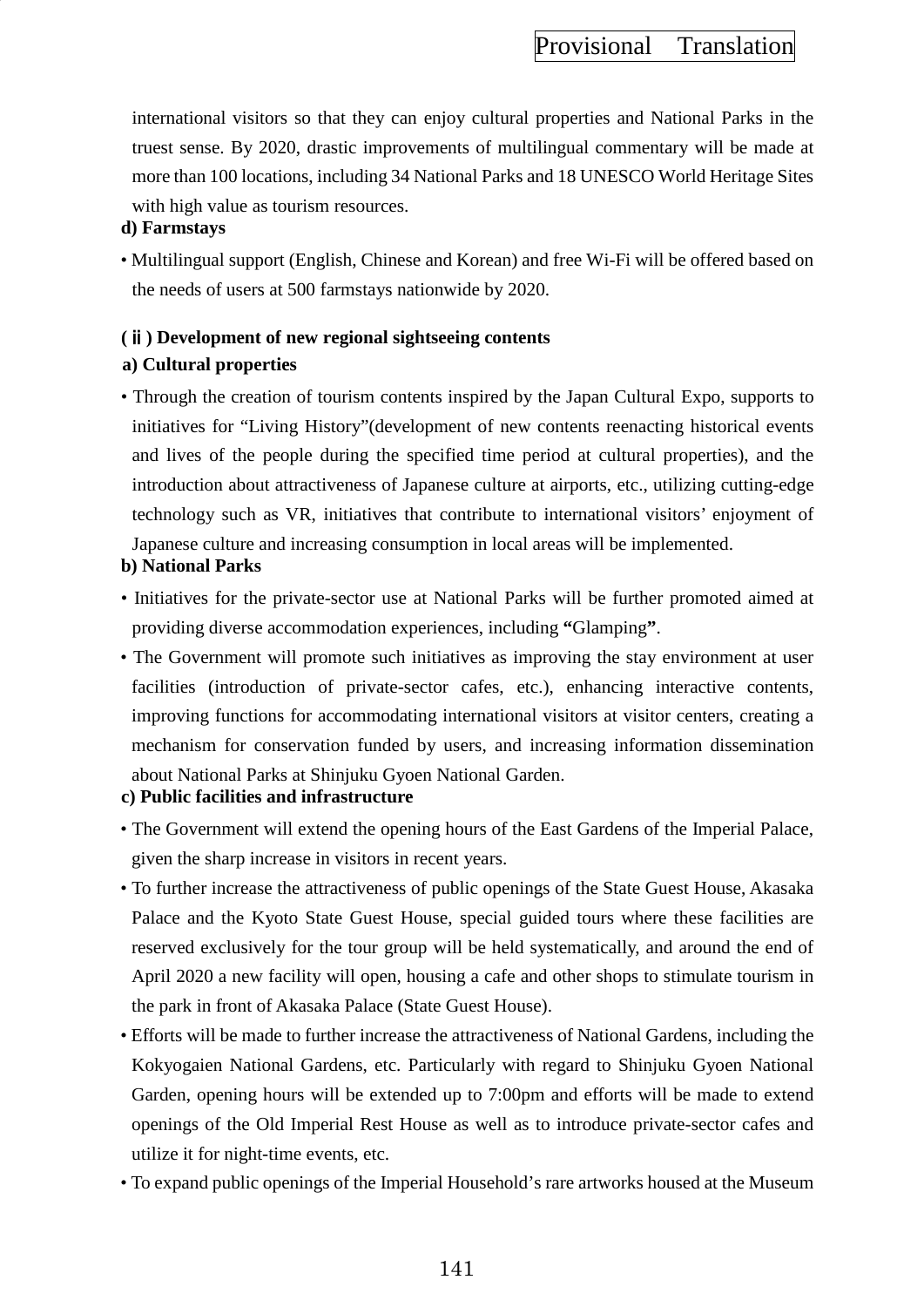international visitors so that they can enjoy cultural properties and National Parks in the truest sense. By 2020, drastic improvements of multilingual commentary will be made at more than 100 locations, including 34 National Parks and 18 UNESCO World Heritage Sites with high value as tourism resources.

### **d) Farmstays**

• Multilingual support (English, Chinese and Korean) and free Wi-Fi will be offered based on the needs of users at 500 farmstays nationwide by 2020.

## **(**ⅱ**) Development of new regional sightseeing contents a) Cultural properties**

• Through the creation of tourism contents inspired by the Japan Cultural Expo, supports to initiatives for "Living History"(development of new contents reenacting historical events and lives of the people during the specified time period at cultural properties), and the introduction about attractiveness of Japanese culture at airports, etc., utilizing cutting-edge technology such as VR, initiatives that contribute to international visitors' enjoyment of Japanese culture and increasing consumption in local areas will be implemented.

### **b) National Parks**

- Initiatives for the private-sector use at National Parks will be further promoted aimed at providing diverse accommodation experiences, including **"**Glamping**"**.
- The Government will promote such initiatives as improving the stay environment at user facilities (introduction of private-sector cafes, etc.), enhancing interactive contents, improving functions for accommodating international visitors at visitor centers, creating a mechanism for conservation funded by users, and increasing information dissemination about National Parks at Shinjuku Gyoen National Garden.
- **c) Public facilities and infrastructure**
- The Government will extend the opening hours of the East Gardens of the Imperial Palace, given the sharp increase in visitors in recent years.
- To further increase the attractiveness of public openings of the State Guest House, Akasaka Palace and the Kyoto State Guest House, special guided tours where these facilities are reserved exclusively for the tour group will be held systematically, and around the end of April 2020 a new facility will open, housing a cafe and other shops to stimulate tourism in the park in front of Akasaka Palace (State Guest House).
- Efforts will be made to further increase the attractiveness of National Gardens, including the Kokyogaien National Gardens, etc. Particularly with regard to Shinjuku Gyoen National Garden, opening hours will be extended up to 7:00pm and efforts will be made to extend openings of the Old Imperial Rest House as well as to introduce private-sector cafes and utilize it for night-time events, etc.
- To expand public openings of the Imperial Household's rare artworks housed at the Museum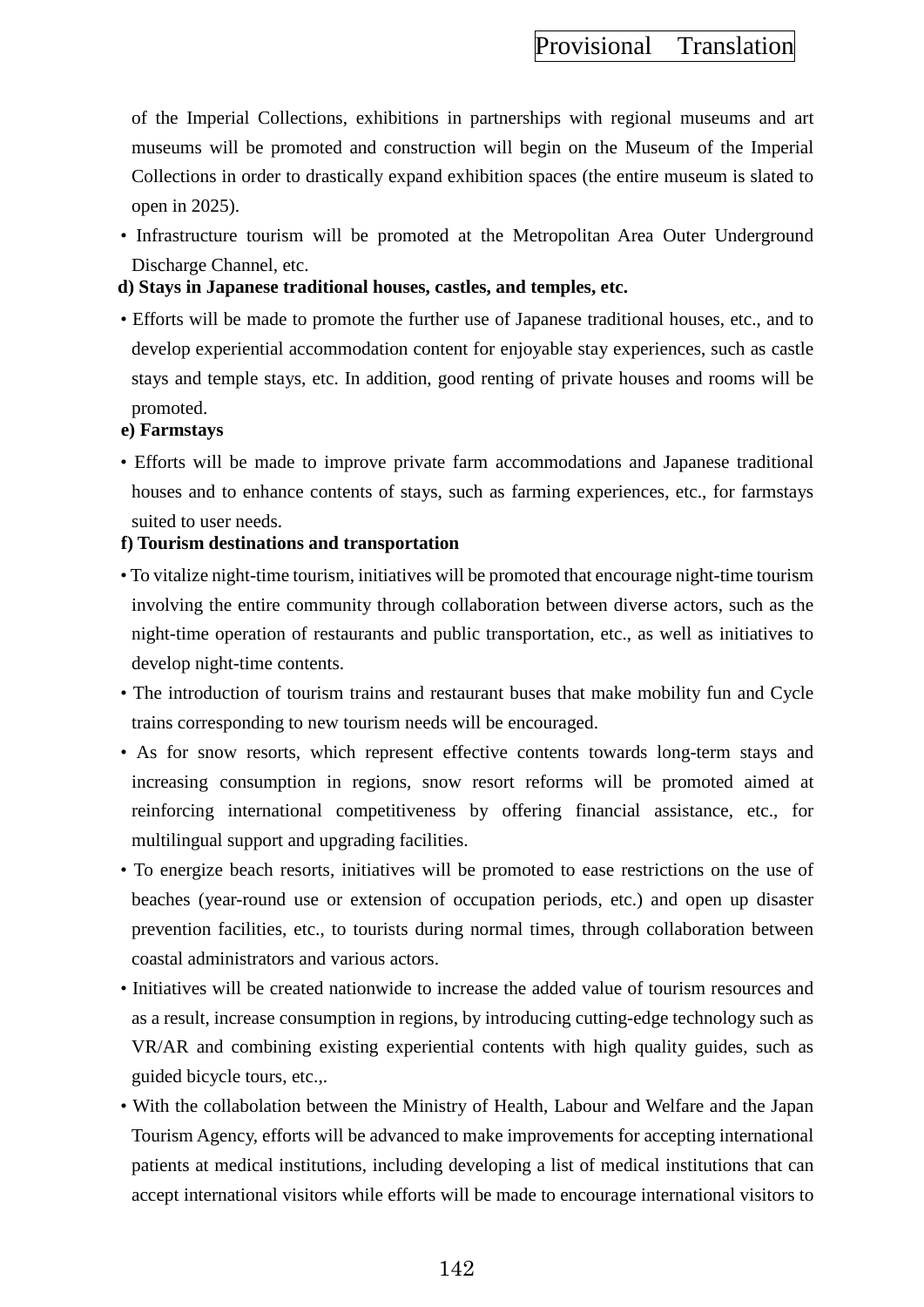of the Imperial Collections, exhibitions in partnerships with regional museums and art museums will be promoted and construction will begin on the Museum of the Imperial Collections in order to drastically expand exhibition spaces (the entire museum is slated to open in 2025).

- Infrastructure tourism will be promoted at the Metropolitan Area Outer Underground Discharge Channel, etc.
- **d) Stays in Japanese traditional houses, castles, and temples, etc.**
- Efforts will be made to promote the further use of Japanese traditional houses, etc., and to develop experiential accommodation content for enjoyable stay experiences, such as castle stays and temple stays, etc. In addition, good renting of private houses and rooms will be promoted.

#### **e) Farmstays**

• Efforts will be made to improve private farm accommodations and Japanese traditional houses and to enhance contents of stays, such as farming experiences, etc., for farmstays suited to user needs.

### **f) Tourism destinations and transportation**

- To vitalize night-time tourism, initiatives will be promoted that encourage night-time tourism involving the entire community through collaboration between diverse actors, such as the night-time operation of restaurants and public transportation, etc., as well as initiatives to develop night-time contents.
- The introduction of tourism trains and restaurant buses that make mobility fun and Cycle trains corresponding to new tourism needs will be encouraged.
- As for snow resorts, which represent effective contents towards long-term stays and increasing consumption in regions, snow resort reforms will be promoted aimed at reinforcing international competitiveness by offering financial assistance, etc., for multilingual support and upgrading facilities.
- To energize beach resorts, initiatives will be promoted to ease restrictions on the use of beaches (year-round use or extension of occupation periods, etc.) and open up disaster prevention facilities, etc., to tourists during normal times, through collaboration between coastal administrators and various actors.
- Initiatives will be created nationwide to increase the added value of tourism resources and as a result, increase consumption in regions, by introducing cutting-edge technology such as VR/AR and combining existing experiential contents with high quality guides, such as guided bicycle tours, etc.,.
- With the collabolation between the Ministry of Health, Labour and Welfare and the Japan Tourism Agency, efforts will be advanced to make improvements for accepting international patients at medical institutions, including developing a list of medical institutions that can accept international visitors while efforts will be made to encourage international visitors to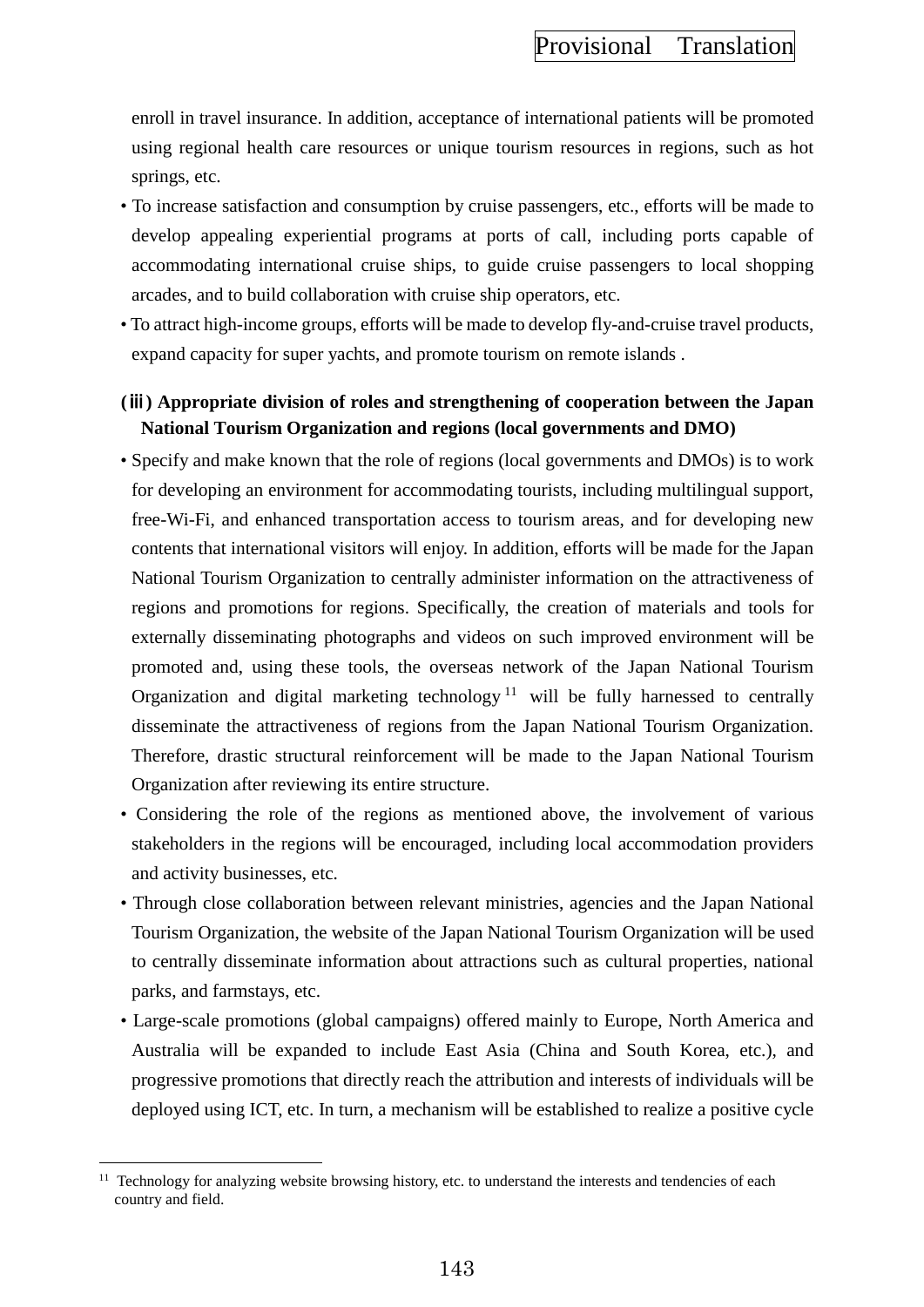enroll in travel insurance. In addition, acceptance of international patients will be promoted using regional health care resources or unique tourism resources in regions, such as hot springs, etc.

- To increase satisfaction and consumption by cruise passengers, etc., efforts will be made to develop appealing experiential programs at ports of call, including ports capable of accommodating international cruise ships, to guide cruise passengers to local shopping arcades, and to build collaboration with cruise ship operators, etc.
- To attract high-income groups, efforts will be made to develop fly-and-cruise travel products, expand capacity for super yachts, and promote tourism on remote islands .

## **(**ⅲ**) Appropriate division of roles and strengthening of cooperation between the Japan National Tourism Organization and regions (local governments and DMO)**

- Specify and make known that the role of regions (local governments and DMOs) is to work for developing an environment for accommodating tourists, including multilingual support, free-Wi-Fi, and enhanced transportation access to tourism areas, and for developing new contents that international visitors will enjoy. In addition, efforts will be made for the Japan National Tourism Organization to centrally administer information on the attractiveness of regions and promotions for regions. Specifically, the creation of materials and tools for externally disseminating photographs and videos on such improved environment will be promoted and, using these tools, the overseas network of the Japan National Tourism Organization and digital marketing technology<sup>[11](#page-152-0)</sup> will be fully harnessed to centrally disseminate the attractiveness of regions from the Japan National Tourism Organization. Therefore, drastic structural reinforcement will be made to the Japan National Tourism Organization after reviewing its entire structure.
- Considering the role of the regions as mentioned above, the involvement of various stakeholders in the regions will be encouraged, including local accommodation providers and activity businesses, etc.
- Through close collaboration between relevant ministries, agencies and the Japan National Tourism Organization, the website of the Japan National Tourism Organization will be used to centrally disseminate information about attractions such as cultural properties, national parks, and farmstays, etc.
- Large-scale promotions (global campaigns) offered mainly to Europe, North America and Australia will be expanded to include East Asia (China and South Korea, etc.), and progressive promotions that directly reach the attribution and interests of individuals will be deployed using ICT, etc. In turn, a mechanism will be established to realize a positive cycle

 $\overline{a}$ 

<span id="page-152-0"></span><sup>&</sup>lt;sup>11</sup> Technology for analyzing website browsing history, etc. to understand the interests and tendencies of each country and field.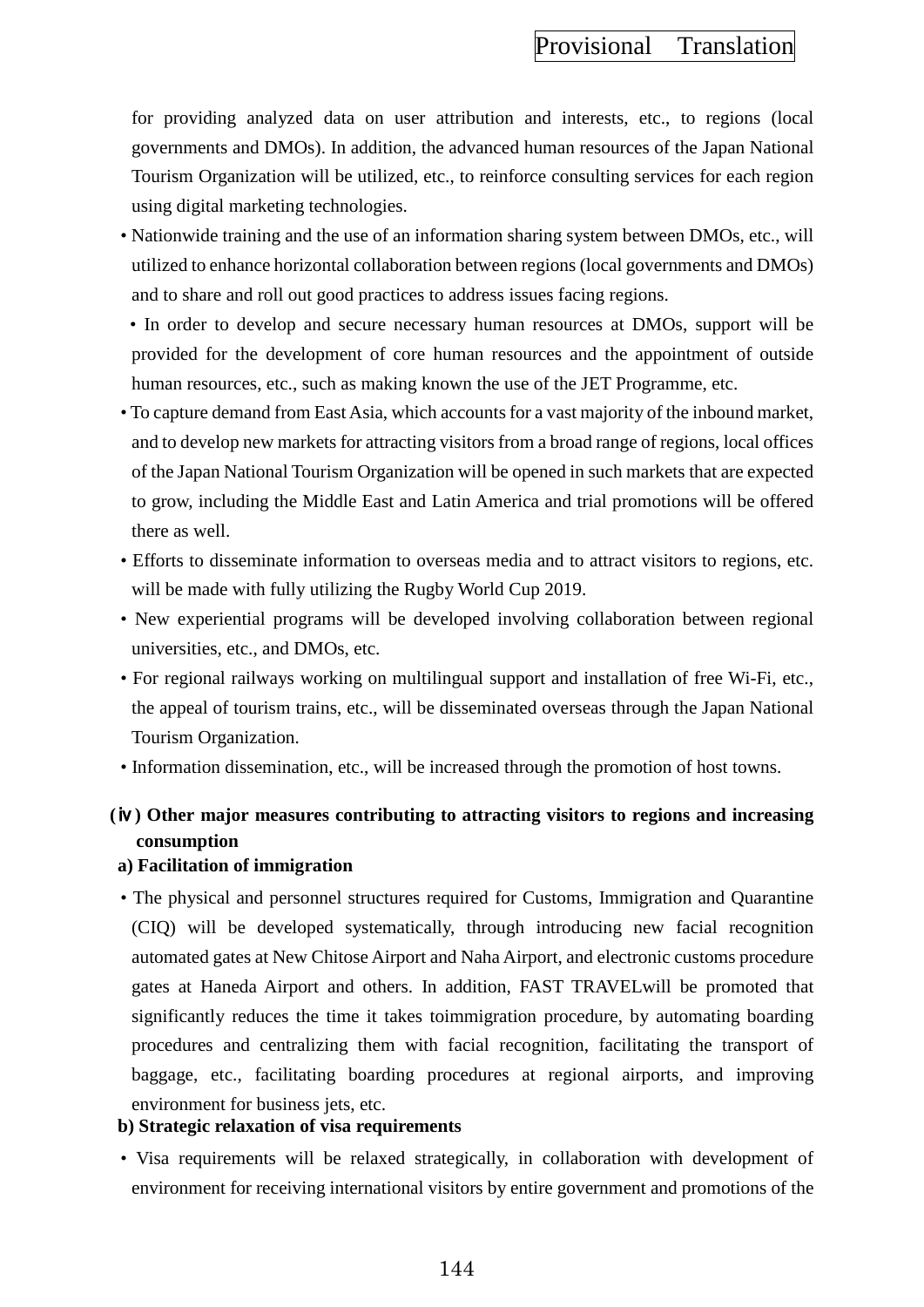for providing analyzed data on user attribution and interests, etc., to regions (local governments and DMOs). In addition, the advanced human resources of the Japan National Tourism Organization will be utilized, etc., to reinforce consulting services for each region using digital marketing technologies.

- Nationwide training and the use of an information sharing system between DMOs, etc., will utilized to enhance horizontal collaboration between regions (local governments and DMOs) and to share and roll out good practices to address issues facing regions.
- In order to develop and secure necessary human resources at DMOs, support will be provided for the development of core human resources and the appointment of outside human resources, etc., such as making known the use of the JET Programme, etc.
- To capture demand from East Asia, which accounts for a vast majority of the inbound market, and to develop new markets for attracting visitors from a broad range of regions, local offices of the Japan National Tourism Organization will be opened in such markets that are expected to grow, including the Middle East and Latin America and trial promotions will be offered there as well.
- Efforts to disseminate information to overseas media and to attract visitors to regions, etc. will be made with fully utilizing the Rugby World Cup 2019.
- New experiential programs will be developed involving collaboration between regional universities, etc., and DMOs, etc.
- For regional railways working on multilingual support and installation of free Wi-Fi, etc., the appeal of tourism trains, etc., will be disseminated overseas through the Japan National Tourism Organization.
- Information dissemination, etc., will be increased through the promotion of host towns.

# **(**ⅳ**) Other major measures contributing to attracting visitors to regions and increasing consumption**

#### **a) Facilitation of immigration**

• The physical and personnel structures required for Customs, Immigration and Quarantine (CIQ) will be developed systematically, through introducing new facial recognition automated gates at New Chitose Airport and Naha Airport, and electronic customs procedure gates at Haneda Airport and others. In addition, FAST TRAVELwill be promoted that significantly reduces the time it takes toimmigration procedure, by automating boarding procedures and centralizing them with facial recognition, facilitating the transport of baggage, etc., facilitating boarding procedures at regional airports, and improving environment for business jets, etc.

### **b) Strategic relaxation of visa requirements**

• Visa requirements will be relaxed strategically, in collaboration with development of environment for receiving international visitors by entire government and promotions of the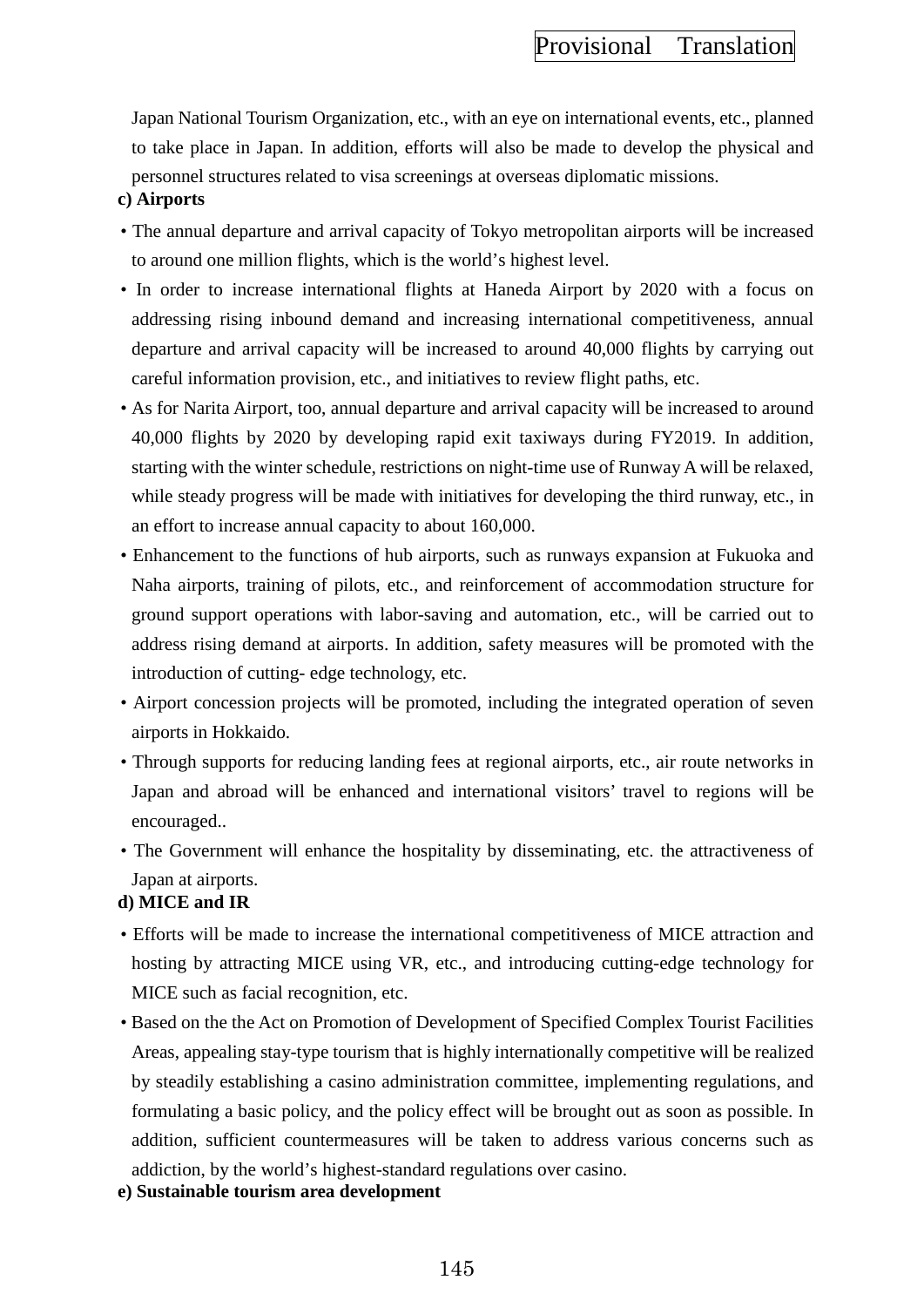Japan National Tourism Organization, etc., with an eye on international events, etc., planned to take place in Japan. In addition, efforts will also be made to develop the physical and personnel structures related to visa screenings at overseas diplomatic missions.

#### **c) Airports**

- The annual departure and arrival capacity of Tokyo metropolitan airports will be increased to around one million flights, which is the world's highest level.
- In order to increase international flights at Haneda Airport by 2020 with a focus on addressing rising inbound demand and increasing international competitiveness, annual departure and arrival capacity will be increased to around 40,000 flights by carrying out careful information provision, etc., and initiatives to review flight paths, etc.
- As for Narita Airport, too, annual departure and arrival capacity will be increased to around 40,000 flights by 2020 by developing rapid exit taxiways during FY2019. In addition, starting with the winter schedule, restrictions on night-time use of Runway A will be relaxed, while steady progress will be made with initiatives for developing the third runway, etc., in an effort to increase annual capacity to about 160,000.
- Enhancement to the functions of hub airports, such as runways expansion at Fukuoka and Naha airports, training of pilots, etc., and reinforcement of accommodation structure for ground support operations with labor-saving and automation, etc., will be carried out to address rising demand at airports. In addition, safety measures will be promoted with the introduction of cutting- edge technology, etc.
- Airport concession projects will be promoted, including the integrated operation of seven airports in Hokkaido.
- Through supports for reducing landing fees at regional airports, etc., air route networks in Japan and abroad will be enhanced and international visitors' travel to regions will be encouraged..
- The Government will enhance the hospitality by disseminating, etc. the attractiveness of Japan at airports.

#### **d) MICE and IR**

- Efforts will be made to increase the international competitiveness of MICE attraction and hosting by attracting MICE using VR, etc., and introducing cutting-edge technology for MICE such as facial recognition, etc.
- Based on the the Act on Promotion of Development of Specified Complex Tourist Facilities Areas, appealing stay-type tourism that is highly internationally competitive will be realized by steadily establishing a casino administration committee, implementing regulations, and formulating a basic policy, and the policy effect will be brought out as soon as possible. In addition, sufficient countermeasures will be taken to address various concerns such as addiction, by the world's highest-standard regulations over casino.
- **e) Sustainable tourism area development**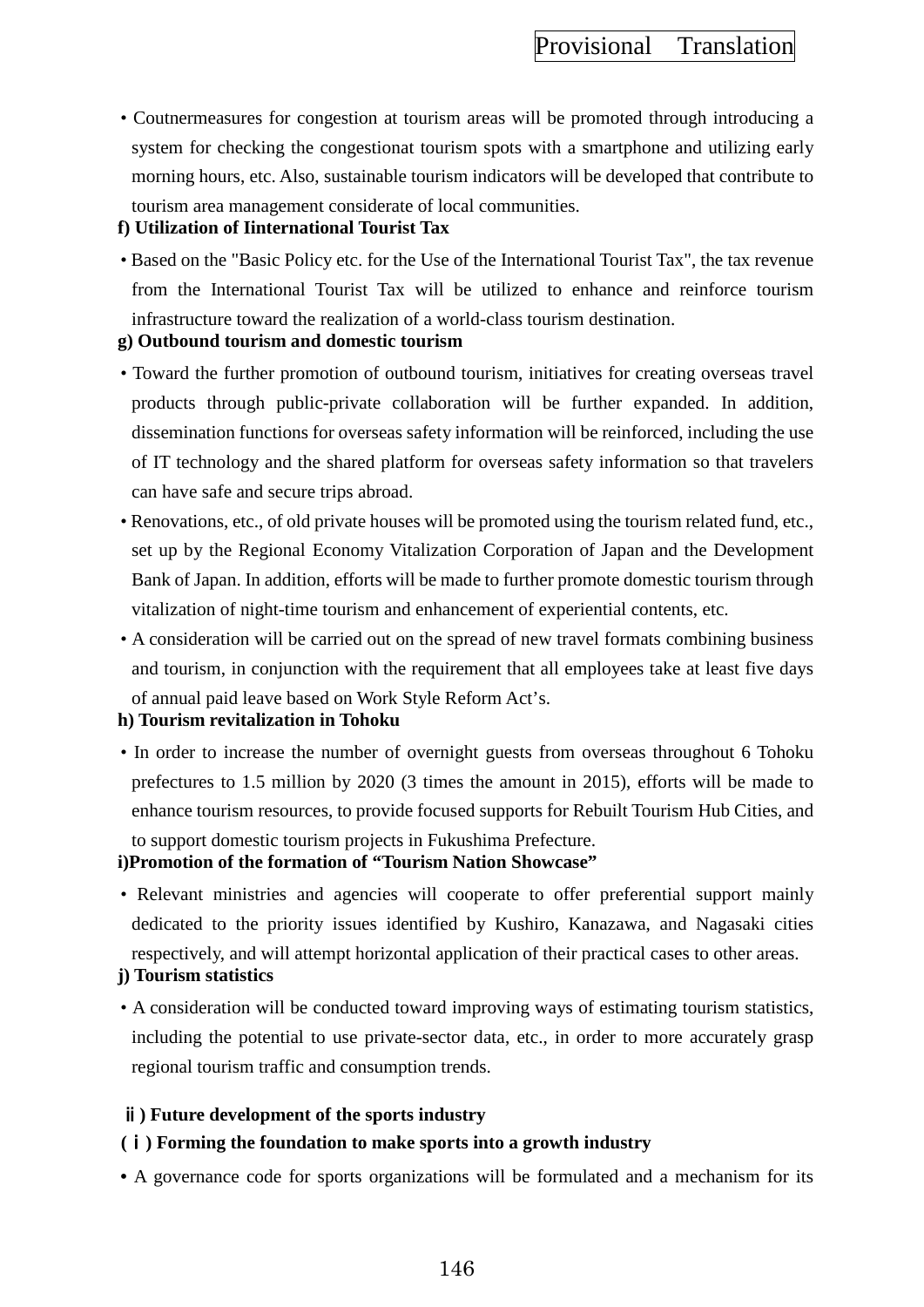• Coutnermeasures for congestion at tourism areas will be promoted through introducing a system for checking the congestionat tourism spots with a smartphone and utilizing early morning hours, etc. Also, sustainable tourism indicators will be developed that contribute to tourism area management considerate of local communities.

### **f) Utilization of Iinternational Tourist Tax**

• Based on the "Basic Policy etc. for the Use of the International Tourist Tax", the tax revenue from the International Tourist Tax will be utilized to enhance and reinforce tourism infrastructure toward the realization of a world-class tourism destination.

## **g) Outbound tourism and domestic tourism**

- Toward the further promotion of outbound tourism, initiatives for creating overseas travel products through public-private collaboration will be further expanded. In addition, dissemination functions for overseas safety information will be reinforced, including the use of IT technology and the shared platform for overseas safety information so that travelers can have safe and secure trips abroad.
- Renovations, etc., of old private houses will be promoted using the tourism related fund, etc., set up by the Regional Economy Vitalization Corporation of Japan and the Development Bank of Japan. In addition, efforts will be made to further promote domestic tourism through vitalization of night-time tourism and enhancement of experiential contents, etc.
- A consideration will be carried out on the spread of new travel formats combining business and tourism, in conjunction with the requirement that all employees take at least five days of annual paid leave based on Work Style Reform Act's.

### **h) Tourism revitalization in Tohoku**

• In order to increase the number of overnight guests from overseas throughout 6 Tohoku prefectures to 1.5 million by 2020 (3 times the amount in 2015), efforts will be made to enhance tourism resources, to provide focused supports for Rebuilt Tourism Hub Cities, and to support domestic tourism projects in Fukushima Prefecture.

# **i)Promotion of the formation of "Tourism Nation Showcase"**

• Relevant ministries and agencies will cooperate to offer preferential support mainly dedicated to the priority issues identified by Kushiro, Kanazawa, and Nagasaki cities respectively, and will attempt horizontal application of their practical cases to other areas.

## **j) Tourism statistics**

• A consideration will be conducted toward improving ways of estimating tourism statistics, including the potential to use private-sector data, etc., in order to more accurately grasp regional tourism traffic and consumption trends.

## ⅱ**) Future development of the sports industry**

## **(**ⅰ**) Forming the foundation to make sports into a growth industry**

**•** A governance code for sports organizations will be formulated and a mechanism for its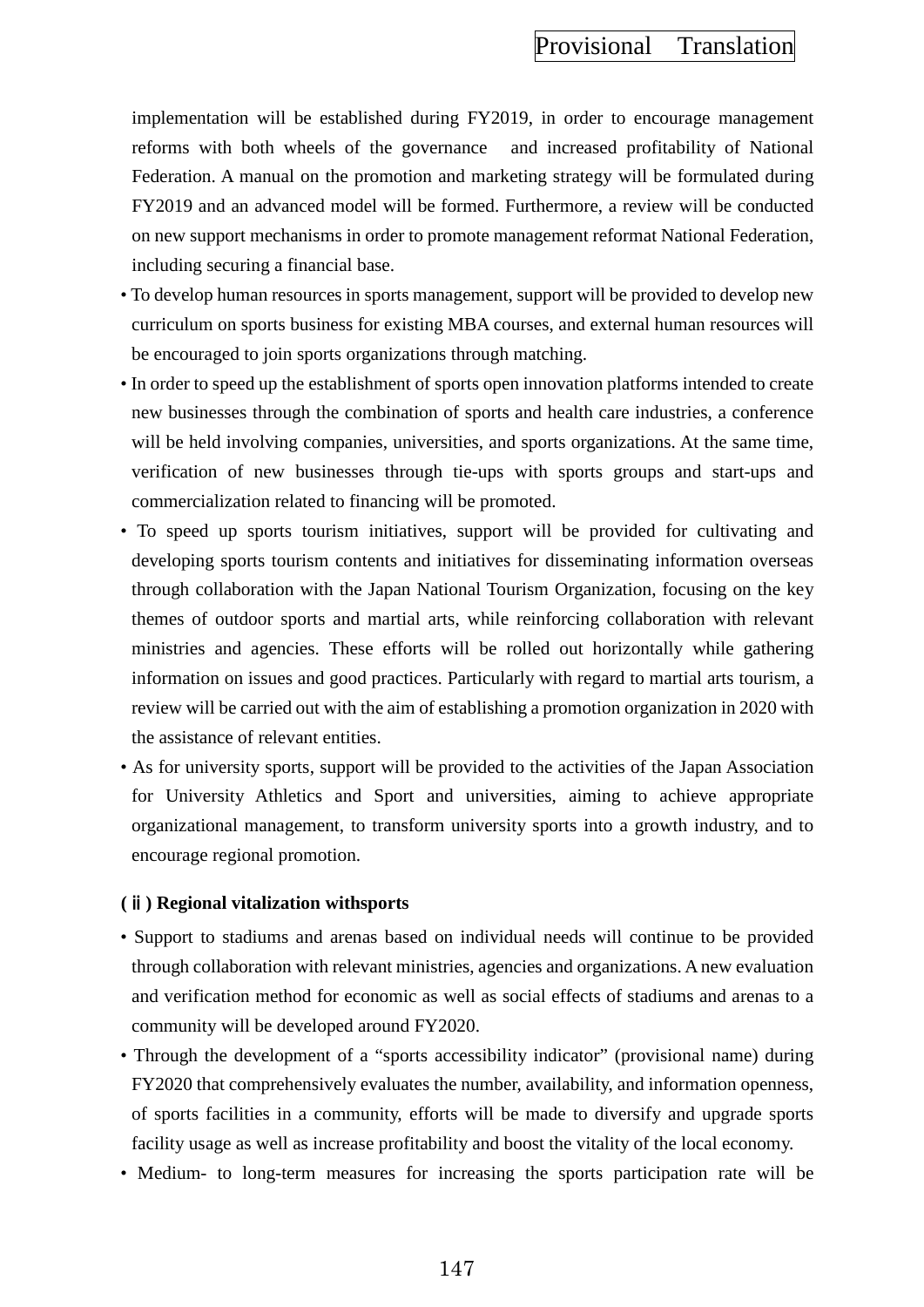implementation will be established during FY2019, in order to encourage management reforms with both wheels of the governance and increased profitability of National Federation. A manual on the promotion and marketing strategy will be formulated during FY2019 and an advanced model will be formed. Furthermore, a review will be conducted on new support mechanisms in order to promote management reformat National Federation, including securing a financial base.

- To develop human resources in sports management, support will be provided to develop new curriculum on sports business for existing MBA courses, and external human resources will be encouraged to join sports organizations through matching.
- In order to speed up the establishment of sports open innovation platforms intended to create new businesses through the combination of sports and health care industries, a conference will be held involving companies, universities, and sports organizations. At the same time, verification of new businesses through tie-ups with sports groups and start-ups and commercialization related to financing will be promoted.
- To speed up sports tourism initiatives, support will be provided for cultivating and developing sports tourism contents and initiatives for disseminating information overseas through collaboration with the Japan National Tourism Organization, focusing on the key themes of outdoor sports and martial arts, while reinforcing collaboration with relevant ministries and agencies. These efforts will be rolled out horizontally while gathering information on issues and good practices. Particularly with regard to martial arts tourism, a review will be carried out with the aim of establishing a promotion organization in 2020 with the assistance of relevant entities.
- As for university sports, support will be provided to the activities of the Japan Association for University Athletics and Sport and universities, aiming to achieve appropriate organizational management, to transform university sports into a growth industry, and to encourage regional promotion.

#### **(**ⅱ**) Regional vitalization withsports**

- Support to stadiums and arenas based on individual needs will continue to be provided through collaboration with relevant ministries, agencies and organizations. A new evaluation and verification method for economic as well as social effects of stadiums and arenas to a community will be developed around FY2020.
- Through the development of a "sports accessibility indicator" (provisional name) during FY2020 that comprehensively evaluates the number, availability, and information openness, of sports facilities in a community, efforts will be made to diversify and upgrade sports facility usage as well as increase profitability and boost the vitality of the local economy.
- Medium- to long-term measures for increasing the sports participation rate will be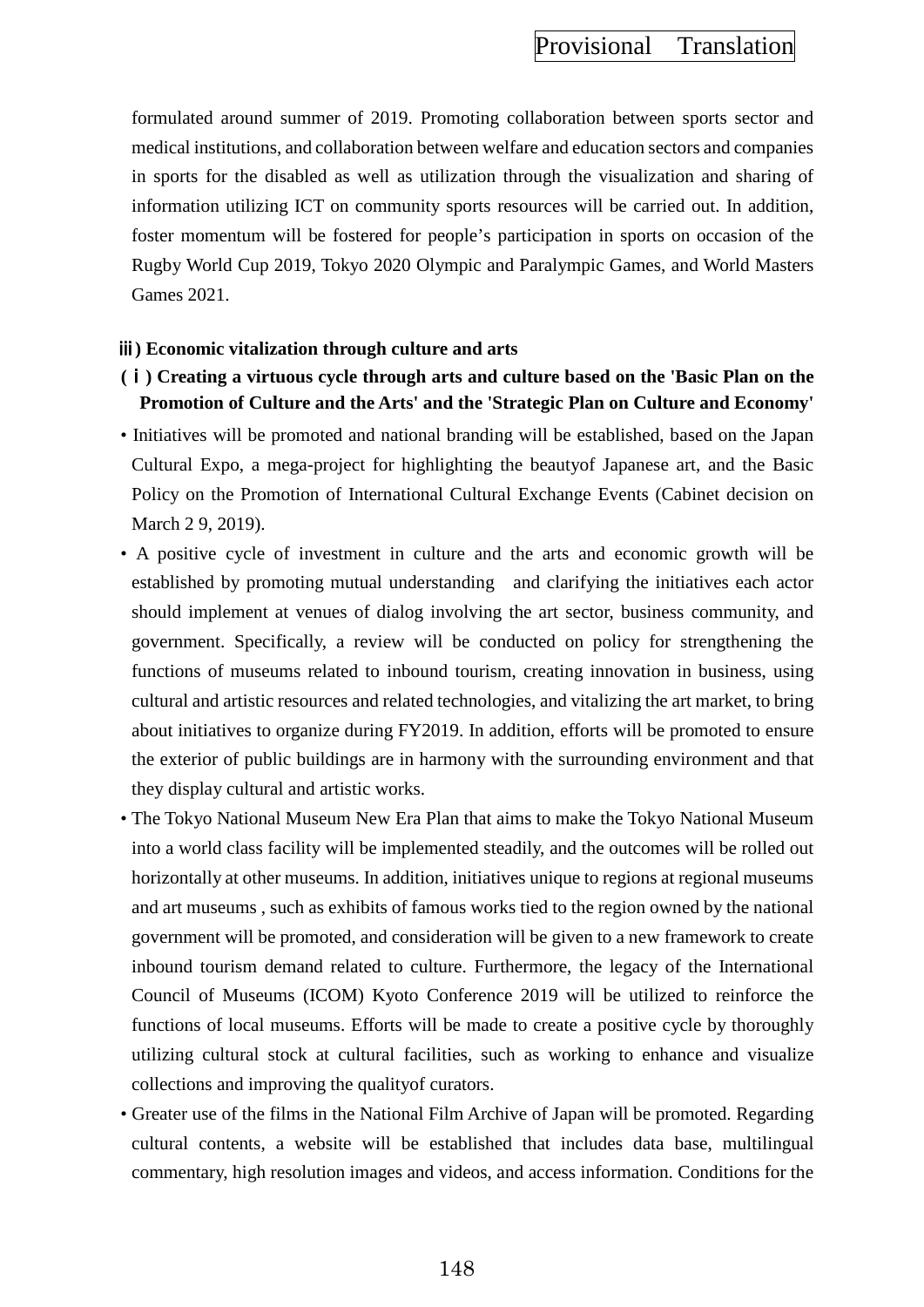formulated around summer of 2019. Promoting collaboration between sports sector and medical institutions, and collaboration between welfare and education sectors and companies in sports for the disabled as well as utilization through the visualization and sharing of information utilizing ICT on community sports resources will be carried out. In addition, foster momentum will be fostered for people's participation in sports on occasion of the Rugby World Cup 2019, Tokyo 2020 Olympic and Paralympic Games, and World Masters Games 2021.

### ⅲ**) Economic vitalization through culture and arts**

- **(**ⅰ**) Creating a virtuous cycle through arts and culture based on the 'Basic Plan on the Promotion of Culture and the Arts' and the 'Strategic Plan on Culture and Economy'**
- Initiatives will be promoted and national branding will be established, based on the Japan Cultural Expo, a mega-project for highlighting the beautyof Japanese art, and the Basic Policy on the Promotion of International Cultural Exchange Events (Cabinet decision on March 2 9, 2019).
- A positive cycle of investment in culture and the arts and economic growth will be established by promoting mutual understanding and clarifying the initiatives each actor should implement at venues of dialog involving the art sector, business community, and government. Specifically, a review will be conducted on policy for strengthening the functions of museums related to inbound tourism, creating innovation in business, using cultural and artistic resources and related technologies, and vitalizing the art market, to bring about initiatives to organize during FY2019. In addition, efforts will be promoted to ensure the exterior of public buildings are in harmony with the surrounding environment and that they display cultural and artistic works.
- The Tokyo National Museum New Era Plan that aims to make the Tokyo National Museum into a world class facility will be implemented steadily, and the outcomes will be rolled out horizontally at other museums. In addition, initiatives unique to regions at regional museums and art museums , such as exhibits of famous works tied to the region owned by the national government will be promoted, and consideration will be given to a new framework to create inbound tourism demand related to culture. Furthermore, the legacy of the International Council of Museums (ICOM) Kyoto Conference 2019 will be utilized to reinforce the functions of local museums. Efforts will be made to create a positive cycle by thoroughly utilizing cultural stock at cultural facilities, such as working to enhance and visualize collections and improving the qualityof curators.
- Greater use of the films in the National Film Archive of Japan will be promoted. Regarding cultural contents, a website will be established that includes data base, multilingual commentary, high resolution images and videos, and access information. Conditions for the